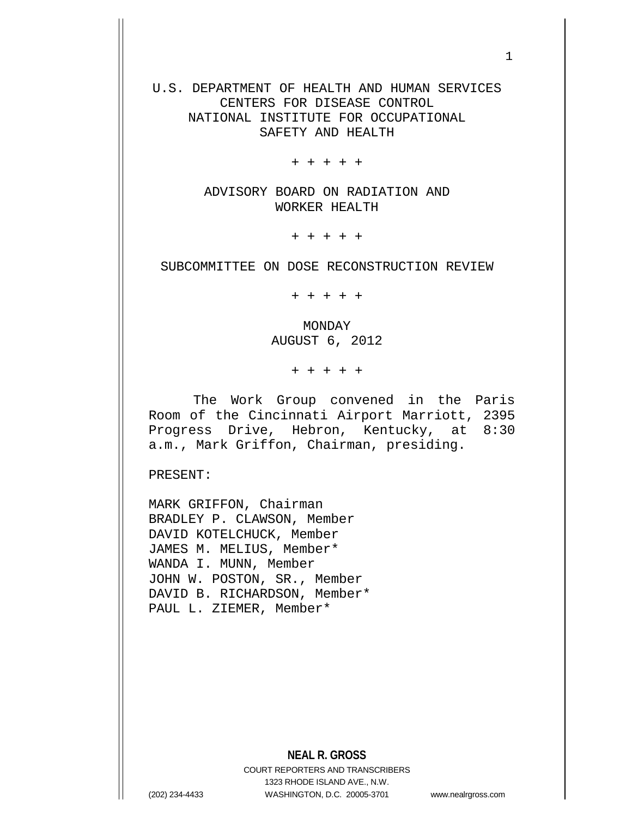U.S. DEPARTMENT OF HEALTH AND HUMAN SERVICES CENTERS FOR DISEASE CONTROL NATIONAL INSTITUTE FOR OCCUPATIONAL SAFETY AND HEALTH

+ + + + +

ADVISORY BOARD ON RADIATION AND WORKER HEALTH

+ + + + +

SUBCOMMITTEE ON DOSE RECONSTRUCTION REVIEW

+ + + + +

MONDAY AUGUST 6, 2012

+ + + + +

The Work Group convened in the Paris Room of the Cincinnati Airport Marriott, 2395 Progress Drive, Hebron, Kentucky, at 8:30 a.m., Mark Griffon, Chairman, presiding.

PRESENT:

MARK GRIFFON, Chairman BRADLEY P. CLAWSON, Member DAVID KOTELCHUCK, Member JAMES M. MELIUS, Member\* WANDA I. MUNN, Member JOHN W. POSTON, SR., Member DAVID B. RICHARDSON, Member\* PAUL L. ZIEMER, Member\*

**NEAL R. GROSS**

COURT REPORTERS AND TRANSCRIBERS 1323 RHODE ISLAND AVE., N.W. (202) 234-4433 WASHINGTON, D.C. 20005-3701 www.nealrgross.com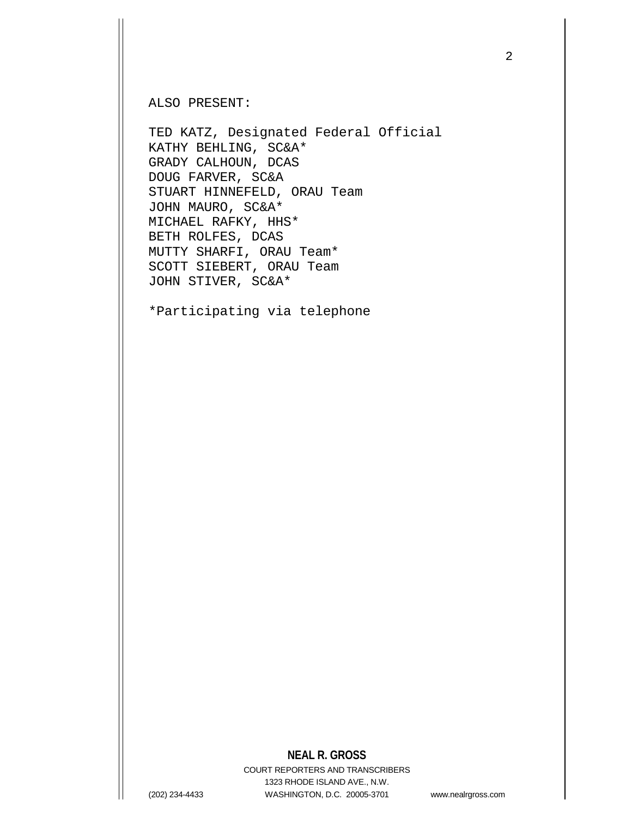ALSO PRESENT:

TED KATZ, Designated Federal Official KATHY BEHLING, SC&A\* GRADY CALHOUN, DCAS DOUG FARVER, SC&A STUART HINNEFELD, ORAU Team JOHN MAURO, SC&A\* MICHAEL RAFKY, HHS\* BETH ROLFES, DCAS MUTTY SHARFI, ORAU Team\* SCOTT SIEBERT, ORAU Team JOHN STIVER, SC&A\*

\*Participating via telephone

## **NEAL R. GROSS**

COURT REPORTERS AND TRANSCRIBERS 1323 RHODE ISLAND AVE., N.W. (202) 234-4433 WASHINGTON, D.C. 20005-3701 www.nealrgross.com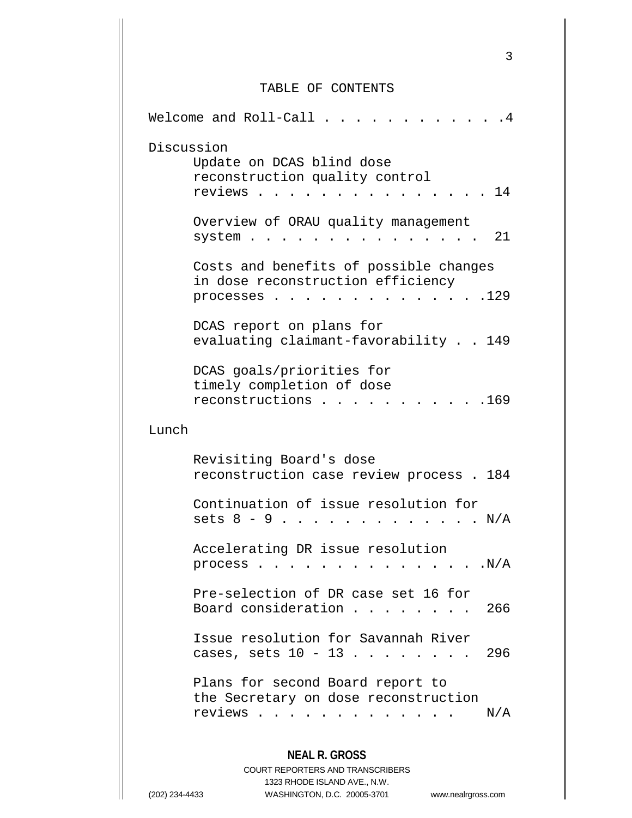## TABLE OF CONTENTS

| Welcome and Roll-Call.<br>. 4 |                                                                                                                                       |
|-------------------------------|---------------------------------------------------------------------------------------------------------------------------------------|
| Discussion                    | Update on DCAS blind dose<br>reconstruction quality control<br>reviews.<br>14                                                         |
|                               | Overview of ORAU quality management<br>21<br>system                                                                                   |
|                               | Costs and benefits of possible changes<br>in dose reconstruction efficiency<br>. 129<br>processes                                     |
|                               | DCAS report on plans for<br>evaluating claimant-favorability 149                                                                      |
|                               | DCAS goals/priorities for<br>timely completion of dose<br>reconstructions<br>.169                                                     |
| Lunch                         |                                                                                                                                       |
|                               | Revisiting Board's dose<br>reconstruction case review process . 184                                                                   |
|                               | Continuation of issue resolution for<br>sets $8 - 9$ .<br>$\mathrm{N}/\mathrm{A}$<br>$\mathbf{L}$                                     |
|                               | Accelerating DR issue resolution<br>process<br>.N/A<br>$\bullet$ , $\bullet$ , $\bullet$                                              |
|                               | Pre-selection of DR case set 16 for<br>Board consideration<br>266                                                                     |
|                               | Issue resolution for Savannah River<br>cases, sets $10 - 13$<br>296                                                                   |
|                               | Plans for second Board report to<br>the Secretary on dose reconstruction<br>reviews<br>N/A<br>$\cdot$ $\cdot$ $\cdot$ $\cdot$ $\cdot$ |

## **NEAL R. GROSS**

COURT REPORTERS AND TRANSCRIBERS 1323 RHODE ISLAND AVE., N.W. (202) 234-4433 WASHINGTON, D.C. 20005-3701 www.nealrgross.com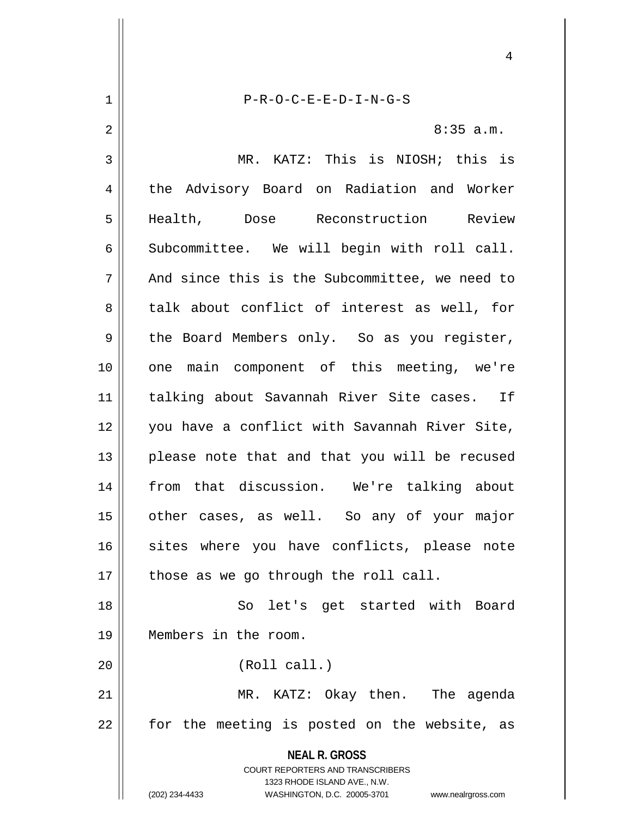**NEAL R. GROSS** COURT REPORTERS AND TRANSCRIBERS 1323 RHODE ISLAND AVE., N.W. (202) 234-4433 WASHINGTON, D.C. 20005-3701 www.nealrgross.com 4 1 P-R-O-C-E-E-D-I-N-G-S 2  $\parallel$  8:35 a.m. 3 || MR. KATZ: This is NIOSH; this is 4 the Advisory Board on Radiation and Worker 5 Health, Dose Reconstruction Review  $6$  Subcommittee. We will begin with roll call.  $7$  | And since this is the Subcommittee, we need to  $8 \parallel$  talk about conflict of interest as well, for  $9 \parallel$  the Board Members only. So as you register, 10 || one main component of this meeting, we're 11 talking about Savannah River Site cases. If 12 you have a conflict with Savannah River Site,  $13$  || please note that and that you will be recused 14 from that discussion. We're talking about 15 other cases, as well. So any of your major 16 sites where you have conflicts, please note  $17$  | those as we go through the roll call. 18 || So let's get started with Board 19 Members in the room. 20 (Roll call.) 21 MR. KATZ: Okay then. The agenda 22 || for the meeting is posted on the website, as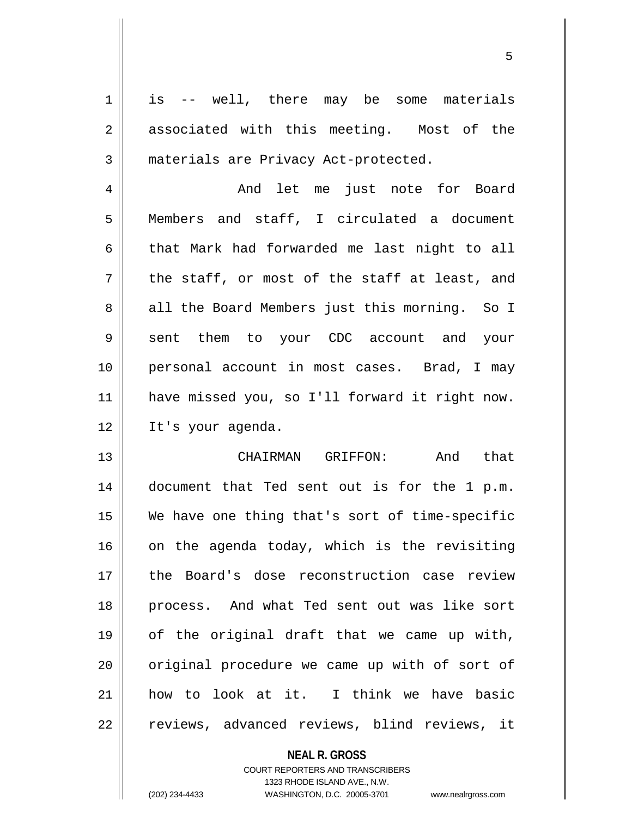1 is -- well, there may be some materials 2 associated with this meeting. Most of the 3 || materials are Privacy Act-protected.

4 And let me just note for Board 5 Members and staff, I circulated a document  $6 \parallel$  that Mark had forwarded me last night to all  $7 \parallel$  the staff, or most of the staff at least, and 8 all the Board Members just this morning. So I 9 sent them to your CDC account and your 10 personal account in most cases. Brad, I may 11 have missed you, so I'll forward it right now. 12 It's your agenda.

 CHAIRMAN GRIFFON: And that 14 || document that Ted sent out is for the 1 p.m. We have one thing that's sort of time-specific on the agenda today, which is the revisiting the Board's dose reconstruction case review process. And what Ted sent out was like sort of the original draft that we came up with, || original procedure we came up with of sort of how to look at it. I think we have basic 22 || reviews, advanced reviews, blind reviews, it

**NEAL R. GROSS**

COURT REPORTERS AND TRANSCRIBERS 1323 RHODE ISLAND AVE., N.W. (202) 234-4433 WASHINGTON, D.C. 20005-3701 www.nealrgross.com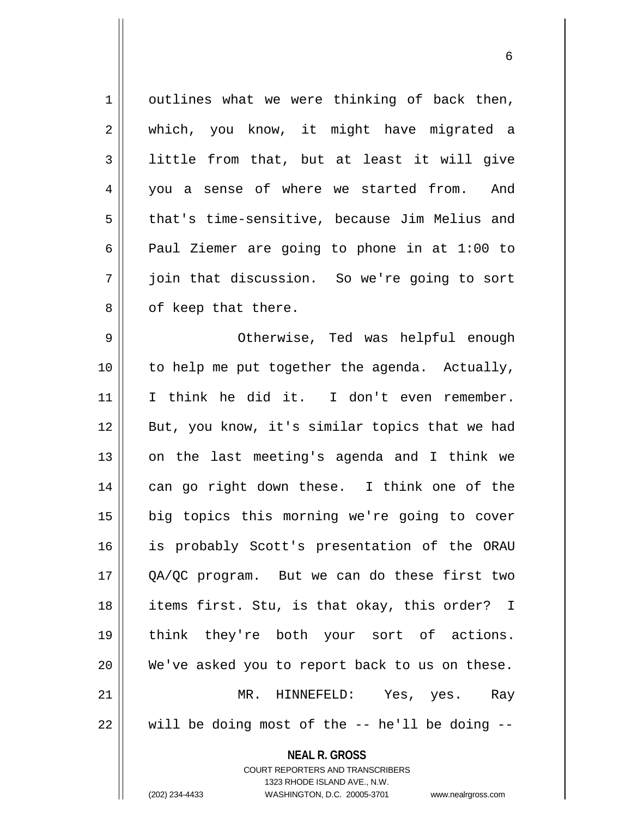| $\mathbf 1$    | outlines what we were thinking of back then,                                                        |
|----------------|-----------------------------------------------------------------------------------------------------|
| 2              | which, you know, it might have migrated a                                                           |
| 3              | little from that, but at least it will give                                                         |
| $\overline{4}$ | you a sense of where we started from.<br>And                                                        |
| 5              | that's time-sensitive, because Jim Melius and                                                       |
| 6              | Paul Ziemer are going to phone in at 1:00 to                                                        |
| 7              | join that discussion. So we're going to sort                                                        |
| 8              | of keep that there.                                                                                 |
| $\mathsf 9$    | Otherwise, Ted was helpful enough                                                                   |
| 10             | to help me put together the agenda. Actually,                                                       |
| 11             | I think he did it. I don't even remember.                                                           |
| 12             | But, you know, it's similar topics that we had                                                      |
| 13             | on the last meeting's agenda and I think we                                                         |
| 14             | can go right down these. I think one of the                                                         |
| 15             | big topics this morning we're going to cover                                                        |
| 16             | is probably Scott's presentation of the ORAU                                                        |
| 17             | QA/QC program. But we can do these first two                                                        |
| 18             | items first. Stu, is that okay, this order? I                                                       |
| 19             | think they're both your sort of actions.                                                            |
| 20             | We've asked you to report back to us on these.                                                      |
| 21             | MR. HINNEFELD: Yes, yes.<br>Ray                                                                     |
| 22             | will be doing most of the $-$ - he'll be doing $-$ -                                                |
|                | <b>NEAL R. GROSS</b>                                                                                |
|                | <b>COURT REPORTERS AND TRANSCRIBERS</b>                                                             |
|                | 1323 RHODE ISLAND AVE., N.W.<br>(202) 234-4433<br>WASHINGTON, D.C. 20005-3701<br>www.nealrgross.com |
|                |                                                                                                     |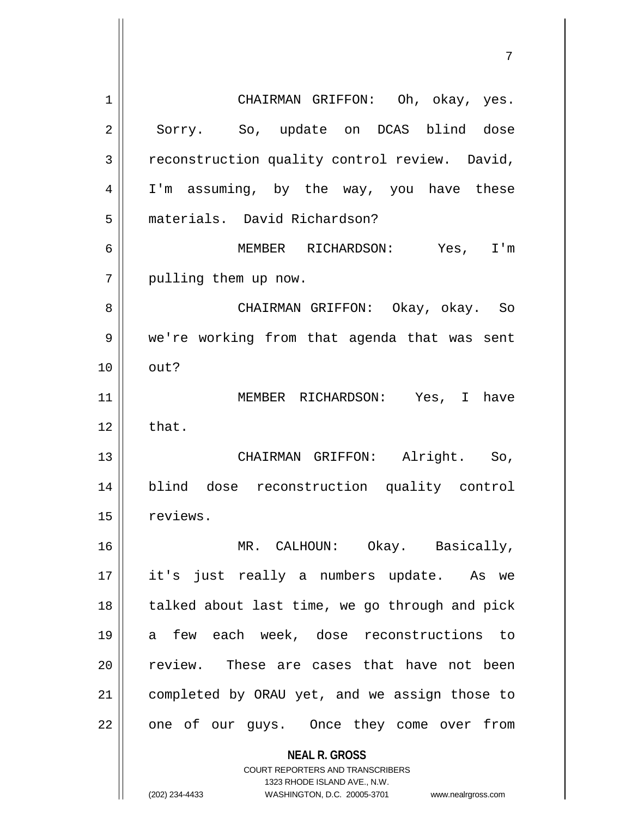**NEAL R. GROSS** COURT REPORTERS AND TRANSCRIBERS 1323 RHODE ISLAND AVE., N.W. 1 CHAIRMAN GRIFFON: Oh, okay, yes. 2 || Sorry. So, update on DCAS blind dose  $3$  reconstruction quality control review. David, 4 || I'm assuming, by the way, you have these 5 materials. David Richardson? 6 MEMBER RICHARDSON: Yes, I'm 7 | pulling them up now. 8 CHAIRMAN GRIFFON: Okay, okay. So 9 | we're working from that agenda that was sent  $10 \parallel \quad out?$ 11 || MEMBER RICHARDSON: Yes, I have  $12 \parallel$  that. 13 CHAIRMAN GRIFFON: Alright. So, 14 blind dose reconstruction quality control 15 | reviews. 16 MR. CALHOUN: Okay. Basically, 17 it's just really a numbers update. As we  $18$  || talked about last time, we go through and pick 19 a few each week, dose reconstructions to 20 || review. These are cases that have not been 21 | completed by ORAU yet, and we assign those to 22 || one of our guys. Once they come over from

(202) 234-4433 WASHINGTON, D.C. 20005-3701 www.nealrgross.com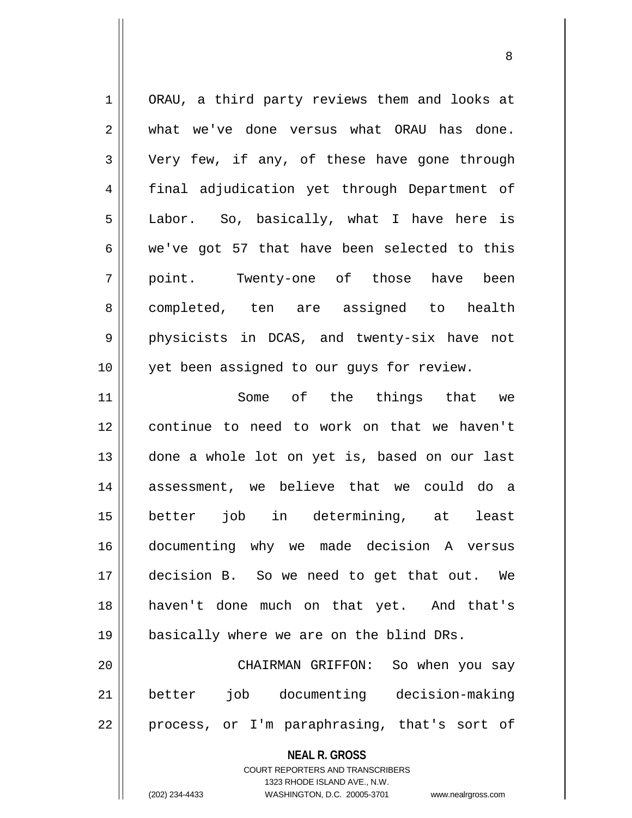| $\mathbf 1$    | ORAU, a third party reviews them and looks at |
|----------------|-----------------------------------------------|
| 2              | what we've done versus what ORAU has done.    |
| 3              | Very few, if any, of these have gone through  |
| $\overline{4}$ | final adjudication yet through Department of  |
| 5              | Labor. So, basically, what I have here is     |
| 6              | we've got 57 that have been selected to this  |
| 7              | Twenty-one of those have been<br>point.       |
| 8              | completed, ten are assigned to health         |
| 9              | physicists in DCAS, and twenty-six have not   |
| 10             | yet been assigned to our guys for review.     |
| 11             | of the things that we<br>Some                 |
| 12             | continue to need to work on that we haven't   |
| 13             | done a whole lot on yet is, based on our last |
| 14             | assessment, we believe that we could do a     |
| 15             | better job in determining, at least           |
| 16             | documenting why we made decision A versus     |
| 17             | decision B. So we need to get that out. We    |
| 18             | haven't done much on that yet. And that's     |
| 19             | basically where we are on the blind DRs.      |
| 20             | CHAIRMAN GRIFFON: So when you say             |
| 21             | job documenting decision-making<br>better     |
| 22             | process, or I'm paraphrasing, that's sort of  |
|                | <b>NEAL R. GROSS</b>                          |

COURT REPORTERS AND TRANSCRIBERS 1323 RHODE ISLAND AVE., N.W.

 $\mathsf{I}$ 

(202) 234-4433 WASHINGTON, D.C. 20005-3701 www.nealrgross.com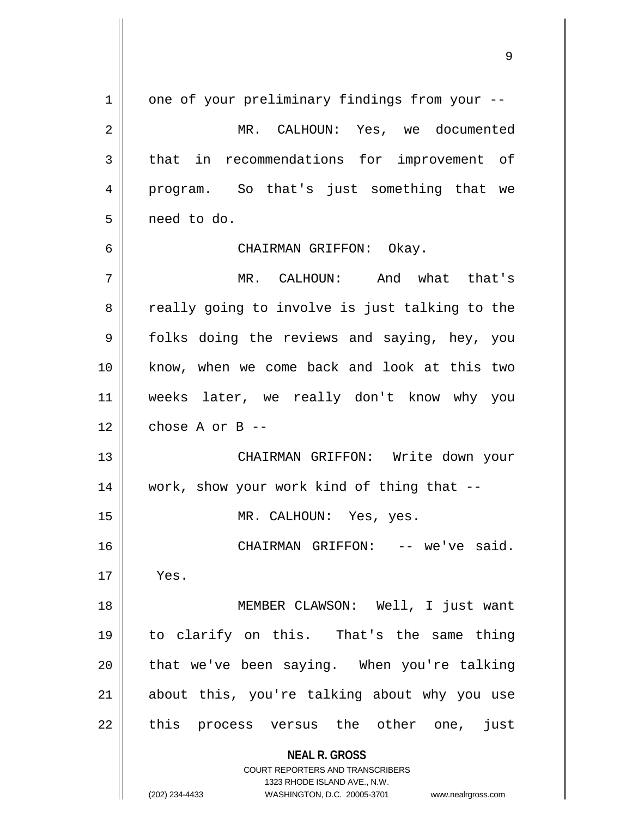| 1  | one of your preliminary findings from your --                       |
|----|---------------------------------------------------------------------|
| 2  | MR. CALHOUN: Yes, we documented                                     |
| 3  | that in recommendations for improvement of                          |
| 4  | program. So that's just something that we                           |
| 5  | need to do.                                                         |
| 6  | CHAIRMAN GRIFFON: Okay.                                             |
| 7  | MR. CALHOUN: And what that's                                        |
| 8  | really going to involve is just talking to the                      |
| 9  | folks doing the reviews and saying, hey, you                        |
| 10 | know, when we come back and look at this two                        |
| 11 | weeks later, we really don't know why you                           |
| 12 | chose $A$ or $B$ --                                                 |
| 13 | CHAIRMAN GRIFFON: Write down your                                   |
| 14 | work, show your work kind of thing that --                          |
| 15 | MR. CALHOUN: Yes, yes.                                              |
| 16 | CHAIRMAN GRIFFON: -- we've said.                                    |
| 17 | Yes.                                                                |
| 18 | MEMBER CLAWSON: Well, I just want                                   |
| 19 | to clarify on this. That's the same thing                           |
| 20 | that we've been saying. When you're talking                         |
| 21 | about this, you're talking about why you use                        |
| 22 | this process versus the other one,<br>just                          |
|    | <b>NEAL R. GROSS</b>                                                |
|    | <b>COURT REPORTERS AND TRANSCRIBERS</b>                             |
|    | 1323 RHODE ISLAND AVE., N.W.                                        |
|    | (202) 234-4433<br>WASHINGTON, D.C. 20005-3701<br>www.nealrgross.com |

 $\mathsf{I}$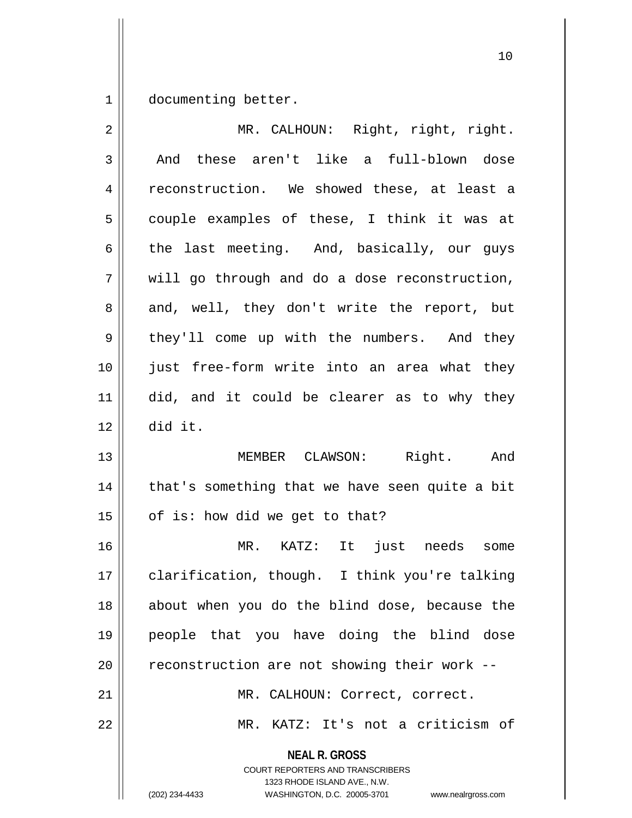1 documenting better.

| $\overline{2}$ | MR. CALHOUN: Right, right, right.                                                                                                                                      |
|----------------|------------------------------------------------------------------------------------------------------------------------------------------------------------------------|
| $\mathfrak{Z}$ | these aren't like a full-blown dose<br>And                                                                                                                             |
| $\overline{4}$ | reconstruction. We showed these, at least a                                                                                                                            |
| 5              | couple examples of these, I think it was at                                                                                                                            |
| 6              | the last meeting. And, basically, our guys                                                                                                                             |
| 7              | will go through and do a dose reconstruction,                                                                                                                          |
| 8              | and, well, they don't write the report, but                                                                                                                            |
| 9              | they'll come up with the numbers. And they                                                                                                                             |
| 10             | just free-form write into an area what they                                                                                                                            |
| 11             | did, and it could be clearer as to why they                                                                                                                            |
| 12             | did it.                                                                                                                                                                |
| 13             | MEMBER CLAWSON: Right. And                                                                                                                                             |
| 14             | that's something that we have seen quite a bit                                                                                                                         |
| 15             | of is: how did we get to that?                                                                                                                                         |
| 16             | MR. KATZ: It just needs<br>some                                                                                                                                        |
| 17             | clarification, though. I think you're talking                                                                                                                          |
| 18             | about when you do the blind dose, because the                                                                                                                          |
| 19             | people that you have doing the blind dose                                                                                                                              |
| 20             | reconstruction are not showing their work --                                                                                                                           |
| 21             | MR. CALHOUN: Correct, correct.                                                                                                                                         |
| 22             | MR. KATZ: It's not a criticism of                                                                                                                                      |
|                | <b>NEAL R. GROSS</b><br><b>COURT REPORTERS AND TRANSCRIBERS</b><br>1323 RHODE ISLAND AVE., N.W.<br>(202) 234-4433<br>WASHINGTON, D.C. 20005-3701<br>www.nealrgross.com |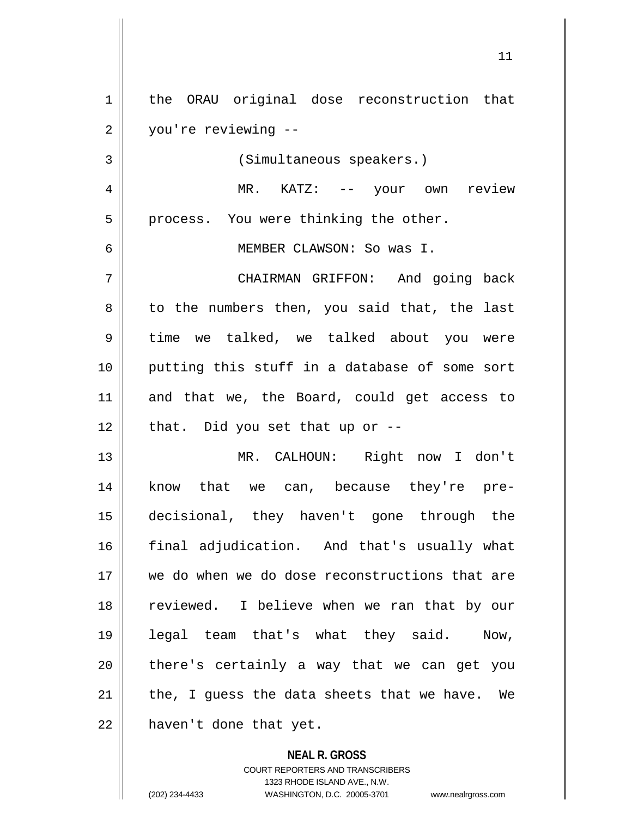1 || the ORAU original dose reconstruction that 2 | you're reviewing --3 (Simultaneous speakers.) 4 MR. KATZ: -- your own review  $5 \parallel$  process. You were thinking the other. 6 MEMBER CLAWSON: So was I. 7 CHAIRMAN GRIFFON: And going back 8 || to the numbers then, you said that, the last 9 time we talked, we talked about you were 10 || putting this stuff in a database of some sort 11 and that we, the Board, could get access to  $12$  | that. Did you set that up or  $-$ 13 MR. CALHOUN: Right now I don't 14 know that we can, because they're pre-15 decisional, they haven't gone through the 16 || final adjudication. And that's usually what 17 we do when we do dose reconstructions that are 18 || reviewed. I believe when we ran that by our 19 legal team that's what they said. Now,  $20$  || there's certainly a way that we can get you 21  $\parallel$  the, I guess the data sheets that we have. We  $22$  || haven't done that yet.

> **NEAL R. GROSS** COURT REPORTERS AND TRANSCRIBERS 1323 RHODE ISLAND AVE., N.W. (202) 234-4433 WASHINGTON, D.C. 20005-3701 www.nealrgross.com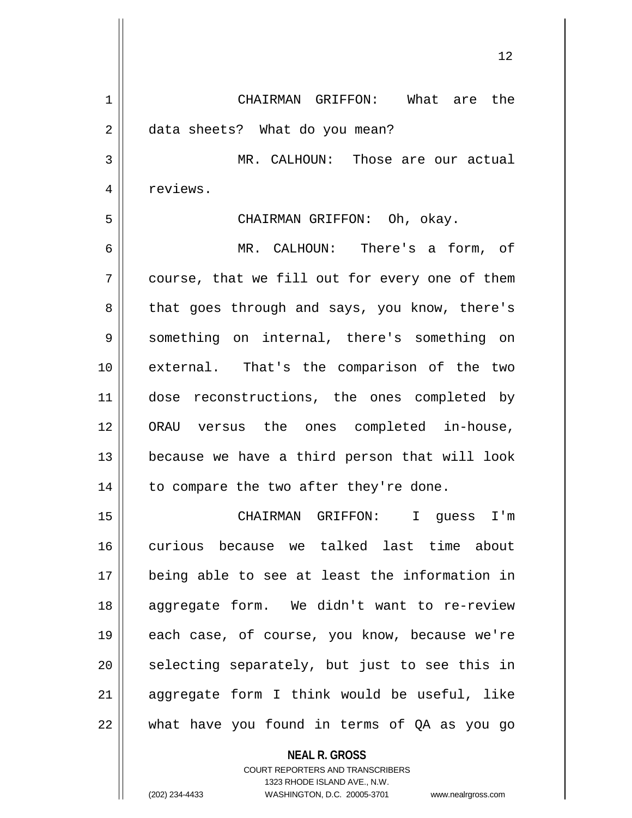CHAIRMAN GRIFFON: What are the 2 | data sheets? What do you mean? MR. CALHOUN: Those are our actual 4 | reviews. CHAIRMAN GRIFFON: Oh, okay. MR. CALHOUN: There's a form, of  $7 \parallel$  course, that we fill out for every one of them 8 || that goes through and says, you know, there's 9 Something on internal, there's something on external. That's the comparison of the two 11 || dose reconstructions, the ones completed by ORAU versus the ones completed in-house, because we have a third person that will look | to compare the two after they're done. CHAIRMAN GRIFFON: I guess I'm curious because we talked last time about being able to see at least the information in aggregate form. We didn't want to re-review 19 || each case, of course, you know, because we're || selecting separately, but just to see this in aggregate form I think would be useful, like what have you found in terms of QA as you go

> COURT REPORTERS AND TRANSCRIBERS 1323 RHODE ISLAND AVE., N.W. (202) 234-4433 WASHINGTON, D.C. 20005-3701 www.nealrgross.com

**NEAL R. GROSS**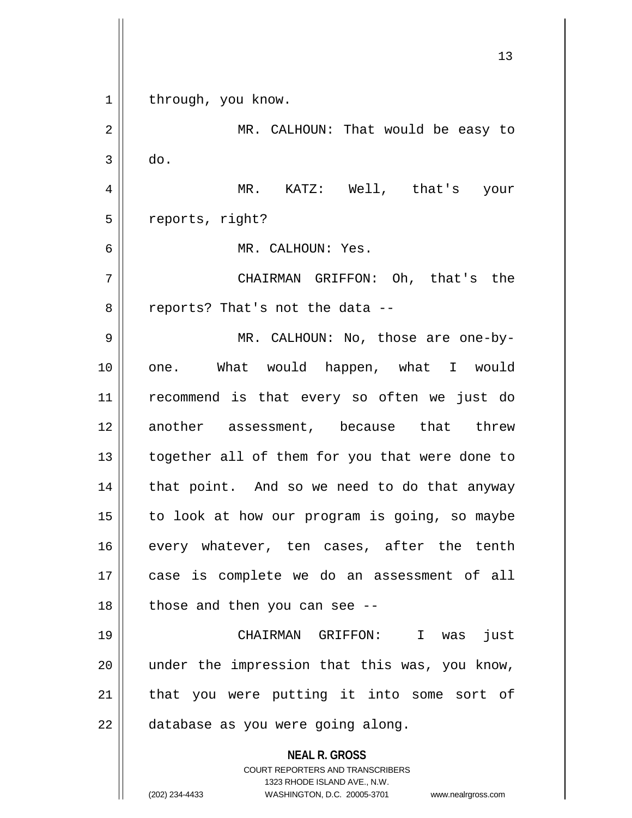**NEAL R. GROSS** COURT REPORTERS AND TRANSCRIBERS 1323 RHODE ISLAND AVE., N.W. (202) 234-4433 WASHINGTON, D.C. 20005-3701 www.nealrgross.com 1 | through, you know. 2 MR. CALHOUN: That would be easy to  $3 \parallel$  do. 4 MR. KATZ: Well, that's your 5 | reports, right? 6 MR. CALHOUN: Yes. 7 CHAIRMAN GRIFFON: Oh, that's the  $8 \parallel$  reports? That's not the data --9 MR. CALHOUN: No, those are one-by-10 one. What would happen, what I would 11 recommend is that every so often we just do 12 another assessment, because that threw 13 || together all of them for you that were done to 14 || that point. And so we need to do that anyway  $15$  to look at how our program is going, so maybe 16 || every whatever, ten cases, after the tenth 17 case is complete we do an assessment of all  $18$  | those and then you can see --19 CHAIRMAN GRIFFON: I was just 20 under the impression that this was, you know,  $21$  | that you were putting it into some sort of 22 | database as you were going along.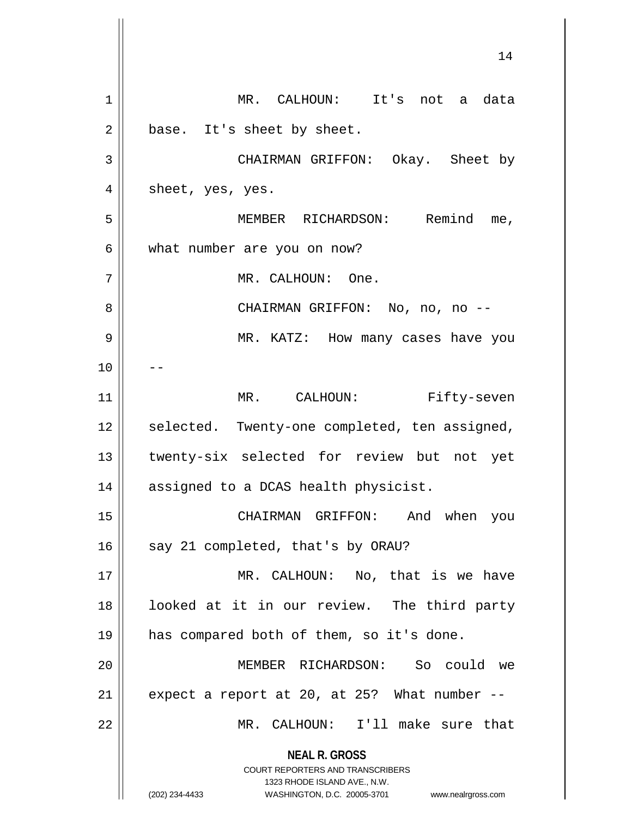**NEAL R. GROSS** COURT REPORTERS AND TRANSCRIBERS 1323 RHODE ISLAND AVE., N.W. (202) 234-4433 WASHINGTON, D.C. 20005-3701 www.nealrgross.com 1 MR. CALHOUN: It's not a data  $2 \parallel$  base. It's sheet by sheet. 3 CHAIRMAN GRIFFON: Okay. Sheet by  $4 \parallel$  sheet, yes, yes. 5 MEMBER RICHARDSON: Remind me, 6 | what number are you on now? 7 MR. CALHOUN: One. 8 CHAIRMAN GRIFFON: No, no, no -- 9 MR. KATZ: How many cases have you  $10$  ||  $-$ 11 || MR. CALHOUN: Fifty-seven 12 || selected. Twenty-one completed, ten assigned, 13 twenty-six selected for review but not yet 14 assigned to a DCAS health physicist. 15 CHAIRMAN GRIFFON: And when you  $16$  say 21 completed, that's by ORAU? 17 || MR. CALHOUN: No, that is we have 18 || looked at it in our review. The third party 19 has compared both of them, so it's done. 20 MEMBER RICHARDSON: So could we  $21$  || expect a report at 20, at 25? What number --22 MR. CALHOUN: I'll make sure that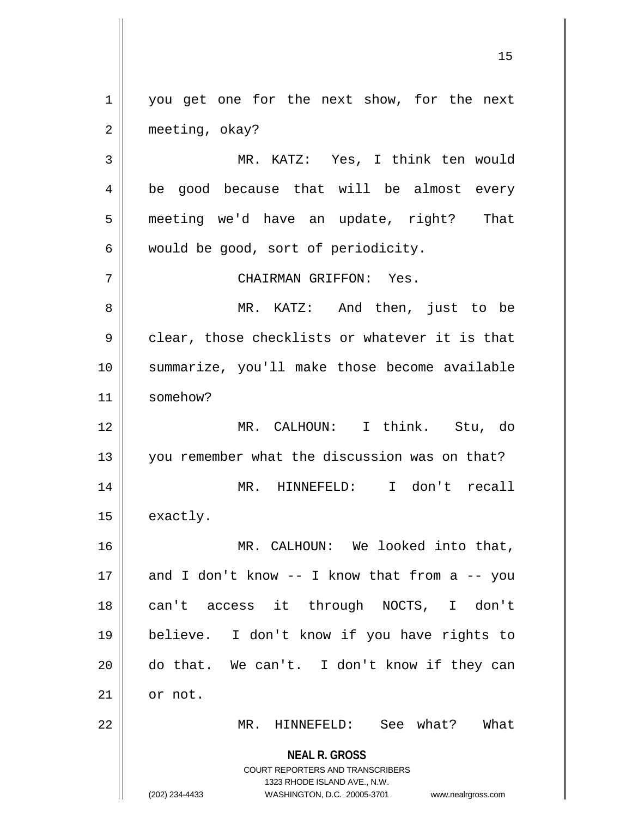**NEAL R. GROSS** COURT REPORTERS AND TRANSCRIBERS 1323 RHODE ISLAND AVE., N.W. (202) 234-4433 WASHINGTON, D.C. 20005-3701 www.nealrgross.com 1 || you get one for the next show, for the next 2 | meeting, okay? 3 MR. KATZ: Yes, I think ten would 4 || be good because that will be almost every 5 meeting we'd have an update, right? That  $6 \parallel$  would be good, sort of periodicity. 7 CHAIRMAN GRIFFON: Yes. 8 MR. KATZ: And then, just to be  $9 \parallel$  clear, those checklists or whatever it is that 10 summarize, you'll make those become available 11 somehow? 12 MR. CALHOUN: I think. Stu, do 13 || you remember what the discussion was on that? 14 MR. HINNEFELD: I don't recall 15 | exactly. 16 || MR. CALHOUN: We looked into that,  $17$  and I don't know -- I know that from a -- you 18 can't access it through NOCTS, I don't 19 believe. I don't know if you have rights to 20 do that. We can't. I don't know if they can  $21$  | or not. 22 MR. HINNEFELD: See what? What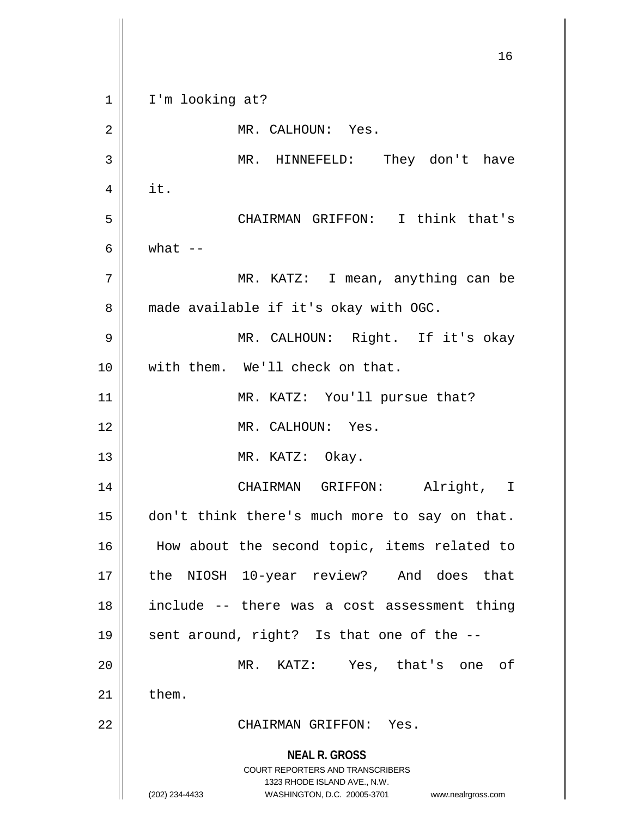**NEAL R. GROSS** COURT REPORTERS AND TRANSCRIBERS 1323 RHODE ISLAND AVE., N.W. (202) 234-4433 WASHINGTON, D.C. 20005-3701 www.nealrgross.com 16 1 || I'm looking at? 2 || MR. CALHOUN: Yes. 3 MR. HINNEFELD: They don't have  $4 \parallel$  it. 5 CHAIRMAN GRIFFON: I think that's 6  $\parallel$  what  $-$ 7 | MR. KATZ: I mean, anything can be 8 || made available if it's okay with OGC. 9 MR. CALHOUN: Right. If it's okay 10 with them. We'll check on that. 11 || MR. KATZ: You'll pursue that? 12 MR. CALHOUN: Yes. 13 || MR. KATZ: Okay. 14 CHAIRMAN GRIFFON: Alright, I 15 | don't think there's much more to say on that. 16 || How about the second topic, items related to 17 the NIOSH 10-year review? And does that 18 include -- there was a cost assessment thing 19  $\parallel$  sent around, right? Is that one of the  $-$ -20 MR. KATZ: Yes, that's one of  $21$  | them. 22 CHAIRMAN GRIFFON: Yes.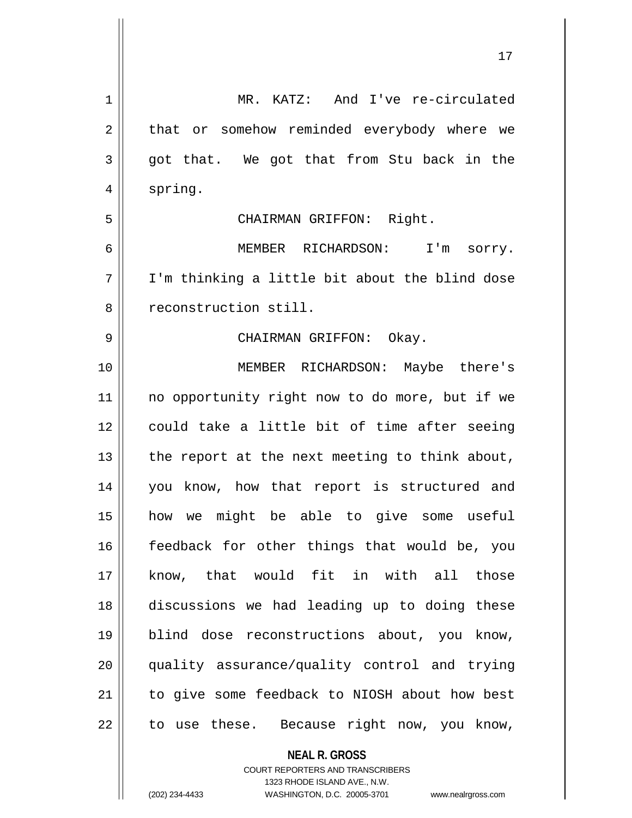| 1  | MR. KATZ: And I've re-circulated               |
|----|------------------------------------------------|
| 2  | that or somehow reminded everybody where we    |
| 3  | got that. We got that from Stu back in the     |
| 4  | spring.                                        |
| 5  | CHAIRMAN GRIFFON: Right.                       |
| 6  | MEMBER RICHARDSON: I'm<br>sorry.               |
| 7  | I'm thinking a little bit about the blind dose |
| 8  | reconstruction still.                          |
| 9  | CHAIRMAN GRIFFON: Okay.                        |
| 10 | MEMBER RICHARDSON: Maybe there's               |
| 11 | no opportunity right now to do more, but if we |
| 12 | could take a little bit of time after seeing   |
| 13 | the report at the next meeting to think about, |
| 14 | you know, how that report is structured and    |
| 15 | we might be able to give some useful<br>how    |
| 16 | feedback for other things that would be, you   |
| 17 | know, that would fit in with all those         |
| 18 | discussions we had leading up to doing these   |
| 19 | blind dose reconstructions about, you know,    |
| 20 | quality assurance/quality control and trying   |
| 21 | to give some feedback to NIOSH about how best  |
| 22 | to use these. Because right now, you know,     |
|    | <b>NEAL R. GROSS</b>                           |

COURT REPORTERS AND TRANSCRIBERS 1323 RHODE ISLAND AVE., N.W.

 $\mathsf{II}$ 

(202) 234-4433 WASHINGTON, D.C. 20005-3701 www.nealrgross.com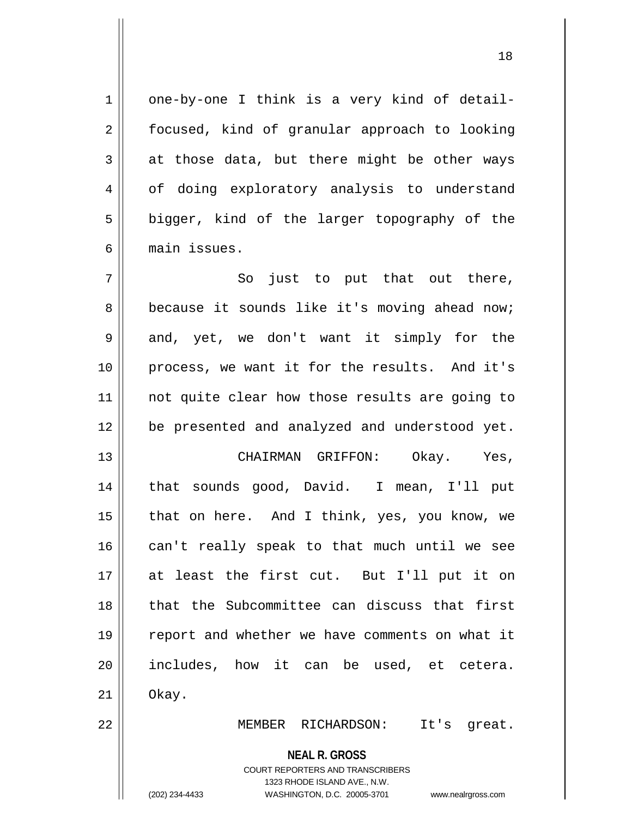$1 \parallel$  one-by-one I think is a very kind of detail-2 | focused, kind of granular approach to looking  $3 \parallel$  at those data, but there might be other ways 4 || of doing exploratory analysis to understand  $5 \parallel$  bigger, kind of the larger topography of the 6 main issues.

 $7 \parallel$  So just to put that out there, 8 because it sounds like it's moving ahead now;  $9 \parallel$  and, yet, we don't want it simply for the 10 || process, we want it for the results. And it's 11 || not quite clear how those results are going to 12 be presented and analyzed and understood yet.

 CHAIRMAN GRIFFON: Okay. Yes, that sounds good, David. I mean, I'll put  $\parallel$  that on here. And I think, yes, you know, we can't really speak to that much until we see at least the first cut. But I'll put it on that the Subcommittee can discuss that first 19 || report and whether we have comments on what it 20 || includes, how it can be used, et cetera.  $21 \parallel$  Okay.

22 MEMBER RICHARDSON: It's great.

**NEAL R. GROSS** COURT REPORTERS AND TRANSCRIBERS 1323 RHODE ISLAND AVE., N.W.

(202) 234-4433 WASHINGTON, D.C. 20005-3701 www.nealrgross.com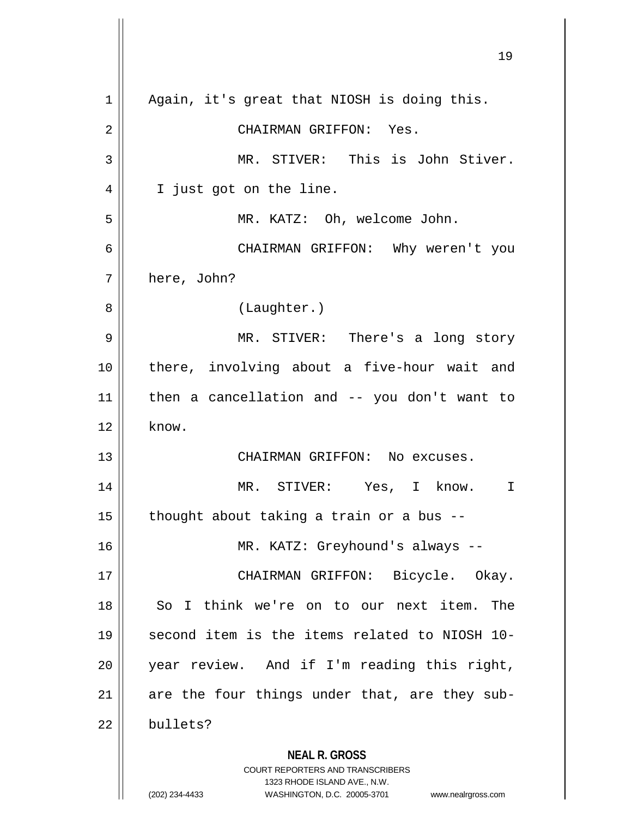**NEAL R. GROSS** COURT REPORTERS AND TRANSCRIBERS 1323 RHODE ISLAND AVE., N.W. (202) 234-4433 WASHINGTON, D.C. 20005-3701 www.nealrgross.com 1 || Again, it's great that NIOSH is doing this. 2 CHAIRMAN GRIFFON: Yes. 3 || MR. STIVER: This is John Stiver. 4 || I just got on the line. 5 MR. KATZ: Oh, welcome John. 6 CHAIRMAN GRIFFON: Why weren't you 7 | here, John? 8 | (Laughter.) 9 MR. STIVER: There's a long story 10 there, involving about a five-hour wait and 11 then a cancellation and -- you don't want to  $12 \parallel$  know. 13 CHAIRMAN GRIFFON: No excuses. 14 MR. STIVER: Yes, I know. I 15  $\parallel$  thought about taking a train or a bus --16 MR. KATZ: Greyhound's always -- 17 CHAIRMAN GRIFFON: Bicycle. Okay. 18 So I think we're on to our next item. The 19 second item is the items related to NIOSH 10- 20 || year review. And if I'm reading this right, 21  $\parallel$  are the four things under that, are they sub-22 bullets?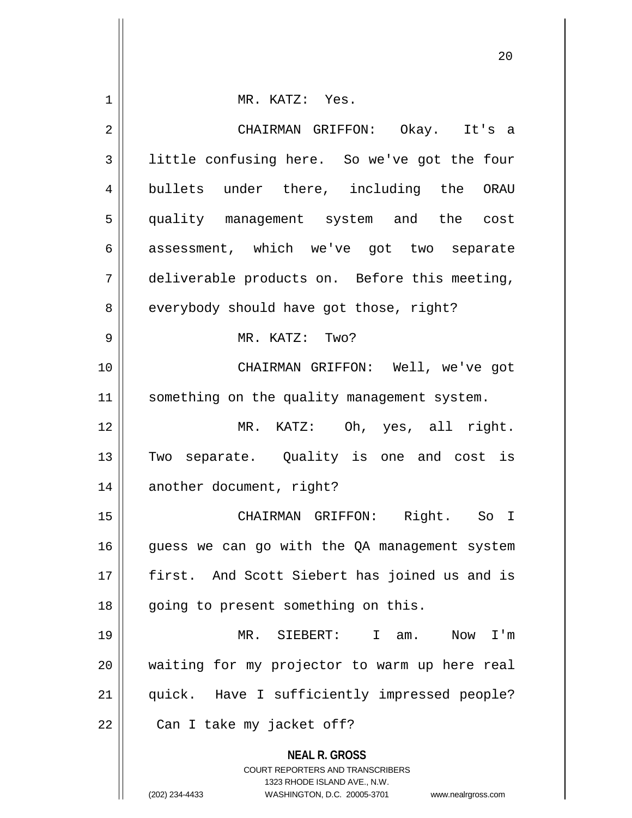| 1              | MR. KATZ: Yes.                                                      |
|----------------|---------------------------------------------------------------------|
| $\overline{2}$ | CHAIRMAN GRIFFON: Okay. It's a                                      |
| 3              | little confusing here. So we've got the four                        |
| 4              | bullets under there, including the ORAU                             |
| 5              | quality management system and the cost                              |
| 6              | assessment, which we've got two separate                            |
| 7              | deliverable products on. Before this meeting,                       |
| 8              | everybody should have got those, right?                             |
| 9              | MR. KATZ: Two?                                                      |
| 10             | CHAIRMAN GRIFFON: Well, we've got                                   |
| 11             | something on the quality management system.                         |
| 12             | MR. KATZ: Oh, yes, all right.                                       |
| 13             | Two separate. Quality is one and cost is                            |
| 14             | another document, right?                                            |
| 15             | CHAIRMAN GRIFFON: Right. So I                                       |
| 16             | guess we can go with the QA management system                       |
| 17             | first. And Scott Siebert has joined us and is                       |
| 18             | going to present something on this.                                 |
| 19             | MR. SIEBERT: I am.<br>I'm<br>Now                                    |
| 20             | waiting for my projector to warm up here real                       |
| 21             | quick. Have I sufficiently impressed people?                        |
| 22             | Can I take my jacket off?                                           |
|                | <b>NEAL R. GROSS</b><br><b>COURT REPORTERS AND TRANSCRIBERS</b>     |
|                | 1323 RHODE ISLAND AVE., N.W.                                        |
|                | (202) 234-4433<br>WASHINGTON, D.C. 20005-3701<br>www.nealrgross.com |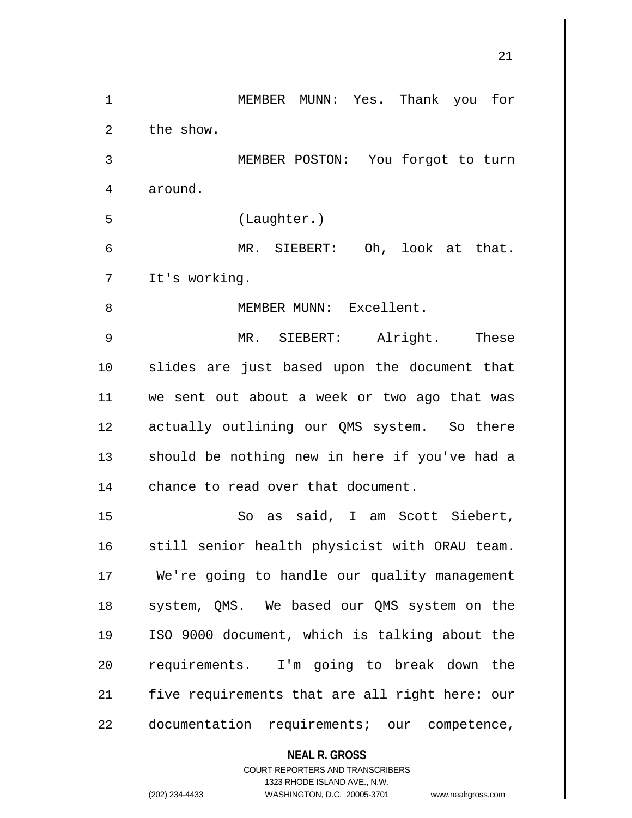|             | 21                                                       |
|-------------|----------------------------------------------------------|
| $\mathbf 1$ | MEMBER MUNN: Yes. Thank you for                          |
| 2           | the show.                                                |
| 3           | MEMBER POSTON: You forgot to turn                        |
| 4           | around.                                                  |
| 5           | (Laughter.)                                              |
| 6           | MR. SIEBERT: Oh, look at that.                           |
| 7           | It's working.                                            |
| 8           | MEMBER MUNN: Excellent.                                  |
| 9           | MR. SIEBERT: Alright. These                              |
| 10          | slides are just based upon the document that             |
| 11          | we sent out about a week or two ago that was             |
| 12          | actually outlining our QMS system. So there              |
| 13          | should be nothing new in here if you've had a            |
| 14          | chance to read over that document.                       |
| 15          | So as said, I am Scott Siebert,                          |
| 16          | still senior health physicist with ORAU team.            |
| 17          | We're going to handle our quality management             |
| 18          | system, QMS. We based our QMS system on the              |
| 19          | ISO 9000 document, which is talking about the            |
| 20          | requirements. I'm going to break down the                |
| 21          | five requirements that are all right here: our           |
| 22          | documentation requirements; our competence,              |
|             | <b>NEAL R. GROSS</b><br>COURT REPORTERS AND TRANSCRIBERS |

1323 RHODE ISLAND AVE., N.W.

 $\begin{array}{c} \hline \end{array}$ 

 $\mathsf{l}$ 

(202) 234-4433 WASHINGTON, D.C. 20005-3701 www.nealrgross.com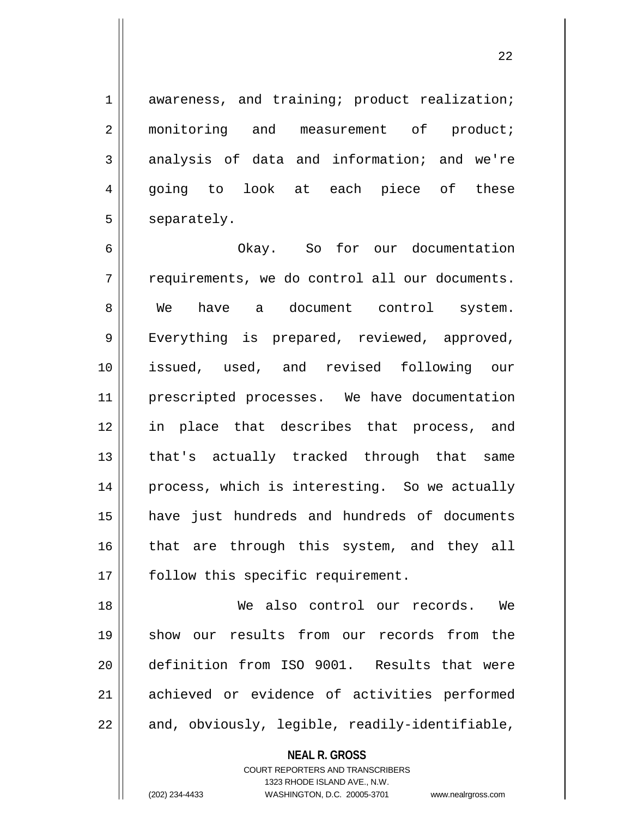1 awareness, and training; product realization; 2 || monitoring and measurement of product;  $3 \parallel$  analysis of data and information; and we're 4 || going to look at each piece of these

6 Okay. So for our documentation 7 | requirements, we do control all our documents. 8 || We have a document control system. 9 || Everything is prepared, reviewed, approved, 10 issued, used, and revised following our 11 || prescripted processes. We have documentation 12 in place that describes that process, and 13 || that's actually tracked through that same 14 || process, which is interesting. So we actually 15 have just hundreds and hundreds of documents 16 || that are through this system, and they all 17 | follow this specific requirement.

18 We also control our records. We 19 show our results from our records from the 20 definition from ISO 9001. Results that were 21 || achieved or evidence of activities performed  $22 \parallel$  and, obviously, legible, readily-identifiable,

**NEAL R. GROSS**

COURT REPORTERS AND TRANSCRIBERS 1323 RHODE ISLAND AVE., N.W. (202) 234-4433 WASHINGTON, D.C. 20005-3701 www.nealrgross.com

5 | separately.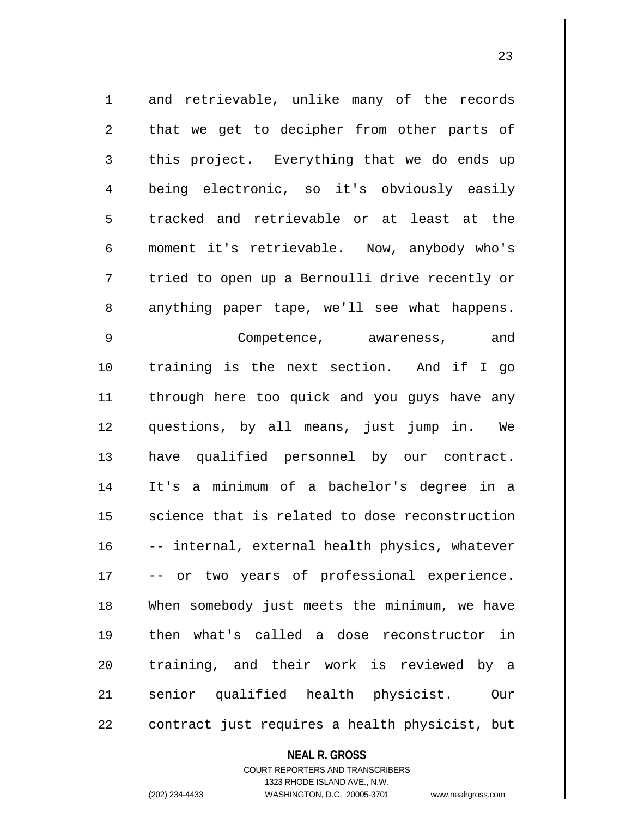1 and retrievable, unlike many of the records  $2 \parallel$  that we get to decipher from other parts of  $3 \parallel$  this project. Everything that we do ends up 4 | being electronic, so it's obviously easily 5 tracked and retrievable or at least at the 6 moment it's retrievable. Now, anybody who's 7 tried to open up a Bernoulli drive recently or 8 anything paper tape, we'll see what happens. 9 Competence, awareness, and 10 training is the next section. And if I go 11 || through here too quick and you guys have any 12 questions, by all means, just jump in. We 13 || have qualified personnel by our contract. 14 It's a minimum of a bachelor's degree in a  $15$  science that is related to dose reconstruction  $16$   $\vert$  -- internal, external health physics, whatever 17 -- or two years of professional experience. 18 When somebody just meets the minimum, we have 19 then what's called a dose reconstructor in 20 || training, and their work is reviewed by a 21 senior qualified health physicist. Our 22 || contract just requires a health physicist, but

> **NEAL R. GROSS** COURT REPORTERS AND TRANSCRIBERS 1323 RHODE ISLAND AVE., N.W.

(202) 234-4433 WASHINGTON, D.C. 20005-3701 www.nealrgross.com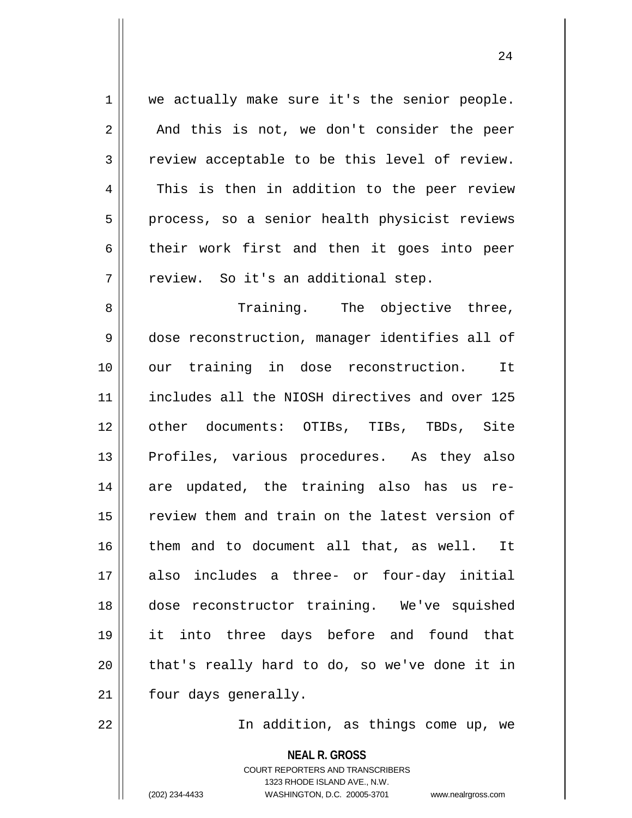1 || we actually make sure it's the senior people.  $2 \parallel$  And this is not, we don't consider the peer  $3 \parallel$  review acceptable to be this level of review. 4 This is then in addition to the peer review 5 || process, so a senior health physicist reviews  $6 \parallel$  their work first and then it goes into peer  $7 \parallel$  review. So it's an additional step.

8 Training. The objective three, 9 || dose reconstruction, manager identifies all of 10 our training in dose reconstruction. It 11 || includes all the NIOSH directives and over 125 12 other documents: OTIBs, TIBs, TBDs, Site 13 || Profiles, various procedures. As they also 14 are updated, the training also has us re-15 || review them and train on the latest version of 16 them and to document all that, as well. It 17 also includes a three- or four-day initial 18 dose reconstructor training. We've squished 19 it into three days before and found that  $20$  || that's really hard to do, so we've done it in 21 | four days generally.

22 || The addition, as things come up, we

**NEAL R. GROSS** COURT REPORTERS AND TRANSCRIBERS 1323 RHODE ISLAND AVE., N.W. (202) 234-4433 WASHINGTON, D.C. 20005-3701 www.nealrgross.com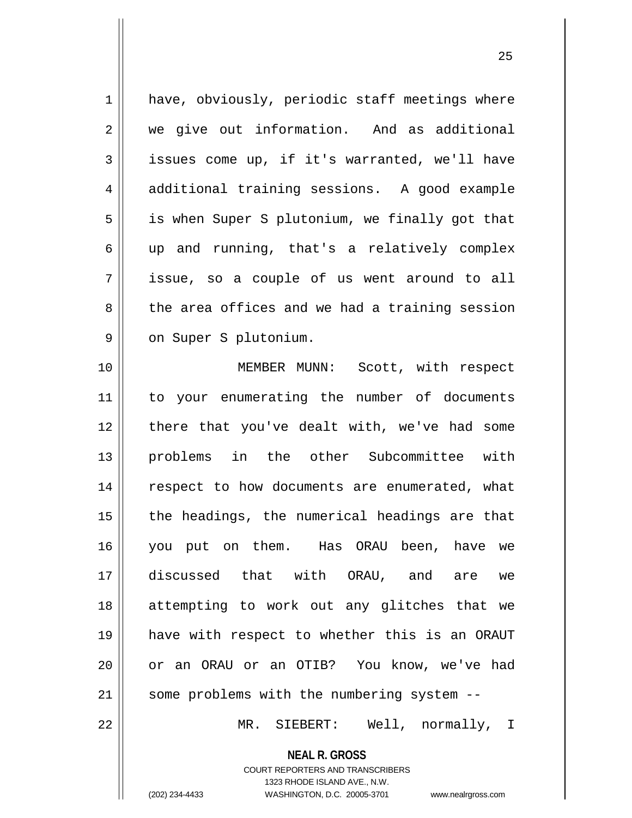| $\mathbf 1$    | have, obviously, periodic staff meetings where |
|----------------|------------------------------------------------|
| 2              | we give out information. And as additional     |
| 3              | issues come up, if it's warranted, we'll have  |
| $\overline{4}$ | additional training sessions. A good example   |
| 5              | is when Super S plutonium, we finally got that |
| 6              | up and running, that's a relatively complex    |
| 7              | issue, so a couple of us went around to all    |
| 8              | the area offices and we had a training session |
| 9              | on Super S plutonium.                          |
| 10             | MEMBER MUNN: Scott, with respect               |
| 11             | to your enumerating the number of documents    |
| 12             | there that you've dealt with, we've had some   |
| 13             | problems in the other Subcommittee with        |
| 14             | respect to how documents are enumerated, what  |
| 15             | the headings, the numerical headings are that  |
| 16             | you put on them. Has ORAU been, have we        |
| 17             | discussed that with ORAU, and are we           |
| 18             | attempting to work out any glitches that we    |
| 19             | have with respect to whether this is an ORAUT  |
| 20             | or an ORAU or an OTIB? You know, we've had     |
| 21             | some problems with the numbering system --     |
| 22             | MR. SIEBERT: Well, normally, I                 |
|                |                                                |

**NEAL R. GROSS** COURT REPORTERS AND TRANSCRIBERS

1323 RHODE ISLAND AVE., N.W.

(202) 234-4433 WASHINGTON, D.C. 20005-3701 www.nealrgross.com

 $\mathsf{I}$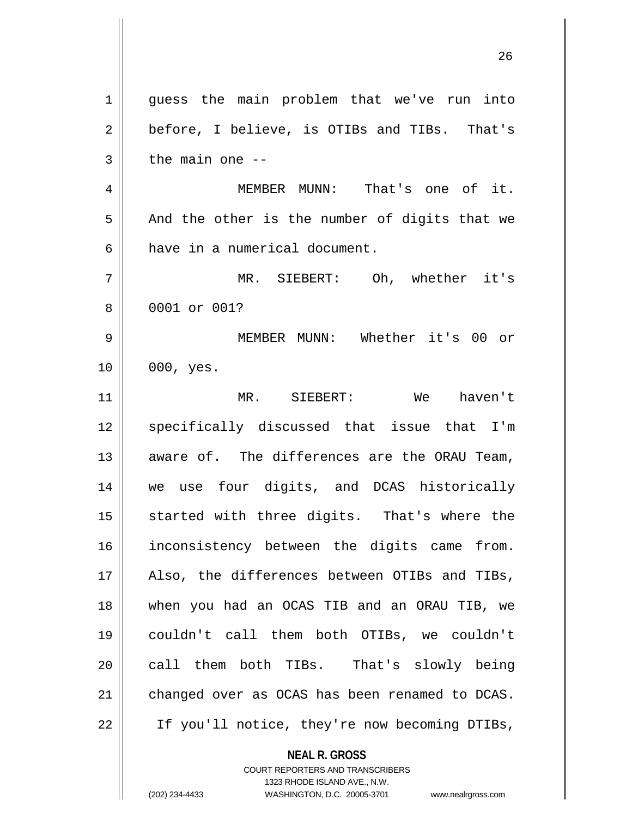**NEAL R. GROSS** 1 || guess the main problem that we've run into  $2 \parallel$  before, I believe, is OTIBs and TIBs. That's  $3 \parallel$  the main one --4 MEMBER MUNN: That's one of it.  $5 \parallel$  And the other is the number of digits that we 6 have in a numerical document. 7 MR. SIEBERT: Oh, whether it's 8 0001 or 001? 9 MEMBER MUNN: Whether it's 00 or  $10 \parallel 000, \text{yes.}$ 11 MR. SIEBERT: We haven't 12 || specifically discussed that issue that I'm 13 || aware of. The differences are the ORAU Team, 14 we use four digits, and DCAS historically 15 || started with three digits. That's where the 16 || inconsistency between the digits came from. 17 || Also, the differences between OTIBs and TIBs, 18 when you had an OCAS TIB and an ORAU TIB, we 19 couldn't call them both OTIBs, we couldn't 20 || call them both TIBs. That's slowly being 21 | changed over as OCAS has been renamed to DCAS. 22 | If you'll notice, they're now becoming DTIBs,

> COURT REPORTERS AND TRANSCRIBERS 1323 RHODE ISLAND AVE., N.W.

(202) 234-4433 WASHINGTON, D.C. 20005-3701 www.nealrgross.com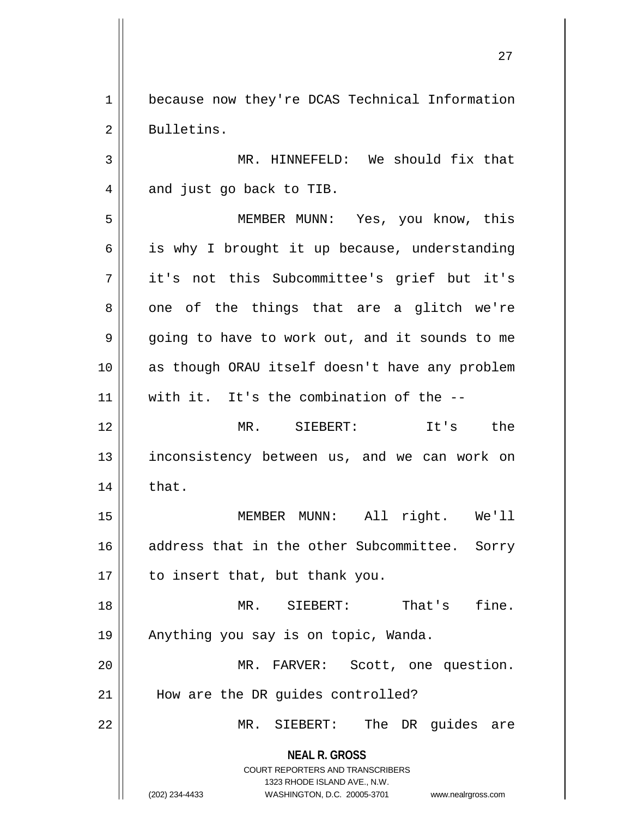1 | because now they're DCAS Technical Information 2 | Bulletins.

3 MR. HINNEFELD: We should fix that 4 || and just go back to TIB.

 MEMBER MUNN: Yes, you know, this  $\parallel$  is why I brought it up because, understanding it's not this Subcommittee's grief but it's  $8 \parallel$  one of the things that are a glitch we're  $9 \parallel$  going to have to work out, and it sounds to me as though ORAU itself doesn't have any problem with it. It's the combination of the --

12 MR. SIEBERT: It's the 13 || inconsistency between us, and we can work on  $14$   $\parallel$  that.

15 MEMBER MUNN: All right. We'll 16 address that in the other Subcommittee. Sorry  $17$  | to insert that, but thank you.

18 MR. SIEBERT: That's fine. 19 || Anything you say is on topic, Wanda. 20 MR. FARVER: Scott, one question.

21 || How are the DR guides controlled?

22 MR. SIEBERT: The DR guides are

**NEAL R. GROSS** COURT REPORTERS AND TRANSCRIBERS

1323 RHODE ISLAND AVE., N.W.

(202) 234-4433 WASHINGTON, D.C. 20005-3701 www.nealrgross.com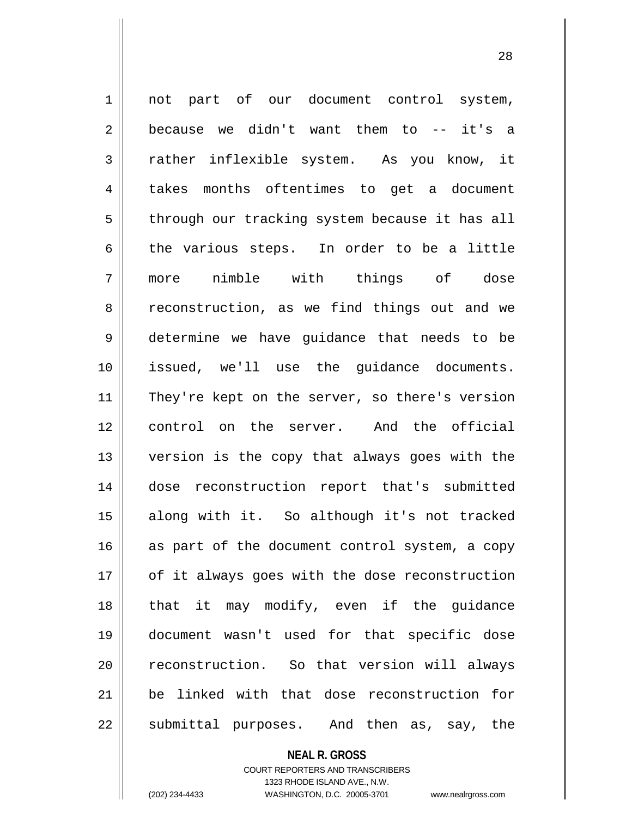1 || not part of our document control system,  $2 \parallel$  because we didn't want them to -- it's a 3 rather inflexible system. As you know, it 4 takes months oftentimes to get a document 5 | through our tracking system because it has all  $6 \parallel$  the various steps. In order to be a little 7 more nimble with things of dose 8 ceconstruction, as we find things out and we 9 determine we have guidance that needs to be 10 issued, we'll use the guidance documents. 11 || They're kept on the server, so there's version 12 control on the server. And the official 13 version is the copy that always goes with the 14 dose reconstruction report that's submitted 15 along with it. So although it's not tracked  $16$  as part of the document control system, a copy 17 || of it always goes with the dose reconstruction 18 that it may modify, even if the guidance 19 document wasn't used for that specific dose 20 || reconstruction. So that version will always 21 be linked with that dose reconstruction for 22 || submittal purposes. And then as, say, the

**NEAL R. GROSS**

COURT REPORTERS AND TRANSCRIBERS 1323 RHODE ISLAND AVE., N.W. (202) 234-4433 WASHINGTON, D.C. 20005-3701 www.nealrgross.com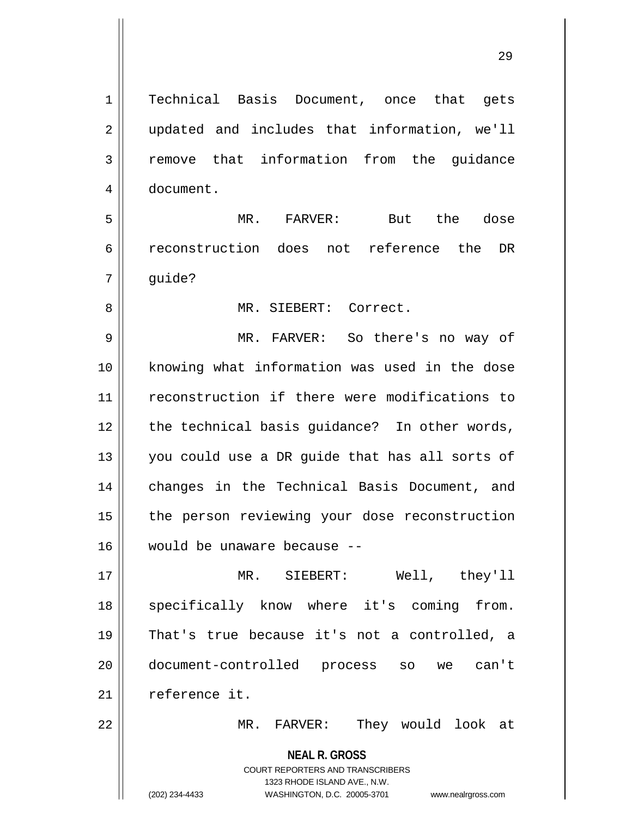**NEAL R. GROSS** COURT REPORTERS AND TRANSCRIBERS 1 || Technical Basis Document, once that gets 2 || updated and includes that information, we'll 3 Temove that information from the quidance 4 document. 5 MR. FARVER: But the dose 6 reconstruction does not reference the DR 7 | quide? 8 MR. SIEBERT: Correct. 9 MR. FARVER: So there's no way of 10 knowing what information was used in the dose 11 reconstruction if there were modifications to 12 || the technical basis quidance? In other words, 13 || you could use a DR guide that has all sorts of 14 || changes in the Technical Basis Document, and 15 || the person reviewing your dose reconstruction 16 would be unaware because -- 17 MR. SIEBERT: Well, they'll 18 || specifically know where it's coming from. 19 That's true because it's not a controlled, a 20 document-controlled process so we can't 21 | reference it. 22 || MR. FARVER: They would look at

1323 RHODE ISLAND AVE., N.W.

(202) 234-4433 WASHINGTON, D.C. 20005-3701 www.nealrgross.com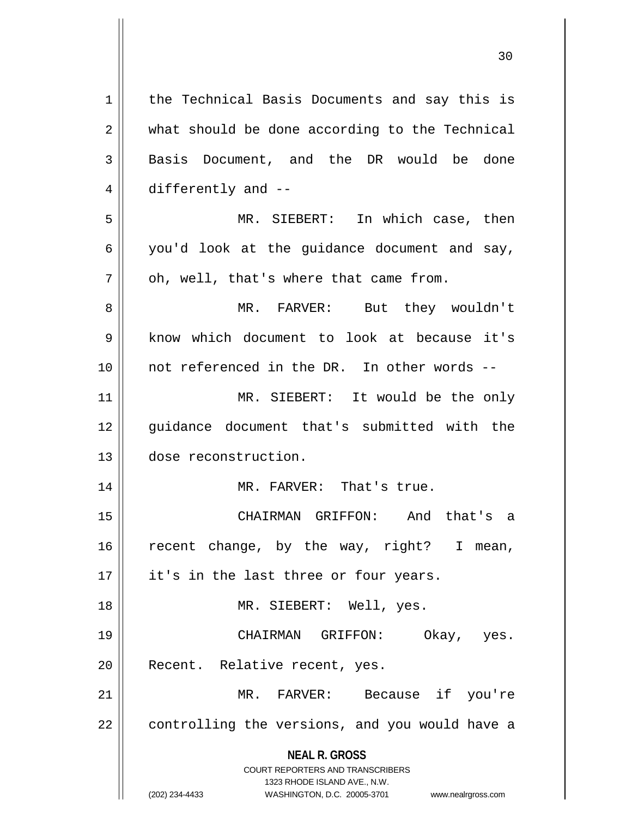| $\mathbf 1$    | the Technical Basis Documents and say this is                                                       |
|----------------|-----------------------------------------------------------------------------------------------------|
| $\overline{2}$ | what should be done according to the Technical                                                      |
| 3              | Basis Document, and the DR would be done                                                            |
| 4              | differently and --                                                                                  |
| 5              | MR. SIEBERT: In which case, then                                                                    |
| 6              | you'd look at the guidance document and say,                                                        |
| 7              | oh, well, that's where that came from.                                                              |
| 8              | MR. FARVER: But they wouldn't                                                                       |
| 9              | know which document to look at because it's                                                         |
| 10             | not referenced in the DR. In other words --                                                         |
| 11             | MR. SIEBERT: It would be the only                                                                   |
| 12             | guidance document that's submitted with the                                                         |
| 13             | dose reconstruction.                                                                                |
| 14             | MR. FARVER: That's true.                                                                            |
| 15             | CHAIRMAN GRIFFON: And that's a                                                                      |
| 16             | recent change, by the way, right? I mean,                                                           |
| 17             | it's in the last three or four years.                                                               |
| 18             | MR. SIEBERT: Well, yes.                                                                             |
| 19             | CHAIRMAN GRIFFON:<br>Okay, yes.                                                                     |
| 20             | Recent. Relative recent, yes.                                                                       |
| 21             | MR. FARVER: Because if you're                                                                       |
| 22             | controlling the versions, and you would have a                                                      |
|                | <b>NEAL R. GROSS</b>                                                                                |
|                | <b>COURT REPORTERS AND TRANSCRIBERS</b>                                                             |
|                | 1323 RHODE ISLAND AVE., N.W.<br>(202) 234-4433<br>WASHINGTON, D.C. 20005-3701<br>www.nealrgross.com |
|                |                                                                                                     |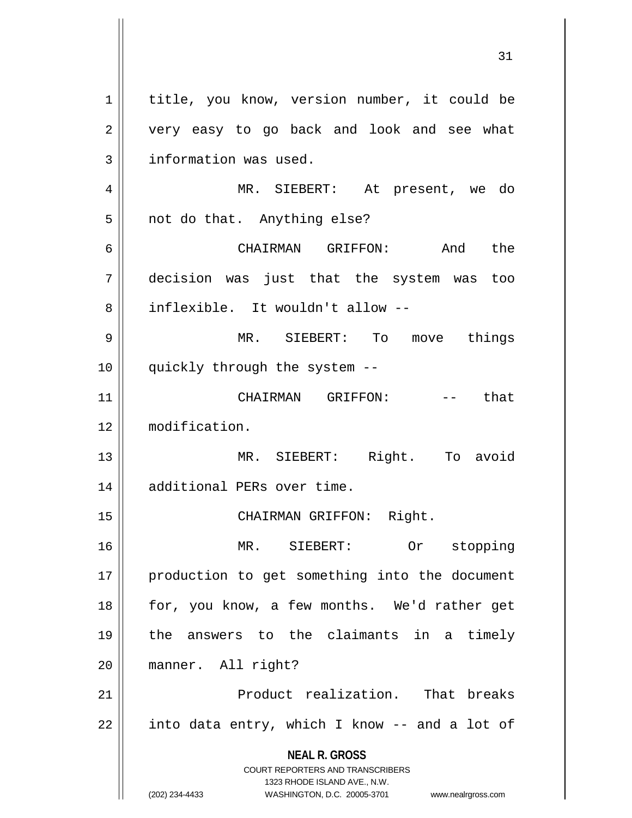**NEAL R. GROSS** COURT REPORTERS AND TRANSCRIBERS 1323 RHODE ISLAND AVE., N.W. (202) 234-4433 WASHINGTON, D.C. 20005-3701 www.nealrgross.com 1 | title, you know, version number, it could be 2 || very easy to go back and look and see what 3 | information was used. 4 MR. SIEBERT: At present, we do  $5 \parallel$  not do that. Anything else? 6 CHAIRMAN GRIFFON: And the 7 decision was just that the system was too 8 || inflexible. It wouldn't allow --9 MR. SIEBERT: To move things 10 quickly through the system -- 11 CHAIRMAN GRIFFON: -- that 12 modification. 13 MR. SIEBERT: Right. To avoid 14 || additional PERs over time. 15 || CHAIRMAN GRIFFON: Right. 16 MR. SIEBERT: Or stopping 17 || production to get something into the document 18 || for, you know, a few months. We'd rather get 19 the answers to the claimants in a timely 20 manner. All right? 21 || eroduct realization. That breaks  $22$  | into data entry, which I know -- and a lot of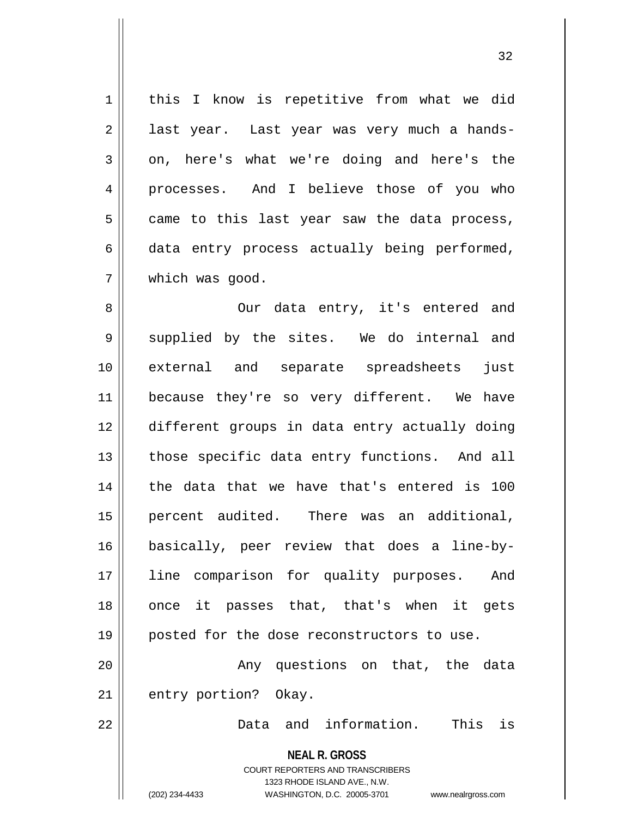1 | this I know is repetitive from what we did 2 | last year. Last year was very much a hands- $3 \parallel$  on, here's what we're doing and here's the 4 || processes. And I believe those of you who  $5 \parallel$  came to this last year saw the data process,  $6 \parallel$  data entry process actually being performed, 7 | which was good.

8 || Our data entry, it's entered and 9 Supplied by the sites. We do internal and 10 external and separate spreadsheets just 11 || because they're so very different. We have 12 different groups in data entry actually doing 13 || those specific data entry functions. And all 14 || the data that we have that's entered is 100 15 percent audited. There was an additional, 16 basically, peer review that does a line-by-17 || line comparison for quality purposes. And 18 || once it passes that, that's when it gets 19 || posted for the dose reconstructors to use. 20 || The Constructions on that, the data 21 || entry portion? Okay.

22 Data and information. This is

**NEAL R. GROSS**

COURT REPORTERS AND TRANSCRIBERS 1323 RHODE ISLAND AVE., N.W. (202) 234-4433 WASHINGTON, D.C. 20005-3701 www.nealrgross.com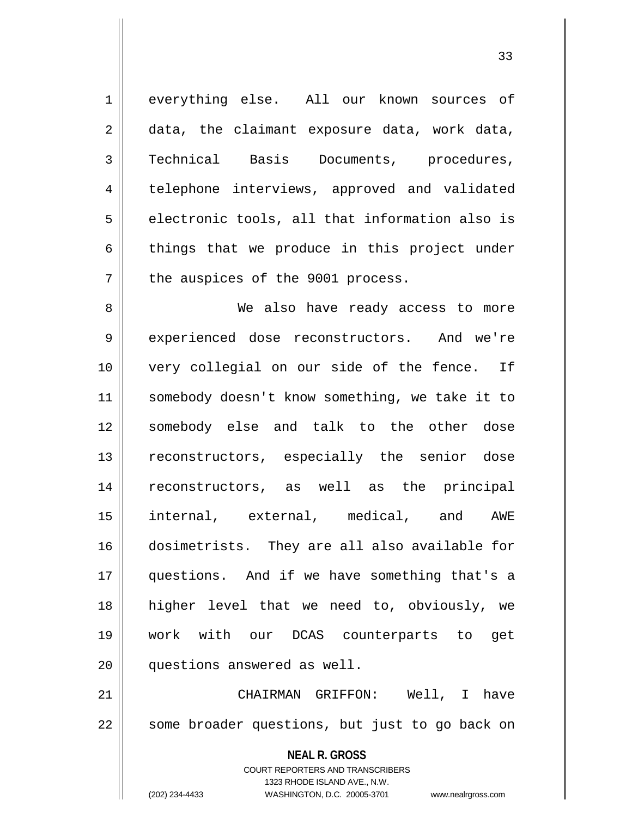**NEAL R. GROSS** COURT REPORTERS AND TRANSCRIBERS 1323 RHODE ISLAND AVE., N.W. 1 everything else. All our known sources of  $2 \parallel$  data, the claimant exposure data, work data, 3 Technical Basis Documents, procedures, 4 telephone interviews, approved and validated  $5 \parallel$  electronic tools, all that information also is  $6 \parallel$  things that we produce in this project under  $7$  | the auspices of the 9001 process. 8 We also have ready access to more 9 experienced dose reconstructors. And we're 10 very collegial on our side of the fence. If 11 somebody doesn't know something, we take it to 12 somebody else and talk to the other dose 13 || reconstructors, especially the senior dose 14 reconstructors, as well as the principal 15 internal, external, medical, and AWE 16 dosimetrists. They are all also available for 17 questions. And if we have something that's a 18 || higher level that we need to, obviously, we 19 work with our DCAS counterparts to get 20 || questions answered as well. 21 CHAIRMAN GRIFFON: Well, I have 22 || some broader questions, but just to go back on

33

(202) 234-4433 WASHINGTON, D.C. 20005-3701 www.nealrgross.com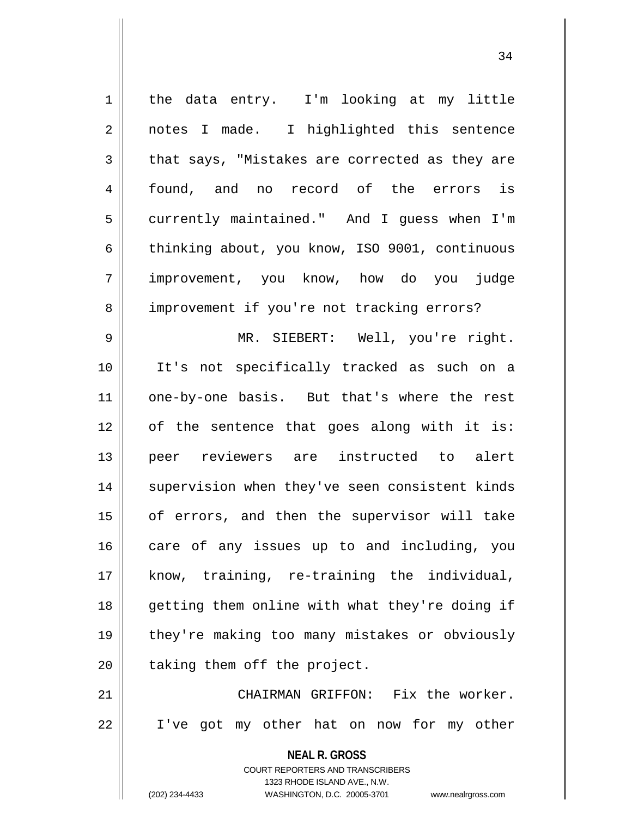1 | the data entry. I'm looking at my little 2 || notes I made. I highlighted this sentence  $3 \parallel$  that says, "Mistakes are corrected as they are 4 found, and no record of the errors is 5 | currently maintained." And I guess when I'm 6 thinking about, you know, ISO 9001, continuous 7 improvement, you know, how do you judge 8 | improvement if you're not tracking errors? 9 MR. SIEBERT: Well, you're right. 10 It's not specifically tracked as such on a 11 || one-by-one basis. But that's where the rest 12 || of the sentence that goes along with it is: 13 peer reviewers are instructed to alert 14 || supervision when they've seen consistent kinds 15 || of errors, and then the supervisor will take 16 care of any issues up to and including, you 17 know, training, re-training the individual, 18 || getting them online with what they're doing if 19 they're making too many mistakes or obviously  $20$  | taking them off the project. 21 CHAIRMAN GRIFFON: Fix the worker. 22 I've got my other hat on now for my other

> **NEAL R. GROSS** COURT REPORTERS AND TRANSCRIBERS 1323 RHODE ISLAND AVE., N.W.

(202) 234-4433 WASHINGTON, D.C. 20005-3701 www.nealrgross.com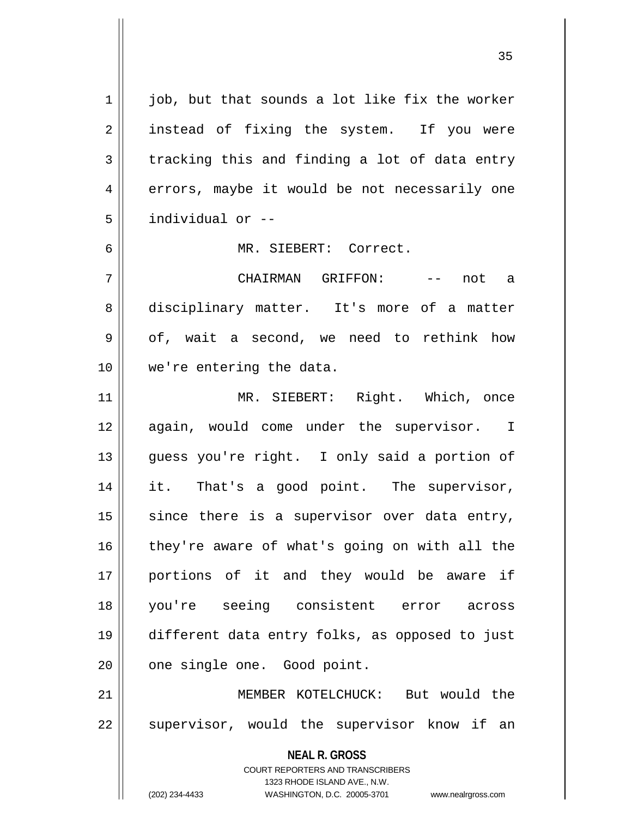1 || job, but that sounds a lot like fix the worker 2 || instead of fixing the system. If you were  $3 \parallel$  tracking this and finding a lot of data entry 4 errors, maybe it would be not necessarily one 5 individual or -- 6 MR. SIEBERT: Correct. 7 CHAIRMAN GRIFFON: -- not a 8 disciplinary matter. It's more of a matter  $9 \parallel$  of, wait a second, we need to rethink how

 MR. SIEBERT: Right. Which, once again, would come under the supervisor. I 13 || guess you're right. I only said a portion of 14 || it. That's a good point. The supervisor, since there is a supervisor over data entry, they're aware of what's going on with all the portions of it and they would be aware if you're seeing consistent error across different data entry folks, as opposed to just 20 | one single one. Good point.

10 || we're entering the data.

21 MEMBER KOTELCHUCK: But would the  $22$  || supervisor, would the supervisor know if an

> **NEAL R. GROSS** COURT REPORTERS AND TRANSCRIBERS 1323 RHODE ISLAND AVE., N.W. (202) 234-4433 WASHINGTON, D.C. 20005-3701 www.nealrgross.com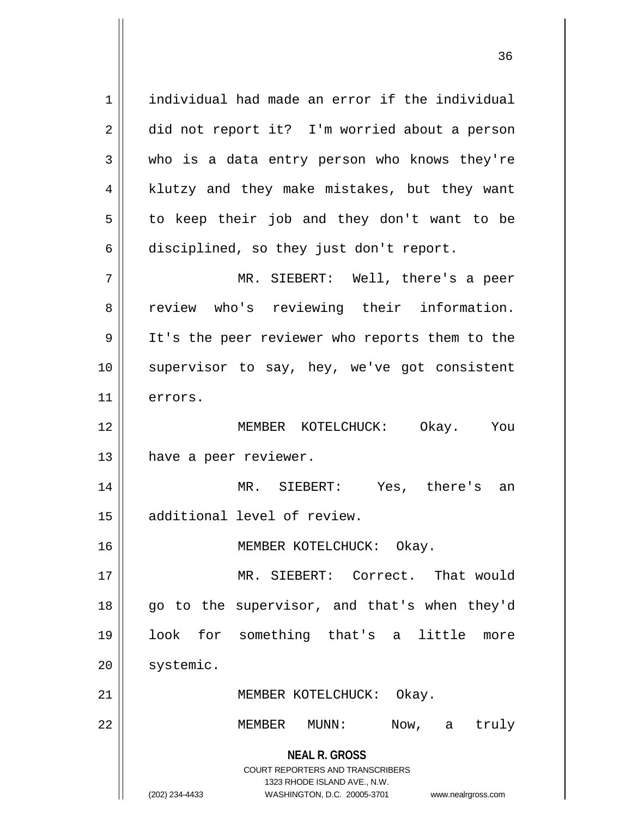**NEAL R. GROSS** COURT REPORTERS AND TRANSCRIBERS 1323 RHODE ISLAND AVE., N.W. (202) 234-4433 WASHINGTON, D.C. 20005-3701 www.nealrgross.com 1 individual had made an error if the individual 2 | did not report it? I'm worried about a person 3 who is a data entry person who knows they're 4 || klutzy and they make mistakes, but they want  $5 \parallel$  to keep their job and they don't want to be  $6 \parallel$  disciplined, so they just don't report. 7 MR. SIEBERT: Well, there's a peer 8 review who's reviewing their information. 9 || It's the peer reviewer who reports them to the 10 supervisor to say, hey, we've got consistent 11 errors. 12 MEMBER KOTELCHUCK: Okay. You 13 || have a peer reviewer. 14 MR. SIEBERT: Yes, there's an 15 | additional level of review. 16 || MEMBER KOTELCHUCK: Okay. 17 MR. SIEBERT: Correct. That would 18 || go to the supervisor, and that's when they'd 19 look for something that's a little more 20 | systemic. 21 || MEMBER KOTELCHUCK: Okay. 22 || MEMBER MUNN: Now, a truly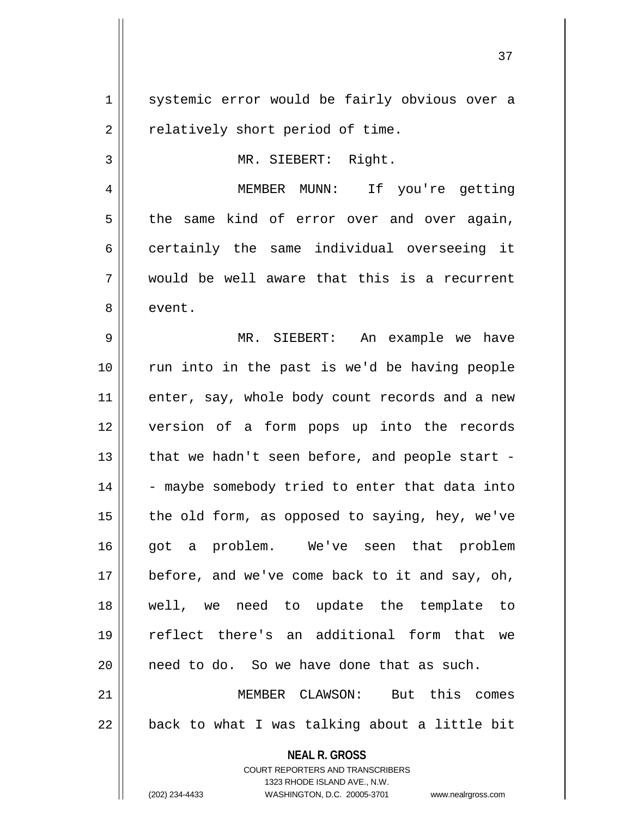1 || systemic error would be fairly obvious over a  $2 \parallel$  relatively short period of time.

3 || MR. SIEBERT: Right.

4 MEMBER MUNN: If you're getting  $5$  the same kind of error over and over again,  $6 \parallel$  certainly the same individual overseeing it  $7 \parallel$  would be well aware that this is a recurrent 8 l event.

 MR. SIEBERT: An example we have run into in the past is we'd be having people 11 || enter, say, whole body count records and a new version of a form pops up into the records  $\parallel$  that we hadn't seen before, and people start -  $\parallel$  - maybe somebody tried to enter that data into  $\parallel$  the old form, as opposed to saying, hey, we've got a problem. We've seen that problem | before, and we've come back to it and say, oh, well, we need to update the template to reflect there's an additional form that we 20 || need to do. So we have done that as such. 21 || MEMBER CLAWSON: But this comes

 $22$   $\vert$  back to what I was talking about a little bit

**NEAL R. GROSS** COURT REPORTERS AND TRANSCRIBERS

1323 RHODE ISLAND AVE., N.W. (202) 234-4433 WASHINGTON, D.C. 20005-3701 www.nealrgross.com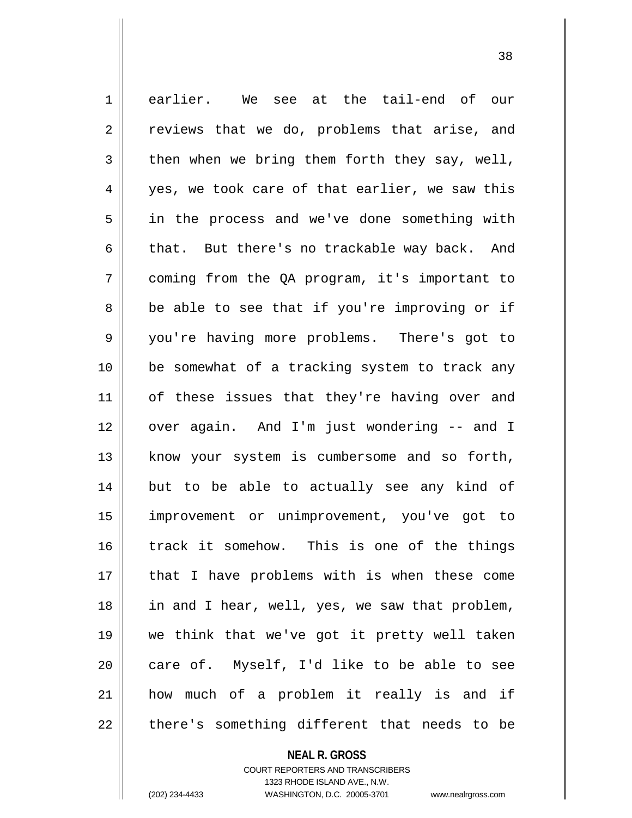1 earlier. We see at the tail-end of our  $2 \parallel$  reviews that we do, problems that arise, and  $3 \parallel$  then when we bring them forth they say, well,  $4 \parallel$  yes, we took care of that earlier, we saw this 5 || in the process and we've done something with 6 | that. But there's no trackable way back. And 7 coming from the QA program, it's important to  $8 \parallel$  be able to see that if you're improving or if 9 you're having more problems. There's got to 10 be somewhat of a tracking system to track any 11 || of these issues that they're having over and 12 || over again. And I'm just wondering -- and I 13 || know your system is cumbersome and so forth, 14 || but to be able to actually see any kind of 15 improvement or unimprovement, you've got to 16 track it somehow. This is one of the things 17 || that I have problems with is when these come 18 || in and I hear, well, yes, we saw that problem, 19 we think that we've got it pretty well taken  $20$  || care of. Myself, I'd like to be able to see 21 how much of a problem it really is and if  $22$  || there's something different that needs to be

**NEAL R. GROSS**

COURT REPORTERS AND TRANSCRIBERS 1323 RHODE ISLAND AVE., N.W. (202) 234-4433 WASHINGTON, D.C. 20005-3701 www.nealrgross.com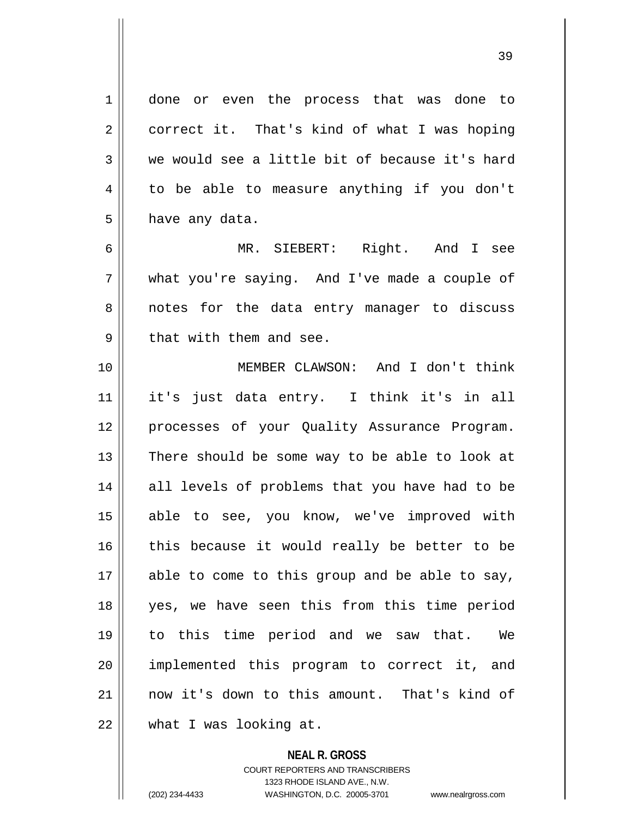1 done or even the process that was done to 2 | correct it. That's kind of what I was hoping 3 || we would see a little bit of because it's hard 4 to be able to measure anything if you don't  $5 \parallel$  have any data.

 MR. SIEBERT: Right. And I see what you're saying. And I've made a couple of 8 || notes for the data entry manager to discuss | that with them and see.

 MEMBER CLAWSON: And I don't think it's just data entry. I think it's in all 12 || processes of your Quality Assurance Program. 13 || There should be some way to be able to look at 14 || all levels of problems that you have had to be able to see, you know, we've improved with 16 this because it would really be better to be || able to come to this group and be able to say, yes, we have seen this from this time period to this time period and we saw that. We implemented this program to correct it, and now it's down to this amount. That's kind of what I was looking at.

> **NEAL R. GROSS** COURT REPORTERS AND TRANSCRIBERS

> > 1323 RHODE ISLAND AVE., N.W.

(202) 234-4433 WASHINGTON, D.C. 20005-3701 www.nealrgross.com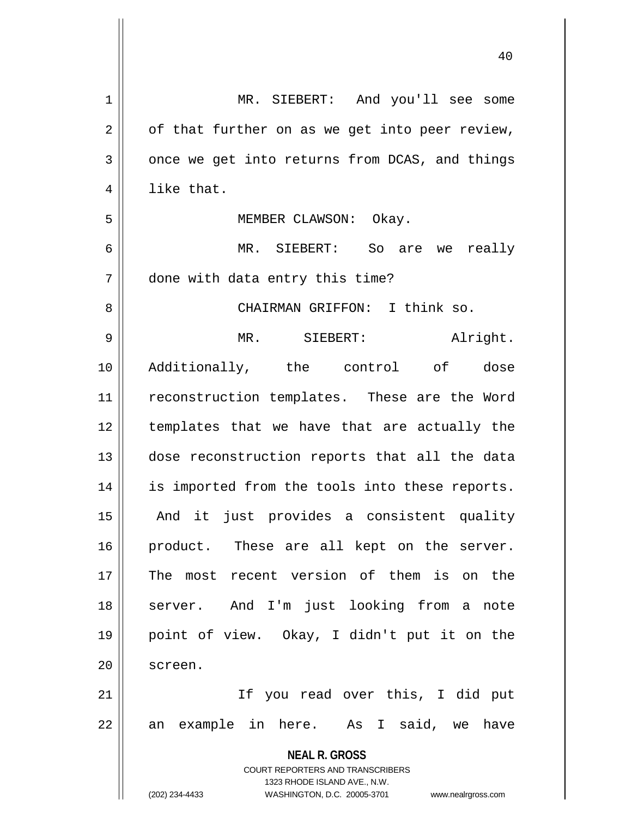| $\mathbf 1$    | MR. SIEBERT: And you'll see some                                        |
|----------------|-------------------------------------------------------------------------|
| 2              | of that further on as we get into peer review,                          |
| 3              | once we get into returns from DCAS, and things                          |
| $\overline{4}$ | like that.                                                              |
| 5              | MEMBER CLAWSON: Okay.                                                   |
| 6              | MR. SIEBERT: So are we really                                           |
| 7              | done with data entry this time?                                         |
| 8              | CHAIRMAN GRIFFON: I think so.                                           |
| 9              | MR. SIEBERT:<br>Alright.                                                |
| 10             | Additionally, the control of dose                                       |
| 11             | reconstruction templates. These are the Word                            |
| 12             | templates that we have that are actually the                            |
| 13             | dose reconstruction reports that all the data                           |
| 14             | is imported from the tools into these reports.                          |
| 15             | And it just provides a consistent quality                               |
| 16             | product. These are all kept on the server.                              |
| 17             | The most recent version of them is on the                               |
| 18             | server. And I'm just looking from a note                                |
| 19             | point of view. Okay, I didn't put it on the                             |
| 20             | screen.                                                                 |
| 21             | If you read over this, I did put                                        |
| 22             | example in here. As I said, we have<br>an                               |
|                | <b>NEAL R. GROSS</b>                                                    |
|                | <b>COURT REPORTERS AND TRANSCRIBERS</b><br>1323 RHODE ISLAND AVE., N.W. |
|                | (202) 234-4433<br>WASHINGTON, D.C. 20005-3701<br>www.nealrgross.com     |

 $\overline{\mathsf{I}}$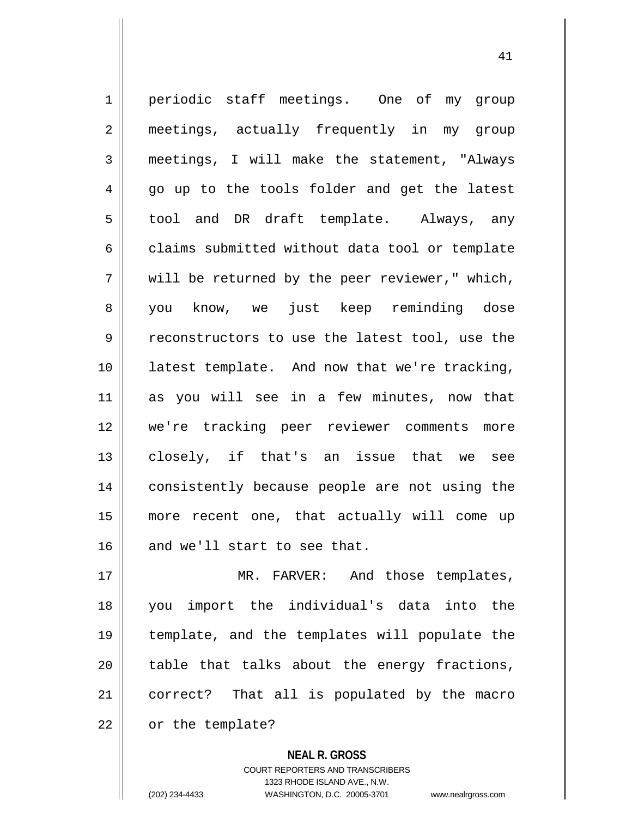1 periodic staff meetings. One of my group 2 || meetings, actually frequently in my group 3 meetings, I will make the statement, "Always  $4 \parallel$  go up to the tools folder and get the latest 5 tool and DR draft template. Always, any 6 claims submitted without data tool or template  $7 \parallel$  will be returned by the peer reviewer," which, 8 you know, we just keep reminding dose 9 ceconstructors to use the latest tool, use the 10 latest template. And now that we're tracking, 11 as you will see in a few minutes, now that 12 we're tracking peer reviewer comments more 13 closely, if that's an issue that we see 14 consistently because people are not using the 15 more recent one, that actually will come up 16 and we'll start to see that.

17 || MR. FARVER: And those templates, you import the individual's data into the template, and the templates will populate the || table that talks about the energy fractions, correct? That all is populated by the macro 22 | or the template?

> **NEAL R. GROSS** COURT REPORTERS AND TRANSCRIBERS 1323 RHODE ISLAND AVE., N.W. (202) 234-4433 WASHINGTON, D.C. 20005-3701 www.nealrgross.com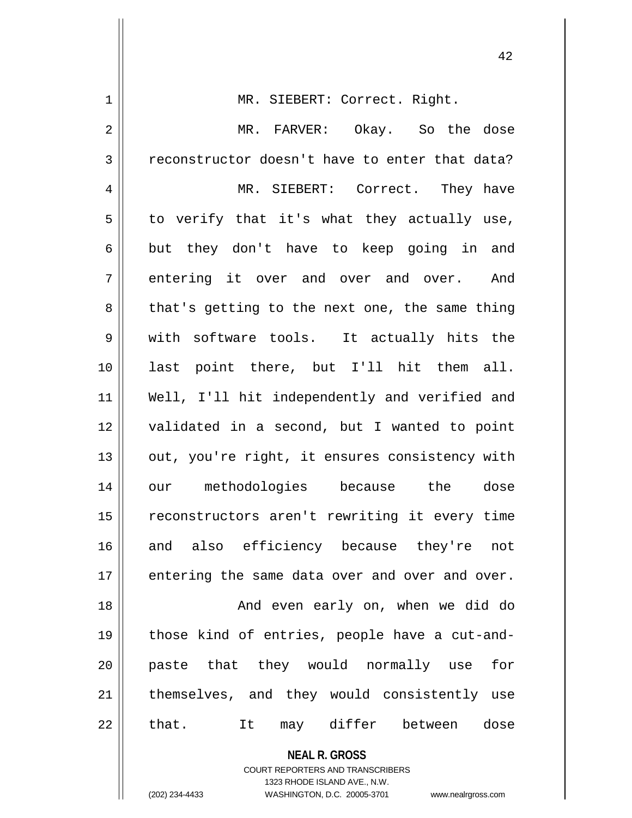| $\mathbf 1$ | MR. SIEBERT: Correct. Right.                   |
|-------------|------------------------------------------------|
| 2           | MR. FARVER: Okay. So the dose                  |
| 3           | reconstructor doesn't have to enter that data? |
| 4           | MR. SIEBERT: Correct. They have                |
| 5           | to verify that it's what they actually use,    |
| 6           | but they don't have to keep going in and       |
| 7           | entering it over and over and over. And        |
| 8           | that's getting to the next one, the same thing |
| 9           | with software tools. It actually hits the      |
| 10          | last point there, but I'll hit them all.       |
| 11          | Well, I'll hit independently and verified and  |
| 12          | validated in a second, but I wanted to point   |
| 13          | out, you're right, it ensures consistency with |
| 14          | our methodologies because the dose             |
| 15          | reconstructors aren't rewriting it every time  |
| 16          | and also efficiency because they're not        |
| 17          | entering the same data over and over and over. |
| 18          | And even early on, when we did do              |
| 19          | those kind of entries, people have a cut-and-  |
| 20          | paste that they would normally use for         |
| 21          | themselves, and they would consistently use    |
| 22          | that. It may differ between dose               |
|             | <b>NEAL R. GROSS</b>                           |

COURT REPORTERS AND TRANSCRIBERS 1323 RHODE ISLAND AVE., N.W. (202) 234-4433 WASHINGTON, D.C. 20005-3701 www.nealrgross.com

 $\mathsf{II}$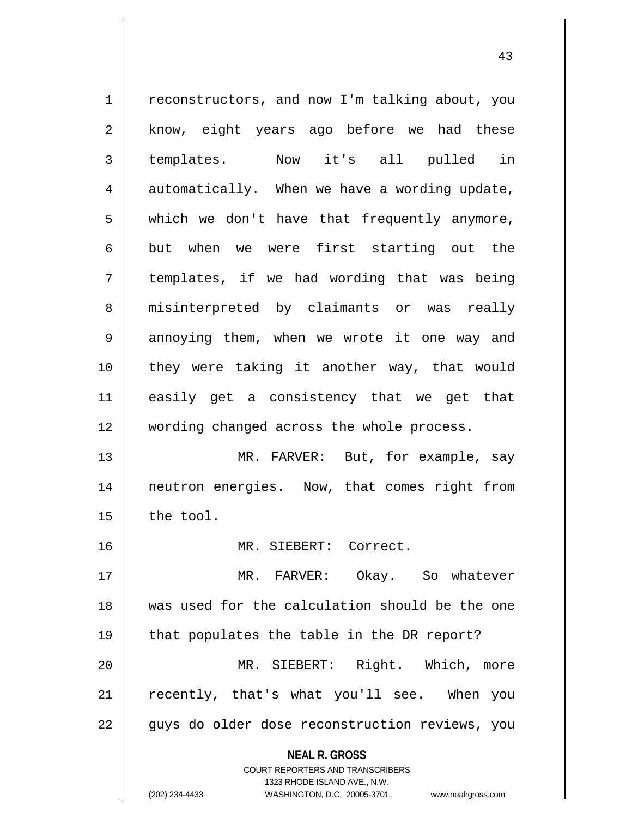**NEAL R. GROSS** COURT REPORTERS AND TRANSCRIBERS 1323 RHODE ISLAND AVE., N.W. 1 | reconstructors, and now I'm talking about, you 2 || know, eight years ago before we had these 3 templates. Now it's all pulled in  $4 \parallel$  automatically. When we have a wording update,  $5 \parallel$  which we don't have that frequently anymore, 6 but when we were first starting out the  $7 \parallel$  templates, if we had wording that was being 8 || misinterpreted by claimants or was really 9 || annoying them, when we wrote it one way and 10 they were taking it another way, that would 11 easily get a consistency that we get that 12 || wording changed across the whole process. 13 || MR. FARVER: But, for example, say 14 || neutron energies. Now, that comes right from  $15$  the tool. 16 MR. SIEBERT: Correct. 17 MR. FARVER: Okay. So whatever 18 was used for the calculation should be the one 19 that populates the table in the DR report? 20 MR. SIEBERT: Right. Which, more 21 || recently, that's what you'll see. When you 22 || guys do older dose reconstruction reviews, you

(202) 234-4433 WASHINGTON, D.C. 20005-3701 www.nealrgross.com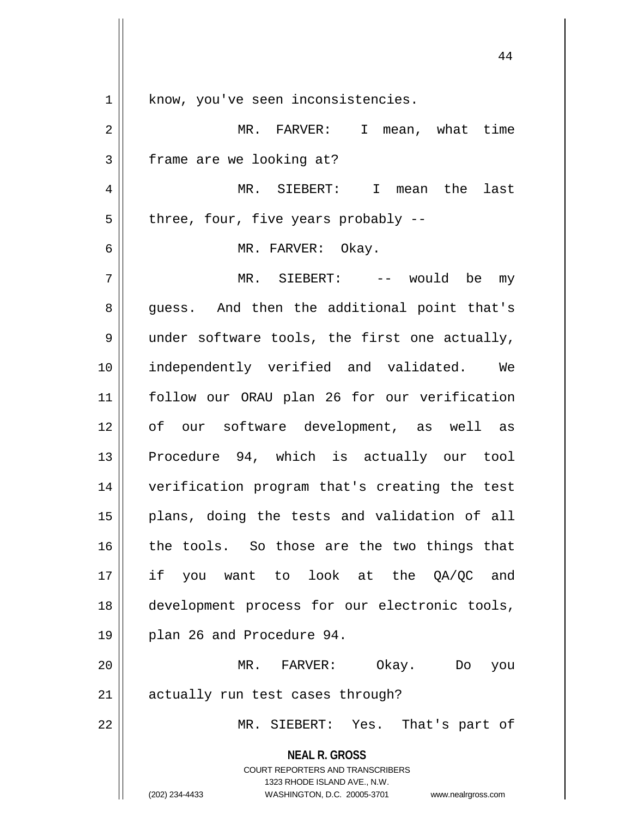| $\mathbf 1$ | know, you've seen inconsistencies.                                                                                                                              |
|-------------|-----------------------------------------------------------------------------------------------------------------------------------------------------------------|
| 2           | MR. FARVER: I mean, what time                                                                                                                                   |
| 3           | frame are we looking at?                                                                                                                                        |
| 4           | MR. SIEBERT: I mean the<br>last                                                                                                                                 |
| 5           | three, four, five years probably --                                                                                                                             |
| 6           | MR. FARVER: Okay.                                                                                                                                               |
| 7           | MR. SIEBERT: -- would be my                                                                                                                                     |
| 8           | guess. And then the additional point that's                                                                                                                     |
| 9           | under software tools, the first one actually,                                                                                                                   |
| 10          | independently verified and validated. We                                                                                                                        |
| 11          | follow our ORAU plan 26 for our verification                                                                                                                    |
| 12          | of our software development, as well as                                                                                                                         |
| 13          | Procedure 94, which is actually our tool                                                                                                                        |
| 14          | verification program that's creating the test                                                                                                                   |
| 15          | plans, doing the tests and validation of all                                                                                                                    |
| 16          | the tools. So those are the two things that                                                                                                                     |
| 17          | if you want to look at the QA/QC and                                                                                                                            |
| 18          | development process for our electronic tools,                                                                                                                   |
| 19          | plan 26 and Procedure 94.                                                                                                                                       |
| 20          | MR. FARVER: Okay. Do<br>you                                                                                                                                     |
| 21          | actually run test cases through?                                                                                                                                |
| 22          | MR. SIEBERT: Yes. That's part of                                                                                                                                |
|             | <b>NEAL R. GROSS</b><br>COURT REPORTERS AND TRANSCRIBERS<br>1323 RHODE ISLAND AVE., N.W.<br>(202) 234-4433<br>WASHINGTON, D.C. 20005-3701<br>www.nealrgross.com |

 $\overline{\phantom{a}}$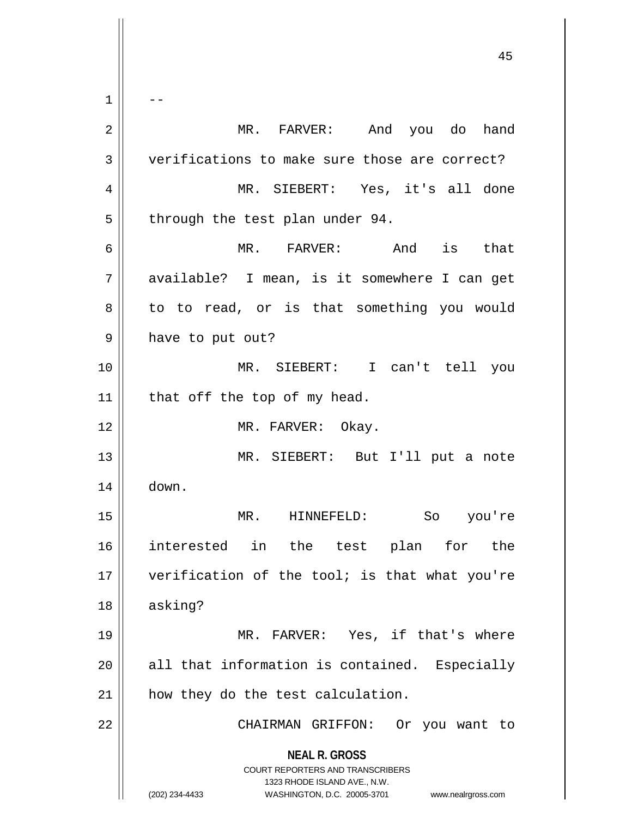**NEAL R. GROSS** COURT REPORTERS AND TRANSCRIBERS 1323 RHODE ISLAND AVE., N.W. (202) 234-4433 WASHINGTON, D.C. 20005-3701 www.nealrgross.com  $1 \parallel - -$ 2 MR. FARVER: And you do hand 3 verifications to make sure those are correct? 4 MR. SIEBERT: Yes, it's all done  $5 \parallel$  through the test plan under 94. 6 MR. FARVER: And is that 7 available? I mean, is it somewhere I can get 8 || to to read, or is that something you would 9 || have to put out? 10 MR. SIEBERT: I can't tell you 11 | that off the top of my head. 12 || MR. FARVER: Okay. 13 MR. SIEBERT: But I'll put a note 14 down. 15 MR. HINNEFELD: So you're 16 interested in the test plan for the 17 || verification of the tool; is that what you're 18 asking? 19 MR. FARVER: Yes, if that's where  $20$  all that information is contained. Especially 21 | how they do the test calculation. 22 || CHAIRMAN GRIFFON: Or you want to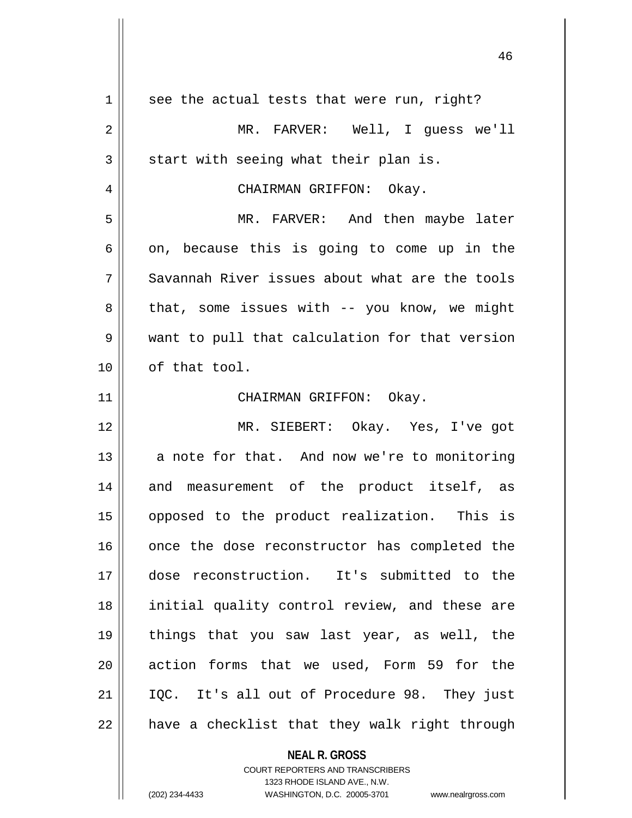| $\mathbf 1$ | see the actual tests that were run, right?               |
|-------------|----------------------------------------------------------|
| 2           | MR. FARVER: Well, I guess we'll                          |
| 3           | start with seeing what their plan is.                    |
| 4           | CHAIRMAN GRIFFON: Okay.                                  |
| 5           | MR. FARVER: And then maybe later                         |
| 6           | on, because this is going to come up in the              |
| 7           | Savannah River issues about what are the tools           |
| 8           | that, some issues with $-$ you know, we might            |
| 9           | want to pull that calculation for that version           |
| 10          | of that tool.                                            |
| 11          | CHAIRMAN GRIFFON: Okay.                                  |
| 12          | MR. SIEBERT: Okay. Yes, I've got                         |
| 13          | a note for that. And now we're to monitoring             |
| 14          | and measurement of the product itself, as                |
| 15          | opposed to the product realization. This is              |
| 16          | once the dose reconstructor has completed the            |
| 17          | dose reconstruction. It's submitted to the               |
| 18          | initial quality control review, and these are            |
| 19          | things that you saw last year, as well, the              |
| 20          | action forms that we used, Form 59 for the               |
|             |                                                          |
| 21          | IQC. It's all out of Procedure 98. They just             |
| 22          | have a checklist that they walk right through            |
|             | <b>NEAL R. GROSS</b><br>COURT REPORTERS AND TRANSCRIBERS |

1323 RHODE ISLAND AVE., N.W.

(202) 234-4433 WASHINGTON, D.C. 20005-3701 www.nealrgross.com

 $\mathop{\textstyle\prod}$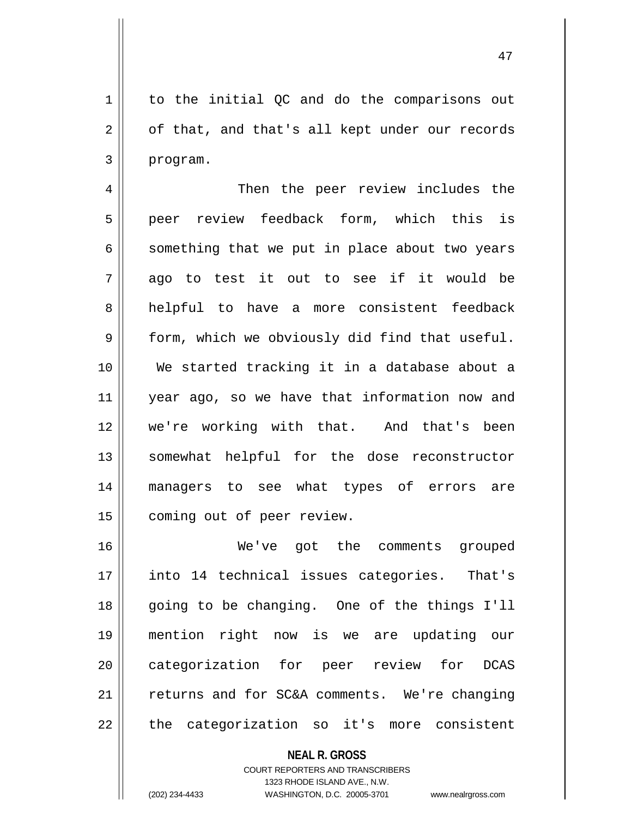1 to the initial OC and do the comparisons out  $2 \parallel$  of that, and that's all kept under our records  $3 \parallel$  program.

4 || Then the peer review includes the 5 peer review feedback form, which this is  $6 \parallel$  something that we put in place about two years  $7$  ago to test it out to see if it would be 8 helpful to have a more consistent feedback  $9 \parallel$  form, which we obviously did find that useful. 10 We started tracking it in a database about a 11 year ago, so we have that information now and 12 we're working with that. And that's been 13 || somewhat helpful for the dose reconstructor 14 managers to see what types of errors are 15 | coming out of peer review.

 We've got the comments grouped into 14 technical issues categories. That's going to be changing. One of the things I'll mention right now is we are updating our 20 || categorization for peer review for DCAS returns and for SC&A comments. We're changing || the categorization so it's more consistent

> **NEAL R. GROSS** COURT REPORTERS AND TRANSCRIBERS 1323 RHODE ISLAND AVE., N.W. (202) 234-4433 WASHINGTON, D.C. 20005-3701 www.nealrgross.com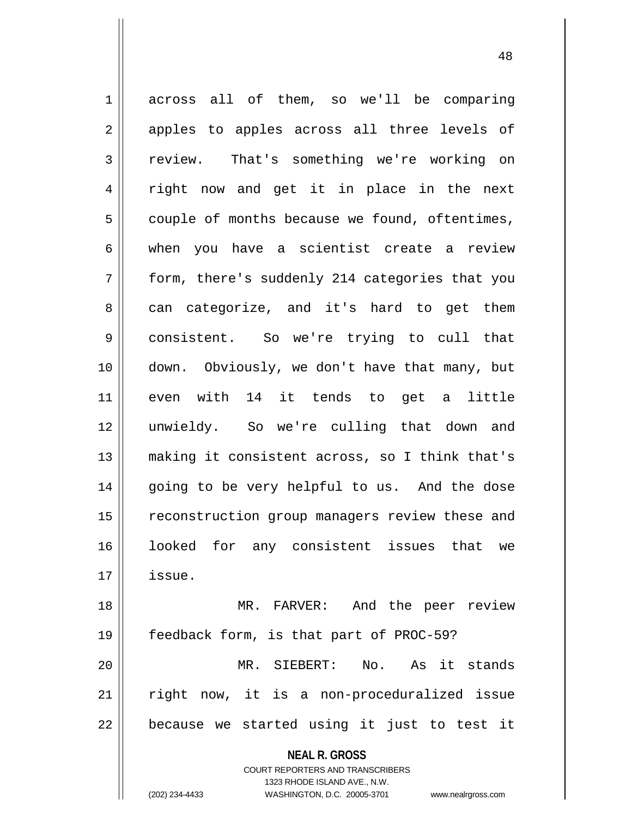**NEAL R. GROSS** 1 across all of them, so we'll be comparing 2 || apples to apples across all three levels of 3 Feview. That's something we're working on 4 || right now and get it in place in the next  $5 \parallel$  couple of months because we found, oftentimes, 6 when you have a scientist create a review 7 || form, there's suddenly 214 categories that you 8 || can categorize, and it's hard to get them 9 || consistent. So we're trying to cull that 10 down. Obviously, we don't have that many, but 11 even with 14 it tends to get a little 12 unwieldy. So we're culling that down and 13 || making it consistent across, so I think that's 14 || going to be very helpful to us. And the dose 15 || reconstruction group managers review these and 16 looked for any consistent issues that we 17 issue. 18 MR. FARVER: And the peer review 19 feedback form, is that part of PROC-59? 20 MR. SIEBERT: No. As it stands 21 || right now, it is a non-proceduralized issue  $22$  || because we started using it just to test it

> COURT REPORTERS AND TRANSCRIBERS 1323 RHODE ISLAND AVE., N.W.

(202) 234-4433 WASHINGTON, D.C. 20005-3701 www.nealrgross.com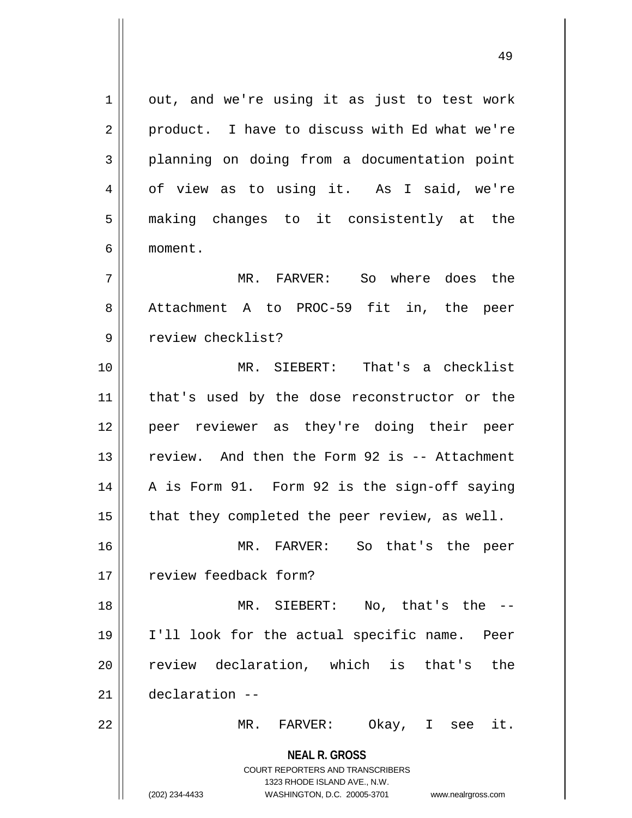**NEAL R. GROSS** COURT REPORTERS AND TRANSCRIBERS 1323 RHODE ISLAND AVE., N.W. (202) 234-4433 WASHINGTON, D.C. 20005-3701 www.nealrgross.com  $1 \parallel$  out, and we're using it as just to test work  $2 \parallel$  product. I have to discuss with Ed what we're 3 planning on doing from a documentation point 4 | of view as to using it. As I said, we're 5 making changes to it consistently at the 6 moment. 7 MR. FARVER: So where does the 8 Attachment A to PROC-59 fit in, the peer 9 || review checklist? 10 MR. SIEBERT: That's a checklist 11 || that's used by the dose reconstructor or the 12 peer reviewer as they're doing their peer 13 review. And then the Form 92 is -- Attachment 14 || A is Form 91. Form 92 is the sign-off saying 15  $\parallel$  that they completed the peer review, as well. 16 MR. FARVER: So that's the peer 17 || review feedback form? 18 MR. SIEBERT: No, that's the -- 19 I'll look for the actual specific name. Peer 20 || review declaration, which is that's the 21 declaration -- 22 MR. FARVER: Okay, I see it.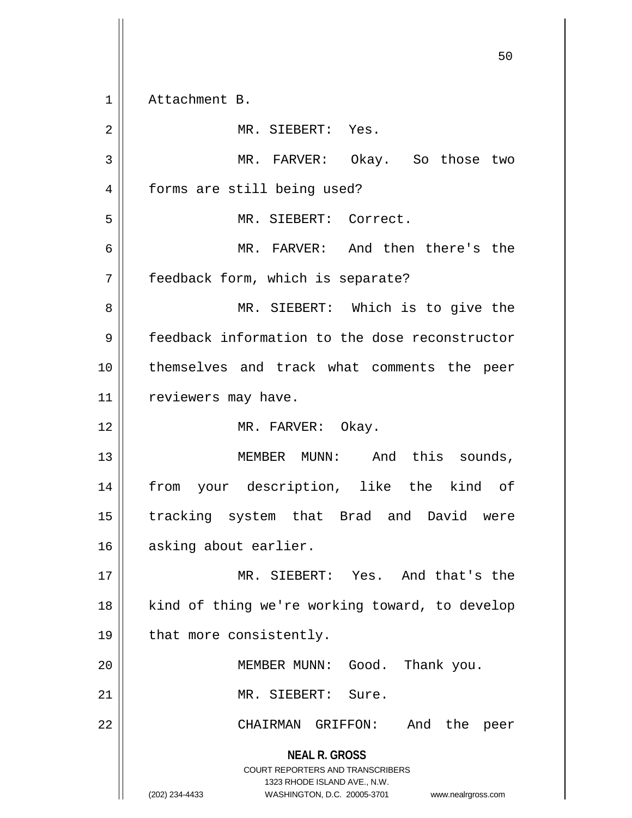**NEAL R. GROSS** COURT REPORTERS AND TRANSCRIBERS 1323 RHODE ISLAND AVE., N.W. (202) 234-4433 WASHINGTON, D.C. 20005-3701 www.nealrgross.com 1 Attachment B. 2 || MR. SIEBERT: Yes. 3 MR. FARVER: Okay. So those two 4 | forms are still being used? 5 MR. SIEBERT: Correct. 6 MR. FARVER: And then there's the 7 | feedback form, which is separate? 8 MR. SIEBERT: Which is to give the 9 feedback information to the dose reconstructor 10 themselves and track what comments the peer 11 | reviewers may have. 12 || MR. FARVER: Okay. 13 || MEMBER MUNN: And this sounds, 14 from your description, like the kind of 15 tracking system that Brad and David were 16 || asking about earlier. 17 MR. SIEBERT: Yes. And that's the 18 || kind of thing we're working toward, to develop 19 || that more consistently. 20 || MEMBER MUNN: Good. Thank you. 21 MR. SIEBERT: Sure. 22 CHAIRMAN GRIFFON: And the peer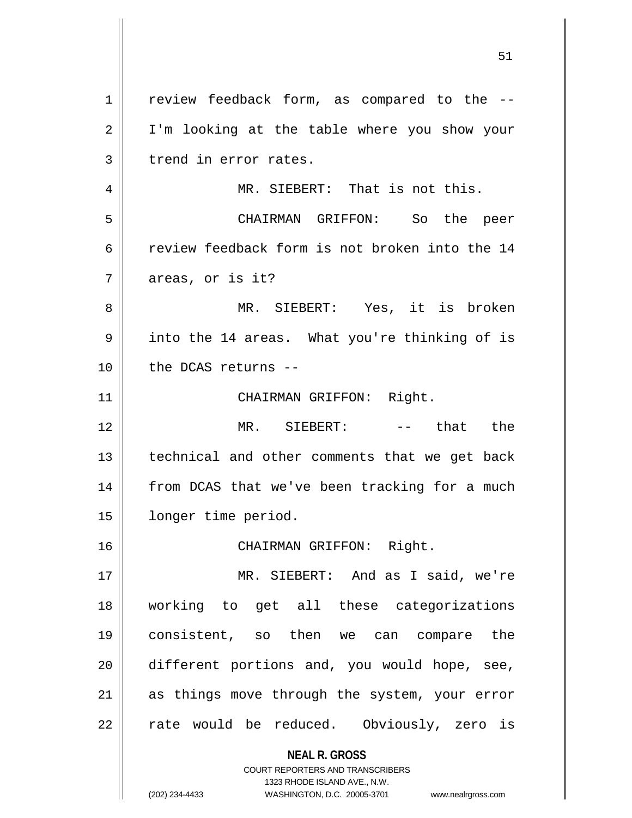**NEAL R. GROSS** COURT REPORTERS AND TRANSCRIBERS 1323 RHODE ISLAND AVE., N.W. 1 || review feedback form, as compared to the --2 || I'm looking at the table where you show your  $3$  | trend in error rates. 4 || MR. SIEBERT: That is not this. 5 CHAIRMAN GRIFFON: So the peer 6 review feedback form is not broken into the 14 7 areas, or is it? 8 MR. SIEBERT: Yes, it is broken 9 || into the 14 areas. What you're thinking of is 10 the DCAS returns -- 11 || CHAIRMAN GRIFFON: Right. 12 MR. SIEBERT: -- that the 13 || technical and other comments that we get back 14 || from DCAS that we've been tracking for a much 15 | longer time period. 16 CHAIRMAN GRIFFON: Right. 17 MR. SIEBERT: And as I said, we're 18 working to get all these categorizations 19 consistent, so then we can compare the 20 different portions and, you would hope, see, 21 || as things move through the system, your error 22 || rate would be reduced. Obviously, zero is

(202) 234-4433 WASHINGTON, D.C. 20005-3701 www.nealrgross.com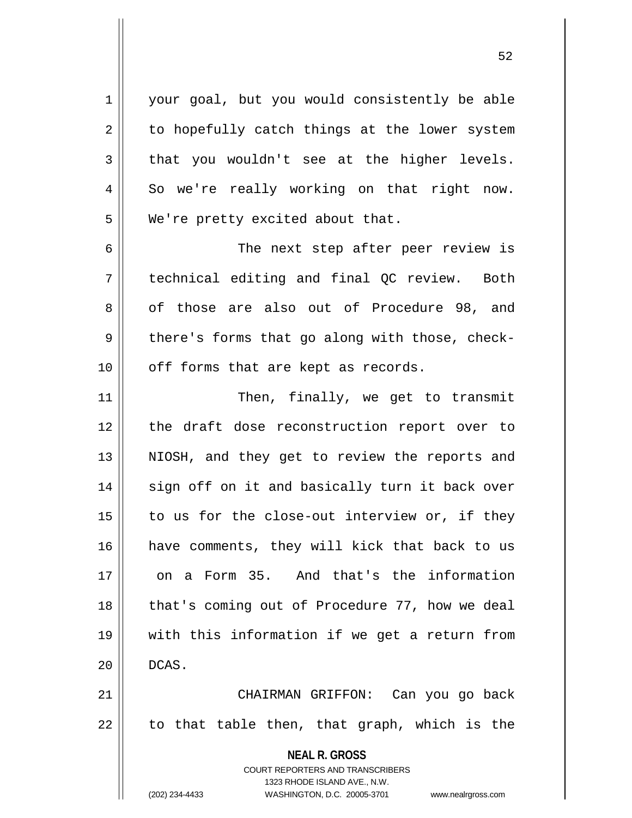1 | your goal, but you would consistently be able  $2 \parallel$  to hopefully catch things at the lower system  $3 \parallel$  that you wouldn't see at the higher levels.  $4 \parallel$  So we're really working on that right now. 5 | We're pretty excited about that.

6 The next step after peer review is 7 technical editing and final QC review. Both 8 of those are also out of Procedure 98, and  $9 \parallel$  there's forms that go along with those, check- $10$  || off forms that are kept as records.

11 || Then, finally, we get to transmit 12 || the draft dose reconstruction report over to 13 || NIOSH, and they get to review the reports and 14 || sign off on it and basically turn it back over  $15$  to us for the close-out interview or, if they 16 || have comments, they will kick that back to us 17 on a Form 35. And that's the information 18 || that's coming out of Procedure 77, how we deal 19 with this information if we get a return from  $20$   $\parallel$  DCAS.

21 CHAIRMAN GRIFFON: Can you go back  $22$  || to that table then, that graph, which is the

> **NEAL R. GROSS** COURT REPORTERS AND TRANSCRIBERS 1323 RHODE ISLAND AVE., N.W. (202) 234-4433 WASHINGTON, D.C. 20005-3701 www.nealrgross.com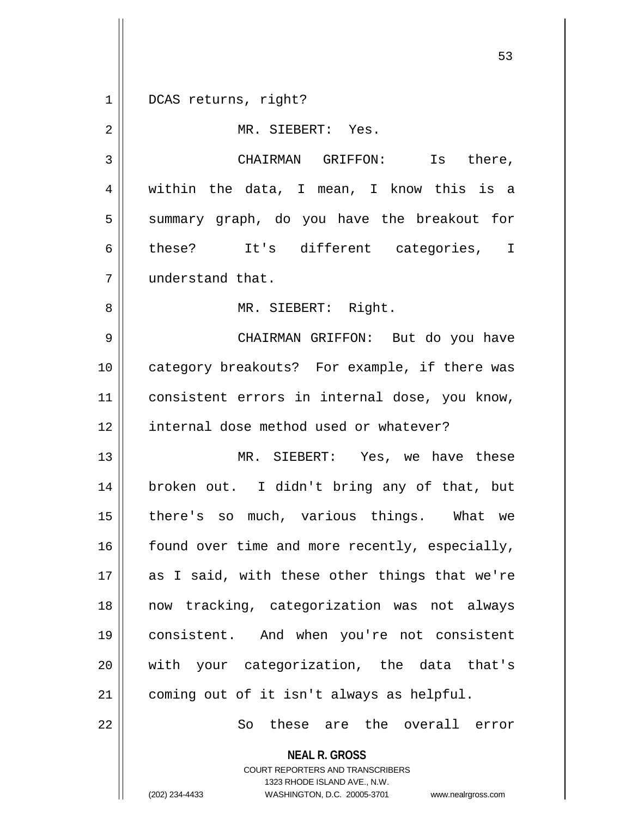1 || DCAS returns, right?

2 || MR. SIEBERT: Yes. 3 CHAIRMAN GRIFFON: Is there, 4 within the data, I mean, I know this is a 5 || summary graph, do you have the breakout for 6 || these? It's different categories, I 7 understand that. 8 MR. SIEBERT: Right. 9 CHAIRMAN GRIFFON: But do you have 10 || category breakouts? For example, if there was 11 || consistent errors in internal dose, you know,

 MR. SIEBERT: Yes, we have these broken out. I didn't bring any of that, but 15 || there's so much, various things. What we found over time and more recently, especially, || as I said, with these other things that we're now tracking, categorization was not always consistent. And when you're not consistent 20 || with your categorization, the data that's coming out of it isn't always as helpful.

12 || internal dose method used or whatever?

22 || So these are the overall error

**NEAL R. GROSS** COURT REPORTERS AND TRANSCRIBERS

1323 RHODE ISLAND AVE., N.W.

(202) 234-4433 WASHINGTON, D.C. 20005-3701 www.nealrgross.com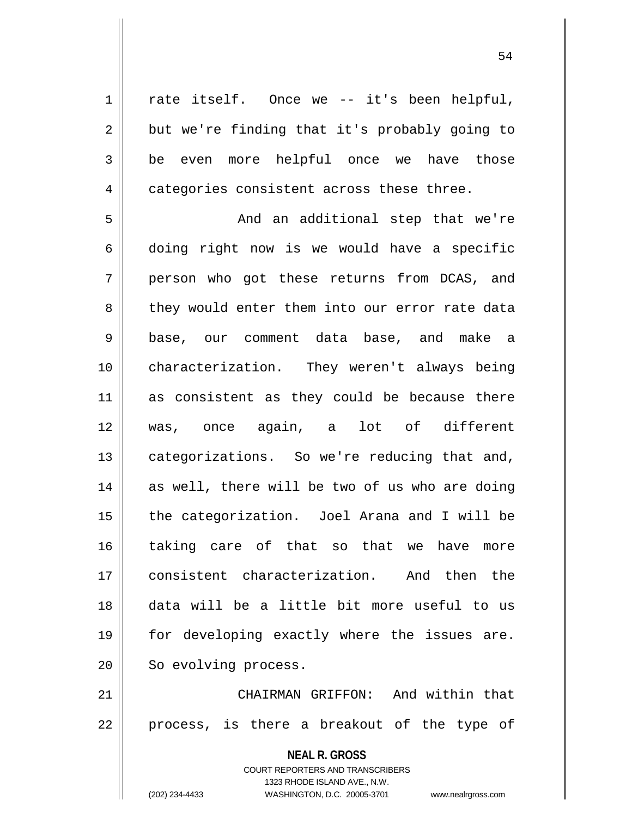$1 \parallel$  rate itself. Once we -- it's been helpful,  $2 \parallel$  but we're finding that it's probably going to 3 be even more helpful once we have those 4 | categories consistent across these three.

5 And an additional step that we're  $6 \parallel$  doing right now is we would have a specific 7 || person who got these returns from DCAS, and 8 they would enter them into our error rate data 9 base, our comment data base, and make a 10 characterization. They weren't always being 11 as consistent as they could be because there 12 was, once again, a lot of different 13 | categorizations. So we're reducing that and,  $14$  as well, there will be two of us who are doing 15 the categorization. Joel Arana and I will be 16 taking care of that so that we have more 17 consistent characterization. And then the 18 data will be a little bit more useful to us 19 || for developing exactly where the issues are. 20 || So evolving process.

21 CHAIRMAN GRIFFON: And within that  $22$  || process, is there a breakout of the type of

> **NEAL R. GROSS** COURT REPORTERS AND TRANSCRIBERS 1323 RHODE ISLAND AVE., N.W. (202) 234-4433 WASHINGTON, D.C. 20005-3701 www.nealrgross.com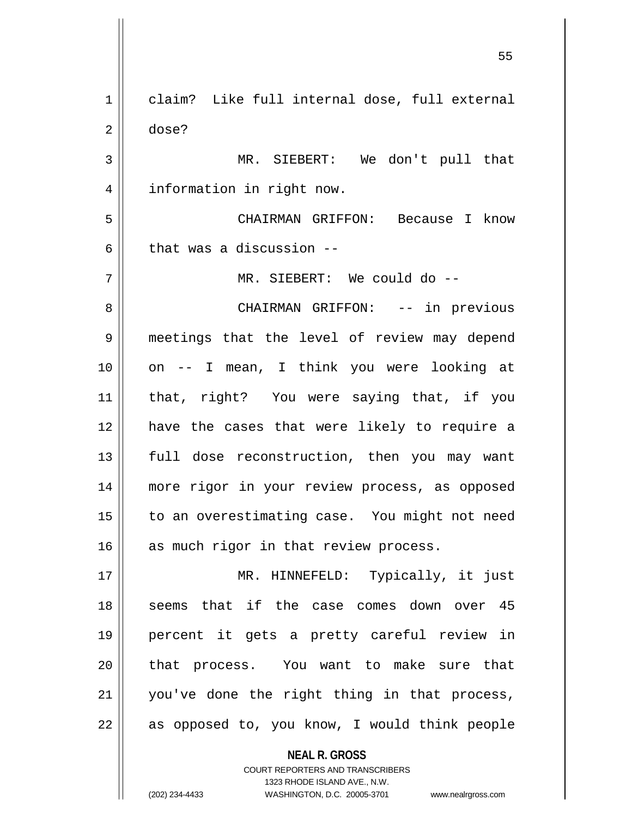**NEAL R. GROSS** COURT REPORTERS AND TRANSCRIBERS 1 claim? Like full internal dose, full external 2 dose? 3 MR. SIEBERT: We don't pull that 4 | information in right now. 5 CHAIRMAN GRIFFON: Because I know 6 that was a discussion  $-$ 7 MR. SIEBERT: We could do -- 8 CHAIRMAN GRIFFON: -- in previous 9 meetings that the level of review may depend 10 || on -- I mean, I think you were looking at 11 that, right? You were saying that, if you 12 have the cases that were likely to require a 13 || full dose reconstruction, then you may want 14 more rigor in your review process, as opposed 15 || to an overestimating case. You might not need  $16$  as much rigor in that review process. 17 MR. HINNEFELD: Typically, it just 18 || seems that if the case comes down over 45 19 percent it gets a pretty careful review in 20 || that process. You want to make sure that 21 you've done the right thing in that process,  $22$  | as opposed to, you know, I would think people

1323 RHODE ISLAND AVE., N.W.

(202) 234-4433 WASHINGTON, D.C. 20005-3701 www.nealrgross.com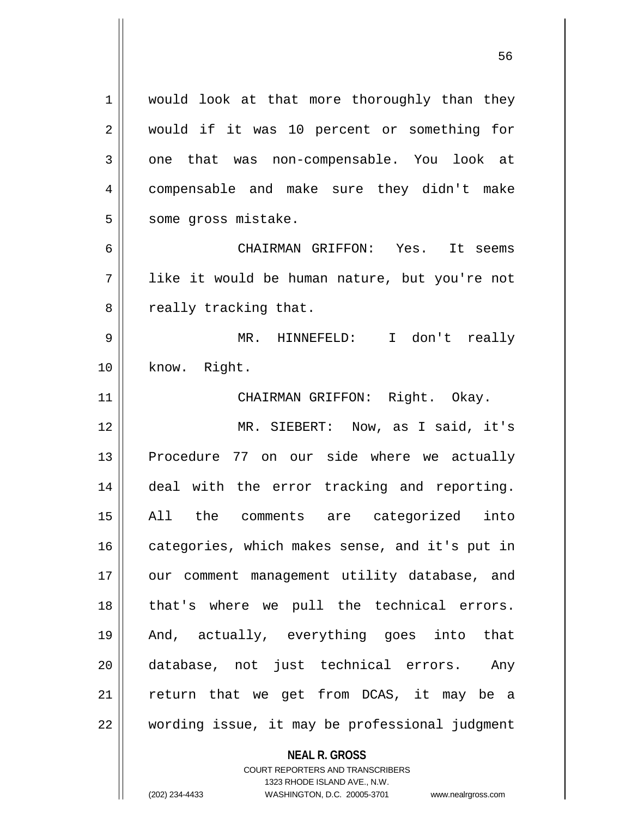1 | would look at that more thoroughly than they 2 || would if it was 10 percent or something for  $3 \parallel$  one that was non-compensable. You look at 4 compensable and make sure they didn't make 5 | some gross mistake. 6 CHAIRMAN GRIFFON: Yes. It seems 7 like it would be human nature, but you're not 8 | really tracking that. 9 MR. HINNEFELD: I don't really 10 | know. Right. 11 | CHAIRMAN GRIFFON: Right. Okay. 12 MR. SIEBERT: Now, as I said, it's 13 || Procedure 77 on our side where we actually 14 deal with the error tracking and reporting. 15 All the comments are categorized into 16 categories, which makes sense, and it's put in 17 || our comment management utility database, and 18 || that's where we pull the technical errors. 19 And, actually, everything goes into that 20 database, not just technical errors. Any  $21$  return that we get from DCAS, it may be a 22 | wording issue, it may be professional judgment

> COURT REPORTERS AND TRANSCRIBERS 1323 RHODE ISLAND AVE., N.W.

**NEAL R. GROSS**

(202) 234-4433 WASHINGTON, D.C. 20005-3701 www.nealrgross.com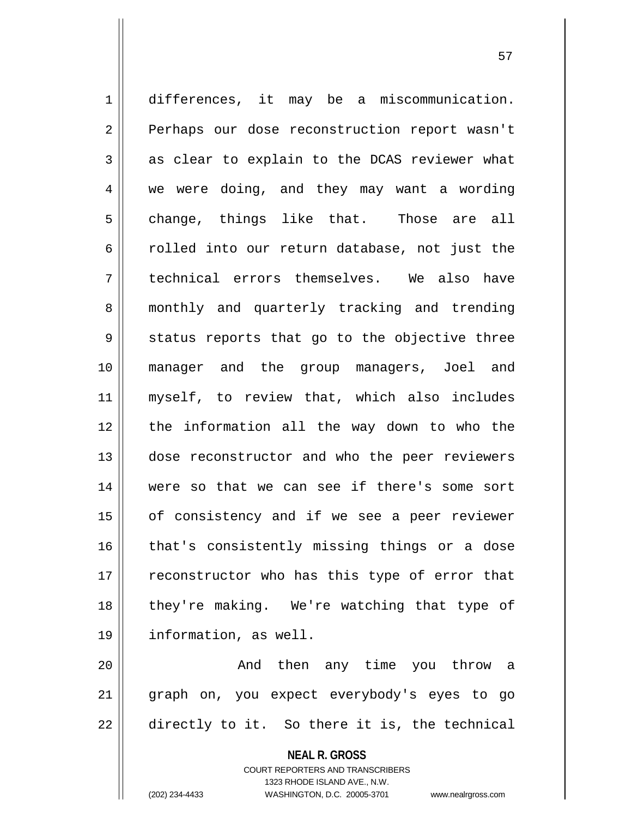1 differences, it may be a miscommunication. 2 || Perhaps our dose reconstruction report wasn't  $3 \parallel$  as clear to explain to the DCAS reviewer what 4 we were doing, and they may want a wording  $5 \parallel$  change, things like that. Those are all 6 colled into our return database, not just the 7 technical errors themselves. We also have 8 || monthly and quarterly tracking and trending  $9 \parallel$  status reports that go to the objective three 10 manager and the group managers, Joel and 11 myself, to review that, which also includes 12 the information all the way down to who the 13 || dose reconstructor and who the peer reviewers 14 were so that we can see if there's some sort 15 || of consistency and if we see a peer reviewer 16 || that's consistently missing things or a dose 17 || reconstructor who has this type of error that 18 || they're making. We're watching that type of 19 information, as well. 20 And then any time you throw a

21 graph on, you expect everybody's eyes to go  $22$  || directly to it. So there it is, the technical

> **NEAL R. GROSS** COURT REPORTERS AND TRANSCRIBERS 1323 RHODE ISLAND AVE., N.W.

(202) 234-4433 WASHINGTON, D.C. 20005-3701 www.nealrgross.com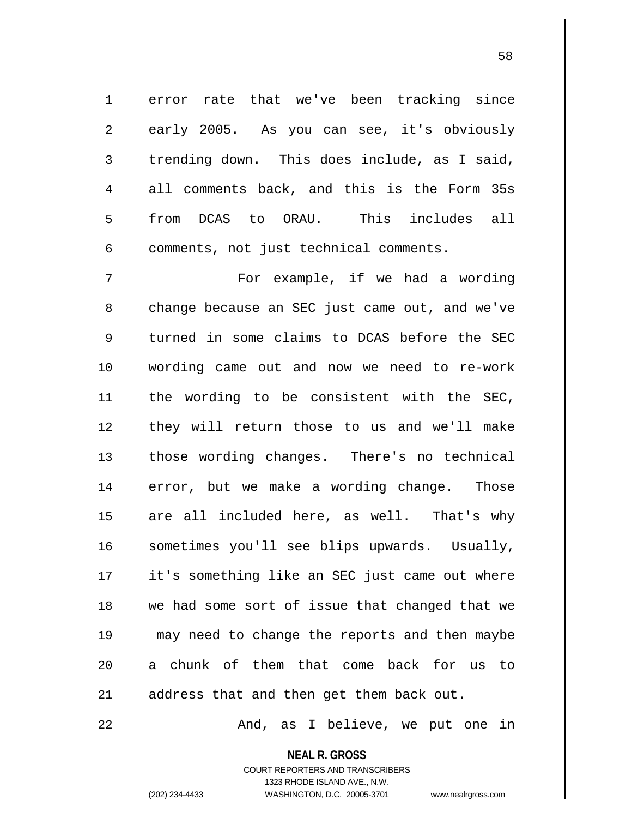1 error rate that we've been tracking since 2 | early 2005. As you can see, it's obviously  $3 \parallel$  trending down. This does include, as I said, 4 all comments back, and this is the Form 35s 5 || from DCAS to ORAU. This includes all 6 | comments, not just technical comments.

7 For example, if we had a wording 8 change because an SEC just came out, and we've 9 turned in some claims to DCAS before the SEC 10 wording came out and now we need to re-work 11 || the wording to be consistent with the SEC, 12 || they will return those to us and we'll make 13 || those wording changes. There's no technical 14 error, but we make a wording change. Those 15  $\parallel$  are all included here, as well. That's why 16 || sometimes you'll see blips upwards. Usually, 17 || it's something like an SEC just came out where 18 we had some sort of issue that changed that we 19 may need to change the reports and then maybe 20 || a chunk of them that come back for us to  $21$  || address that and then get them back out.

22 And, as I believe, we put one in

**NEAL R. GROSS** COURT REPORTERS AND TRANSCRIBERS 1323 RHODE ISLAND AVE., N.W.

(202) 234-4433 WASHINGTON, D.C. 20005-3701 www.nealrgross.com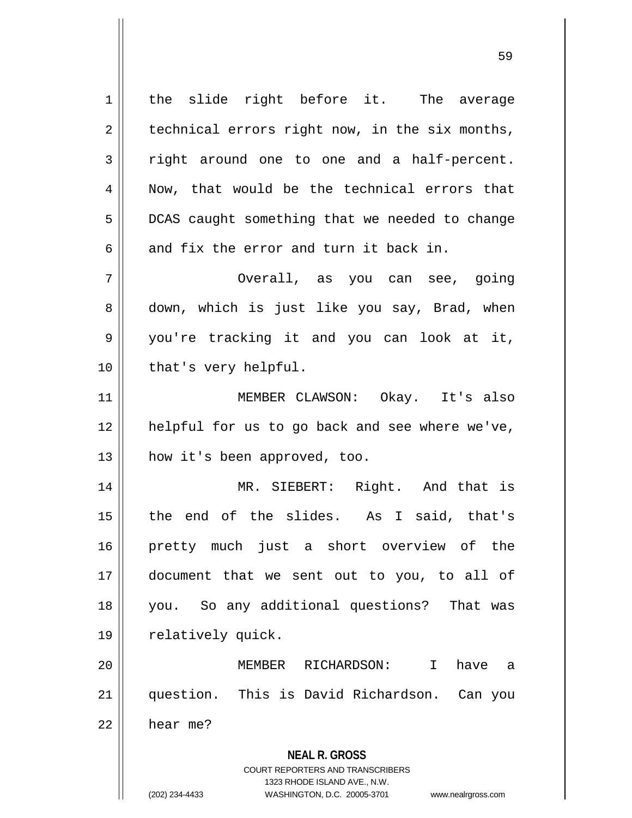**NEAL R. GROSS** COURT REPORTERS AND TRANSCRIBERS 1323 RHODE ISLAND AVE., N.W. (202) 234-4433 WASHINGTON, D.C. 20005-3701 www.nealrgross.com 1 | the slide right before it. The average  $2 \parallel$  technical errors right now, in the six months,  $3 \parallel$  right around one to one and a half-percent. 4 || Now, that would be the technical errors that 5 | DCAS caught something that we needed to change 6  $\parallel$  and fix the error and turn it back in. 7 Overall, as you can see, going 8 down, which is just like you say, Brad, when 9 you're tracking it and you can look at it, 10 || that's very helpful. 11 MEMBER CLAWSON: Okay. It's also 12 || helpful for us to go back and see where we've,  $13 \parallel$  how it's been approved, too. 14 MR. SIEBERT: Right. And that is 15 the end of the slides. As I said, that's 16 pretty much just a short overview of the 17 document that we sent out to you, to all of 18 you. So any additional questions? That was 19 | relatively quick. 20 MEMBER RICHARDSON: I have a 21 question. This is David Richardson. Can you  $22$  hear me?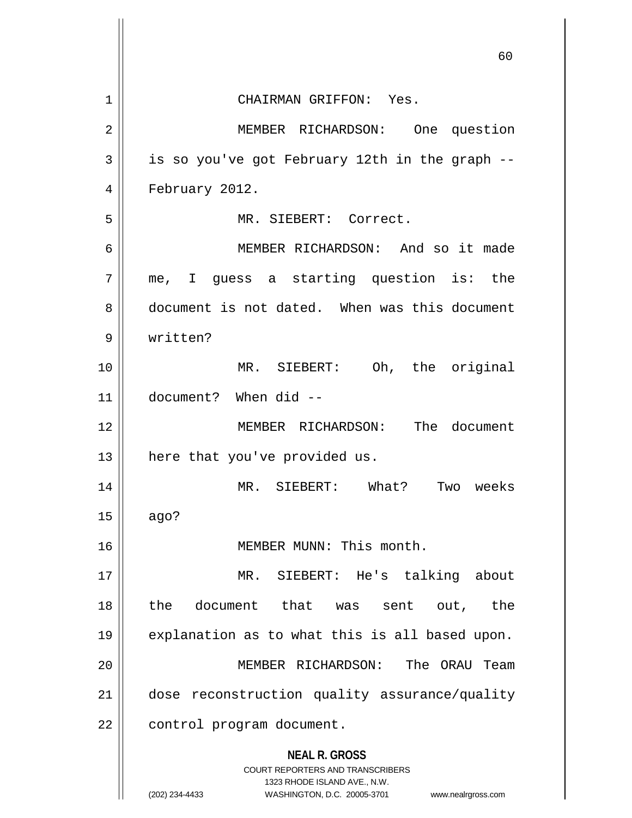|             | 60                                                                                              |
|-------------|-------------------------------------------------------------------------------------------------|
| $\mathbf 1$ | CHAIRMAN GRIFFON: Yes.                                                                          |
| 2           | MEMBER RICHARDSON: One question                                                                 |
| 3           | is so you've got February 12th in the graph --                                                  |
| 4           | February 2012.                                                                                  |
| 5           | MR. SIEBERT: Correct.                                                                           |
| 6           | MEMBER RICHARDSON: And so it made                                                               |
| 7           | me, I guess a starting question is: the                                                         |
| 8           | document is not dated. When was this document                                                   |
| 9           | written?                                                                                        |
| 10          | MR. SIEBERT: Oh, the original                                                                   |
| 11          | document? When did --                                                                           |
| 12          | MEMBER RICHARDSON: The document                                                                 |
| 13          | here that you've provided us.                                                                   |
| 14          | What?<br>weeks<br>MR. SIEBERT:<br>Two                                                           |
| 15          | ago?                                                                                            |
| 16          | MEMBER MUNN: This month.                                                                        |
| 17          | MR. SIEBERT: He's talking about                                                                 |
| 18          | the document that was<br>the<br>sent out,                                                       |
| 19          | explanation as to what this is all based upon.                                                  |
| 20          | MEMBER RICHARDSON:<br>The ORAU<br>Team                                                          |
| 21          | dose reconstruction quality assurance/quality                                                   |
| 22          | control program document.                                                                       |
|             | <b>NEAL R. GROSS</b><br><b>COURT REPORTERS AND TRANSCRIBERS</b><br>1323 RHODE ISLAND AVE., N.W. |
|             | (202) 234-4433<br>WASHINGTON, D.C. 20005-3701<br>www.nealrgross.com                             |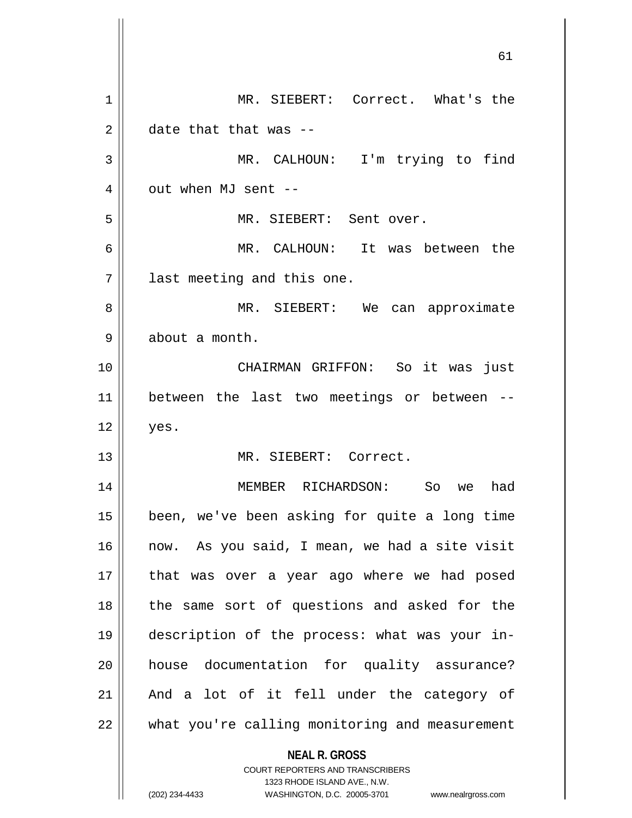|    | 61                                                                  |
|----|---------------------------------------------------------------------|
| 1  | MR. SIEBERT: Correct. What's the                                    |
| 2  | date that that was --                                               |
| 3  | MR. CALHOUN: I'm trying to find                                     |
| 4  | out when MJ sent --                                                 |
| 5  | MR. SIEBERT: Sent over.                                             |
| 6  | MR. CALHOUN: It was between the                                     |
| 7  | last meeting and this one.                                          |
| 8  | MR. SIEBERT: We can approximate                                     |
| 9  | about a month.                                                      |
| 10 | CHAIRMAN GRIFFON: So it was just                                    |
| 11 | between the last two meetings or between --                         |
| 12 | yes.                                                                |
| 13 | MR. SIEBERT: Correct.                                               |
| 14 | So we<br>MEMBER RICHARDSON:<br>had                                  |
| 15 | been, we've been asking for quite a long time                       |
| 16 | now. As you said, I mean, we had a site visit                       |
| 17 | that was over a year ago where we had posed                         |
| 18 | the same sort of questions and asked for the                        |
| 19 | description of the process: what was your in-                       |
| 20 | house documentation for quality assurance?                          |
| 21 | And a lot of it fell under the category of                          |
| 22 | what you're calling monitoring and measurement                      |
|    | <b>NEAL R. GROSS</b><br>COURT REPORTERS AND TRANSCRIBERS            |
|    | 1323 RHODE ISLAND AVE., N.W.                                        |
|    | (202) 234-4433<br>WASHINGTON, D.C. 20005-3701<br>www.nealrgross.com |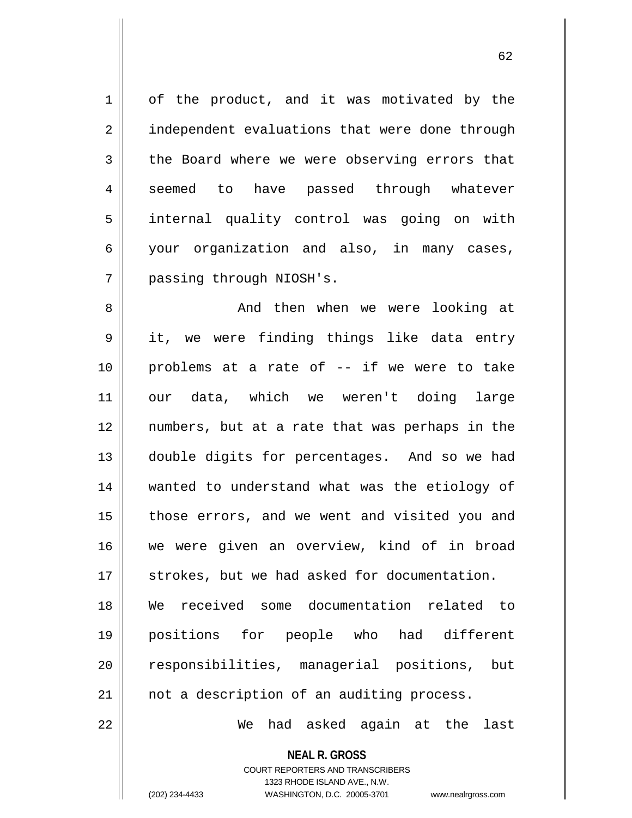1 of the product, and it was motivated by the 2 | independent evaluations that were done through  $3 \parallel$  the Board where we were observing errors that 4 seemed to have passed through whatever 5 | internal quality control was going on with 6 your organization and also, in many cases, 7 | passing through NIOSH's.

 And then when we were looking at it, we were finding things like data entry problems at a rate of -- if we were to take our data, which we weren't doing large numbers, but at a rate that was perhaps in the double digits for percentages. And so we had wanted to understand what was the etiology of 15 || those errors, and we went and visited you and we were given an overview, kind of in broad 17 || strokes, but we had asked for documentation. We received some documentation related to positions for people who had different 20 || responsibilities, managerial positions, but 21 || not a description of an auditing process.

22 We had asked again at the last

**NEAL R. GROSS**

COURT REPORTERS AND TRANSCRIBERS 1323 RHODE ISLAND AVE., N.W. (202) 234-4433 WASHINGTON, D.C. 20005-3701 www.nealrgross.com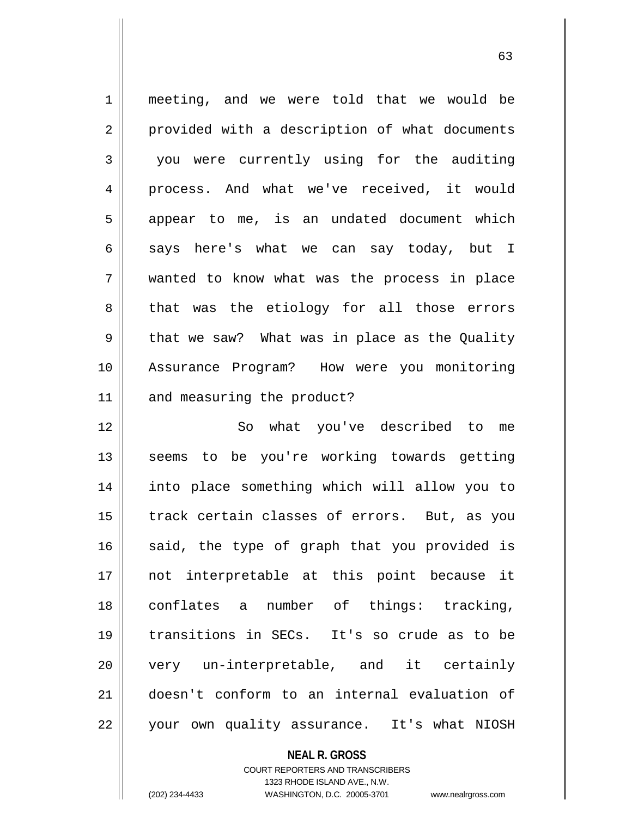1 meeting, and we were told that we would be 2 || provided with a description of what documents 3 you were currently using for the auditing 4 || process. And what we've received, it would 5 || appear to me, is an undated document which  $6 \parallel$  says here's what we can say today, but I 7 wanted to know what was the process in place 8 || that was the etiology for all those errors 9 depthat we saw? What was in place as the Quality 10 Assurance Program? How were you monitoring 11 || and measuring the product?

 So what you've described to me 13 || seems to be you're working towards getting into place something which will allow you to track certain classes of errors. But, as you said, the type of graph that you provided is not interpretable at this point because it conflates a number of things: tracking, transitions in SECs. It's so crude as to be 20 || very un-interpretable, and it certainly doesn't conform to an internal evaluation of 22 || your own quality assurance. It's what NIOSH

**NEAL R. GROSS**

COURT REPORTERS AND TRANSCRIBERS 1323 RHODE ISLAND AVE., N.W. (202) 234-4433 WASHINGTON, D.C. 20005-3701 www.nealrgross.com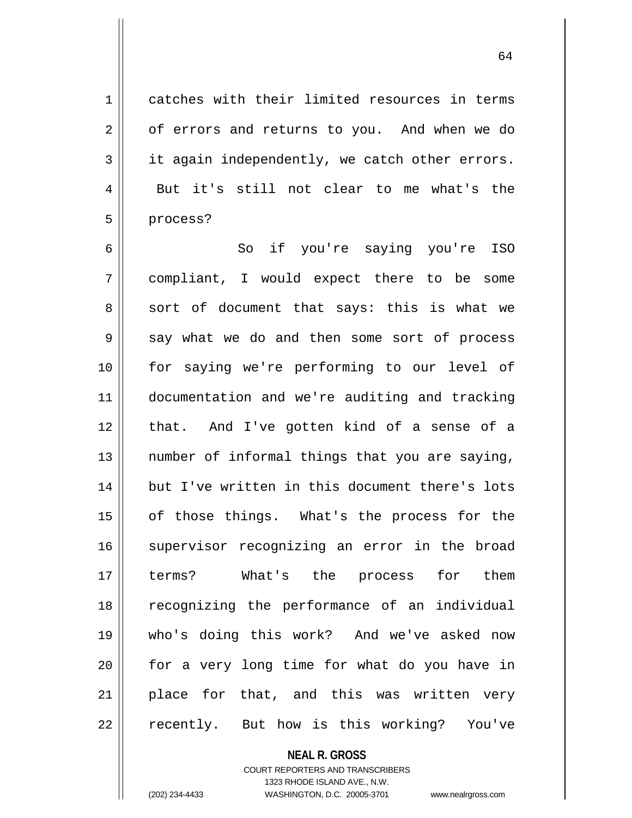1 catches with their limited resources in terms 2 | of errors and returns to you. And when we do  $3 \parallel$  it again independently, we catch other errors. 4 || But it's still not clear to me what's the 5 | process?

6 So if you're saying you're ISO 7 compliant, I would expect there to be some 8 sort of document that says: this is what we  $9 \parallel$  say what we do and then some sort of process 10 for saying we're performing to our level of 11 documentation and we're auditing and tracking 12 || that. And I've gotten kind of a sense of a  $13$  || number of informal things that you are saying, 14 || but I've written in this document there's lots 15 || of those things. What's the process for the 16 supervisor recognizing an error in the broad 17 terms? What's the process for them 18 recognizing the performance of an individual 19 who's doing this work? And we've asked now 20 || for a very long time for what do you have in 21 || place for that, and this was written very 22 || recently. But how is this working? You've

## **NEAL R. GROSS** COURT REPORTERS AND TRANSCRIBERS 1323 RHODE ISLAND AVE., N.W. (202) 234-4433 WASHINGTON, D.C. 20005-3701 www.nealrgross.com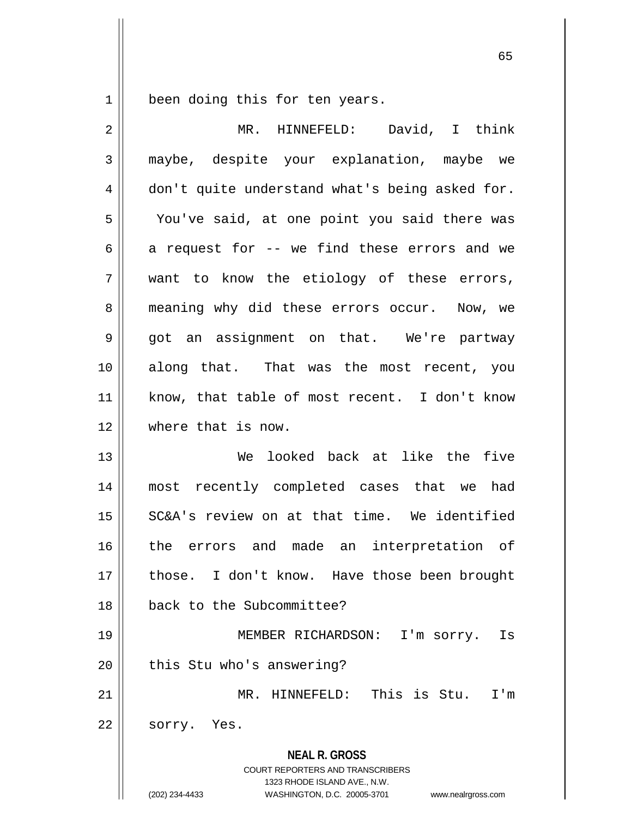$1 \parallel$  been doing this for ten years.

| $\overline{2}$ | David, I think<br>MR. HINNEFELD:                                                                                                                                       |
|----------------|------------------------------------------------------------------------------------------------------------------------------------------------------------------------|
| 3              | maybe, despite your explanation, maybe we                                                                                                                              |
| $\overline{4}$ | don't quite understand what's being asked for.                                                                                                                         |
| 5              | You've said, at one point you said there was                                                                                                                           |
| 6              | a request for -- we find these errors and we                                                                                                                           |
| 7              | want to know the etiology of these errors,                                                                                                                             |
| 8              | meaning why did these errors occur. Now, we                                                                                                                            |
| $\mathsf 9$    | got an assignment on that. We're partway                                                                                                                               |
| 10             | along that. That was the most recent, you                                                                                                                              |
| 11             | know, that table of most recent. I don't know                                                                                                                          |
| 12             | where that is now.                                                                                                                                                     |
| 13             | looked back at like the five<br>We                                                                                                                                     |
| 14             | most recently completed cases that we had                                                                                                                              |
| 15             | SC&A's review on at that time. We identified                                                                                                                           |
| 16             | the errors and made an interpretation of                                                                                                                               |
| 17             | those. I don't know. Have those been brought                                                                                                                           |
| 18             | back to the Subcommittee?                                                                                                                                              |
| 19             | MEMBER RICHARDSON:<br>I'm sorry.<br>Is                                                                                                                                 |
| 20             | this Stu who's answering?                                                                                                                                              |
| 21             | This is Stu.<br>MR. HINNEFELD:<br>I'm                                                                                                                                  |
| 22             | sorry. Yes.                                                                                                                                                            |
|                | <b>NEAL R. GROSS</b><br><b>COURT REPORTERS AND TRANSCRIBERS</b><br>1323 RHODE ISLAND AVE., N.W.<br>(202) 234-4433<br>WASHINGTON, D.C. 20005-3701<br>www.nealrgross.com |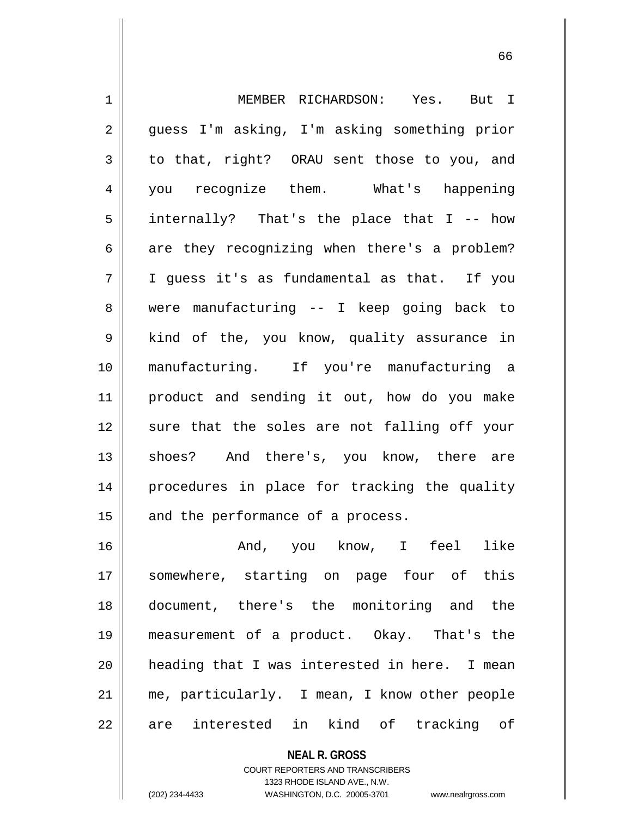| $\mathbf 1$ | MEMBER RICHARDSON: Yes. But I                 |
|-------------|-----------------------------------------------|
| 2           | guess I'm asking, I'm asking something prior  |
| 3           | to that, right? ORAU sent those to you, and   |
| 4           | you recognize them. What's happening          |
| 5           | internally? That's the place that I -- how    |
| 6           | are they recognizing when there's a problem?  |
| 7           | I guess it's as fundamental as that. If you   |
| 8           | were manufacturing -- I keep going back to    |
| $\mathsf 9$ | kind of the, you know, quality assurance in   |
| 10          | manufacturing. If you're manufacturing a      |
| 11          | product and sending it out, how do you make   |
| 12          | sure that the soles are not falling off your  |
| 13          | shoes? And there's, you know, there are       |
| 14          | procedures in place for tracking the quality  |
| 15          | and the performance of a process.             |
| 16          | And, you know, I feel like                    |
| 17          | somewhere, starting on page four of this      |
| 18          | document, there's the monitoring and the      |
| 19          | measurement of a product. Okay. That's the    |
| 20          | heading that I was interested in here. I mean |
| 21          | me, particularly. I mean, I know other people |
| 22          | are interested in kind of tracking of         |
|             |                                               |

**NEAL R. GROSS** COURT REPORTERS AND TRANSCRIBERS 1323 RHODE ISLAND AVE., N.W.

(202) 234-4433 WASHINGTON, D.C. 20005-3701 www.nealrgross.com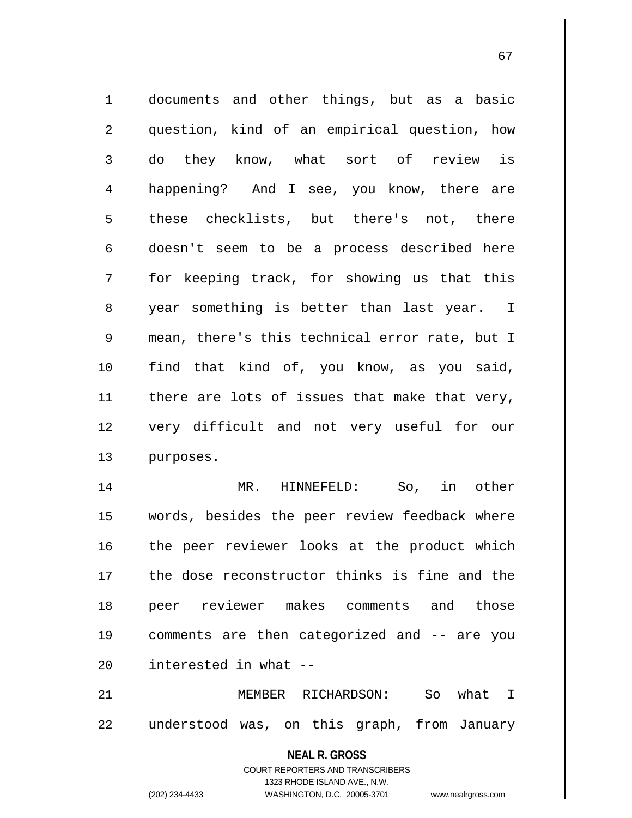**NEAL R. GROSS** COURT REPORTERS AND TRANSCRIBERS 1323 RHODE ISLAND AVE., N.W. 1 documents and other things, but as a basic 2 || question, kind of an empirical question, how 3 do they know, what sort of review is 4 happening? And I see, you know, there are 5 these checklists, but there's not, there 6 doesn't seem to be a process described here 7 for keeping track, for showing us that this 8 year something is better than last year. I 9 mean, there's this technical error rate, but I 10 find that kind of, you know, as you said,  $11$  | there are lots of issues that make that very, 12 very difficult and not very useful for our 13 | purposes. 14 MR. HINNEFELD: So, in other 15 words, besides the peer review feedback where 16 the peer reviewer looks at the product which 17 the dose reconstructor thinks is fine and the 18 peer reviewer makes comments and those 19 comments are then categorized and -- are you  $20$  | interested in what  $-$ 21 MEMBER RICHARDSON: So what I 22 understood was, on this graph, from January

(202) 234-4433 WASHINGTON, D.C. 20005-3701 www.nealrgross.com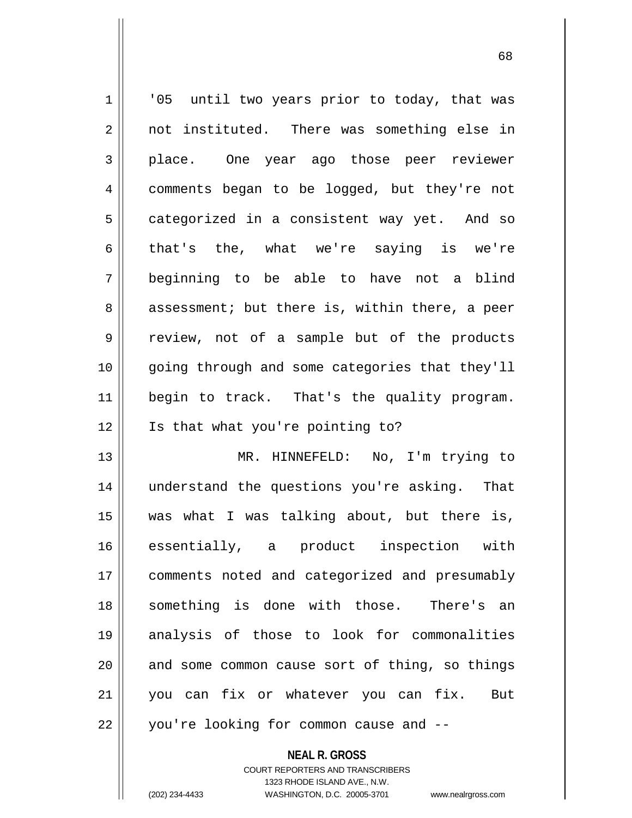1 || '05 until two years prior to today, that was 2 || not instituted. There was something else in 3 place. One year ago those peer reviewer 4 comments began to be logged, but they're not  $5 \parallel$  categorized in a consistent way yet. And so  $6 \parallel$  that's the, what we're saying is we're 7 beginning to be able to have not a blind 8 assessment; but there is, within there, a peer 9 || review, not of a sample but of the products 10 going through and some categories that they'll 11 begin to track. That's the quality program. 12 || Is that what you're pointing to? 13 MR. HINNEFELD: No, I'm trying to

 understand the questions you're asking. That was what I was talking about, but there is, essentially, a product inspection with comments noted and categorized and presumably 18 || something is done with those. There's an analysis of those to look for commonalities and some common cause sort of thing, so things 21 || you can fix or whatever you can fix. But 22 || you're looking for common cause and --

> **NEAL R. GROSS** COURT REPORTERS AND TRANSCRIBERS 1323 RHODE ISLAND AVE., N.W. (202) 234-4433 WASHINGTON, D.C. 20005-3701 www.nealrgross.com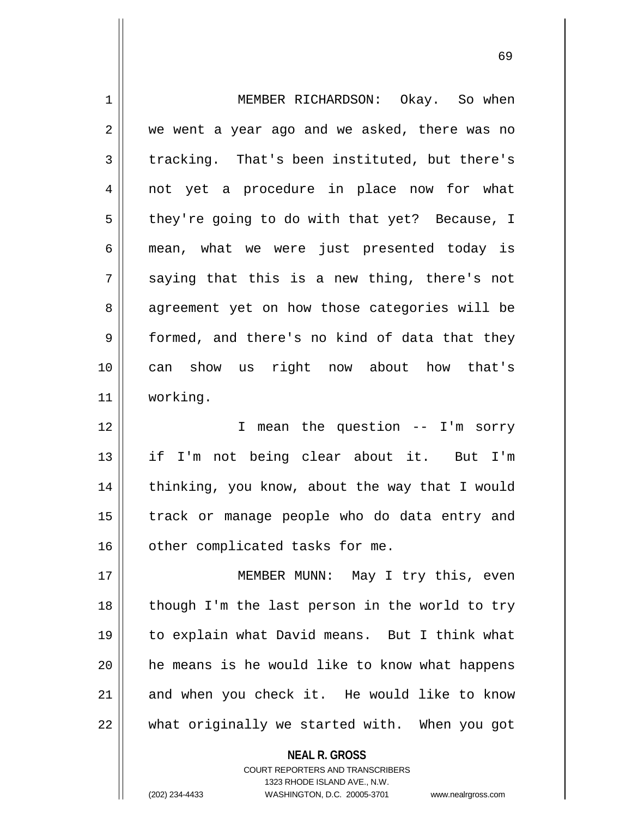| $\mathbf 1$    | MEMBER RICHARDSON: Okay. So when               |
|----------------|------------------------------------------------|
| 2              | we went a year ago and we asked, there was no  |
| 3              | tracking. That's been instituted, but there's  |
| $\overline{4}$ | not yet a procedure in place now for what      |
| 5              | they're going to do with that yet? Because, I  |
| 6              | mean, what we were just presented today is     |
| 7              | saying that this is a new thing, there's not   |
| 8              | agreement yet on how those categories will be  |
| 9              | formed, and there's no kind of data that they  |
| 10             | can show us right now about how that's         |
| 11             | working.                                       |
|                |                                                |
| 12             | I mean the question -- I'm sorry               |
|                | if I'm not being clear about it. But I'm       |
|                | thinking, you know, about the way that I would |
| 13<br>14<br>15 | track or manage people who do data entry and   |
| 16             | other complicated tasks for me.                |
| 17             | MEMBER MUNN: May I try this, even              |
| 18             | though I'm the last person in the world to try |
| 19             | to explain what David means. But I think what  |
| 20             | he means is he would like to know what happens |
| 21             | and when you check it. He would like to know   |

**NEAL R. GROSS** COURT REPORTERS AND TRANSCRIBERS 1323 RHODE ISLAND AVE., N.W.

(202) 234-4433 WASHINGTON, D.C. 20005-3701 www.nealrgross.com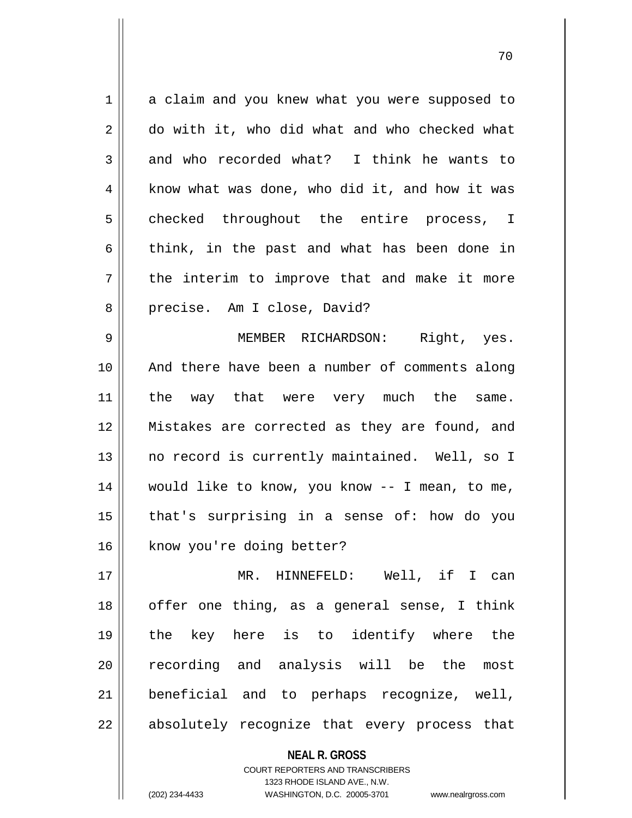1 || a claim and you knew what you were supposed to 2 do with it, who did what and who checked what  $3 \parallel$  and who recorded what? I think he wants to  $4 \parallel$  know what was done, who did it, and how it was 5 checked throughout the entire process, I  $6 \parallel$  think, in the past and what has been done in  $7 \parallel$  the interim to improve that and make it more 8 || precise. Am I close, David? 9 MEMBER RICHARDSON: Right, yes. 10 And there have been a number of comments along 11 the way that were very much the same. 12 Mistakes are corrected as they are found, and 13 || no record is currently maintained. Well, so I 14 would like to know, you know -- I mean, to me,  $15$  | that's surprising in a sense of: how do you

16 | know you're doing better?

17 || MR. HINNEFELD: Well, if I can 18 || offer one thing, as a general sense, I think 19 the key here is to identify where the 20 || recording and analysis will be the most 21 beneficial and to perhaps recognize, well, 22 || absolutely recognize that every process that

> **NEAL R. GROSS** COURT REPORTERS AND TRANSCRIBERS 1323 RHODE ISLAND AVE., N.W. (202) 234-4433 WASHINGTON, D.C. 20005-3701 www.nealrgross.com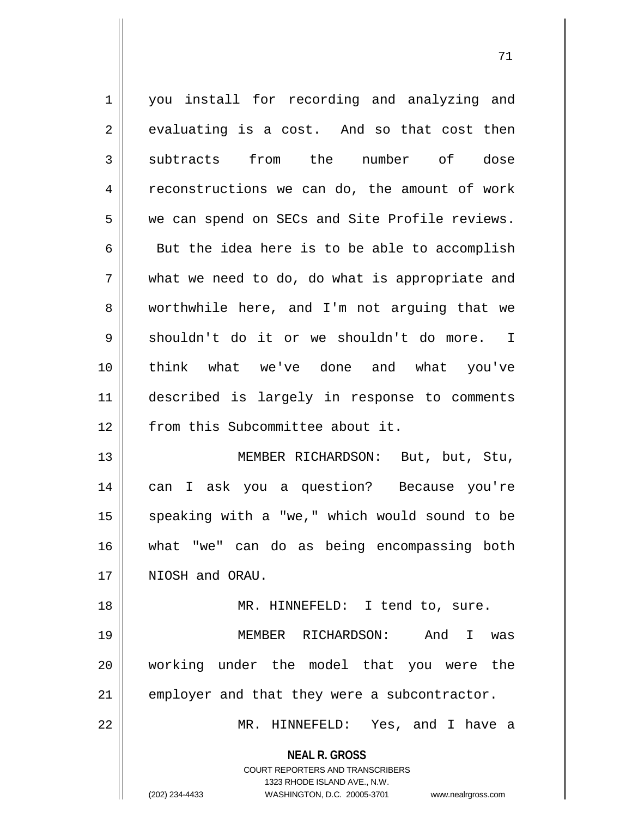| $\mathbf 1$    | you install for recording and analyzing and       |
|----------------|---------------------------------------------------|
| $\overline{2}$ | evaluating is a cost. And so that cost then       |
| $\mathfrak{Z}$ | subtracts from the number of dose                 |
| 4              | reconstructions we can do, the amount of work     |
| 5              | we can spend on SECs and Site Profile reviews.    |
| 6              | But the idea here is to be able to accomplish     |
| 7              | what we need to do, do what is appropriate and    |
| 8              | worthwhile here, and I'm not arguing that we      |
| 9              | shouldn't do it or we shouldn't do more. I        |
| 10             | think what we've done and what you've             |
| 11             | described is largely in response to comments      |
| 12             | from this Subcommittee about it.                  |
| 13             | MEMBER RICHARDSON: But, but, Stu,                 |
| 14             | can I ask you a question? Because you're          |
| 15             | speaking with a "we," which would sound to be     |
| 16             | what "we" can do as being encompassing both       |
| 17             | NIOSH and ORAU.                                   |
| 18             | MR. HINNEFELD: I tend to, sure.                   |
| 19             | MEMBER RICHARDSON:<br>And I<br>was                |
| 20             | working under the model that you were the         |
| 21             | employer and that they were a subcontractor.      |
| 22             | MR. HINNEFELD: Yes, and I have a                  |
|                | <b>NEAL R. GROSS</b>                              |
|                | <b>COURT REPORTERS AND TRANSCRIBERS</b>           |
|                | 1323 RHODE ISLAND AVE., N.W.<br>(202) 234-4433    |
|                | WASHINGTON, D.C. 20005-3701<br>www.nealrgross.com |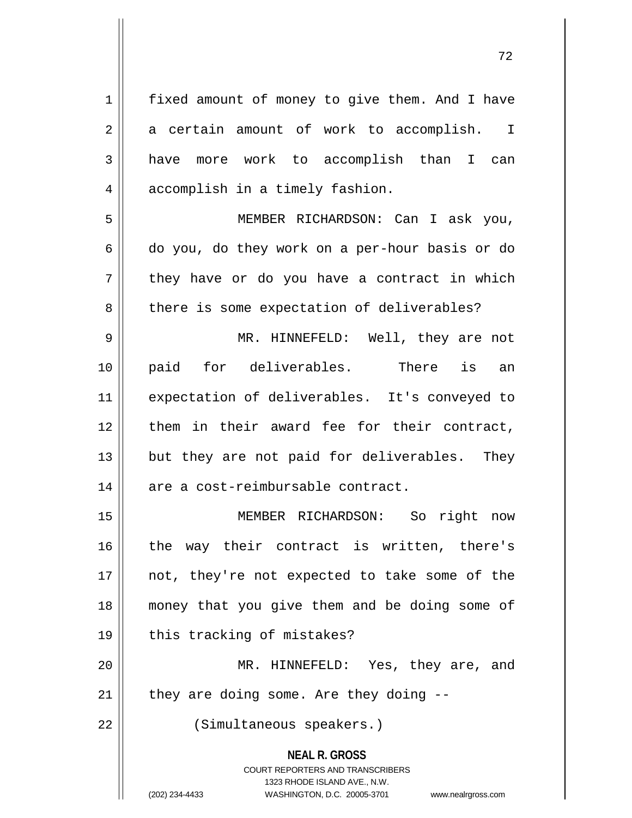**NEAL R. GROSS** COURT REPORTERS AND TRANSCRIBERS 1323 RHODE ISLAND AVE., N.W. 1 | fixed amount of money to give them. And I have  $2 \parallel$  a certain amount of work to accomplish. I 3 have more work to accomplish than I can 4 | accomplish in a timely fashion. 5 MEMBER RICHARDSON: Can I ask you,  $6 \parallel$  do you, do they work on a per-hour basis or do  $7 \parallel$  they have or do you have a contract in which 8 there is some expectation of deliverables? 9 MR. HINNEFELD: Well, they are not 10 paid for deliverables. There is an 11 expectation of deliverables. It's conveyed to 12 them in their award fee for their contract,  $13$  || but they are not paid for deliverables. They  $14$  || are a cost-reimbursable contract. 15 MEMBER RICHARDSON: So right now 16 || the way their contract is written, there's 17 not, they're not expected to take some of the 18 money that you give them and be doing some of 19 || this tracking of mistakes? 20 MR. HINNEFELD: Yes, they are, and  $21$  | they are doing some. Are they doing  $-$ 22 || (Simultaneous speakers.)

(202) 234-4433 WASHINGTON, D.C. 20005-3701 www.nealrgross.com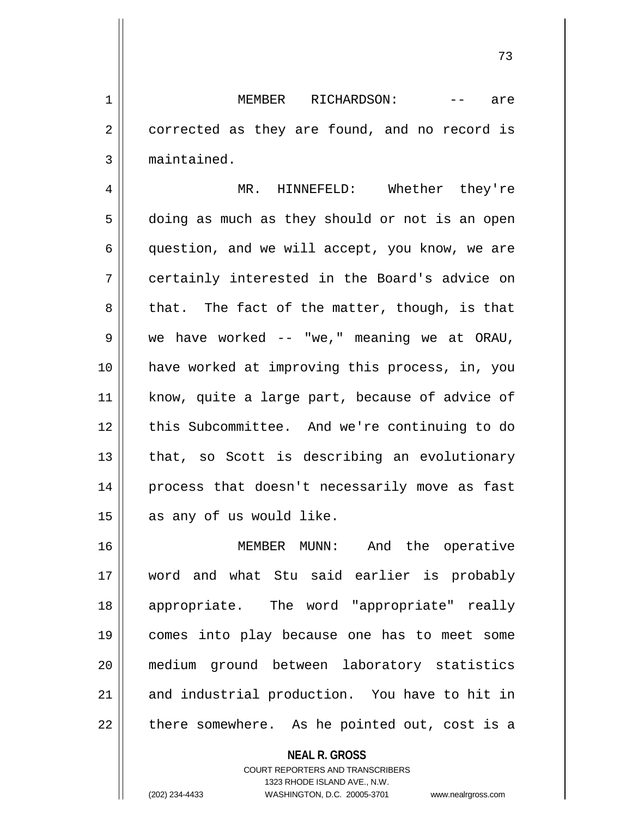1 MEMBER RICHARDSON: -- are 2 || corrected as they are found, and no record is 3 maintained.

4 MR. HINNEFELD: Whether they're 5 | doing as much as they should or not is an open 6 question, and we will accept, you know, we are 7 certainly interested in the Board's advice on  $8 \parallel$  that. The fact of the matter, though, is that  $9 \parallel$  we have worked -- "we," meaning we at ORAU, 10 have worked at improving this process, in, you 11 || know, quite a large part, because of advice of 12 || this Subcommittee. And we're continuing to do  $13$  || that, so Scott is describing an evolutionary 14 || process that doesn't necessarily move as fast  $15$  as any of us would like.

 MEMBER MUNN: And the operative word and what Stu said earlier is probably appropriate. The word "appropriate" really comes into play because one has to meet some medium ground between laboratory statistics 21 and industrial production. You have to hit in || there somewhere. As he pointed out, cost is a

> **NEAL R. GROSS** COURT REPORTERS AND TRANSCRIBERS 1323 RHODE ISLAND AVE., N.W. (202) 234-4433 WASHINGTON, D.C. 20005-3701 www.nealrgross.com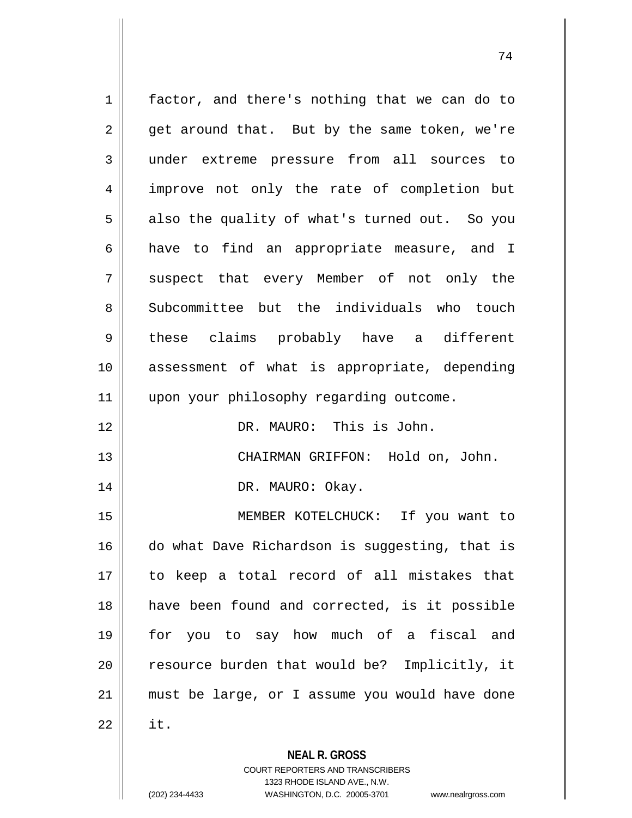**NEAL R. GROSS** 1 || factor, and there's nothing that we can do to  $2 \parallel$  get around that. But by the same token, we're 3 under extreme pressure from all sources to 4 improve not only the rate of completion but  $5 \parallel$  also the quality of what's turned out. So you 6 aave to find an appropriate measure, and I 7 Suspect that every Member of not only the 8 Subcommittee but the individuals who touch 9 || these claims probably have a different 10 assessment of what is appropriate, depending 11 | upon your philosophy regarding outcome. 12 DR. MAURO: This is John. 13 CHAIRMAN GRIFFON: Hold on, John. 14 || DR. MAURO: Okay. 15 MEMBER KOTELCHUCK: If you want to 16 do what Dave Richardson is suggesting, that is 17 to keep a total record of all mistakes that 18 have been found and corrected, is it possible 19 for you to say how much of a fiscal and 20 || resource burden that would be? Implicitly, it 21 must be large, or I assume you would have done  $22$   $\parallel$  it.

> COURT REPORTERS AND TRANSCRIBERS 1323 RHODE ISLAND AVE., N.W. (202) 234-4433 WASHINGTON, D.C. 20005-3701 www.nealrgross.com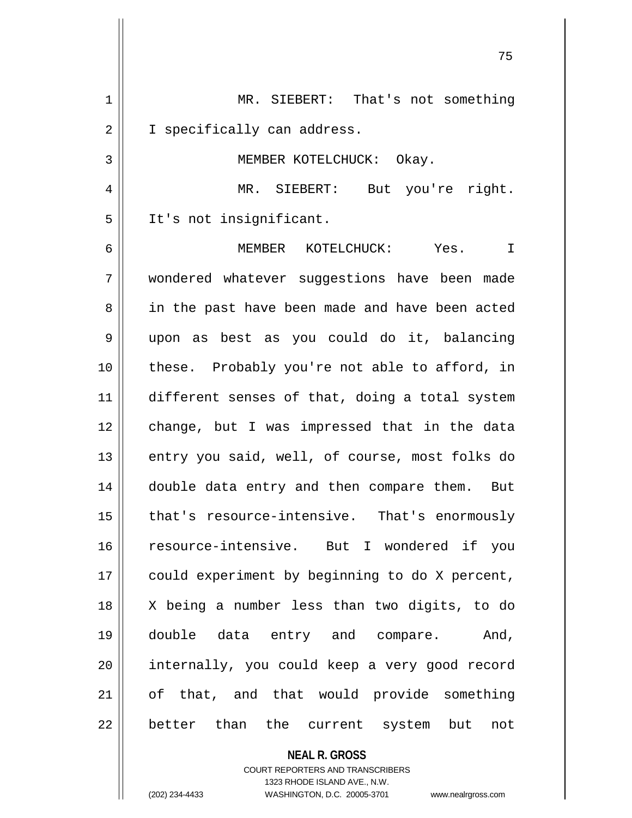1 | MR. SIEBERT: That's not something 2 | I specifically can address. 3 || MEMBER KOTELCHUCK: Okay. 4 MR. SIEBERT: But you're right. 5 || It's not insignificant. 6 MEMBER KOTELCHUCK: Yes. I 7 wondered whatever suggestions have been made 8 || in the past have been made and have been acted 9 upon as best as you could do it, balancing 10 these. Probably you're not able to afford, in 11 different senses of that, doing a total system 12 || change, but I was impressed that in the data 13 || entry you said, well, of course, most folks do 14 || double data entry and then compare them. But 15 || that's resource-intensive. That's enormously 16 resource-intensive. But I wondered if you 17 | could experiment by beginning to do X percent, 18 X being a number less than two digits, to do 19 double data entry and compare. And, 20 || internally, you could keep a very good record 21 || of that, and that would provide something 22 || better than the current system but not

> **NEAL R. GROSS** COURT REPORTERS AND TRANSCRIBERS

1323 RHODE ISLAND AVE., N.W. (202) 234-4433 WASHINGTON, D.C. 20005-3701 www.nealrgross.com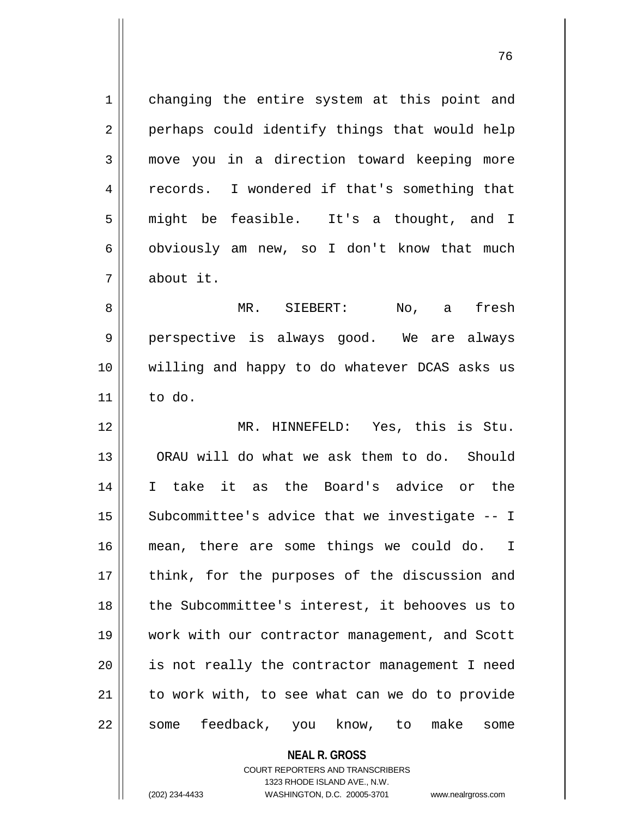1 | changing the entire system at this point and 2 || perhaps could identify things that would help 3 move you in a direction toward keeping more 4 || records. I wondered if that's something that 5 || might be feasible. It's a thought, and I  $6 \parallel$  obviously am new, so I don't know that much 7 about it.

 MR. SIEBERT: No, a fresh perspective is always good. We are always willing and happy to do whatever DCAS asks us  $11 \parallel$  to do.

12 MR. HINNEFELD: Yes, this is Stu. 13 || ORAU will do what we ask them to do. Should 14 I take it as the Board's advice or the  $15$  Subcommittee's advice that we investigate  $-1$ 16 mean, there are some things we could do. I 17 || think, for the purposes of the discussion and 18 || the Subcommittee's interest, it behooves us to 19 work with our contractor management, and Scott 20 is not really the contractor management I need 21 || to work with, to see what can we do to provide 22 || some feedback, you know, to make some

**NEAL R. GROSS**

COURT REPORTERS AND TRANSCRIBERS 1323 RHODE ISLAND AVE., N.W. (202) 234-4433 WASHINGTON, D.C. 20005-3701 www.nealrgross.com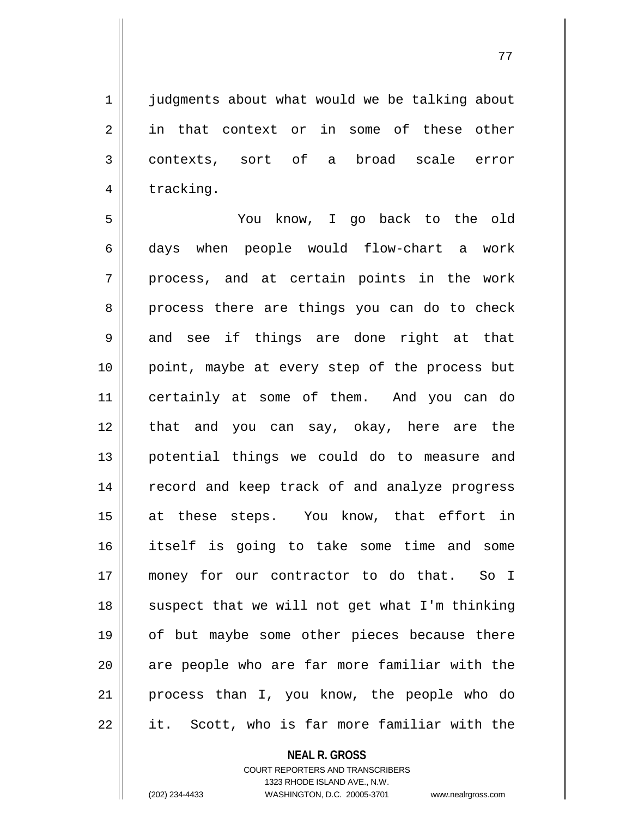77

1 iudgments about what would we be talking about 2 in that context or in some of these other 3 contexts, sort of a broad scale error 4 | tracking.

5 You know, I go back to the old 6 days when people would flow-chart a work  $7 \parallel$  process, and at certain points in the work 8 || process there are things you can do to check  $9 \parallel$  and see if things are done right at that 10 point, maybe at every step of the process but 11 certainly at some of them. And you can do 12 || that and you can say, okay, here are the 13 potential things we could do to measure and 14 || record and keep track of and analyze progress 15 at these steps. You know, that effort in 16 itself is going to take some time and some 17 money for our contractor to do that. So I 18 || suspect that we will not get what I'm thinking 19 of but maybe some other pieces because there 20 || are people who are far more familiar with the 21 process than I, you know, the people who do 22 || it. Scott, who is far more familiar with the

## **NEAL R. GROSS**

COURT REPORTERS AND TRANSCRIBERS 1323 RHODE ISLAND AVE., N.W. (202) 234-4433 WASHINGTON, D.C. 20005-3701 www.nealrgross.com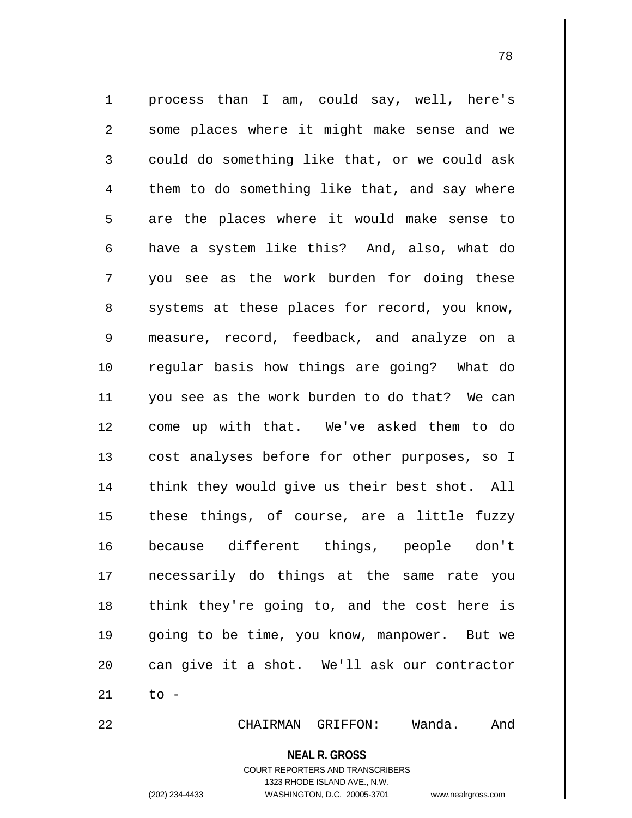**NEAL R. GROSS** COURT REPORTERS AND TRANSCRIBERS 1 || process than I am, could say, well, here's 2 || some places where it might make sense and we  $3 \parallel$  could do something like that, or we could ask  $4 \parallel$  them to do something like that, and say where  $5 \parallel$  are the places where it would make sense to 6 | have a system like this? And, also, what do 7 you see as the work burden for doing these  $8 \parallel$  systems at these places for record, you know, 9 measure, record, feedback, and analyze on a 10 regular basis how things are going? What do 11 you see as the work burden to do that? We can 12 come up with that. We've asked them to do 13 || cost analyses before for other purposes, so I 14 || think they would give us their best shot. All  $15$  || these things, of course, are a little fuzzy 16 because different things, people don't 17 necessarily do things at the same rate you 18 || think they're going to, and the cost here is 19 going to be time, you know, manpower. But we 20 can give it a shot. We'll ask our contractor  $21$   $\parallel$  to  $-$ 22 CHAIRMAN GRIFFON: Wanda. And

1323 RHODE ISLAND AVE., N.W.

(202) 234-4433 WASHINGTON, D.C. 20005-3701 www.nealrgross.com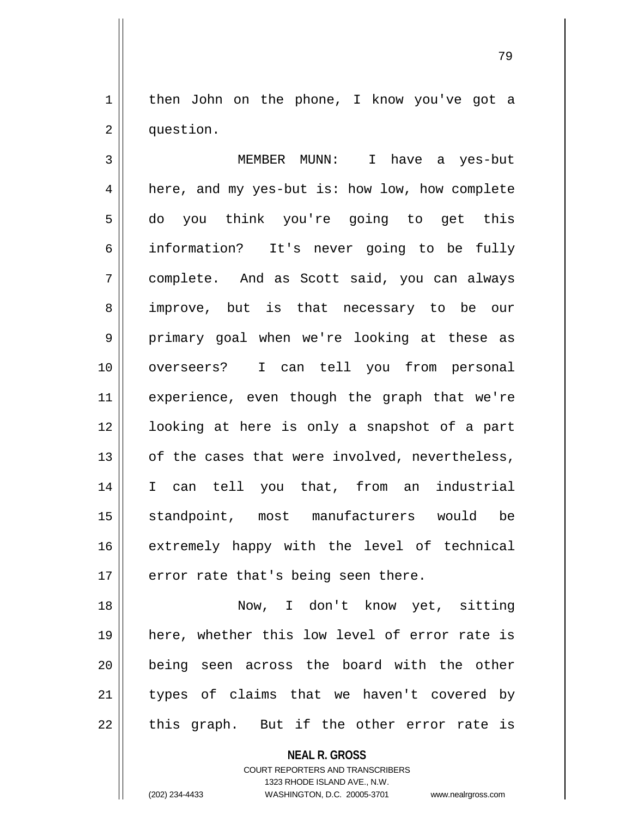$1 \parallel$  then John on the phone, I know you've got a 2 | question.

3 MEMBER MUNN: I have a yes-but 4 || here, and my yes-but is: how low, how complete 5 do you think you're going to get this 6 information? It's never going to be fully 7 complete. And as Scott said, you can always 8 improve, but is that necessary to be our 9 primary goal when we're looking at these as 10 overseers? I can tell you from personal 11 || experience, even though the graph that we're 12 || looking at here is only a snapshot of a part 13 || of the cases that were involved, nevertheless, 14 I can tell you that, from an industrial 15 standpoint, most manufacturers would be 16 extremely happy with the level of technical  $17$  | error rate that's being seen there.

18 Now, I don't know yet, sitting 19 || here, whether this low level of error rate is 20 || being seen across the board with the other 21 || types of claims that we haven't covered by  $22$  || this graph. But if the other error rate is

> **NEAL R. GROSS** COURT REPORTERS AND TRANSCRIBERS 1323 RHODE ISLAND AVE., N.W. (202) 234-4433 WASHINGTON, D.C. 20005-3701 www.nealrgross.com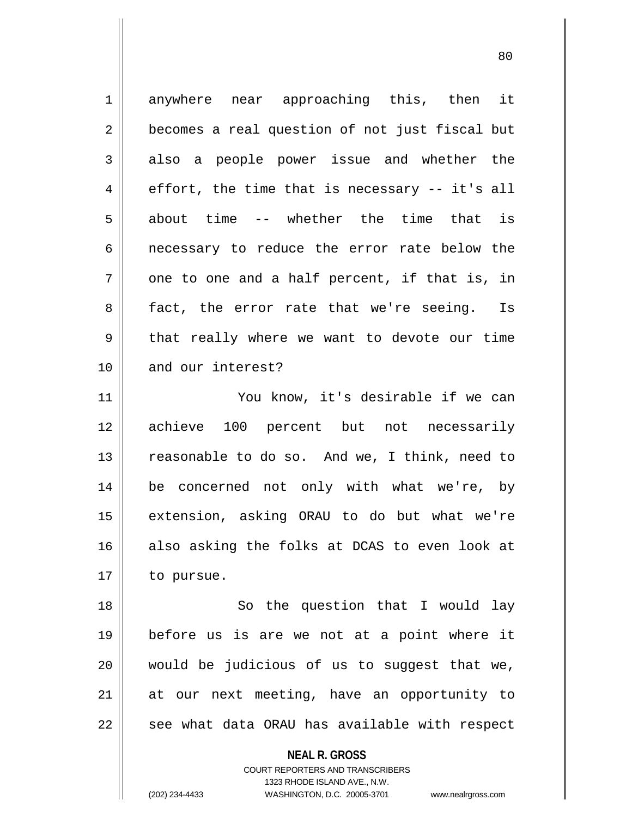| 2           | becomes a real question of not just fiscal but |
|-------------|------------------------------------------------|
|             |                                                |
| 3           | also a people power issue and whether the      |
| 4           | effort, the time that is necessary -- it's all |
| 5           | about time -- whether the time that is         |
| 6           | necessary to reduce the error rate below the   |
| 7           | one to one and a half percent, if that is, in  |
| 8           | fact, the error rate that we're seeing. Is     |
| $\mathsf 9$ | that really where we want to devote our time   |
| 10          | and our interest?                              |
| 11          | You know, it's desirable if we can             |
| 12          | achieve 100 percent but not necessarily        |
| 13          | reasonable to do so. And we, I think, need to  |
| 14          | be concerned not only with what we're, by      |
| 15          | extension, asking ORAU to do but what we're    |
| 16          | also asking the folks at DCAS to even look at  |
| 17          | to pursue.                                     |
| 18          | So the question that I would lay               |
| 19          | before us is are we not at a point where it    |
| 20          | would be judicious of us to suggest that we,   |
| 21          | at our next meeting, have an opportunity to    |
| 22          | see what data ORAU has available with respect  |
|             | <b>NEAL R. GROSS</b>                           |

COURT REPORTERS AND TRANSCRIBERS 1323 RHODE ISLAND AVE., N.W.

 $\prod$ 

(202) 234-4433 WASHINGTON, D.C. 20005-3701 www.nealrgross.com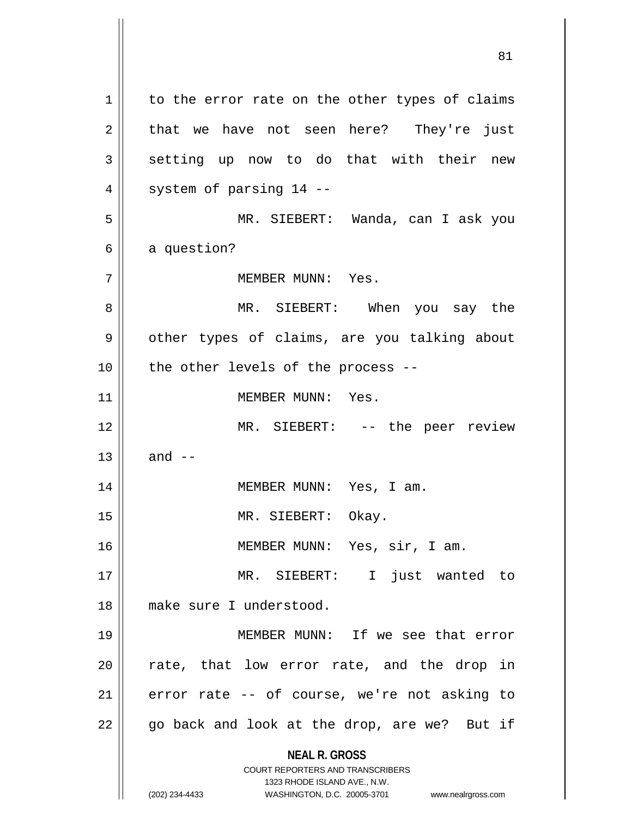**NEAL R. GROSS** COURT REPORTERS AND TRANSCRIBERS 1323 RHODE ISLAND AVE., N.W. (202) 234-4433 WASHINGTON, D.C. 20005-3701 www.nealrgross.com  $1 \parallel$  to the error rate on the other types of claims  $2 \parallel$  that we have not seen here? They're just  $3 \parallel$  setting up now to do that with their new  $4 \parallel$  system of parsing 14 --5 MR. SIEBERT: Wanda, can I ask you  $6 \parallel$  a question? 7 MEMBER MUNN: Yes. 8 MR. SIEBERT: When you say the 9 | other types of claims, are you talking about  $10$  | the other levels of the process --11 || MEMBER MUNN: Yes. 12 || MR. SIEBERT: -- the peer review  $13 \parallel$  and  $-$ 14 MEMBER MUNN: Yes, I am. 15 || MR. SIEBERT: Okay. 16 MEMBER MUNN: Yes, sir, I am. 17 MR. SIEBERT: I just wanted to 18 make sure I understood. 19 MEMBER MUNN: If we see that error 20 || rate, that low error rate, and the drop in  $21$  error rate  $-$  of course, we're not asking to 22 || go back and look at the drop, are we? But if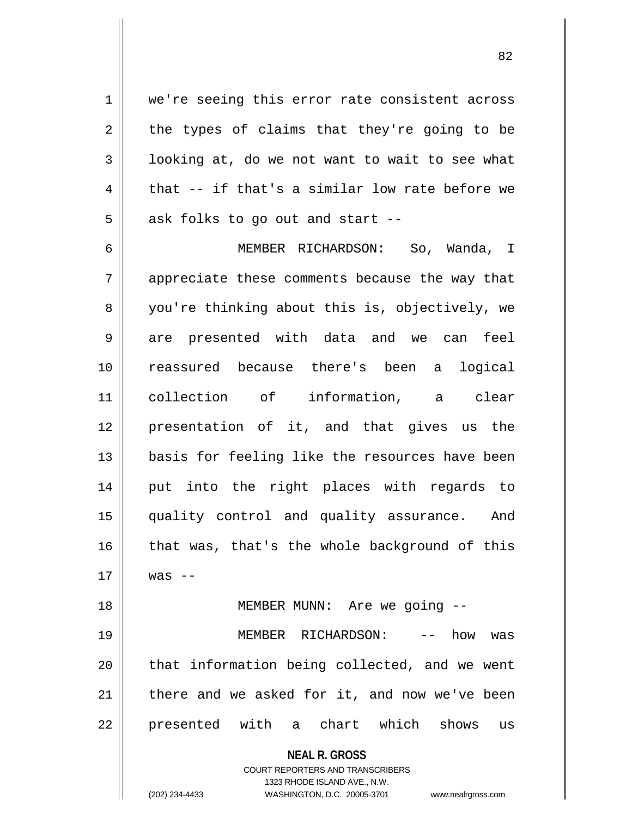1 || we're seeing this error rate consistent across  $2 \parallel$  the types of claims that they're going to be  $3 \parallel$  looking at, do we not want to wait to see what  $4 \parallel$  that -- if that's a similar low rate before we  $5 \parallel$  ask folks to go out and start --

6 MEMBER RICHARDSON: So, Wanda, I 7 || appreciate these comments because the way that 8 || you're thinking about this is, objectively, we 9 are presented with data and we can feel 10 reassured because there's been a logical 11 collection of information, a clear 12 presentation of it, and that gives us the 13 || basis for feeling like the resources have been 14 || put into the right places with regards to 15 quality control and quality assurance. And 16 || that was, that's the whole background of this  $17 \parallel \quad$  was --18 || MEMBER MUNN: Are we going --

 MEMBER RICHARDSON: -- how was || that information being collected, and we went | there and we asked for it, and now we've been 22 || presented with a chart which shows us

**NEAL R. GROSS**

COURT REPORTERS AND TRANSCRIBERS 1323 RHODE ISLAND AVE., N.W. (202) 234-4433 WASHINGTON, D.C. 20005-3701 www.nealrgross.com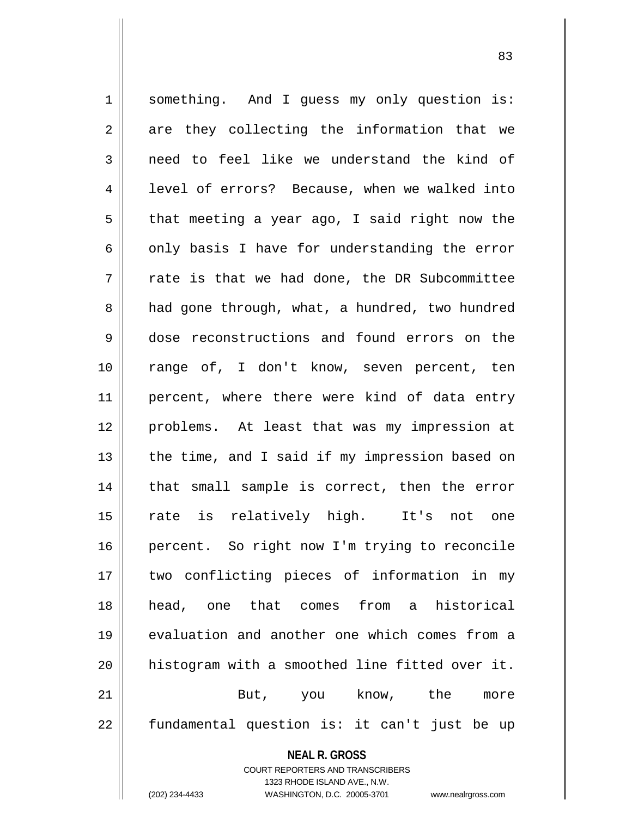1 | something. And I guess my only question is:  $2 \parallel$  are they collecting the information that we  $3 \parallel$  need to feel like we understand the kind of 4 | level of errors? Because, when we walked into  $5 \parallel$  that meeting a year ago, I said right now the  $6 \parallel$  only basis I have for understanding the error  $7 \parallel$  rate is that we had done, the DR Subcommittee 8 a had gone through, what, a hundred, two hundred 9 dose reconstructions and found errors on the 10 range of, I don't know, seven percent, ten 11 || percent, where there were kind of data entry 12 problems. At least that was my impression at  $13$  | the time, and I said if my impression based on 14 || that small sample is correct, then the error 15 || rate is relatively high. It's not one 16 || percent. So right now I'm trying to reconcile 17 two conflicting pieces of information in my 18 head, one that comes from a historical 19 evaluation and another one which comes from a  $20$  | histogram with a smoothed line fitted over it. 21 But, you know, the more  $22$  || fundamental question is: it can't just be up

> **NEAL R. GROSS** COURT REPORTERS AND TRANSCRIBERS 1323 RHODE ISLAND AVE., N.W.

(202) 234-4433 WASHINGTON, D.C. 20005-3701 www.nealrgross.com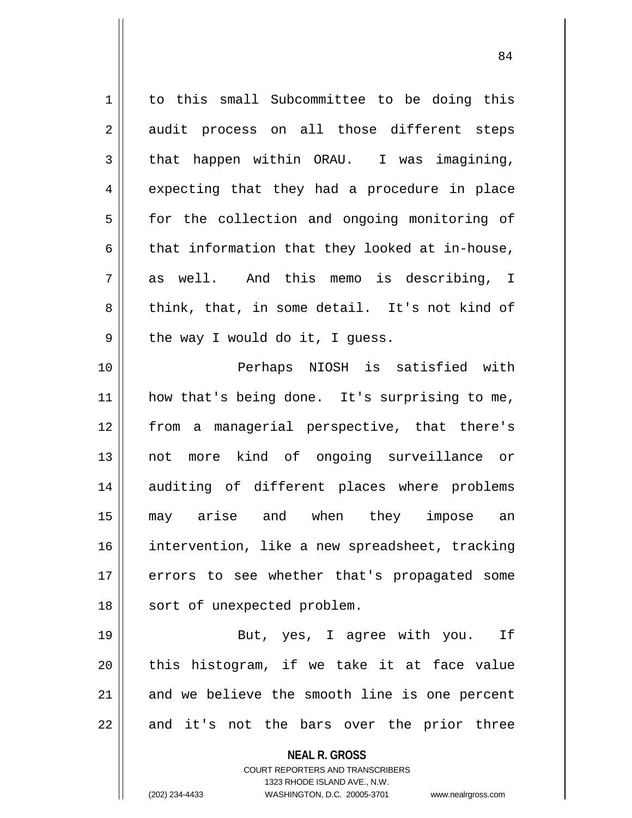| $\mathbf 1$    | to this small Subcommittee to be doing this       |
|----------------|---------------------------------------------------|
| 2              | audit process on all those different steps        |
| 3              | that happen within ORAU. I was imagining,         |
| $\overline{4}$ | expecting that they had a procedure in place      |
| 5              | for the collection and ongoing monitoring of      |
| 6              | that information that they looked at in-house,    |
| 7              | as well. And this memo is describing, I           |
| 8              | think, that, in some detail. It's not kind of     |
| 9              | the way I would do it, I guess.                   |
| 10             | Perhaps NIOSH is satisfied with                   |
| 11             | how that's being done. It's surprising to me,     |
| 12             | from a managerial perspective, that there's       |
| 13             | not more kind of ongoing surveillance or          |
| 14             | auditing of different places where problems       |
| 15             | may arise and when they impose an                 |
| 16             | intervention, like a new spreadsheet, tracking    |
| 17             | errors to see whether that's propagated some      |
| 18             | sort of unexpected problem.                       |
| 19             | But, yes, I agree with you. If                    |
| 20             | this histogram, if we take it at face value       |
| 21             | and we believe the smooth line is one percent     |
| 22             | and it's not the bars over the prior three        |
|                | <b>NEAL R. GROSS</b>                              |
|                | <b>COURT REPORTERS AND TRANSCRIBERS</b>           |
|                | 1323 RHODE ISLAND AVE., N.W.<br>(202) 234-4433    |
|                | WASHINGTON, D.C. 20005-3701<br>www.nealrgross.com |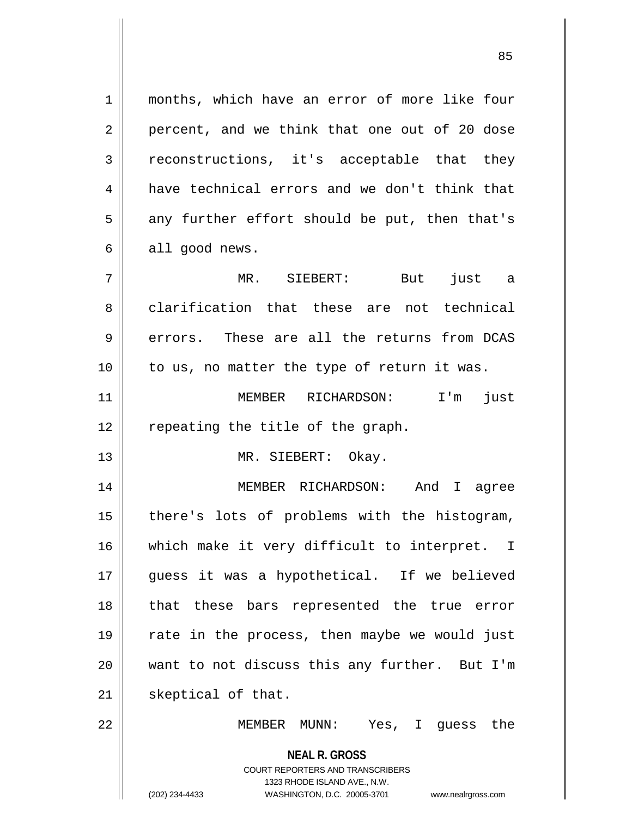1 || months, which have an error of more like four  $2 \parallel$  percent, and we think that one out of 20 dose 3 reconstructions, it's acceptable that they 4 have technical errors and we don't think that  $5 \parallel$  any further effort should be put, then that's  $6 \parallel$  all good news. 7 MR. SIEBERT: But just a

8 || clarification that these are not technical  $9 \parallel$  errors. These are all the returns from DCAS 10 to us, no matter the type of return it was.

11 MEMBER RICHARDSON: I'm just  $12$  | repeating the title of the graph.

13 || MR. SIEBERT: Okay.

14 MEMBER RICHARDSON: And I agree 15 || there's lots of problems with the histogram, 16 || which make it very difficult to interpret. I 17 guess it was a hypothetical. If we believed 18 || that these bars represented the true error 19 rate in the process, then maybe we would just 20 want to not discuss this any further. But I'm 21 | skeptical of that.

22 MEMBER MUNN: Yes, I guess the

**NEAL R. GROSS** COURT REPORTERS AND TRANSCRIBERS 1323 RHODE ISLAND AVE., N.W.

(202) 234-4433 WASHINGTON, D.C. 20005-3701 www.nealrgross.com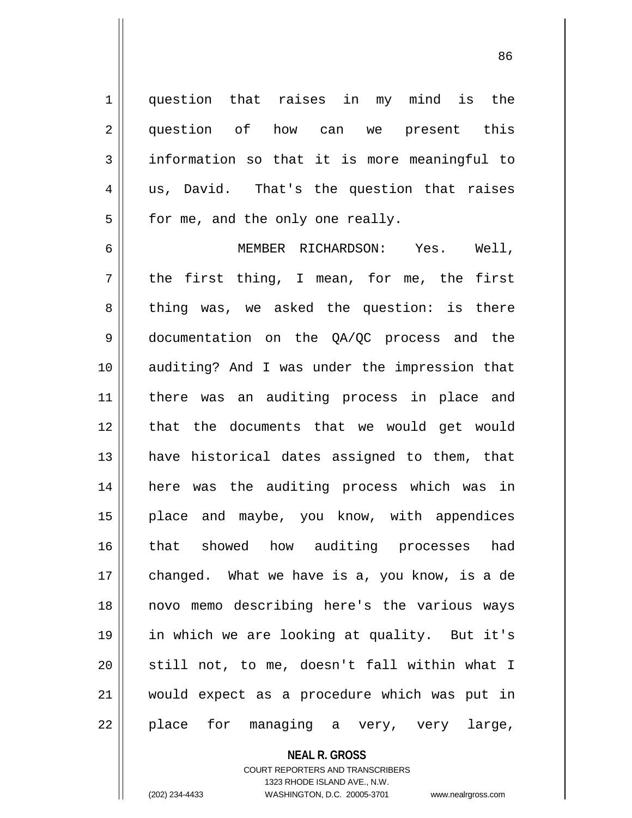1 question that raises in my mind is the 2 question of how can we present this 3 information so that it is more meaningful to 4 || us, David. That's the question that raises  $5 \parallel$  for me, and the only one really.

6 MEMBER RICHARDSON: Yes. Well,  $7 \parallel$  the first thing, I mean, for me, the first  $8 \parallel$  thing was, we asked the question: is there 9 documentation on the QA/QC process and the 10 auditing? And I was under the impression that 11 there was an auditing process in place and 12 that the documents that we would get would 13 || have historical dates assigned to them, that 14 here was the auditing process which was in 15 || place and maybe, you know, with appendices 16 || that showed how auditing processes had 17 || changed. What we have is a, you know, is a de 18 novo memo describing here's the various ways 19 in which we are looking at quality. But it's  $20$  || still not, to me, doesn't fall within what I 21 would expect as a procedure which was put in 22 || place for managing a very, very large,

#### **NEAL R. GROSS**

COURT REPORTERS AND TRANSCRIBERS 1323 RHODE ISLAND AVE., N.W. (202) 234-4433 WASHINGTON, D.C. 20005-3701 www.nealrgross.com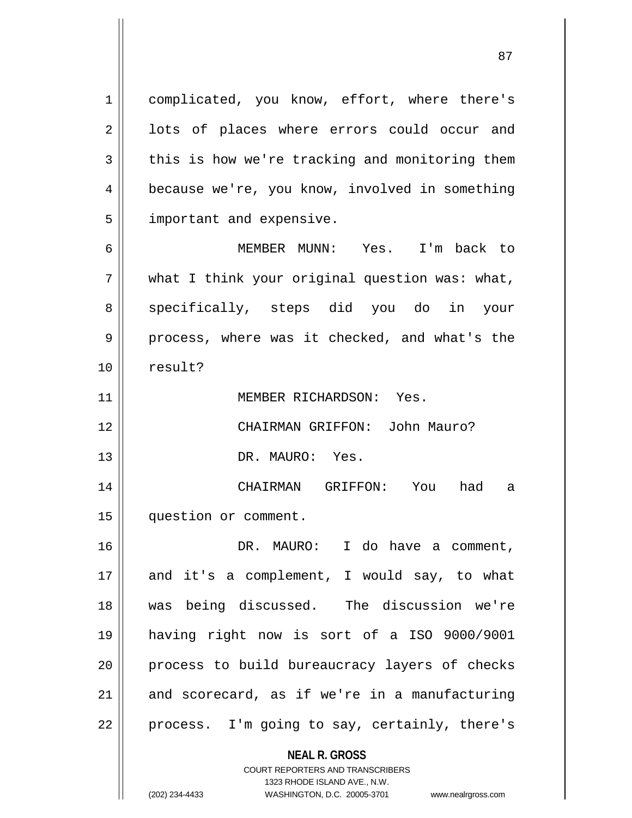1 | complicated, you know, effort, where there's 2 || lots of places where errors could occur and  $3 \parallel$  this is how we're tracking and monitoring them 4 | because we're, you know, involved in something 5 | important and expensive.

6 MEMBER MUNN: Yes. I'm back to  $7 \parallel$  what I think your original question was: what, 8 specifically, steps did you do in your  $9 \parallel$  process, where was it checked, and what's the 10 result?

11 || MEMBER RICHARDSON: Yes.

12 CHAIRMAN GRIFFON: John Mauro?

13 DR. MAURO: Yes.

14 CHAIRMAN GRIFFON: You had a 15 question or comment.

 DR. MAURO: I do have a comment, and it's a complement, I would say, to what was being discussed. The discussion we're having right now is sort of a ISO 9000/9001 20 || process to build bureaucracy layers of checks and scorecard, as if we're in a manufacturing  $22 \parallel$  process. I'm going to say, certainly, there's

> **NEAL R. GROSS** COURT REPORTERS AND TRANSCRIBERS

> > 1323 RHODE ISLAND AVE., N.W.

(202) 234-4433 WASHINGTON, D.C. 20005-3701 www.nealrgross.com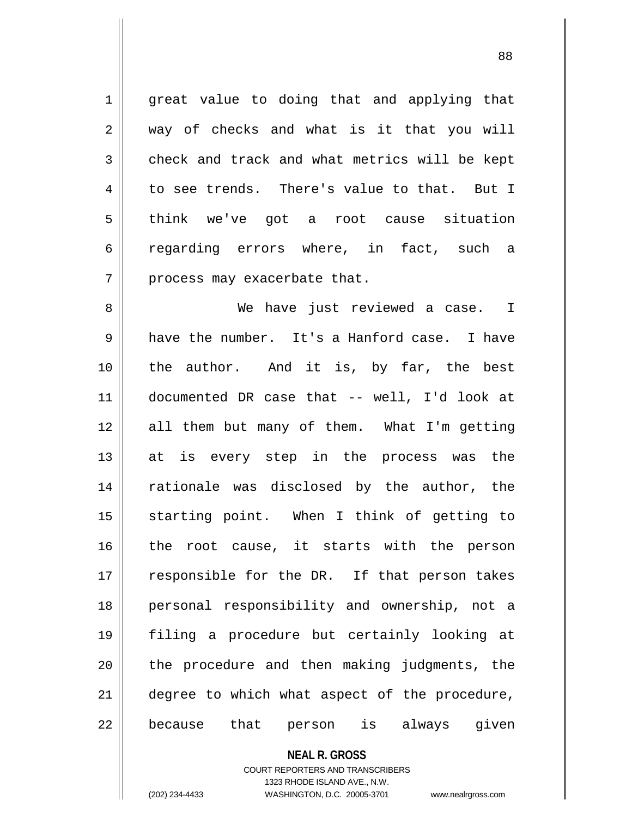1 || great value to doing that and applying that  $2 \parallel$  way of checks and what is it that you will  $3 \parallel$  check and track and what metrics will be kept  $4 \parallel$  to see trends. There's value to that. But I 5 think we've got a root cause situation 6 || regarding errors where, in fact, such a  $7$  || process may exacerbate that.

8 We have just reviewed a case. I  $9 \parallel$  have the number. It's a Hanford case. I have 10 || the author. And it is, by far, the best 11 documented DR case that -- well, I'd look at 12 all them but many of them. What I'm getting 13 at is every step in the process was the 14 || rationale was disclosed by the author, the 15 || starting point. When I think of getting to 16 || the root cause, it starts with the person  $17$   $\parallel$  responsible for the DR. If that person takes 18 personal responsibility and ownership, not a 19 filing a procedure but certainly looking at  $20$  || the procedure and then making judgments, the 21 || degree to which what aspect of the procedure, 22 || because that person is always given

## **NEAL R. GROSS**

### COURT REPORTERS AND TRANSCRIBERS 1323 RHODE ISLAND AVE., N.W. (202) 234-4433 WASHINGTON, D.C. 20005-3701 www.nealrgross.com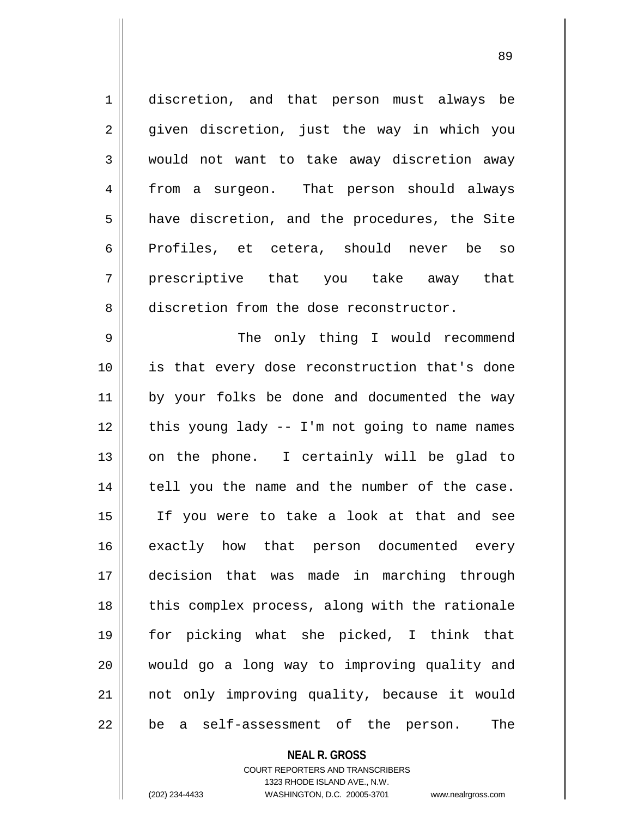discretion, and that person must always be 2 given discretion, just the way in which you would not want to take away discretion away 4 from a surgeon. That person should always have discretion, and the procedures, the Site Profiles, et cetera, should never be so prescriptive that you take away that 8 discretion from the dose reconstructor.

 The only thing I would recommend is that every dose reconstruction that's done by your folks be done and documented the way | this young lady  $-$  I'm not going to name names on the phone. I certainly will be glad to | tell you the name and the number of the case. If you were to take a look at that and see exactly how that person documented every decision that was made in marching through || this complex process, along with the rationale for picking what she picked, I think that would go a long way to improving quality and 21 || not only improving quality, because it would  $22 \parallel$  be a self-assessment of the person. The

**NEAL R. GROSS**

COURT REPORTERS AND TRANSCRIBERS 1323 RHODE ISLAND AVE., N.W. (202) 234-4433 WASHINGTON, D.C. 20005-3701 www.nealrgross.com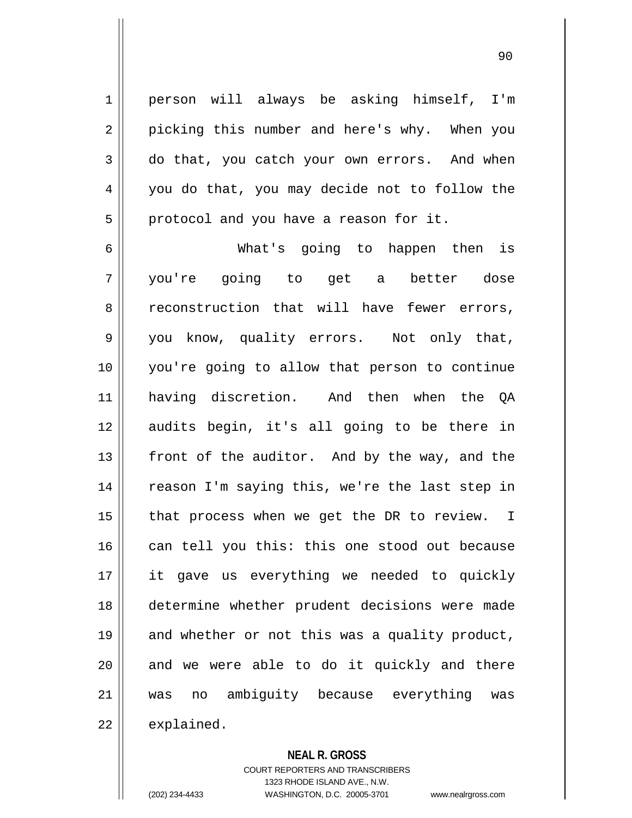1 | person will always be asking himself, I'm 2 || picking this number and here's why. When you 3 do that, you catch your own errors. And when 4 you do that, you may decide not to follow the  $5 \parallel$  protocol and you have a reason for it.

 What's going to happen then is you're going to get a better dose 8 || reconstruction that will have fewer errors, 9 || you know, quality errors. Not only that, you're going to allow that person to continue having discretion. And then when the QA audits begin, it's all going to be there in  $\parallel$  front of the auditor. And by the way, and the  $\parallel$  reason I'm saying this, we're the last step in | that process when we get the DR to review. I 16 can tell you this: this one stood out because it gave us everything we needed to quickly determine whether prudent decisions were made 19 || and whether or not this was a quality product, and we were able to do it quickly and there was no ambiguity because everything was | explained.

# **NEAL R. GROSS**

COURT REPORTERS AND TRANSCRIBERS 1323 RHODE ISLAND AVE., N.W. (202) 234-4433 WASHINGTON, D.C. 20005-3701 www.nealrgross.com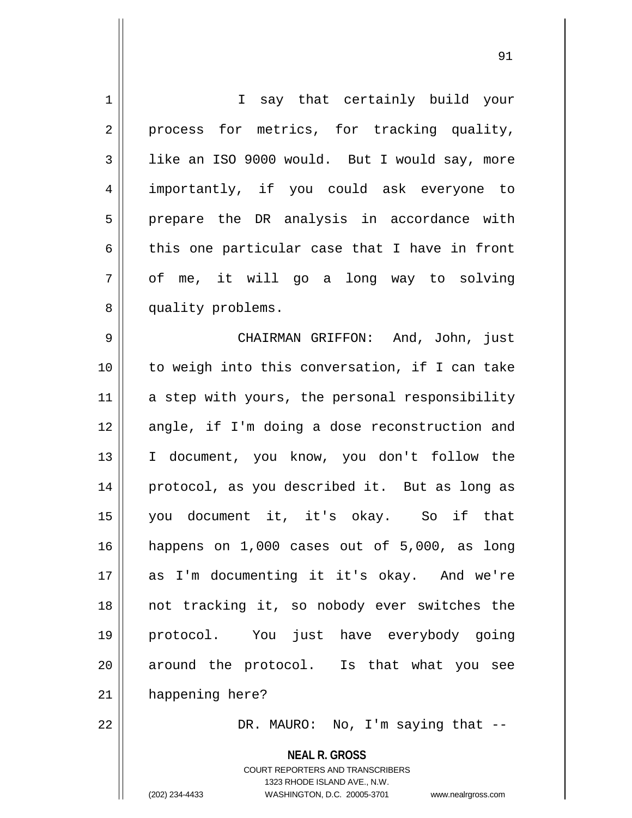| $\mathbf 1$ | I say that certainly build your                |
|-------------|------------------------------------------------|
| 2           | process for metrics, for tracking quality,     |
| 3           | like an ISO 9000 would. But I would say, more  |
| 4           | importantly, if you could ask everyone to      |
| 5           | prepare the DR analysis in accordance with     |
| 6           | this one particular case that I have in front  |
| 7           | of me, it will go a long way to solving        |
| 8           | quality problems.                              |
| 9           | CHAIRMAN GRIFFON: And, John, just              |
| 10          | to weigh into this conversation, if I can take |
| 11          | a step with yours, the personal responsibility |
| 12          | angle, if I'm doing a dose reconstruction and  |
| 13          | I document, you know, you don't follow the     |
| 14          | protocol, as you described it. But as long as  |
| 15          | you document it, it's okay. So if that         |
| 16          | happens on 1,000 cases out of 5,000, as long   |
| 17          | as I'm documenting it it's okay. And we're     |
| 18          | not tracking it, so nobody ever switches the   |
| 19          | protocol. You just have everybody going        |
| 20          | around the protocol. Is that what you see      |
| 21          | happening here?                                |
| 22          | DR. MAURO: No, I'm saying that --              |

**NEAL R. GROSS** COURT REPORTERS AND TRANSCRIBERS

1323 RHODE ISLAND AVE., N.W.

(202) 234-4433 WASHINGTON, D.C. 20005-3701 www.nealrgross.com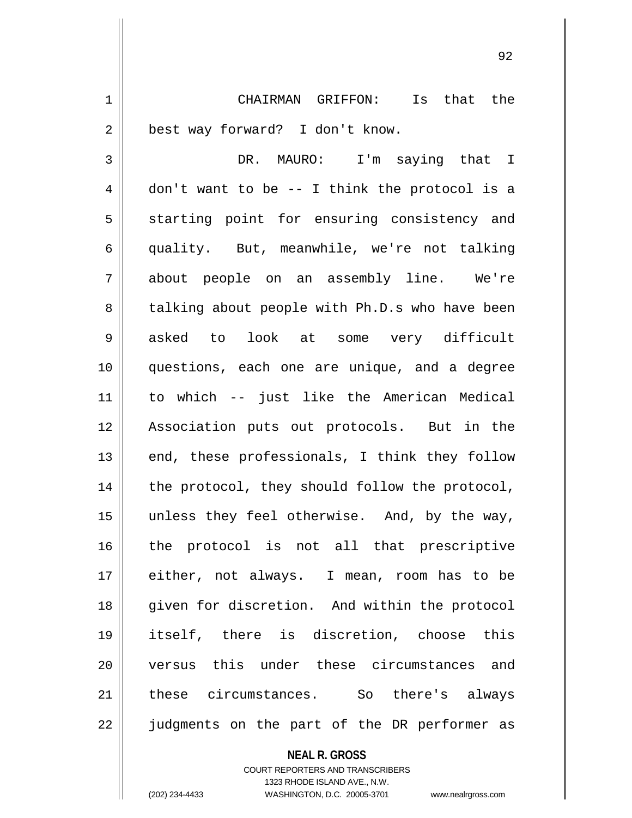1 CHAIRMAN GRIFFON: Is that the 2 | best way forward? I don't know.

3 DR. MAURO: I'm saying that I  $4 \parallel$  don't want to be -- I think the protocol is a 5 || starting point for ensuring consistency and 6 quality. But, meanwhile, we're not talking 7 about people on an assembly line. We're 8 talking about people with Ph.D.s who have been 9 asked to look at some very difficult 10 questions, each one are unique, and a degree 11 to which -- just like the American Medical 12 Association puts out protocols. But in the  $13$  || end, these professionals, I think they follow  $14$  || the protocol, they should follow the protocol, 15 || unless they feel otherwise. And, by the way, 16 the protocol is not all that prescriptive 17 either, not always. I mean, room has to be 18 || given for discretion. And within the protocol 19 itself, there is discretion, choose this 20 versus this under these circumstances and 21 || these circumstances. So there's always 22 judgments on the part of the DR performer as

**NEAL R. GROSS**

COURT REPORTERS AND TRANSCRIBERS 1323 RHODE ISLAND AVE., N.W. (202) 234-4433 WASHINGTON, D.C. 20005-3701 www.nealrgross.com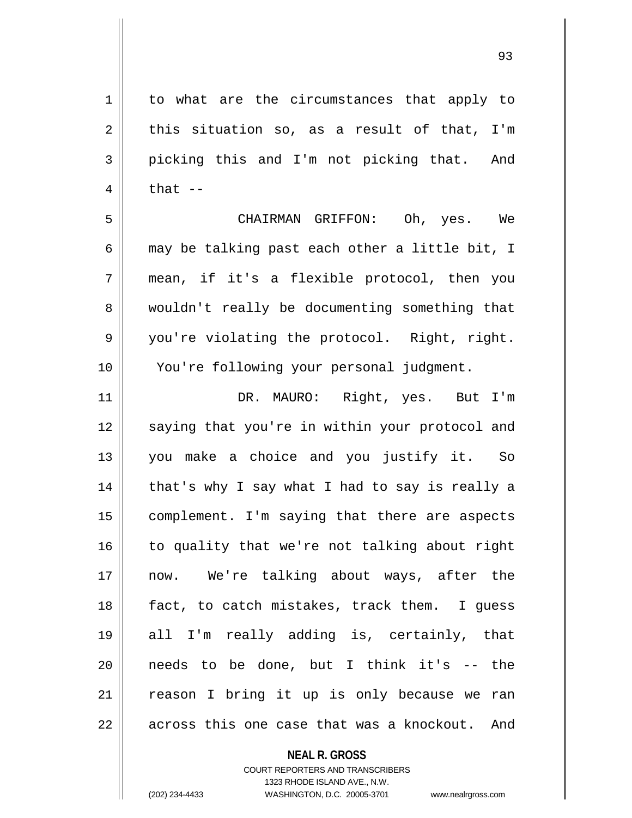1 to what are the circumstances that apply to  $2 \parallel$  this situation so, as a result of that, I'm 3 picking this and I'm not picking that. And  $4 \parallel$  that  $-$ 5 CHAIRMAN GRIFFON: Oh, yes. We

6  $\parallel$  may be talking past each other a little bit, I 7 mean, if it's a flexible protocol, then you 8 wouldn't really be documenting something that 9 || you're violating the protocol. Right, right. 10 You're following your personal judgment.

11 || DR. MAURO: Right, yes. But I'm 12 || saying that you're in within your protocol and you make a choice and you justify it. So | that's why I say what I had to say is really a 15 | complement. I'm saying that there are aspects to quality that we're not talking about right now. We're talking about ways, after the || fact, to catch mistakes, track them. I guess all I'm really adding is, certainly, that || needs to be done, but I think it's  $-$  the reason I bring it up is only because we ran  $\parallel$  across this one case that was a knockout. And

## **NEAL R. GROSS**

COURT REPORTERS AND TRANSCRIBERS 1323 RHODE ISLAND AVE., N.W. (202) 234-4433 WASHINGTON, D.C. 20005-3701 www.nealrgross.com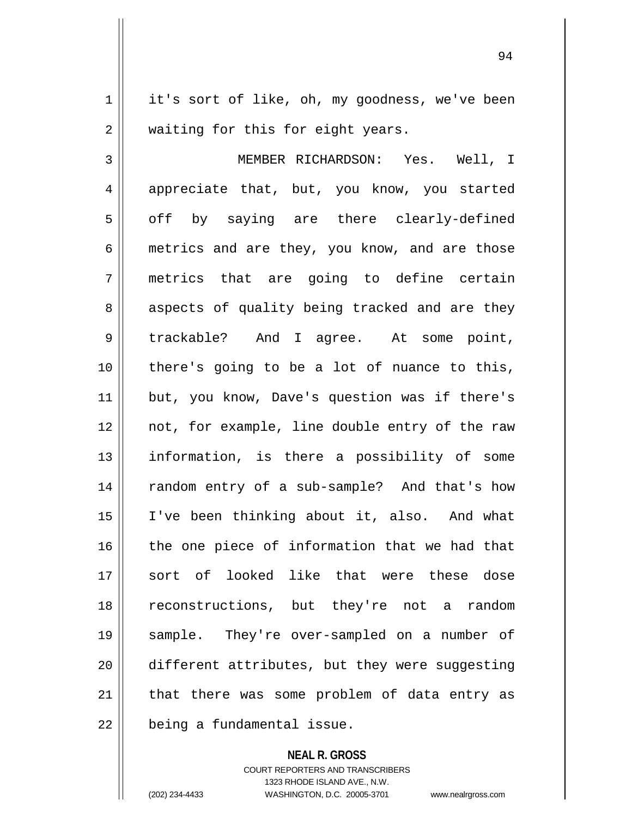1 | it's sort of like, oh, my goodness, we've been  $2 \parallel$  waiting for this for eight years.

3 MEMBER RICHARDSON: Yes. Well, I 4 appreciate that, but, you know, you started 5 || off by saying are there clearly-defined 6 metrics and are they, you know, and are those 7 metrics that are going to define certain 8 aspects of quality being tracked and are they 9 || trackable? And I agree. At some point, 10 there's going to be a lot of nuance to this, 11 but, you know, Dave's question was if there's 12 not, for example, line double entry of the raw 13 information, is there a possibility of some 14 || random entry of a sub-sample? And that's how 15 I've been thinking about it, also. And what  $16$  | the one piece of information that we had that 17 || sort of looked like that were these dose 18 reconstructions, but they're not a random 19 sample. They're over-sampled on a number of 20 different attributes, but they were suggesting  $21$  | that there was some problem of data entry as 22 | being a fundamental issue.

**NEAL R. GROSS**

COURT REPORTERS AND TRANSCRIBERS 1323 RHODE ISLAND AVE., N.W. (202) 234-4433 WASHINGTON, D.C. 20005-3701 www.nealrgross.com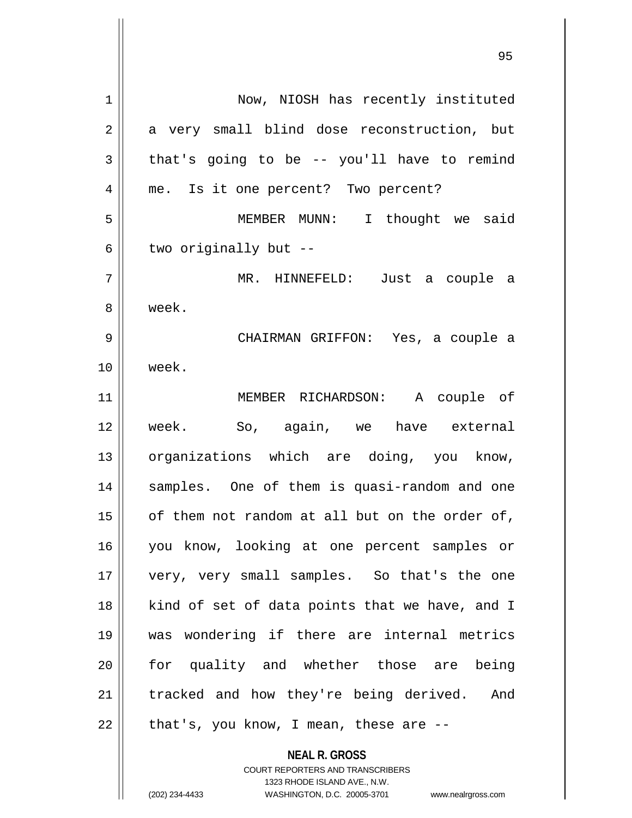| 1  | Now, NIOSH has recently instituted                                      |
|----|-------------------------------------------------------------------------|
| 2  | a very small blind dose reconstruction, but                             |
| 3  | that's going to be -- you'll have to remind                             |
| 4  | me. Is it one percent? Two percent?                                     |
| 5  | MEMBER MUNN: I thought we said                                          |
| 6  | two originally but --                                                   |
| 7  | MR. HINNEFELD: Just a couple a                                          |
| 8  | week.                                                                   |
| 9  | CHAIRMAN GRIFFON: Yes, a couple a                                       |
| 10 | week.                                                                   |
| 11 | MEMBER RICHARDSON: A couple of                                          |
| 12 | week.<br>So, again, we have external                                    |
| 13 | organizations which are doing, you know,                                |
| 14 | samples. One of them is quasi-random and one                            |
| 15 | of them not random at all but on the order of,                          |
| 16 | you know, looking at one percent samples or                             |
| 17 | very, very small samples. So that's the one                             |
| 18 | kind of set of data points that we have, and I                          |
| 19 | was wondering if there are internal metrics                             |
|    |                                                                         |
| 20 | for quality and whether those are being                                 |
| 21 | tracked and how they're being derived. And                              |
| 22 | that's, you know, I mean, these are $-$ -                               |
|    | <b>NEAL R. GROSS</b>                                                    |
|    | <b>COURT REPORTERS AND TRANSCRIBERS</b><br>1323 RHODE ISLAND AVE., N.W. |
|    | (202) 234-4433<br>WASHINGTON, D.C. 20005-3701 www.nealrgross.com        |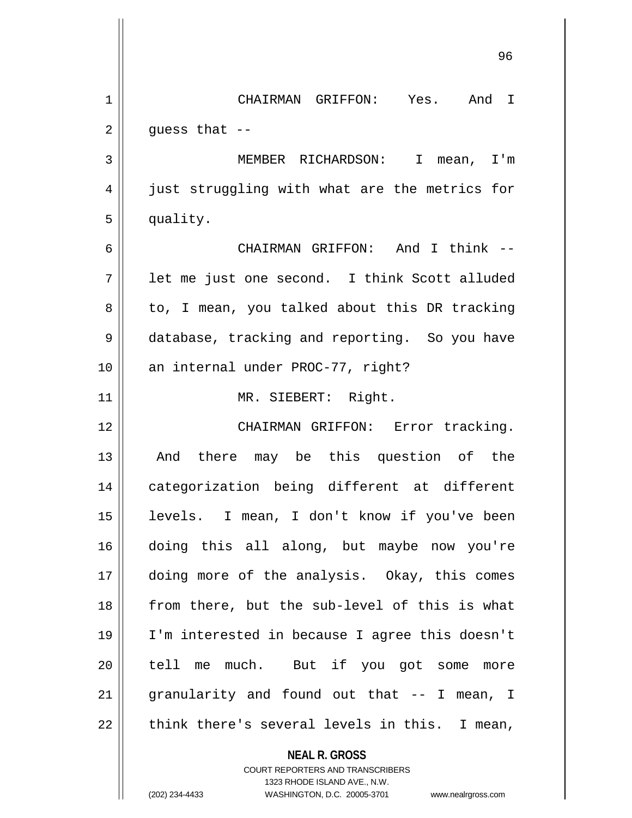|             | 96                                                                  |
|-------------|---------------------------------------------------------------------|
| $\mathbf 1$ | CHAIRMAN GRIFFON: Yes. And I                                        |
| 2           | guess that --                                                       |
| 3           | MEMBER RICHARDSON: I mean, I'm                                      |
| 4           | just struggling with what are the metrics for                       |
| 5           | quality.                                                            |
| 6           | CHAIRMAN GRIFFON: And I think --                                    |
| 7           | let me just one second. I think Scott alluded                       |
| 8           | to, I mean, you talked about this DR tracking                       |
| 9           | database, tracking and reporting. So you have                       |
| 10          | an internal under PROC-77, right?                                   |
| 11          | MR. SIEBERT: Right.                                                 |
| 12          | CHAIRMAN GRIFFON: Error tracking.                                   |
| 13          | And there may be this question of the                               |
| 14          | categorization being different at different                         |
| 15          | levels. I mean, I don't know if you've been                         |
| 16          | doing this all along, but maybe now you're                          |
| 17          | doing more of the analysis. Okay, this comes                        |
| 18          | from there, but the sub-level of this is what                       |
| 19          | I'm interested in because I agree this doesn't                      |
| 20          | tell me much. But if you got some more                              |
| 21          | granularity and found out that -- I mean, I                         |
| 22          | think there's several levels in this. I mean,                       |
|             | <b>NEAL R. GROSS</b><br>COURT REPORTERS AND TRANSCRIBERS            |
|             | 1323 RHODE ISLAND AVE., N.W.                                        |
|             | (202) 234-4433<br>WASHINGTON, D.C. 20005-3701<br>www.nealrgross.com |

 $\mathsf{l}$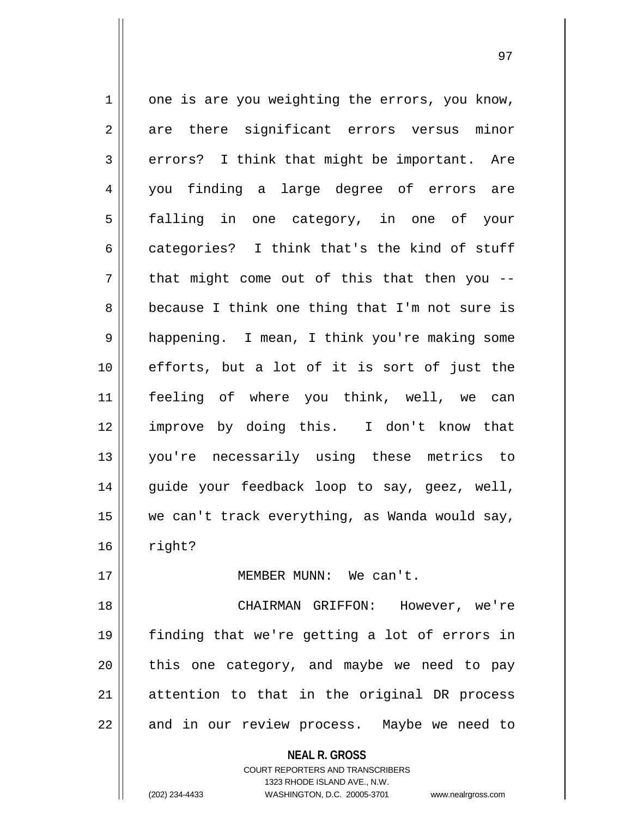$1 \parallel$  one is are you weighting the errors, you know, 2 are there significant errors versus minor  $3 \parallel$  errors? I think that might be important. Are 4 you finding a large degree of errors are 5 falling in one category, in one of your 6 categories? I think that's the kind of stuff  $7 \parallel$  that might come out of this that then you --8 || because I think one thing that I'm not sure is 9 | happening. I mean, I think you're making some 10 efforts, but a lot of it is sort of just the 11 feeling of where you think, well, we can 12 improve by doing this. I don't know that 13 you're necessarily using these metrics to 14 || guide your feedback loop to say, geez, well, 15 || we can't track everything, as Wanda would say,  $16$   $\parallel$  right? 17 MEMBER MUNN: We can't. 18 CHAIRMAN GRIFFON: However, we're 19 finding that we're getting a lot of errors in  $20$  | this one category, and maybe we need to pay 21 || attention to that in the original DR process  $22$  || and in our review process. Maybe we need to

> **NEAL R. GROSS** COURT REPORTERS AND TRANSCRIBERS

> > 1323 RHODE ISLAND AVE., N.W.

(202) 234-4433 WASHINGTON, D.C. 20005-3701 www.nealrgross.com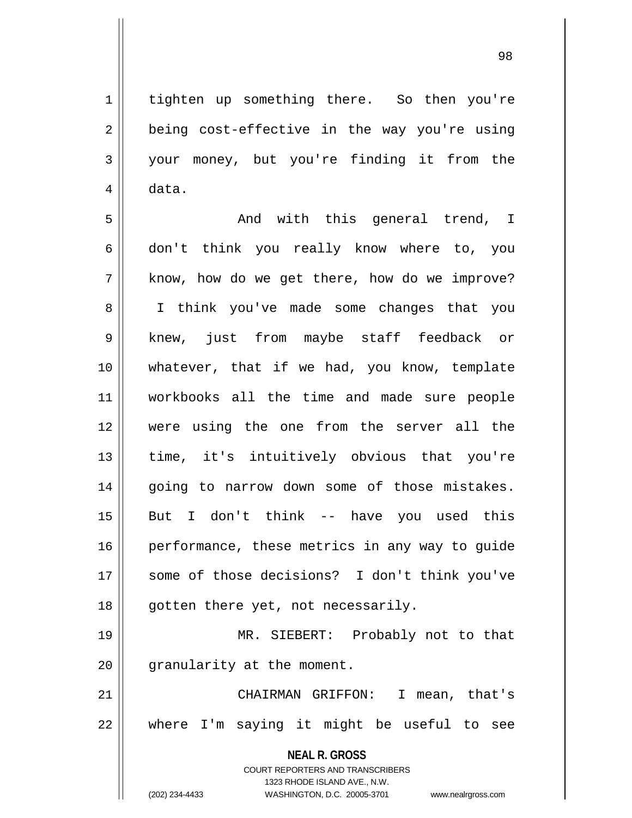98

1 | tighten up something there. So then you're  $2 \parallel$  being cost-effective in the way you're using 3 your money, but you're finding it from the 4 data.

5 And with this general trend, I 6 don't think you really know where to, you 7 || know, how do we get there, how do we improve? 8 || I think you've made some changes that you 9 knew, just from maybe staff feedback or 10 whatever, that if we had, you know, template 11 workbooks all the time and made sure people 12 were using the one from the server all the 13 || time, it's intuitively obvious that you're 14 || going to narrow down some of those mistakes. 15 But I don't think -- have you used this 16 | performance, these metrics in any way to guide 17 || some of those decisions? I don't think you've 18 || gotten there yet, not necessarily.

19 MR. SIEBERT: Probably not to that 20 || qranularity at the moment.

21 CHAIRMAN GRIFFON: I mean, that's 22 || where I'm saying it might be useful to see

> **NEAL R. GROSS** COURT REPORTERS AND TRANSCRIBERS

> > 1323 RHODE ISLAND AVE., N.W.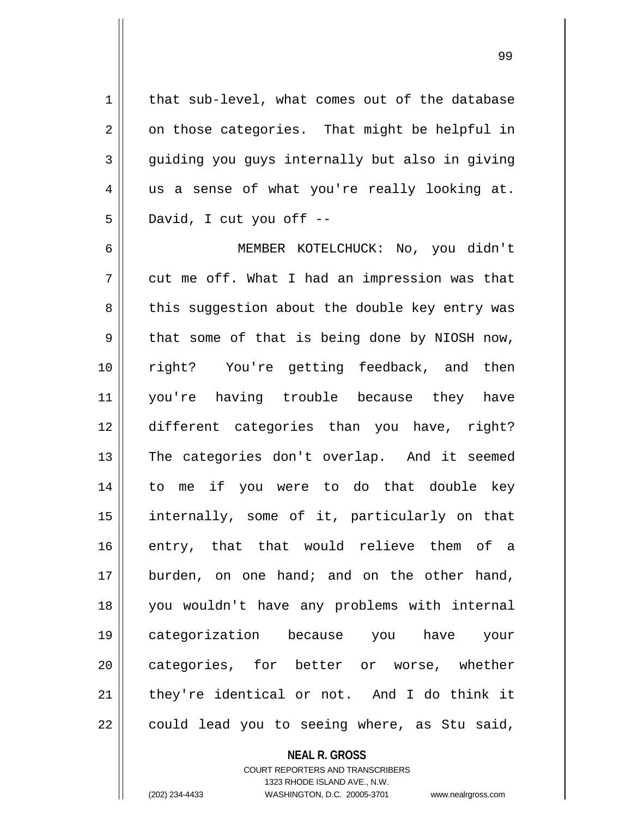$1 \parallel$  that sub-level, what comes out of the database  $2 \parallel$  on those categories. That might be helpful in  $3 \parallel$  quiding you guys internally but also in giving  $4 \parallel$  us a sense of what you're really looking at.  $5 \parallel$  David, I cut you off --

6 MEMBER KOTELCHUCK: No, you didn't  $7 \parallel$  cut me off. What I had an impression was that 8 || this suggestion about the double key entry was  $9 \parallel$  that some of that is being done by NIOSH now, 10 right? You're getting feedback, and then 11 you're having trouble because they have 12 different categories than you have, right? 13 || The categories don't overlap. And it seemed 14 to me if you were to do that double key 15 internally, some of it, particularly on that 16 entry, that that would relieve them of a 17 burden, on one hand; and on the other hand, 18 you wouldn't have any problems with internal 19 categorization because you have your 20 categories, for better or worse, whether  $21$  | they're identical or not. And I do think it  $22 \parallel$  could lead you to seeing where, as Stu said,

> **NEAL R. GROSS** COURT REPORTERS AND TRANSCRIBERS 1323 RHODE ISLAND AVE., N.W. (202) 234-4433 WASHINGTON, D.C. 20005-3701 www.nealrgross.com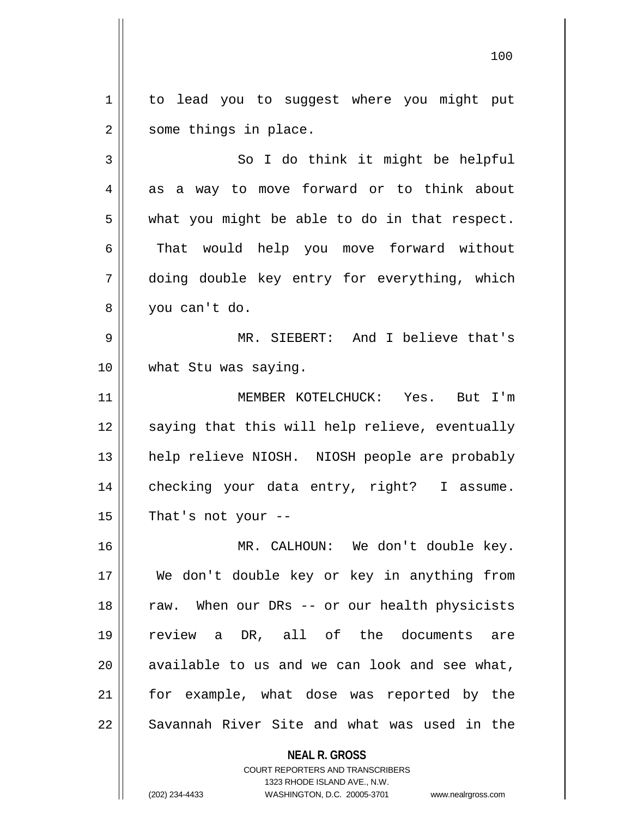1 | to lead you to suggest where you might put 2 | some things in place.

 $3 \parallel$  So I do think it might be helpful 4 as a way to move forward or to think about  $5 \parallel$  what you might be able to do in that respect. 6 || That would help you move forward without 7 doing double key entry for everything, which 8 you can't do.

9 MR. SIEBERT: And I believe that's 10 what Stu was saying.

11 MEMBER KOTELCHUCK: Yes. But I'm 12 || saying that this will help relieve, eventually 13 || help relieve NIOSH. NIOSH people are probably 14 checking your data entry, right? I assume.  $15$  | That's not your --

 MR. CALHOUN: We don't double key. We don't double key or key in anything from 18 || raw. When our DRs -- or our health physicists review a DR, all of the documents are || available to us and we can look and see what, for example, what dose was reported by the 22 Savannah River Site and what was used in the

> **NEAL R. GROSS** COURT REPORTERS AND TRANSCRIBERS 1323 RHODE ISLAND AVE., N.W. (202) 234-4433 WASHINGTON, D.C. 20005-3701 www.nealrgross.com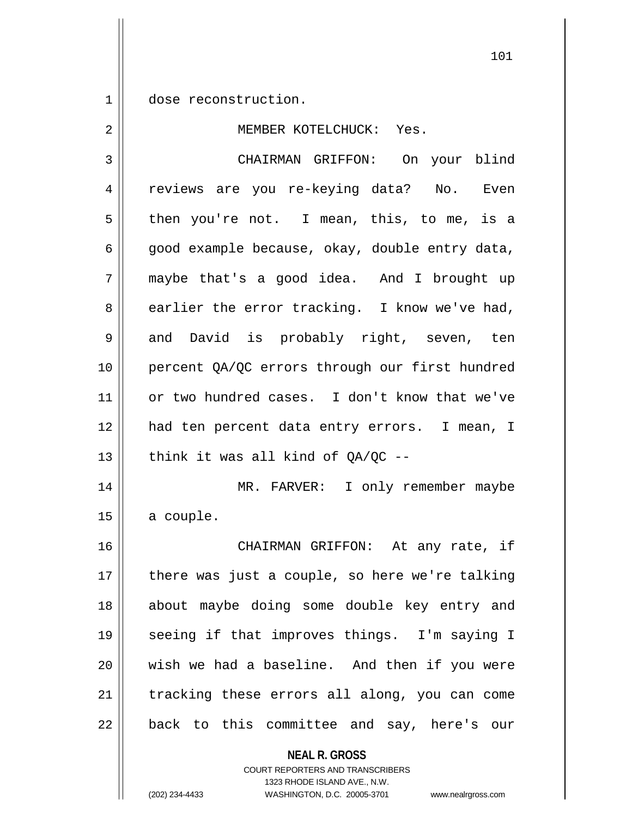1 dose reconstruction.

2 MEMBER KOTELCHUCK: Yes.

3 | CHAIRMAN GRIFFON: On your blind 4 || reviews are you re-keying data? No. Even  $5 \parallel$  then you're not. I mean, this, to me, is a  $\vert$  good example because, okay, double entry data, maybe that's a good idea. And I brought up  $8 \parallel$  earlier the error tracking. I know we've had, 9 and David is probably right, seven, ten percent QA/QC errors through our first hundred 11 || or two hundred cases. I don't know that we've had ten percent data entry errors. I mean, I  $\parallel$  think it was all kind of  $0A/OC$  -- MR. FARVER: I only remember maybe a couple. CHAIRMAN GRIFFON: At any rate, if || there was just a couple, so here we're talking about maybe doing some double key entry and seeing if that improves things. I'm saying I wish we had a baseline. And then if you were tracking these errors all along, you can come  $22 \parallel$  back to this committee and say, here's our

> **NEAL R. GROSS** COURT REPORTERS AND TRANSCRIBERS 1323 RHODE ISLAND AVE., N.W.

(202) 234-4433 WASHINGTON, D.C. 20005-3701 www.nealrgross.com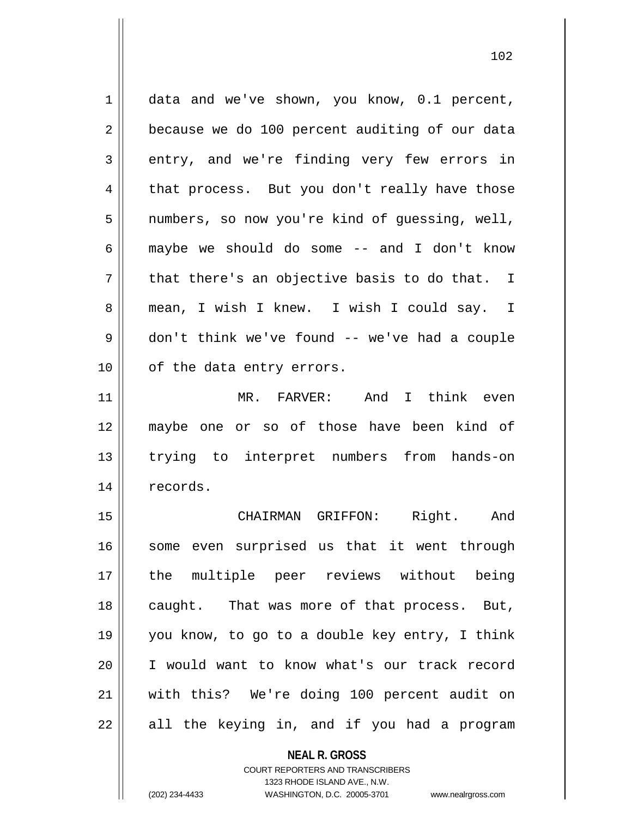1 data and we've shown, you know, 0.1 percent,  $2 \parallel$  because we do 100 percent auditing of our data  $3 \parallel$  entry, and we're finding very few errors in  $4 \parallel$  that process. But you don't really have those 5 | numbers, so now you're kind of guessing, well, 6 maybe we should do some -- and I don't know  $7 \parallel$  that there's an objective basis to do that. I 8 || mean, I wish I knew. I wish I could say. I 9 don't think we've found -- we've had a couple 10 || of the data entry errors. 11 MR. FARVER: And I think even 12 maybe one or so of those have been kind of 13 trying to interpret numbers from hands-on 14 | records. 15 CHAIRMAN GRIFFON: Right. And

16 || some even surprised us that it went through 17 the multiple peer reviews without being 18 || caught. That was more of that process. But, 19 you know, to go to a double key entry, I think 20 I would want to know what's our track record 21 with this? We're doing 100 percent audit on  $22 \parallel$  all the keying in, and if you had a program

> **NEAL R. GROSS** COURT REPORTERS AND TRANSCRIBERS

> > 1323 RHODE ISLAND AVE., N.W.

(202) 234-4433 WASHINGTON, D.C. 20005-3701 www.nealrgross.com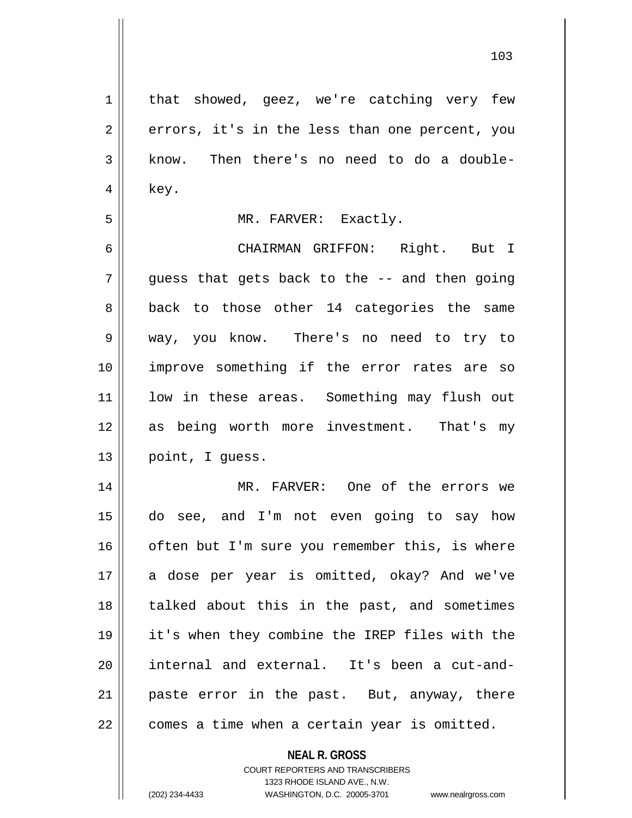1 | that showed, geez, we're catching very few  $2 \parallel$  errors, it's in the less than one percent, you 3 | know. Then there's no need to do a double- $4 \parallel$  key. 5 MR. FARVER: Exactly. 6 CHAIRMAN GRIFFON: Right. But I  $7 \parallel$  quess that gets back to the -- and then going 8 back to those other 14 categories the same 9 way, you know. There's no need to try to 10 improve something if the error rates are so 11 || low in these areas. Something may flush out 12 as being worth more investment. That's my 13 || point, I guess. 14 MR. FARVER: One of the errors we 15 do see, and I'm not even going to say how  $16$  | often but I'm sure you remember this, is where 17 a dose per year is omitted, okay? And we've 18 || talked about this in the past, and sometimes 19 it's when they combine the IREP files with the 20 internal and external. It's been a cut-and- $21$  | paste error in the past. But, anyway, there  $22$  | comes a time when a certain year is omitted.

> COURT REPORTERS AND TRANSCRIBERS 1323 RHODE ISLAND AVE., N.W.

**NEAL R. GROSS**

(202) 234-4433 WASHINGTON, D.C. 20005-3701 www.nealrgross.com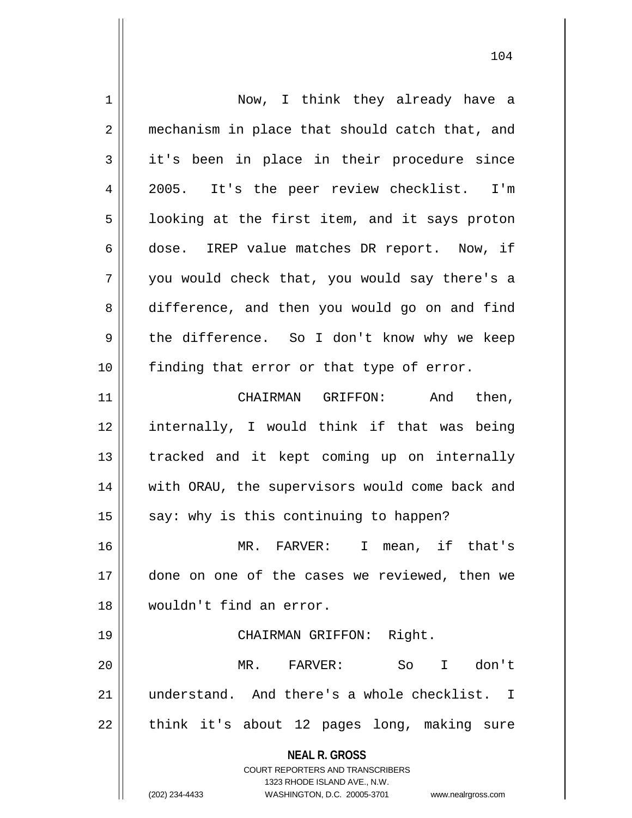| 1  | Now, I think they already have a                                                                                                                                |
|----|-----------------------------------------------------------------------------------------------------------------------------------------------------------------|
| 2  | mechanism in place that should catch that, and                                                                                                                  |
| 3  | it's been in place in their procedure since                                                                                                                     |
| 4  | 2005. It's the peer review checklist. I'm                                                                                                                       |
| 5  | looking at the first item, and it says proton                                                                                                                   |
| 6  | dose. IREP value matches DR report. Now, if                                                                                                                     |
| 7  | you would check that, you would say there's a                                                                                                                   |
| 8  | difference, and then you would go on and find                                                                                                                   |
| 9  | the difference. So I don't know why we keep                                                                                                                     |
| 10 | finding that error or that type of error.                                                                                                                       |
| 11 | CHAIRMAN GRIFFON:<br>And then,                                                                                                                                  |
| 12 | internally, I would think if that was being                                                                                                                     |
| 13 | tracked and it kept coming up on internally                                                                                                                     |
| 14 | with ORAU, the supervisors would come back and                                                                                                                  |
| 15 | say: why is this continuing to happen?                                                                                                                          |
| 16 | MR. FARVER: I mean, if that's                                                                                                                                   |
| 17 | done on one of the cases we reviewed, then we                                                                                                                   |
| 18 | wouldn't find an error.                                                                                                                                         |
| 19 | CHAIRMAN GRIFFON: Right.                                                                                                                                        |
| 20 | don't<br>MR. FARVER:<br>So I                                                                                                                                    |
| 21 | understand. And there's a whole checklist. I                                                                                                                    |
| 22 | think it's about 12 pages long, making sure                                                                                                                     |
|    | <b>NEAL R. GROSS</b><br>COURT REPORTERS AND TRANSCRIBERS<br>1323 RHODE ISLAND AVE., N.W.<br>(202) 234-4433<br>WASHINGTON, D.C. 20005-3701<br>www.nealrgross.com |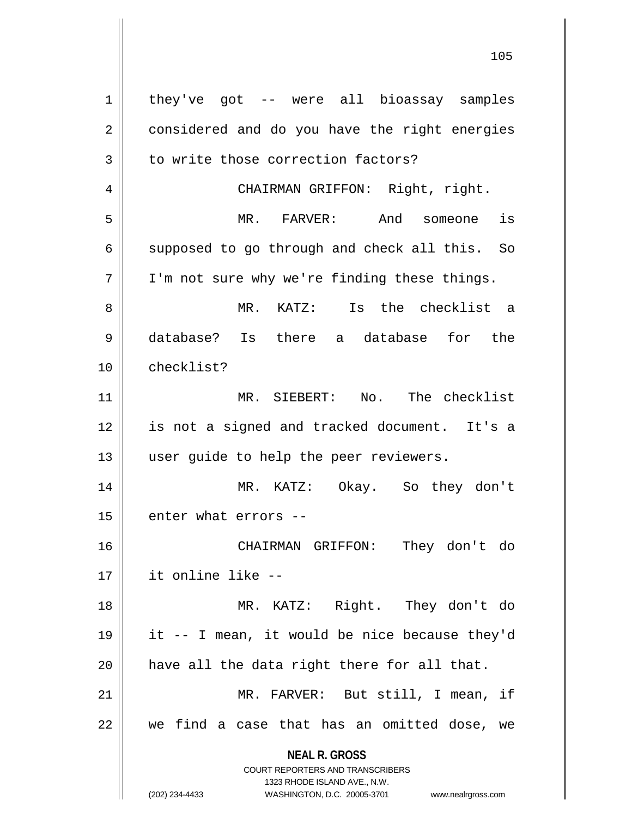**NEAL R. GROSS** COURT REPORTERS AND TRANSCRIBERS 1323 RHODE ISLAND AVE., N.W. (202) 234-4433 WASHINGTON, D.C. 20005-3701 www.nealrgross.com  $1 \parallel$  they've got -- were all bioassay samples 2 | considered and do you have the right energies  $3 \parallel$  to write those correction factors? 4 || CHAIRMAN GRIFFON: Right, right. 5 MR. FARVER: And someone is  $6 \parallel$  supposed to go through and check all this. So  $7 \parallel$  I'm not sure why we're finding these things. 8 MR. KATZ: Is the checklist a 9 database? Is there a database for the 10 checklist? 11 MR. SIEBERT: No. The checklist 12 is not a signed and tracked document. It's a 13 || user guide to help the peer reviewers. 14 MR. KATZ: Okay. So they don't  $15$  | enter what errors --16 CHAIRMAN GRIFFON: They don't do 17 it online like -- 18 MR. KATZ: Right. They don't do 19 it -- I mean, it would be nice because they'd  $20$  | have all the data right there for all that. 21 MR. FARVER: But still, I mean, if  $22$  we find a case that has an omitted dose, we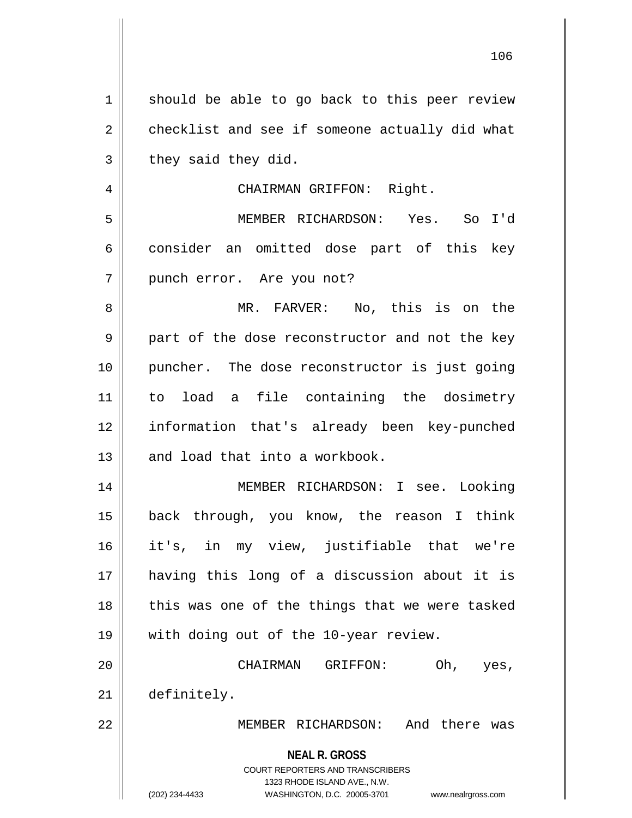| $1\,$          | should be able to go back to this peer review                                                                                                                          |
|----------------|------------------------------------------------------------------------------------------------------------------------------------------------------------------------|
| $\overline{2}$ | checklist and see if someone actually did what                                                                                                                         |
| 3              | they said they did.                                                                                                                                                    |
| 4              | CHAIRMAN GRIFFON: Right.                                                                                                                                               |
| 5              | MEMBER RICHARDSON: Yes. So I'd                                                                                                                                         |
| 6              | consider an omitted dose part of this key                                                                                                                              |
| 7              | punch error. Are you not?                                                                                                                                              |
| 8              | MR. FARVER: No, this is on the                                                                                                                                         |
| 9              | part of the dose reconstructor and not the key                                                                                                                         |
| 10             | puncher. The dose reconstructor is just going                                                                                                                          |
| 11             | to load a file containing the dosimetry                                                                                                                                |
| 12             | information that's already been key-punched                                                                                                                            |
| 13             | and load that into a workbook.                                                                                                                                         |
| 14             | MEMBER RICHARDSON: I see. Looking                                                                                                                                      |
| 15             | back through, you know, the reason I think                                                                                                                             |
| 16             | it's, in my view, justifiable that we're                                                                                                                               |
| 17             | having this long of a discussion about it is                                                                                                                           |
| 18             | this was one of the things that we were tasked                                                                                                                         |
| 19             | with doing out of the 10-year review.                                                                                                                                  |
| 20             | Oh,<br>CHAIRMAN<br>GRIFFON:<br>yes,                                                                                                                                    |
| 21             | definitely.                                                                                                                                                            |
| 22             | MEMBER RICHARDSON: And there was                                                                                                                                       |
|                | <b>NEAL R. GROSS</b><br><b>COURT REPORTERS AND TRANSCRIBERS</b><br>1323 RHODE ISLAND AVE., N.W.<br>WASHINGTON, D.C. 20005-3701<br>(202) 234-4433<br>www.nealrgross.com |

 $\mathsf{I}$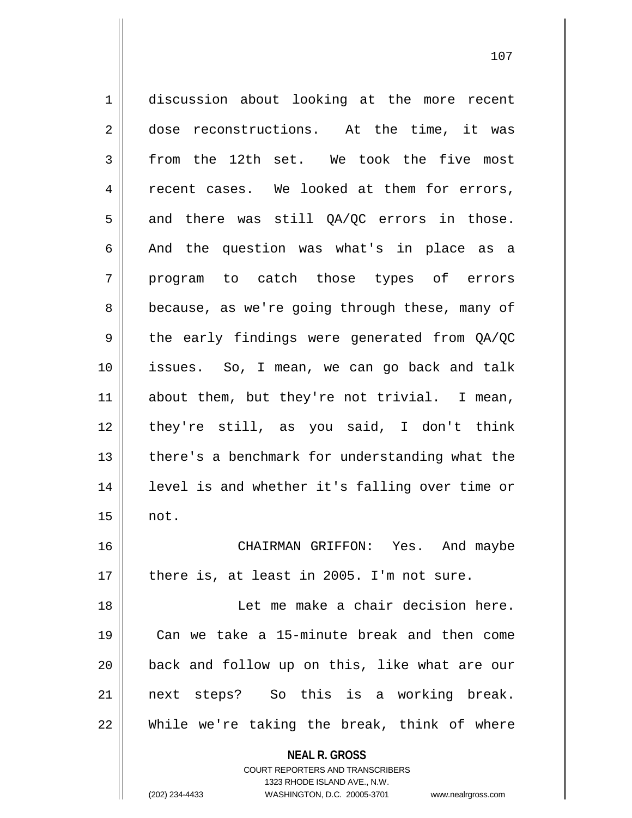**NEAL R. GROSS** 1 discussion about looking at the more recent 2 dose reconstructions. At the time, it was  $3 \parallel$  from the 12th set. We took the five most 4 || recent cases. We looked at them for errors,  $5 \parallel$  and there was still QA/QC errors in those.  $6 \parallel$  And the question was what's in place as a 7 program to catch those types of errors 8 || because, as we're going through these, many of  $9 \parallel$  the early findings were generated from QA/QC 10 issues. So, I mean, we can go back and talk 11 about them, but they're not trivial. I mean, 12 they're still, as you said, I don't think 13 || there's a benchmark for understanding what the 14 || level is and whether it's falling over time or  $15$  || not. 16 CHAIRMAN GRIFFON: Yes. And maybe  $17$  | there is, at least in 2005. I'm not sure. 18 Let me make a chair decision here. 19 Can we take a 15-minute break and then come 20 back and follow up on this, like what are our 21 next steps? So this is a working break.  $22$  While we're taking the break, think of where

> COURT REPORTERS AND TRANSCRIBERS 1323 RHODE ISLAND AVE., N.W.

(202) 234-4433 WASHINGTON, D.C. 20005-3701 www.nealrgross.com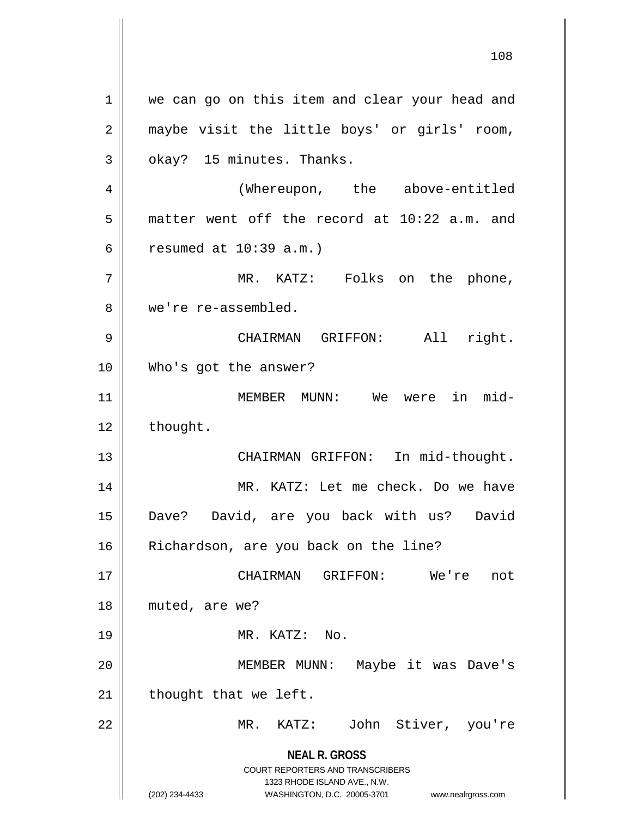**NEAL R. GROSS** COURT REPORTERS AND TRANSCRIBERS 1323 RHODE ISLAND AVE., N.W. (202) 234-4433 WASHINGTON, D.C. 20005-3701 www.nealrgross.com 1 || we can go on this item and clear your head and 2 || maybe visit the little boys' or girls' room, 3 | okay? 15 minutes. Thanks. 4 (Whereupon, the above-entitled  $5 \parallel$  matter went off the record at 10:22 a.m. and 6 | resumed at  $10:39$  a.m.) 7 MR. KATZ: Folks on the phone, 8 we're re-assembled. 9 CHAIRMAN GRIFFON: All right. 10 Who's got the answer? 11 || MEMBER MUNN: We were in mid-12 | thought. 13 || CHAIRMAN GRIFFON: In mid-thought. 14 MR. KATZ: Let me check. Do we have 15 Dave? David, are you back with us? David 16 | Richardson, are you back on the line? 17 CHAIRMAN GRIFFON: We're not 18 || muted, are we? 19 MR. KATZ: No. 20 MEMBER MUNN: Maybe it was Dave's  $21$  | thought that we left. 22 MR. KATZ: John Stiver, you're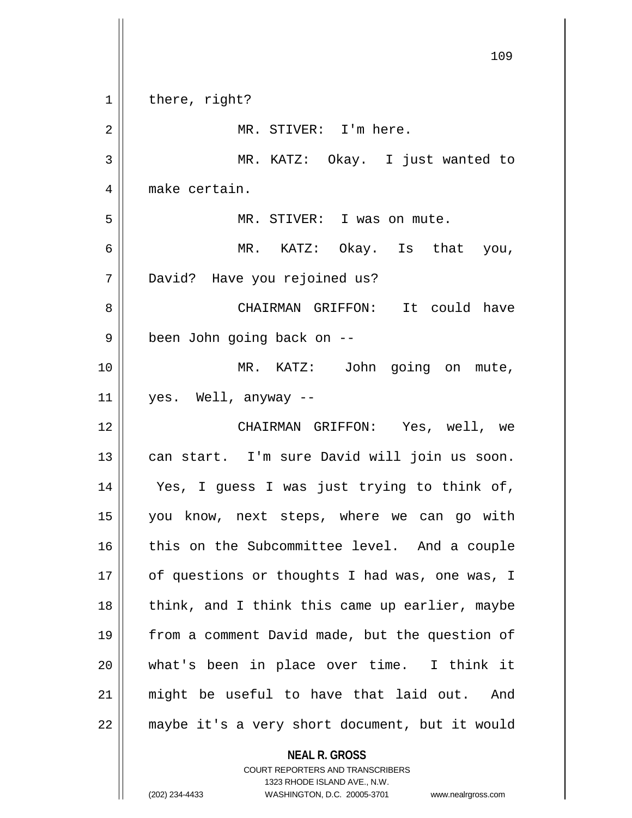109  $1 ||$  there, right? 2 || MR. STIVER: I'm here. MR. KATZ: Okay. I just wanted to make certain. MR. STIVER: I was on mute. MR. KATZ: Okay. Is that you, David? Have you rejoined us? CHAIRMAN GRIFFON: It could have 9 || been John going back on -- MR. KATZ: John going on mute, | yes. Well, anyway -- CHAIRMAN GRIFFON: Yes, well, we 13 || can start. I'm sure David will join us soon. Yes, I guess I was just trying to think of, you know, next steps, where we can go with 16 || this on the Subcommittee level. And a couple 17 | of questions or thoughts I had was, one was, I 18 || think, and I think this came up earlier, maybe from a comment David made, but the question of what's been in place over time. I think it might be useful to have that laid out. And maybe it's a very short document, but it would

> **NEAL R. GROSS** COURT REPORTERS AND TRANSCRIBERS 1323 RHODE ISLAND AVE., N.W.

(202) 234-4433 WASHINGTON, D.C. 20005-3701 www.nealrgross.com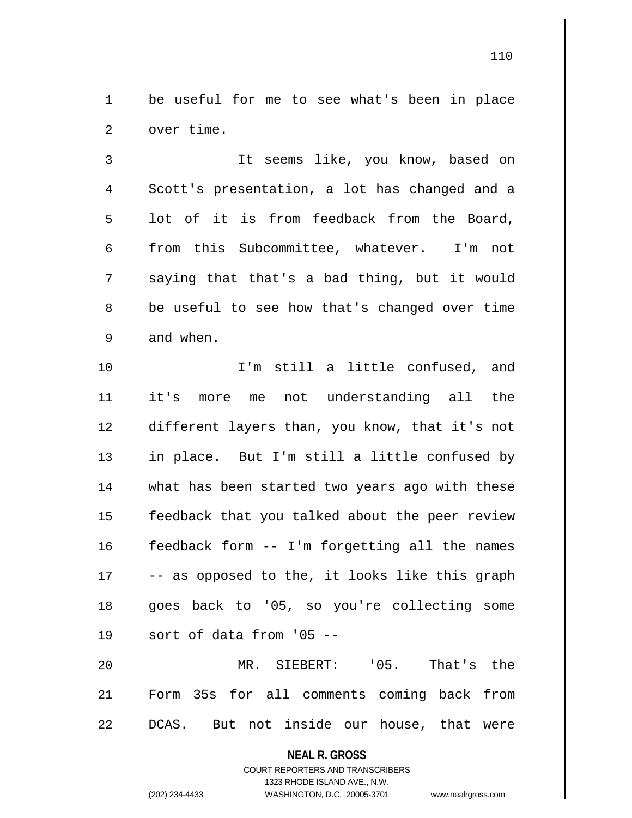1 || be useful for me to see what's been in place  $2 \parallel$  over time.

3 It seems like, you know, based on  $4 \parallel$  Scott's presentation, a lot has changed and a  $5 \parallel$  lot of it is from feedback from the Board, 6 || from this Subcommittee, whatever. I'm not  $7 \parallel$  saying that that's a bad thing, but it would  $8 \parallel$  be useful to see how that's changed over time  $9 \parallel$  and when.

 I'm still a little confused, and it's more me not understanding all the different layers than, you know, that it's not  $\parallel$  in place. But I'm still a little confused by 14 || what has been started two years ago with these 15 | feedback that you talked about the peer review feedback form -- I'm forgetting all the names  $17 \parallel$  -- as opposed to the, it looks like this graph goes back to '05, so you're collecting some || sort of data from '05 --MR. SIEBERT: '05. That's the

21 Form 35s for all comments coming back from 22 || DCAS. But not inside our house, that were

> **NEAL R. GROSS** COURT REPORTERS AND TRANSCRIBERS

1323 RHODE ISLAND AVE., N.W. (202) 234-4433 WASHINGTON, D.C. 20005-3701 www.nealrgross.com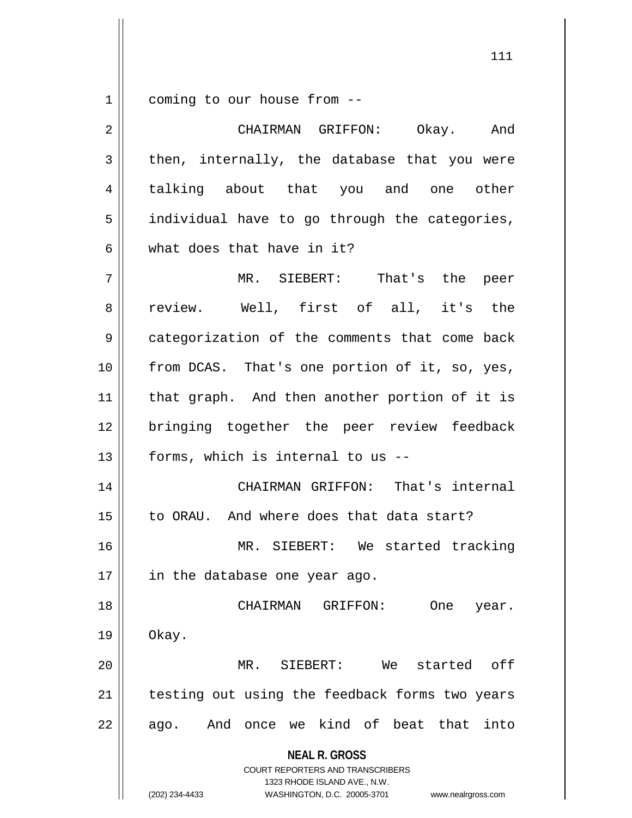$1 \parallel$  coming to our house from --

| $\overline{2}$ | CHAIRMAN GRIFFON: Okay. And                                                                                                                                            |
|----------------|------------------------------------------------------------------------------------------------------------------------------------------------------------------------|
| 3              | then, internally, the database that you were                                                                                                                           |
| 4              | talking about that you and one other                                                                                                                                   |
| 5              | individual have to go through the categories,                                                                                                                          |
| 6              | what does that have in it?                                                                                                                                             |
| 7              | MR. SIEBERT: That's the peer                                                                                                                                           |
| 8              | review. Well, first of all, it's the                                                                                                                                   |
| 9              | categorization of the comments that come back                                                                                                                          |
| 10             | from DCAS. That's one portion of it, so, yes,                                                                                                                          |
| 11             | that graph. And then another portion of it is                                                                                                                          |
| 12             | bringing together the peer review feedback                                                                                                                             |
| 13             | forms, which is internal to us --                                                                                                                                      |
| 14             | CHAIRMAN GRIFFON: That's internal                                                                                                                                      |
| 15             | to ORAU. And where does that data start?                                                                                                                               |
| 16             | MR. SIEBERT: We started tracking                                                                                                                                       |
| 17             | in the database one year ago.                                                                                                                                          |
| 18             | CHAIRMAN<br>GRIFFON:<br>One<br>year.                                                                                                                                   |
| 19             | Okay.                                                                                                                                                                  |
| 20             | SIEBERT:<br>started off<br>MR.<br>We                                                                                                                                   |
| 21             | testing out using the feedback forms two years                                                                                                                         |
| 22             | once we kind of beat that into<br>And<br>ago.                                                                                                                          |
|                | <b>NEAL R. GROSS</b><br><b>COURT REPORTERS AND TRANSCRIBERS</b><br>1323 RHODE ISLAND AVE., N.W.<br>(202) 234-4433<br>WASHINGTON, D.C. 20005-3701<br>www.nealrgross.com |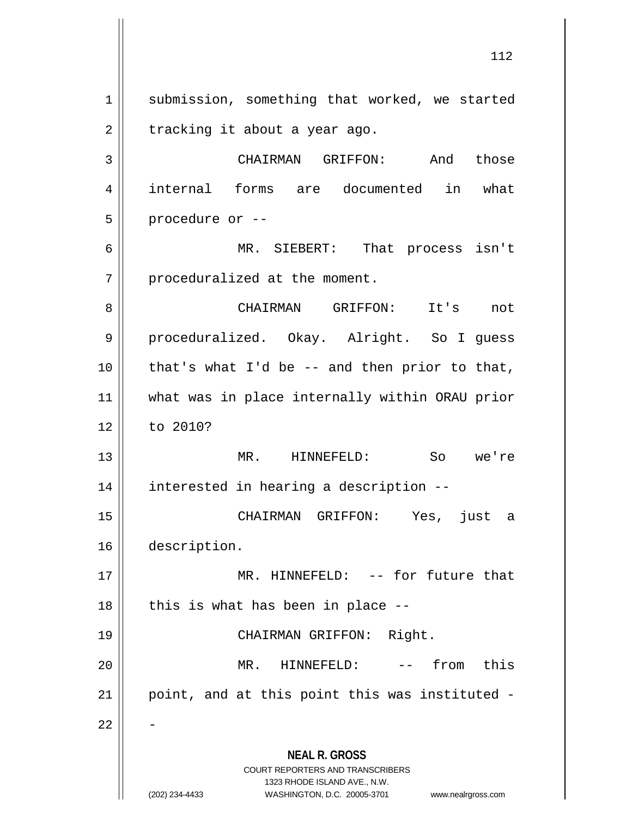**NEAL R. GROSS** COURT REPORTERS AND TRANSCRIBERS 1323 RHODE ISLAND AVE., N.W. 1 || submission, something that worked, we started  $2 \parallel$  tracking it about a year ago. CHAIRMAN GRIFFON: And those internal forms are documented in what || procedure or  $-$  MR. SIEBERT: That process isn't 7 || proceduralized at the moment. CHAIRMAN GRIFFON: It's not proceduralized. Okay. Alright. So I guess | that's what I'd be -- and then prior to that, what was in place internally within ORAU prior 12 to 2010? MR. HINNEFELD: So we're interested in hearing a description -- CHAIRMAN GRIFFON: Yes, just a description. MR. HINNEFELD: -- for future that | this is what has been in place -- CHAIRMAN GRIFFON: Right. MR. HINNEFELD: -- from this | point, and at this point this was instituted -

<sup>(202) 234-4433</sup> WASHINGTON, D.C. 20005-3701 www.nealrgross.com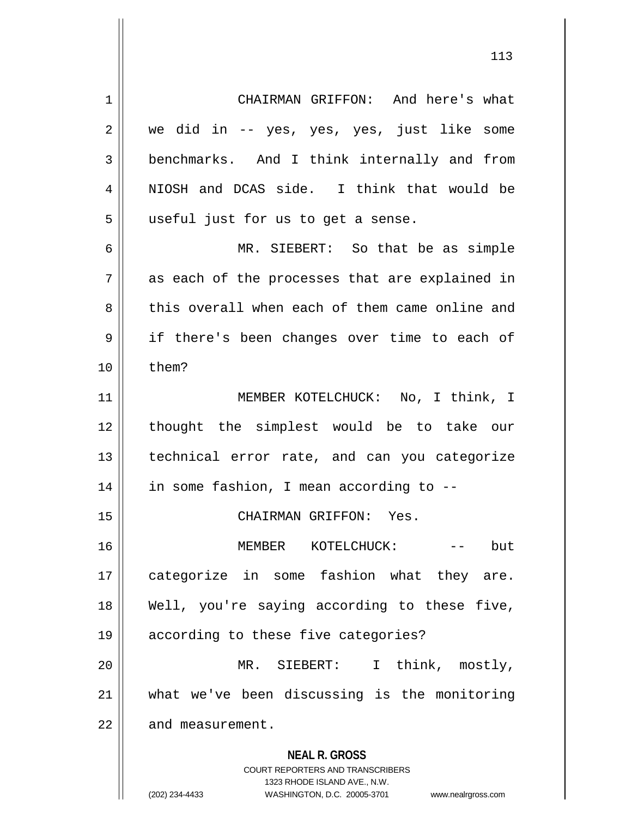**NEAL R. GROSS** COURT REPORTERS AND TRANSCRIBERS 1323 RHODE ISLAND AVE., N.W. 1 CHAIRMAN GRIFFON: And here's what 2 we did in -- yes, yes, yes, just like some 3 benchmarks. And I think internally and from 4 || NIOSH and DCAS side. I think that would be  $5 \parallel$  useful just for us to get a sense. 6 MR. SIEBERT: So that be as simple  $7 \parallel$  as each of the processes that are explained in 8 this overall when each of them came online and 9 if there's been changes over time to each of  $10 \parallel$  them? 11 || **MEMBER KOTELCHUCK:** No, I think, I 12 thought the simplest would be to take our 13 technical error rate, and can you categorize 14 in some fashion, I mean according to -- 15 || CHAIRMAN GRIFFON: Yes. 16 MEMBER KOTELCHUCK: -- but 17 categorize in some fashion what they are. 18 Well, you're saying according to these five, 19 || according to these five categories? 20 MR. SIEBERT: I think, mostly, 21 what we've been discussing is the monitoring 22 | and measurement.

(202) 234-4433 WASHINGTON, D.C. 20005-3701 www.nealrgross.com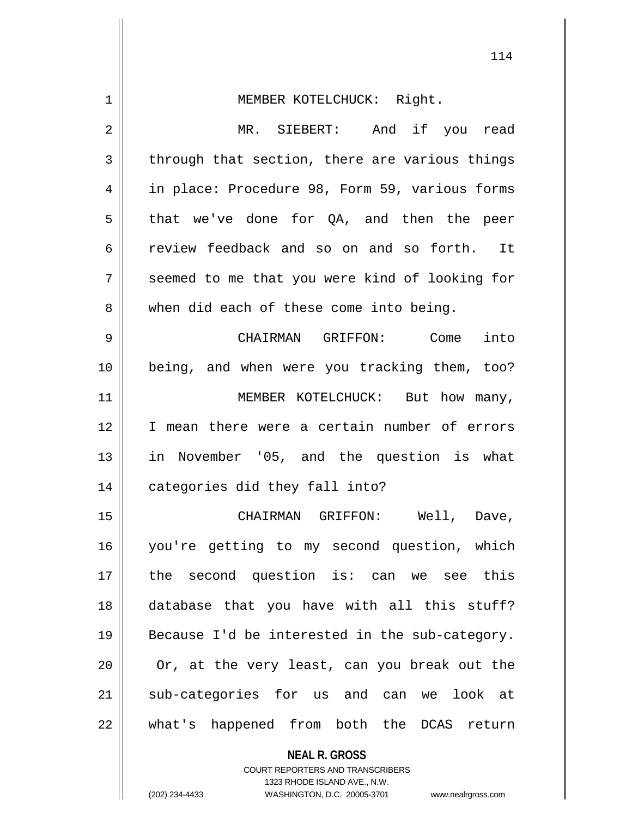| 1  | MEMBER KOTELCHUCK: Right.                                |
|----|----------------------------------------------------------|
| 2  | MR. SIEBERT: And if you read                             |
| 3  | through that section, there are various things           |
| 4  | in place: Procedure 98, Form 59, various forms           |
| 5  | that we've done for QA, and then the peer                |
| 6  | review feedback and so on and so forth. It               |
| 7  | seemed to me that you were kind of looking for           |
| 8  | when did each of these come into being.                  |
| 9  | CHAIRMAN GRIFFON: Come into                              |
| 10 | being, and when were you tracking them, too?             |
| 11 | MEMBER KOTELCHUCK: But how many,                         |
| 12 | I mean there were a certain number of errors             |
| 13 | in November '05, and the question is what                |
| 14 | categories did they fall into?                           |
| 15 | CHAIRMAN GRIFFON: Well, Dave,                            |
| 16 | you're getting to my second question, which              |
| 17 | the second question is: can we see this                  |
| 18 | database that you have with all this stuff?              |
| 19 | Because I'd be interested in the sub-category.           |
| 20 | Or, at the very least, can you break out the             |
| 21 | sub-categories for us and can we look at                 |
| 22 | what's happened from both the DCAS return                |
|    | <b>NEAL R. GROSS</b><br>COURT REPORTERS AND TRANSCRIBERS |

1323 RHODE ISLAND AVE., N.W.

 $\overline{\phantom{a}}$  $\prod_{i=1}^{n}$ 

(202) 234-4433 WASHINGTON, D.C. 20005-3701 www.nealrgross.com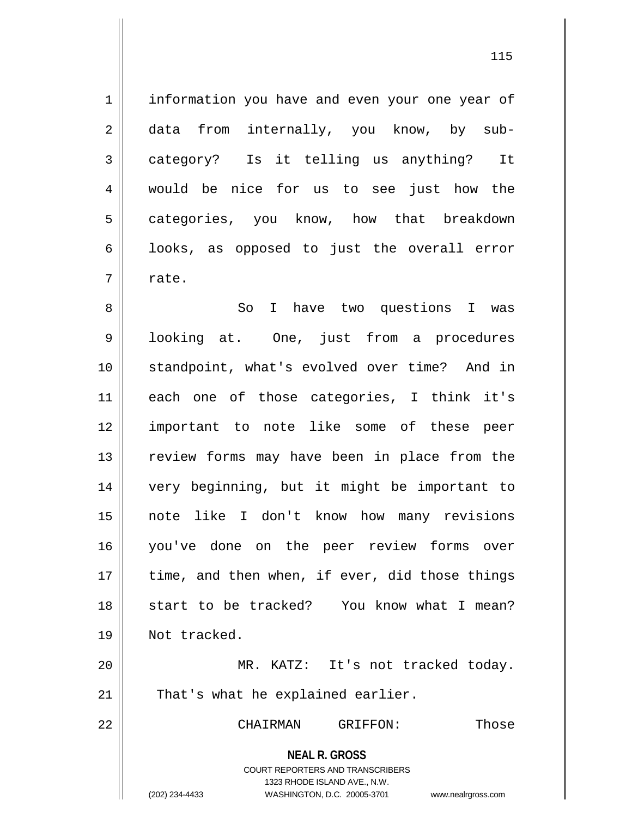1 | information you have and even your one year of 2 data from internally, you know, by sub-3 category? Is it telling us anything? It 4 would be nice for us to see just how the 5 | categories, you know, how that breakdown  $6 \parallel$  looks, as opposed to just the overall error  $7 \parallel$  rate.

 So I have two questions I was 9 || looking at. One, just from a procedures standpoint, what's evolved over time? And in each one of those categories, I think it's important to note like some of these peer 13 || review forms may have been in place from the very beginning, but it might be important to note like I don't know how many revisions you've done on the peer review forms over || time, and then when, if ever, did those things 18 Start to be tracked? You know what I mean? 19 || Not tracked. MR. KATZ: It's not tracked today.

 $21$  | That's what he explained earlier.

22 CHAIRMAN GRIFFON: Those

**NEAL R. GROSS** COURT REPORTERS AND TRANSCRIBERS

1323 RHODE ISLAND AVE., N.W.

(202) 234-4433 WASHINGTON, D.C. 20005-3701 www.nealrgross.com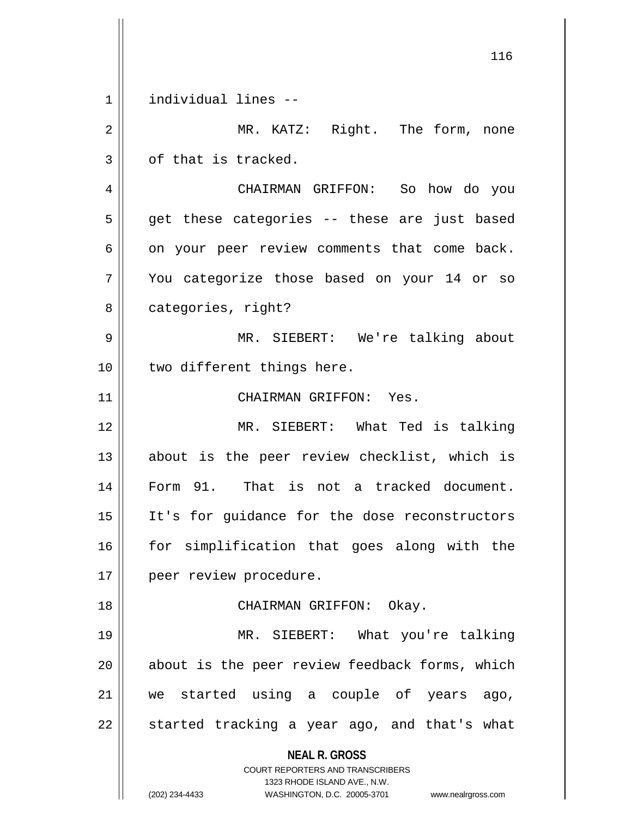**NEAL R. GROSS** COURT REPORTERS AND TRANSCRIBERS 1323 RHODE ISLAND AVE., N.W. (202) 234-4433 WASHINGTON, D.C. 20005-3701 www.nealrgross.com 1 individual lines -- 2 || MR. KATZ: Right. The form, none  $3 \parallel$  of that is tracked. 4 CHAIRMAN GRIFFON: So how do you  $5 \parallel$  get these categories -- these are just based  $6 \parallel$  on your peer review comments that come back. 7 You categorize those based on your 14 or so 8 | categories, right? 9 MR. SIEBERT: We're talking about 10 || two different things here. 11 || CHAIRMAN GRIFFON: Yes. 12 MR. SIEBERT: What Ted is talking 13 about is the peer review checklist, which is 14 Form 91. That is not a tracked document. 15 It's for guidance for the dose reconstructors 16 || for simplification that goes along with the 17 || peer review procedure. 18 CHAIRMAN GRIFFON: Okay. 19 MR. SIEBERT: What you're talking 20 || about is the peer review feedback forms, which 21 we started using a couple of years ago,  $22$  || started tracking a year ago, and that's what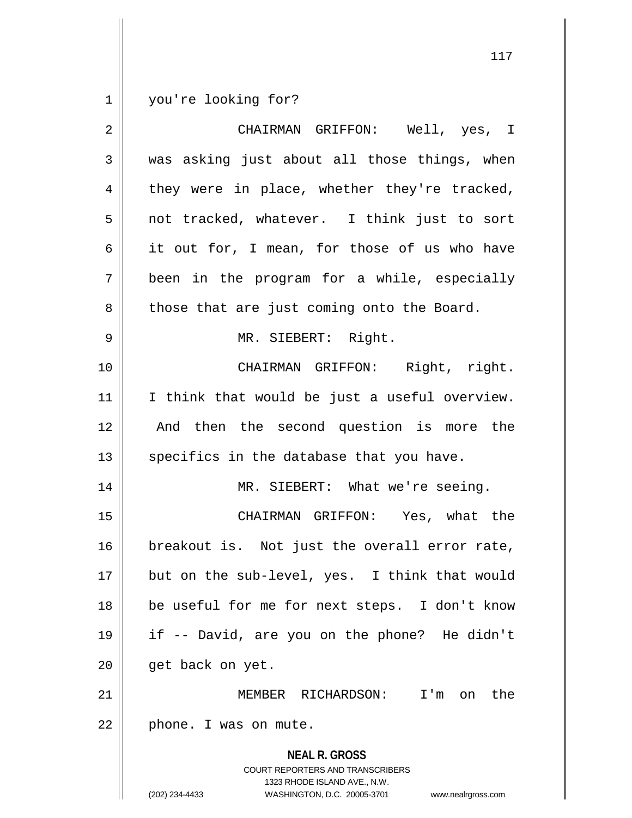1 you're looking for?

| $\overline{2}$ | CHAIRMAN GRIFFON: Well, yes, I                                                                                                                                         |
|----------------|------------------------------------------------------------------------------------------------------------------------------------------------------------------------|
| 3              | was asking just about all those things, when                                                                                                                           |
| 4              | they were in place, whether they're tracked,                                                                                                                           |
| 5              | not tracked, whatever. I think just to sort                                                                                                                            |
| 6              | it out for, I mean, for those of us who have                                                                                                                           |
| 7              | been in the program for a while, especially                                                                                                                            |
| 8              | those that are just coming onto the Board.                                                                                                                             |
| 9              | MR. SIEBERT: Right.                                                                                                                                                    |
| 10             | CHAIRMAN GRIFFON: Right, right.                                                                                                                                        |
| 11             | I think that would be just a useful overview.                                                                                                                          |
| 12             | And then the second question is more the                                                                                                                               |
| 13             | specifics in the database that you have.                                                                                                                               |
| 14             | MR. SIEBERT: What we're seeing.                                                                                                                                        |
| 15             | CHAIRMAN GRIFFON: Yes, what the                                                                                                                                        |
| 16             | breakout is. Not just the overall error rate,                                                                                                                          |
| 17             | but on the sub-level, yes. I think that would                                                                                                                          |
| 18             | be useful for me for next steps. I don't know                                                                                                                          |
| 19             | if -- David, are you on the phone? He didn't                                                                                                                           |
| 20             | get back on yet.                                                                                                                                                       |
| 21             | the<br>MEMBER RICHARDSON:<br>I'm<br>on.                                                                                                                                |
| 22             | phone. I was on mute.                                                                                                                                                  |
|                | <b>NEAL R. GROSS</b><br><b>COURT REPORTERS AND TRANSCRIBERS</b><br>1323 RHODE ISLAND AVE., N.W.<br>(202) 234-4433<br>WASHINGTON, D.C. 20005-3701<br>www.nealrgross.com |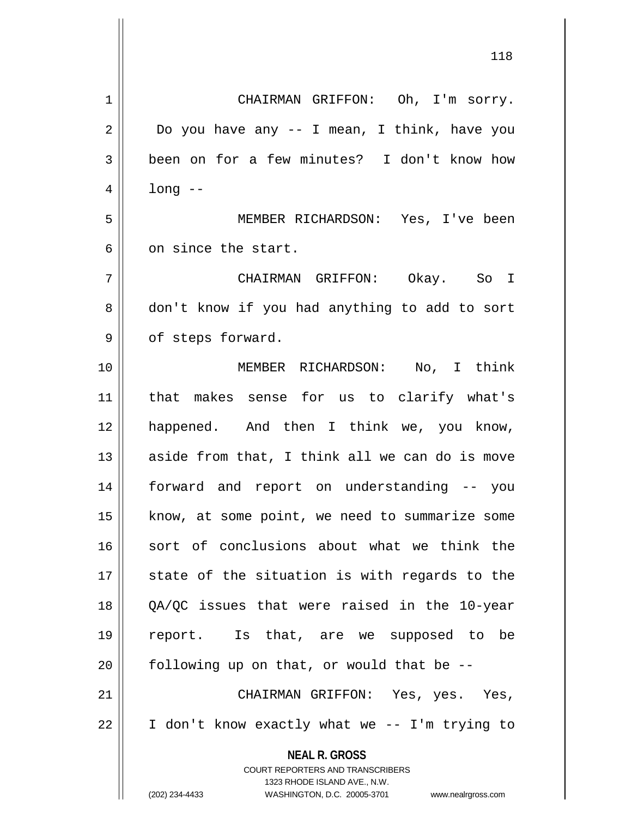| 1  | CHAIRMAN GRIFFON: Oh, I'm sorry.                                                                    |
|----|-----------------------------------------------------------------------------------------------------|
| 2  | Do you have any -- I mean, I think, have you                                                        |
| 3  | been on for a few minutes? I don't know how                                                         |
| 4  | $long - -$                                                                                          |
| 5  | MEMBER RICHARDSON: Yes, I've been                                                                   |
| 6  | on since the start.                                                                                 |
| 7  | CHAIRMAN GRIFFON: Okay. So I                                                                        |
| 8  | don't know if you had anything to add to sort                                                       |
| 9  | of steps forward.                                                                                   |
| 10 | MEMBER RICHARDSON: No, I think                                                                      |
| 11 | that makes sense for us to clarify what's                                                           |
| 12 | happened. And then I think we, you know,                                                            |
| 13 | aside from that, I think all we can do is move                                                      |
| 14 | forward and report on understanding -- you                                                          |
| 15 | know, at some point, we need to summarize some                                                      |
| 16 | sort of conclusions about what we think the                                                         |
| 17 | state of the situation is with regards to the                                                       |
| 18 | QA/QC issues that were raised in the 10-year                                                        |
| 19 | report. Is that, are we supposed to be                                                              |
| 20 | following up on that, or would that be --                                                           |
| 21 | CHAIRMAN GRIFFON: Yes, yes. Yes,                                                                    |
| 22 | I don't know exactly what we -- I'm trying to                                                       |
|    | <b>NEAL R. GROSS</b>                                                                                |
|    | <b>COURT REPORTERS AND TRANSCRIBERS</b>                                                             |
|    | 1323 RHODE ISLAND AVE., N.W.<br>(202) 234-4433<br>WASHINGTON, D.C. 20005-3701<br>www.nealrgross.com |
|    |                                                                                                     |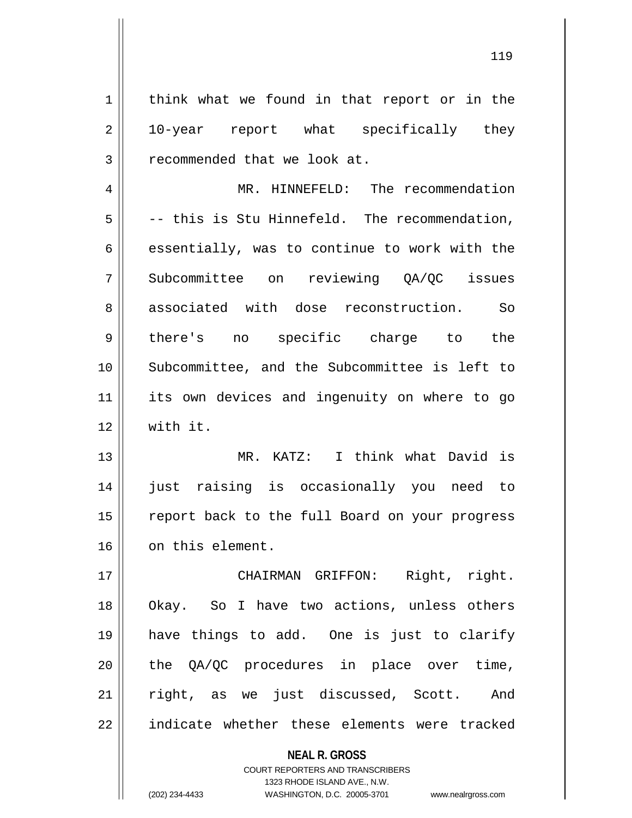1 | think what we found in that report or in the 2 || 10-year report what specifically they 3 || recommended that we look at.

4 | MR. HINNEFELD: The recommendation  $5 \parallel$  -- this is Stu Hinnefeld. The recommendation,  $6 \parallel$  essentially, was to continue to work with the 7 Subcommittee on reviewing QA/QC issues 8 associated with dose reconstruction. So 9 || there's no specific charge to the 10 Subcommittee, and the Subcommittee is left to 11 its own devices and ingenuity on where to go 12 with it.

13 MR. KATZ: I think what David is 14 just raising is occasionally you need to 15 || report back to the full Board on your progress 16 0n this element.

17 CHAIRMAN GRIFFON: Right, right. 18 || Okay. So I have two actions, unless others 19 have things to add. One is just to clarify 20 the OA/OC procedures in place over time, 21 || right, as we just discussed, Scott. And 22 || indicate whether these elements were tracked

> **NEAL R. GROSS** COURT REPORTERS AND TRANSCRIBERS

1323 RHODE ISLAND AVE., N.W. (202) 234-4433 WASHINGTON, D.C. 20005-3701 www.nealrgross.com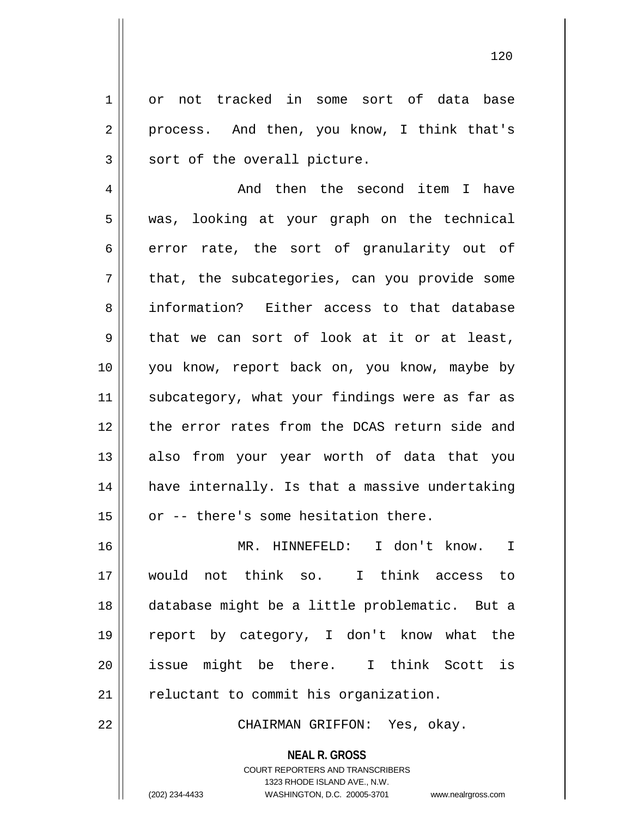1 or not tracked in some sort of data base 2 | process. And then, you know, I think that's  $3 \parallel$  sort of the overall picture.

4 And then the second item I have 5 was, looking at your graph on the technical  $6 \parallel$  error rate, the sort of granularity out of  $7 \parallel$  that, the subcategories, can you provide some 8 information? Either access to that database  $9 \parallel$  that we can sort of look at it or at least, 10 you know, report back on, you know, maybe by 11 || subcategory, what your findings were as far as 12 the error rates from the DCAS return side and 13 || also from your year worth of data that you 14 || have internally. Is that a massive undertaking  $15$  | or -- there's some hesitation there.

 MR. HINNEFELD: I don't know. I would not think so. I think access to database might be a little problematic. But a report by category, I don't know what the issue might be there. I think Scott is 21 || reluctant to commit his organization.

22 CHAIRMAN GRIFFON: Yes, okay.

**NEAL R. GROSS** COURT REPORTERS AND TRANSCRIBERS 1323 RHODE ISLAND AVE., N.W. (202) 234-4433 WASHINGTON, D.C. 20005-3701 www.nealrgross.com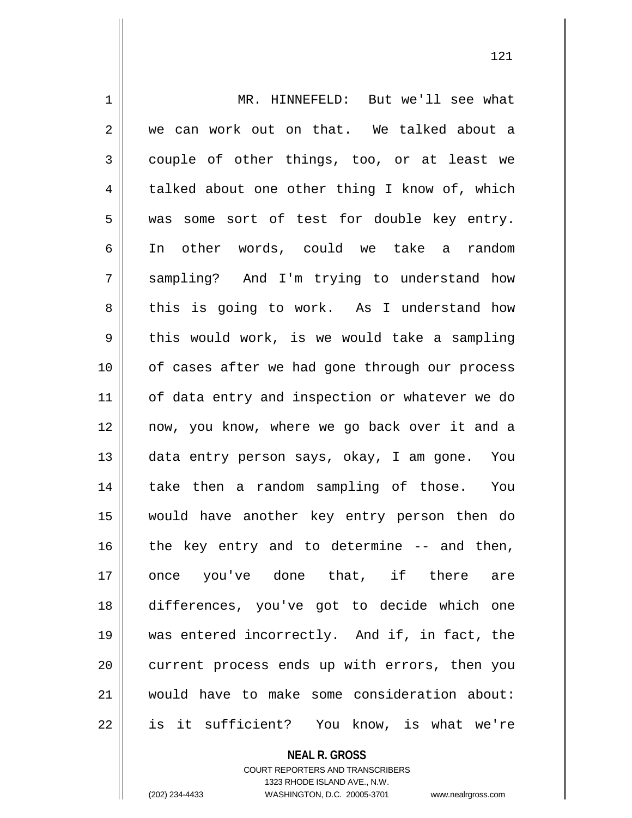1 || MR. HINNEFELD: But we'll see what 2 || we can work out on that. We talked about a  $3 \parallel$  couple of other things, too, or at least we  $4 \parallel$  talked about one other thing I know of, which 5 was some sort of test for double key entry. 6 In other words, could we take a random 7 Sampling? And I'm trying to understand how 8 this is going to work. As I understand how  $9 \parallel$  this would work, is we would take a sampling 10 || of cases after we had gone through our process 11 | of data entry and inspection or whatever we do 12 now, you know, where we go back over it and a 13 data entry person says, okay, I am gone. You 14 || take then a random sampling of those. You 15 would have another key entry person then do  $16$  | the key entry and to determine -- and then, 17 once you've done that, if there are 18 differences, you've got to decide which one 19 was entered incorrectly. And if, in fact, the 20 || current process ends up with errors, then you 21 would have to make some consideration about: 22 || is it sufficient? You know, is what we're

**NEAL R. GROSS**

COURT REPORTERS AND TRANSCRIBERS 1323 RHODE ISLAND AVE., N.W. (202) 234-4433 WASHINGTON, D.C. 20005-3701 www.nealrgross.com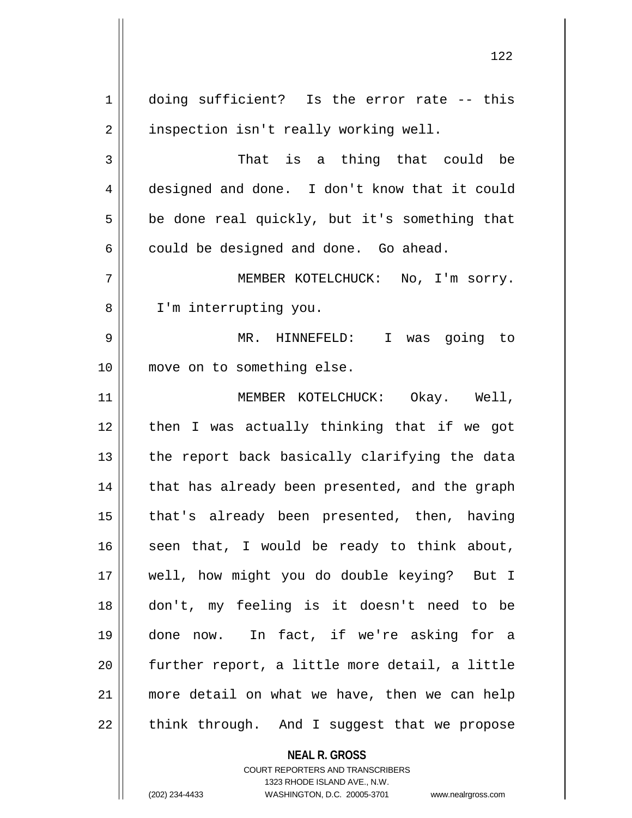**NEAL R. GROSS** 1 | doing sufficient? Is the error rate -- this 2 | inspection isn't really working well. 3 That is a thing that could be 4 designed and done. I don't know that it could  $5 \parallel$  be done real quickly, but it's something that  $6 \parallel$  could be designed and done. Go ahead. 7 MEMBER KOTELCHUCK: No, I'm sorry. 8 || I'm interrupting you. 9 MR. HINNEFELD: I was going to 10 || move on to something else. 11 || MEMBER KOTELCHUCK: Okay. Well, 12 || then I was actually thinking that if we got  $13$  || the report back basically clarifying the data 14 || that has already been presented, and the graph 15 || that's already been presented, then, having  $16$  seen that, I would be ready to think about, 17 well, how might you do double keying? But I 18 don't, my feeling is it doesn't need to be 19 done now. In fact, if we're asking for a 20 further report, a little more detail, a little 21 more detail on what we have, then we can help  $22$  || think through. And I suggest that we propose

> COURT REPORTERS AND TRANSCRIBERS 1323 RHODE ISLAND AVE., N.W.

(202) 234-4433 WASHINGTON, D.C. 20005-3701 www.nealrgross.com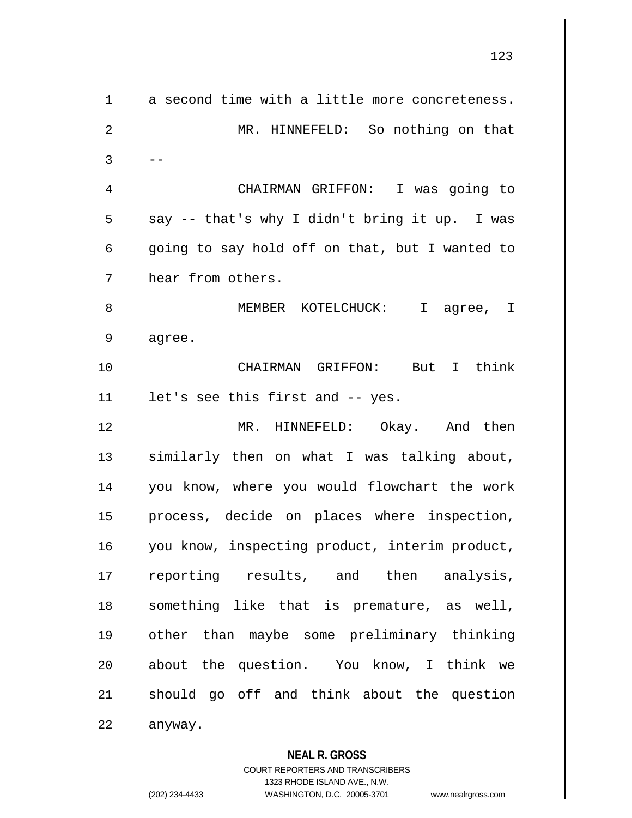|    | 123                                            |
|----|------------------------------------------------|
| 1  | a second time with a little more concreteness. |
| 2  | MR. HINNEFELD: So nothing on that              |
| 3  |                                                |
| 4  | CHAIRMAN GRIFFON: I was going to               |
| 5  | say -- that's why I didn't bring it up. I was  |
| 6  | going to say hold off on that, but I wanted to |
| 7  | hear from others.                              |
| 8  | MEMBER KOTELCHUCK: I agree, I                  |
| 9  | agree.                                         |
| 10 | CHAIRMAN GRIFFON: But I think                  |
| 11 | let's see this first and -- yes.               |
| 12 | MR. HINNEFELD: Okay. And then                  |
| 13 | similarly then on what I was talking about,    |
| 14 | you know, where you would flowchart the work   |
| 15 | process, decide on places where inspection,    |
| 16 | you know, inspecting product, interim product, |
| 17 | reporting results, and then analysis,          |
| 18 | something like that is premature, as well,     |
| 19 | other than maybe some preliminary thinking     |
| 20 | about the question. You know, I think we       |
| 21 | should go off and think about the question     |
| 22 | anyway.                                        |
|    | <b>NEAL R. GROSS</b>                           |

COURT REPORTERS AND TRANSCRIBERS 1323 RHODE ISLAND AVE., N.W. (202) 234-4433 WASHINGTON, D.C. 20005-3701 www.nealrgross.com

 $\mathbf{I}$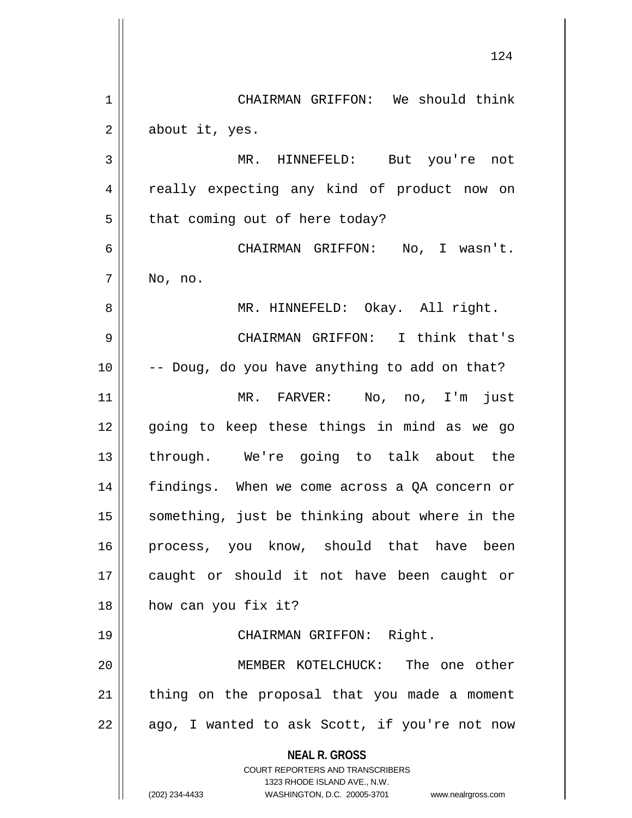**NEAL R. GROSS** COURT REPORTERS AND TRANSCRIBERS 1323 RHODE ISLAND AVE., N.W. (202) 234-4433 WASHINGTON, D.C. 20005-3701 www.nealrgross.com 1 CHAIRMAN GRIFFON: We should think  $2 \parallel$  about it, yes. 3 MR. HINNEFELD: But you're not 4 || really expecting any kind of product now on  $5$  | that coming out of here today? 6 CHAIRMAN GRIFFON: No, I wasn't.  $7 \parallel$  No, no. 8 MR. HINNEFELD: Okay. All right. 9 CHAIRMAN GRIFFON: I think that's  $10$   $\vert$  -- Doug, do you have anything to add on that? 11 MR. FARVER: No, no, I'm just 12 || going to keep these things in mind as we go 13 through. We're going to talk about the 14 findings. When we come across a QA concern or 15 || something, just be thinking about where in the 16 process, you know, should that have been 17 caught or should it not have been caught or 18 || how can you fix it? 19 || CHAIRMAN GRIFFON: Right. 20 MEMBER KOTELCHUCK: The one other  $21$  | thing on the proposal that you made a moment  $22 \parallel$  ago, I wanted to ask Scott, if you're not now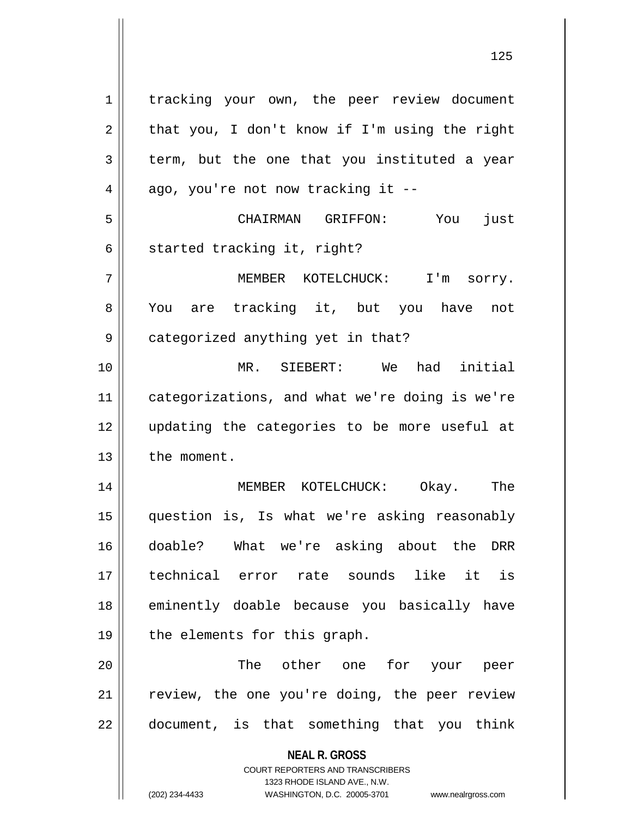**NEAL R. GROSS** COURT REPORTERS AND TRANSCRIBERS 1323 RHODE ISLAND AVE., N.W. 1 | tracking your own, the peer review document  $2 \parallel$  that you, I don't know if I'm using the right  $3 \parallel$  term, but the one that you instituted a year  $4 \parallel$  ago, you're not now tracking it --5 CHAIRMAN GRIFFON: You just  $6 \parallel$  started tracking it, right? 7 MEMBER KOTELCHUCK: I'm sorry. 8 || You are tracking it, but you have not 9 || categorized anything yet in that? 10 MR. SIEBERT: We had initial 11 categorizations, and what we're doing is we're 12 updating the categories to be more useful at 13 | the moment. 14 MEMBER KOTELCHUCK: Okay. The 15 question is, Is what we're asking reasonably 16 doable? What we're asking about the DRR 17 technical error rate sounds like it is 18 || eminently doable because you basically have  $19 \parallel$  the elements for this graph. 20 The other one for your peer  $21$  review, the one you're doing, the peer review  $22$  || document, is that something that you think

(202) 234-4433 WASHINGTON, D.C. 20005-3701 www.nealrgross.com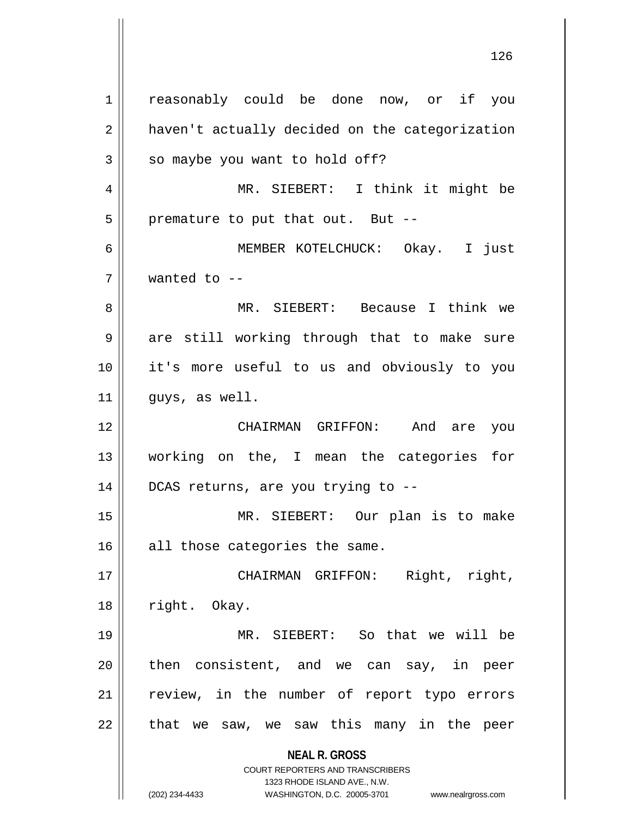**NEAL R. GROSS** COURT REPORTERS AND TRANSCRIBERS 1323 RHODE ISLAND AVE., N.W. (202) 234-4433 WASHINGTON, D.C. 20005-3701 www.nealrgross.com 1 | reasonably could be done now, or if you 2 | haven't actually decided on the categorization  $3 \parallel$  so maybe you want to hold off? 4 || MR. SIEBERT: I think it might be  $5$  || premature to put that out. But --6 MEMBER KOTELCHUCK: Okay. I just 7 wanted to -- 8 MR. SIEBERT: Because I think we 9 || are still working through that to make sure 10 it's more useful to us and obviously to you  $11$  || guys, as well. 12 CHAIRMAN GRIFFON: And are you 13 working on the, I mean the categories for 14 DCAS returns, are you trying to -- 15 MR. SIEBERT: Our plan is to make  $16$  all those categories the same. 17 CHAIRMAN GRIFFON: Right, right, 18 right. Okay. 19 MR. SIEBERT: So that we will be 20 || then consistent, and we can say, in peer 21 || review, in the number of report typo errors  $22$  || that we saw, we saw this many in the peer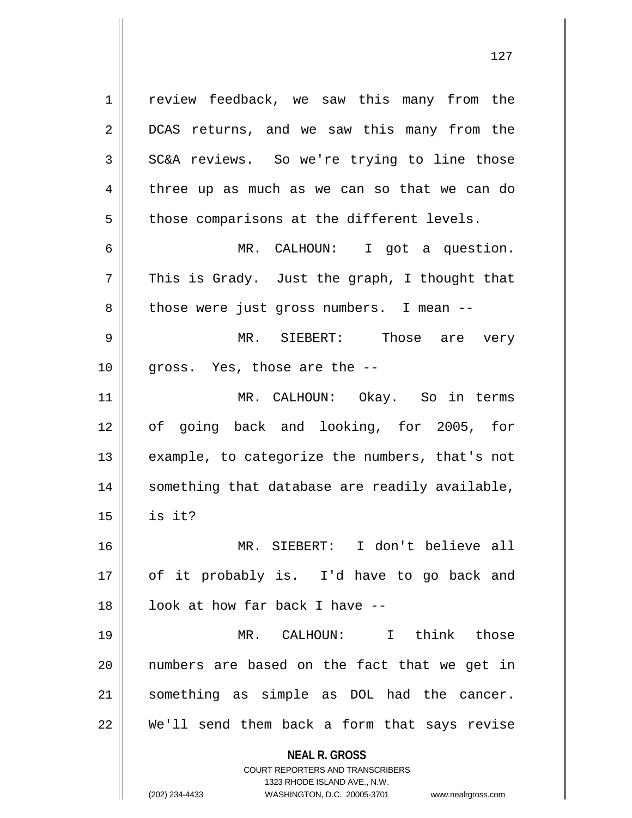1 | review feedback, we saw this many from the 2 DCAS returns, and we saw this many from the 3 SC&A reviews. So we're trying to line those  $4 \parallel$  three up as much as we can so that we can do  $5 \parallel$  those comparisons at the different levels. 6 MR. CALHOUN: I got a question.  $7 \parallel$  This is Grady. Just the graph, I thought that 8 | those were just gross numbers. I mean --9 MR. SIEBERT: Those are very  $10$  || gross. Yes, those are the  $-$ -11 MR. CALHOUN: Okay. So in terms 12 of going back and looking, for 2005, for  $13$  || example, to categorize the numbers, that's not 14 || something that database are readily available,  $15 \parallel$  is it? 16 MR. SIEBERT: I don't believe all 17 || of it probably is. I'd have to go back and  $18$  |  $100k$  at how far back I have --19 MR. CALHOUN: I think those 20 numbers are based on the fact that we get in 21 || something as simple as DOL had the cancer. 22 || We'll send them back a form that says revise

> **NEAL R. GROSS** COURT REPORTERS AND TRANSCRIBERS

> > 1323 RHODE ISLAND AVE., N.W.

(202) 234-4433 WASHINGTON, D.C. 20005-3701 www.nealrgross.com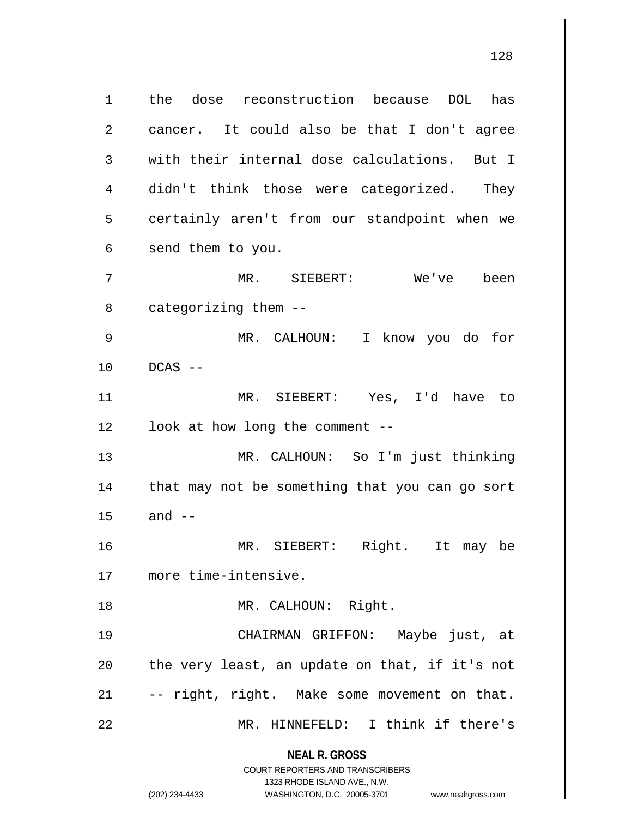**NEAL R. GROSS** COURT REPORTERS AND TRANSCRIBERS 1323 RHODE ISLAND AVE., N.W. (202) 234-4433 WASHINGTON, D.C. 20005-3701 www.nealrgross.com 1 || the dose reconstruction because DOL has  $2 \parallel$  cancer. It could also be that I don't agree  $3$  | with their internal dose calculations. But I 4 didn't think those were categorized. They 5 | certainly aren't from our standpoint when we  $6 \parallel$  send them to you. 7 MR. SIEBERT: We've been  $8 \parallel$  categorizing them  $-$ -9 MR. CALHOUN: I know you do for  $10$   $\parallel$  DCAS  $-$ 11 MR. SIEBERT: Yes, I'd have to  $12$  |  $100k$  at how long the comment --13 MR. CALHOUN: So I'm just thinking 14 || that may not be something that you can go sort  $15$  || and --16 MR. SIEBERT: Right. It may be 17 more time-intensive. 18 || MR. CALHOUN: Right. 19 CHAIRMAN GRIFFON: Maybe just, at  $20$  || the very least, an update on that, if it's not  $21$   $\vert$  -- right, right. Make some movement on that. 22 MR. HINNEFELD: I think if there's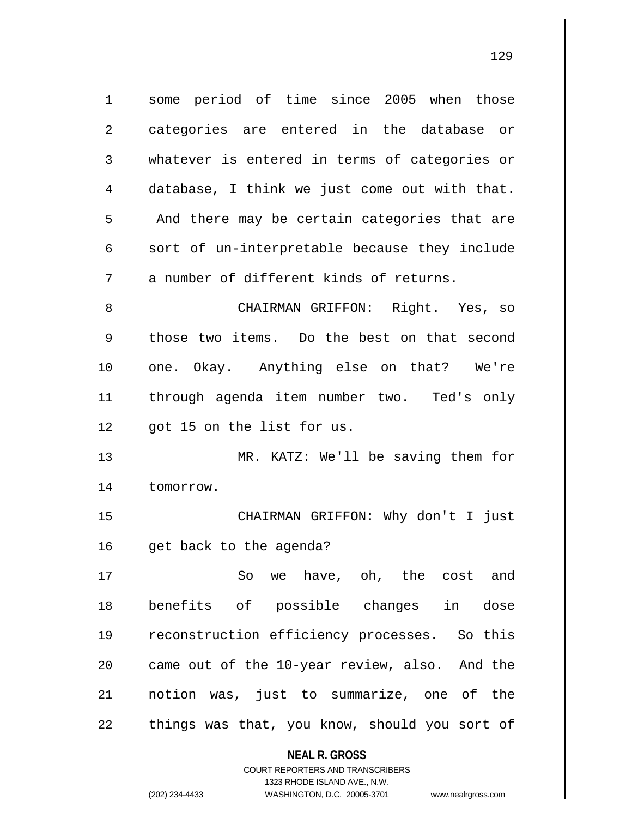**NEAL R. GROSS** COURT REPORTERS AND TRANSCRIBERS 1 Some period of time since 2005 when those 2 categories are entered in the database or 3 whatever is entered in terms of categories or  $4 \parallel$  database, I think we just come out with that.  $5 \parallel$  And there may be certain categories that are  $6 \parallel$  sort of un-interpretable because they include  $7 \parallel$  a number of different kinds of returns. 8 CHAIRMAN GRIFFON: Right. Yes, so 9 those two items. Do the best on that second 10 one. Okay. Anything else on that? We're 11 through agenda item number two. Ted's only  $12$  || qot 15 on the list for us. 13 MR. KATZ: We'll be saving them for 14 | tomorrow. 15 CHAIRMAN GRIFFON: Why don't I just  $16$  || qet back to the agenda? 17 So we have, oh, the cost and 18 benefits of possible changes in dose 19 || reconstruction efficiency processes. So this 20 || came out of the 10-year review, also. And the 21 notion was, just to summarize, one of the  $22$  | things was that, you know, should you sort of

> 1323 RHODE ISLAND AVE., N.W. (202) 234-4433 WASHINGTON, D.C. 20005-3701 www.nealrgross.com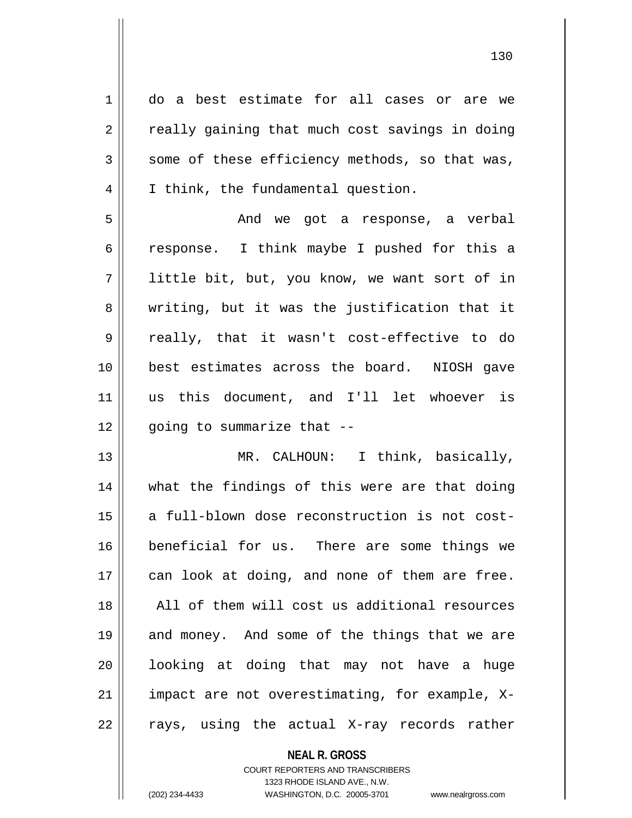1 do a best estimate for all cases or are we  $2 \parallel$  really gaining that much cost savings in doing  $3 \parallel$  some of these efficiency methods, so that was, 4 | I think, the fundamental question. 5 And we got a response, a verbal 6  $\parallel$  response. I think maybe I pushed for this a 7 little bit, but, you know, we want sort of in  $8 \parallel$  writing, but it was the justification that it 9 really, that it wasn't cost-effective to do 10 best estimates across the board. NIOSH gave 11 us this document, and I'll let whoever is  $12$  | qoing to summarize that  $-$ 13 MR. CALHOUN: I think, basically, 14 what the findings of this were are that doing 15 || a full-blown dose reconstruction is not cost-16 beneficial for us. There are some things we 17 || can look at doing, and none of them are free. 18 All of them will cost us additional resources 19 || and money. And some of the things that we are 20 || looking at doing that may not have a huge  $21$  || impact are not overestimating, for example, X- $22 \parallel$  rays, using the actual X-ray records rather

> **NEAL R. GROSS** COURT REPORTERS AND TRANSCRIBERS

> > 1323 RHODE ISLAND AVE., N.W.

(202) 234-4433 WASHINGTON, D.C. 20005-3701 www.nealrgross.com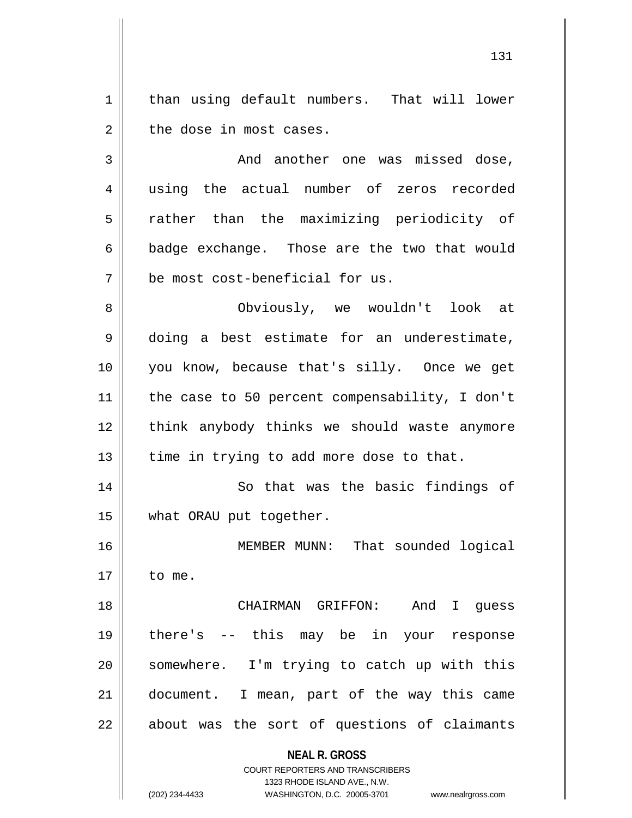1 | than using default numbers. That will lower  $2 \parallel$  the dose in most cases.

3 And another one was missed dose, 4 using the actual number of zeros recorded 5 || rather than the maximizing periodicity of  $6 \parallel$  badge exchange. Those are the two that would  $7$   $\parallel$  be most cost-beneficial for us.

 Obviously, we wouldn't look at 9 | doing a best estimate for an underestimate, you know, because that's silly. Once we get the case to 50 percent compensability, I don't 12 || think anybody thinks we should waste anymore  $\parallel$  time in trying to add more dose to that.

14 || So that was the basic findings of 15 || what ORAU put together.

16 MEMBER MUNN: That sounded logical  $17 \parallel$  to me.

 CHAIRMAN GRIFFON: And I guess there's -- this may be in your response 20 || somewhere. I'm trying to catch up with this document. I mean, part of the way this came || about was the sort of questions of claimants

> **NEAL R. GROSS** COURT REPORTERS AND TRANSCRIBERS

> > 1323 RHODE ISLAND AVE., N.W.

(202) 234-4433 WASHINGTON, D.C. 20005-3701 www.nealrgross.com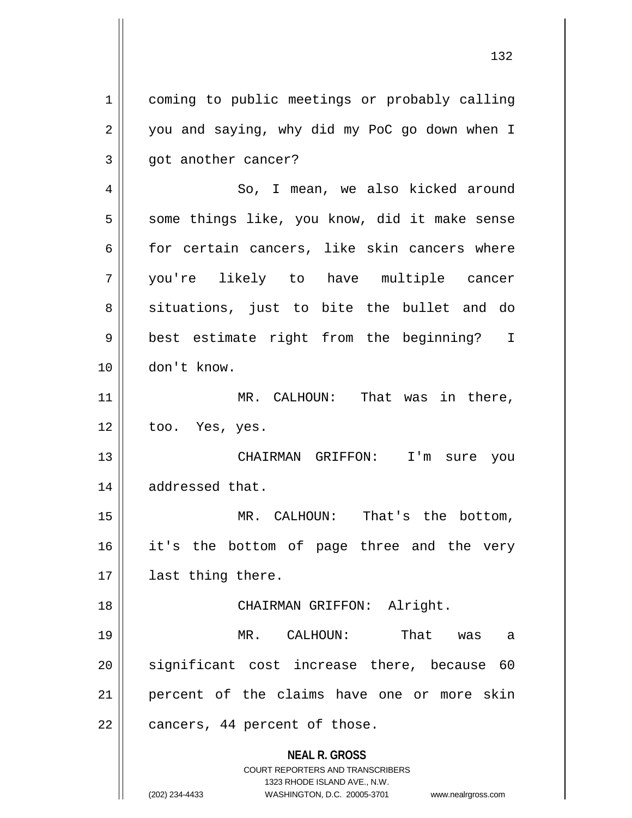1 coming to public meetings or probably calling  $2 \parallel$  you and saying, why did my PoC go down when I 3 | qot another cancer?

4 | So, I mean, we also kicked around 5 || some things like, you know, did it make sense 6 for certain cancers, like skin cancers where 7 you're likely to have multiple cancer 8 || situations, just to bite the bullet and do 9 || best estimate right from the beginning? I 10 don't know.

11 || MR. CALHOUN: That was in there,  $12 \parallel$  too. Yes, yes.

13 CHAIRMAN GRIFFON: I'm sure you 14 | addressed that.

15 MR. CALHOUN: That's the bottom, 16 || it's the bottom of page three and the very 17 || last thing there.

18 || CHAIRMAN GRIFFON: Alright.

 MR. CALHOUN: That was a 20 || significant cost increase there, because 60 percent of the claims have one or more skin | cancers, 44 percent of those.

**NEAL R. GROSS**

COURT REPORTERS AND TRANSCRIBERS 1323 RHODE ISLAND AVE., N.W. (202) 234-4433 WASHINGTON, D.C. 20005-3701 www.nealrgross.com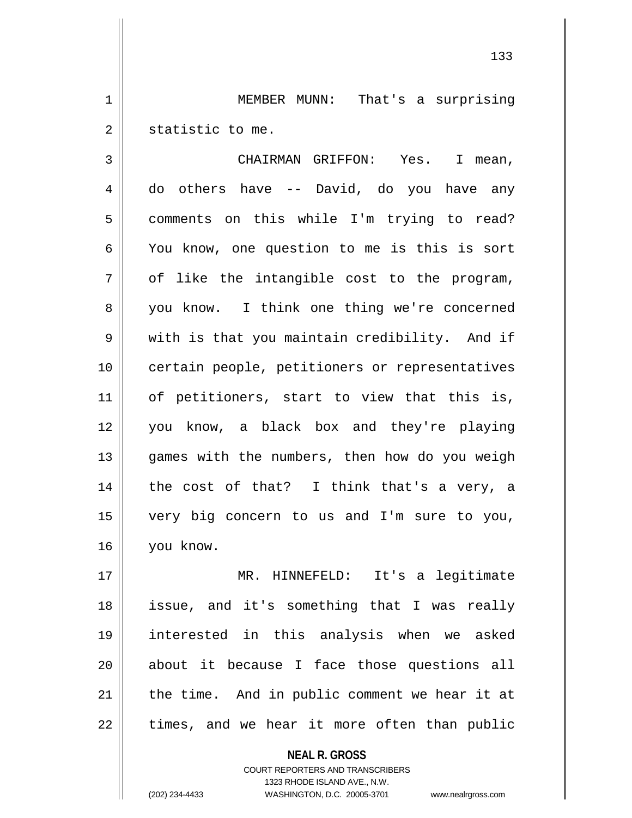1 | MEMBER MUNN: That's a surprising 2 || statistic to me.

3 CHAIRMAN GRIFFON: Yes. I mean,  $4 \parallel$  do others have  $-$  David, do you have any 5 | comments on this while I'm trying to read? 6 You know, one question to me is this is sort  $7 \parallel$  of like the intangible cost to the program, 8 you know. I think one thing we're concerned 9 || with is that you maintain credibility. And if 10 || certain people, petitioners or representatives 11 || of petitioners, start to view that this is, 12 you know, a black box and they're playing 13 || games with the numbers, then how do you weigh  $14$  || the cost of that? I think that's a very, a 15 very big concern to us and I'm sure to you, 16 you know.

 MR. HINNEFELD: It's a legitimate issue, and it's something that I was really interested in this analysis when we asked 20 || about it because I face those questions all 21 || the time. And in public comment we hear it at || times, and we hear it more often than public

> **NEAL R. GROSS** COURT REPORTERS AND TRANSCRIBERS 1323 RHODE ISLAND AVE., N.W. (202) 234-4433 WASHINGTON, D.C. 20005-3701 www.nealrgross.com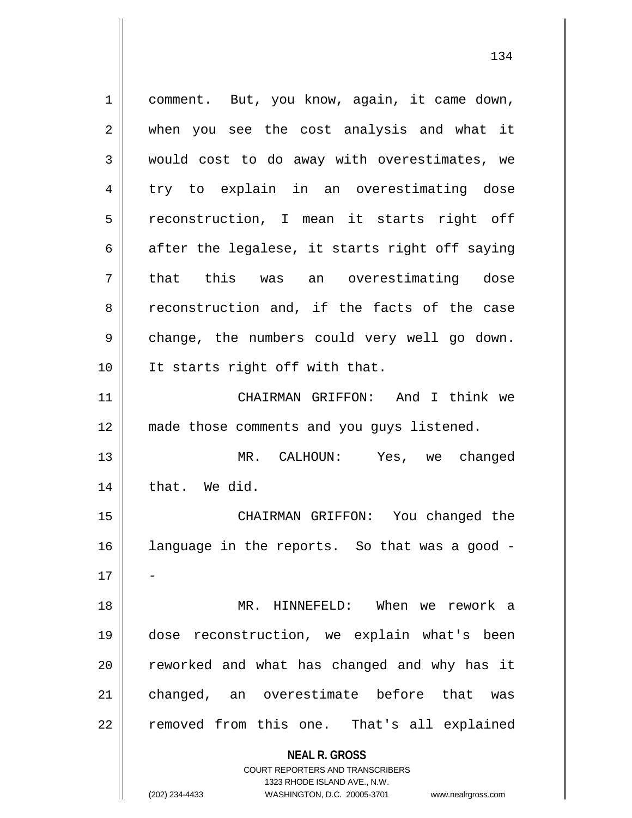**NEAL R. GROSS** COURT REPORTERS AND TRANSCRIBERS 1323 RHODE ISLAND AVE., N.W. 1 || comment. But, you know, again, it came down, 2 when you see the cost analysis and what it 3 would cost to do away with overestimates, we 4 try to explain in an overestimating dose 5 || reconstruction, I mean it starts right off  $6 \parallel$  after the legalese, it starts right off saying 7 || that this was an overestimating dose 8 reconstruction and, if the facts of the case  $9 \parallel$  change, the numbers could very well go down. 10 It starts right off with that. 11 CHAIRMAN GRIFFON: And I think we 12 || made those comments and you guys listened. 13 MR. CALHOUN: Yes, we changed 14 | that. We did. 15 CHAIRMAN GRIFFON: You changed the 16 language in the reports. So that was a good -  $17$ 18 MR. HINNEFELD: When we rework a 19 dose reconstruction, we explain what's been 20 || reworked and what has changed and why has it 21 || changed, an overestimate before that was 22 | removed from this one. That's all explained

(202) 234-4433 WASHINGTON, D.C. 20005-3701 www.nealrgross.com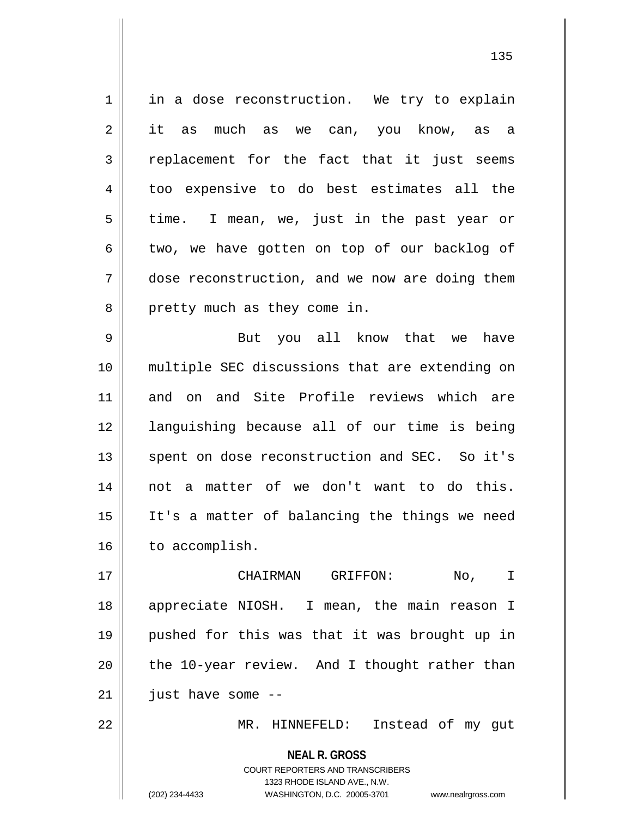**NEAL R. GROSS** COURT REPORTERS AND TRANSCRIBERS 1323 RHODE ISLAND AVE., N.W. 1 || in a dose reconstruction. We try to explain 2 || it as much as we can, you know, as a 3 replacement for the fact that it just seems 4 too expensive to do best estimates all the  $5 \parallel$  time. I mean, we, just in the past year or  $6 \parallel$  two, we have gotten on top of our backlog of 7 dose reconstruction, and we now are doing them 8 || pretty much as they come in. 9 But you all know that we have 10 multiple SEC discussions that are extending on 11 and on and Site Profile reviews which are 12 languishing because all of our time is being 13 || spent on dose reconstruction and SEC. So it's 14 not a matter of we don't want to do this. 15 It's a matter of balancing the things we need 16 | to accomplish. 17 CHAIRMAN GRIFFON: No, I 18 || appreciate NIOSH. I mean, the main reason I 19 pushed for this was that it was brought up in 20  $\parallel$  the 10-year review. And I thought rather than  $21$  || just have some  $-$ 22 MR. HINNEFELD: Instead of my gut

<sup>(202) 234-4433</sup> WASHINGTON, D.C. 20005-3701 www.nealrgross.com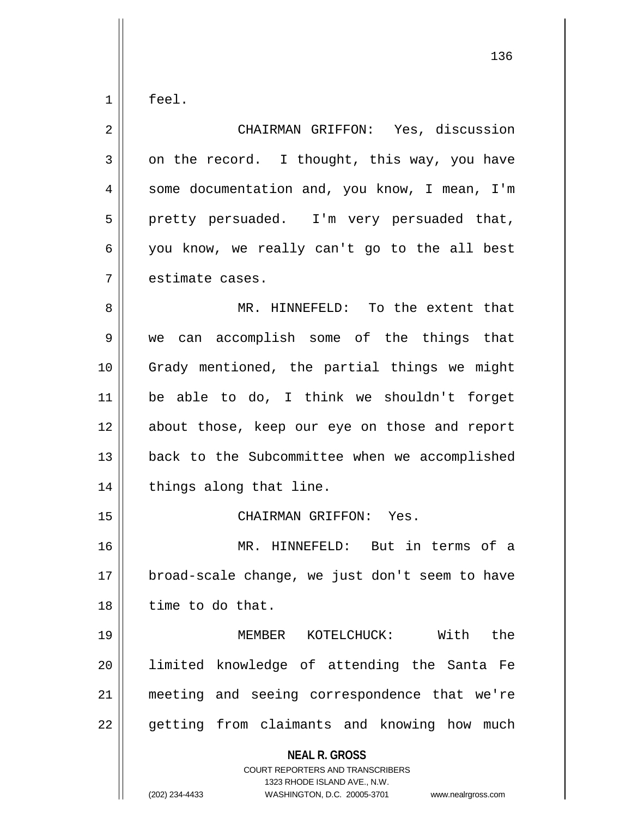feel.

| $\overline{2}$ | CHAIRMAN GRIFFON: Yes, discussion                                                                                                                                      |
|----------------|------------------------------------------------------------------------------------------------------------------------------------------------------------------------|
| 3              | on the record. I thought, this way, you have                                                                                                                           |
| 4              | some documentation and, you know, I mean, I'm                                                                                                                          |
| 5              | pretty persuaded. I'm very persuaded that,                                                                                                                             |
| 6              | you know, we really can't go to the all best                                                                                                                           |
| 7              | estimate cases.                                                                                                                                                        |
| 8              | MR. HINNEFELD: To the extent that                                                                                                                                      |
| 9              | we can accomplish some of the things that                                                                                                                              |
| 10             | Grady mentioned, the partial things we might                                                                                                                           |
| 11             | be able to do, I think we shouldn't forget                                                                                                                             |
| 12             | about those, keep our eye on those and report                                                                                                                          |
| 13             | back to the Subcommittee when we accomplished                                                                                                                          |
| 14             | things along that line.                                                                                                                                                |
| 15             | CHAIRMAN GRIFFON: Yes.                                                                                                                                                 |
| 16             | MR. HINNEFELD: But in terms of a                                                                                                                                       |
| 17             | broad-scale change, we just don't seem to have                                                                                                                         |
| 18             | time to do that.                                                                                                                                                       |
| 19             | MEMBER KOTELCHUCK: With the                                                                                                                                            |
| 20             | limited knowledge of attending the Santa Fe                                                                                                                            |
| 21             | meeting and seeing correspondence that we're                                                                                                                           |
| 22             | getting from claimants and knowing how much                                                                                                                            |
|                | <b>NEAL R. GROSS</b><br><b>COURT REPORTERS AND TRANSCRIBERS</b><br>1323 RHODE ISLAND AVE., N.W.<br>WASHINGTON, D.C. 20005-3701<br>(202) 234-4433<br>www.nealrgross.com |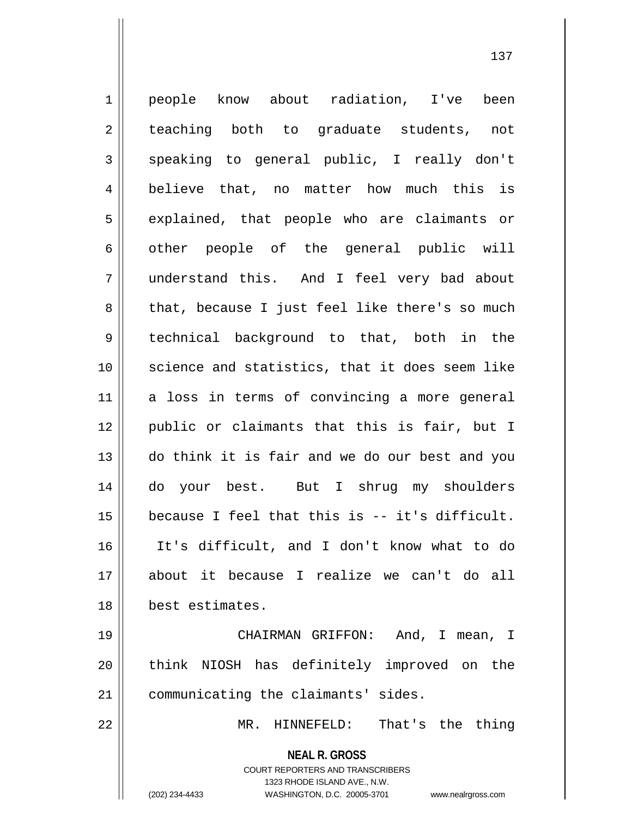1 people know about radiation, I've been 2 || teaching both to graduate students, not  $3 \parallel$  speaking to general public, I really don't 4 || believe that, no matter how much this is 5 || explained, that people who are claimants or  $6 \parallel$  other people of the general public will 7 understand this. And I feel very bad about  $8 \parallel$  that, because I just feel like there's so much 9 technical background to that, both in the 10 || science and statistics, that it does seem like 11 || a loss in terms of convincing a more general 12 public or claimants that this is fair, but I 13 do think it is fair and we do our best and you 14 do your best. But I shrug my shoulders 15 because I feel that this is -- it's difficult. 16 It's difficult, and I don't know what to do 17 about it because I realize we can't do all 18 best estimates. 19 CHAIRMAN GRIFFON: And, I mean, I 20 || think NIOSH has definitely improved on the

21 | communicating the claimants' sides.

22 MR. HINNEFELD: That's the thing

**NEAL R. GROSS** COURT REPORTERS AND TRANSCRIBERS

1323 RHODE ISLAND AVE., N.W.

(202) 234-4433 WASHINGTON, D.C. 20005-3701 www.nealrgross.com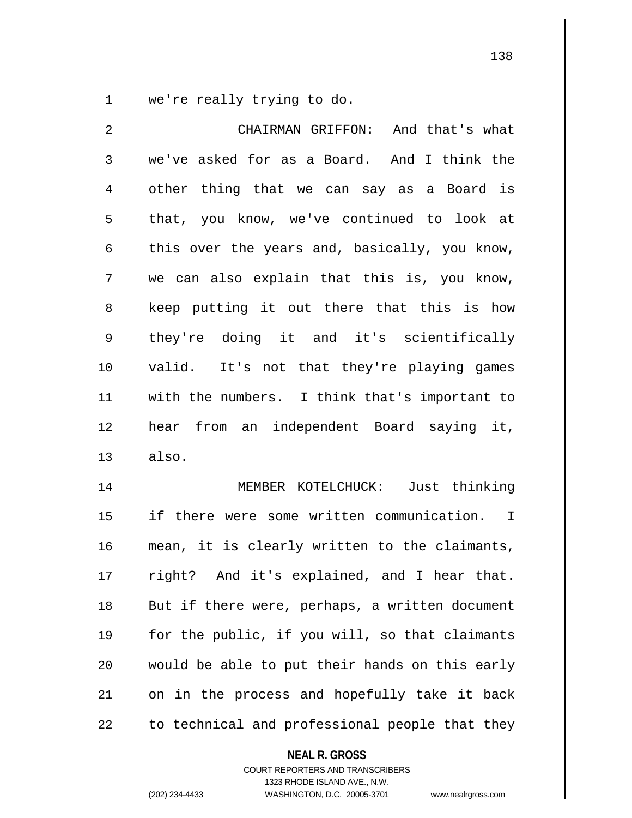$1 \parallel$  we're really trying to do.

| 2  | CHAIRMAN GRIFFON: And that's what              |
|----|------------------------------------------------|
| 3  | we've asked for as a Board. And I think the    |
| 4  | other thing that we can say as a Board is      |
| 5  | that, you know, we've continued to look at     |
| 6  | this over the years and, basically, you know,  |
| 7  | we can also explain that this is, you know,    |
| 8  | keep putting it out there that this is how     |
| 9  | they're doing it and it's scientifically       |
| 10 | valid. It's not that they're playing games     |
| 11 | with the numbers. I think that's important to  |
| 12 | hear from an independent Board saying it,      |
| 13 | also.                                          |
| 14 | MEMBER KOTELCHUCK: Just thinking               |
| 15 | if there were some written communication. I    |
| 16 | mean, it is clearly written to the claimants,  |
| 17 | right? And it's explained, and I hear that.    |
| 18 | But if there were, perhaps, a written document |
| 19 | for the public, if you will, so that claimants |
| 20 | would be able to put their hands on this early |
| 21 | on in the process and hopefully take it back   |
| 22 | to technical and professional people that they |
|    | <b>NEAL R. GROSS</b>                           |

COURT REPORTERS AND TRANSCRIBERS 1323 RHODE ISLAND AVE., N.W.

(202) 234-4433 WASHINGTON, D.C. 20005-3701 www.nealrgross.com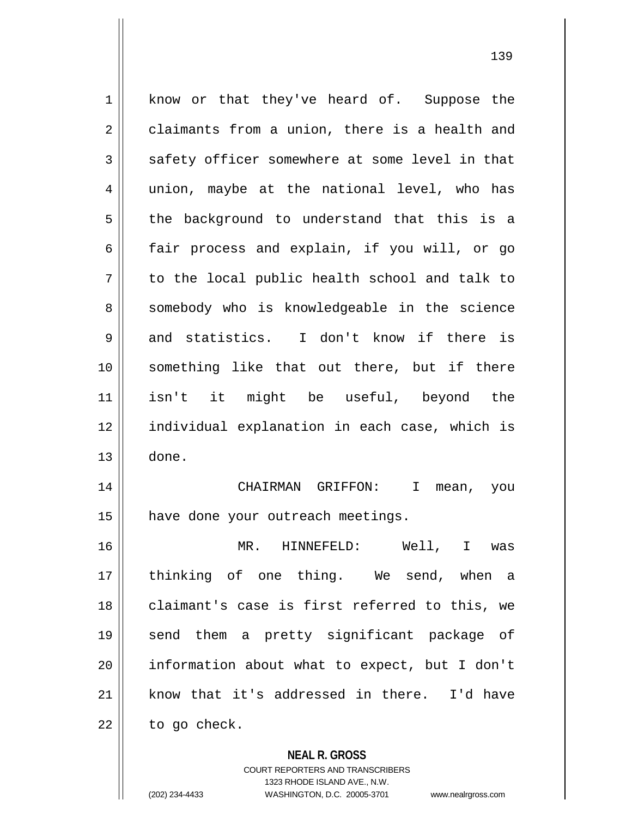1 || know or that they've heard of. Suppose the  $2 \parallel$  claimants from a union, there is a health and  $3 \parallel$  safety officer somewhere at some level in that 4 union, maybe at the national level, who has  $5 \parallel$  the background to understand that this is a 6  $\parallel$  fair process and explain, if you will, or go  $7 \parallel$  to the local public health school and talk to 8 Somebody who is knowledgeable in the science 9 || and statistics. I don't know if there is 10 || something like that out there, but if there 11 isn't it might be useful, beyond the 12 individual explanation in each case, which is  $13 \parallel$  done. 14 CHAIRMAN GRIFFON: I mean, you 15 | have done your outreach meetings. 16 MR. HINNEFELD: Well, I was 17 thinking of one thing. We send, when a 18 || claimant's case is first referred to this, we 19 send them a pretty significant package of 20 information about what to expect, but I don't 21 know that it's addressed in there. I'd have  $22$  | to go check.

> COURT REPORTERS AND TRANSCRIBERS 1323 RHODE ISLAND AVE., N.W. (202) 234-4433 WASHINGTON, D.C. 20005-3701 www.nealrgross.com

**NEAL R. GROSS**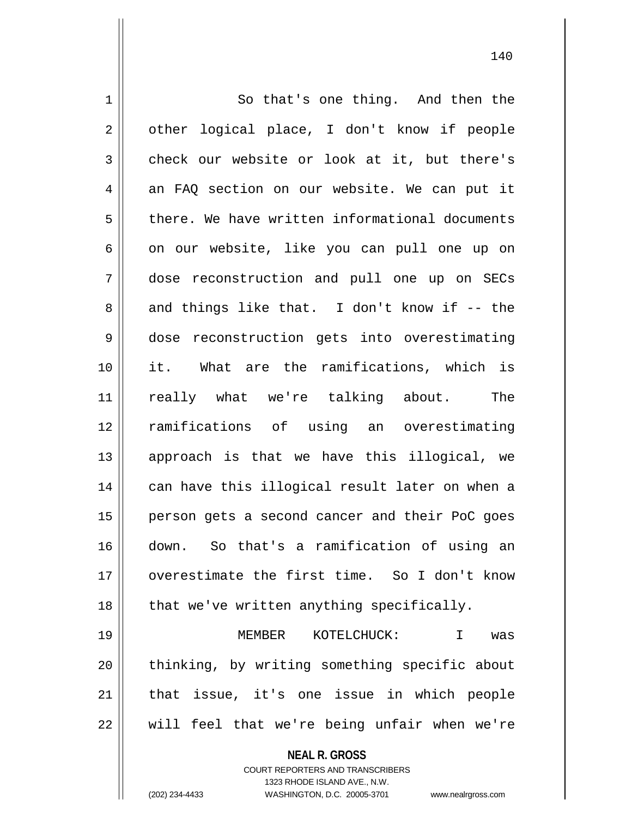| $\mathbf 1$    | So that's one thing. And then the              |
|----------------|------------------------------------------------|
| 2              | other logical place, I don't know if people    |
| $\mathfrak{Z}$ | check our website or look at it, but there's   |
| 4              | an FAQ section on our website. We can put it   |
| 5              | there. We have written informational documents |
| 6              | on our website, like you can pull one up on    |
| 7              | dose reconstruction and pull one up on SECs    |
| 8              | and things like that. I don't know if -- the   |
| $\mathsf 9$    | dose reconstruction gets into overestimating   |
| 10             | it. What are the ramifications, which is       |
| 11             | really what we're talking about.<br>The        |
| 12             | ramifications of using an overestimating       |
| 13             | approach is that we have this illogical, we    |
| 14             | can have this illogical result later on when a |
| 15             | person gets a second cancer and their PoC goes |
| 16             | down. So that's a ramification of using an     |
| 17             | overestimate the first time. So I don't know   |
| 18             | that we've written anything specifically.      |
| 19             | MEMBER<br>KOTELCHUCK:<br>$\mathbf{I}$<br>was   |
| 20             | thinking, by writing something specific about  |
| 21             | that issue, it's one issue in which people     |
| 22             | will feel that we're being unfair when we're   |
|                | <b>NEAL R. GROSS</b>                           |

COURT REPORTERS AND TRANSCRIBERS 1323 RHODE ISLAND AVE., N.W.

 $\mathsf{II}$ 

(202) 234-4433 WASHINGTON, D.C. 20005-3701 www.nealrgross.com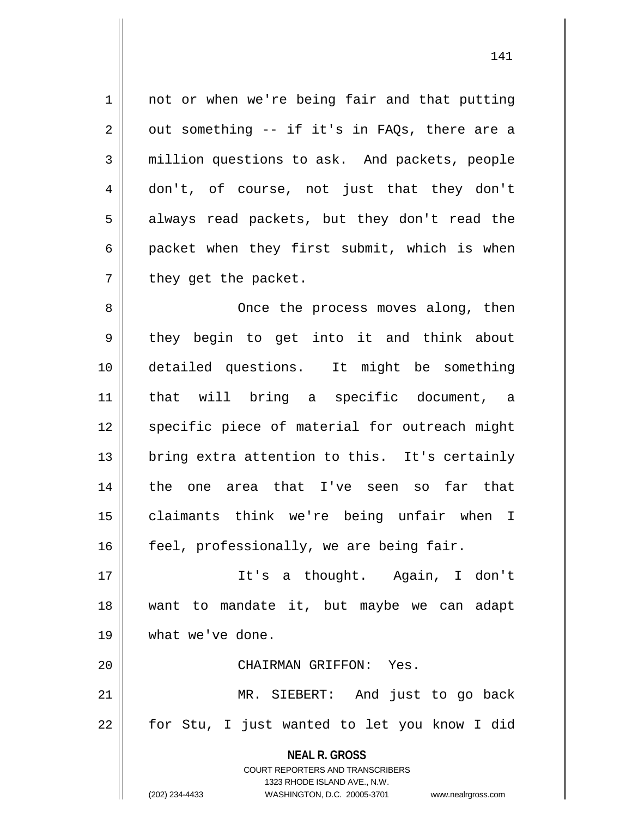1 || not or when we're being fair and that putting  $2 \parallel$  out something -- if it's in FAQs, there are a 3 million questions to ask. And packets, people 4 don't, of course, not just that they don't 5 || always read packets, but they don't read the 6 | packet when they first submit, which is when  $7$  | they get the packet.

8 || Once the process moves along, then 9 || they begin to get into it and think about 10 detailed questions. It might be something 11 that will bring a specific document, a 12 || specific piece of material for outreach might 13 || bring extra attention to this. It's certainly 14 || the one area that I've seen so far that 15 claimants think we're being unfair when I  $16$  || feel, professionally, we are being fair.

17 It's a thought. Again, I don't 18 want to mandate it, but maybe we can adapt 19 || what we've done.

20 CHAIRMAN GRIFFON: Yes.

21 MR. SIEBERT: And just to go back 22 || for Stu, I just wanted to let you know I did

> **NEAL R. GROSS** COURT REPORTERS AND TRANSCRIBERS 1323 RHODE ISLAND AVE., N.W.

(202) 234-4433 WASHINGTON, D.C. 20005-3701 www.nealrgross.com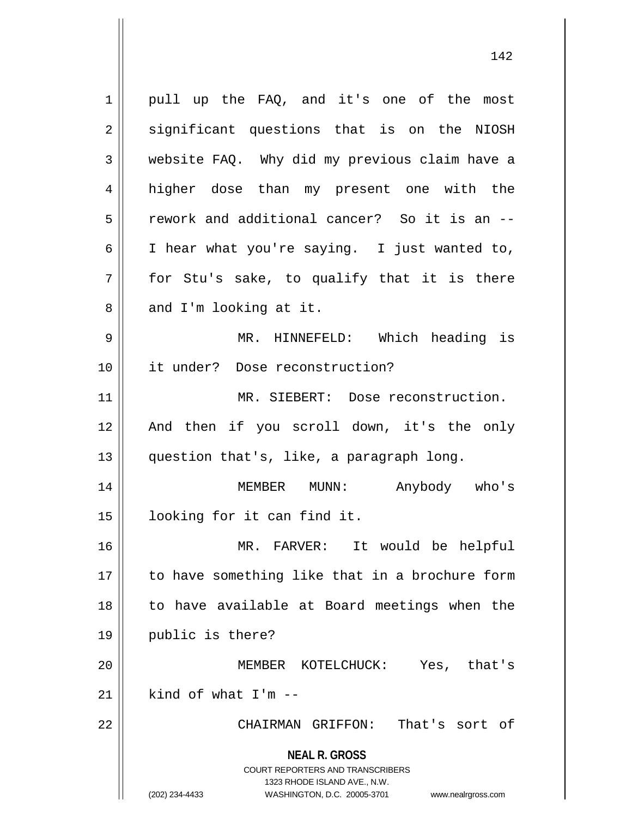**NEAL R. GROSS** COURT REPORTERS AND TRANSCRIBERS 1323 RHODE ISLAND AVE., N.W. (202) 234-4433 WASHINGTON, D.C. 20005-3701 www.nealrgross.com 1 || pull up the FAO, and it's one of the most 2 || significant questions that is on the NIOSH website FAQ. Why did my previous claim have a 4 higher dose than my present one with the rework and additional cancer? So it is an -- I hear what you're saying. I just wanted to,  $7 \parallel$  for Stu's sake, to qualify that it is there 8 || and I'm looking at it. MR. HINNEFELD: Which heading is it under? Dose reconstruction? MR. SIEBERT: Dose reconstruction. And then if you scroll down, it's the only question that's, like, a paragraph long. MEMBER MUNN: Anybody who's looking for it can find it. MR. FARVER: It would be helpful to have something like that in a brochure form to have available at Board meetings when the public is there? MEMBER KOTELCHUCK: Yes, that's  $\parallel$  kind of what I'm --CHAIRMAN GRIFFON: That's sort of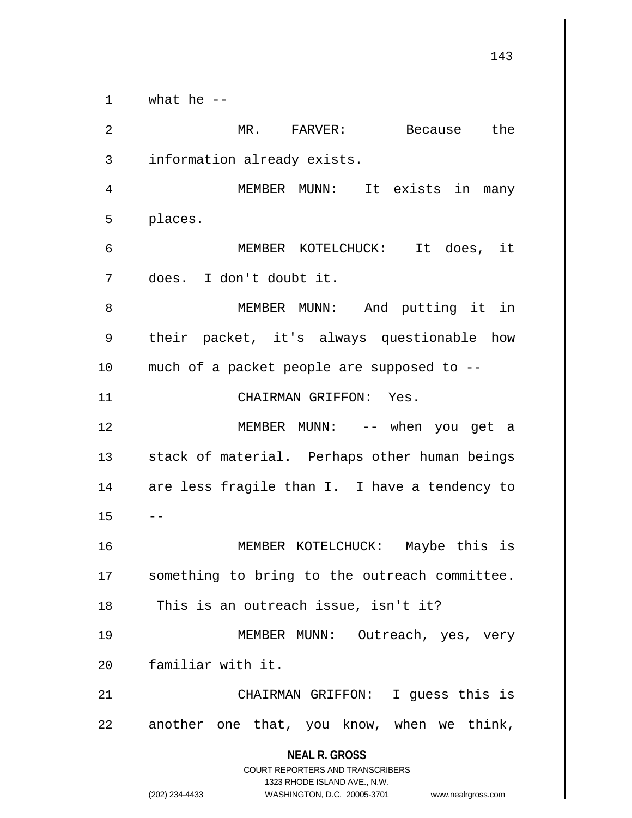**NEAL R. GROSS** COURT REPORTERS AND TRANSCRIBERS 1323 RHODE ISLAND AVE., N.W. (202) 234-4433 WASHINGTON, D.C. 20005-3701 www.nealrgross.com 143  $1 \parallel$  what he --2 MR. FARVER: Because the 3 | information already exists. 4 MEMBER MUNN: It exists in many 5 places. 6 MEMBER KOTELCHUCK: It does, it 7 does. I don't doubt it. 8 || MEMBER MUNN: And putting it in 9 || their packet, it's always questionable how 10 much of a packet people are supposed to -- 11 || CHAIRMAN GRIFFON: Yes. 12 MEMBER MUNN: -- when you get a 13 || stack of material. Perhaps other human beings  $14$  are less fragile than I. I have a tendency to  $15$ 16 MEMBER KOTELCHUCK: Maybe this is 17 || something to bring to the outreach committee. 18 || This is an outreach issue, isn't it? 19 || MEMBER MUNN: Outreach, yes, very 20 familiar with it. 21 CHAIRMAN GRIFFON: I guess this is  $22$  another one that, you know, when we think,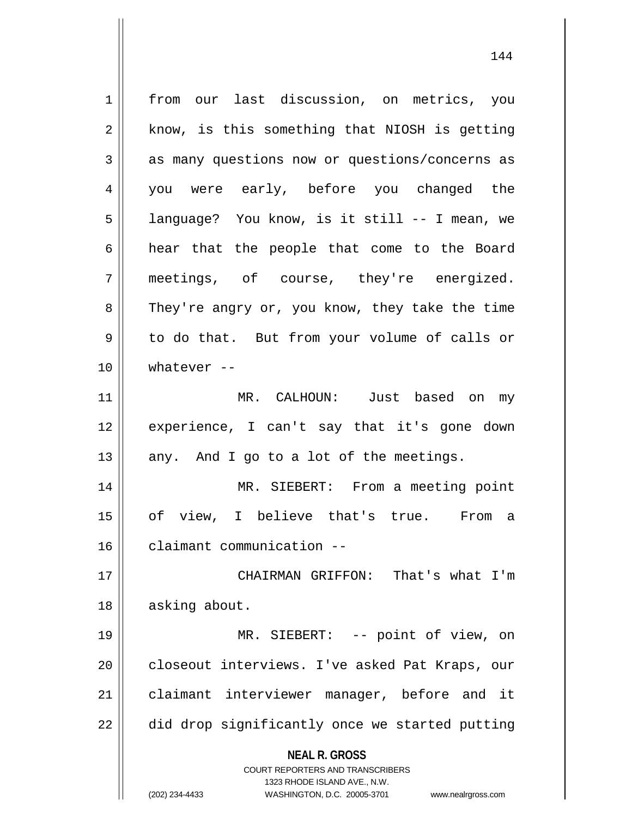**NEAL R. GROSS** COURT REPORTERS AND TRANSCRIBERS 1323 RHODE ISLAND AVE., N.W. (202) 234-4433 WASHINGTON, D.C. 20005-3701 www.nealrgross.com 1 || from our last discussion, on metrics, you  $2 \parallel$  know, is this something that NIOSH is getting 3 as many questions now or questions/concerns as 4 || you were early, before you changed the 5 | language? You know, is it still -- I mean, we 6 || hear that the people that come to the Board 7 meetings, of course, they're energized. 8 They're angry or, you know, they take the time 9 to do that. But from your volume of calls or  $10 \parallel$  whatever  $-$ 11 MR. CALHOUN: Just based on my 12 || experience, I can't say that it's gone down  $13$  | any. And I go to a lot of the meetings. 14 MR. SIEBERT: From a meeting point 15 of view, I believe that's true. From a 16 | claimant communication --17 CHAIRMAN GRIFFON: That's what I'm 18 || asking about. 19 MR. SIEBERT: -- point of view, on 20 || closeout interviews. I've asked Pat Kraps, our 21 || claimant interviewer manager, before and it 22 || did drop significantly once we started putting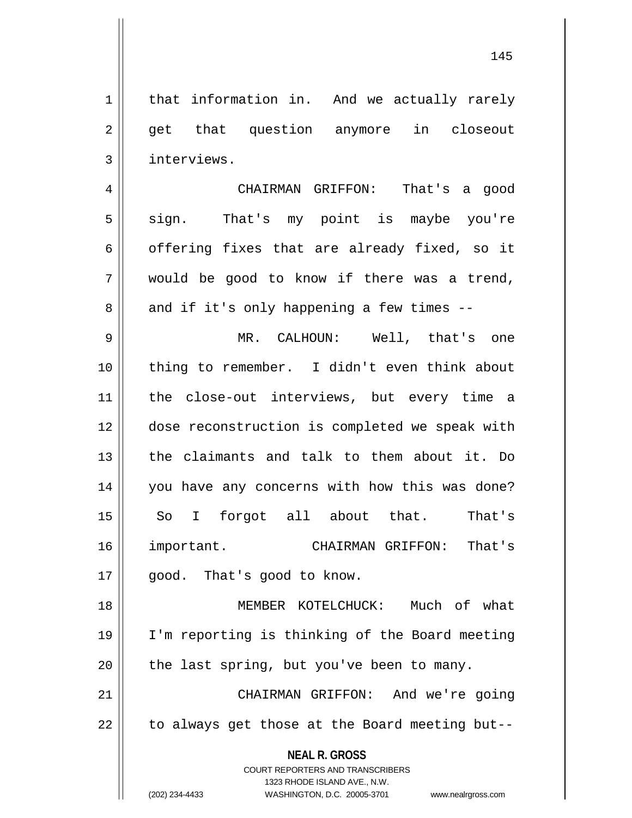1 | that information in. And we actually rarely 2 || get that question anymore in closeout 3 | interviews.

4 CHAIRMAN GRIFFON: That's a good 5 || sign. That's my point is maybe you're  $6 \parallel$  offering fixes that are already fixed, so it  $7 \parallel$  would be good to know if there was a trend,  $8 \parallel$  and if it's only happening a few times --

9 || MR. CALHOUN: Well, that's one thing to remember. I didn't even think about the close-out interviews, but every time a dose reconstruction is completed we speak with the claimants and talk to them about it. Do 14 || you have any concerns with how this was done? So I forgot all about that. That's important. CHAIRMAN GRIFFON: That's 17 || good. That's good to know.

18 MEMBER KOTELCHUCK: Much of what 19 I'm reporting is thinking of the Board meeting  $20$  | the last spring, but you've been to many.

21 CHAIRMAN GRIFFON: And we're going  $22$  | to always get those at the Board meeting but--

> **NEAL R. GROSS** COURT REPORTERS AND TRANSCRIBERS

> > 1323 RHODE ISLAND AVE., N.W.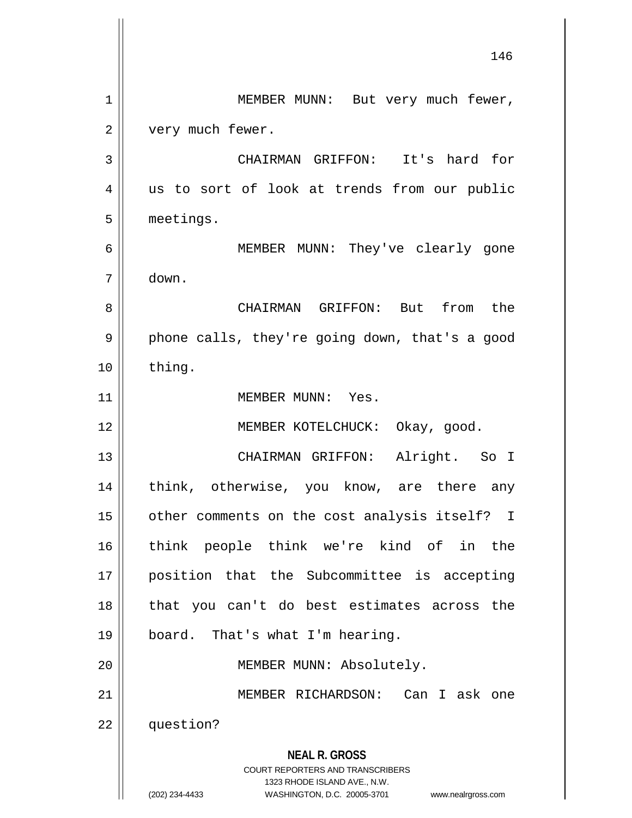**NEAL R. GROSS** COURT REPORTERS AND TRANSCRIBERS 1323 RHODE ISLAND AVE., N.W. (202) 234-4433 WASHINGTON, D.C. 20005-3701 www.nealrgross.com 146 1 || MEMBER MUNN: But very much fewer, 2 | very much fewer. 3 CHAIRMAN GRIFFON: It's hard for 4 || us to sort of look at trends from our public 5 meetings. 6 MEMBER MUNN: They've clearly gone 7 down. 8 CHAIRMAN GRIFFON: But from the  $9 \parallel$  phone calls, they're going down, that's a good 10 || thing. 11 || MEMBER MUNN: Yes. 12 MEMBER KOTELCHUCK: Okay, good. 13 CHAIRMAN GRIFFON: Alright. So I 14 || think, otherwise, you know, are there any 15 || other comments on the cost analysis itself? I 16 think people think we're kind of in the 17 position that the Subcommittee is accepting 18 that you can't do best estimates across the 19 || board. That's what I'm hearing. 20 | MEMBER MUNN: Absolutely. 21 MEMBER RICHARDSON: Can I ask one 22 question?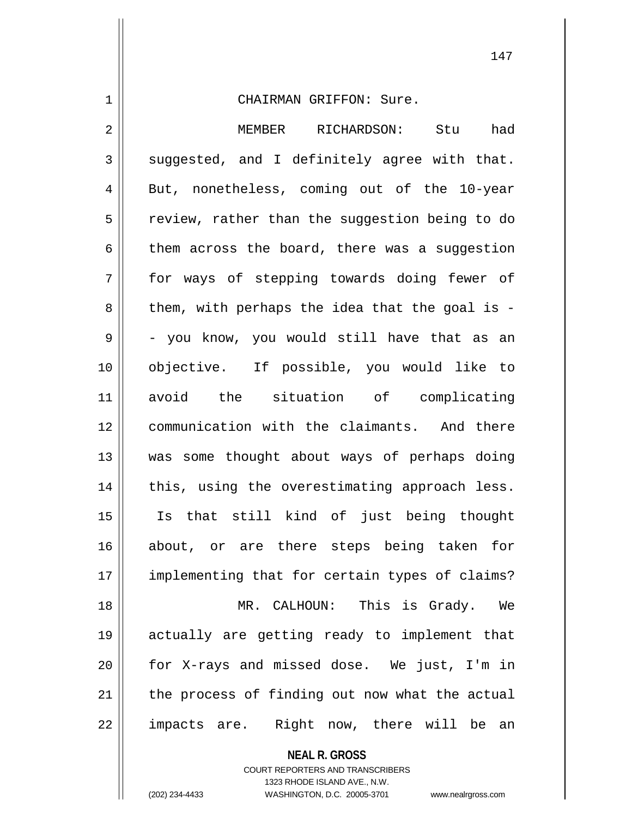CHAIRMAN GRIFFON: Sure. MEMBER RICHARDSON: Stu had  $3 \parallel$  suggested, and I definitely agree with that. 4 || But, nonetheless, coming out of the 10-year  $5 \parallel$  review, rather than the suggestion being to do  $6 \parallel$  them across the board, there was a suggestion for ways of stepping towards doing fewer of  $8 \parallel$  them, with perhaps the idea that the goal is - $9 \parallel$  - you know, you would still have that as an objective. If possible, you would like to avoid the situation of complicating communication with the claimants. And there was some thought about ways of perhaps doing 14 || this, using the overestimating approach less. Is that still kind of just being thought about, or are there steps being taken for 17 || implementing that for certain types of claims? MR. CALHOUN: This is Grady. We actually are getting ready to implement that for X-rays and missed dose. We just, I'm in the process of finding out now what the actual || impacts are. Right now, there will be an

> **NEAL R. GROSS** COURT REPORTERS AND TRANSCRIBERS 1323 RHODE ISLAND AVE., N.W. (202) 234-4433 WASHINGTON, D.C. 20005-3701 www.nealrgross.com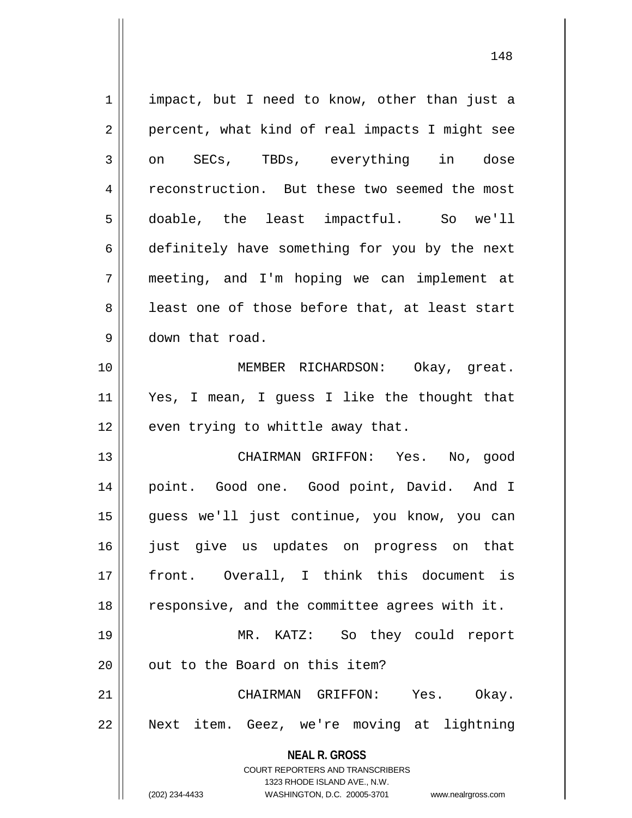| $\mathbf 1$ | impact, but I need to know, other than just a                                                                                                                   |
|-------------|-----------------------------------------------------------------------------------------------------------------------------------------------------------------|
| 2           | percent, what kind of real impacts I might see                                                                                                                  |
| 3           | on SECs, TBDs, everything in dose                                                                                                                               |
| 4           | reconstruction. But these two seemed the most                                                                                                                   |
| 5           | doable, the least impactful. So we'll                                                                                                                           |
| 6           | definitely have something for you by the next                                                                                                                   |
| 7           | meeting, and I'm hoping we can implement at                                                                                                                     |
| 8           | least one of those before that, at least start                                                                                                                  |
| 9           | down that road.                                                                                                                                                 |
| 10          | MEMBER RICHARDSON: Okay, great.                                                                                                                                 |
|             |                                                                                                                                                                 |
| 11          | Yes, I mean, I guess I like the thought that                                                                                                                    |
| 12          | even trying to whittle away that.                                                                                                                               |
| 13          | CHAIRMAN GRIFFON: Yes. No, good                                                                                                                                 |
| 14          | point. Good one. Good point, David. And I                                                                                                                       |
| 15          | guess we'll just continue, you know, you can                                                                                                                    |
| 16          | just give us updates on progress on that                                                                                                                        |
| 17          | front. Overall, I think this document is                                                                                                                        |
| 18          | responsive, and the committee agrees with it.                                                                                                                   |
| 19          | MR. KATZ: So they could report                                                                                                                                  |
| 20          | out to the Board on this item?                                                                                                                                  |
| 21          | CHAIRMAN GRIFFON: Yes. Okay.                                                                                                                                    |
| 22          | Next item. Geez, we're moving at lightning                                                                                                                      |
|             | <b>NEAL R. GROSS</b><br>COURT REPORTERS AND TRANSCRIBERS<br>1323 RHODE ISLAND AVE., N.W.<br>(202) 234-4433<br>WASHINGTON, D.C. 20005-3701<br>www.nealrgross.com |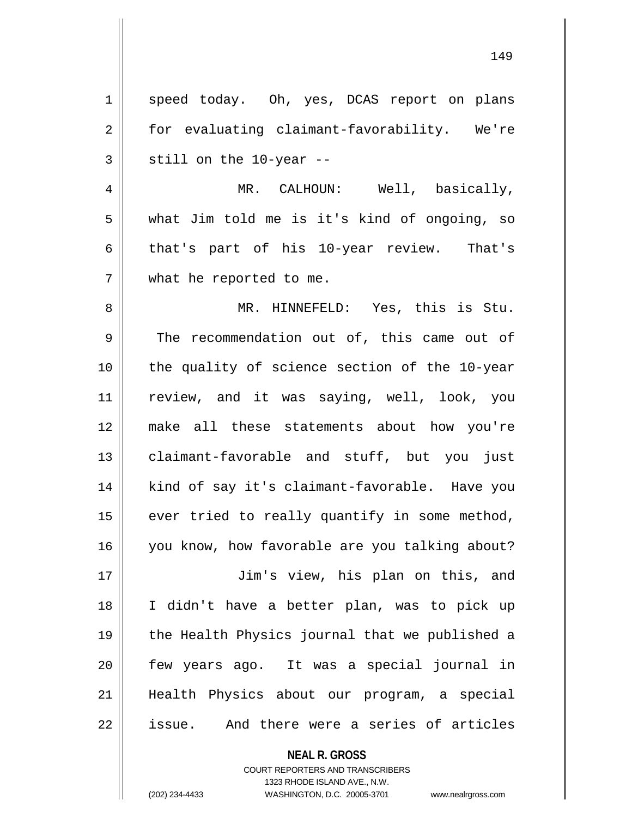| $\mathbf{1}$ | speed today. Oh, yes, DCAS report on plans     |
|--------------|------------------------------------------------|
| 2            | for evaluating claimant-favorability. We're    |
| 3            | still on the 10-year --                        |
| 4            | MR. CALHOUN: Well, basically,                  |
| 5            | what Jim told me is it's kind of ongoing, so   |
| 6            | that's part of his 10-year review. That's      |
| 7            | what he reported to me.                        |
| 8            | MR. HINNEFELD: Yes, this is Stu.               |
| 9            | The recommendation out of, this came out of    |
| 10           | the quality of science section of the 10-year  |
| 11           | review, and it was saying, well, look, you     |
| 12           | make all these statements about how you're     |
| 13           | claimant-favorable and stuff, but you just     |
| 14           | kind of say it's claimant-favorable. Have you  |
| 15           | ever tried to really quantify in some method,  |
| 16           | you know, how favorable are you talking about? |
| 17           | Jim's view, his plan on this, and              |
| 18           | I didn't have a better plan, was to pick up    |
| 19           | the Health Physics journal that we published a |
| 20           | few years ago. It was a special journal in     |
| 21           | Health Physics about our program, a special    |
| 22           | And there were a series of articles<br>issue.  |

**NEAL R. GROSS** COURT REPORTERS AND TRANSCRIBERS 1323 RHODE ISLAND AVE., N.W. (202) 234-4433 WASHINGTON, D.C. 20005-3701 www.nealrgross.com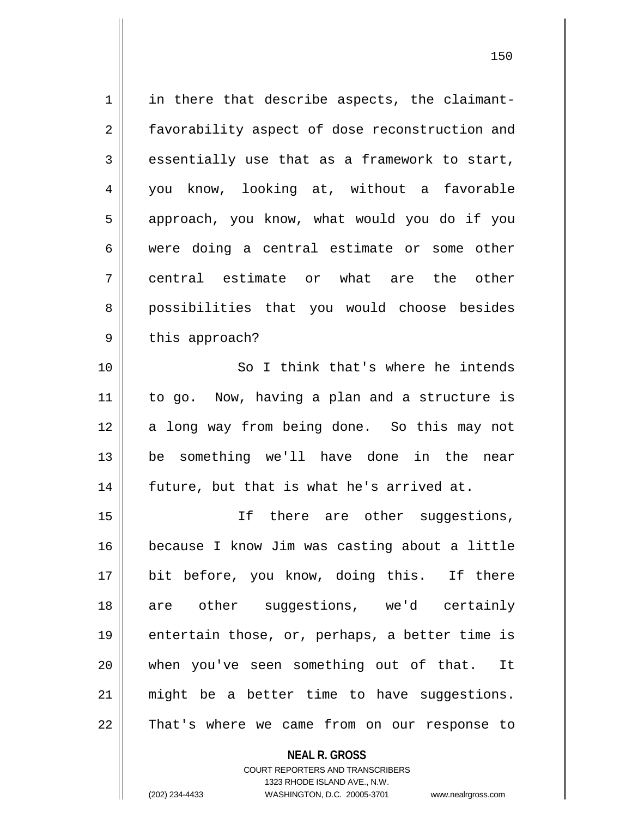$1 \parallel$  in there that describe aspects, the claimant-2 | favorability aspect of dose reconstruction and  $3 \parallel$  essentially use that as a framework to start, 4 you know, looking at, without a favorable 5 || approach, you know, what would you do if you 6 were doing a central estimate or some other 7 central estimate or what are the other 8 || possibilities that you would choose besides  $9 \parallel$  this approach? 10 So I think that's where he intends 11 || to go. Now, having a plan and a structure is 12 a long way from being done. So this may not 13 be something we'll have done in the near 14 | future, but that is what he's arrived at. 15 || Tf there are other suggestions, 16 because I know Jim was casting about a little 17 || bit before, you know, doing this. If there 18 || are other suggestions, we'd certainly 19 || entertain those, or, perhaps, a better time is 20 when you've seen something out of that. It

21 || might be a better time to have suggestions. 22 || That's where we came from on our response to

> **NEAL R. GROSS** COURT REPORTERS AND TRANSCRIBERS 1323 RHODE ISLAND AVE., N.W.

(202) 234-4433 WASHINGTON, D.C. 20005-3701 www.nealrgross.com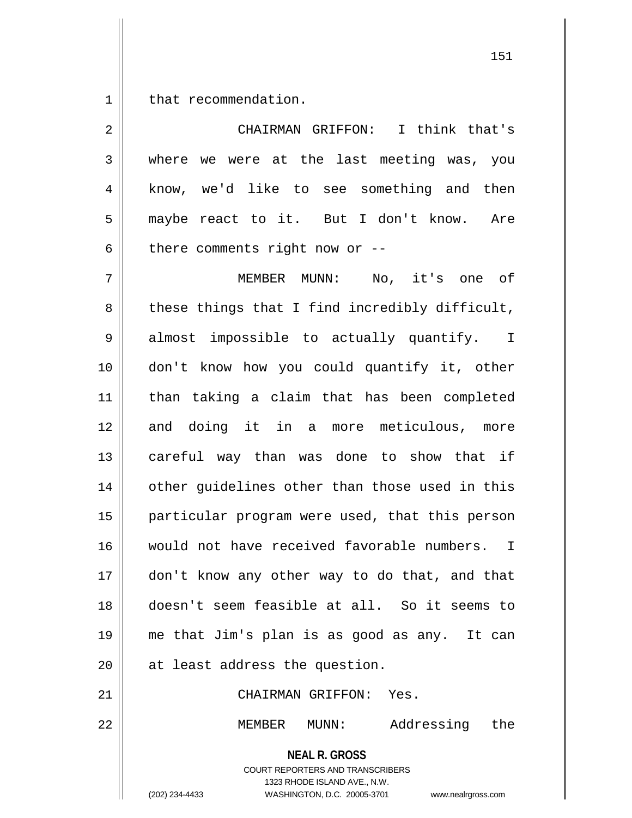1 || that recommendation.

2 || CHAIRMAN GRIFFON: I think that's 3 where we were at the last meeting was, you 4 || know, we'd like to see something and then 5 maybe react to it. But I don't know. Are  $6$  | there comments right now or  $-$ -7 MEMBER MUNN: No, it's one of  $8 \parallel$  these things that I find incredibly difficult, 9 || almost impossible to actually quantify. I 10 don't know how you could quantify it, other 11 than taking a claim that has been completed 12 and doing it in a more meticulous, more 13 || careful way than was done to show that if 14 || other guidelines other than those used in this 15 || particular program were used, that this person 16 would not have received favorable numbers. I 17 don't know any other way to do that, and that 18 doesn't seem feasible at all. So it seems to 19 me that Jim's plan is as good as any. It can 20 || at least address the question. 21 CHAIRMAN GRIFFON: Yes. 22 MEMBER MUNN: Addressing the

> **NEAL R. GROSS** COURT REPORTERS AND TRANSCRIBERS 1323 RHODE ISLAND AVE., N.W.

(202) 234-4433 WASHINGTON, D.C. 20005-3701 www.nealrgross.com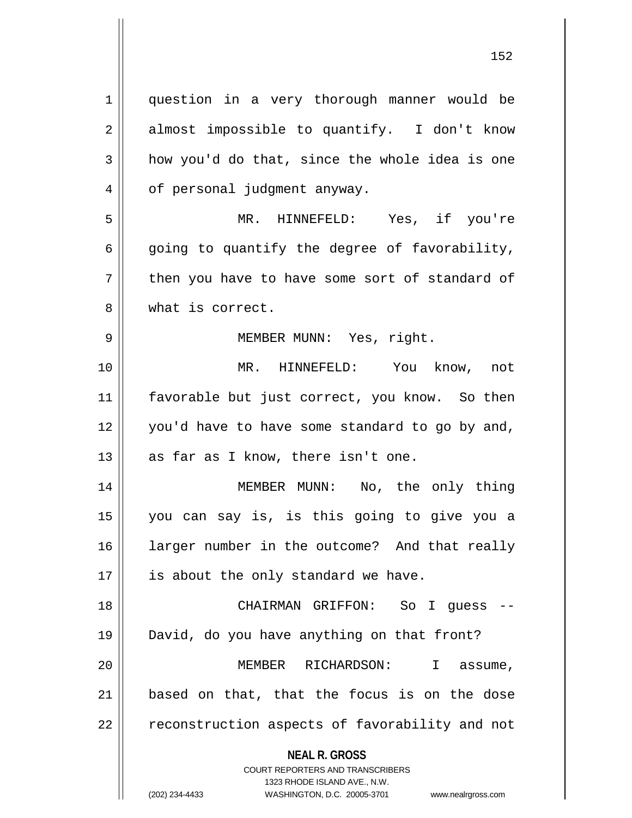| 1  | question in a very thorough manner would be                         |
|----|---------------------------------------------------------------------|
| 2  | almost impossible to quantify. I don't know                         |
| 3  | how you'd do that, since the whole idea is one                      |
| 4  | of personal judgment anyway.                                        |
| 5  | MR. HINNEFELD: Yes, if you're                                       |
| 6  | going to quantify the degree of favorability,                       |
| 7  | then you have to have some sort of standard of                      |
| 8  | what is correct.                                                    |
| 9  | MEMBER MUNN: Yes, right.                                            |
| 10 | MR. HINNEFELD: You know, not                                        |
| 11 | favorable but just correct, you know. So then                       |
| 12 | you'd have to have some standard to go by and,                      |
| 13 | as far as I know, there isn't one.                                  |
| 14 | MEMBER MUNN: No, the only thing                                     |
| 15 |                                                                     |
|    | you can say is, is this going to give you a                         |
| 16 | larger number in the outcome? And that really                       |
| 17 | is about the only standard we have.                                 |
| 18 | CHAIRMAN GRIFFON:<br>So I guess                                     |
| 19 | David, do you have anything on that front?                          |
| 20 | MEMBER RICHARDSON:<br>$\mathbf{I}$<br>assume,                       |
| 21 | based on that, that the focus is on the dose                        |
| 22 | reconstruction aspects of favorability and not                      |
|    | <b>NEAL R. GROSS</b>                                                |
|    | COURT REPORTERS AND TRANSCRIBERS                                    |
|    | 1323 RHODE ISLAND AVE., N.W.                                        |
|    | (202) 234-4433<br>WASHINGTON, D.C. 20005-3701<br>www.nealrgross.com |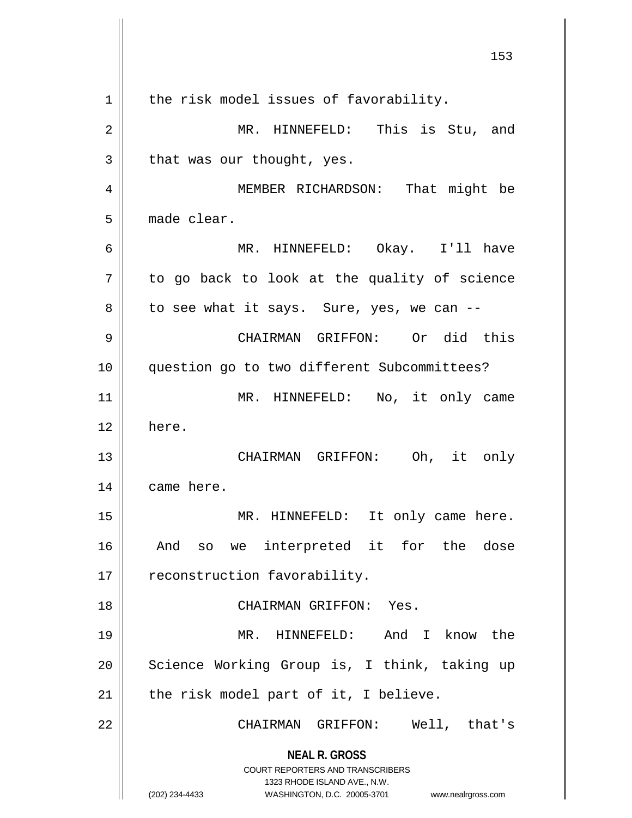|    | 153                                                                                             |
|----|-------------------------------------------------------------------------------------------------|
| 1  | the risk model issues of favorability.                                                          |
| 2  | MR. HINNEFELD: This is Stu, and                                                                 |
| 3  | that was our thought, yes.                                                                      |
| 4  | MEMBER RICHARDSON: That might be                                                                |
| 5  | made clear.                                                                                     |
| 6  | MR. HINNEFELD: Okay. I'll have                                                                  |
| 7  | to go back to look at the quality of science                                                    |
| 8  | to see what it says. Sure, yes, we can --                                                       |
| 9  | CHAIRMAN GRIFFON: Or did this                                                                   |
| 10 | question go to two different Subcommittees?                                                     |
| 11 | MR. HINNEFELD: No, it only came                                                                 |
| 12 | here.                                                                                           |
| 13 | CHAIRMAN GRIFFON:<br>Oh, it only                                                                |
| 14 | came here.                                                                                      |
| 15 | MR. HINNEFELD: It only came here.                                                               |
| 16 | interpreted it for the<br>And<br>dose<br>so we                                                  |
| 17 | reconstruction favorability.                                                                    |
| 18 | CHAIRMAN GRIFFON: Yes.                                                                          |
| 19 | And I know the<br>MR. HINNEFELD:                                                                |
| 20 | Science Working Group is, I think, taking up                                                    |
| 21 | the risk model part of it, I believe.                                                           |
| 22 | CHAIRMAN GRIFFON: Well, that's                                                                  |
|    | <b>NEAL R. GROSS</b><br><b>COURT REPORTERS AND TRANSCRIBERS</b><br>1323 RHODE ISLAND AVE., N.W. |
|    | (202) 234-4433<br>WASHINGTON, D.C. 20005-3701<br>www.nealrgross.com                             |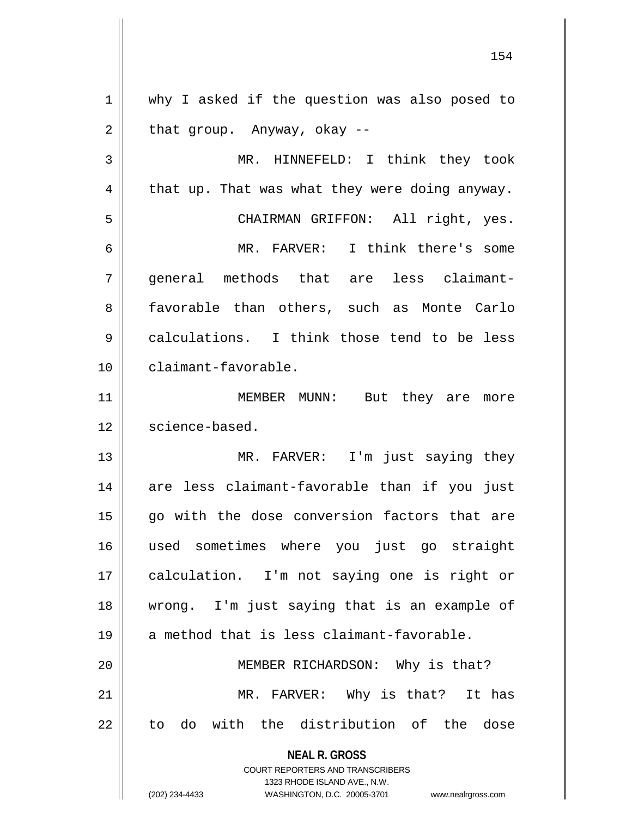| 1  | why I asked if the question was also posed to                                                       |
|----|-----------------------------------------------------------------------------------------------------|
| 2  | that group. Anyway, okay --                                                                         |
| 3  | MR. HINNEFELD: I think they took                                                                    |
| 4  | that up. That was what they were doing anyway.                                                      |
| 5  | CHAIRMAN GRIFFON: All right, yes.                                                                   |
| 6  | MR. FARVER: I think there's some                                                                    |
| 7  | general methods that are less claimant-                                                             |
| 8  | favorable than others, such as Monte Carlo                                                          |
| 9  | calculations. I think those tend to be less                                                         |
| 10 | claimant-favorable.                                                                                 |
| 11 | MEMBER MUNN: But they are more                                                                      |
| 12 | science-based.                                                                                      |
| 13 | MR. FARVER: I'm just saying they                                                                    |
| 14 | are less claimant-favorable than if you just                                                        |
| 15 | go with the dose conversion factors that are                                                        |
| 16 | used sometimes where you just go straight                                                           |
| 17 | calculation. I'm not saying one is right or                                                         |
| 18 | wrong. I'm just saying that is an example of                                                        |
| 19 | a method that is less claimant-favorable.                                                           |
| 20 | MEMBER RICHARDSON: Why is that?                                                                     |
| 21 | MR. FARVER: Why is that? It has                                                                     |
| 22 | do with the distribution of the dose<br>to                                                          |
|    |                                                                                                     |
|    | <b>NEAL R. GROSS</b><br><b>COURT REPORTERS AND TRANSCRIBERS</b>                                     |
|    | 1323 RHODE ISLAND AVE., N.W.<br>(202) 234-4433<br>WASHINGTON, D.C. 20005-3701<br>www.nealrgross.com |
|    |                                                                                                     |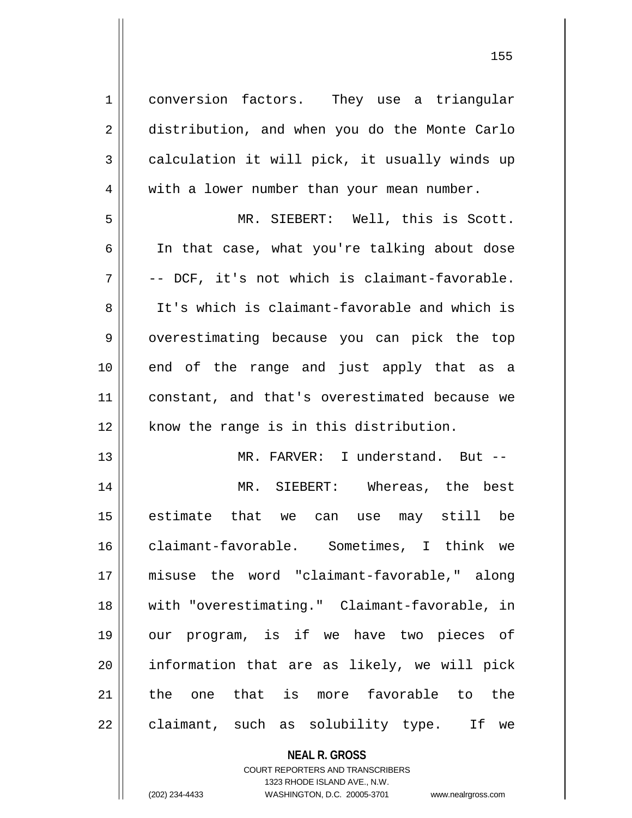1 conversion factors. They use a triangular 2 distribution, and when you do the Monte Carlo  $3 \parallel$  calculation it will pick, it usually winds up 4 | with a lower number than your mean number. 5 MR. SIEBERT: Well, this is Scott. 6 In that case, what you're talking about dose  $7 \parallel$  -- DCF, it's not which is claimant-favorable. 8 || It's which is claimant-favorable and which is 9 || overestimating because you can pick the top 10 || end of the range and just apply that as a 11 || constant, and that's overestimated because we 12 || know the range is in this distribution. 13 MR. FARVER: I understand. But -- 14 MR. SIEBERT: Whereas, the best 15 estimate that we can use may still be 16 claimant-favorable. Sometimes, I think we 17 misuse the word "claimant-favorable," along 18 with "overestimating." Claimant-favorable, in 19 our program, is if we have two pieces of 20 information that are as likely, we will pick 21 ll the one that is more favorable to the 22 || claimant, such as solubility type. If we

> **NEAL R. GROSS** COURT REPORTERS AND TRANSCRIBERS

1323 RHODE ISLAND AVE., N.W. (202) 234-4433 WASHINGTON, D.C. 20005-3701 www.nealrgross.com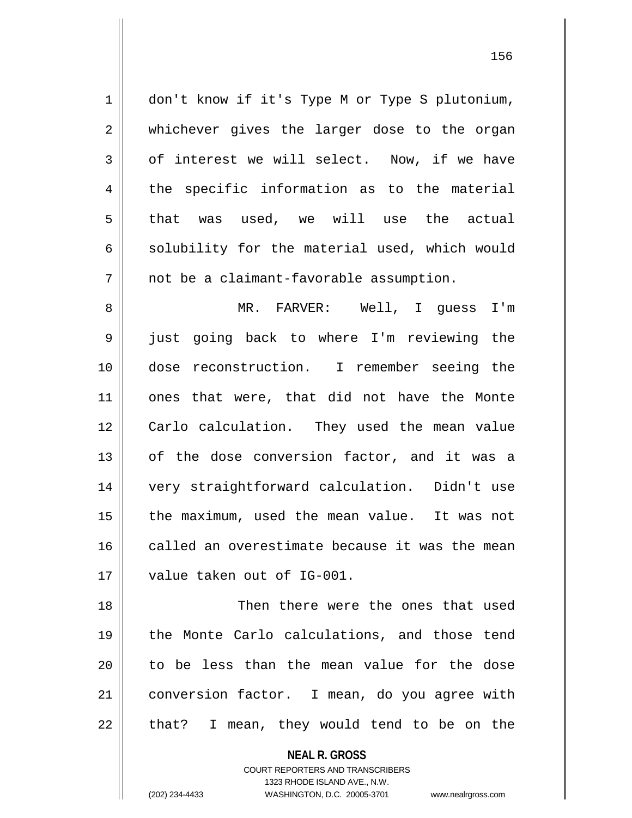1 don't know if it's Type M or Type S plutonium, 2 whichever gives the larger dose to the organ  $3 \parallel$  of interest we will select. Now, if we have 4 the specific information as to the material 5 $\parallel$  that was used, we will use the actual  $6 \parallel$  solubility for the material used, which would 7 not be a claimant-favorable assumption. 8 MR. FARVER: Well, I guess I'm 9 just going back to where I'm reviewing the 10 dose reconstruction. I remember seeing the 11 || ones that were, that did not have the Monte 12 || Carlo calculation. They used the mean value 13 || of the dose conversion factor, and it was a 14 very straightforward calculation. Didn't use 15 || the maximum, used the mean value. It was not 16 called an overestimate because it was the mean 17 || value taken out of IG-001. 18 Then there were the ones that used

19 || the Monte Carlo calculations, and those tend 20 || to be less than the mean value for the dose 21 conversion factor. I mean, do you agree with  $22$  || that? I mean, they would tend to be on the

> **NEAL R. GROSS** COURT REPORTERS AND TRANSCRIBERS 1323 RHODE ISLAND AVE., N.W. (202) 234-4433 WASHINGTON, D.C. 20005-3701 www.nealrgross.com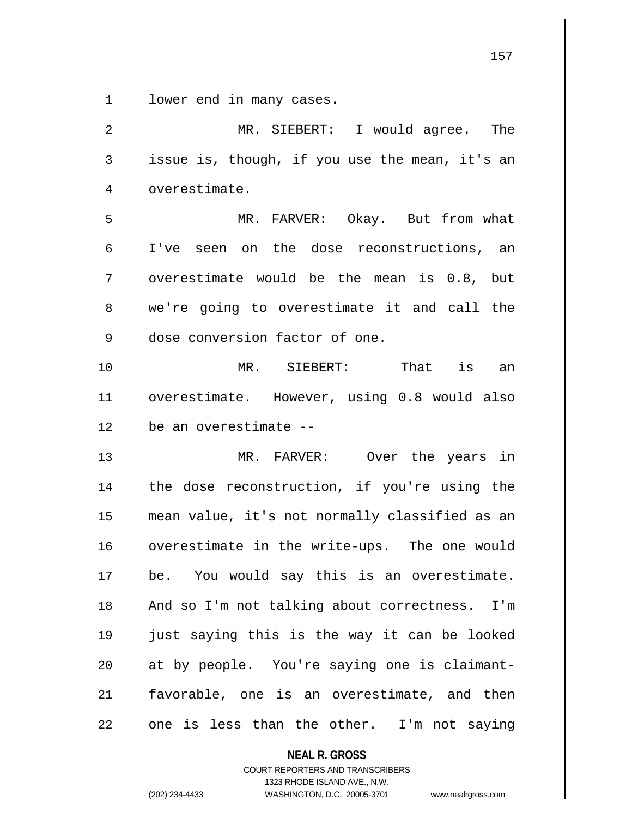1 | lower end in many cases.

| $\sqrt{2}$     | MR. SIEBERT: I would agree. The                |
|----------------|------------------------------------------------|
| $\mathfrak{Z}$ | issue is, though, if you use the mean, it's an |
| 4              | overestimate.                                  |
| 5              | MR. FARVER: Okay. But from what                |
| 6              | I've seen on the dose reconstructions, an      |
| 7              | overestimate would be the mean is 0.8, but     |
| 8              | we're going to overestimate it and call the    |
| 9              | dose conversion factor of one.                 |
| 10             | MR. SIEBERT: That is an                        |
| 11             | overestimate. However, using 0.8 would also    |
| 12             | be an overestimate --                          |
| 13             | MR. FARVER: Over the years in                  |
| 14             | the dose reconstruction, if you're using the   |
| 15             | mean value, it's not normally classified as an |
| 16             | overestimate in the write-ups. The one would   |
| $17\,$         | be. You would say this is an overestimate.     |
| 18             | And so I'm not talking about correctness. I'm  |
| 19             | just saying this is the way it can be looked   |
| 20             | at by people. You're saying one is claimant-   |
| 21             | favorable, one is an overestimate, and then    |
| 22             | one is less than the other. I'm not saying     |

**NEAL R. GROSS**

COURT REPORTERS AND TRANSCRIBERS 1323 RHODE ISLAND AVE., N.W. (202) 234-4433 WASHINGTON, D.C. 20005-3701 www.nealrgross.com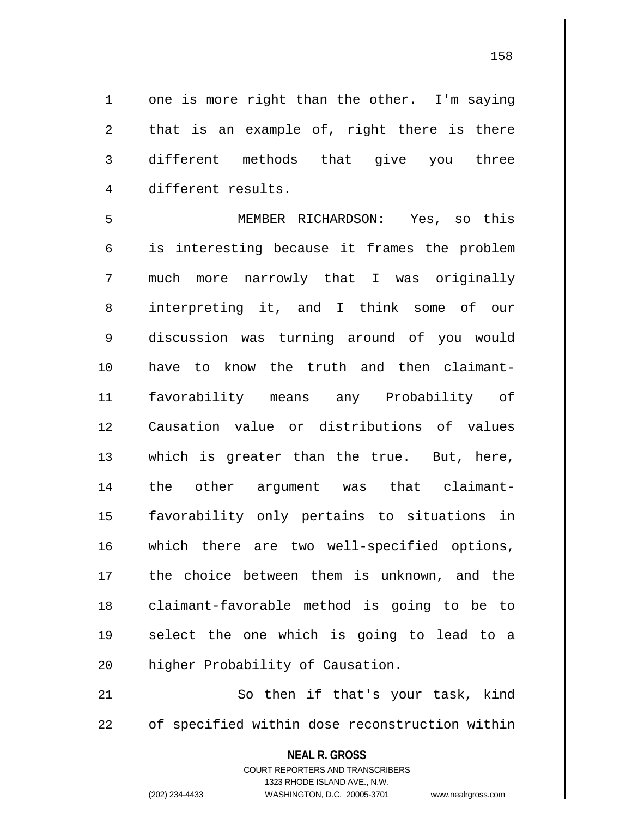$1 \parallel$  one is more right than the other. I'm saying  $2 \parallel$  that is an example of, right there is there 3 different methods that give you three 4 different results.

 MEMBER RICHARDSON: Yes, so this 6 || is interesting because it frames the problem much more narrowly that I was originally 8 || interpreting it, and I think some of our discussion was turning around of you would have to know the truth and then claimant- favorability means any Probability of Causation value or distributions of values which is greater than the true. But, here, the other argument was that claimant- favorability only pertains to situations in 16 || which there are two well-specified options, the choice between them is unknown, and the 18 || claimant-favorable method is going to be to select the one which is going to lead to a 20 | higher Probability of Causation.

21 || So then if that's your task, kind  $22$   $\parallel$  of specified within dose reconstruction within

> **NEAL R. GROSS** COURT REPORTERS AND TRANSCRIBERS 1323 RHODE ISLAND AVE., N.W.

(202) 234-4433 WASHINGTON, D.C. 20005-3701 www.nealrgross.com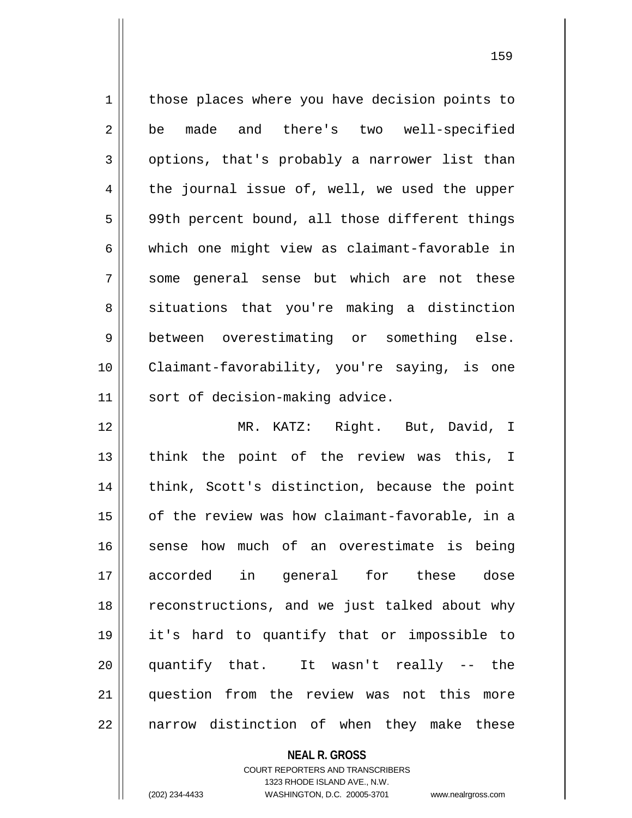1 | those places where you have decision points to 2 be made and there's two well-specified  $3 \parallel$  options, that's probably a narrower list than  $4 \parallel$  the journal issue of, well, we used the upper 5 || 99th percent bound, all those different things 6 which one might view as claimant-favorable in 7 || some general sense but which are not these 8 || situations that you're making a distinction 9 between overestimating or something else. 10 Claimant-favorability, you're saying, is one 11 || sort of decision-making advice. 12 || MR. KATZ: Right. But, David, I

13 || think the point of the review was this, I 14 || think, Scott's distinction, because the point 15 || of the review was how claimant-favorable, in a 16 sense how much of an overestimate is being 17 accorded in general for these dose 18 || reconstructions, and we just talked about why 19 it's hard to quantify that or impossible to  $20$  || quantify that. It wasn't really -- the 21 question from the review was not this more 22 || narrow distinction of when they make these

> **NEAL R. GROSS** COURT REPORTERS AND TRANSCRIBERS 1323 RHODE ISLAND AVE., N.W. (202) 234-4433 WASHINGTON, D.C. 20005-3701 www.nealrgross.com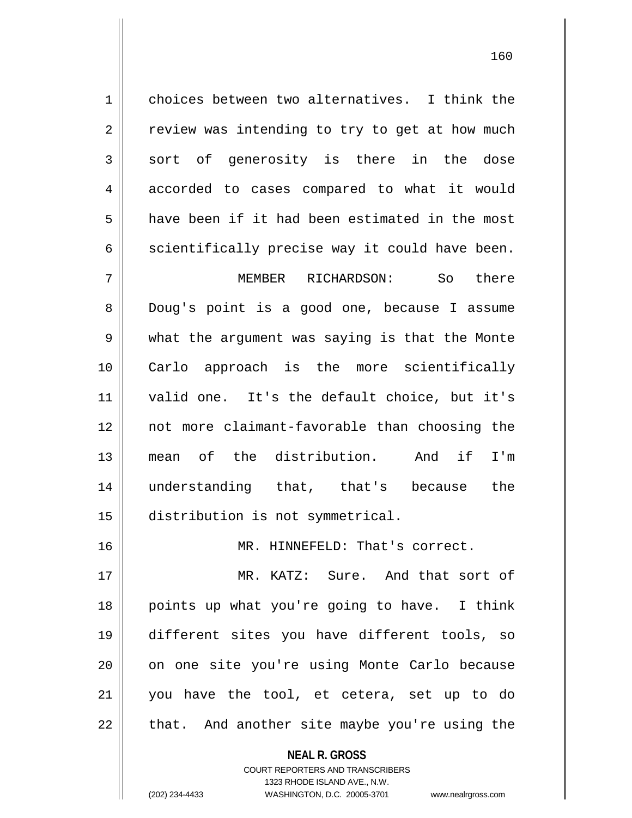$2 \parallel$  review was intending to try to get at how much  $3 \parallel$  sort of generosity is there in the dose 4 accorded to cases compared to what it would  $5 \parallel$  have been if it had been estimated in the most  $6 \parallel$  scientifically precise way it could have been. 7 MEMBER RICHARDSON: So there 8 Doug's point is a good one, because I assume 9 what the argument was saying is that the Monte 10 Carlo approach is the more scientifically 11 valid one. It's the default choice, but it's 12 not more claimant-favorable than choosing the 13 mean of the distribution. And if I'm 14 understanding that, that's because the 15 distribution is not symmetrical. 16 MR. HINNEFELD: That's correct. 17 MR. KATZ: Sure. And that sort of

1 choices between two alternatives. I think the

18 || points up what you're going to have. I think 19 different sites you have different tools, so 20 || on one site you're using Monte Carlo because 21 you have the tool, et cetera, set up to do  $22$  || that. And another site maybe you're using the

> **NEAL R. GROSS** COURT REPORTERS AND TRANSCRIBERS 1323 RHODE ISLAND AVE., N.W. (202) 234-4433 WASHINGTON, D.C. 20005-3701 www.nealrgross.com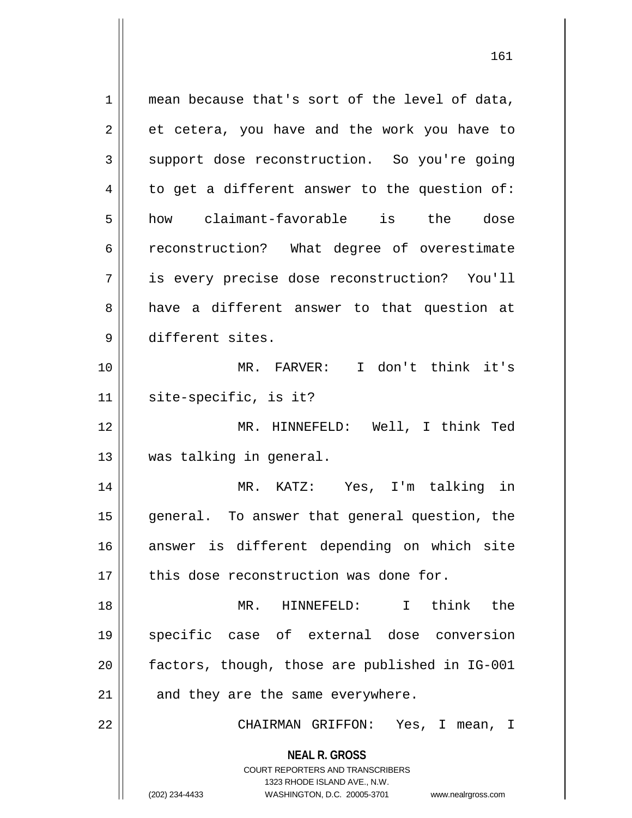**NEAL R. GROSS** COURT REPORTERS AND TRANSCRIBERS 1323 RHODE ISLAND AVE., N.W. (202) 234-4433 WASHINGTON, D.C. 20005-3701 www.nealrgross.com  $1 \parallel$  mean because that's sort of the level of data,  $2 \parallel$  et cetera, you have and the work you have to 3 Support dose reconstruction. So you're going  $4 \parallel$  to get a different answer to the question of: 5 how claimant-favorable is the dose 6 construction? What degree of overestimate 7 is every precise dose reconstruction? You'll 8 || have a different answer to that question at 9 || different sites. 10 MR. FARVER: I don't think it's 11 site-specific, is it? 12 MR. HINNEFELD: Well, I think Ted 13 was talking in general. 14 MR. KATZ: Yes, I'm talking in 15 general. To answer that general question, the 16 answer is different depending on which site  $17$   $\parallel$  this dose reconstruction was done for. 18 MR. HINNEFELD: I think the 19 specific case of external dose conversion  $20$  | factors, though, those are published in IG-001  $21$  | and they are the same everywhere. 22 CHAIRMAN GRIFFON: Yes, I mean, I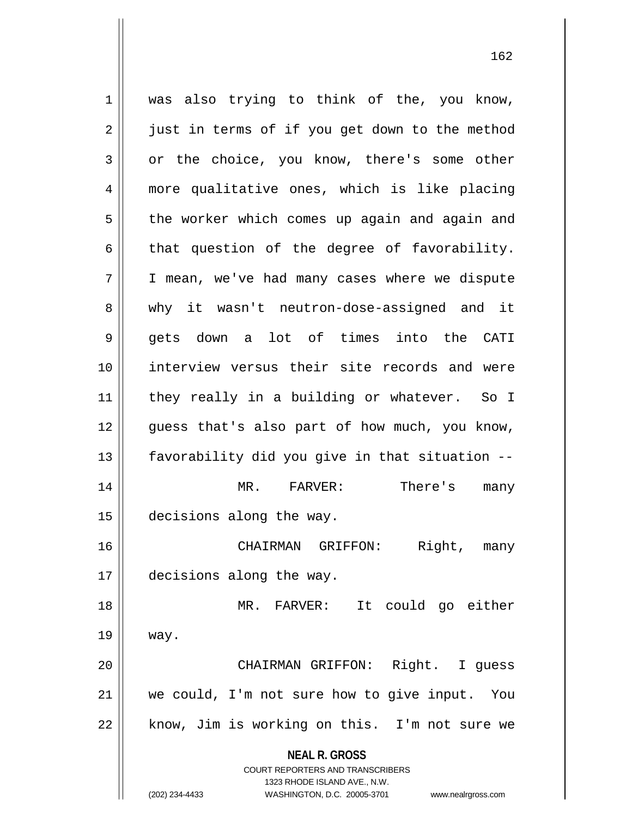**NEAL R. GROSS** COURT REPORTERS AND TRANSCRIBERS 1323 RHODE ISLAND AVE., N.W. 1 || was also trying to think of the, you know, 2 || just in terms of if you get down to the method 3 or the choice, you know, there's some other 4 more qualitative ones, which is like placing 5 | the worker which comes up again and again and  $6 \parallel$  that question of the degree of favorability. 7 I mean, we've had many cases where we dispute 8 why it wasn't neutron-dose-assigned and it 9 gets down a lot of times into the CATI 10 interview versus their site records and were 11 || they really in a building or whatever. So I 12 || quess that's also part of how much, you know,  $13$  | favorability did you give in that situation  $-$ 14 MR. FARVER: There's many 15 decisions along the way. 16 CHAIRMAN GRIFFON: Right, many 17 decisions along the way. 18 MR. FARVER: It could go either 19 way. 20 CHAIRMAN GRIFFON: Right. I guess 21 we could, I'm not sure how to give input. You 22 || know, Jim is working on this. I'm not sure we

(202) 234-4433 WASHINGTON, D.C. 20005-3701 www.nealrgross.com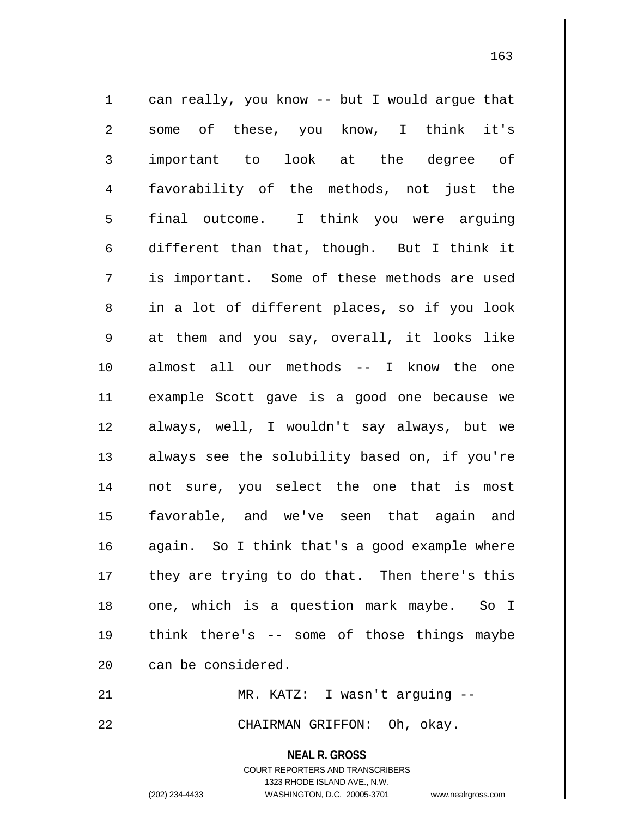**NEAL R. GROSS**  $1 \parallel$  can really, you know -- but I would argue that 2 || some of these, you know, I think it's 3 important to look at the degree of 4 favorability of the methods, not just the 5 | final outcome. I think you were arguing 6 different than that, though. But I think it 7 is important. Some of these methods are used 8 || in a lot of different places, so if you look 9 || at them and you say, overall, it looks like 10 almost all our methods -- I know the one 11 example Scott gave is a good one because we 12 always, well, I wouldn't say always, but we 13 || always see the solubility based on, if you're 14 not sure, you select the one that is most 15 favorable, and we've seen that again and  $16$  again. So I think that's a good example where  $17$  || they are trying to do that. Then there's this 18 || one, which is a question mark maybe. So I 19 think there's -- some of those things maybe 20 can be considered. 21 || MR. KATZ: I wasn't arguing --22 CHAIRMAN GRIFFON: Oh, okay.

> COURT REPORTERS AND TRANSCRIBERS 1323 RHODE ISLAND AVE., N.W. (202) 234-4433 WASHINGTON, D.C. 20005-3701 www.nealrgross.com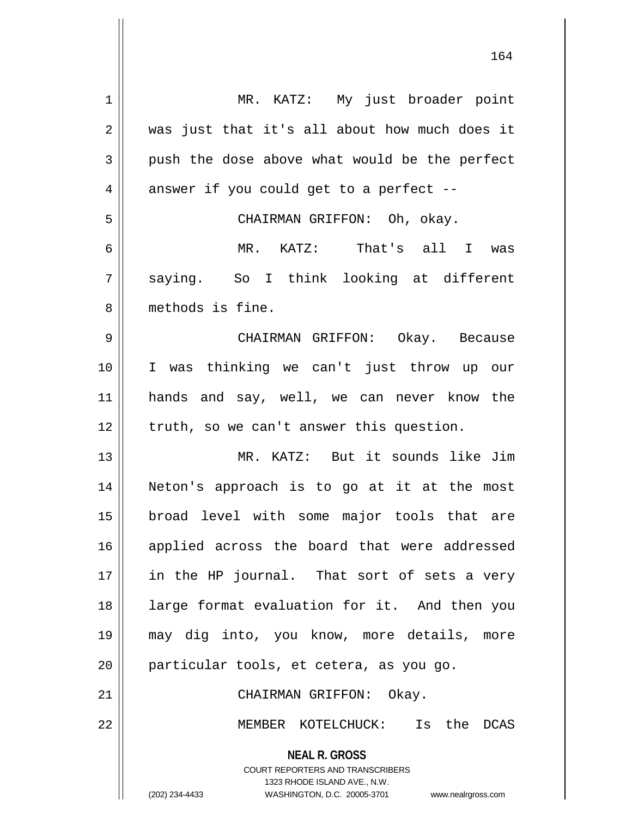| $\mathbf 1$ | MR. KATZ: My just broader point                                         |
|-------------|-------------------------------------------------------------------------|
| 2           | was just that it's all about how much does it                           |
| 3           | push the dose above what would be the perfect                           |
| 4           | answer if you could get to a perfect --                                 |
| 5           | CHAIRMAN GRIFFON: Oh, okay.                                             |
| 6           | MR. KATZ: That's all I was                                              |
| 7           | saying. So I think looking at different                                 |
| 8           | methods is fine.                                                        |
| 9           | CHAIRMAN GRIFFON: Okay. Because                                         |
| 10          | I was thinking we can't just throw up our                               |
| 11          | hands and say, well, we can never know the                              |
| 12          | truth, so we can't answer this question.                                |
| 13          | MR. KATZ: But it sounds like Jim                                        |
| 14          | Neton's approach is to go at it at the most                             |
| 15          | broad level with some major tools that are                              |
| 16          | applied across the board that were addressed                            |
|             |                                                                         |
| 17          | in the HP journal. That sort of sets a very                             |
| 18          | large format evaluation for it. And then you                            |
| 19          | may dig into, you know, more details, more                              |
| 20          | particular tools, et cetera, as you go.                                 |
| 21          | CHAIRMAN GRIFFON: Okay.                                                 |
| 22          | MEMBER KOTELCHUCK:<br>Is the<br><b>DCAS</b>                             |
|             | <b>NEAL R. GROSS</b>                                                    |
|             | <b>COURT REPORTERS AND TRANSCRIBERS</b><br>1323 RHODE ISLAND AVE., N.W. |
|             | WASHINGTON, D.C. 20005-3701<br>(202) 234-4433<br>www.nealrgross.com     |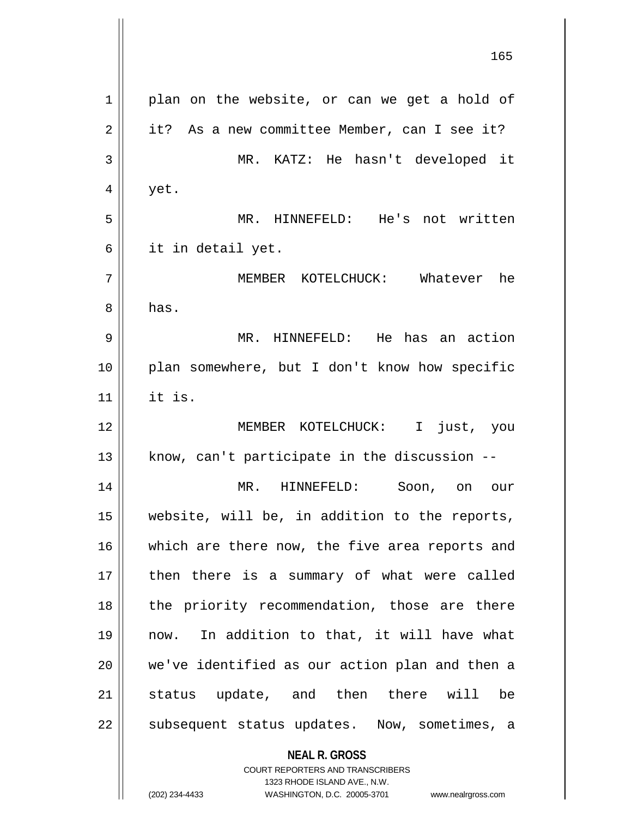**NEAL R. GROSS** COURT REPORTERS AND TRANSCRIBERS 1323 RHODE ISLAND AVE., N.W. 165 1 | plan on the website, or can we get a hold of 2 | it? As a new committee Member, can I see it? 3 MR. KATZ: He hasn't developed it  $4 \parallel$  yet. 5 MR. HINNEFELD: He's not written 6 it in detail yet. 7 MEMBER KOTELCHUCK: Whatever he 8 || has. 9 MR. HINNEFELD: He has an action 10 plan somewhere, but I don't know how specific  $11$  | it is. 12 MEMBER KOTELCHUCK: I just, you  $13$  | know, can't participate in the discussion  $-$ 14 MR. HINNEFELD: Soon, on our 15 website, will be, in addition to the reports, 16 || which are there now, the five area reports and 17 || then there is a summary of what were called 18 || the priority recommendation, those are there 19 now. In addition to that, it will have what 20 we've identified as our action plan and then a 21 || status update, and then there will be 22 || subsequent status updates. Now, sometimes, a

(202) 234-4433 WASHINGTON, D.C. 20005-3701 www.nealrgross.com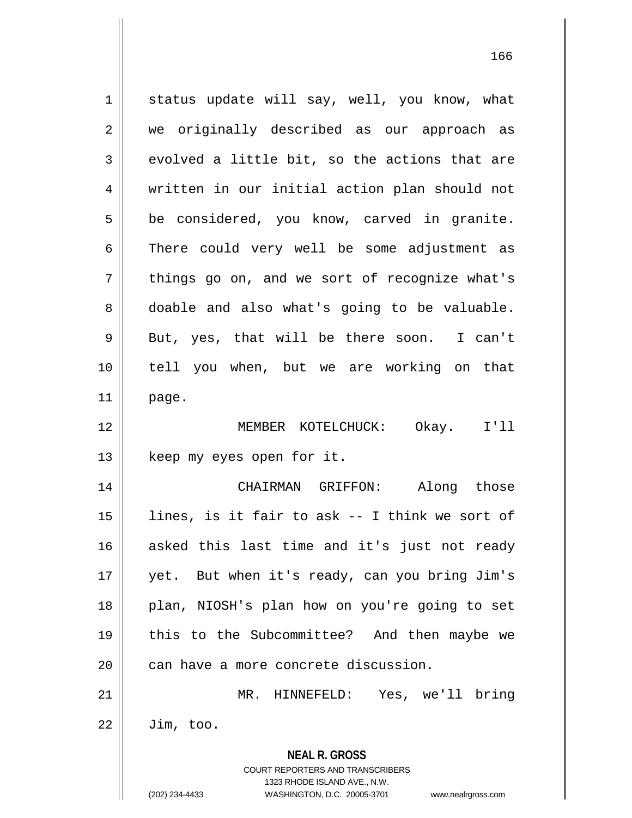**NEAL R. GROSS** COURT REPORTERS AND TRANSCRIBERS 1323 RHODE ISLAND AVE., N.W. (202) 234-4433 WASHINGTON, D.C. 20005-3701 www.nealrgross.com  $1$  status update will say, well, you know, what 2 || we originally described as our approach as  $3 \parallel$  evolved a little bit, so the actions that are 4 written in our initial action plan should not  $5 \parallel$  be considered, you know, carved in granite. 6 There could very well be some adjustment as  $7 \parallel$  things go on, and we sort of recognize what's 8 doable and also what's going to be valuable.  $9 \parallel$  But, yes, that will be there soon. I can't 10 tell you when, but we are working on that  $11$  page. 12 MEMBER KOTELCHUCK: Okay. I'll 13 || keep my eyes open for it. 14 CHAIRMAN GRIFFON: Along those  $15$  || lines, is it fair to ask -- I think we sort of 16 asked this last time and it's just not ready 17 || yet. But when it's ready, can you bring Jim's 18 || plan, NIOSH's plan how on you're going to set 19 this to the Subcommittee? And then maybe we 20 | can have a more concrete discussion. 21 MR. HINNEFELD: Yes, we'll bring  $22 \parallel$  Jim, too.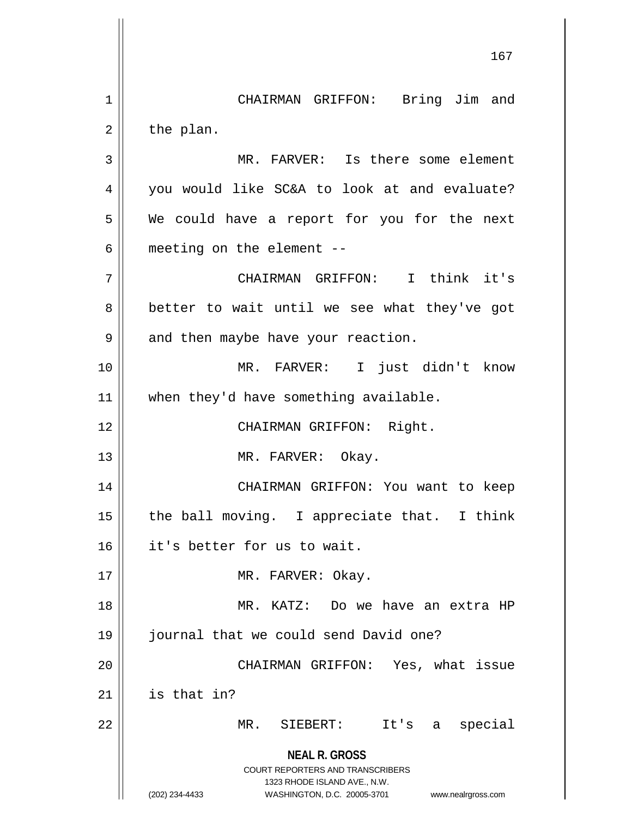**NEAL R. GROSS** COURT REPORTERS AND TRANSCRIBERS 1323 RHODE ISLAND AVE., N.W. (202) 234-4433 WASHINGTON, D.C. 20005-3701 www.nealrgross.com 1 | CHAIRMAN GRIFFON: Bring Jim and  $2 \parallel$  the plan. 3 || MR. FARVER: Is there some element 4 you would like SC&A to look at and evaluate? 5 We could have a report for you for the next  $6$  || meeting on the element  $-$ 7 CHAIRMAN GRIFFON: I think it's  $8 \parallel$  better to wait until we see what they've got  $9 \parallel$  and then maybe have your reaction. 10 MR. FARVER: I just didn't know 11 || when they'd have something available. 12 || CHAIRMAN GRIFFON: Right. 13 || MR. FARVER: Okay. 14 CHAIRMAN GRIFFON: You want to keep 15  $\parallel$  the ball moving. I appreciate that. I think 16 || it's better for us to wait. 17 || MR. FARVER: Okay. 18 MR. KATZ: Do we have an extra HP 19 journal that we could send David one? 20 CHAIRMAN GRIFFON: Yes, what issue  $21$  | is that in? 22 MR. SIEBERT: It's a special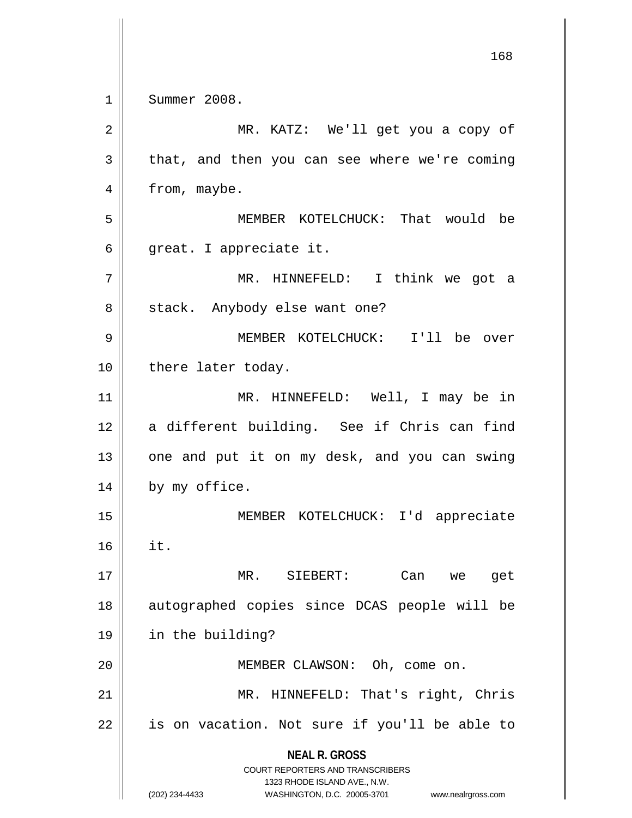**NEAL R. GROSS** COURT REPORTERS AND TRANSCRIBERS 1323 RHODE ISLAND AVE., N.W. (202) 234-4433 WASHINGTON, D.C. 20005-3701 www.nealrgross.com 168 1 Summer 2008. 2 || MR. KATZ: We'll get you a copy of  $3 \parallel$  that, and then you can see where we're coming  $4 \parallel$  from, maybe. 5 MEMBER KOTELCHUCK: That would be  $6 \parallel$  great. I appreciate it. 7 MR. HINNEFELD: I think we got a 8 | stack. Anybody else want one? 9 MEMBER KOTELCHUCK: I'll be over 10 || there later today. 11 || MR. HINNEFELD: Well, I may be in 12 || a different building. See if Chris can find  $13$  | one and put it on my desk, and you can swing  $14$  | by my office. 15 MEMBER KOTELCHUCK: I'd appreciate  $16$   $\parallel$  it. 17 MR. SIEBERT: Can we get 18 || autographed copies since DCAS people will be 19 in the building? 20 || MEMBER CLAWSON: Oh, come on. 21 || MR. HINNEFELD: That's right, Chris  $22$  | is on vacation. Not sure if you'll be able to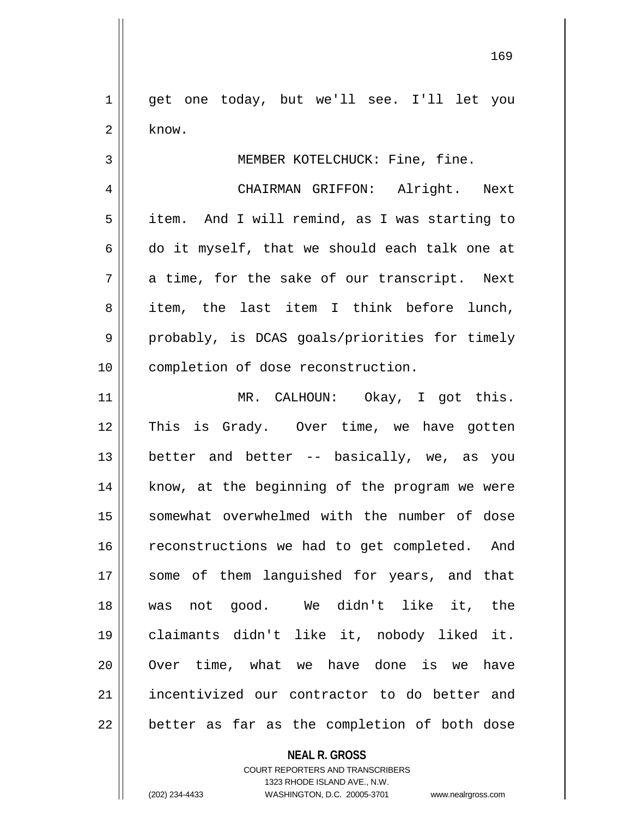1 get one today, but we'll see. I'll let you  $2 \parallel$  know.

3 || MEMBER KOTELCHUCK: Fine, fine.

4 | CHAIRMAN GRIFFON: Alright. Next  $5 \parallel$  item. And I will remind, as I was starting to 6 do it myself, that we should each talk one at  $7 \parallel$  a time, for the sake of our transcript. Next 8 item, the last item I think before lunch, 9 || probably, is DCAS goals/priorities for timely 10 || completion of dose reconstruction.

11 || MR. CALHOUN: Okay, I got this. 12 This is Grady. Over time, we have gotten 13 better and better -- basically, we, as you 14 || know, at the beginning of the program we were 15 somewhat overwhelmed with the number of dose 16 || reconstructions we had to get completed. And 17 || some of them languished for years, and that 18 was not good. We didn't like it, the 19 claimants didn't like it, nobody liked it. 20 || Over time, what we have done is we have 21 incentivized our contractor to do better and  $22$  | better as far as the completion of both dose

## **NEAL R. GROSS** COURT REPORTERS AND TRANSCRIBERS 1323 RHODE ISLAND AVE., N.W. (202) 234-4433 WASHINGTON, D.C. 20005-3701 www.nealrgross.com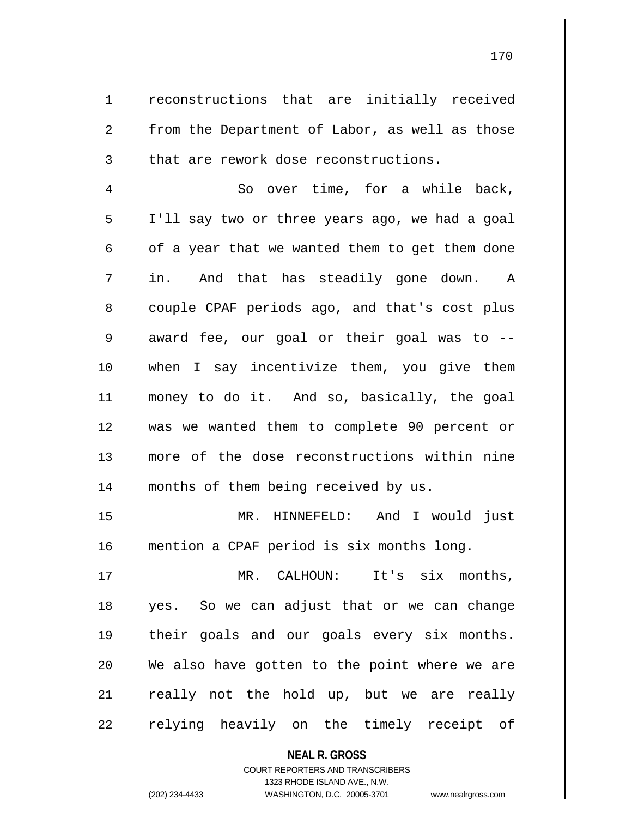1 | reconstructions that are initially received  $2 \parallel$  from the Department of Labor, as well as those  $3 \parallel$  that are rework dose reconstructions.

4 || So over time, for a while back, 5 I'll say two or three years ago, we had a goal  $6 \parallel$  of a year that we wanted them to get them done 7 in. And that has steadily gone down. A 8 couple CPAF periods ago, and that's cost plus  $9 \parallel$  award fee, our goal or their goal was to --10 when I say incentivize them, you give them 11 money to do it. And so, basically, the goal 12 was we wanted them to complete 90 percent or 13 more of the dose reconstructions within nine 14 || months of them being received by us.

15 MR. HINNEFELD: And I would just 16 mention a CPAF period is six months long.

17 MR. CALHOUN: It's six months, 18 yes. So we can adjust that or we can change 19 || their goals and our goals every six months. 20 We also have gotten to the point where we are 21 || really not the hold up, but we are really 22 || relying heavily on the timely receipt of

> **NEAL R. GROSS** COURT REPORTERS AND TRANSCRIBERS 1323 RHODE ISLAND AVE., N.W.

(202) 234-4433 WASHINGTON, D.C. 20005-3701 www.nealrgross.com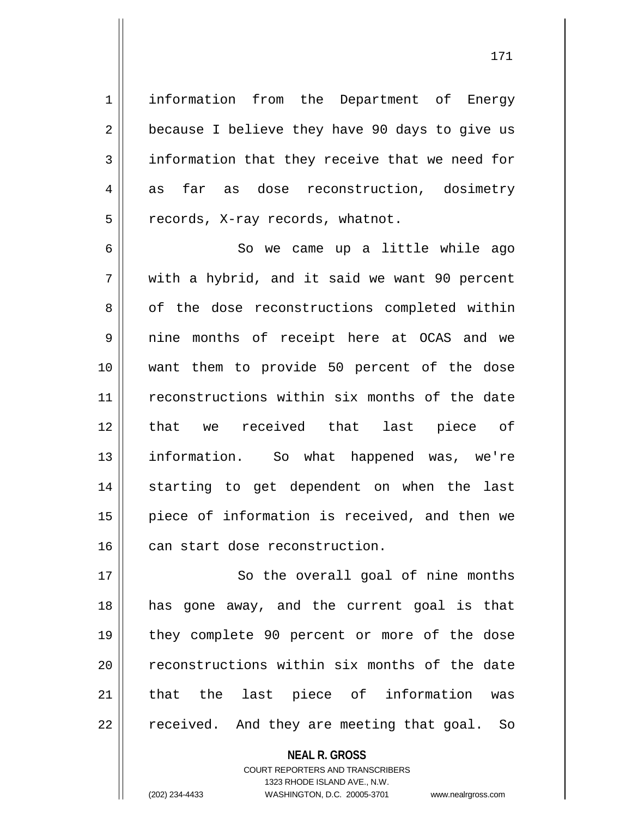1 | information from the Department of Energy  $2 \parallel$  because I believe they have 90 days to give us  $3 \parallel$  information that they receive that we need for 4 as far as dose reconstruction, dosimetry  $5 \parallel$  records, X-ray records, whatnot.

6 || So we came up a little while ago  $7 \parallel$  with a hybrid, and it said we want 90 percent 8 | of the dose reconstructions completed within 9 || nine months of receipt here at OCAS and we 10 want them to provide 50 percent of the dose 11 || reconstructions within six months of the date 12 || that we received that last piece of 13 information. So what happened was, we're 14 || starting to get dependent on when the last 15 || piece of information is received, and then we  $16$  | can start dose reconstruction.

17 || So the overall goal of nine months 18 has gone away, and the current goal is that 19 they complete 90 percent or more of the dose  $20$   $\parallel$  reconstructions within six months of the date 21 || that the last piece of information was 22 || received. And they are meeting that goal. So

> **NEAL R. GROSS** COURT REPORTERS AND TRANSCRIBERS 1323 RHODE ISLAND AVE., N.W. (202) 234-4433 WASHINGTON, D.C. 20005-3701 www.nealrgross.com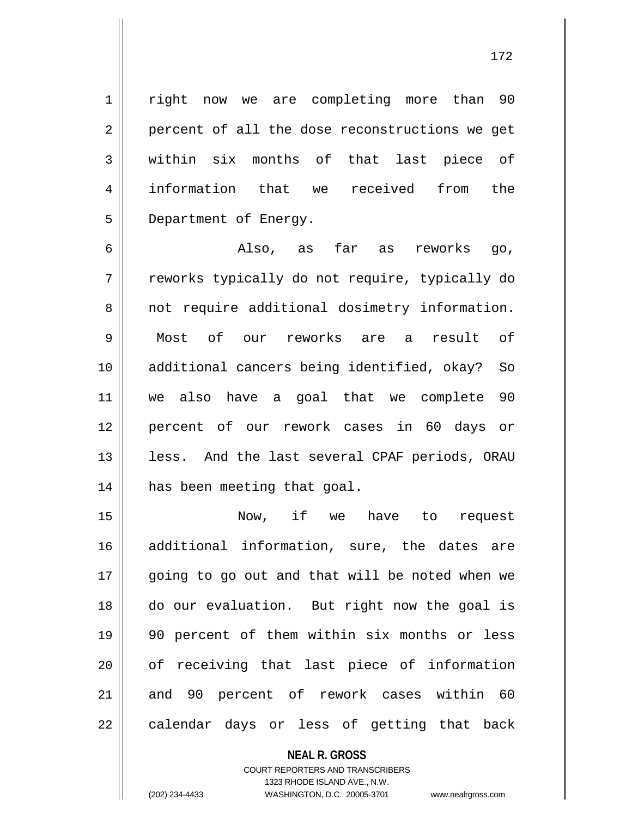1 || right now we are completing more than 90  $2 \parallel$  percent of all the dose reconstructions we get 3 within six months of that last piece of 4 information that we received from the 5 | Department of Energy.

 Also, as far as reworks go, 7 || reworks typically do not require, typically do 8 || not require additional dosimetry information. Most of our reworks are a result of additional cancers being identified, okay? So we also have a goal that we complete 90 percent of our rework cases in 60 days or 13 || less. And the last several CPAF periods, ORAU has been meeting that goal.

 Now, if we have to request additional information, sure, the dates are 17 || going to go out and that will be noted when we do our evaluation. But right now the goal is 90 percent of them within six months or less 20 || of receiving that last piece of information 21 and 90 percent of rework cases within 60 || calendar days or less of getting that back

> **NEAL R. GROSS** COURT REPORTERS AND TRANSCRIBERS 1323 RHODE ISLAND AVE., N.W. (202) 234-4433 WASHINGTON, D.C. 20005-3701 www.nealrgross.com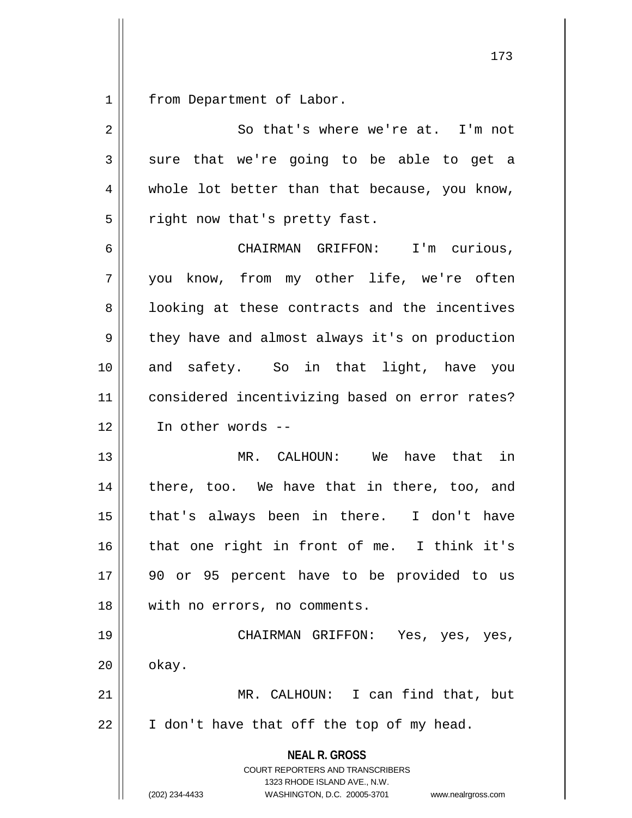1 | from Department of Labor.

| 2              | So that's where we're at. I'm not                                                                                                                                      |
|----------------|------------------------------------------------------------------------------------------------------------------------------------------------------------------------|
| $\mathfrak{Z}$ | sure that we're going to be able to get a                                                                                                                              |
| 4              | whole lot better than that because, you know,                                                                                                                          |
| 5              | right now that's pretty fast.                                                                                                                                          |
| 6              | CHAIRMAN GRIFFON: I'm curious,                                                                                                                                         |
| 7              | you know, from my other life, we're often                                                                                                                              |
| 8              | looking at these contracts and the incentives                                                                                                                          |
| $\mathsf 9$    | they have and almost always it's on production                                                                                                                         |
| 10             | and safety. So in that light, have you                                                                                                                                 |
| 11             | considered incentivizing based on error rates?                                                                                                                         |
| 12             | In other words --                                                                                                                                                      |
| 13             | MR. CALHOUN: We have that in                                                                                                                                           |
| 14             | there, too. We have that in there, too, and                                                                                                                            |
| 15             | that's always been in there. I don't have                                                                                                                              |
| 16             | that one right in front of me. I think it's                                                                                                                            |
| 17             | 90 or 95 percent have to be provided to us                                                                                                                             |
| 18             | with no errors, no comments.                                                                                                                                           |
| 19             | CHAIRMAN GRIFFON: Yes, yes, yes,                                                                                                                                       |
| 20             | okay.                                                                                                                                                                  |
| 21             | MR. CALHOUN: I can find that, but                                                                                                                                      |
| 22             | I don't have that off the top of my head.                                                                                                                              |
|                | <b>NEAL R. GROSS</b><br><b>COURT REPORTERS AND TRANSCRIBERS</b><br>1323 RHODE ISLAND AVE., N.W.<br>(202) 234-4433<br>WASHINGTON, D.C. 20005-3701<br>www.nealrgross.com |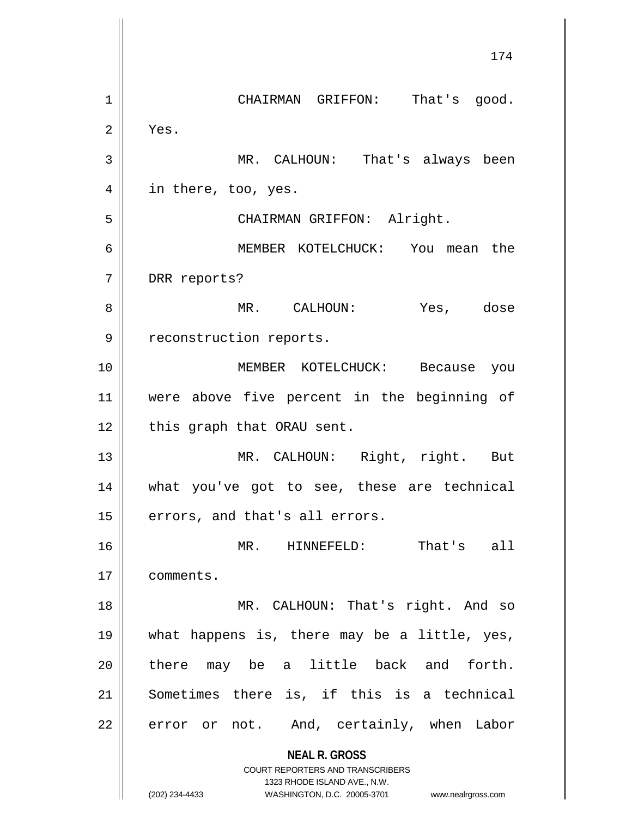**NEAL R. GROSS** COURT REPORTERS AND TRANSCRIBERS 1323 RHODE ISLAND AVE., N.W. (202) 234-4433 WASHINGTON, D.C. 20005-3701 www.nealrgross.com 174 1 CHAIRMAN GRIFFON: That's good.  $2 \parallel$  Yes. 3 MR. CALHOUN: That's always been 4 || in there, too, yes. 5 || CHAIRMAN GRIFFON: Alright. 6 MEMBER KOTELCHUCK: You mean the 7 DRR reports? 8 MR. CALHOUN: Yes, dose 9 || reconstruction reports. 10 MEMBER KOTELCHUCK: Because you 11 were above five percent in the beginning of  $12$  | this graph that ORAU sent. 13 || MR. CALHOUN: Right, right. But 14 what you've got to see, these are technical  $15$  errors, and that's all errors. 16 MR. HINNEFELD: That's all 17 comments. 18 || MR. CALHOUN: That's right. And so 19 what happens is, there may be a little, yes, 20 there may be a little back and forth. 21 Sometimes there is, if this is a technical  $22$  error or not. And, certainly, when Labor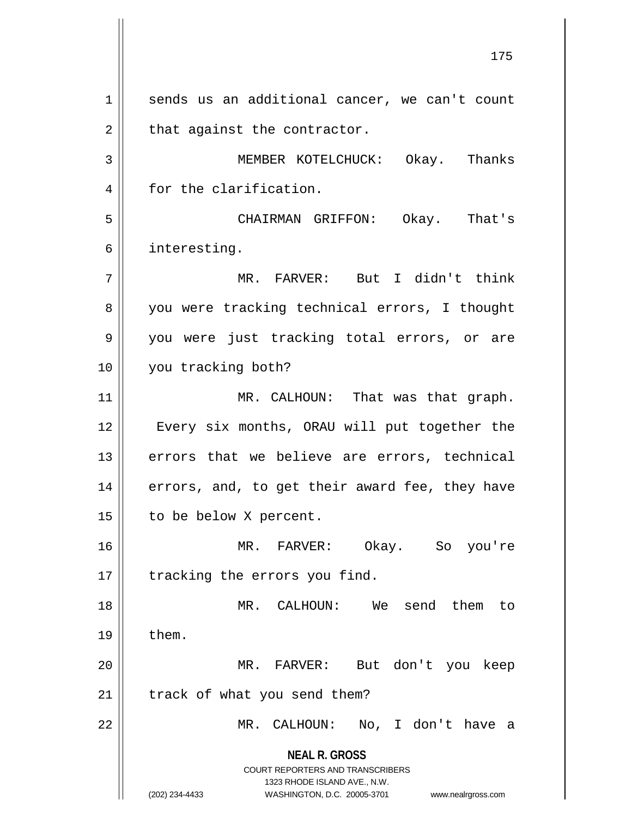**NEAL R. GROSS** COURT REPORTERS AND TRANSCRIBERS 1323 RHODE ISLAND AVE., N.W. (202) 234-4433 WASHINGTON, D.C. 20005-3701 www.nealrgross.com 1 sends us an additional cancer, we can't count  $2 \parallel$  that against the contractor. 3 MEMBER KOTELCHUCK: Okay. Thanks 4 | for the clarification. 5 CHAIRMAN GRIFFON: Okay. That's 6 | interesting. 7 MR. FARVER: But I didn't think 8 you were tracking technical errors, I thought 9 || you were just tracking total errors, or are 10 you tracking both? 11 || MR. CALHOUN: That was that graph. 12 || Every six months, ORAU will put together the  $13$  errors that we believe are errors, technical  $14$  || errors, and, to get their award fee, they have 15 | to be below X percent. 16 MR. FARVER: Okay. So you're  $17$  | tracking the errors you find. 18 MR. CALHOUN: We send them to  $19 \parallel$  them. 20 MR. FARVER: But don't you keep  $21$  | track of what you send them? 22 MR. CALHOUN: No, I don't have a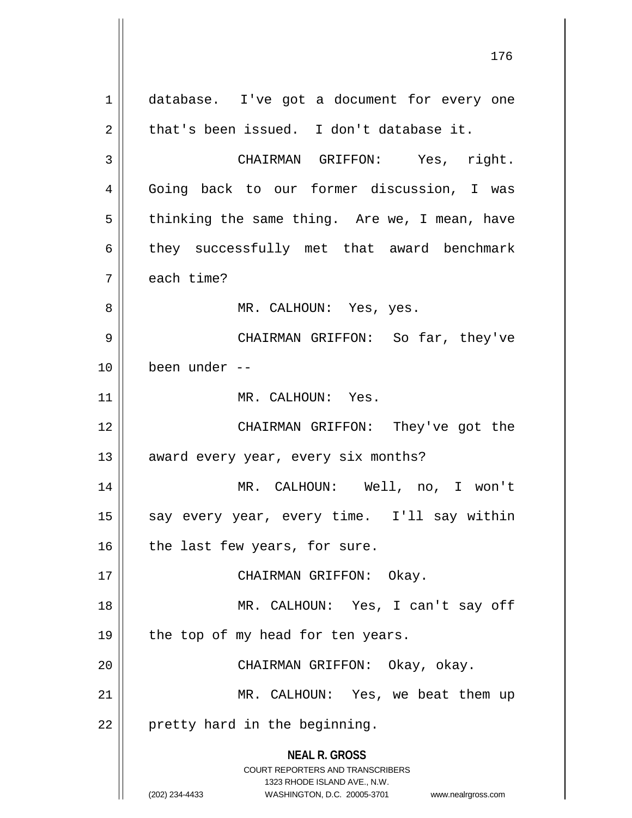**NEAL R. GROSS** COURT REPORTERS AND TRANSCRIBERS 1323 RHODE ISLAND AVE., N.W. (202) 234-4433 WASHINGTON, D.C. 20005-3701 www.nealrgross.com 1 database. I've got a document for every one  $2 \parallel$  that's been issued. I don't database it. 3 CHAIRMAN GRIFFON: Yes, right. 4 || Going back to our former discussion, I was  $5 \parallel$  thinking the same thing. Are we, I mean, have  $6 \parallel$  they successfully met that award benchmark  $7 \parallel$  each time? 8 MR. CALHOUN: Yes, yes. 9 CHAIRMAN GRIFFON: So far, they've 10 been under -- 11 || MR. CALHOUN: Yes. 12 CHAIRMAN GRIFFON: They've got the 13 || award every year, every six months? 14 MR. CALHOUN: Well, no, I won't 15 || say every year, every time. I'll say within  $16$  | the last few years, for sure. 17 || CHAIRMAN GRIFFON: Okay. 18 MR. CALHOUN: Yes, I can't say off 19  $\parallel$  the top of my head for ten years. 20 CHAIRMAN GRIFFON: Okay, okay. 21 || MR. CALHOUN: Yes, we beat them up  $22$  | pretty hard in the beginning.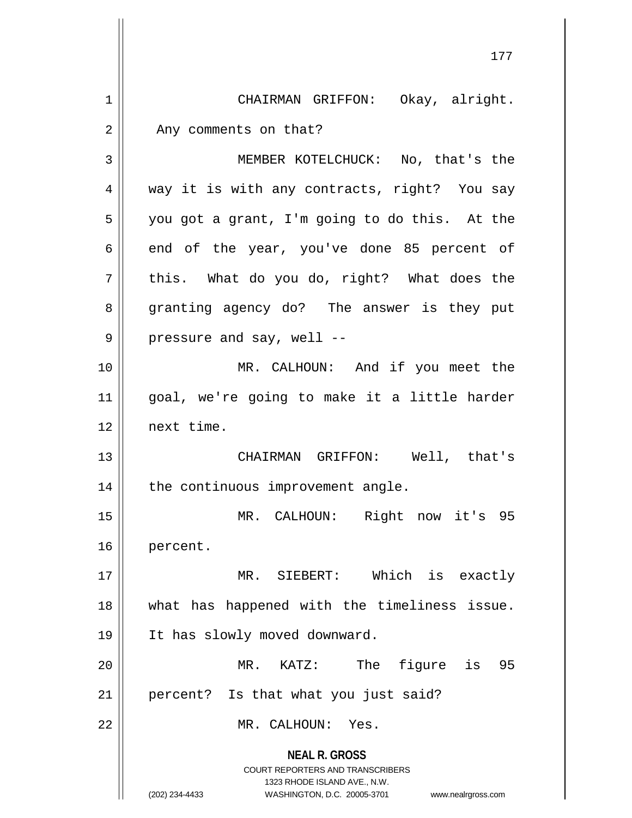**NEAL R. GROSS** COURT REPORTERS AND TRANSCRIBERS 1323 RHODE ISLAND AVE., N.W. (202) 234-4433 WASHINGTON, D.C. 20005-3701 www.nealrgross.com 177 1 CHAIRMAN GRIFFON: Okay, alright.  $2 \parallel$  Any comments on that? 3 MEMBER KOTELCHUCK: No, that's the 4 way it is with any contracts, right? You say 5 | you got a grant, I'm going to do this. At the  $6 \parallel$  end of the year, you've done 85 percent of  $7 \parallel$  this. What do you do, right? What does the 8 granting agency do? The answer is they put  $9 \parallel$  pressure and say, well --10 MR. CALHOUN: And if you meet the 11 goal, we're going to make it a little harder 12 next time. 13 CHAIRMAN GRIFFON: Well, that's 14 || the continuous improvement angle. 15 MR. CALHOUN: Right now it's 95 16 percent. 17 || MR. SIEBERT: Which is exactly 18 what has happened with the timeliness issue. 19 It has slowly moved downward. 20 MR. KATZ: The figure is 95 21 || percent? Is that what you just said? 22 MR. CALHOUN: Yes.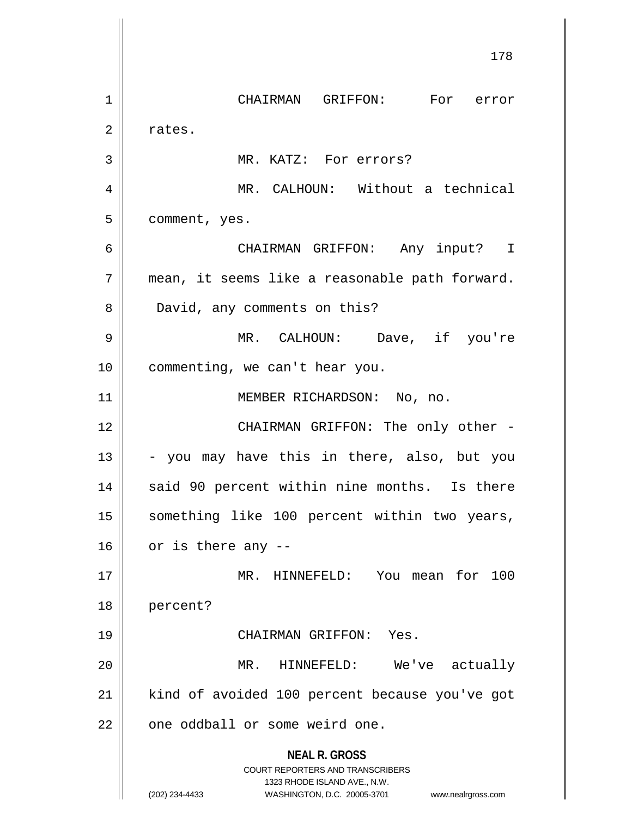**NEAL R. GROSS** COURT REPORTERS AND TRANSCRIBERS 1323 RHODE ISLAND AVE., N.W. (202) 234-4433 WASHINGTON, D.C. 20005-3701 www.nealrgross.com 178 1 CHAIRMAN GRIFFON: For error  $2 \parallel$  rates. 3 || MR. KATZ: For errors? 4 MR. CALHOUN: Without a technical 5 | comment, yes. 6 CHAIRMAN GRIFFON: Any input? I 7 || mean, it seems like a reasonable path forward. 8 | David, any comments on this? 9 MR. CALHOUN: Dave, if you're 10 || commenting, we can't hear you. 11 || MEMBER RICHARDSON: No, no. 12 CHAIRMAN GRIFFON: The only other -  $13 \parallel$  - you may have this in there, also, but you 14 || said 90 percent within nine months. Is there 15 || something like 100 percent within two years,  $16$  | or is there any  $-$ 17 MR. HINNEFELD: You mean for 100 18 percent? 19 CHAIRMAN GRIFFON: Yes. 20 MR. HINNEFELD: We've actually 21 kind of avoided 100 percent because you've got  $22$  |  $\circ$  one oddball or some weird one.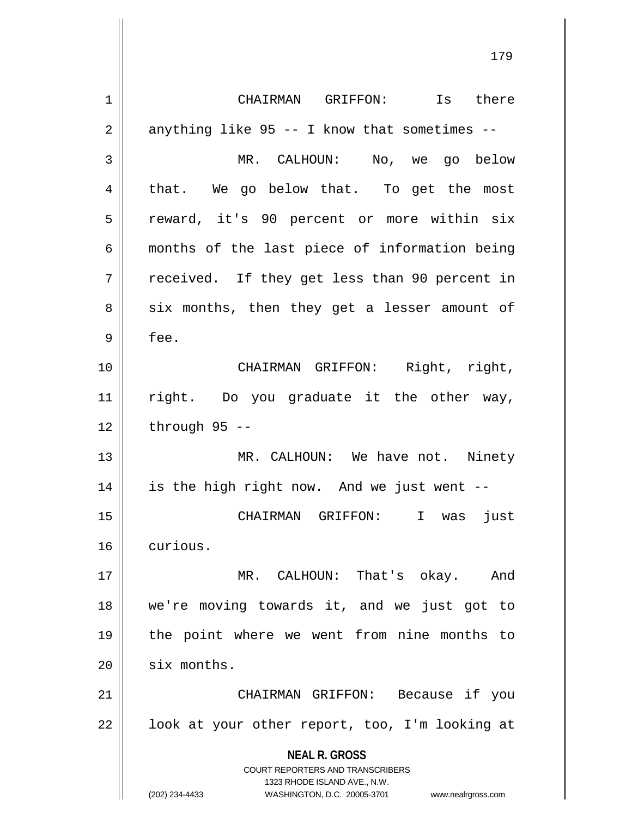**NEAL R. GROSS** COURT REPORTERS AND TRANSCRIBERS 1323 RHODE ISLAND AVE., N.W. (202) 234-4433 WASHINGTON, D.C. 20005-3701 www.nealrgross.com 1 CHAIRMAN GRIFFON: Is there  $2 \parallel$  anything like 95 -- I know that sometimes --3 MR. CALHOUN: No, we go below  $4 \parallel$  that. We go below that. To get the most 5 || reward, it's 90 percent or more within six 6 || months of the last piece of information being 7 || received. If they get less than 90 percent in 8 || six months, then they get a lesser amount of  $9 \parallel$  fee. 10 CHAIRMAN GRIFFON: Right, right, 11 || right. Do you graduate it the other way,  $12 \parallel$  through 95 --13 || MR. CALHOUN: We have not. Ninety 14 is the high right now. And we just went -- 15 CHAIRMAN GRIFFON: I was just 16 curious. 17 MR. CALHOUN: That's okay. And 18 we're moving towards it, and we just got to 19 the point where we went from nine months to  $20$  | six months. 21 CHAIRMAN GRIFFON: Because if you  $22 \parallel$  look at your other report, too, I'm looking at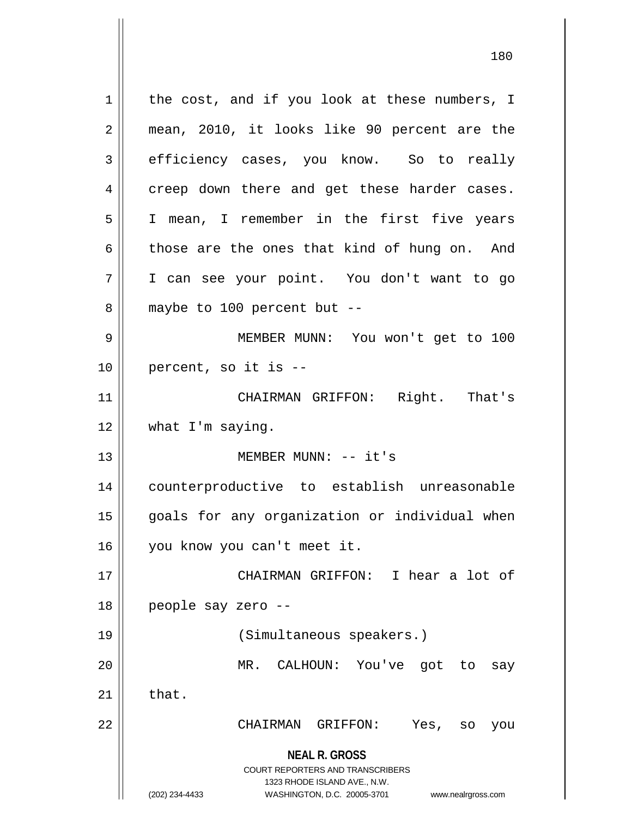**NEAL R. GROSS** COURT REPORTERS AND TRANSCRIBERS 1323 RHODE ISLAND AVE., N.W. (202) 234-4433 WASHINGTON, D.C. 20005-3701 www.nealrgross.com  $1 \parallel$  the cost, and if you look at these numbers, I 2 || mean, 2010, it looks like 90 percent are the 3 efficiency cases, you know. So to really 4 || creep down there and get these harder cases. 5 I mean, I remember in the first five years  $6 \parallel$  those are the ones that kind of hung on. And 7 I can see your point. You don't want to go  $8 \parallel$  maybe to 100 percent but --9 MEMBER MUNN: You won't get to 100  $10$  || percent, so it is  $-$ 11 || CHAIRMAN GRIFFON: Right. That's 12 || what I'm saying. 13 || MEMBER MUNN: -- it's 14 counterproductive to establish unreasonable 15 goals for any organization or individual when 16 || you know you can't meet it. 17 || CHAIRMAN GRIFFON: I hear a lot of 18 people say zero -- 19 (Simultaneous speakers.) 20 MR. CALHOUN: You've got to say  $21$   $\parallel$  that. 22 CHAIRMAN GRIFFON: Yes, so you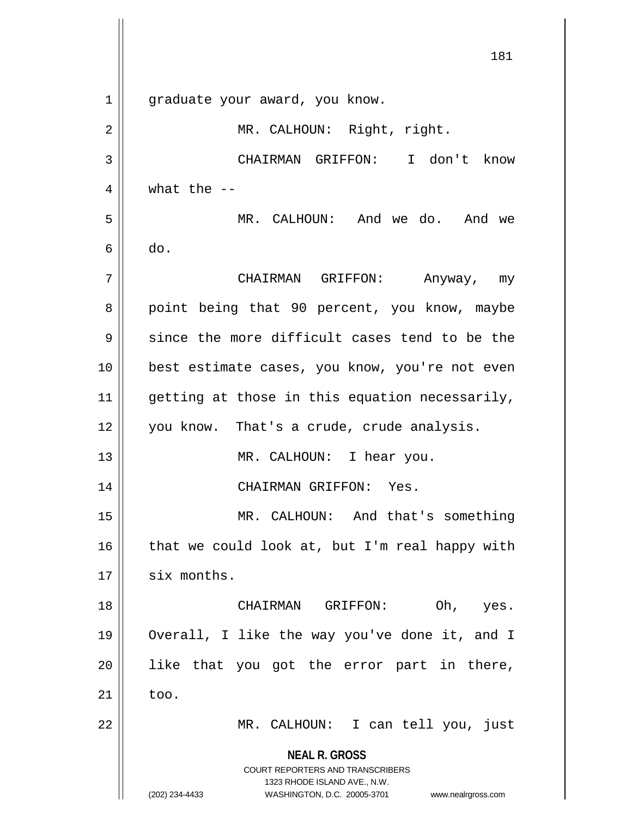**NEAL R. GROSS** COURT REPORTERS AND TRANSCRIBERS 1323 RHODE ISLAND AVE., N.W. (202) 234-4433 WASHINGTON, D.C. 20005-3701 www.nealrgross.com 181 1 || graduate your award, you know. 2 || MR. CALHOUN: Right, right. 3 CHAIRMAN GRIFFON: I don't know 4  $\parallel$  what the  $-$ 5 MR. CALHOUN: And we do. And we  $6 \parallel$  do. 7 CHAIRMAN GRIFFON: Anyway, my 8 || point being that 90 percent, you know, maybe  $9 \parallel$  since the more difficult cases tend to be the 10 best estimate cases, you know, you're not even 11 || getting at those in this equation necessarily, 12 || you know. That's a crude, crude analysis. 13 || MR. CALHOUN: I hear you. 14 CHAIRMAN GRIFFON: Yes. 15 || MR. CALHOUN: And that's something 16  $\parallel$  that we could look at, but I'm real happy with  $17$   $\parallel$  six months. 18 CHAIRMAN GRIFFON: Oh, yes. 19 Overall, I like the way you've done it, and I  $20$  || like that you got the error part in there,  $21 \parallel$  too. 22 MR. CALHOUN: I can tell you, just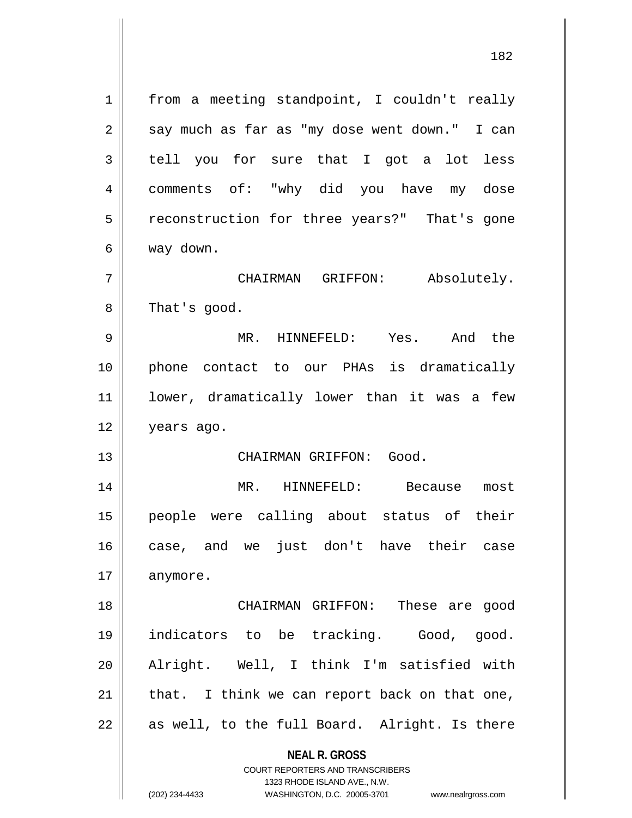**NEAL R. GROSS** COURT REPORTERS AND TRANSCRIBERS 1323 RHODE ISLAND AVE., N.W. 1 | from a meeting standpoint, I couldn't really  $2 \parallel$  say much as far as "my dose went down." I can  $3 \parallel$  tell you for sure that I got a lot less 4 comments of: "why did you have my dose 5 || reconstruction for three years?" That's gone 6 way down. 7 CHAIRMAN GRIFFON: Absolutely.  $8 \parallel$  That's good. 9 MR. HINNEFELD: Yes. And the 10 phone contact to our PHAs is dramatically 11 lower, dramatically lower than it was a few 12 years ago. 13 || CHAIRMAN GRIFFON: Good. 14 MR. HINNEFELD: Because most 15 people were calling about status of their 16 case, and we just don't have their case 17 | anymore. 18 CHAIRMAN GRIFFON: These are good 19 indicators to be tracking. Good, good. 20 Alright. Well, I think I'm satisfied with  $21$  | that. I think we can report back on that one,  $22$  || as well, to the full Board. Alright. Is there

(202) 234-4433 WASHINGTON, D.C. 20005-3701 www.nealrgross.com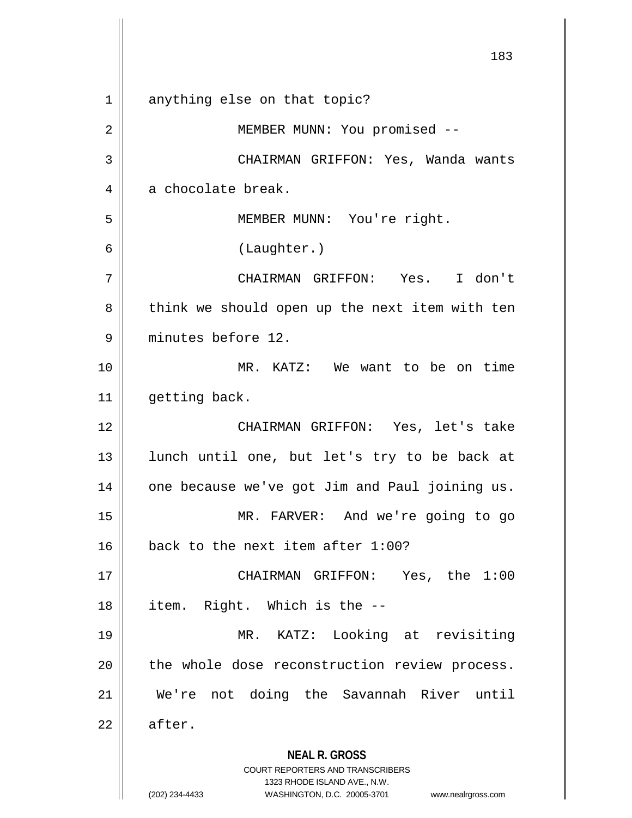**NEAL R. GROSS** COURT REPORTERS AND TRANSCRIBERS 1323 RHODE ISLAND AVE., N.W. (202) 234-4433 WASHINGTON, D.C. 20005-3701 www.nealrgross.com 183 1 anything else on that topic? 2 || MEMBER MUNN: You promised --3 CHAIRMAN GRIFFON: Yes, Wanda wants  $4 \parallel$  a chocolate break. 5 MEMBER MUNN: You're right. 6 (Laughter.) 7 CHAIRMAN GRIFFON: Yes. I don't 8 || think we should open up the next item with ten 9 minutes before 12. 10 MR. KATZ: We want to be on time 11 || getting back. 12 CHAIRMAN GRIFFON: Yes, let's take 13 || lunch until one, but let's try to be back at 14 | one because we've got Jim and Paul joining us. 15 MR. FARVER: And we're going to go 16 back to the next item after 1:00? 17 CHAIRMAN GRIFFON: Yes, the 1:00 18 || item. Right. Which is the --19 MR. KATZ: Looking at revisiting 20 || the whole dose reconstruction review process. 21 We're not doing the Savannah River until  $22 \parallel$  after.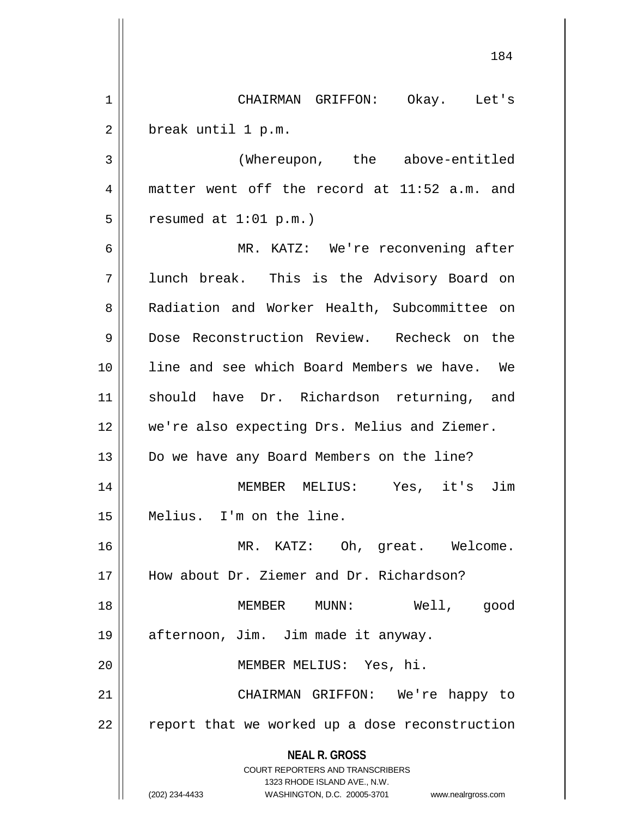**NEAL R. GROSS** COURT REPORTERS AND TRANSCRIBERS 1323 RHODE ISLAND AVE., N.W. 1 CHAIRMAN GRIFFON: Okay. Let's 2 | break until 1 p.m. 3 (Whereupon, the above-entitled 4 matter went off the record at 11:52 a.m. and  $5 \parallel$  resumed at 1:01 p.m.) 6 MR. KATZ: We're reconvening after 7 lunch break. This is the Advisory Board on 8 Radiation and Worker Health, Subcommittee on 9 Dose Reconstruction Review. Recheck on the 10 line and see which Board Members we have. We 11 Should have Dr. Richardson returning, and 12 || we're also expecting Drs. Melius and Ziemer. 13 || Do we have any Board Members on the line? 14 MEMBER MELIUS: Yes, it's Jim 15 Melius. I'm on the line. 16 MR. KATZ: Oh, great. Welcome. 17 How about Dr. Ziemer and Dr. Richardson? 18 || MEMBER MUNN: Well, good 19 || afternoon, Jim. Jim made it anyway. 20 MEMBER MELIUS: Yes, hi. 21 CHAIRMAN GRIFFON: We're happy to  $22$   $\parallel$  report that we worked up a dose reconstruction

(202) 234-4433 WASHINGTON, D.C. 20005-3701 www.nealrgross.com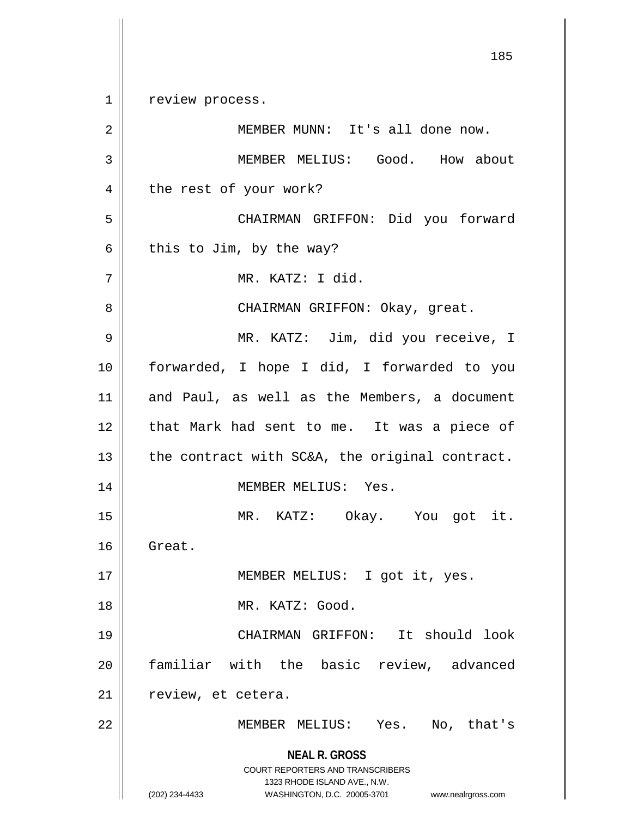**NEAL R. GROSS** COURT REPORTERS AND TRANSCRIBERS 185 1 || review process. 2 MEMBER MUNN: It's all done now. 3 || MEMBER MELIUS: Good. How about 4 | the rest of your work? 5 CHAIRMAN GRIFFON: Did you forward  $6 \parallel$  this to Jim, by the way? 7 MR. KATZ: I did. 8 CHAIRMAN GRIFFON: Okay, great. 9 MR. KATZ: Jim, did you receive, I 10 forwarded, I hope I did, I forwarded to you 11 || and Paul, as well as the Members, a document 12 || that Mark had sent to me. It was a piece of 13  $\parallel$  the contract with SC&A, the original contract. 14 || MEMBER MELIUS: Yes. 15 MR. KATZ: Okay. You got it. 16 Great. 17 || MEMBER MELIUS: I got it, yes. 18 MR. KATZ: Good. 19 CHAIRMAN GRIFFON: It should look 20 familiar with the basic review, advanced  $21$  | review, et cetera. 22 MEMBER MELIUS: Yes. No, that's

1323 RHODE ISLAND AVE., N.W.

(202) 234-4433 WASHINGTON, D.C. 20005-3701 www.nealrgross.com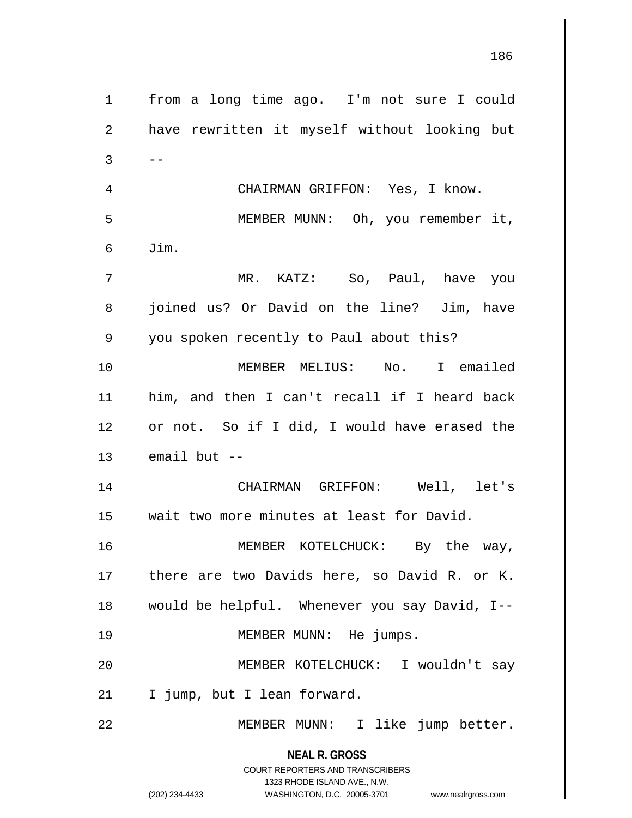| $\mathbf 1$    | from a long time ago. I'm not sure I could                                                                                                                             |
|----------------|------------------------------------------------------------------------------------------------------------------------------------------------------------------------|
| $\overline{2}$ | have rewritten it myself without looking but                                                                                                                           |
| $\mathfrak{Z}$ |                                                                                                                                                                        |
| $\overline{4}$ | CHAIRMAN GRIFFON: Yes, I know.                                                                                                                                         |
| 5              | MEMBER MUNN: Oh, you remember it,                                                                                                                                      |
| 6              | Jim.                                                                                                                                                                   |
| 7              | MR. KATZ: So, Paul, have you                                                                                                                                           |
| 8              | joined us? Or David on the line? Jim, have                                                                                                                             |
| 9              | you spoken recently to Paul about this?                                                                                                                                |
| 10             | MEMBER MELIUS: No. I emailed                                                                                                                                           |
| 11             | him, and then I can't recall if I heard back                                                                                                                           |
| 12             | or not. So if I did, I would have erased the                                                                                                                           |
| 13             | email but $--$                                                                                                                                                         |
| 14             | CHAIRMAN GRIFFON: Well, let's                                                                                                                                          |
| 15             | wait two more minutes at least for David.                                                                                                                              |
| 16             | MEMBER KOTELCHUCK: By the way,                                                                                                                                         |
| 17             | there are two Davids here, so David R. or K.                                                                                                                           |
| 18             | would be helpful. Whenever you say David, I--                                                                                                                          |
| 19             | MEMBER MUNN: He jumps.                                                                                                                                                 |
| 20             | MEMBER KOTELCHUCK: I wouldn't say                                                                                                                                      |
| 21             | I jump, but I lean forward.                                                                                                                                            |
| 22             | MEMBER MUNN: I like jump better.                                                                                                                                       |
|                | <b>NEAL R. GROSS</b><br><b>COURT REPORTERS AND TRANSCRIBERS</b><br>1323 RHODE ISLAND AVE., N.W.<br>(202) 234-4433<br>WASHINGTON, D.C. 20005-3701<br>www.nealrgross.com |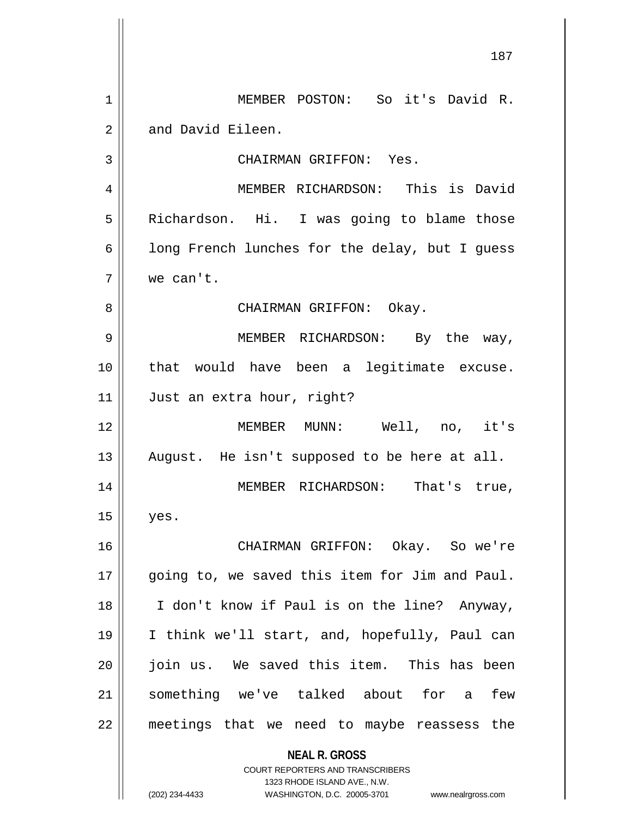**NEAL R. GROSS** COURT REPORTERS AND TRANSCRIBERS 1323 RHODE ISLAND AVE., N.W. (202) 234-4433 WASHINGTON, D.C. 20005-3701 www.nealrgross.com 187 1 || MEMBER POSTON: So it's David R. 2 || and David Eileen. 3 CHAIRMAN GRIFFON: Yes. 4 || MEMBER RICHARDSON: This is David 5 | Richardson. Hi. I was going to blame those  $6 \parallel$  long French lunches for the delay, but I guess 7 we can't. 8 CHAIRMAN GRIFFON: Okay. 9 MEMBER RICHARDSON: By the way, 10 that would have been a legitimate excuse. 11 | Just an extra hour, right? 12 MEMBER MUNN: Well, no, it's  $13$  || August. He isn't supposed to be here at all. 14 MEMBER RICHARDSON: That's true,  $15$  | yes. 16 CHAIRMAN GRIFFON: Okay. So we're 17 || going to, we saved this item for Jim and Paul. 18 || I don't know if Paul is on the line? Anyway, 19 I think we'll start, and, hopefully, Paul can 20 join us. We saved this item. This has been 21 something we've talked about for a few 22 meetings that we need to maybe reassess the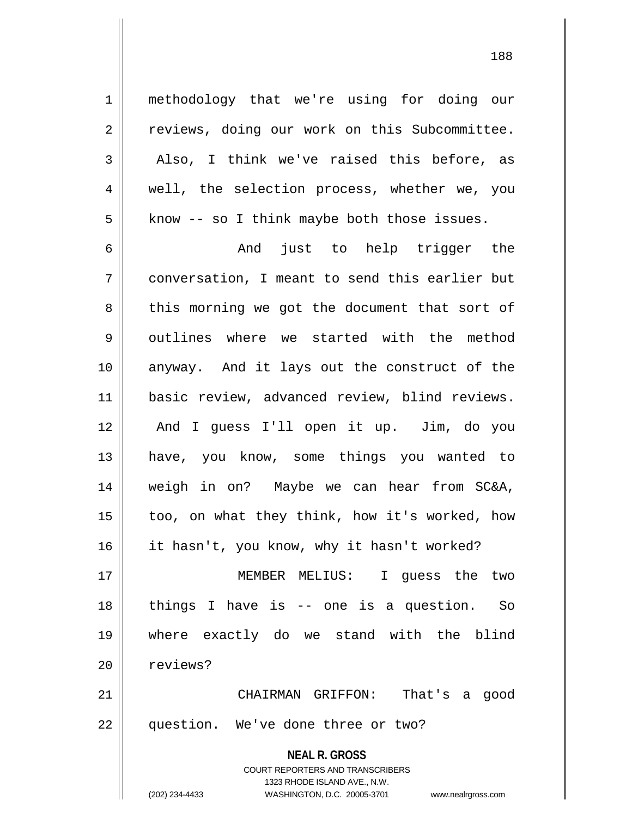1 || methodology that we're using for doing our 2 | reviews, doing our work on this Subcommittee.  $3 \parallel$  Also, I think we've raised this before, as 4 || well, the selection process, whether we, you  $5 \parallel$  know -- so I think maybe both those issues.

6 And just to help trigger the conversation, I meant to send this earlier but  $8 \parallel$  this morning we got the document that sort of 9 Outlines where we started with the method anyway. And it lays out the construct of the basic review, advanced review, blind reviews. And I guess I'll open it up. Jim, do you have, you know, some things you wanted to weigh in on? Maybe we can hear from SC&A, 15 || too, on what they think, how it's worked, how it hasn't, you know, why it hasn't worked? 17 || MEMBER MELIUS: I guess the two things I have is -- one is a question. So where exactly do we stand with the blind 20 | reviews? CHAIRMAN GRIFFON: That's a good

22 | question. We've done three or two?

**NEAL R. GROSS** COURT REPORTERS AND TRANSCRIBERS 1323 RHODE ISLAND AVE., N.W. (202) 234-4433 WASHINGTON, D.C. 20005-3701 www.nealrgross.com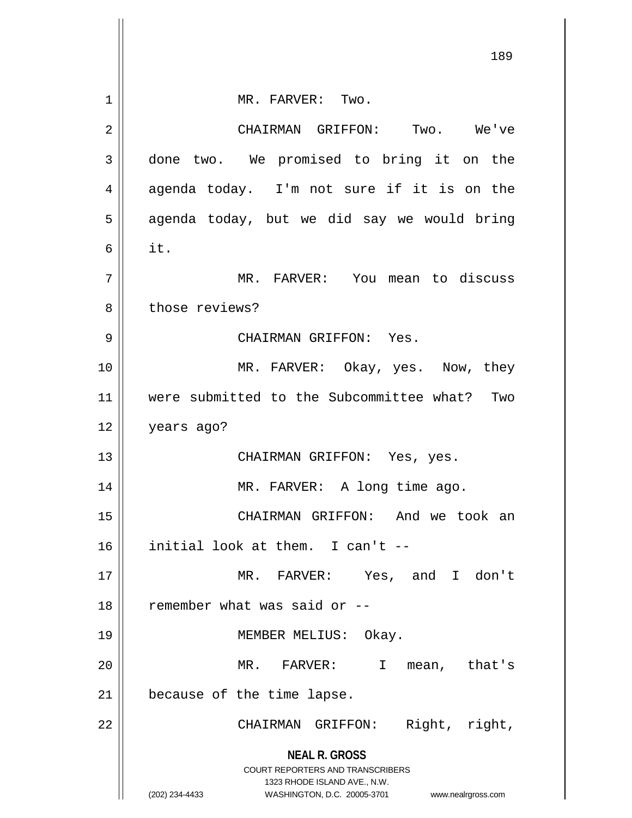|    | 189                                                                                                                                                                    |
|----|------------------------------------------------------------------------------------------------------------------------------------------------------------------------|
|    |                                                                                                                                                                        |
| 1  | MR. FARVER: Two.                                                                                                                                                       |
| 2  | CHAIRMAN GRIFFON: Two. We've                                                                                                                                           |
| 3  | done two. We promised to bring it on the                                                                                                                               |
| 4  | agenda today. I'm not sure if it is on the                                                                                                                             |
| 5  | agenda today, but we did say we would bring                                                                                                                            |
| 6  | it.                                                                                                                                                                    |
| 7  | MR. FARVER: You mean to discuss                                                                                                                                        |
| 8  | those reviews?                                                                                                                                                         |
| 9  | CHAIRMAN GRIFFON: Yes.                                                                                                                                                 |
| 10 | MR. FARVER: Okay, yes. Now, they                                                                                                                                       |
| 11 | were submitted to the Subcommittee what? Two                                                                                                                           |
| 12 | years ago?                                                                                                                                                             |
| 13 | CHAIRMAN GRIFFON: Yes, yes.                                                                                                                                            |
| 14 | MR. FARVER: A long time ago.                                                                                                                                           |
| 15 | CHAIRMAN GRIFFON: And we took an                                                                                                                                       |
| 16 | initial look at them. I can't --                                                                                                                                       |
| 17 | MR. FARVER: Yes, and I don't                                                                                                                                           |
| 18 | remember what was said or --                                                                                                                                           |
| 19 | MEMBER MELIUS: Okay.                                                                                                                                                   |
| 20 | MR. FARVER: I<br>mean, that's                                                                                                                                          |
| 21 | because of the time lapse.                                                                                                                                             |
| 22 | Right, right,<br>CHAIRMAN GRIFFON:                                                                                                                                     |
|    | <b>NEAL R. GROSS</b><br><b>COURT REPORTERS AND TRANSCRIBERS</b><br>1323 RHODE ISLAND AVE., N.W.<br>(202) 234-4433<br>WASHINGTON, D.C. 20005-3701<br>www.nealrgross.com |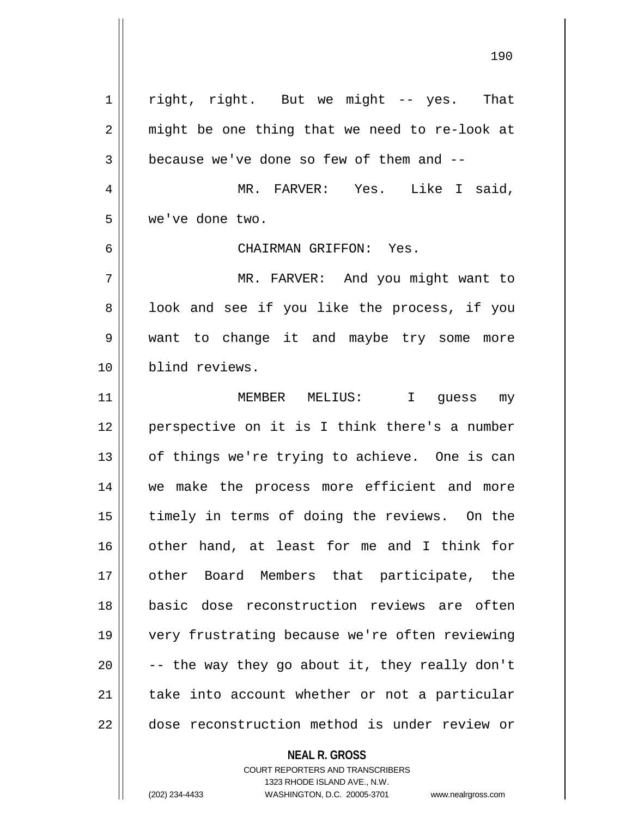**NEAL R. GROSS** COURT REPORTERS AND TRANSCRIBERS 1323 RHODE ISLAND AVE., N.W. 1 || right, right. But we might -- yes. That  $2 \parallel$  might be one thing that we need to re-look at  $3 \parallel$  because we've done so few of them and  $-$ 4 MR. FARVER: Yes. Like I said, 5 we've done two. 6 CHAIRMAN GRIFFON: Yes. 7 MR. FARVER: And you might want to 8 || look and see if you like the process, if you 9 want to change it and maybe try some more 10 blind reviews. 11 MEMBER MELIUS: I guess my 12 perspective on it is I think there's a number 13 || of things we're trying to achieve. One is can 14 || we make the process more efficient and more 15 || timely in terms of doing the reviews. On the 16 || other hand, at least for me and I think for 17 other Board Members that participate, the 18 basic dose reconstruction reviews are often 19 very frustrating because we're often reviewing 20  $\parallel$  -- the way they go about it, they really don't  $21$  | take into account whether or not a particular 22 || dose reconstruction method is under review or

(202) 234-4433 WASHINGTON, D.C. 20005-3701 www.nealrgross.com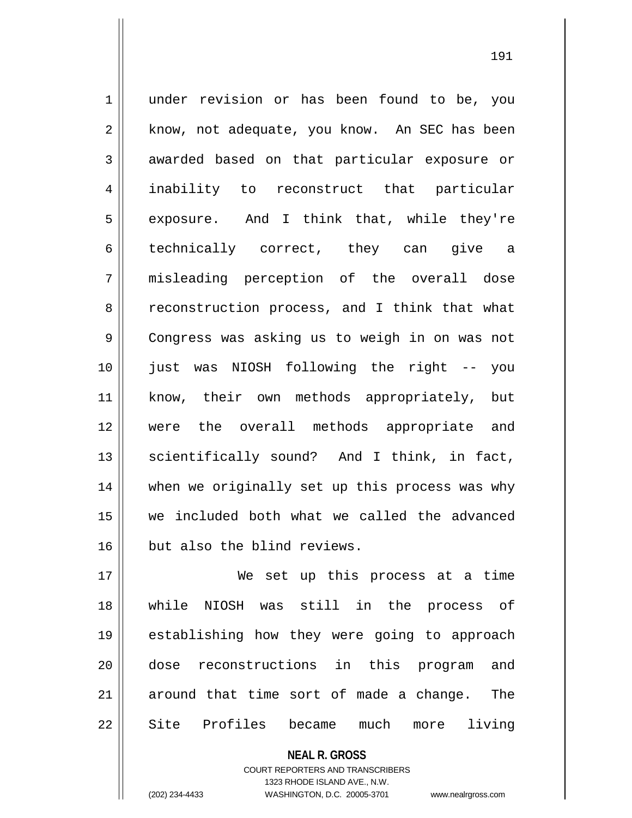1 under revision or has been found to be, you 2 | know, not adequate, you know. An SEC has been 3 awarded based on that particular exposure or 4 inability to reconstruct that particular 5 | exposure. And I think that, while they're 6 || technically correct, they can give a 7 misleading perception of the overall dose 8 | reconstruction process, and I think that what 9 || Congress was asking us to weigh in on was not 10 just was NIOSH following the right -- you 11 || know, their own methods appropriately, but 12 were the overall methods appropriate and  $13$  scientifically sound? And I think, in fact, 14 when we originally set up this process was why 15 we included both what we called the advanced 16 | but also the blind reviews.

 We set up this process at a time while NIOSH was still in the process of establishing how they were going to approach dose reconstructions in this program and around that time sort of made a change. The 22 || Site Profiles became much more living

> **NEAL R. GROSS** COURT REPORTERS AND TRANSCRIBERS 1323 RHODE ISLAND AVE., N.W. (202) 234-4433 WASHINGTON, D.C. 20005-3701 www.nealrgross.com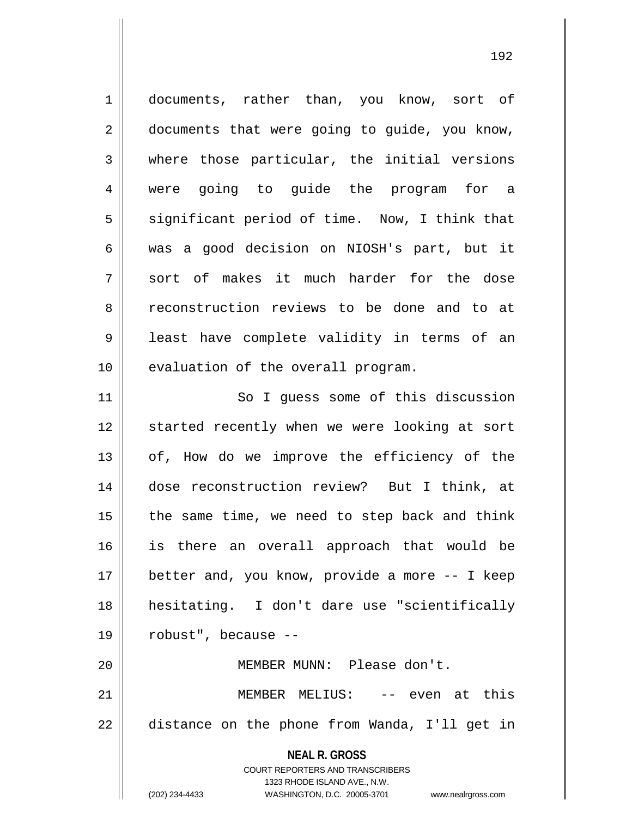**NEAL R. GROSS** COURT REPORTERS AND TRANSCRIBERS 1323 RHODE ISLAND AVE., N.W. (202) 234-4433 WASHINGTON, D.C. 20005-3701 www.nealrgross.com 1 documents, rather than, you know, sort of  $2 \parallel$  documents that were going to guide, you know,  $3 \parallel$  where those particular, the initial versions 4 were going to guide the program for a  $5 \parallel$  significant period of time. Now, I think that 6 was a good decision on NIOSH's part, but it 7 || sort of makes it much harder for the dose 8 Teconstruction reviews to be done and to at 9 || least have complete validity in terms of an 10 || evaluation of the overall program. 11 || So I guess some of this discussion 12 || started recently when we were looking at sort  $13 \parallel$  of, How do we improve the efficiency of the 14 dose reconstruction review? But I think, at  $15$  | the same time, we need to step back and think 16 is there an overall approach that would be 17 || better and, you know, provide a more -- I keep 18 hesitating. I don't dare use "scientifically  $19 \parallel$  robust", because --20 MEMBER MUNN: Please don't. 21 MEMBER MELIUS: -- even at this 22 || distance on the phone from Wanda, I'll get in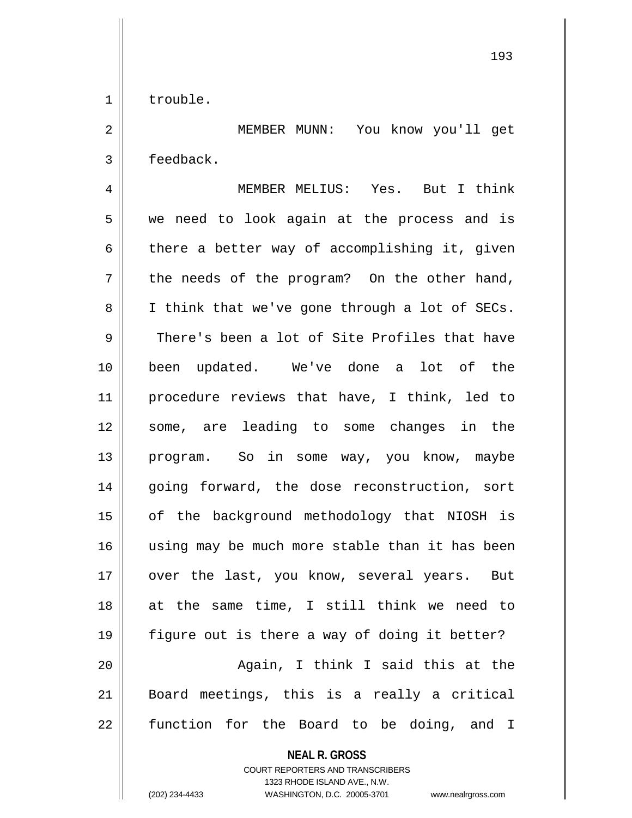193

1 | trouble.

2 MEMBER MUNN: You know you'll get 3 | feedback.

4 MEMBER MELIUS: Yes. But I think 5 we need to look again at the process and is  $6 \parallel$  there a better way of accomplishing it, given  $7 \parallel$  the needs of the program? On the other hand, 8 || I think that we've gone through a lot of SECs.  $9 \parallel$  There's been a lot of Site Profiles that have 10 been updated. We've done a lot of the 11 procedure reviews that have, I think, led to 12 some, are leading to some changes in the 13 || program. So in some way, you know, maybe 14 || going forward, the dose reconstruction, sort 15 || of the background methodology that NIOSH is 16 using may be much more stable than it has been 17 || over the last, you know, several years. But 18 at the same time, I still think we need to 19 figure out is there a way of doing it better? 20 || Again, I think I said this at the 21 Board meetings, this is a really a critical 22 || function for the Board to be doing, and I

**NEAL R. GROSS**

COURT REPORTERS AND TRANSCRIBERS 1323 RHODE ISLAND AVE., N.W. (202) 234-4433 WASHINGTON, D.C. 20005-3701 www.nealrgross.com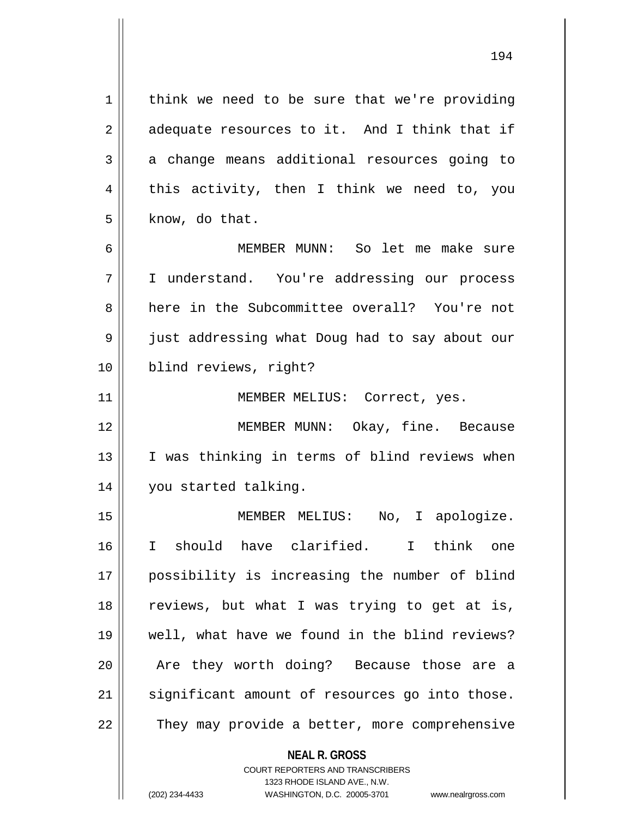194

**NEAL R. GROSS** COURT REPORTERS AND TRANSCRIBERS  $1 \parallel$  think we need to be sure that we're providing  $2 \parallel$  adequate resources to it. And I think that if  $3 \parallel$  a change means additional resources going to  $4 \parallel$  this activity, then I think we need to, you  $5 \parallel$  know, do that. 6 MEMBER MUNN: So let me make sure 7 I understand. You're addressing our process 8 here in the Subcommittee overall? You're not 9 || just addressing what Doug had to say about our 10 blind reviews, right? 11 || **MEMBER MELIUS: Correct, yes.** 12 MEMBER MUNN: Okay, fine. Because 13 || I was thinking in terms of blind reviews when 14 you started talking. 15 || MEMBER MELIUS: No, I apologize. 16 I should have clarified. I think one 17 possibility is increasing the number of blind 18 || reviews, but what I was trying to get at is, 19 well, what have we found in the blind reviews? 20 || Are they worth doing? Because those are a 21 || significant amount of resources go into those. 22 || They may provide a better, more comprehensive

1323 RHODE ISLAND AVE., N.W.

(202) 234-4433 WASHINGTON, D.C. 20005-3701 www.nealrgross.com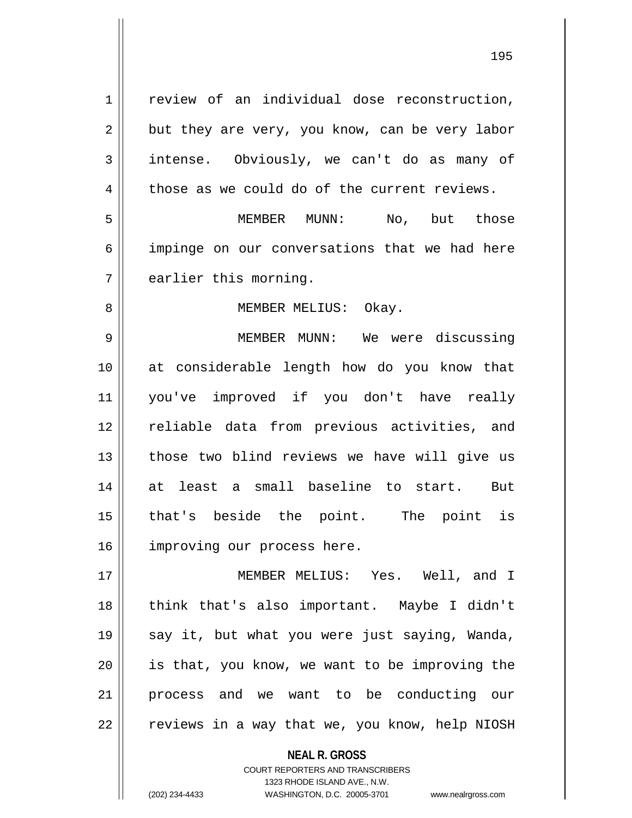1 || review of an individual dose reconstruction,  $2 \parallel$  but they are very, you know, can be very labor 3 intense. Obviously, we can't do as many of  $4 \parallel$  those as we could do of the current reviews.

5 || MEMBER MUNN: No, but those 6 | impinge on our conversations that we had here  $7$  | earlier this morning.

8 MEMBER MELIUS: Okay.

 MEMBER MUNN: We were discussing at considerable length how do you know that you've improved if you don't have really 12 || reliable data from previous activities, and | those two blind reviews we have will give us at least a small baseline to start. But that's beside the point. The point is 16 || improving our process here.

 MEMBER MELIUS: Yes. Well, and I think that's also important. Maybe I didn't 19 || say it, but what you were just saying, Wanda, 20 || is that, you know, we want to be improving the process and we want to be conducting our | reviews in a way that we, you know, help NIOSH

> **NEAL R. GROSS** COURT REPORTERS AND TRANSCRIBERS 1323 RHODE ISLAND AVE., N.W. (202) 234-4433 WASHINGTON, D.C. 20005-3701 www.nealrgross.com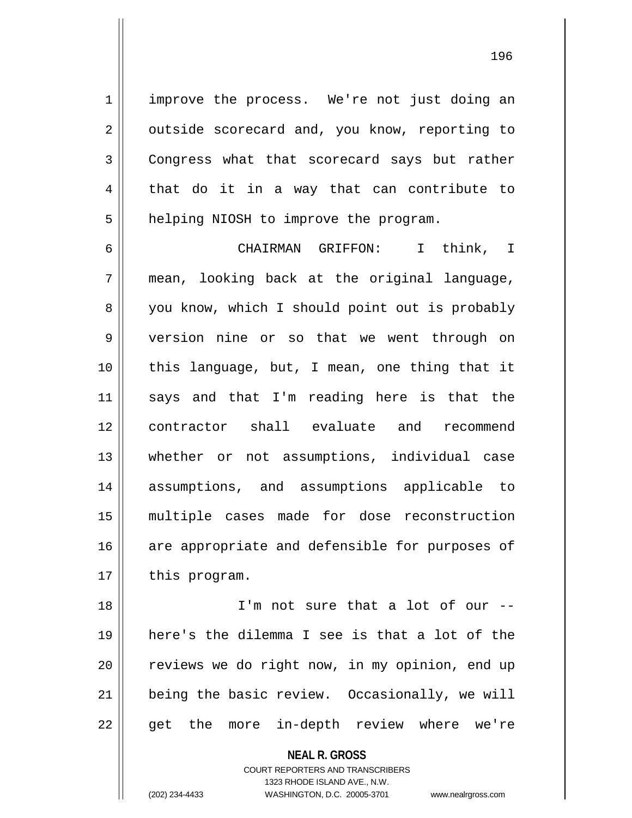1 improve the process. We're not just doing an 2 | outside scorecard and, you know, reporting to 3 Congress what that scorecard says but rather  $4 \parallel$  that do it in a way that can contribute to 5 | helping NIOSH to improve the program.

 CHAIRMAN GRIFFON: I think, I  $7 \parallel$  mean, looking back at the original language, 8 you know, which I should point out is probably version nine or so that we went through on 10 || this language, but, I mean, one thing that it says and that I'm reading here is that the contractor shall evaluate and recommend whether or not assumptions, individual case assumptions, and assumptions applicable to multiple cases made for dose reconstruction 16 || are appropriate and defensible for purposes of | this program.

18 || I'm not sure that a lot of our --19 here's the dilemma I see is that a lot of the 20 || reviews we do right now, in my opinion, end up 21 being the basic review. Occasionally, we will 22 || get the more in-depth review where we're

> **NEAL R. GROSS** COURT REPORTERS AND TRANSCRIBERS

> > 1323 RHODE ISLAND AVE., N.W.

(202) 234-4433 WASHINGTON, D.C. 20005-3701 www.nealrgross.com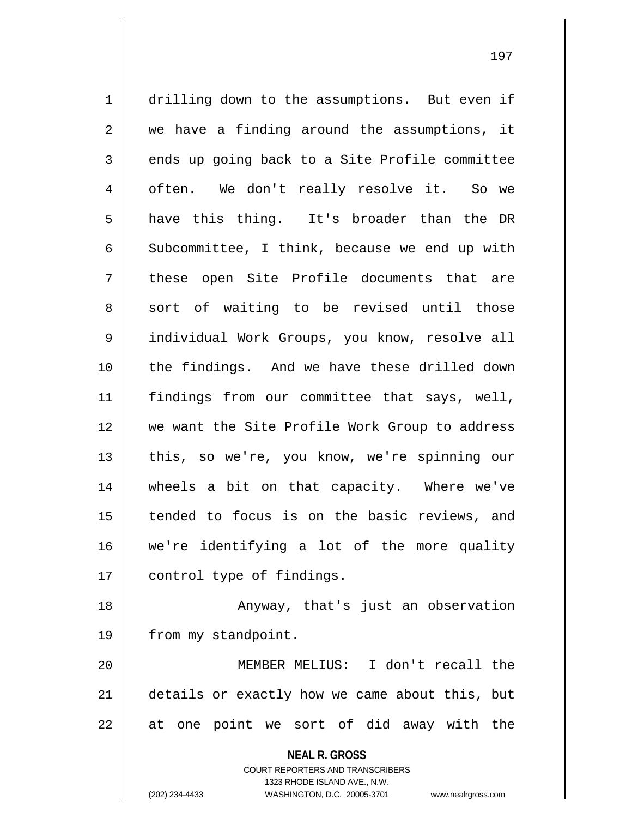1 drilling down to the assumptions. But even if  $2 \parallel$  we have a finding around the assumptions, it  $3 \parallel$  ends up going back to a Site Profile committee 4 || often. We don't really resolve it. So we 5 have this thing. It's broader than the DR  $6 \parallel$  Subcommittee, I think, because we end up with 7 || these open Site Profile documents that are 8 sort of waiting to be revised until those 9 | individual Work Groups, you know, resolve all 10 the findings. And we have these drilled down 11 || findings from our committee that says, well, 12 we want the Site Profile Work Group to address 13 || this, so we're, you know, we're spinning our 14 wheels a bit on that capacity. Where we've 15 || tended to focus is on the basic reviews, and 16 we're identifying a lot of the more quality 17 | control type of findings. 18 || Anyway, that's just an observation 19 | from my standpoint. 20 MEMBER MELIUS: I don't recall the 21 | details or exactly how we came about this, but  $22$  || at one point we sort of did away with the

**NEAL R. GROSS**

COURT REPORTERS AND TRANSCRIBERS 1323 RHODE ISLAND AVE., N.W. (202) 234-4433 WASHINGTON, D.C. 20005-3701 www.nealrgross.com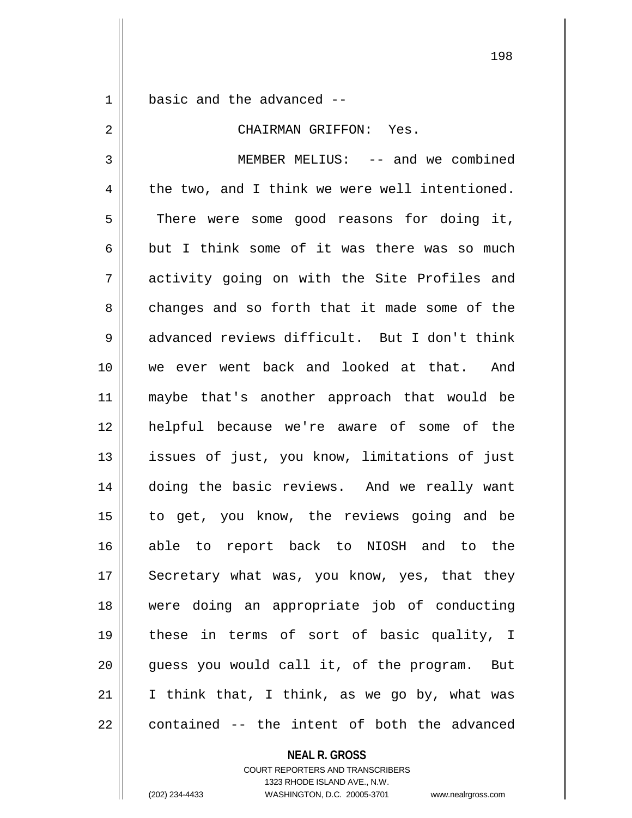1 | basic and the advanced --

 CHAIRMAN GRIFFON: Yes. 3 | MEMBER MELIUS: -- and we combined  $4 \parallel$  the two, and I think we were well intentioned. There were some good reasons for doing it, 6 but I think some of it was there was so much activity going on with the Site Profiles and 8 changes and so forth that it made some of the 9 advanced reviews difficult. But I don't think we ever went back and looked at that. And maybe that's another approach that would be helpful because we're aware of some of the 13 || issues of just, you know, limitations of just doing the basic reviews. And we really want to get, you know, the reviews going and be able to report back to NIOSH and to the 17 || Secretary what was, you know, yes, that they were doing an appropriate job of conducting these in terms of sort of basic quality, I 20 || quess you would call it, of the program. But | I think that, I think, as we go by, what was || contained -- the intent of both the advanced

> **NEAL R. GROSS** COURT REPORTERS AND TRANSCRIBERS 1323 RHODE ISLAND AVE., N.W. (202) 234-4433 WASHINGTON, D.C. 20005-3701 www.nealrgross.com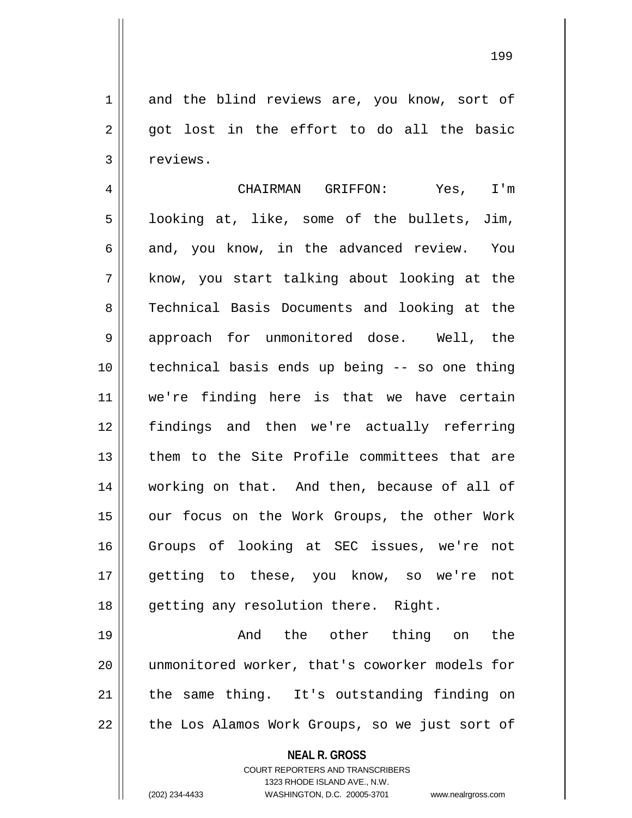1 and the blind reviews are, you know, sort of  $2 \parallel$  got lost in the effort to do all the basic 3 | reviews.

4 CHAIRMAN GRIFFON: Yes, I'm  $5 \parallel$  looking at, like, some of the bullets, Jim,  $6 \parallel$  and, you know, in the advanced review. You 7 || know, you start talking about looking at the 8 Technical Basis Documents and looking at the 9 approach for unmonitored dose. Well, the 10 technical basis ends up being -- so one thing 11 we're finding here is that we have certain 12 findings and then we're actually referring 13 them to the Site Profile committees that are 14 working on that. And then, because of all of 15 || our focus on the Work Groups, the other Work 16 Groups of looking at SEC issues, we're not 17 getting to these, you know, so we're not 18 || getting any resolution there. Right.

 And the other thing on the unmonitored worker, that's coworker models for | the same thing. It's outstanding finding on | the Los Alamos Work Groups, so we just sort of

## **NEAL R. GROSS**

COURT REPORTERS AND TRANSCRIBERS 1323 RHODE ISLAND AVE., N.W. (202) 234-4433 WASHINGTON, D.C. 20005-3701 www.nealrgross.com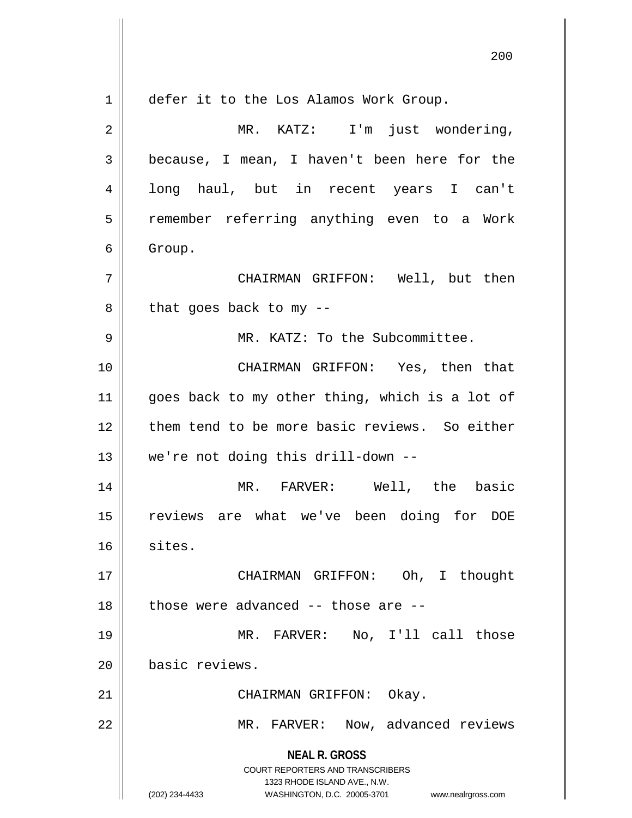**NEAL R. GROSS** COURT REPORTERS AND TRANSCRIBERS 1323 RHODE ISLAND AVE., N.W. (202) 234-4433 WASHINGTON, D.C. 20005-3701 www.nealrgross.com 1 | defer it to the Los Alamos Work Group. 2 || MR. KATZ: I'm just wondering,  $3 \parallel$  because, I mean, I haven't been here for the 4 || long haul, but in recent years I can't 5 | remember referring anything even to a Work 6 Group. 7 CHAIRMAN GRIFFON: Well, but then  $8 \parallel$  that goes back to my --9 MR. KATZ: To the Subcommittee. 10 CHAIRMAN GRIFFON: Yes, then that 11 || goes back to my other thing, which is a lot of 12 them tend to be more basic reviews. So either 13 we're not doing this drill-down -- 14 MR. FARVER: Well, the basic 15 reviews are what we've been doing for DOE 16 || sites. 17 CHAIRMAN GRIFFON: Oh, I thought  $18$  || those were advanced -- those are --19 MR. FARVER: No, I'll call those 20 basic reviews. 21 CHAIRMAN GRIFFON: Okay. 22 MR. FARVER: Now, advanced reviews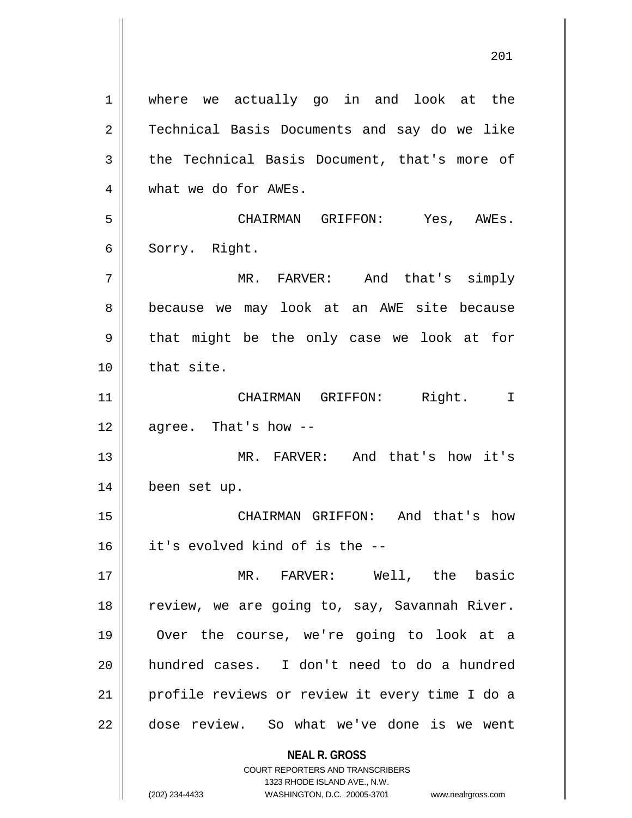**NEAL R. GROSS** COURT REPORTERS AND TRANSCRIBERS 1323 RHODE ISLAND AVE., N.W. 1 || where we actually go in and look at the 2 || Technical Basis Documents and say do we like  $3 \parallel$  the Technical Basis Document, that's more of 4 what we do for AWEs. 5 CHAIRMAN GRIFFON: Yes, AWEs. 6 | Sorry. Right. 7 MR. FARVER: And that's simply 8 || because we may look at an AWE site because  $9 \parallel$  that might be the only case we look at for  $10$   $\parallel$  that site. 11 || CHAIRMAN GRIFFON: Right. I  $12 \parallel$  agree. That's how --13 MR. FARVER: And that's how it's 14 been set up. 15 CHAIRMAN GRIFFON: And that's how 16 it's evolved kind of is the -- 17 MR. FARVER: Well, the basic 18 || review, we are going to, say, Savannah River. 19 Over the course, we're going to look at a 20 hundred cases. I don't need to do a hundred 21 profile reviews or review it every time I do a 22 dose review. So what we've done is we went

(202) 234-4433 WASHINGTON, D.C. 20005-3701 www.nealrgross.com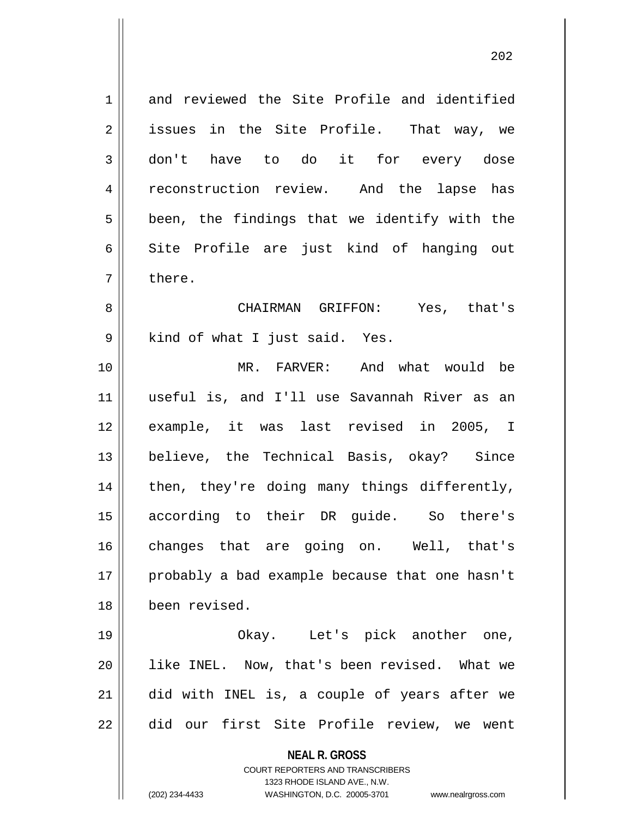**NEAL R. GROSS** 1 and reviewed the Site Profile and identified  $2 \parallel$  issues in the Site Profile. That way, we 3 don't have to do it for every dose 4 || reconstruction review. And the lapse has  $5 \parallel$  been, the findings that we identify with the 6 Site Profile are just kind of hanging out  $7 \parallel$  there. 8 CHAIRMAN GRIFFON: Yes, that's 9 || kind of what I just said. Yes. 10 MR. FARVER: And what would be 11 useful is, and I'll use Savannah River as an 12 example, it was last revised in 2005, I 13 believe, the Technical Basis, okay? Since  $14$  | then, they're doing many things differently, 15 according to their DR guide. So there's 16 || changes that are going on. Well, that's 17 || probably a bad example because that one hasn't 18 been revised. 19 || Chay. Let's pick another one, 20 like INEL. Now, that's been revised. What we 21 did with INEL is, a couple of years after we 22 did our first Site Profile review, we went

> COURT REPORTERS AND TRANSCRIBERS 1323 RHODE ISLAND AVE., N.W.

(202) 234-4433 WASHINGTON, D.C. 20005-3701 www.nealrgross.com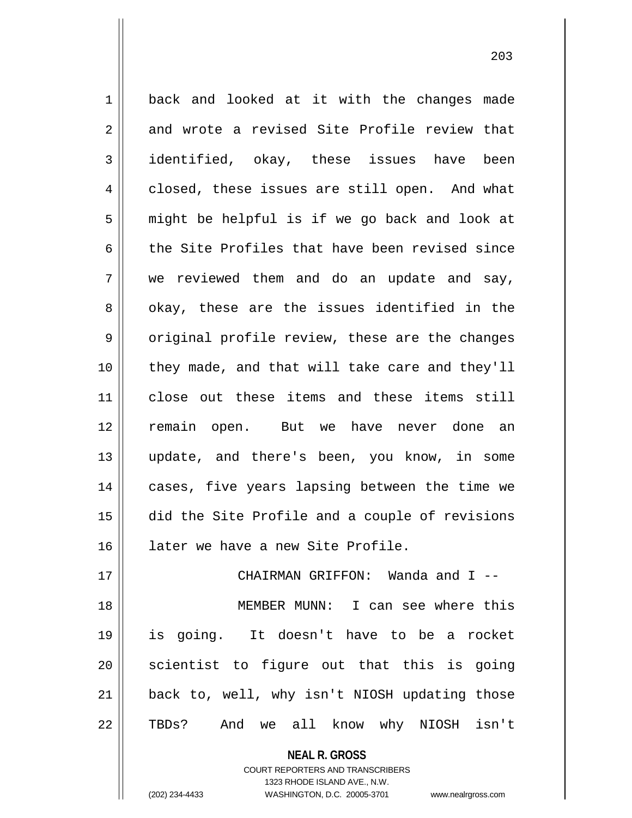1 | back and looked at it with the changes made 2 and wrote a revised Site Profile review that 3 identified, okay, these issues have been 4 closed, these issues are still open. And what  $5 \parallel$  might be helpful is if we go back and look at 6 the Site Profiles that have been revised since  $7 \parallel$  we reviewed them and do an update and say, 8 || okay, these are the issues identified in the 9 || original profile review, these are the changes 10 they made, and that will take care and they'll 11 close out these items and these items still 12 || remain open. But we have never done an 13 || update, and there's been, you know, in some 14 cases, five years lapsing between the time we 15 did the Site Profile and a couple of revisions 16 || later we have a new Site Profile. 17 CHAIRMAN GRIFFON: Wanda and I -- 18 MEMBER MUNN: I can see where this

19 is going. It doesn't have to be a rocket  $20$  scientist to figure out that this is going 21 || back to, well, why isn't NIOSH updating those 22 || TBDs? And we all know why NIOSH isn't

> **NEAL R. GROSS** COURT REPORTERS AND TRANSCRIBERS 1323 RHODE ISLAND AVE., N.W. (202) 234-4433 WASHINGTON, D.C. 20005-3701 www.nealrgross.com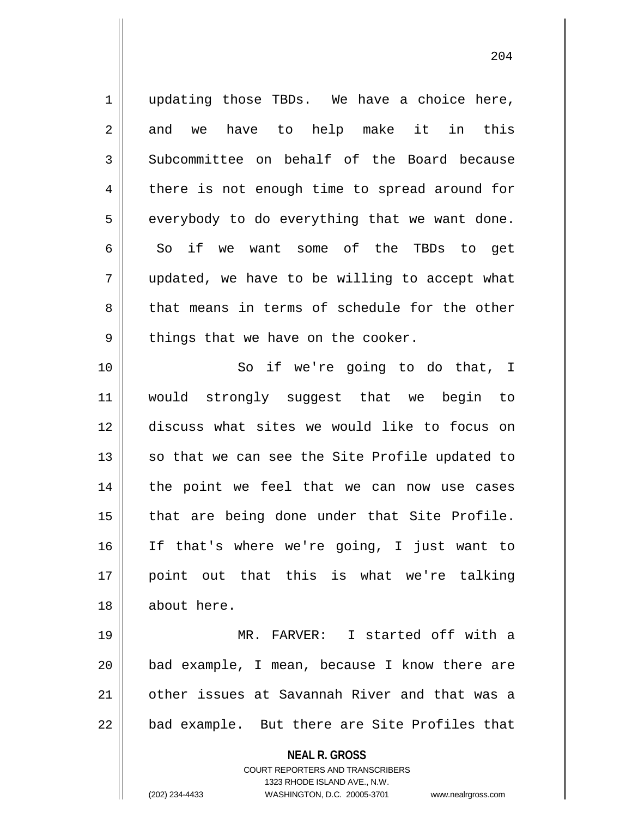1 || updating those TBDs. We have a choice here,  $2 \parallel$  and we have to help make it in this 3 Subcommittee on behalf of the Board because 4 there is not enough time to spread around for  $5$  | everybody to do everything that we want done.  $6 \parallel$  So if we want some of the TBDs to get 7 updated, we have to be willing to accept what 8 that means in terms of schedule for the other  $9 \parallel$  things that we have on the cooker. 10 || So if we're going to do that, I 11 would strongly suggest that we begin to 12 discuss what sites we would like to focus on  $13$  so that we can see the Site Profile updated to 14 || the point we feel that we can now use cases 15 || that are being done under that Site Profile. 16 If that's where we're going, I just want to 17 point out that this is what we're talking 18 about here.

 MR. FARVER: I started off with a 20 || bad example, I mean, because I know there are other issues at Savannah River and that was a  $\parallel$  bad example. But there are Site Profiles that

> **NEAL R. GROSS** COURT REPORTERS AND TRANSCRIBERS 1323 RHODE ISLAND AVE., N.W.

(202) 234-4433 WASHINGTON, D.C. 20005-3701 www.nealrgross.com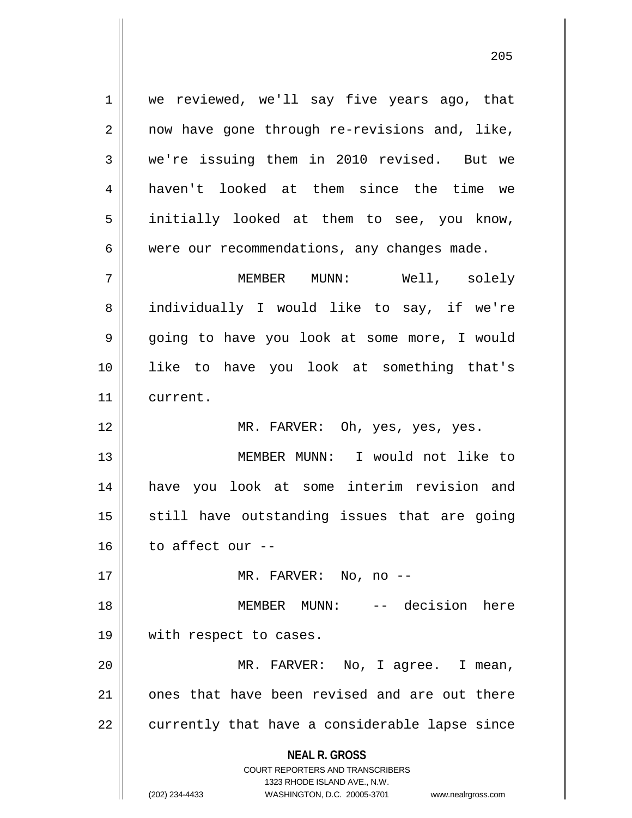**NEAL R. GROSS** COURT REPORTERS AND TRANSCRIBERS 1323 RHODE ISLAND AVE., N.W. (202) 234-4433 WASHINGTON, D.C. 20005-3701 www.nealrgross.com 1 || we reviewed, we'll say five years ago, that  $2 \parallel$  now have gone through re-revisions and, like, 3 we're issuing them in 2010 revised. But we 4 haven't looked at them since the time we 5 || initially looked at them to see, you know,  $6 \parallel$  were our recommendations, any changes made. 7 || MEMBER MUNN: Well, solely 8 || individually I would like to say, if we're 9 || going to have you look at some more, I would 10 like to have you look at something that's 11 current. 12 MR. FARVER: Oh, yes, yes, yes. 13 MEMBER MUNN: I would not like to 14 have you look at some interim revision and  $15$  still have outstanding issues that are going 16  $\parallel$  to affect our --17 || MR. FARVER: No, no --18 MEMBER MUNN: -- decision here 19 || with respect to cases. 20 MR. FARVER: No, I agree. I mean, 21 || ones that have been revised and are out there  $22$  || currently that have a considerable lapse since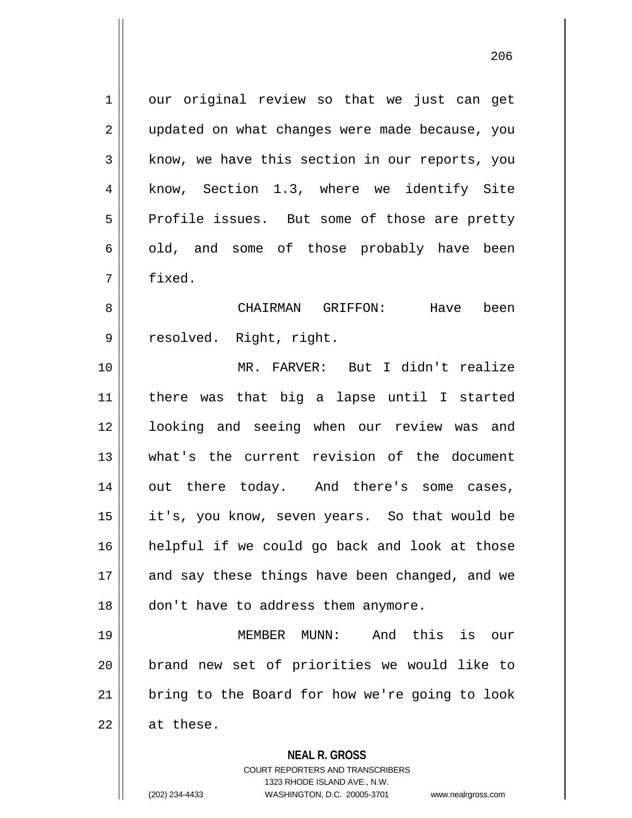$1 \parallel$  our original review so that we just can get 2 || updated on what changes were made because, you  $3 \parallel$  know, we have this section in our reports, you 4 || know, Section 1.3, where we identify Site 5 | Profile issues. But some of those are pretty  $6 \parallel$  old, and some of those probably have been 7 fixed.

8 CHAIRMAN GRIFFON: Have been 9 || resolved. Right, right.

 MR. FARVER: But I didn't realize there was that big a lapse until I started looking and seeing when our review was and what's the current revision of the document 14 || out there today. And there's some cases, it's, you know, seven years. So that would be helpful if we could go back and look at those and say these things have been changed, and we 18 || don't have to address them anymore.

 MEMBER MUNN: And this is our brand new set of priorities we would like to | bring to the Board for how we're going to look | at these.

## **NEAL R. GROSS**

COURT REPORTERS AND TRANSCRIBERS 1323 RHODE ISLAND AVE., N.W. (202) 234-4433 WASHINGTON, D.C. 20005-3701 www.nealrgross.com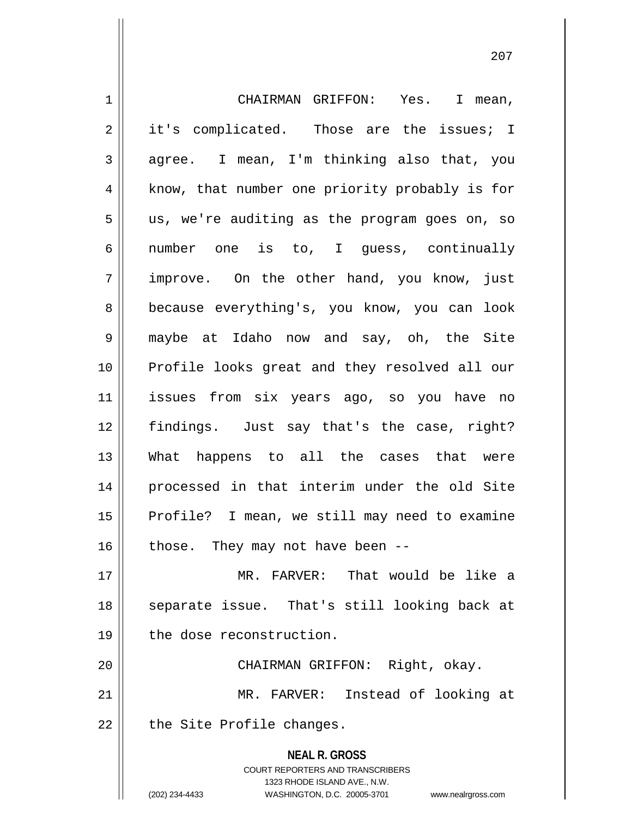**NEAL R. GROSS** COURT REPORTERS AND TRANSCRIBERS 1323 RHODE ISLAND AVE., N.W. (202) 234-4433 WASHINGTON, D.C. 20005-3701 www.nealrgross.com 1 CHAIRMAN GRIFFON: Yes. I mean, 2 || it's complicated. Those are the issues; I  $3 \parallel$  agree. I mean, I'm thinking also that, you 4 || know, that number one priority probably is for  $5 \parallel$  us, we're auditing as the program goes on, so 6 number one is to, I guess, continually 7 || improve. On the other hand, you know, just 8 || because everything's, you know, you can look 9 maybe at Idaho now and say, oh, the Site 10 Profile looks great and they resolved all our 11 issues from six years ago, so you have no 12 findings. Just say that's the case, right? 13 What happens to all the cases that were 14 processed in that interim under the old Site 15 || Profile? I mean, we still may need to examine  $16$  | those. They may not have been --17 MR. FARVER: That would be like a 18 || separate issue. That's still looking back at 19 || the dose reconstruction. 20 || CHAIRMAN GRIFFON: Right, okay. 21 MR. FARVER: Instead of looking at  $22$  | the Site Profile changes.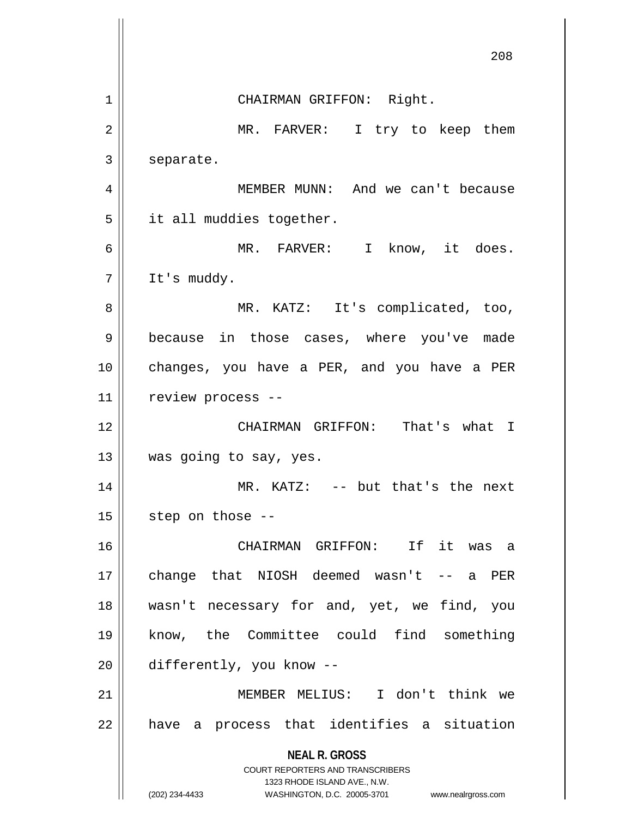|    | 208                                                                 |
|----|---------------------------------------------------------------------|
| 1  | CHAIRMAN GRIFFON: Right.                                            |
| 2  | MR. FARVER: I try to keep them                                      |
| 3  | separate.                                                           |
| 4  | MEMBER MUNN: And we can't because                                   |
| 5  | it all muddies together.                                            |
| 6  | MR. FARVER: I know, it does.                                        |
| 7  | It's muddy.                                                         |
| 8  | MR. KATZ: It's complicated, too,                                    |
| 9  | because in those cases, where you've made                           |
| 10 | changes, you have a PER, and you have a PER                         |
| 11 | review process --                                                   |
| 12 | CHAIRMAN GRIFFON: That's what I                                     |
| 13 | was going to say, yes.                                              |
| 14 | MR. KATZ: -- but that's the next                                    |
| 15 | step on those --                                                    |
| 16 | it<br>CHAIRMAN GRIFFON: If<br>was<br>a                              |
| 17 | change that NIOSH deemed wasn't<br>$--$ a PER                       |
| 18 | wasn't necessary for and, yet, we find, you                         |
| 19 | know, the Committee could find something                            |
| 20 | differently, you know --                                            |
| 21 | MEMBER MELIUS: I don't think we                                     |
| 22 | a process that identifies a situation<br>have                       |
|    | <b>NEAL R. GROSS</b><br><b>COURT REPORTERS AND TRANSCRIBERS</b>     |
|    | 1323 RHODE ISLAND AVE., N.W.                                        |
|    | (202) 234-4433<br>WASHINGTON, D.C. 20005-3701<br>www.nealrgross.com |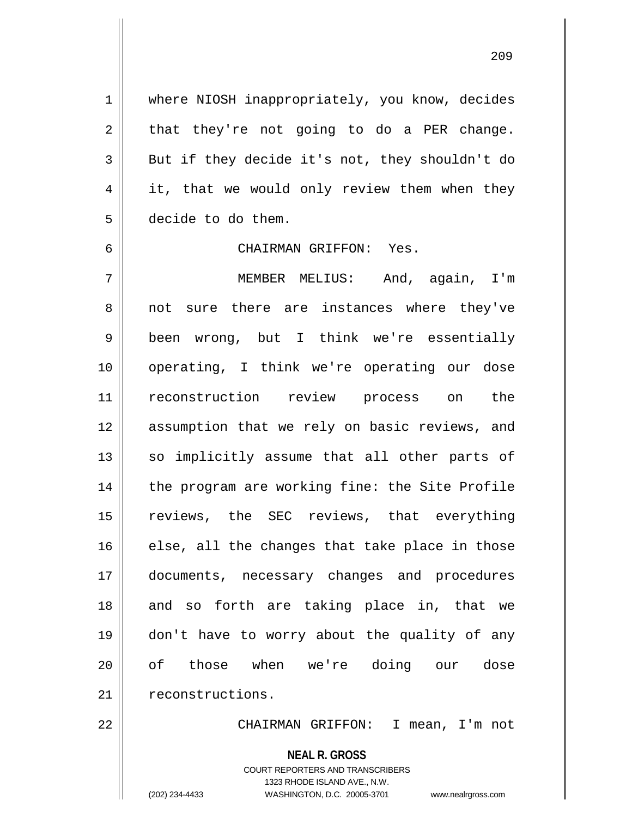1 | where NIOSH inappropriately, you know, decides  $2 \parallel$  that they're not going to do a PER change.  $3 \parallel$  But if they decide it's not, they shouldn't do 4 || it, that we would only review them when they 5 decide to do them.

209

6 CHAIRMAN GRIFFON: Yes.

7 MEMBER MELIUS: And, again, I'm 8 || not sure there are instances where they've 9 been wrong, but I think we're essentially 10 operating, I think we're operating our dose 11 reconstruction review process on the 12 || assumption that we rely on basic reviews, and  $13$  so implicitly assume that all other parts of  $14$  | the program are working fine: the Site Profile 15 || reviews, the SEC reviews, that everything  $16$  else, all the changes that take place in those 17 documents, necessary changes and procedures 18 and so forth are taking place in, that we 19 don't have to worry about the quality of any 20 || of those when we're doing our dose 21 | reconstructions.

22 CHAIRMAN GRIFFON: I mean, I'm not

**NEAL R. GROSS**

COURT REPORTERS AND TRANSCRIBERS 1323 RHODE ISLAND AVE., N.W. (202) 234-4433 WASHINGTON, D.C. 20005-3701 www.nealrgross.com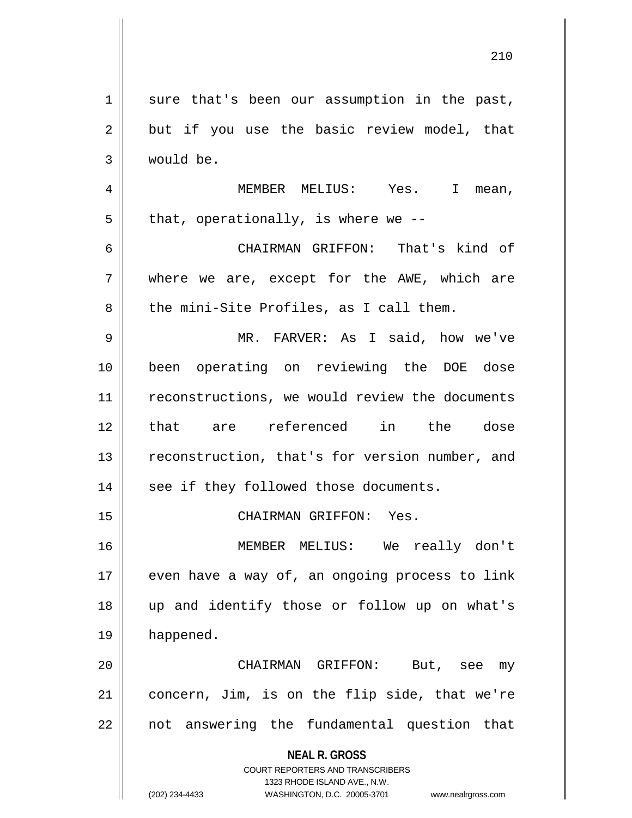**NEAL R. GROSS** COURT REPORTERS AND TRANSCRIBERS 1323 RHODE ISLAND AVE., N.W. (202) 234-4433 WASHINGTON, D.C. 20005-3701 www.nealrgross.com  $1 \parallel$  sure that's been our assumption in the past,  $2 \parallel$  but if you use the basic review model, that 3 would be. 4 MEMBER MELIUS: Yes. I mean,  $5 \parallel$  that, operationally, is where we --6 CHAIRMAN GRIFFON: That's kind of 7 where we are, except for the AWE, which are  $8 \parallel$  the mini-Site Profiles, as I call them. 9 MR. FARVER: As I said, how we've 10 been operating on reviewing the DOE dose 11 || reconstructions, we would review the documents 12 that are referenced in the dose 13 || reconstruction, that's for version number, and 14 || see if they followed those documents. 15 || CHAIRMAN GRIFFON: Yes. 16 MEMBER MELIUS: We really don't 17 || even have a way of, an ongoing process to link 18 up and identify those or follow up on what's 19 happened. 20 CHAIRMAN GRIFFON: But, see my  $21$  concern, Jim, is on the flip side, that we're  $22$  || not answering the fundamental question that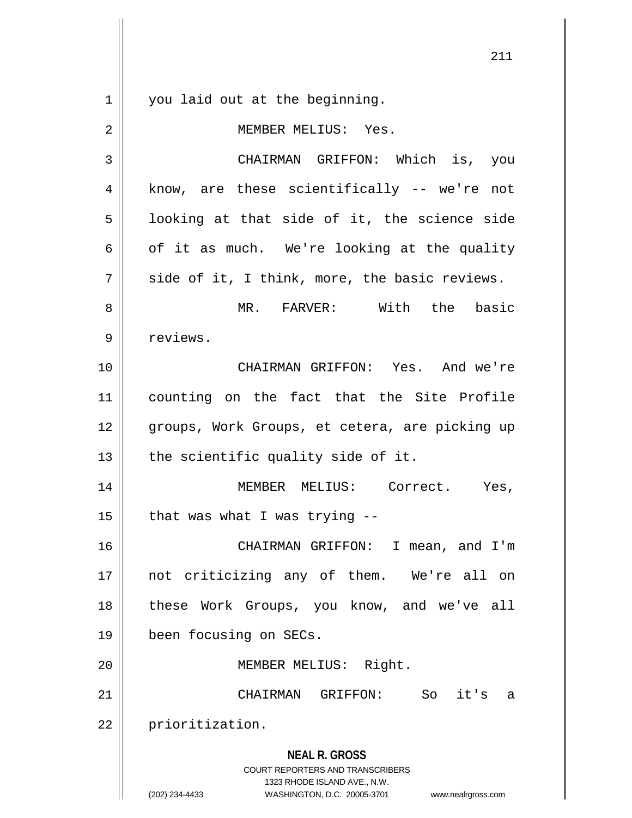**NEAL R. GROSS** COURT REPORTERS AND TRANSCRIBERS 1323 RHODE ISLAND AVE., N.W. (202) 234-4433 WASHINGTON, D.C. 20005-3701 www.nealrgross.com 1 || you laid out at the beginning. 2 MEMBER MELIUS: Yes. 3 CHAIRMAN GRIFFON: Which is, you 4 || know, are these scientifically -- we're not  $5 \parallel$  looking at that side of it, the science side  $6 \parallel$  of it as much. We're looking at the quality  $7 \parallel$  side of it, I think, more, the basic reviews. 8 MR. FARVER: With the basic 9 | reviews. 10 CHAIRMAN GRIFFON: Yes. And we're 11 counting on the fact that the Site Profile 12 || groups, Work Groups, et cetera, are picking up 13  $\parallel$  the scientific quality side of it. 14 MEMBER MELIUS: Correct. Yes,  $15$  | that was what I was trying  $-$ 16 CHAIRMAN GRIFFON: I mean, and I'm 17 not criticizing any of them. We're all on 18 || these Work Groups, you know, and we've all 19 || been focusing on SECs. 20 MEMBER MELIUS: Right. 21 CHAIRMAN GRIFFON: So it's a 22 | prioritization.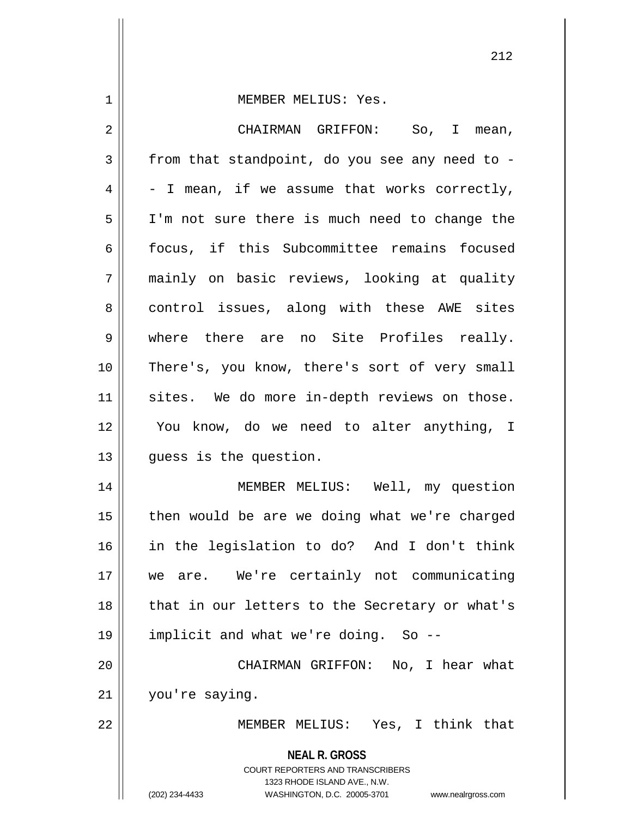1 || MEMBER MELIUS: Yes. 2 CHAIRMAN GRIFFON: So, I mean,  $3 \parallel$  from that standpoint, do you see any need to - $4 \parallel -I$  mean, if we assume that works correctly, 5 I'm not sure there is much need to change the 6 focus, if this Subcommittee remains focused 7 mainly on basic reviews, looking at quality 8 control issues, along with these AWE sites 9 || where there are no Site Profiles really. 10 There's, you know, there's sort of very small 11 || sites. We do more in-depth reviews on those. 12 You know, do we need to alter anything, I 13 || guess is the question.

 MEMBER MELIUS: Well, my question | then would be are we doing what we're charged in the legislation to do? And I don't think we are. We're certainly not communicating 18 || that in our letters to the Secretary or what's implicit and what we're doing. So -- 20 || CHAIRMAN GRIFFON: No, I hear what

21 | you're saying.

22 MEMBER MELIUS: Yes, I think that

**NEAL R. GROSS**

COURT REPORTERS AND TRANSCRIBERS 1323 RHODE ISLAND AVE., N.W. (202) 234-4433 WASHINGTON, D.C. 20005-3701 www.nealrgross.com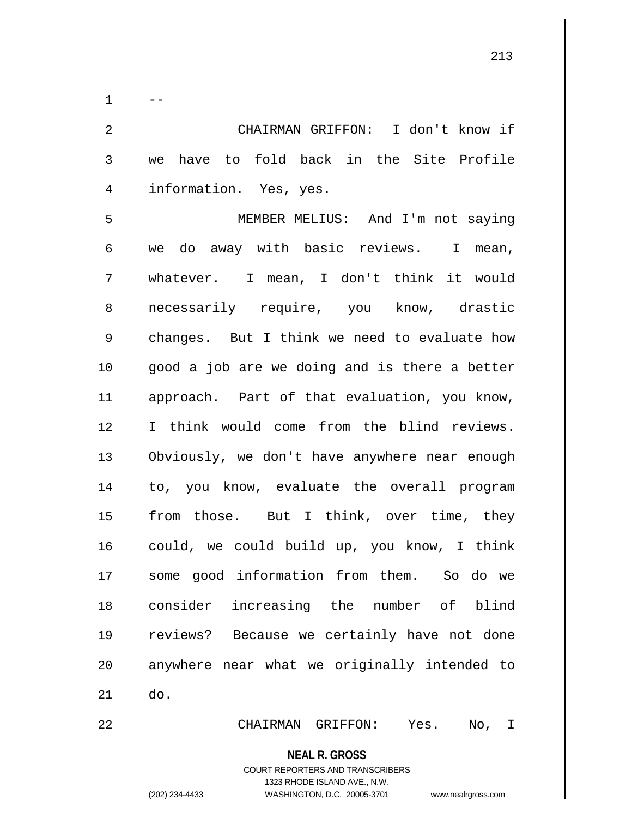2 CHAIRMAN GRIFFON: I don't know if 3 we have to fold back in the Site Profile 4 | information. Yes, yes.

 $1 \parallel - -$ 

5 MEMBER MELIUS: And I'm not saying 6 || we do away with basic reviews. I mean, 7 whatever. I mean, I don't think it would 8 || necessarily require, you know, drastic 9 changes. But I think we need to evaluate how 10 || good a job are we doing and is there a better 11 || approach. Part of that evaluation, you know, 12 I think would come from the blind reviews. 13 Obviously, we don't have anywhere near enough 14 || to, you know, evaluate the overall program 15 || from those. But I think, over time, they 16 || could, we could build up, you know, I think 17 some good information from them. So do we 18 consider increasing the number of blind 19 reviews? Because we certainly have not done  $20$  || anywhere near what we originally intended to  $21$   $\parallel$  do. 22 CHAIRMAN GRIFFON: Yes. No, I

**NEAL R. GROSS**

COURT REPORTERS AND TRANSCRIBERS

1323 RHODE ISLAND AVE., N.W. (202) 234-4433 WASHINGTON, D.C. 20005-3701 www.nealrgross.com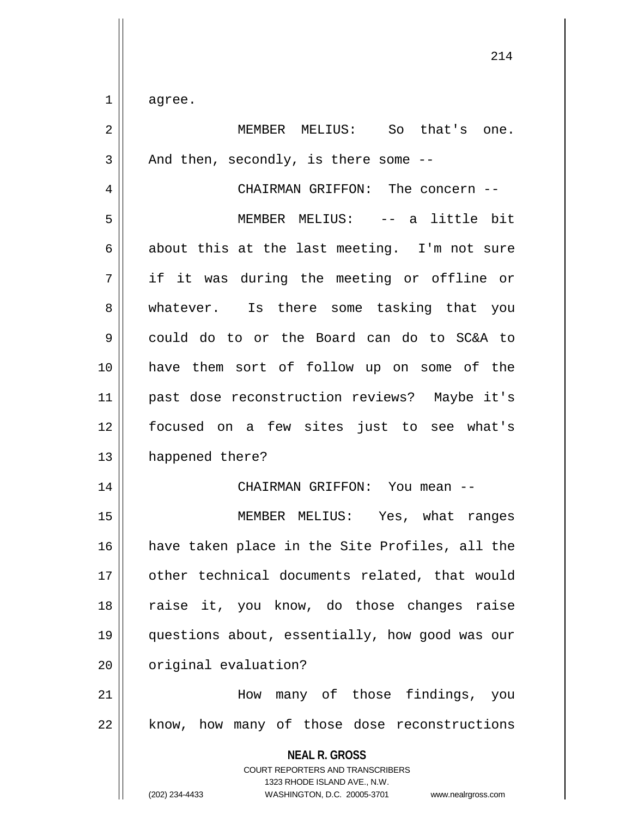1 agree.

**NEAL R. GROSS** COURT REPORTERS AND TRANSCRIBERS 1323 RHODE ISLAND AVE., N.W. 2 MEMBER MELIUS: So that's one.  $3 \parallel$  And then, secondly, is there some --4 CHAIRMAN GRIFFON: The concern -- 5 MEMBER MELIUS: -- a little bit 6 about this at the last meeting. I'm not sure 7 if it was during the meeting or offline or 8 || whatever. Is there some tasking that you 9 could do to or the Board can do to SC&A to 10 have them sort of follow up on some of the 11 past dose reconstruction reviews? Maybe it's 12 focused on a few sites just to see what's 13 | happened there? 14 CHAIRMAN GRIFFON: You mean -- 15 MEMBER MELIUS: Yes, what ranges 16 have taken place in the Site Profiles, all the 17 || other technical documents related, that would 18 || raise it, you know, do those changes raise 19 questions about, essentially, how good was our 20 | original evaluation? 21 How many of those findings, you 22 || know, how many of those dose reconstructions

(202) 234-4433 WASHINGTON, D.C. 20005-3701 www.nealrgross.com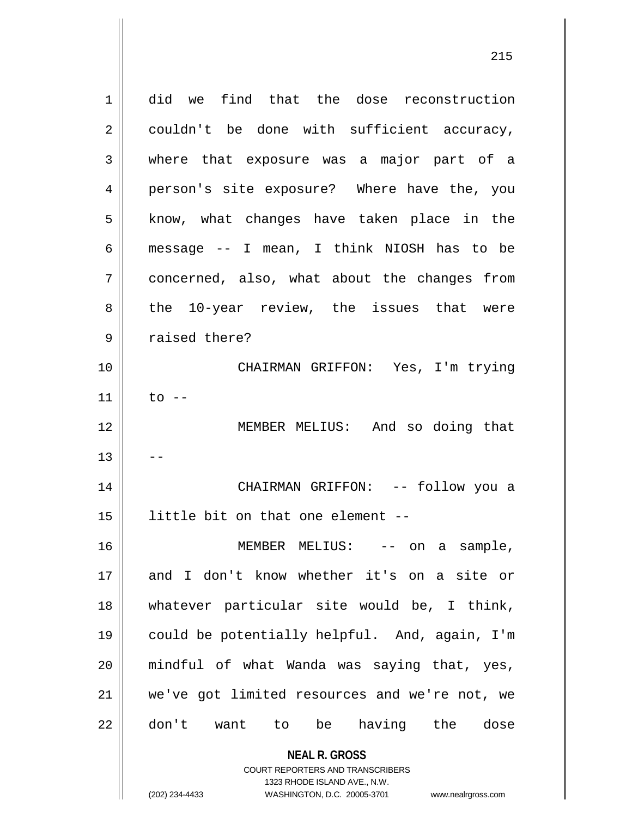**NEAL R. GROSS** COURT REPORTERS AND TRANSCRIBERS 1323 RHODE ISLAND AVE., N.W. 1 did we find that the dose reconstruction  $2 \parallel$  couldn't be done with sufficient accuracy, 3 where that exposure was a major part of a 4 person's site exposure? Where have the, you  $5 \parallel$  know, what changes have taken place in the 6 message -- I mean, I think NIOSH has to be 7 concerned, also, what about the changes from 8 the 10-year review, the issues that were 9 || raised there? 10 CHAIRMAN GRIFFON: Yes, I'm trying 11  $\parallel$  to --12 MEMBER MELIUS: And so doing that  $13$ 14 CHAIRMAN GRIFFON: -- follow you a  $15$  || little bit on that one element --16 || MEMBER MELIUS: -- on a sample, 17 and I don't know whether it's on a site or 18 whatever particular site would be, I think, 19 could be potentially helpful. And, again, I'm 20 mindful of what Wanda was saying that, yes, 21 we've got limited resources and we're not, we 22 || don't want to be having the dose

(202) 234-4433 WASHINGTON, D.C. 20005-3701 www.nealrgross.com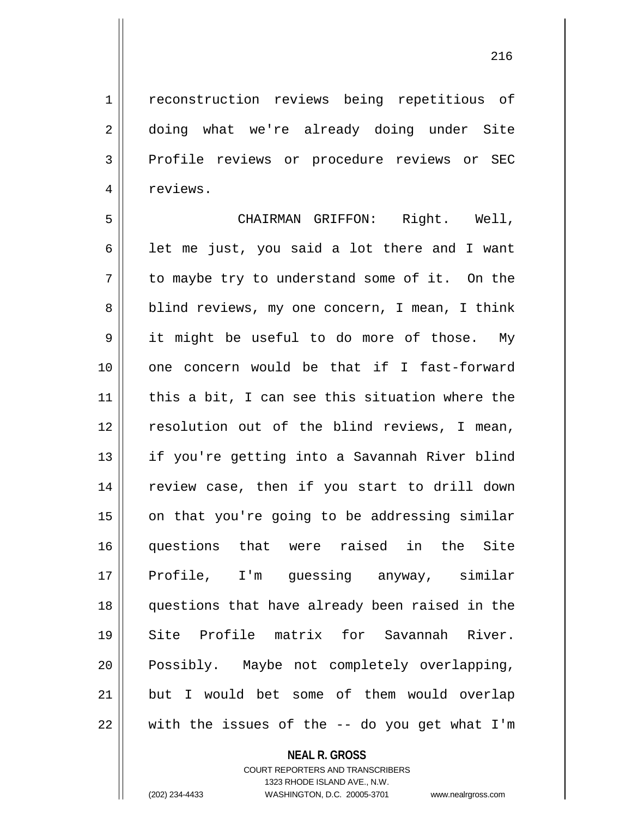1 | reconstruction reviews being repetitious of 2 doing what we're already doing under Site 3 Profile reviews or procedure reviews or SEC 4 | reviews.

5 CHAIRMAN GRIFFON: Right. Well,  $6 \parallel$  let me just, you said a lot there and I want  $7 \parallel$  to maybe try to understand some of it. On the 8 | blind reviews, my one concern, I mean, I think 9 | it might be useful to do more of those. My 10 one concern would be that if I fast-forward 11 this a bit, I can see this situation where the 12 || resolution out of the blind reviews, I mean, 13 || if you're getting into a Savannah River blind 14 || review case, then if you start to drill down  $15$  || on that you're going to be addressing similar 16 questions that were raised in the Site 17 Profile, I'm guessing anyway, similar 18 questions that have already been raised in the 19 Site Profile matrix for Savannah River. 20 Possibly. Maybe not completely overlapping,  $21$  but I would bet some of them would overlap  $22 \parallel$  with the issues of the -- do you get what I'm

## **NEAL R. GROSS**

## COURT REPORTERS AND TRANSCRIBERS 1323 RHODE ISLAND AVE., N.W. (202) 234-4433 WASHINGTON, D.C. 20005-3701 www.nealrgross.com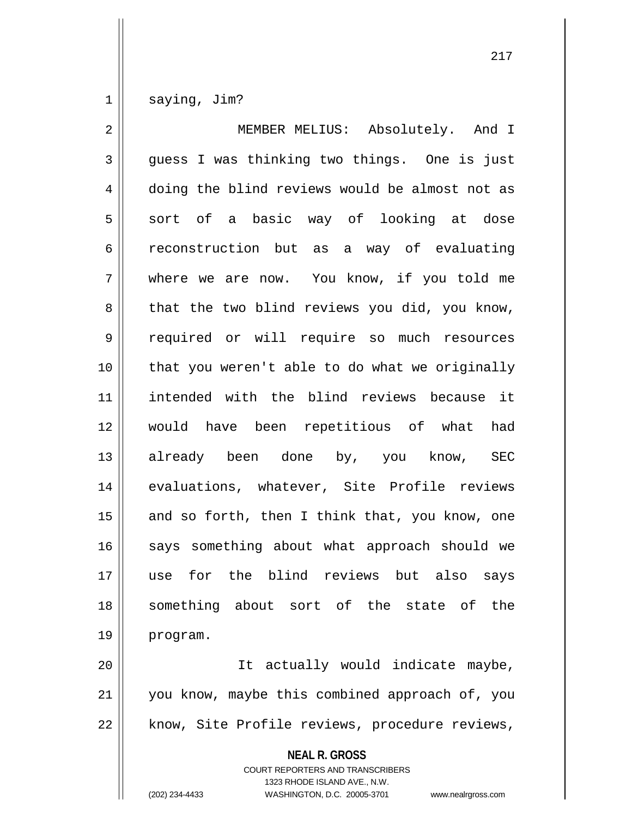$1 \parallel$  saying, Jim?

2 || MEMBER MELIUS: Absolutely. And I  $3 \parallel$  quess I was thinking two things. One is just 4 doing the blind reviews would be almost not as  $5 \parallel$  sort of a basic way of looking at dose 6 reconstruction but as a way of evaluating 7 where we are now. You know, if you told me  $8 \parallel$  that the two blind reviews you did, you know, 9 required or will require so much resources  $10$  | that you weren't able to do what we originally 11 intended with the blind reviews because it 12 would have been repetitious of what had 13 already been done by, you know, SEC 14 || evaluations, whatever, Site Profile reviews 15  $\parallel$  and so forth, then I think that, you know, one 16 || says something about what approach should we 17 use for the blind reviews but also says 18 something about sort of the state of the 19 program. 20 || It actually would indicate maybe, 21 || you know, maybe this combined approach of, you

22 | know, Site Profile reviews, procedure reviews,

**NEAL R. GROSS**

COURT REPORTERS AND TRANSCRIBERS 1323 RHODE ISLAND AVE., N.W. (202) 234-4433 WASHINGTON, D.C. 20005-3701 www.nealrgross.com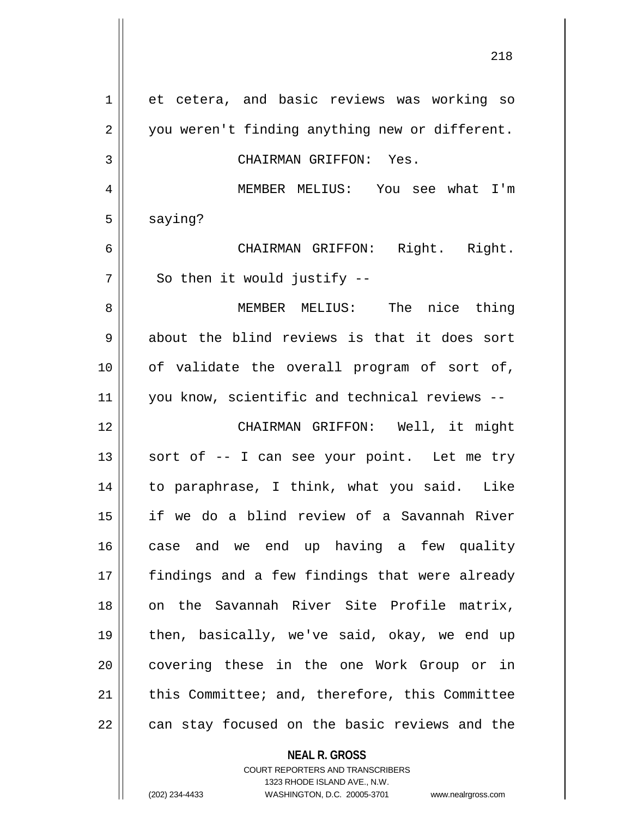| et cetera, and basic reviews was working so    |
|------------------------------------------------|
| you weren't finding anything new or different. |
| CHAIRMAN GRIFFON: Yes.                         |
| MEMBER MELIUS: You see what I'm                |
| saying?                                        |
| CHAIRMAN GRIFFON: Right. Right.                |
| So then it would justify $-$ -                 |
| MEMBER MELIUS: The nice thing                  |
| about the blind reviews is that it does sort   |
| of validate the overall program of sort of,    |
| you know, scientific and technical reviews --  |
| CHAIRMAN GRIFFON: Well, it might               |
| sort of -- I can see your point. Let me try    |
| to paraphrase, I think, what you said. Like    |
| if we do a blind review of a Savannah River    |
| case and we end up having a few quality        |
| findings and a few findings that were already  |
| on the Savannah River Site Profile matrix,     |
| then, basically, we've said, okay, we end up   |
| covering these in the one Work Group or in     |
| this Committee; and, therefore, this Committee |
| can stay focused on the basic reviews and the  |
|                                                |

**NEAL R. GROSS**

COURT REPORTERS AND TRANSCRIBERS 1323 RHODE ISLAND AVE., N.W. (202) 234-4433 WASHINGTON, D.C. 20005-3701 www.nealrgross.com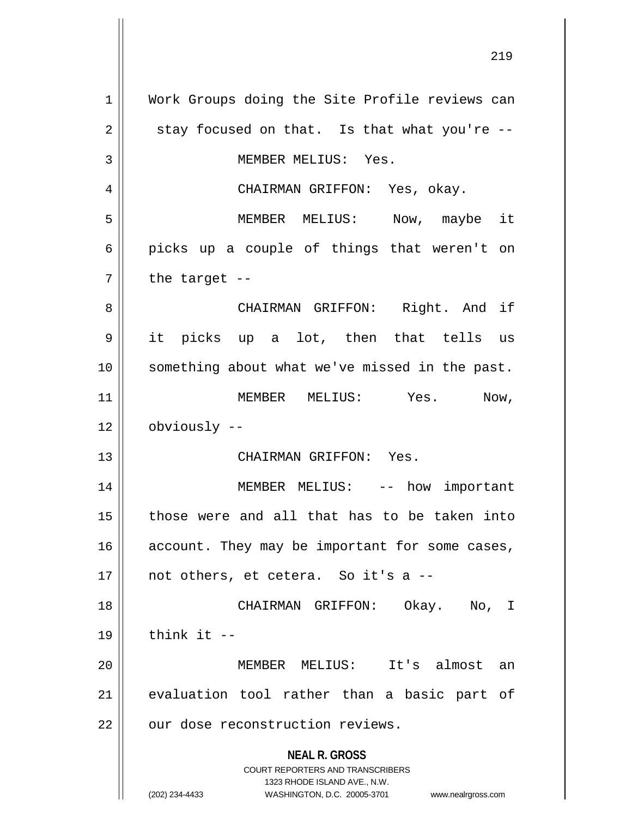**NEAL R. GROSS** COURT REPORTERS AND TRANSCRIBERS 1323 RHODE ISLAND AVE., N.W. (202) 234-4433 WASHINGTON, D.C. 20005-3701 www.nealrgross.com 1 || Work Groups doing the Site Profile reviews can  $2 \parallel$  stay focused on that. Is that what you're --3 || MEMBER MELIUS: Yes. 4 CHAIRMAN GRIFFON: Yes, okay. 5 MEMBER MELIUS: Now, maybe it  $6 \parallel$  picks up a couple of things that weren't on  $7 \parallel$  the target --8 CHAIRMAN GRIFFON: Right. And if 9 it picks up a lot, then that tells us 10 || something about what we've missed in the past. 11 MEMBER MELIUS: Yes. Now, 12 | obviously --13 CHAIRMAN GRIFFON: Yes. 14 || MEMBER MELIUS: -- how important 15 those were and all that has to be taken into  $16$  account. They may be important for some cases,  $17 \parallel$  not others, et cetera. So it's a  $-$ 18 CHAIRMAN GRIFFON: Okay. No, I  $19$   $\parallel$  think it  $-$ 20 MEMBER MELIUS: It's almost an 21 || evaluation tool rather than a basic part of 22 | our dose reconstruction reviews.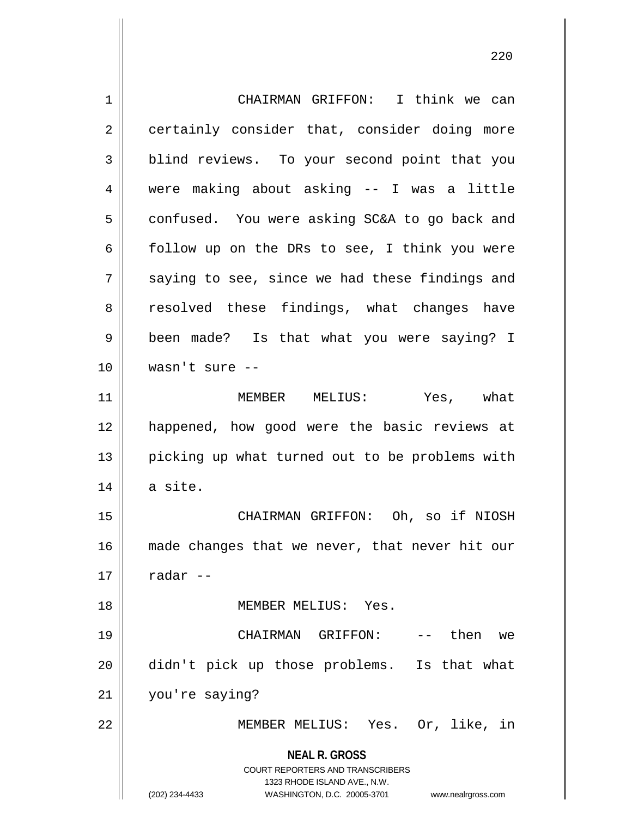**NEAL R. GROSS** COURT REPORTERS AND TRANSCRIBERS 1323 RHODE ISLAND AVE., N.W. (202) 234-4433 WASHINGTON, D.C. 20005-3701 www.nealrgross.com 1 || CHAIRMAN GRIFFON: I think we can 2 certainly consider that, consider doing more 3 blind reviews. To your second point that you 4 were making about asking -- I was a little 5 | confused. You were asking SC&A to go back and  $6 \parallel$  follow up on the DRs to see, I think you were  $7 \parallel$  saying to see, since we had these findings and 8 || resolved these findings, what changes have 9 been made? Is that what you were saying? I 10 wasn't sure -- 11 MEMBER MELIUS: Yes, what 12 happened, how good were the basic reviews at 13 || picking up what turned out to be problems with  $14$  a site. 15 CHAIRMAN GRIFFON: Oh, so if NIOSH 16 || made changes that we never, that never hit our  $17 \parallel$  radar --18 MEMBER MELIUS: Yes. 19 CHAIRMAN GRIFFON: -- then we 20 didn't pick up those problems. Is that what 21 you're saying? 22 MEMBER MELIUS: Yes. Or, like, in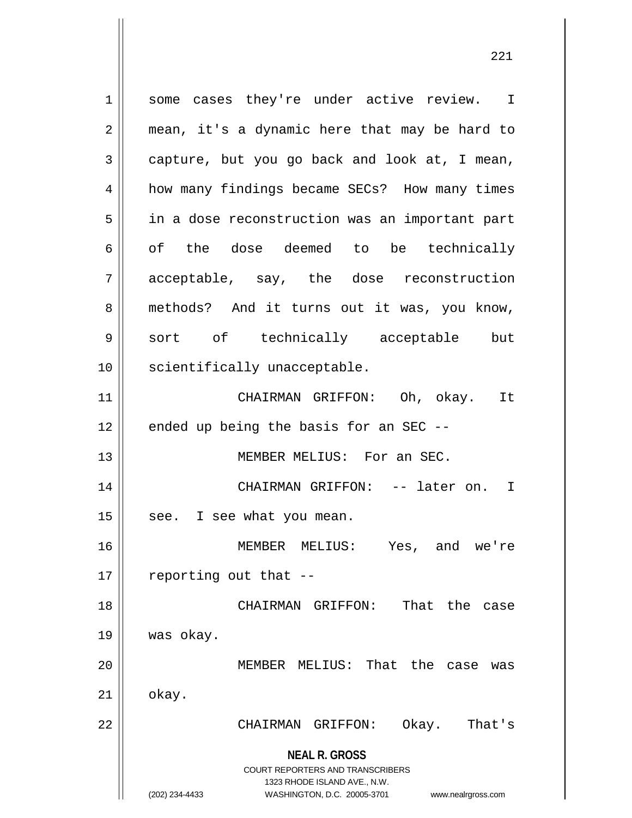**NEAL R. GROSS** COURT REPORTERS AND TRANSCRIBERS 1323 RHODE ISLAND AVE., N.W. (202) 234-4433 WASHINGTON, D.C. 20005-3701 www.nealrgross.com 1 some cases they're under active review. I 2 || mean, it's a dynamic here that may be hard to  $3 \parallel$  capture, but you go back and look at, I mean, 4 | how many findings became SECs? How many times 5 | in a dose reconstruction was an important part 6 || of the dose deemed to be technically 7 acceptable, say, the dose reconstruction 8 || methods? And it turns out it was, you know, 9 || sort of technically acceptable but 10 || scientifically unacceptable. 11 CHAIRMAN GRIFFON: Oh, okay. It  $12$  | ended up being the basis for an SEC --13 MEMBER MELIUS: For an SEC. 14 CHAIRMAN GRIFFON: -- later on. I  $15$  | see. I see what you mean. 16 MEMBER MELIUS: Yes, and we're  $17$  | reporting out that  $-$ 18 CHAIRMAN GRIFFON: That the case 19 was okay. 20 MEMBER MELIUS: That the case was  $21$   $\parallel$  okay. 22 CHAIRMAN GRIFFON: Okay. That's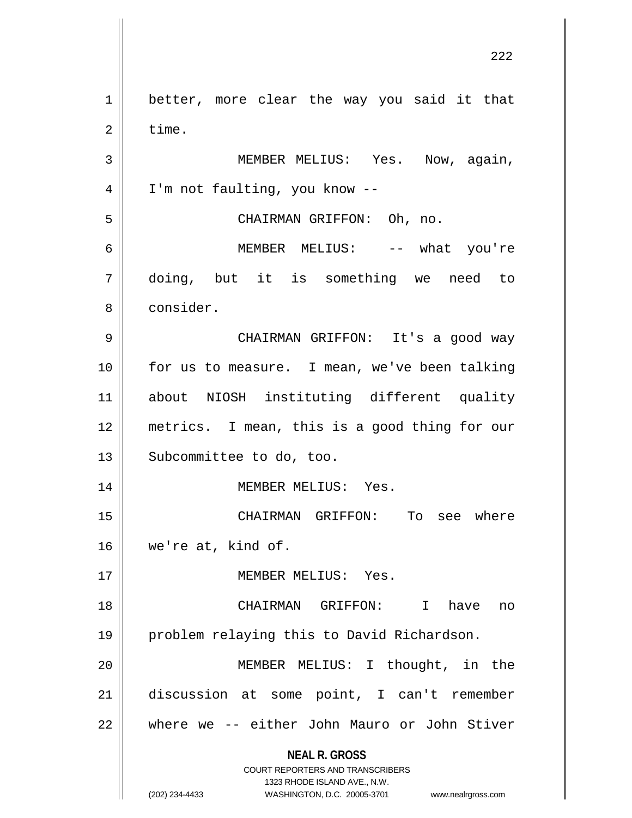**NEAL R. GROSS** COURT REPORTERS AND TRANSCRIBERS 1323 RHODE ISLAND AVE., N.W. (202) 234-4433 WASHINGTON, D.C. 20005-3701 www.nealrgross.com better, more clear the way you said it that  $2 \parallel$  time. 3 | MEMBER MELIUS: Yes. Now, again, 4 | I'm not faulting, you know -- CHAIRMAN GRIFFON: Oh, no. MEMBER MELIUS: -- what you're doing, but it is something we need to 8 l consider. CHAIRMAN GRIFFON: It's a good way for us to measure. I mean, we've been talking about NIOSH instituting different quality metrics. I mean, this is a good thing for our 13 | Subcommittee to do, too. 14 || MEMBER MELIUS: Yes. CHAIRMAN GRIFFON: To see where we're at, kind of. MEMBER MELIUS: Yes. CHAIRMAN GRIFFON: I have no problem relaying this to David Richardson. MEMBER MELIUS: I thought, in the discussion at some point, I can't remember where we -- either John Mauro or John Stiver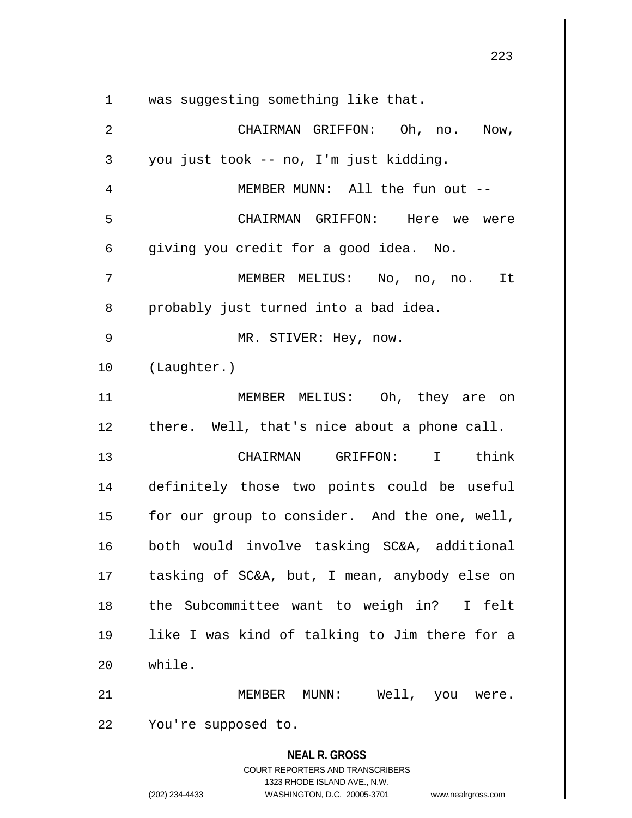**NEAL R. GROSS** COURT REPORTERS AND TRANSCRIBERS 1323 RHODE ISLAND AVE., N.W. (202) 234-4433 WASHINGTON, D.C. 20005-3701 www.nealrgross.com 1 || was suggesting something like that. 2 CHAIRMAN GRIFFON: Oh, no. Now,  $3 \parallel$  you just took -- no, I'm just kidding. 4 || MEMBER MUNN: All the fun out --5 CHAIRMAN GRIFFON: Here we were  $6 \parallel$  giving you credit for a good idea. No. 7 MEMBER MELIUS: No, no, no. It 8 probably just turned into a bad idea. 9 MR. STIVER: Hey, now. 10 (Laughter.) 11 || MEMBER MELIUS: Oh, they are on  $12$  | there. Well, that's nice about a phone call. 13 CHAIRMAN GRIFFON: I think 14 definitely those two points could be useful 15 | for our group to consider. And the one, well, 16 both would involve tasking SC&A, additional 17 tasking of SC&A, but, I mean, anybody else on 18 || the Subcommittee want to weigh in? I felt 19 like I was kind of talking to Jim there for a 20 while. 21 MEMBER MUNN: Well, you were. 22 You're supposed to.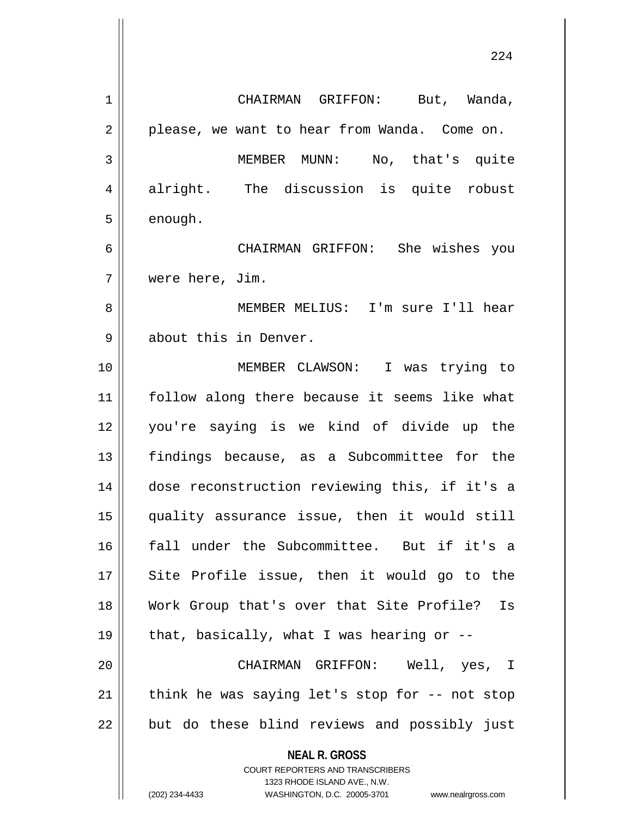**NEAL R. GROSS** COURT REPORTERS AND TRANSCRIBERS CHAIRMAN GRIFFON: But, Wanda,  $2 \parallel$  please, we want to hear from Wanda. Come on. 3 || MEMBER MUNN: No, that's quite 4 alright. The discussion is quite robust  $5 \parallel$  enough. CHAIRMAN GRIFFON: She wishes you were here, Jim. MEMBER MELIUS: I'm sure I'll hear 9 || about this in Denver. MEMBER CLAWSON: I was trying to follow along there because it seems like what you're saying is we kind of divide up the findings because, as a Subcommittee for the dose reconstruction reviewing this, if it's a quality assurance issue, then it would still fall under the Subcommittee. But if it's a 17 || Site Profile issue, then it would go to the Work Group that's over that Site Profile? Is  $\parallel$  that, basically, what I was hearing or -- CHAIRMAN GRIFFON: Well, yes, I | think he was saying let's stop for  $-$  not stop || but do these blind reviews and possibly just

1323 RHODE ISLAND AVE., N.W.

(202) 234-4433 WASHINGTON, D.C. 20005-3701 www.nealrgross.com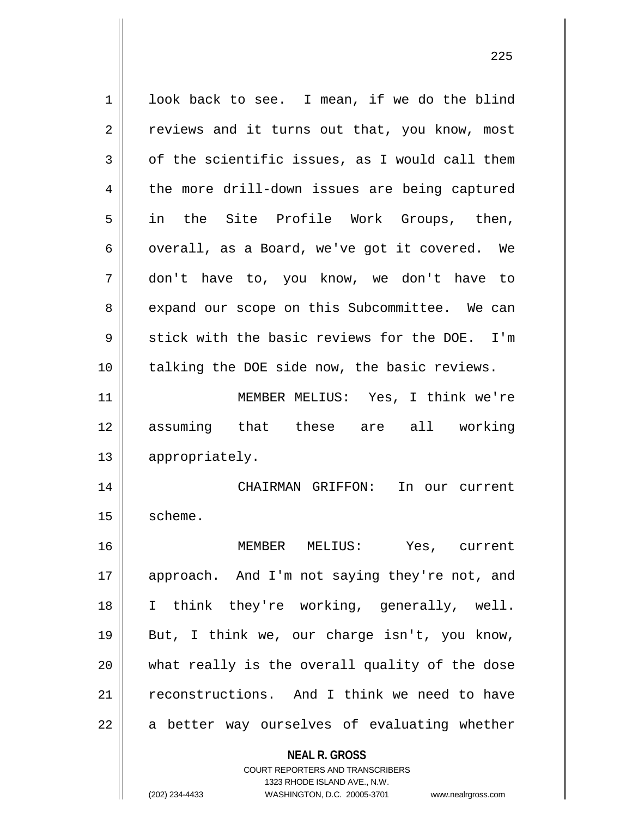| $\mathbf 1$ | look back to see. I mean, if we do the blind                                  |
|-------------|-------------------------------------------------------------------------------|
| 2           | reviews and it turns out that, you know, most                                 |
| 3           | of the scientific issues, as I would call them                                |
| 4           | the more drill-down issues are being captured                                 |
| 5           | in the Site Profile Work Groups, then,                                        |
| 6           | overall, as a Board, we've got it covered. We                                 |
| 7           | don't have to, you know, we don't have to                                     |
| 8           | expand our scope on this Subcommittee. We can                                 |
| 9           | stick with the basic reviews for the DOE. I'm                                 |
| 10          | talking the DOE side now, the basic reviews.                                  |
| 11          | MEMBER MELIUS: Yes, I think we're                                             |
| 12          | assuming that these are all working                                           |
| 13          | appropriately.                                                                |
| 14          | CHAIRMAN GRIFFON:<br>In our current                                           |
| 15          | scheme.                                                                       |
| 16          | MEMBER MELIUS:<br>Yes, current                                                |
| 17          | approach. And I'm not saying they're not, and                                 |
| 18          | I think they're working, generally, well.                                     |
| 19          | But, I think we, our charge isn't, you know,                                  |
| 20          | what really is the overall quality of the dose                                |
| 21          | reconstructions. And I think we need to have                                  |
| 22          | a better way ourselves of evaluating whether                                  |
|             |                                                                               |
|             | <b>NEAL R. GROSS</b>                                                          |
|             | <b>COURT REPORTERS AND TRANSCRIBERS</b>                                       |
|             | 1323 RHODE ISLAND AVE., N.W.<br>(202) 234-4433<br>WASHINGTON, D.C. 20005-3701 |
|             | www.nealrgross.com                                                            |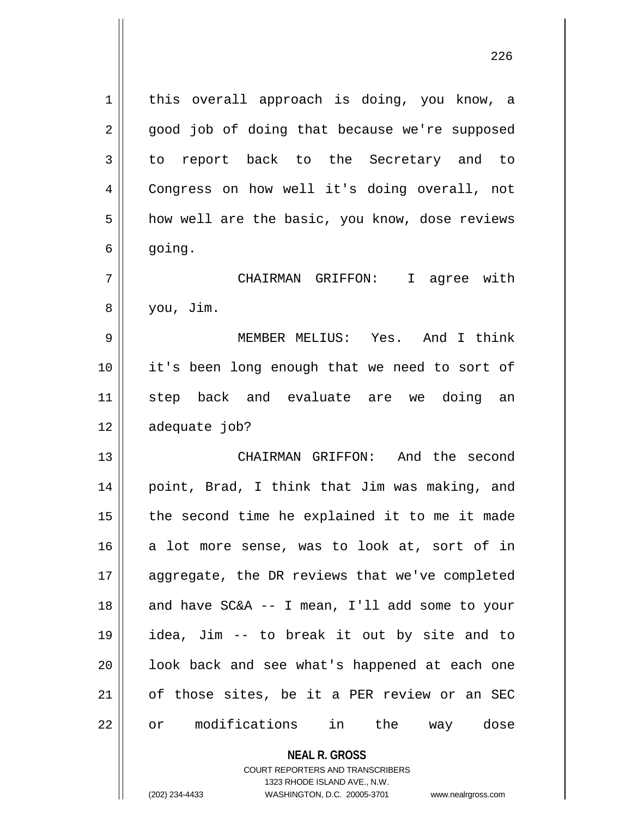**NEAL R. GROSS** COURT REPORTERS AND TRANSCRIBERS 1 || this overall approach is doing, you know, a 2 || good job of doing that because we're supposed 3 to report back to the Secretary and to 4 Congress on how well it's doing overall, not 5 | how well are the basic, you know, dose reviews  $6 \parallel$  going. 7 CHAIRMAN GRIFFON: I agree with 8 you, Jim. 9 MEMBER MELIUS: Yes. And I think 10 it's been long enough that we need to sort of 11 step back and evaluate are we doing an 12 adequate job? 13 CHAIRMAN GRIFFON: And the second 14 || point, Brad, I think that Jim was making, and  $15$  | the second time he explained it to me it made  $16$  a lot more sense, was to look at, sort of in 17 || aggregate, the DR reviews that we've completed  $18$  || and have SC&A -- I mean, I'll add some to your 19 idea, Jim -- to break it out by site and to  $20$  || look back and see what's happened at each one 21 of those sites, be it a PER review or an SEC 22 or modifications in the way dose

1323 RHODE ISLAND AVE., N.W.

(202) 234-4433 WASHINGTON, D.C. 20005-3701 www.nealrgross.com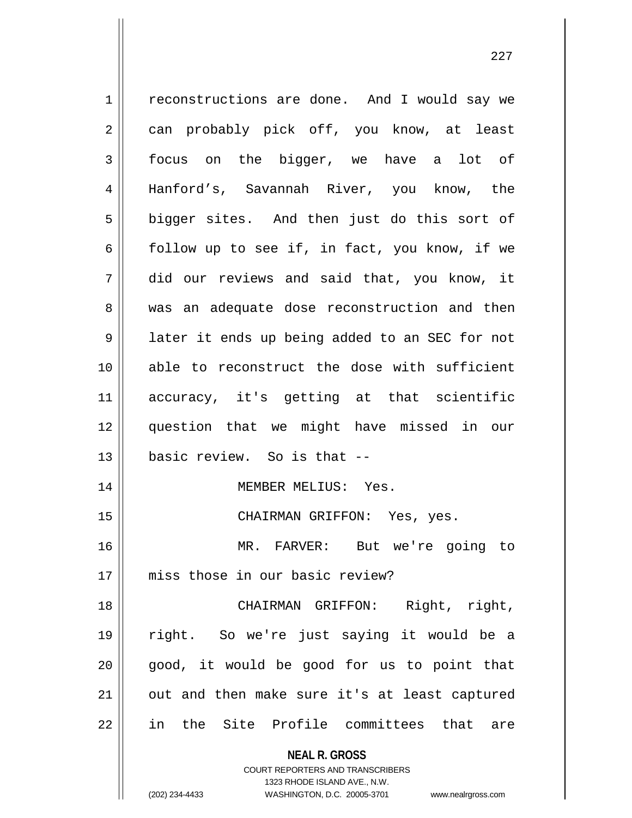**NEAL R. GROSS** COURT REPORTERS AND TRANSCRIBERS 1 | reconstructions are done. And I would say we 2 can probably pick off, you know, at least 3 focus on the bigger, we have a lot of 4 Hanford's, Savannah River, you know, the 5 | bigger sites. And then just do this sort of 6  $\parallel$  follow up to see if, in fact, you know, if we 7 did our reviews and said that, you know, it 8 || was an adequate dose reconstruction and then 9 | later it ends up being added to an SEC for not 10 able to reconstruct the dose with sufficient 11 accuracy, it's getting at that scientific 12 question that we might have missed in our 13 basic review. So is that -- 14 || MEMBER MELIUS: Yes. 15 || CHAIRMAN GRIFFON: Yes, yes. 16 MR. FARVER: But we're going to 17 || miss those in our basic review? 18 CHAIRMAN GRIFFON: Right, right, 19 right. So we're just saying it would be a  $20$  || good, it would be good for us to point that  $21$  | out and then make sure it's at least captured 22 in the Site Profile committees that are

1323 RHODE ISLAND AVE., N.W. (202) 234-4433 WASHINGTON, D.C. 20005-3701 www.nealrgross.com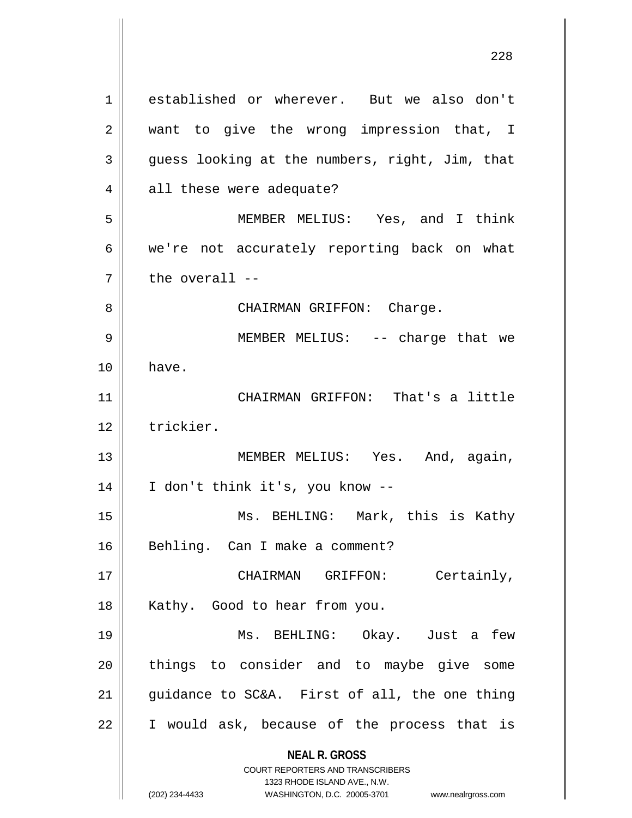**NEAL R. GROSS** COURT REPORTERS AND TRANSCRIBERS 1323 RHODE ISLAND AVE., N.W. (202) 234-4433 WASHINGTON, D.C. 20005-3701 www.nealrgross.com 1 established or wherever. But we also don't 2 || want to give the wrong impression that, I  $3 \parallel$  guess looking at the numbers, right, Jim, that 4 || all these were adequate? 5 MEMBER MELIUS: Yes, and I think  $6 \parallel$  we're not accurately reporting back on what  $7$   $\parallel$  the overall --8 CHAIRMAN GRIFFON: Charge. 9 MEMBER MELIUS: -- charge that we 10 have. 11 CHAIRMAN GRIFFON: That's a little 12 ll trickier. 13 MEMBER MELIUS: Yes. And, again, 14 I don't think it's, you know -- 15 Ms. BEHLING: Mark, this is Kathy 16 || Behling. Can I make a comment? 17 || CHAIRMAN GRIFFON: Certainly, 18 || Kathy. Good to hear from you. 19 Ms. BEHLING: Okay. Just a few 20 || things to consider and to maybe give some 21  $\parallel$  guidance to SC&A. First of all, the one thing  $22$  || I would ask, because of the process that is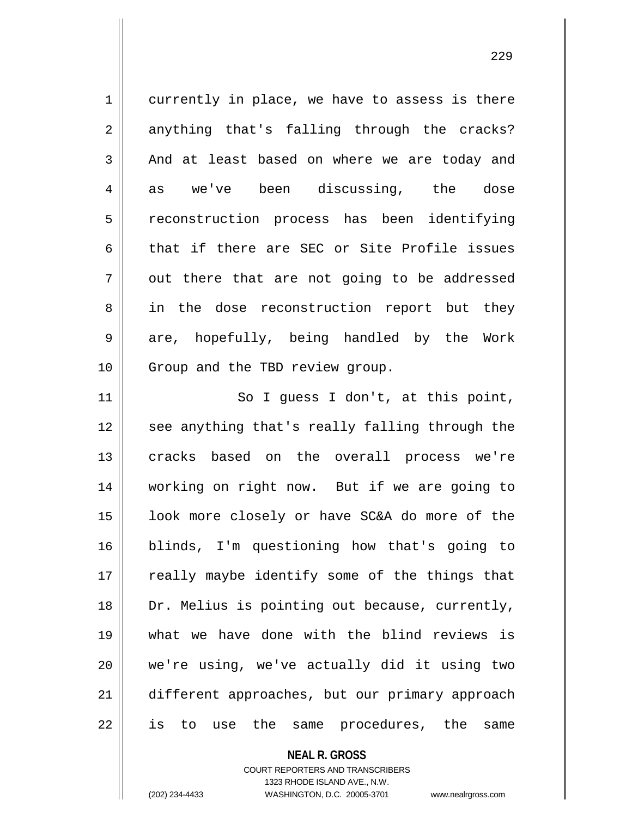$1$  currently in place, we have to assess is there  $2 \parallel$  anything that's falling through the cracks?  $3 \parallel$  And at least based on where we are today and 4 as we've been discussing, the dose 5 || reconstruction process has been identifying  $6 \parallel$  that if there are SEC or Site Profile issues  $7 \parallel$  out there that are not going to be addressed 8 in the dose reconstruction report but they  $9 \parallel$  are, hopefully, being handled by the Work 10 || Group and the TBD review group. 11 || So I guess I don't, at this point, 12 || see anything that's really falling through the 13 || cracks based on the overall process we're 14 working on right now. But if we are going to 15 look more closely or have SC&A do more of the 16 blinds, I'm questioning how that's going to 17 || really maybe identify some of the things that 18 || Dr. Melius is pointing out because, currently, 19 what we have done with the blind reviews is 20 we're using, we've actually did it using two 21 | different approaches, but our primary approach 22 is to use the same procedures, the same

> COURT REPORTERS AND TRANSCRIBERS 1323 RHODE ISLAND AVE., N.W.

**NEAL R. GROSS**

(202) 234-4433 WASHINGTON, D.C. 20005-3701 www.nealrgross.com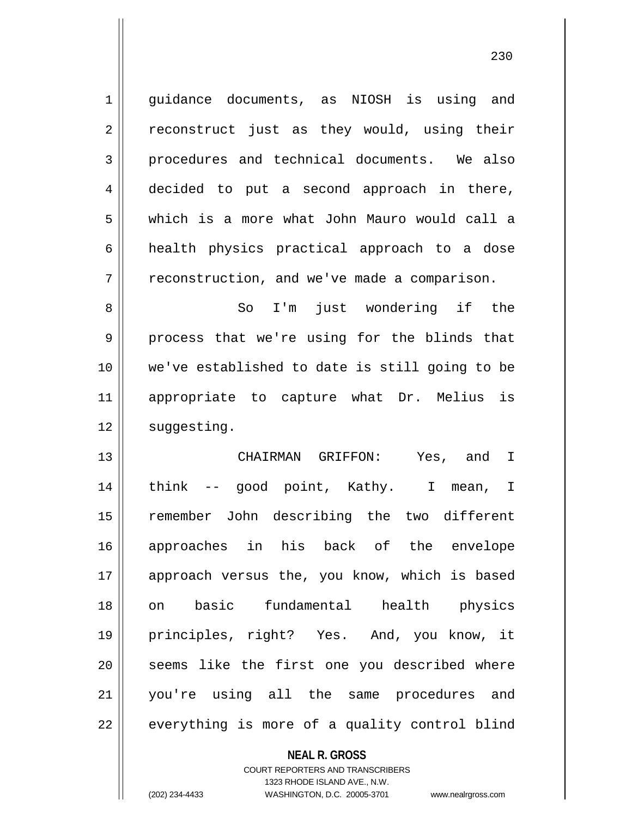1 || quidance documents, as NIOSH is using and  $2 \parallel$  reconstruct just as they would, using their 3 procedures and technical documents. We also 4 decided to put a second approach in there, 5 which is a more what John Mauro would call a 6 | health physics practical approach to a dose  $7 \parallel$  reconstruction, and we've made a comparison. 8 So I'm just wondering if the 9 || process that we're using for the blinds that 10 we've established to date is still going to be

11 appropriate to capture what Dr. Melius is

12 | suggesting.

 CHAIRMAN GRIFFON: Yes, and I 14 || think -- good point, Kathy. I mean, I remember John describing the two different approaches in his back of the envelope 17 || approach versus the, you know, which is based on basic fundamental health physics principles, right? Yes. And, you know, it 20 || seems like the first one you described where you're using all the same procedures and | everything is more of a quality control blind

> **NEAL R. GROSS** COURT REPORTERS AND TRANSCRIBERS 1323 RHODE ISLAND AVE., N.W. (202) 234-4433 WASHINGTON, D.C. 20005-3701 www.nealrgross.com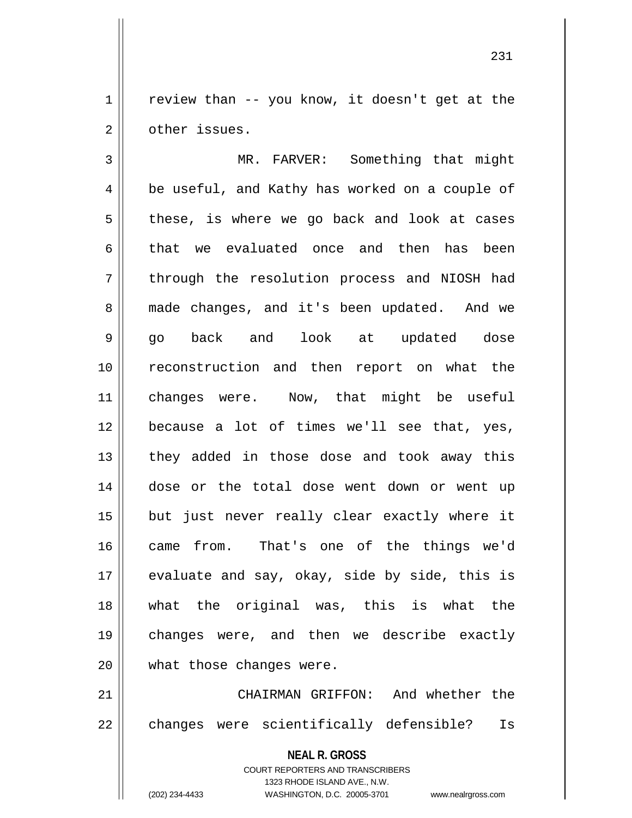$1 \parallel$  review than -- you know, it doesn't get at the 2 | other issues.

3 MR. FARVER: Something that might 4 || be useful, and Kathy has worked on a couple of  $5 \parallel$  these, is where we go back and look at cases 6 that we evaluated once and then has been 7 || through the resolution process and NIOSH had 8 || made changes, and it's been updated. And we 9 || go back and look at updated dose 10 reconstruction and then report on what the 11 || changes were. Now, that might be useful 12 because a lot of times we'll see that, yes,  $13$  || they added in those dose and took away this 14 dose or the total dose went down or went up 15 || but just never really clear exactly where it 16 came from. That's one of the things we'd  $17$  evaluate and say, okay, side by side, this is 18 what the original was, this is what the 19 changes were, and then we describe exactly 20 || what those changes were.

21 CHAIRMAN GRIFFON: And whether the 22 || changes were scientifically defensible? Is

> **NEAL R. GROSS** COURT REPORTERS AND TRANSCRIBERS

> > 1323 RHODE ISLAND AVE., N.W.

(202) 234-4433 WASHINGTON, D.C. 20005-3701 www.nealrgross.com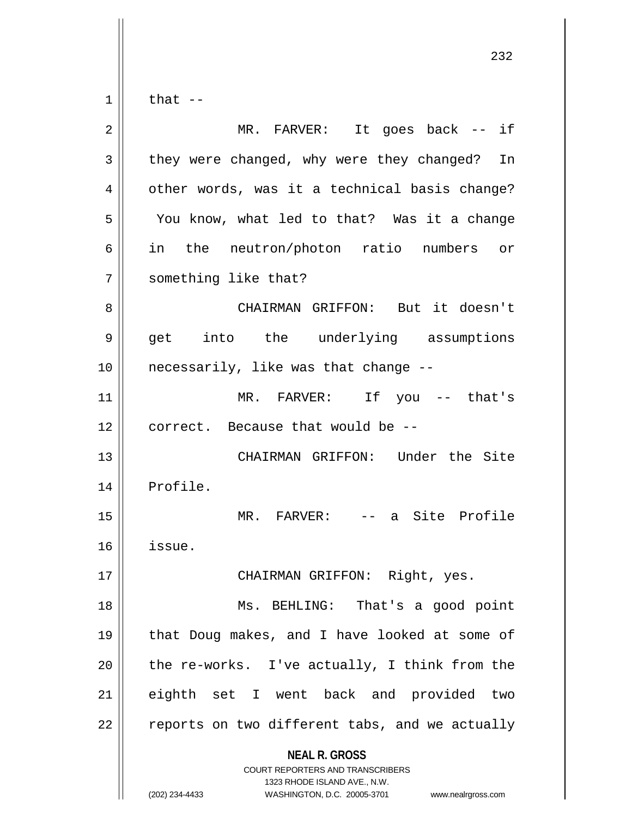$1 \parallel$  that --

| $\overline{2}$ | MR. FARVER: It goes back -- if                                                                                                                                         |
|----------------|------------------------------------------------------------------------------------------------------------------------------------------------------------------------|
| 3              | they were changed, why were they changed? In                                                                                                                           |
| $\overline{4}$ | other words, was it a technical basis change?                                                                                                                          |
| 5              | You know, what led to that? Was it a change                                                                                                                            |
| 6              | in the neutron/photon ratio numbers or                                                                                                                                 |
| 7              | something like that?                                                                                                                                                   |
| 8              | CHAIRMAN GRIFFON: But it doesn't                                                                                                                                       |
| 9              | get into the underlying assumptions                                                                                                                                    |
| 10             | necessarily, like was that change --                                                                                                                                   |
| 11             | MR. FARVER: If you -- that's                                                                                                                                           |
| 12             | correct. Because that would be --                                                                                                                                      |
| 13             | CHAIRMAN GRIFFON: Under the Site                                                                                                                                       |
| 14             | Profile.                                                                                                                                                               |
| 15             | MR. FARVER: -- a Site Profile                                                                                                                                          |
| 16             | issue.                                                                                                                                                                 |
| 17             | CHAIRMAN GRIFFON: Right, yes.                                                                                                                                          |
| 18             | Ms. BEHLING: That's a good point                                                                                                                                       |
| 19             | that Doug makes, and I have looked at some of                                                                                                                          |
| 20             | the re-works. I've actually, I think from the                                                                                                                          |
| 21             | eighth set I went back and provided two                                                                                                                                |
| 22             | reports on two different tabs, and we actually                                                                                                                         |
|                | <b>NEAL R. GROSS</b><br><b>COURT REPORTERS AND TRANSCRIBERS</b><br>1323 RHODE ISLAND AVE., N.W.<br>WASHINGTON, D.C. 20005-3701<br>(202) 234-4433<br>www.nealrgross.com |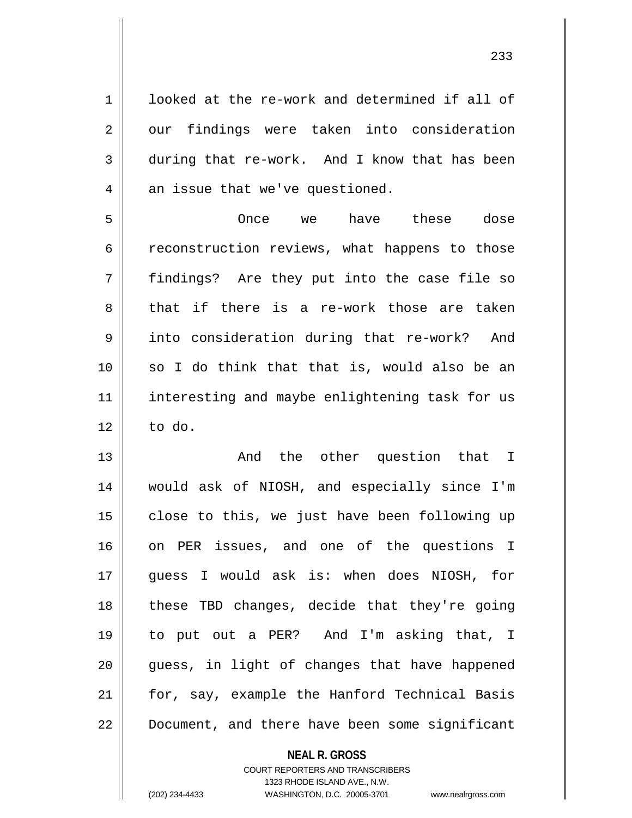1 | looked at the re-work and determined if all of 2 | our findings were taken into consideration 3 during that re-work. And I know that has been  $4 \parallel$  an issue that we've questioned.

5 Once we have these dose 6 ceconstruction reviews, what happens to those 7 findings? Are they put into the case file so 8 that if there is a re-work those are taken 9 || into consideration during that re-work? And 10 so I do think that that is, would also be an 11 || interesting and maybe enlightening task for us  $12 \parallel$  to do.

 And the other question that I would ask of NIOSH, and especially since I'm close to this, we just have been following up 16 on PER issues, and one of the questions I guess I would ask is: when does NIOSH, for these TBD changes, decide that they're going to put out a PER? And I'm asking that, I || quess, in light of changes that have happened 21 || for, say, example the Hanford Technical Basis 22 | Document, and there have been some significant

## **NEAL R. GROSS**

COURT REPORTERS AND TRANSCRIBERS 1323 RHODE ISLAND AVE., N.W. (202) 234-4433 WASHINGTON, D.C. 20005-3701 www.nealrgross.com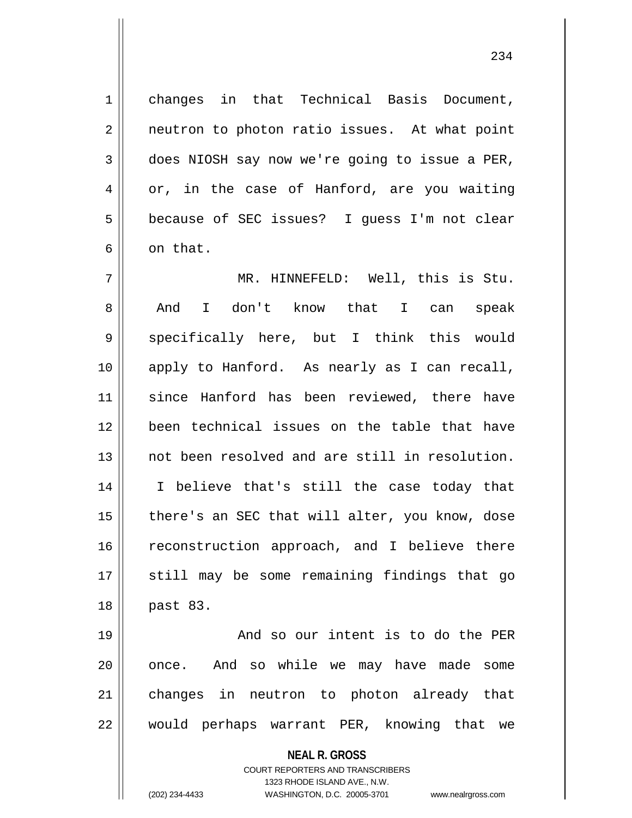1 changes in that Technical Basis Document, 2 | neutron to photon ratio issues. At what point 3 does NIOSH say now we're going to issue a PER,  $4 \parallel \quad$  or, in the case of Hanford, are you waiting 5 | because of SEC issues? I guess I'm not clear  $6 \parallel$  on that.

7 || MR. HINNEFELD: Well, this is Stu. 8 And I don't know that I can speak 9 || specifically here, but I think this would 10 apply to Hanford. As nearly as I can recall, 11 since Hanford has been reviewed, there have 12 been technical issues on the table that have 13 not been resolved and are still in resolution. 14 I believe that's still the case today that 15 || there's an SEC that will alter, you know, dose 16 || reconstruction approach, and I believe there 17 || still may be some remaining findings that go 18 past 83.

19 || And so our intent is to do the PER 20 || once. And so while we may have made some 21 || changes in neutron to photon already that 22 would perhaps warrant PER, knowing that we

**NEAL R. GROSS**

COURT REPORTERS AND TRANSCRIBERS 1323 RHODE ISLAND AVE., N.W. (202) 234-4433 WASHINGTON, D.C. 20005-3701 www.nealrgross.com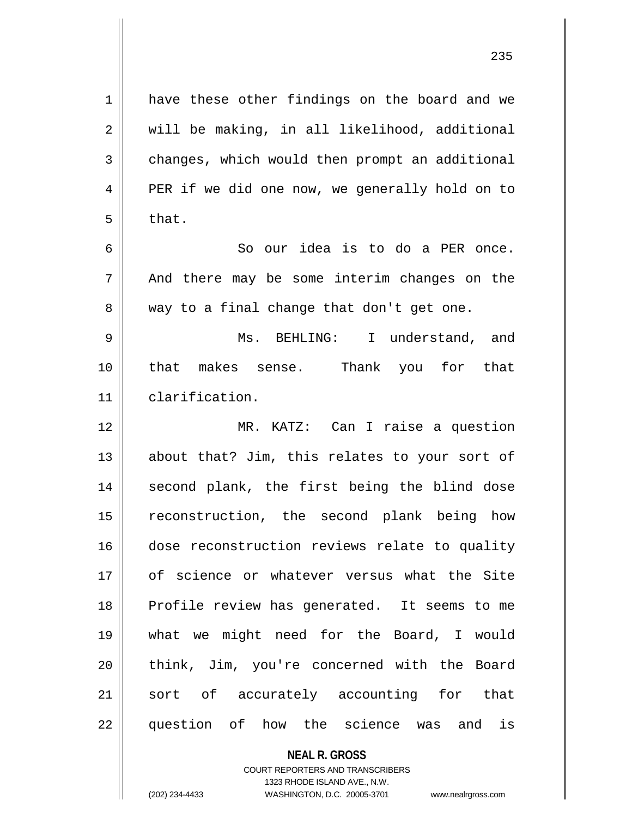| $\mathbf 1$ | have these other findings on the board and we  |
|-------------|------------------------------------------------|
| 2           | will be making, in all likelihood, additional  |
| 3           | changes, which would then prompt an additional |
| 4           | PER if we did one now, we generally hold on to |
| 5           | that.                                          |
| 6           | So our idea is to do a PER once.               |
| 7           | And there may be some interim changes on the   |
| 8           | way to a final change that don't get one.      |
| $\mathsf 9$ | Ms. BEHLING: I understand, and                 |
| 10          | that makes sense. Thank you for that           |
| 11          | clarification.                                 |
| 12          | MR. KATZ: Can I raise a question               |
| 13          | about that? Jim, this relates to your sort of  |
| 14          | second plank, the first being the blind dose   |
| 15          | reconstruction, the second plank being how     |
| 16          | dose reconstruction reviews relate to quality  |
| 17          | of science or whatever versus what the Site    |
| 18          | Profile review has generated. It seems to me   |
| 19          | what we might need for the Board, I would      |
| 20          | think, Jim, you're concerned with the Board    |
| 21          | sort of accurately accounting for that         |
| 22          | question of how the science was and is         |

**NEAL R. GROSS** COURT REPORTERS AND TRANSCRIBERS

1323 RHODE ISLAND AVE., N.W.

 $\mathbf{I}$ 

(202) 234-4433 WASHINGTON, D.C. 20005-3701 www.nealrgross.com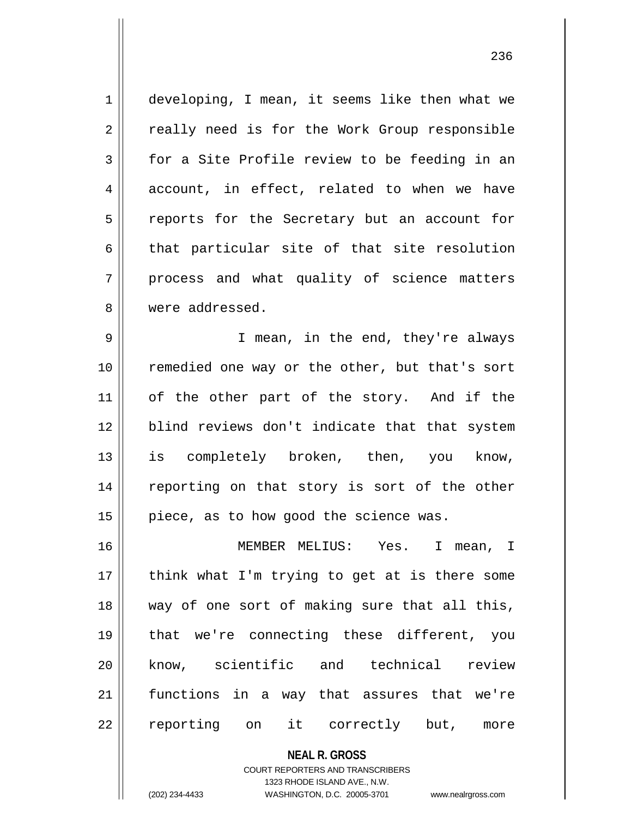1 developing, I mean, it seems like then what we 2 || really need is for the Work Group responsible  $3 \parallel$  for a Site Profile review to be feeding in an  $4 \parallel$  account, in effect, related to when we have 5 || reports for the Secretary but an account for  $6 \parallel$  that particular site of that site resolution 7 || process and what quality of science matters 8 were addressed.

9 || I mean, in the end, they're always 10 || remedied one way or the other, but that's sort 11 || of the other part of the story. And if the 12 blind reviews don't indicate that that system 13 is completely broken, then, you know, 14 || reporting on that story is sort of the other  $15$  | piece, as to how good the science was.

 MEMBER MELIUS: Yes. I mean, I || think what I'm trying to get at is there some way of one sort of making sure that all this, that we're connecting these different, you know, scientific and technical review functions in a way that assures that we're 22 || reporting on it correctly but, more

> **NEAL R. GROSS** COURT REPORTERS AND TRANSCRIBERS 1323 RHODE ISLAND AVE., N.W.

(202) 234-4433 WASHINGTON, D.C. 20005-3701 www.nealrgross.com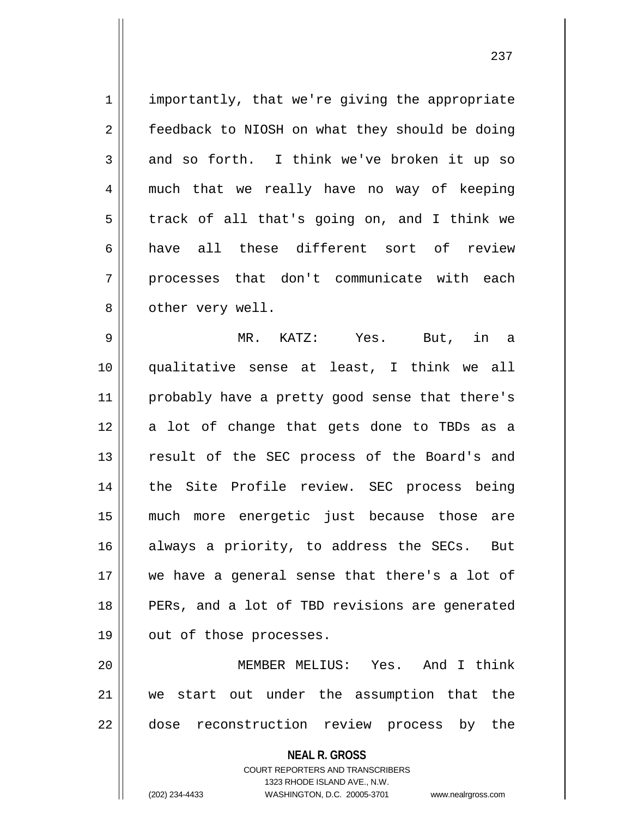1 | importantly, that we're giving the appropriate 2 | feedback to NIOSH on what they should be doing  $3 \parallel$  and so forth. I think we've broken it up so 4 || much that we really have no way of keeping  $5 \parallel$  track of all that's going on, and I think we 6 have all these different sort of review 7 || processes that don't communicate with each 8 || other very well.

9 MR. KATZ: Yes. But, in a 10 qualitative sense at least, I think we all 11 || probably have a pretty good sense that there's  $12$  a lot of change that gets done to TBDs as a 13 || result of the SEC process of the Board's and 14 || the Site Profile review. SEC process being 15 much more energetic just because those are 16 always a priority, to address the SECs. But 17 || we have a general sense that there's a lot of 18 || PERs, and a lot of TBD revisions are generated 19 || out of those processes.

20 MEMBER MELIUS: Yes. And I think 21 we start out under the assumption that the 22 || dose reconstruction review process by the

**NEAL R. GROSS**

COURT REPORTERS AND TRANSCRIBERS 1323 RHODE ISLAND AVE., N.W. (202) 234-4433 WASHINGTON, D.C. 20005-3701 www.nealrgross.com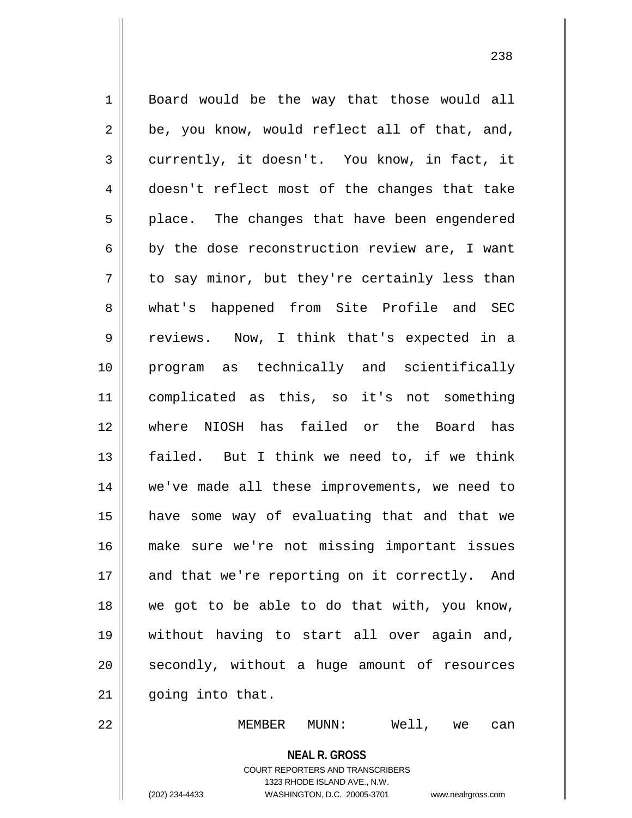1 | Board would be the way that those would all  $2 \parallel$  be, you know, would reflect all of that, and, 3 currently, it doesn't. You know, in fact, it 4 doesn't reflect most of the changes that take  $5 \parallel$  place. The changes that have been engendered  $6 \parallel$  by the dose reconstruction review are, I want  $7 \parallel$  to say minor, but they're certainly less than 8 what's happened from Site Profile and SEC 9 || reviews. Now, I think that's expected in a 10 program as technically and scientifically 11 complicated as this, so it's not something 12 where NIOSH has failed or the Board has 13 failed. But I think we need to, if we think 14 we've made all these improvements, we need to 15 have some way of evaluating that and that we 16 make sure we're not missing important issues 17 || and that we're reporting on it correctly. And 18 we got to be able to do that with, you know, 19 without having to start all over again and, 20 || secondly, without a huge amount of resources 21 || going into that.

22 || MEMBER MUNN: Well, we can

**NEAL R. GROSS** COURT REPORTERS AND TRANSCRIBERS

1323 RHODE ISLAND AVE., N.W.

(202) 234-4433 WASHINGTON, D.C. 20005-3701 www.nealrgross.com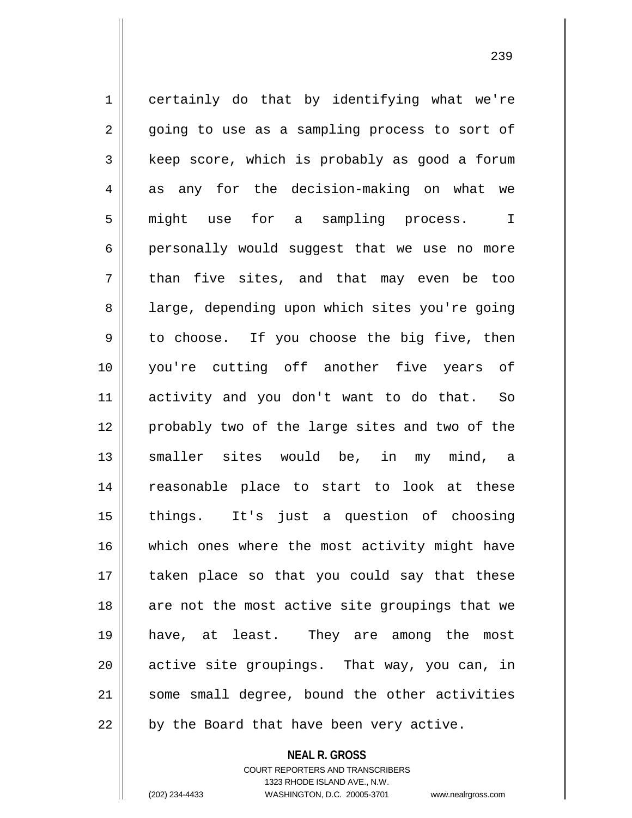1 certainly do that by identifying what we're  $2 \parallel$  going to use as a sampling process to sort of  $3 \parallel$  keep score, which is probably as good a forum 4 as any for the decision-making on what we 5 || might use for a sampling process. I 6 | personally would suggest that we use no more  $7 \parallel$  than five sites, and that may even be too 8 || large, depending upon which sites you're going  $9 \parallel$  to choose. If you choose the big five, then 10 you're cutting off another five years of 11 activity and you don't want to do that. So 12 || probably two of the large sites and two of the 13 || smaller sites would be, in my mind, a 14 || reasonable place to start to look at these 15 things. It's just a question of choosing 16 which ones where the most activity might have 17 taken place so that you could say that these 18 || are not the most active site groupings that we 19 have, at least. They are among the most  $20$  active site groupings. That way, you can, in 21 || some small degree, bound the other activities  $22$  || by the Board that have been very active.

> **NEAL R. GROSS** COURT REPORTERS AND TRANSCRIBERS

1323 RHODE ISLAND AVE., N.W. (202) 234-4433 WASHINGTON, D.C. 20005-3701 www.nealrgross.com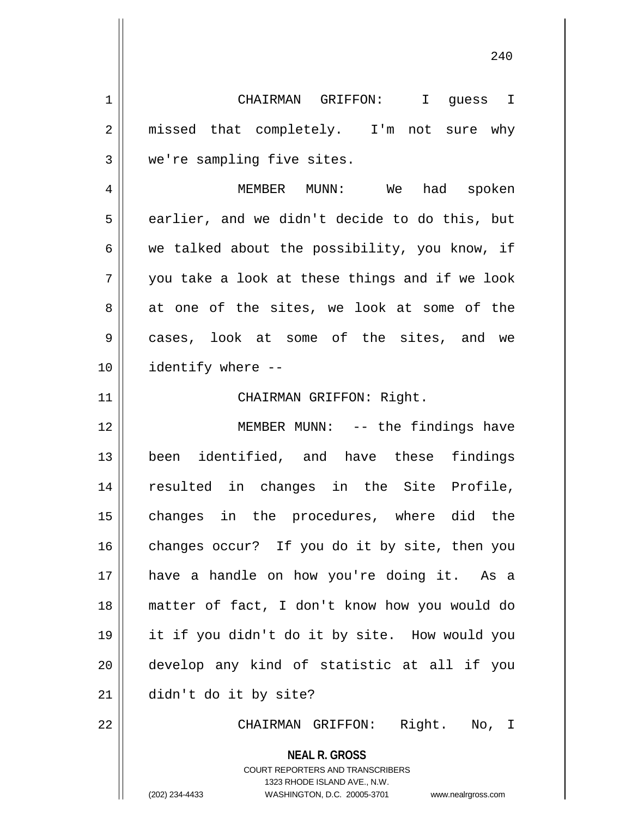| $\mathbf{1}$   | CHAIRMAN GRIFFON: I guess I                                                                                                                                            |
|----------------|------------------------------------------------------------------------------------------------------------------------------------------------------------------------|
| $\overline{2}$ | missed that completely. I'm not sure why                                                                                                                               |
| 3              | we're sampling five sites.                                                                                                                                             |
| $\overline{4}$ | MEMBER MUNN: We had spoken                                                                                                                                             |
| 5              | earlier, and we didn't decide to do this, but                                                                                                                          |
| 6              | we talked about the possibility, you know, if                                                                                                                          |
| 7              | you take a look at these things and if we look                                                                                                                         |
| 8              | at one of the sites, we look at some of the                                                                                                                            |
| 9              | cases, look at some of the sites, and we                                                                                                                               |
| 10             | identify where --                                                                                                                                                      |
| 11             | CHAIRMAN GRIFFON: Right.                                                                                                                                               |
| 12             | MEMBER MUNN: -- the findings have                                                                                                                                      |
| 13             | been identified, and have these findings                                                                                                                               |
| 14             | resulted in changes in the Site Profile,                                                                                                                               |
| 15             | changes in the procedures, where did the                                                                                                                               |
| 16             | changes occur? If you do it by site, then you                                                                                                                          |
| 17             | have a handle on how you're doing it. As a                                                                                                                             |
| 18             | matter of fact, I don't know how you would do                                                                                                                          |
| 19             | it if you didn't do it by site. How would you                                                                                                                          |
| 20             | develop any kind of statistic at all if you                                                                                                                            |
| 21             | didn't do it by site?                                                                                                                                                  |
| 22             | CHAIRMAN GRIFFON: Right. No, I                                                                                                                                         |
|                | <b>NEAL R. GROSS</b><br><b>COURT REPORTERS AND TRANSCRIBERS</b><br>1323 RHODE ISLAND AVE., N.W.<br>(202) 234-4433<br>WASHINGTON, D.C. 20005-3701<br>www.nealrgross.com |

<sup>(202) 234-4433</sup> WASHINGTON, D.C. 20005-3701 www.nealrgross.com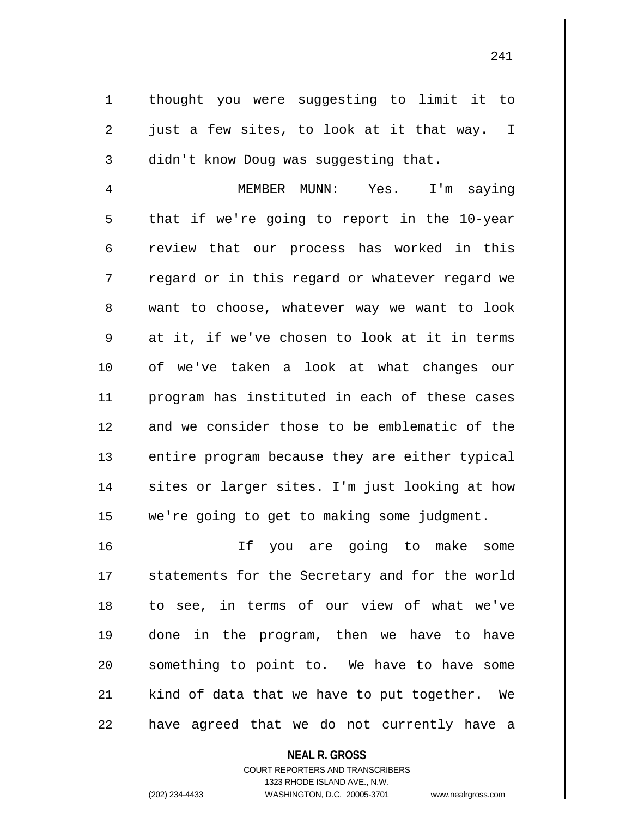1 || thought you were suggesting to limit it to  $2 \parallel$  just a few sites, to look at it that way. I  $3 \parallel$  didn't know Doug was suggesting that.

4 MEMBER MUNN: Yes. I'm saying  $5 \parallel$  that if we're going to report in the 10-year 6 ceview that our process has worked in this  $7 \parallel$  regard or in this regard or whatever regard we 8 want to choose, whatever way we want to look  $9 \parallel$  at it, if we've chosen to look at it in terms 10 of we've taken a look at what changes our 11 || program has instituted in each of these cases 12 and we consider those to be emblematic of the  $13$  || entire program because they are either typical 14 || sites or larger sites. I'm just looking at how 15 we're going to get to making some judgment.

16 If you are going to make some 17 || statements for the Secretary and for the world 18 to see, in terms of our view of what we've 19 done in the program, then we have to have 20 || something to point to. We have to have some 21  $\parallel$  kind of data that we have to put together. We 22 || have agreed that we do not currently have a

> **NEAL R. GROSS** COURT REPORTERS AND TRANSCRIBERS 1323 RHODE ISLAND AVE., N.W. (202) 234-4433 WASHINGTON, D.C. 20005-3701 www.nealrgross.com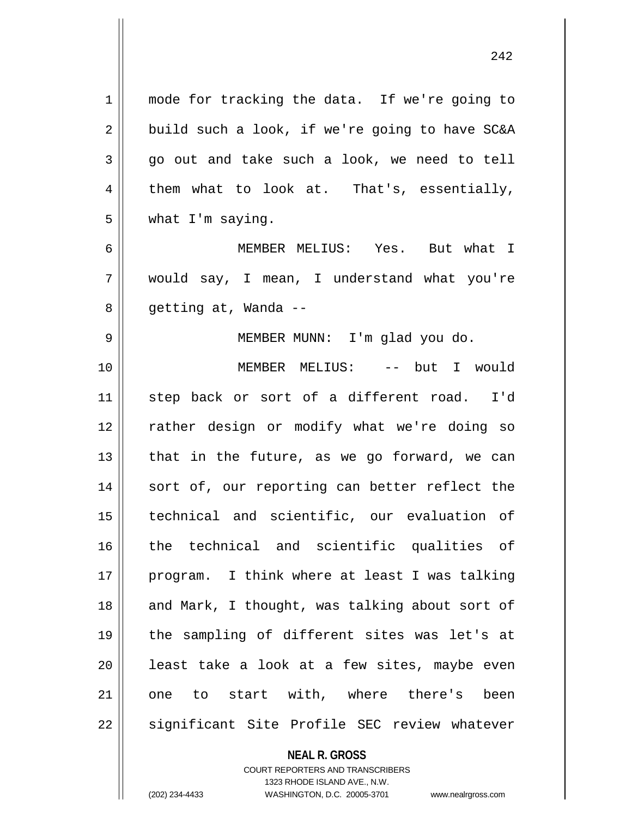1 || mode for tracking the data. If we're going to  $2 \parallel$  build such a look, if we're going to have SC&A  $3 \parallel$  go out and take such a look, we need to tell  $4 \parallel$  them what to look at. That's, essentially, 5 | what I'm saying. 6 MEMBER MELIUS: Yes. But what I 7 would say, I mean, I understand what you're 8 | getting at, Wanda --9 MEMBER MUNN: I'm glad you do. 10 MEMBER MELIUS: -- but I would 11 step back or sort of a different road. I'd 12 || rather design or modify what we're doing so 13  $\parallel$  that in the future, as we go forward, we can 14 || sort of, our reporting can better reflect the 15 technical and scientific, our evaluation of 16 the technical and scientific qualities of 17 || program. I think where at least I was talking 18 || and Mark, I thought, was talking about sort of 19 the sampling of different sites was let's at  $20$  || least take a look at a few sites, maybe even 21 || one to start with, where there's been 22 || significant Site Profile SEC review whatever

**NEAL R. GROSS**

COURT REPORTERS AND TRANSCRIBERS 1323 RHODE ISLAND AVE., N.W. (202) 234-4433 WASHINGTON, D.C. 20005-3701 www.nealrgross.com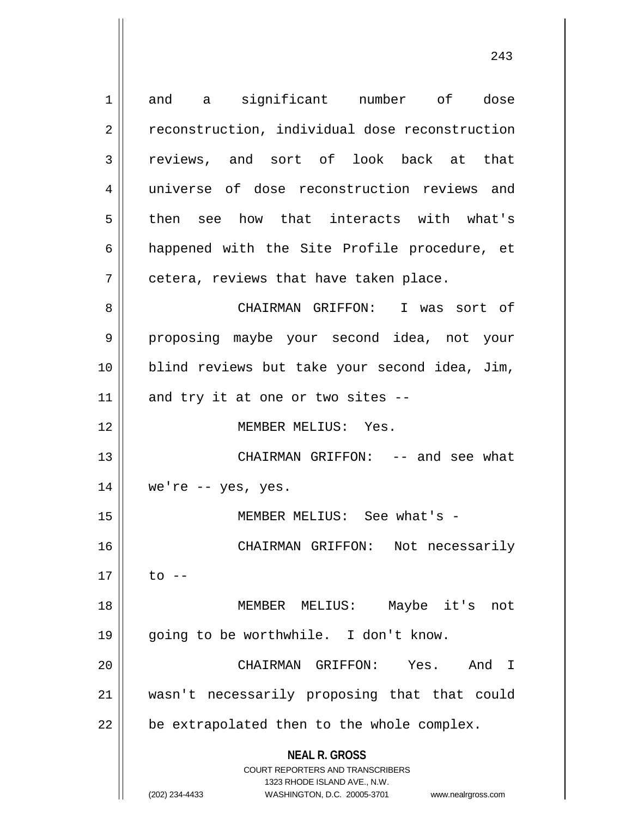**NEAL R. GROSS** COURT REPORTERS AND TRANSCRIBERS 1323 RHODE ISLAND AVE., N.W. (202) 234-4433 WASHINGTON, D.C. 20005-3701 www.nealrgross.com 1 and a significant number of dose 2 | reconstruction, individual dose reconstruction 3 reviews, and sort of look back at that 4 universe of dose reconstruction reviews and  $5 \parallel$  then see how that interacts with what's 6 happened with the Site Profile procedure, et  $7$  | cetera, reviews that have taken place. 8 CHAIRMAN GRIFFON: I was sort of 9 proposing maybe your second idea, not your 10 blind reviews but take your second idea, Jim,  $11$  and try it at one or two sites  $-$ 12 MEMBER MELIUS: Yes. 13 CHAIRMAN GRIFFON: -- and see what  $14 \parallel$  we're -- yes, yes. 15 MEMBER MELIUS: See what's - 16 CHAIRMAN GRIFFON: Not necessarily  $17 \parallel$  to  $-$ 18 MEMBER MELIUS: Maybe it's not 19 || going to be worthwhile. I don't know. 20 CHAIRMAN GRIFFON: Yes. And I 21 wasn't necessarily proposing that that could  $22$  | be extrapolated then to the whole complex.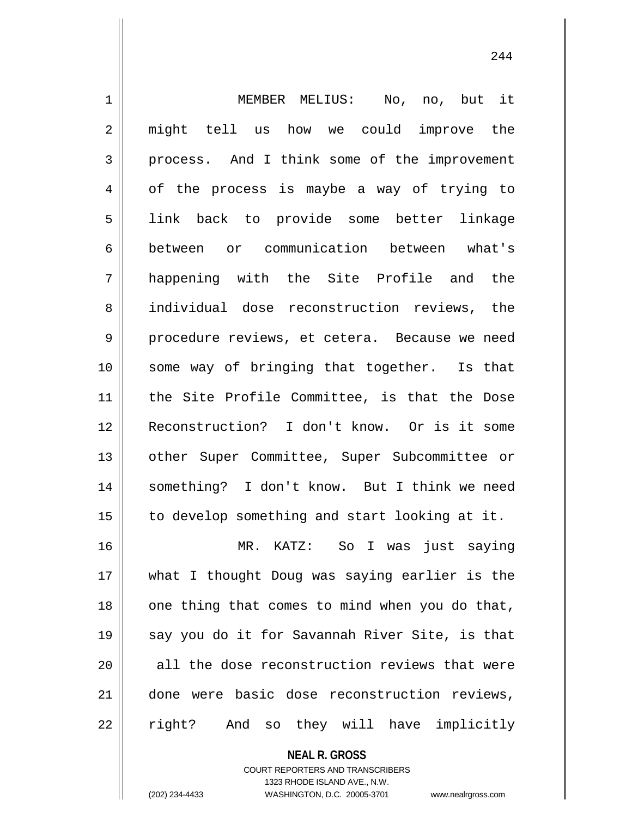| $\mathbf 1$    | no, but it<br>MEMBER MELIUS: No,               |
|----------------|------------------------------------------------|
| $\overline{2}$ | might tell us how we could improve the         |
| 3              | process. And I think some of the improvement   |
| 4              | of the process is maybe a way of trying to     |
| 5              | link back to provide some better linkage       |
| 6              | between or communication between what's        |
| 7              | happening with the Site Profile and the        |
| 8              | individual dose reconstruction reviews, the    |
| $\mathsf 9$    | procedure reviews, et cetera. Because we need  |
| 10             | some way of bringing that together. Is that    |
| 11             | the Site Profile Committee, is that the Dose   |
| 12             | Reconstruction? I don't know. Or is it some    |
| 13             | other Super Committee, Super Subcommittee or   |
| 14             | something? I don't know. But I think we need   |
| 15             | to develop something and start looking at it.  |
| 16             | MR. KATZ: So I was just saying                 |
| 17             | what I thought Doug was saying earlier is the  |
| 18             | one thing that comes to mind when you do that, |
| 19             | say you do it for Savannah River Site, is that |
| 20             | all the dose reconstruction reviews that were  |
| 21             | done were basic dose reconstruction reviews,   |
| 22             | right? And so they will have implicitly        |

**NEAL R. GROSS** COURT REPORTERS AND TRANSCRIBERS

1323 RHODE ISLAND AVE., N.W.

(202) 234-4433 WASHINGTON, D.C. 20005-3701 www.nealrgross.com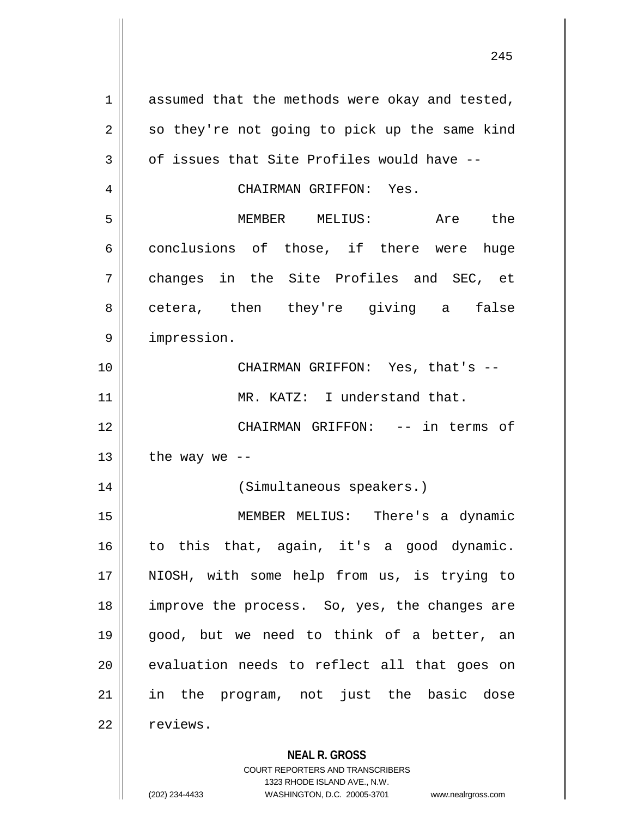| 1  | assumed that the methods were okay and tested,           |
|----|----------------------------------------------------------|
| 2  | so they're not going to pick up the same kind            |
| 3  | of issues that Site Profiles would have --               |
| 4  | CHAIRMAN GRIFFON: Yes.                                   |
| 5  | MEMBER MELIUS: Are the                                   |
| 6  | conclusions of those, if there were huge                 |
| 7  | changes in the Site Profiles and SEC, et                 |
| 8  | cetera, then they're giving a false                      |
| 9  | impression.                                              |
| 10 | CHAIRMAN GRIFFON: Yes, that's --                         |
| 11 | MR. KATZ: I understand that.                             |
| 12 | CHAIRMAN GRIFFON: -- in terms of                         |
| 13 | the way we $-$                                           |
| 14 | (Simultaneous speakers.)                                 |
| 15 | MEMBER MELIUS: There's a dynamic                         |
| 16 | to this that, again, it's a good dynamic.                |
| 17 | NIOSH, with some help from us, is trying to              |
| 18 | improve the process. So, yes, the changes are            |
| 19 | good, but we need to think of a better, an               |
| 20 | evaluation needs to reflect all that goes on             |
| 21 | in the program, not just the basic dose                  |
| 22 | reviews.                                                 |
|    | <b>NEAL R. GROSS</b><br>COURT REPORTERS AND TRANSCRIBERS |

1323 RHODE ISLAND AVE., N.W.

(202) 234-4433 WASHINGTON, D.C. 20005-3701 www.nealrgross.com

 $\mathop{\text{||}}$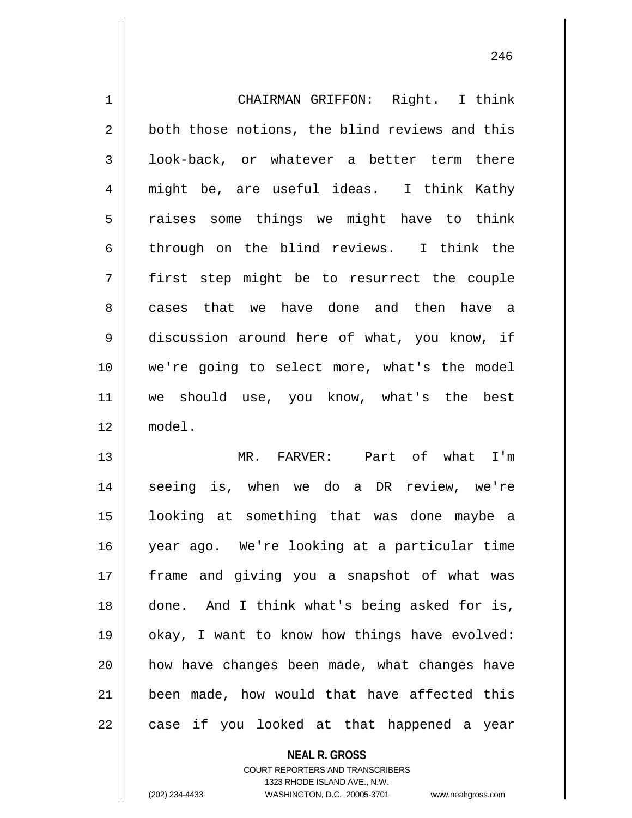1 | CHAIRMAN GRIFFON: Right. I think 2 both those notions, the blind reviews and this 3 | look-back, or whatever a better term there 4 || might be, are useful ideas. I think Kathy  $5 \parallel$  raises some things we might have to think 6 through on the blind reviews. I think the 7 first step might be to resurrect the couple 8 cases that we have done and then have a 9 discussion around here of what, you know, if 10 we're going to select more, what's the model 11 we should use, you know, what's the best 12 model. 13 MR. FARVER: Part of what I'm

14 seeing is, when we do a DR review, we're 15 looking at something that was done maybe a 16 year ago. We're looking at a particular time 17 || frame and giving you a snapshot of what was 18 done. And I think what's being asked for is, 19 || okay, I want to know how things have evolved: 20 || how have changes been made, what changes have 21 been made, how would that have affected this  $22 \parallel$  case if you looked at that happened a year

> **NEAL R. GROSS** COURT REPORTERS AND TRANSCRIBERS 1323 RHODE ISLAND AVE., N.W. (202) 234-4433 WASHINGTON, D.C. 20005-3701 www.nealrgross.com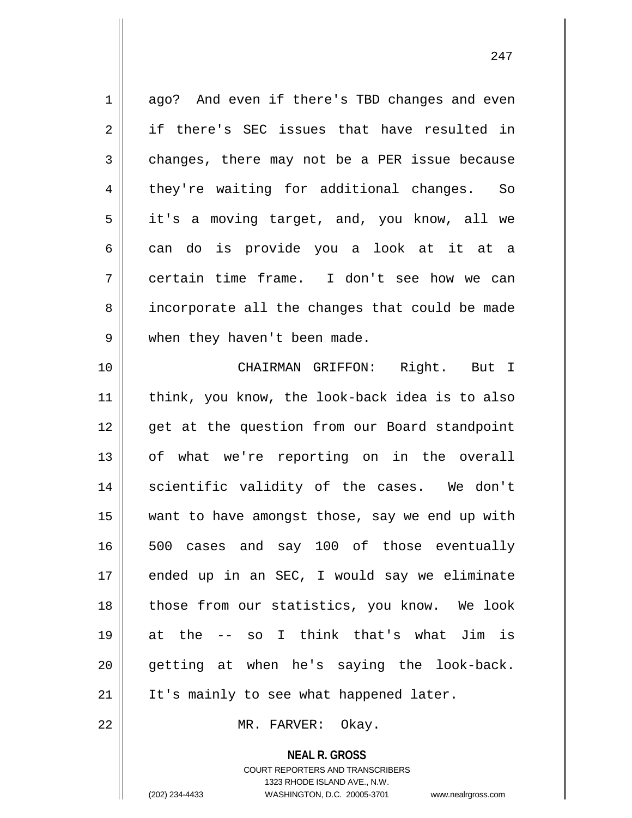1 ago? And even if there's TBD changes and even 2 if there's SEC issues that have resulted in  $3 \parallel$  changes, there may not be a PER issue because 4 || they're waiting for additional changes. So 5 | it's a moving target, and, you know, all we 6 can do is provide you a look at it at a 7 certain time frame. I don't see how we can 8 || incorporate all the changes that could be made 9 || when they haven't been made. 10 CHAIRMAN GRIFFON: Right. But I 11 || think, you know, the look-back idea is to also 12 || qet at the question from our Board standpoint 13 || of what we're reporting on in the overall 14 || scientific validity of the cases. We don't 15 want to have amongst those, say we end up with 16 500 cases and say 100 of those eventually  $17$  ended up in an SEC, I would say we eliminate 18 || those from our statistics, you know. We look 19 at the -- so I think that's what Jim is  $20$  || qetting at when he's saying the look-back.  $21$  | It's mainly to see what happened later.

22 || MR. FARVER: Okay.

**NEAL R. GROSS**

COURT REPORTERS AND TRANSCRIBERS 1323 RHODE ISLAND AVE., N.W. (202) 234-4433 WASHINGTON, D.C. 20005-3701 www.nealrgross.com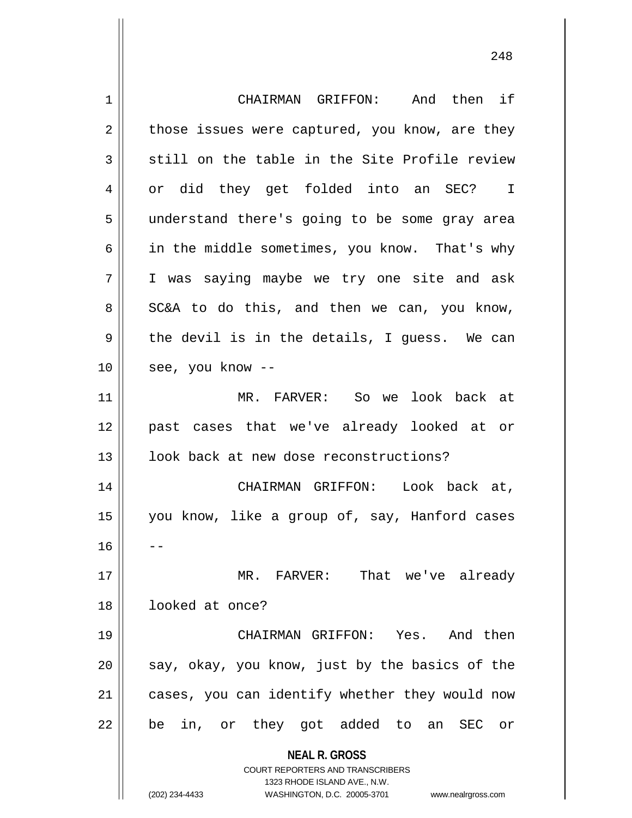| 1  | CHAIRMAN GRIFFON: And then if                                                                                                                                          |
|----|------------------------------------------------------------------------------------------------------------------------------------------------------------------------|
| 2  | those issues were captured, you know, are they                                                                                                                         |
| 3  | still on the table in the Site Profile review                                                                                                                          |
| 4  | or did they get folded into an SEC? I                                                                                                                                  |
| 5  | understand there's going to be some gray area                                                                                                                          |
| 6  | in the middle sometimes, you know. That's why                                                                                                                          |
| 7  | I was saying maybe we try one site and ask                                                                                                                             |
| 8  | SC&A to do this, and then we can, you know,                                                                                                                            |
| 9  | the devil is in the details, I guess. We can                                                                                                                           |
| 10 | see, you know --                                                                                                                                                       |
| 11 | MR. FARVER: So we look back at                                                                                                                                         |
| 12 | past cases that we've already looked at or                                                                                                                             |
| 13 | look back at new dose reconstructions?                                                                                                                                 |
| 14 | CHAIRMAN GRIFFON: Look back at,                                                                                                                                        |
| 15 | you know, like a group of, say, Hanford cases                                                                                                                          |
| 16 |                                                                                                                                                                        |
| 17 | That we've already<br>MR. FARVER:                                                                                                                                      |
| 18 | looked at once?                                                                                                                                                        |
| 19 | CHAIRMAN GRIFFON: Yes. And then                                                                                                                                        |
| 20 | say, okay, you know, just by the basics of the                                                                                                                         |
| 21 | cases, you can identify whether they would now                                                                                                                         |
| 22 | be in, or they got added to an<br>SEC or                                                                                                                               |
|    | <b>NEAL R. GROSS</b><br><b>COURT REPORTERS AND TRANSCRIBERS</b><br>1323 RHODE ISLAND AVE., N.W.<br>(202) 234-4433<br>WASHINGTON, D.C. 20005-3701<br>www.nealrgross.com |
|    |                                                                                                                                                                        |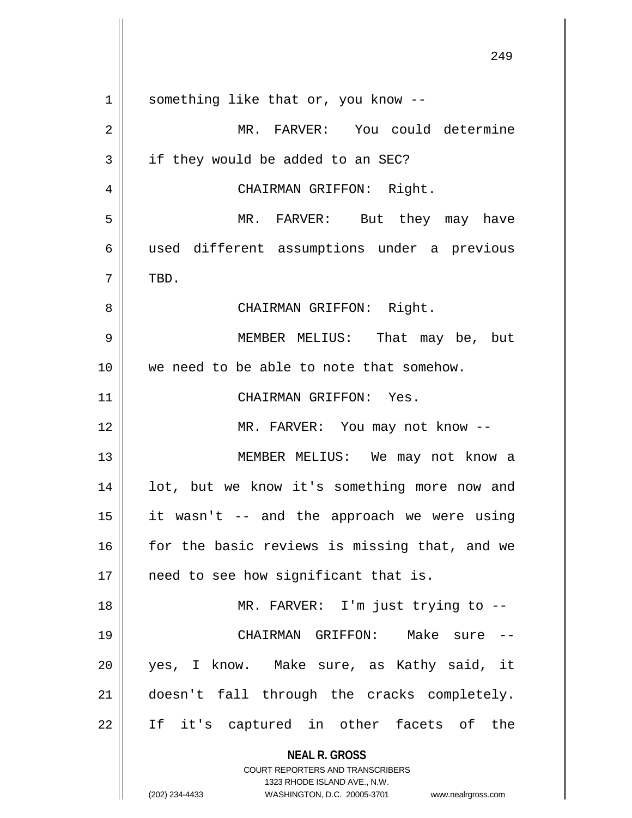|             | 249                                                                 |
|-------------|---------------------------------------------------------------------|
| $\mathbf 1$ | something like that or, you know --                                 |
| 2           | MR. FARVER: You could determine                                     |
| 3           | if they would be added to an SEC?                                   |
| 4           | CHAIRMAN GRIFFON: Right.                                            |
| 5           | MR. FARVER: But they may have                                       |
| 6           | used different assumptions under a previous                         |
| 7           | TBD.                                                                |
| 8           | CHAIRMAN GRIFFON: Right.                                            |
| 9           | MEMBER MELIUS: That may be, but                                     |
| 10          | we need to be able to note that somehow.                            |
| 11          | CHAIRMAN GRIFFON: Yes.                                              |
| 12          | MR. FARVER: You may not know --                                     |
| 13          | MEMBER MELIUS: We may not know a                                    |
| 14          | lot, but we know it's something more now and                        |
| 15          | it wasn't -- and the approach we were using                         |
| 16          | for the basic reviews is missing that, and we                       |
| 17          | need to see how significant that is.                                |
| 18          | MR. FARVER: I'm just trying to --                                   |
| 19          | CHAIRMAN GRIFFON:<br>Make sure<br>$- -$                             |
| 20          | yes, I know. Make sure, as Kathy said, it                           |
| 21          | doesn't fall through the cracks completely.                         |
| 22          | If it's captured in other facets of<br>the                          |
|             | <b>NEAL R. GROSS</b><br>COURT REPORTERS AND TRANSCRIBERS            |
|             | 1323 RHODE ISLAND AVE., N.W.                                        |
|             | (202) 234-4433<br>WASHINGTON, D.C. 20005-3701<br>www.nealrgross.com |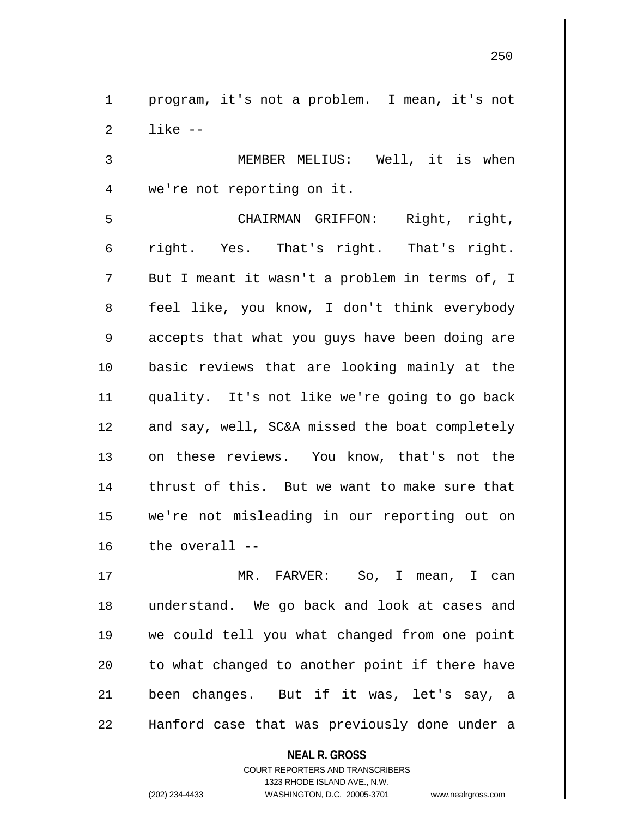1 program, it's not a problem. I mean, it's not 2 like --

3 MEMBER MELIUS: Well, it is when 4 || we're not reporting on it.

5 CHAIRMAN GRIFFON: Right, right,  $6 \parallel$  right. Yes. That's right. That's right.  $7 \parallel$  But I meant it wasn't a problem in terms of, I 8 || feel like, you know, I don't think everybody 9 || accepts that what you guys have been doing are 10 basic reviews that are looking mainly at the 11 quality. It's not like we're going to go back 12 || and say, well, SC&A missed the boat completely 13 || on these reviews. You know, that's not the 14 || thrust of this. But we want to make sure that 15 we're not misleading in our reporting out on  $16$  | the overall --

 MR. FARVER: So, I mean, I can understand. We go back and look at cases and we could tell you what changed from one point | to what changed to another point if there have been changes. But if it was, let's say, a Hanford case that was previously done under a

> **NEAL R. GROSS** COURT REPORTERS AND TRANSCRIBERS 1323 RHODE ISLAND AVE., N.W. (202) 234-4433 WASHINGTON, D.C. 20005-3701 www.nealrgross.com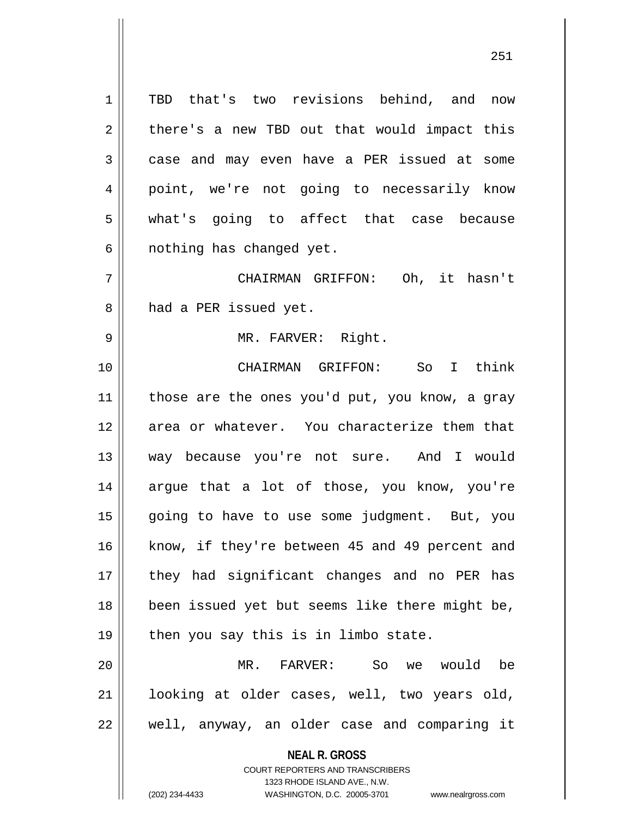1 || TBD that's two revisions behind, and now  $2 \parallel$  there's a new TBD out that would impact this 3 case and may even have a PER issued at some 4 point, we're not going to necessarily know 5 what's going to affect that case because  $6 \parallel$  nothing has changed yet.

7 CHAIRMAN GRIFFON: Oh, it hasn't 8 || had a PER issued yet.

9 MR. FARVER: Right.

10 CHAIRMAN GRIFFON: So I think  $11$  | those are the ones you'd put, you know, a gray 12 area or whatever. You characterize them that 13 || way because you're not sure. And I would 14 || argue that a lot of those, you know, you're 15 || going to have to use some judgment. But, you 16 || know, if they're between 45 and 49 percent and 17 || they had significant changes and no PER has 18 been issued yet but seems like there might be,  $19$  || then you say this is in limbo state.

20 MR. FARVER: So we would be 21 looking at older cases, well, two years old, 22 well, anyway, an older case and comparing it

> **NEAL R. GROSS** COURT REPORTERS AND TRANSCRIBERS

> > 1323 RHODE ISLAND AVE., N.W.

(202) 234-4433 WASHINGTON, D.C. 20005-3701 www.nealrgross.com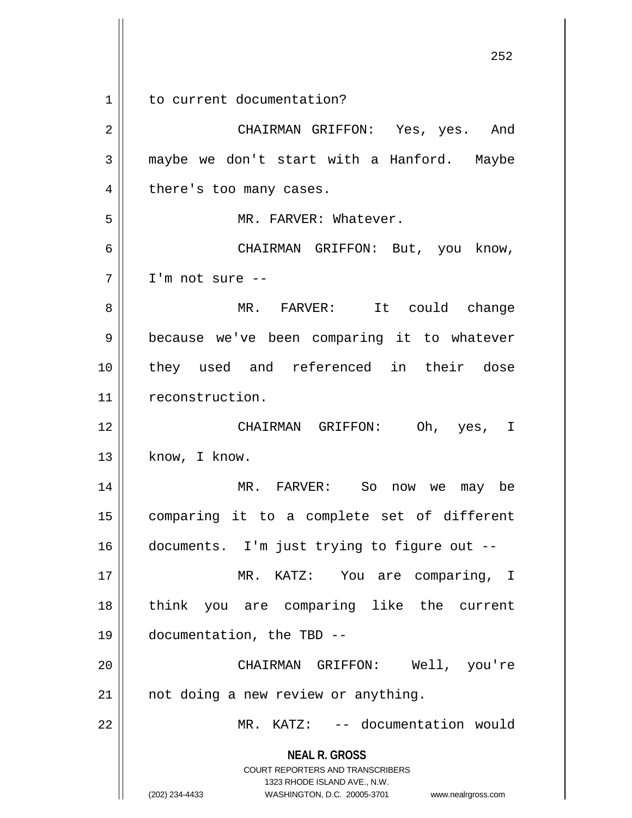**NEAL R. GROSS** COURT REPORTERS AND TRANSCRIBERS 1323 RHODE ISLAND AVE., N.W. (202) 234-4433 WASHINGTON, D.C. 20005-3701 www.nealrgross.com 1 | to current documentation? 2 CHAIRMAN GRIFFON: Yes, yes. And 3 maybe we don't start with a Hanford. Maybe 4 | there's too many cases. 5 | MR. FARVER: Whatever. 6 CHAIRMAN GRIFFON: But, you know, 7 I'm not sure -- 8 MR. FARVER: It could change 9 | because we've been comparing it to whatever 10 they used and referenced in their dose 11 | reconstruction. 12 CHAIRMAN GRIFFON: Oh, yes, I  $13$  | know, I know. 14 MR. FARVER: So now we may be 15 comparing it to a complete set of different 16 documents. I'm just trying to figure out -- 17 || MR. KATZ: You are comparing, I 18 think you are comparing like the current 19 documentation, the TBD -- 20 CHAIRMAN GRIFFON: Well, you're  $21$  | not doing a new review or anything. 22 MR. KATZ: -- documentation would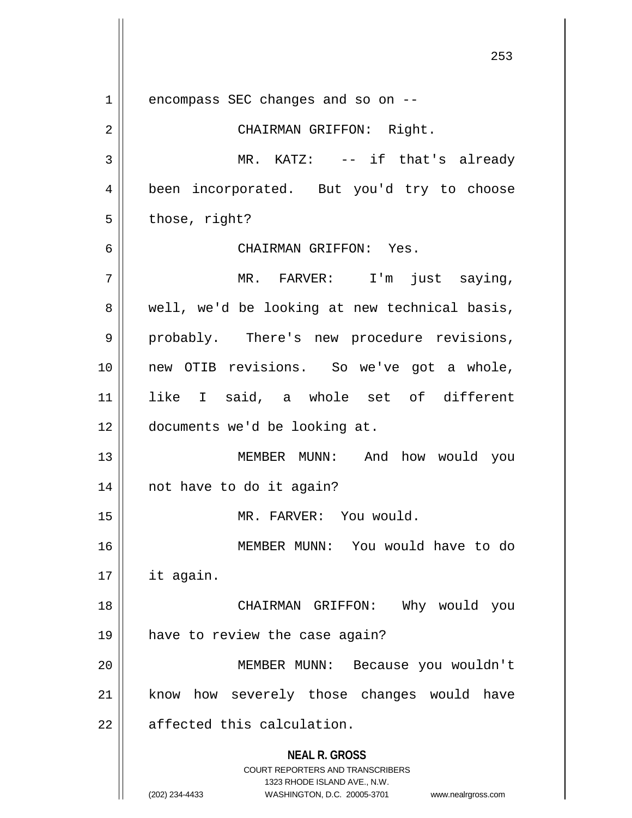**NEAL R. GROSS** COURT REPORTERS AND TRANSCRIBERS 1323 RHODE ISLAND AVE., N.W. (202) 234-4433 WASHINGTON, D.C. 20005-3701 www.nealrgross.com 1 encompass SEC changes and so on --2 || CHAIRMAN GRIFFON: Right. 3 MR. KATZ: -- if that's already 4 || been incorporated. But you'd try to choose  $5 \parallel$  those, right? 6 CHAIRMAN GRIFFON: Yes. 7 MR. FARVER: I'm just saying, 8 well, we'd be looking at new technical basis, 9 probably. There's new procedure revisions, 10 new OTIB revisions. So we've got a whole, 11 like I said, a whole set of different 12 documents we'd be looking at. 13 MEMBER MUNN: And how would you 14 || not have to do it again? 15 || MR. FARVER: You would. 16 MEMBER MUNN: You would have to do 17 it again. 18 CHAIRMAN GRIFFON: Why would you 19 have to review the case again? 20 MEMBER MUNN: Because you wouldn't 21 || know how severely those changes would have  $22$   $\parallel$  affected this calculation.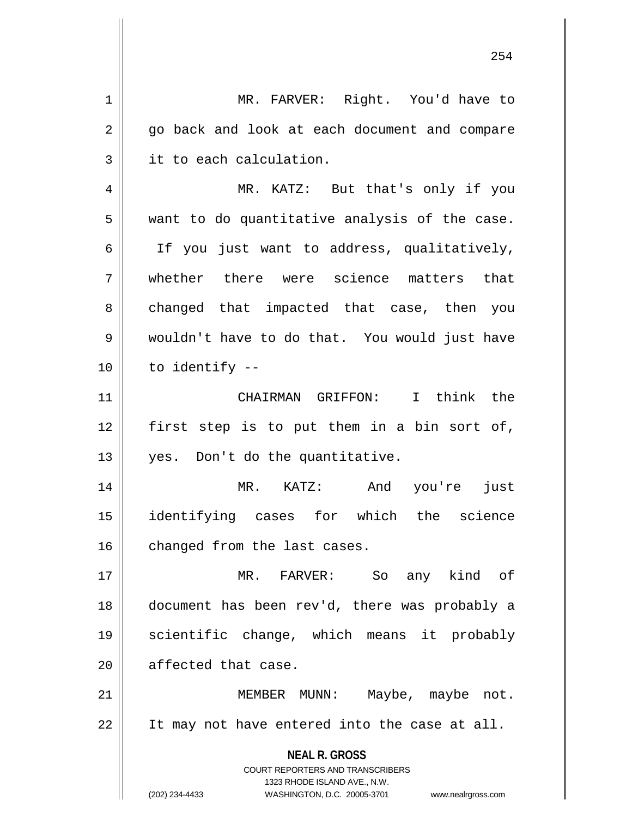**NEAL R. GROSS** COURT REPORTERS AND TRANSCRIBERS 1323 RHODE ISLAND AVE., N.W. (202) 234-4433 WASHINGTON, D.C. 20005-3701 www.nealrgross.com 1 || MR. FARVER: Right. You'd have to 2 || go back and look at each document and compare 3 | it to each calculation. 4 MR. KATZ: But that's only if you  $5$  | want to do quantitative analysis of the case.  $6 \parallel$  If you just want to address, qualitatively, 7 whether there were science matters that 8 changed that impacted that case, then you 9 wouldn't have to do that. You would just have  $10$  || to identify --11 CHAIRMAN GRIFFON: I think the 12 || first step is to put them in a bin sort of, 13 || yes. Don't do the quantitative. 14 MR. KATZ: And you're just 15 identifying cases for which the science 16 | changed from the last cases. 17 MR. FARVER: So any kind of 18 document has been rev'd, there was probably a 19 scientific change, which means it probably  $20$  | affected that case. 21 || MEMBER MUNN: Maybe, maybe not.  $22$  || It may not have entered into the case at all.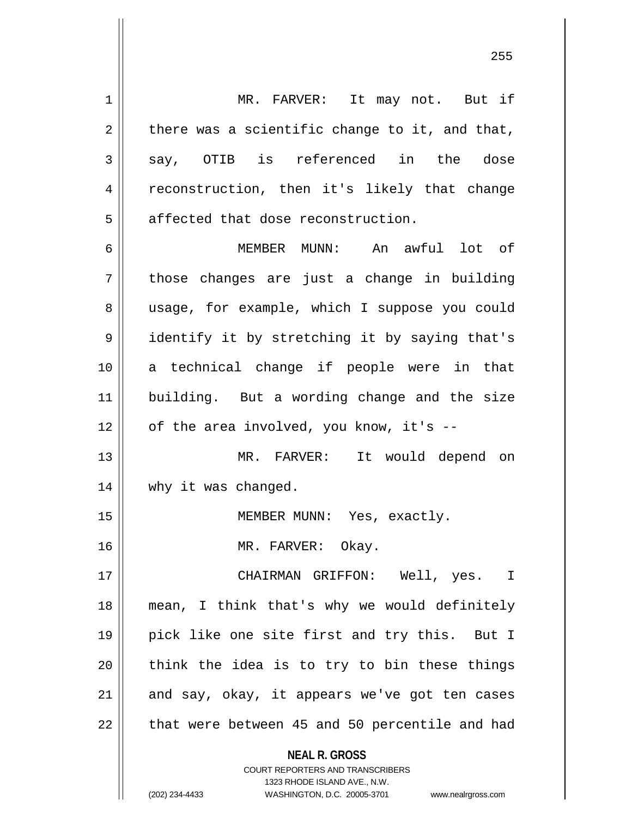1 || MR. FARVER: It may not. But if  $2 \parallel$  there was a scientific change to it, and that,  $3 \parallel$  say, OTIB is referenced in the dose 4 || reconstruction, then it's likely that change  $5$  || affected that dose reconstruction. 6 MEMBER MUNN: An awful lot of  $7 \parallel$  those changes are just a change in building 8 || usage, for example, which I suppose you could 9 || identify it by stretching it by saying that's 10 a technical change if people were in that 11 building. But a wording change and the size  $12$  | of the area involved, you know, it's  $-$ 13 MR. FARVER: It would depend on 14 || why it was changed. 15 || MEMBER MUNN: Yes, exactly. 16 MR. FARVER: Okay. 17 CHAIRMAN GRIFFON: Well, yes. I 18 || mean, I think that's why we would definitely 19 pick like one site first and try this. But I  $20$  || think the idea is to try to bin these things  $21$  and say, okay, it appears we've got ten cases  $22$  || that were between 45 and 50 percentile and had

> **NEAL R. GROSS** COURT REPORTERS AND TRANSCRIBERS

> > 1323 RHODE ISLAND AVE., N.W.

(202) 234-4433 WASHINGTON, D.C. 20005-3701 www.nealrgross.com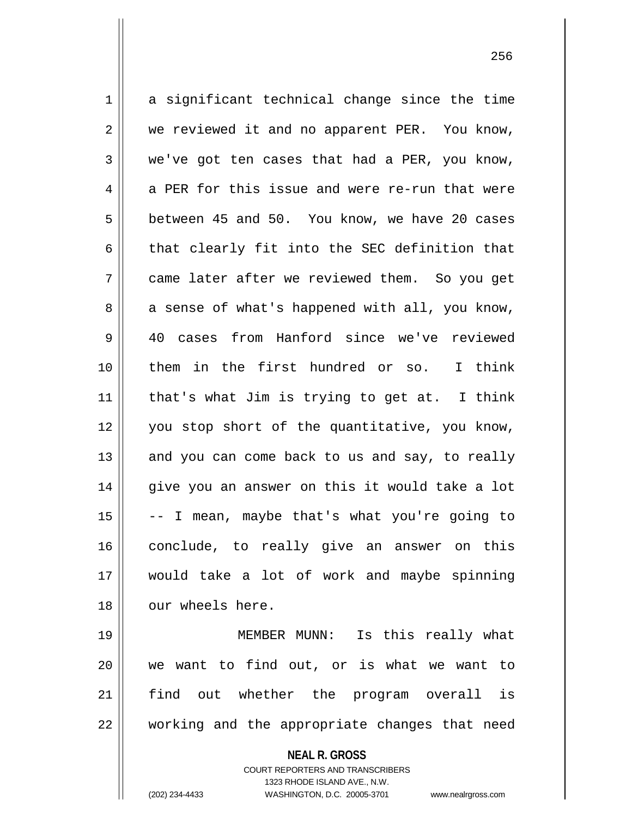1 a significant technical change since the time 2 | we reviewed it and no apparent PER. You know,  $3 \parallel$  we've got ten cases that had a PER, you know,  $4 \parallel$  a PER for this issue and were re-run that were  $5 \parallel$  between 45 and 50. You know, we have 20 cases  $6$  || that clearly fit into the SEC definition that 7 came later after we reviewed them. So you get  $8 \parallel$  a sense of what's happened with all, you know, 9 40 cases from Hanford since we've reviewed 10 them in the first hundred or so. I think  $11$  | that's what Jim is trying to get at. I think 12 you stop short of the quantitative, you know,  $13$  and you can come back to us and say, to really 14 give you an answer on this it would take a lot  $15$   $\vert$  -- I mean, maybe that's what you're going to 16 || conclude, to really give an answer on this 17 would take a lot of work and maybe spinning 18 || our wheels here. 19 MEMBER MUNN: Is this really what 20 we want to find out, or is what we want to 21 find out whether the program overall is

22 working and the appropriate changes that need

**NEAL R. GROSS**

COURT REPORTERS AND TRANSCRIBERS 1323 RHODE ISLAND AVE., N.W. (202) 234-4433 WASHINGTON, D.C. 20005-3701 www.nealrgross.com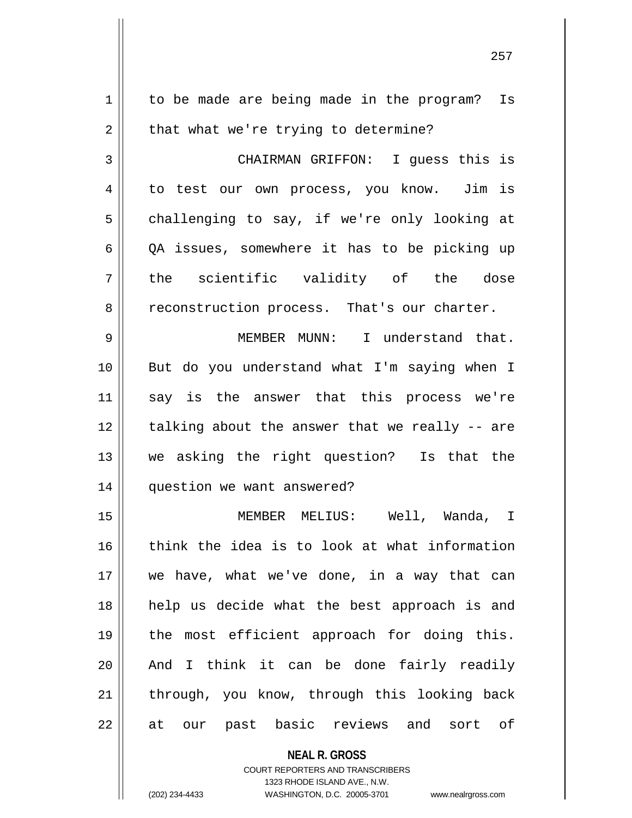| 1  | to be made are being made in the program? Is   |
|----|------------------------------------------------|
| 2  | that what we're trying to determine?           |
| 3  | CHAIRMAN GRIFFON: I guess this is              |
| 4  | to test our own process, you know. Jim is      |
| 5  | challenging to say, if we're only looking at   |
| 6  | QA issues, somewhere it has to be picking up   |
| 7  | the scientific validity of the dose            |
| 8  | reconstruction process. That's our charter.    |
| 9  | MEMBER MUNN: I understand that.                |
| 10 | But do you understand what I'm saying when I   |
| 11 | say is the answer that this process we're      |
| 12 | talking about the answer that we really -- are |
| 13 | we asking the right question? Is that the      |
| 14 | question we want answered?                     |
| 15 | MEMBER MELIUS: Well, Wanda, I                  |
| 16 | think the idea is to look at what information  |
| 17 | we have, what we've done, in a way that can    |
| 18 | help us decide what the best approach is and   |
| 19 | the most efficient approach for doing this.    |
| 20 | And I think it can be done fairly readily      |
| 21 | through, you know, through this looking back   |
| 22 | at our past basic reviews and sort of          |
|    |                                                |

**NEAL R. GROSS** COURT REPORTERS AND TRANSCRIBERS 1323 RHODE ISLAND AVE., N.W.

(202) 234-4433 WASHINGTON, D.C. 20005-3701 www.nealrgross.com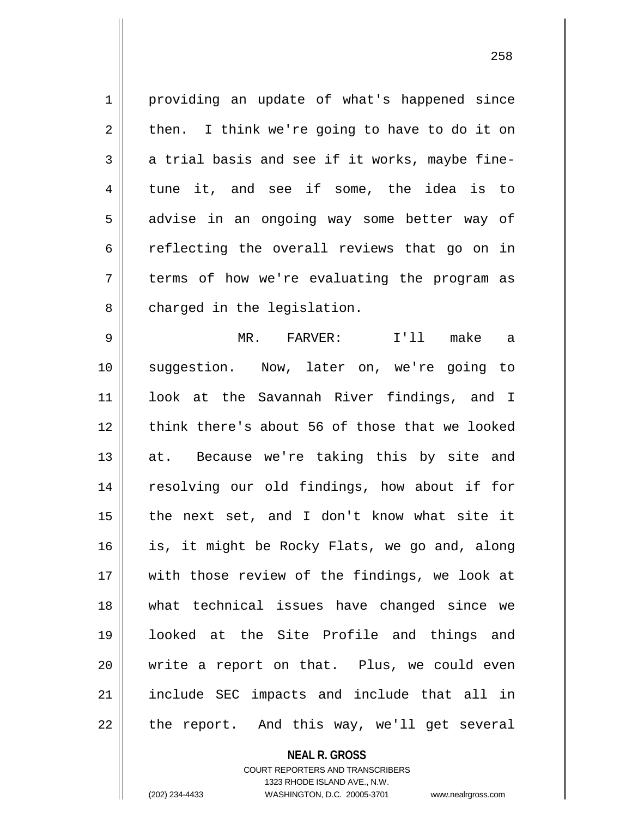1 || providing an update of what's happened since  $2 \parallel$  then. I think we're going to have to do it on  $3 \parallel$  a trial basis and see if it works, maybe fine- $4 \parallel$  tune it, and see if some, the idea is to 5 || advise in an ongoing way some better way of 6 contractering the overall reviews that go on in 7 terms of how we're evaluating the program as  $8 \parallel$  charged in the legislation.

 MR. FARVER: I'll make a suggestion. Now, later on, we're going to look at the Savannah River findings, and I 12 think there's about 56 of those that we looked 13 || at. Because we're taking this by site and 14 || resolving our old findings, how about if for | the next set, and I don't know what site it 16 || is, it might be Rocky Flats, we go and, along with those review of the findings, we look at what technical issues have changed since we looked at the Site Profile and things and write a report on that. Plus, we could even include SEC impacts and include that all in | the report. And this way, we'll get several

**NEAL R. GROSS**

COURT REPORTERS AND TRANSCRIBERS 1323 RHODE ISLAND AVE., N.W. (202) 234-4433 WASHINGTON, D.C. 20005-3701 www.nealrgross.com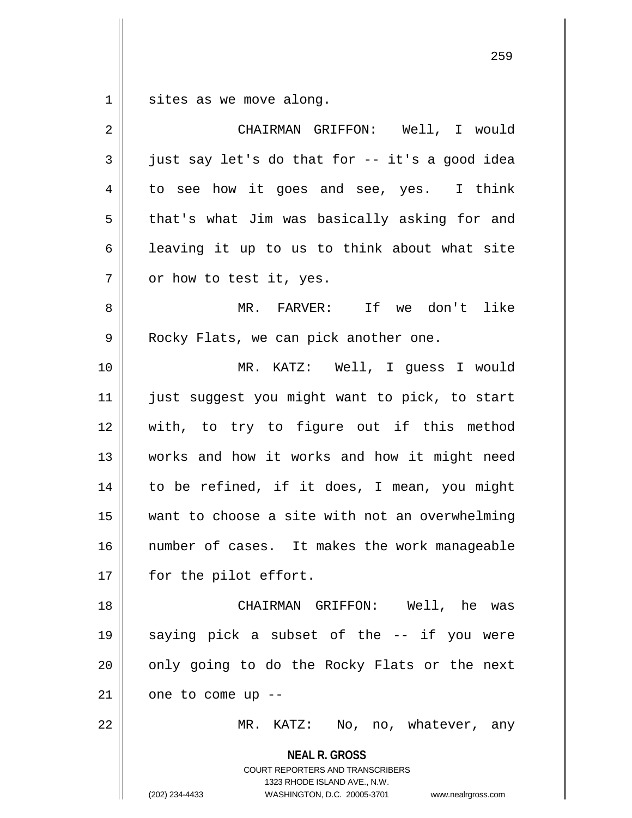$1 \parallel$  sites as we move along.

| $\overline{2}$ | CHAIRMAN GRIFFON: Well, I would                                                                                                                                     |
|----------------|---------------------------------------------------------------------------------------------------------------------------------------------------------------------|
| 3              | just say let's do that for -- it's a good idea                                                                                                                      |
| 4              | to see how it goes and see, yes. I think                                                                                                                            |
| 5              | that's what Jim was basically asking for and                                                                                                                        |
| 6              | leaving it up to us to think about what site                                                                                                                        |
| 7              | or how to test it, yes.                                                                                                                                             |
| 8              | MR. FARVER: If we don't like                                                                                                                                        |
| 9              | Rocky Flats, we can pick another one.                                                                                                                               |
| 10             | MR. KATZ: Well, I guess I would                                                                                                                                     |
| 11             | just suggest you might want to pick, to start                                                                                                                       |
| 12             | with, to try to figure out if this method                                                                                                                           |
| 13             | works and how it works and how it might need                                                                                                                        |
| 14             | to be refined, if it does, I mean, you might                                                                                                                        |
| 15             | want to choose a site with not an overwhelming                                                                                                                      |
| 16             | number of cases. It makes the work manageable                                                                                                                       |
| 17             | for the pilot effort.                                                                                                                                               |
| 18             | CHAIRMAN GRIFFON: Well, he was                                                                                                                                      |
| 19             | saying pick a subset of the -- if you were                                                                                                                          |
| 20             | only going to do the Rocky Flats or the next                                                                                                                        |
| 21             | one to come up --                                                                                                                                                   |
| 22             | MR. KATZ: No, no, whatever, any                                                                                                                                     |
|                | <b>NEAL R. GROSS</b><br><b>COURT REPORTERS AND TRANSCRIBERS</b><br>1323 RHODE ISLAND AVE., N.W.<br>(202) 234-4433<br>WASHINGTON, D.C. 20005-3701 www.nealrgross.com |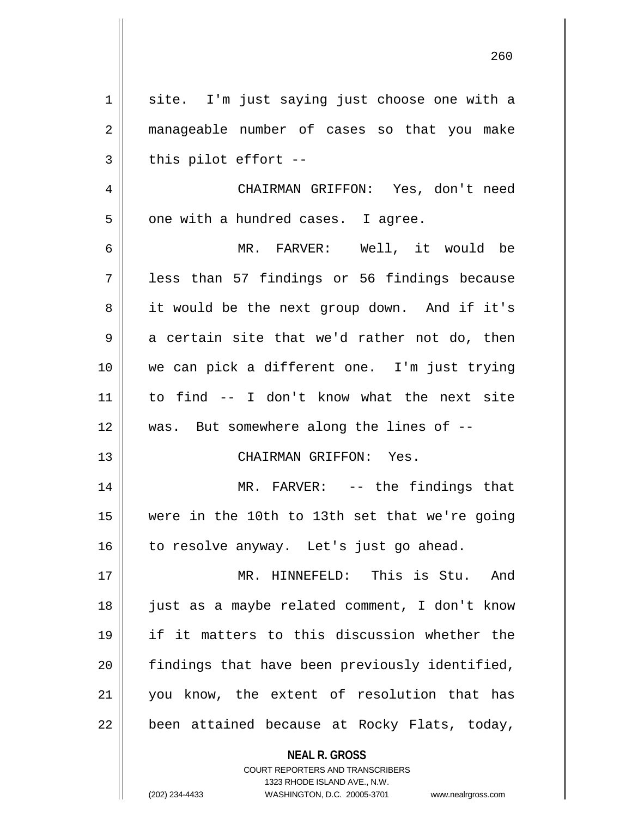**NEAL R. GROSS** COURT REPORTERS AND TRANSCRIBERS  $1 \parallel$  site. I'm just saying just choose one with a 2 manageable number of cases so that you make  $3 \parallel$  this pilot effort --4 CHAIRMAN GRIFFON: Yes, don't need  $5 \parallel$  one with a hundred cases. I agree. 6 MR. FARVER: Well, it would be  $7 \parallel$  less than 57 findings or 56 findings because 8 || it would be the next group down. And if it's  $9 \parallel$  a certain site that we'd rather not do, then 10 we can pick a different one. I'm just trying 11 to find -- I don't know what the next site 12 was. But somewhere along the lines of -- 13 CHAIRMAN GRIFFON: Yes. 14 || MR. FARVER: -- the findings that 15 were in the 10th to 13th set that we're going 16 | to resolve anyway. Let's just go ahead. 17 MR. HINNEFELD: This is Stu. And 18 just as a maybe related comment, I don't know 19 if it matters to this discussion whether the 20 || findings that have been previously identified, 21 you know, the extent of resolution that has  $22$  || been attained because at Rocky Flats, today,

1323 RHODE ISLAND AVE., N.W.

(202) 234-4433 WASHINGTON, D.C. 20005-3701 www.nealrgross.com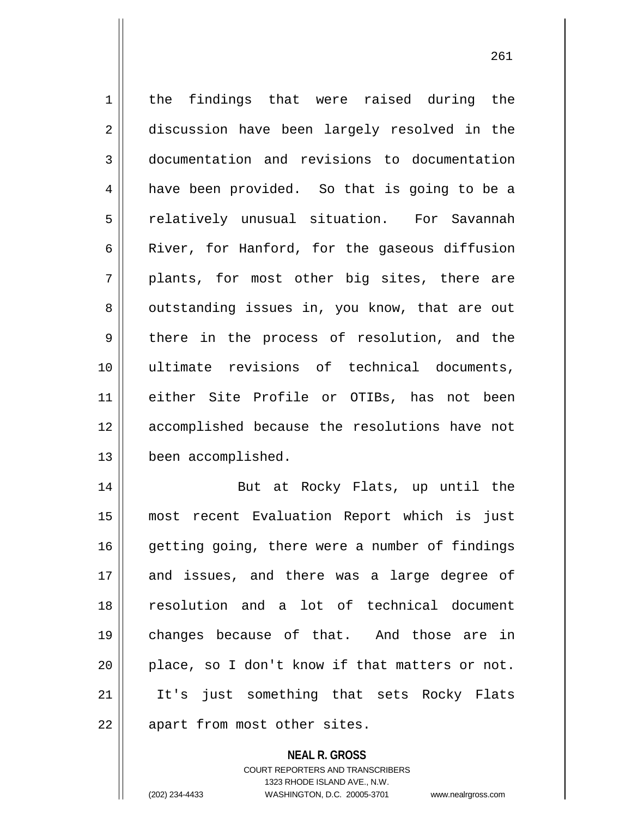1 | the findings that were raised during the 2 discussion have been largely resolved in the 3 documentation and revisions to documentation 4 | have been provided. So that is going to be a 5 | relatively unusual situation. For Savannah 6  $\parallel$  River, for Hanford, for the gaseous diffusion  $7 \parallel$  plants, for most other big sites, there are 8 || outstanding issues in, you know, that are out  $9 \parallel$  there in the process of resolution, and the 10 ultimate revisions of technical documents, 11 either Site Profile or OTIBs, has not been 12 accomplished because the resolutions have not 13 | been accomplished. 14 || But at Rocky Flats, up until the 15 most recent Evaluation Report which is just 16 || getting going, there were a number of findings 17 and issues, and there was a large degree of 18 resolution and a lot of technical document 19 changes because of that. And those are in 20 || place, so I don't know if that matters or not. 21 || It's just something that sets Rocky Flats

 $22$  | apart from most other sites.

## **NEAL R. GROSS**

COURT REPORTERS AND TRANSCRIBERS 1323 RHODE ISLAND AVE., N.W. (202) 234-4433 WASHINGTON, D.C. 20005-3701 www.nealrgross.com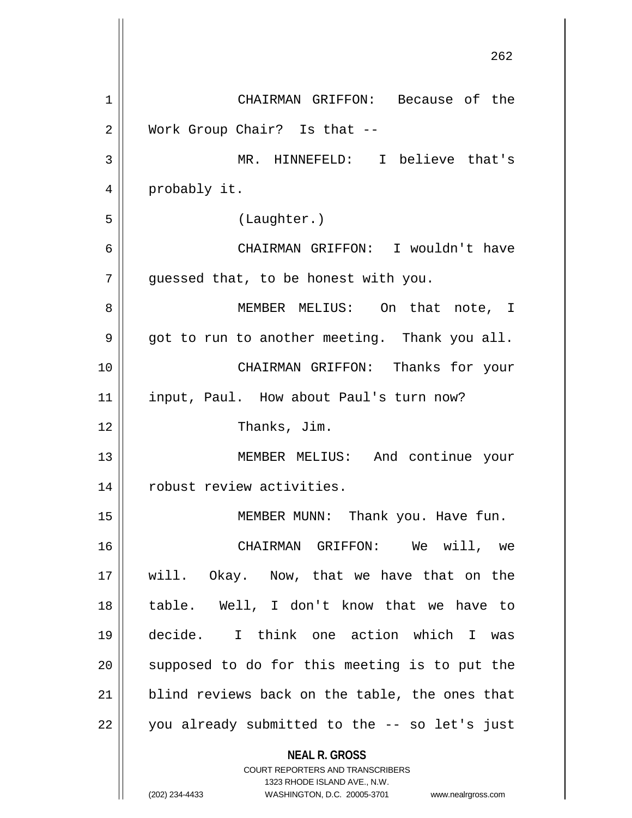**NEAL R. GROSS** COURT REPORTERS AND TRANSCRIBERS 1323 RHODE ISLAND AVE., N.W. 262 1 || CHAIRMAN GRIFFON: Because of the 2 | Work Group Chair? Is that --3 MR. HINNEFELD: I believe that's 4 || probably it. 5 (Laughter.) 6 CHAIRMAN GRIFFON: I wouldn't have  $7 \parallel$  quessed that, to be honest with you. 8 MEMBER MELIUS: On that note, I  $9 \parallel$  got to run to another meeting. Thank you all. 10 CHAIRMAN GRIFFON: Thanks for your 11 || input, Paul. How about Paul's turn now? 12 Thanks, Jim. 13 MEMBER MELIUS: And continue your 14 | robust review activities. 15 || MEMBER MUNN: Thank you. Have fun. 16 CHAIRMAN GRIFFON: We will, we 17 will. Okay. Now, that we have that on the 18 table. Well, I don't know that we have to 19 decide. I think one action which I was  $20$  || supposed to do for this meeting is to put the 21 || blind reviews back on the table, the ones that  $22$  | you already submitted to the  $-$ - so let's just

(202) 234-4433 WASHINGTON, D.C. 20005-3701 www.nealrgross.com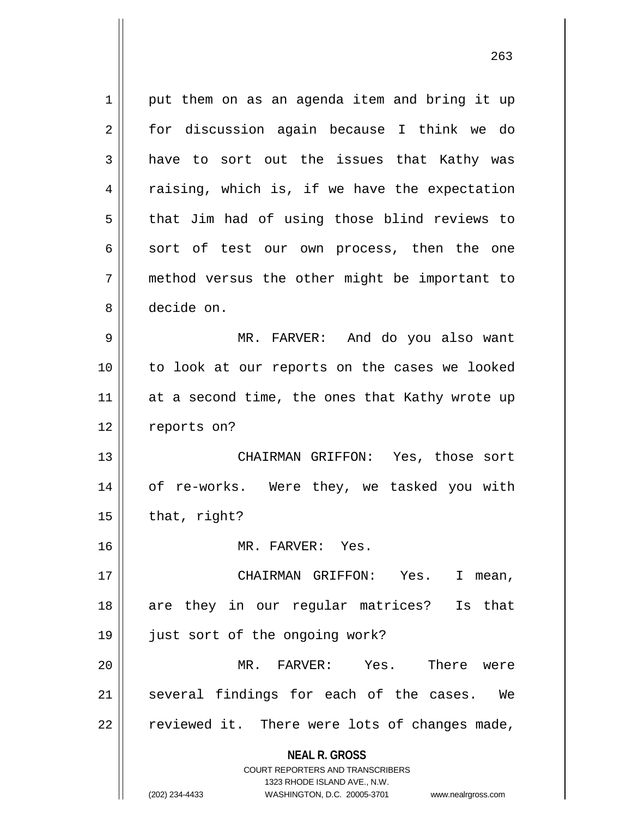**NEAL R. GROSS** COURT REPORTERS AND TRANSCRIBERS  $1 \parallel$  put them on as an agenda item and bring it up 2 || for discussion again because I think we do  $3 \parallel$  have to sort out the issues that Kathy was  $4 \parallel$  raising, which is, if we have the expectation  $5 \parallel$  that Jim had of using those blind reviews to  $6 \parallel$  sort of test our own process, then the one 7 method versus the other might be important to 8 decide on. 9 MR. FARVER: And do you also want 10 to look at our reports on the cases we looked 11 || at a second time, the ones that Kathy wrote up 12 | reports on? 13 CHAIRMAN GRIFFON: Yes, those sort 14 of re-works. Were they, we tasked you with  $15 \parallel$  that, right? 16 MR. FARVER: Yes. 17 CHAIRMAN GRIFFON: Yes. I mean, 18 are they in our regular matrices? Is that 19 || just sort of the ongoing work? 20 MR. FARVER: Yes. There were 21 || several findings for each of the cases. We  $22$  | reviewed it. There were lots of changes made,

1323 RHODE ISLAND AVE., N.W.

(202) 234-4433 WASHINGTON, D.C. 20005-3701 www.nealrgross.com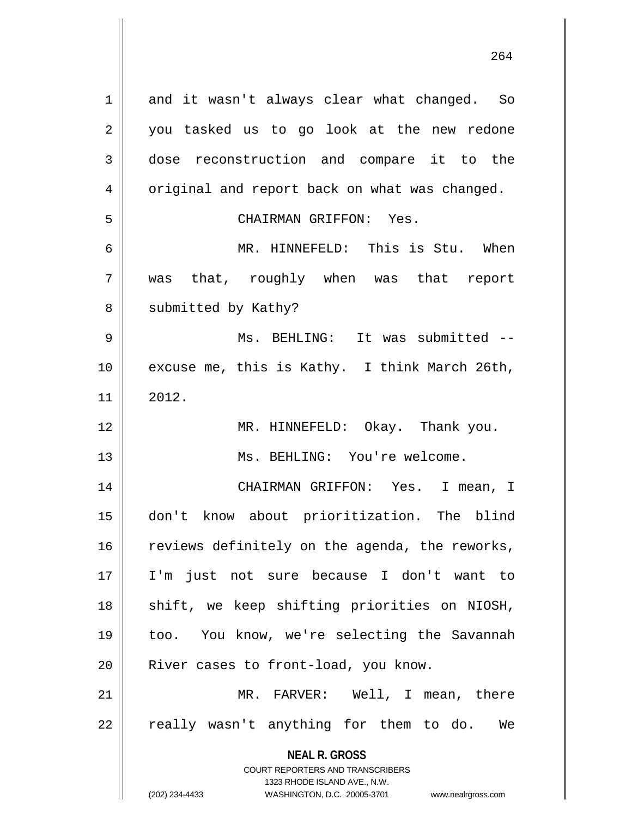**NEAL R. GROSS** COURT REPORTERS AND TRANSCRIBERS 1323 RHODE ISLAND AVE., N.W. (202) 234-4433 WASHINGTON, D.C. 20005-3701 www.nealrgross.com 1 and it wasn't always clear what changed. So 2 || you tasked us to go look at the new redone 3 dose reconstruction and compare it to the 4 | original and report back on what was changed. 5 CHAIRMAN GRIFFON: Yes. 6 MR. HINNEFELD: This is Stu. When 7 was that, roughly when was that report 8 | submitted by Kathy? 9 Ms. BEHLING: It was submitted -- 10 excuse me, this is Kathy. I think March 26th,  $11 \parallel 2012.$ 12 MR. HINNEFELD: Okay. Thank you. 13 Ms. BEHLING: You're welcome. 14 CHAIRMAN GRIFFON: Yes. I mean, I 15 don't know about prioritization. The blind  $16$  reviews definitely on the agenda, the reworks, 17 I'm just not sure because I don't want to 18 || shift, we keep shifting priorities on NIOSH, 19 too. You know, we're selecting the Savannah 20 || River cases to front-load, you know. 21 MR. FARVER: Well, I mean, there 22 || really wasn't anything for them to do. We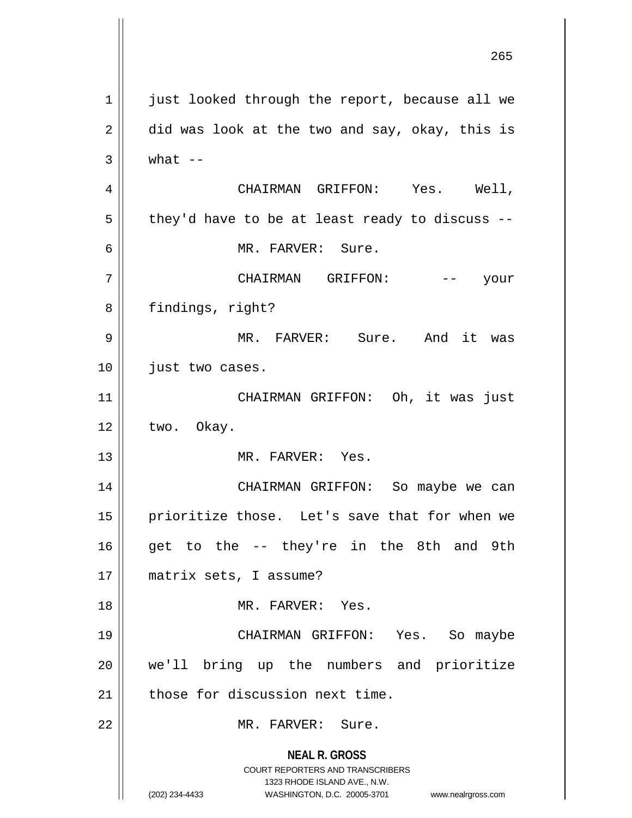**NEAL R. GROSS** COURT REPORTERS AND TRANSCRIBERS 1323 RHODE ISLAND AVE., N.W. (202) 234-4433 WASHINGTON, D.C. 20005-3701 www.nealrgross.com  $1 \parallel$  just looked through the report, because all we  $2 \parallel$  did was look at the two and say, okay, this is  $3 \parallel$  what  $-$ 4 CHAIRMAN GRIFFON: Yes. Well,  $5 \parallel$  they'd have to be at least ready to discuss --6 MR. FARVER: Sure. 7 CHAIRMAN GRIFFON: -- your 8 | findings, right? 9 || MR. FARVER: Sure. And it was 10 || just two cases. 11 CHAIRMAN GRIFFON: Oh, it was just  $12 \parallel$  two. Okay. 13 MR. FARVER: Yes. 14 CHAIRMAN GRIFFON: So maybe we can 15 || prioritize those. Let's save that for when we  $16$  get to the  $-$  they're in the 8th and 9th 17 matrix sets, I assume? 18 MR. FARVER: Yes. 19 CHAIRMAN GRIFFON: Yes. So maybe 20 we'll bring up the numbers and prioritize  $21$  those for discussion next time. 22 MR. FARVER: Sure.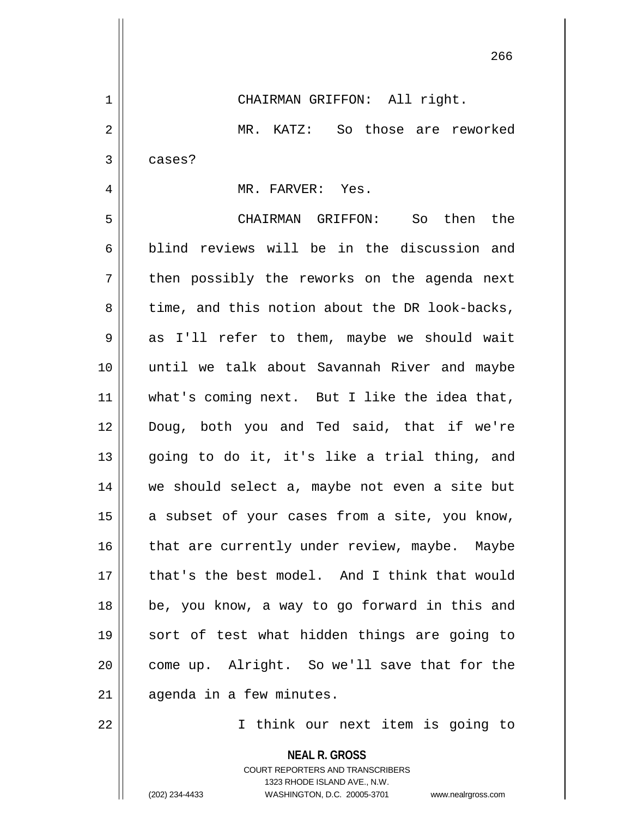1 | CHAIRMAN GRIFFON: All right.

2 MR. KATZ: So those are reworked  $3 \parallel$  cases?

## 4 MR. FARVER: Yes.

5 CHAIRMAN GRIFFON: So then the 6 blind reviews will be in the discussion and  $7 \parallel$  then possibly the reworks on the agenda next  $8 \parallel$  time, and this notion about the DR look-backs, 9 as I'll refer to them, maybe we should wait 10 until we talk about Savannah River and maybe 11 || what's coming next. But I like the idea that, 12 Doug, both you and Ted said, that if we're 13 || going to do it, it's like a trial thing, and 14 || we should select a, maybe not even a site but  $15$  a subset of your cases from a site, you know, 16 || that are currently under review, maybe. Maybe 17 || that's the best model. And I think that would 18 be, you know, a way to go forward in this and 19 sort of test what hidden things are going to 20 || come up. Alright. So we'll save that for the  $21$  | agenda in a few minutes.

22 || Think our next item is going to

**NEAL R. GROSS** COURT REPORTERS AND TRANSCRIBERS 1323 RHODE ISLAND AVE., N.W. (202) 234-4433 WASHINGTON, D.C. 20005-3701 www.nealrgross.com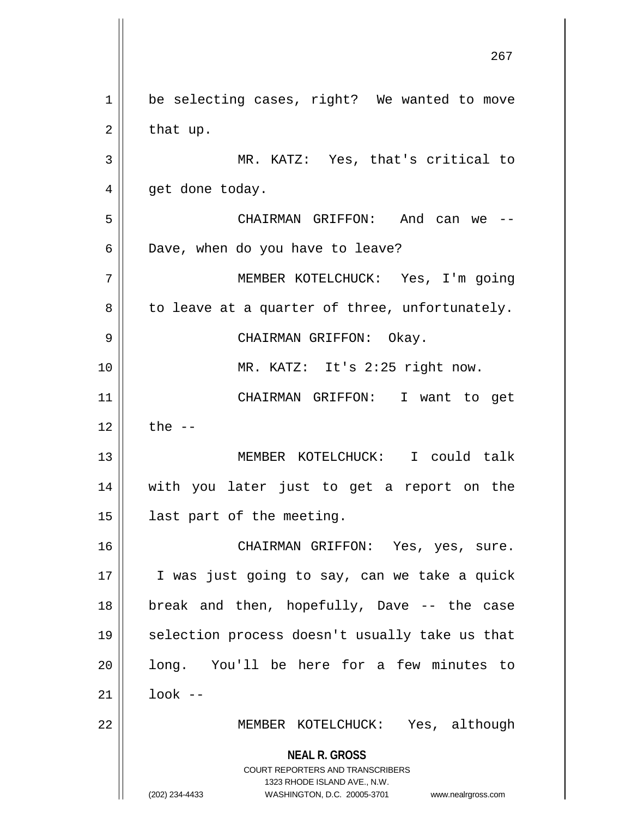**NEAL R. GROSS** COURT REPORTERS AND TRANSCRIBERS 1323 RHODE ISLAND AVE., N.W. (202) 234-4433 WASHINGTON, D.C. 20005-3701 www.nealrgross.com 1 | be selecting cases, right? We wanted to move  $2 \parallel$  that up. 3 MR. KATZ: Yes, that's critical to 4 || get done today. 5 CHAIRMAN GRIFFON: And can we -- 6 | Dave, when do you have to leave? 7 MEMBER KOTELCHUCK: Yes, I'm going  $8 \parallel$  to leave at a quarter of three, unfortunately. 9 CHAIRMAN GRIFFON: Okay. 10 MR. KATZ: It's 2:25 right now. 11 CHAIRMAN GRIFFON: I want to get  $12$  | the  $-$ 13 MEMBER KOTELCHUCK: I could talk 14 with you later just to get a report on the 15 || last part of the meeting. 16 CHAIRMAN GRIFFON: Yes, yes, sure. 17 || I was just going to say, can we take a quick 18 break and then, hopefully, Dave -- the case 19 || selection process doesn't usually take us that 20 || long. You'll be here for a few minutes to  $21 \parallel$  look --22 MEMBER KOTELCHUCK: Yes, although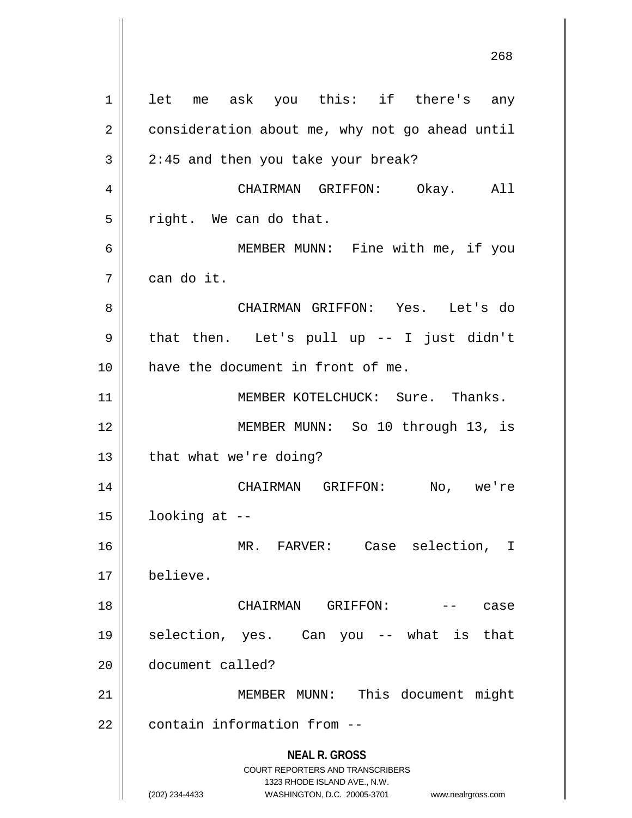**NEAL R. GROSS** COURT REPORTERS AND TRANSCRIBERS 1323 RHODE ISLAND AVE., N.W. (202) 234-4433 WASHINGTON, D.C. 20005-3701 www.nealrgross.com 1 || let me ask you this: if there's any 2 | consideration about me, why not go ahead until  $3 \parallel 2:45$  and then you take your break? 4 CHAIRMAN GRIFFON: Okay. All 5 || right. We can do that. 6 MEMBER MUNN: Fine with me, if you 7 can do it. 8 CHAIRMAN GRIFFON: Yes. Let's do  $9 \parallel$  that then. Let's pull up -- I just didn't 10 || have the document in front of me. 11 || MEMBER KOTELCHUCK: Sure. Thanks. 12 || **MEMBER MUNN:** So 10 through 13, is 13 | that what we're doing? 14 CHAIRMAN GRIFFON: No, we're  $15$  | looking at  $-$ 16 MR. FARVER: Case selection, I 17 believe. 18 CHAIRMAN GRIFFON: -- case 19 selection, yes. Can you -- what is that 20 document called? 21 || MEMBER MUNN: This document might 22 | contain information from --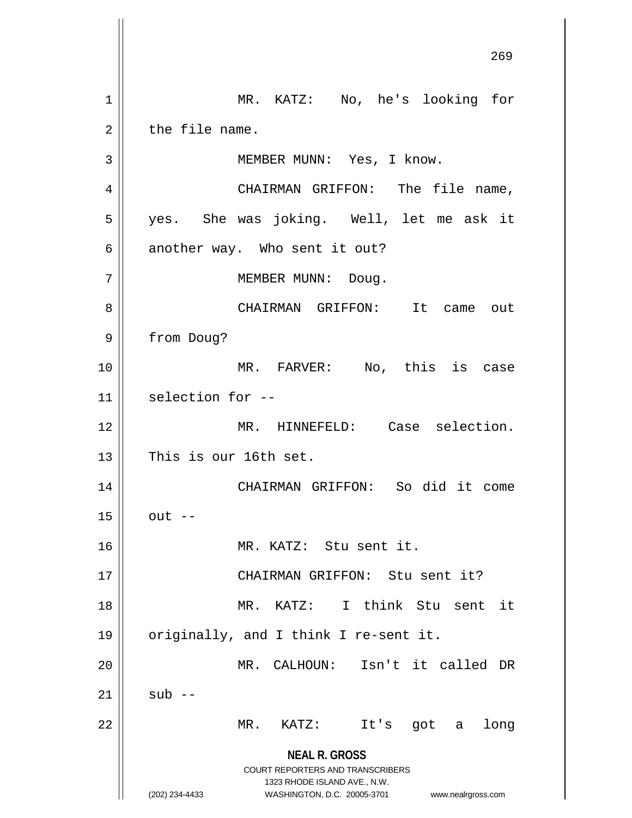**NEAL R. GROSS** COURT REPORTERS AND TRANSCRIBERS 1323 RHODE ISLAND AVE., N.W. (202) 234-4433 WASHINGTON, D.C. 20005-3701 www.nealrgross.com 269 1 || MR. KATZ: No, he's looking for  $2 \parallel$  the file name. 3 | MEMBER MUNN: Yes, I know. 4 | CHAIRMAN GRIFFON: The file name, 5 yes. She was joking. Well, let me ask it  $6$  | another way. Who sent it out? 7 | MEMBER MUNN: Doug. 8 | CHAIRMAN GRIFFON: It came out 9 from Doug? 10 MR. FARVER: No, this is case 11 || selection for --12 MR. HINNEFELD: Case selection.  $13$  | This is our 16th set. 14 CHAIRMAN GRIFFON: So did it come  $15$  out  $-$ 16 MR. KATZ: Stu sent it. 17 || CHAIRMAN GRIFFON: Stu sent it? 18 MR. KATZ: I think Stu sent it 19 || originally, and I think I re-sent it. 20 MR. CALHOUN: Isn't it called DR  $21 \parallel$  sub --22 MR. KATZ: It's got a long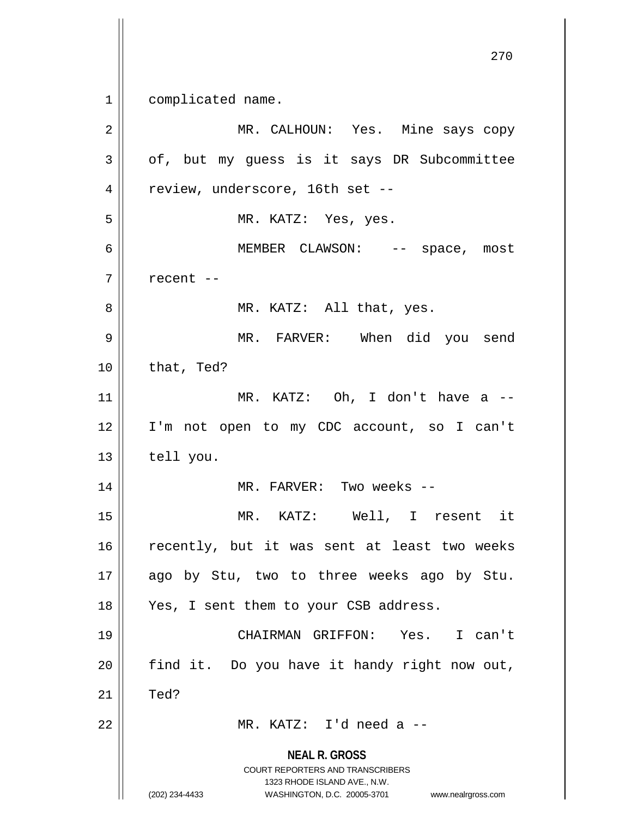**NEAL R. GROSS** COURT REPORTERS AND TRANSCRIBERS 1323 RHODE ISLAND AVE., N.W. (202) 234-4433 WASHINGTON, D.C. 20005-3701 www.nealrgross.com 270 1 complicated name. 2 MR. CALHOUN: Yes. Mine says copy  $3 \parallel$  of, but my guess is it says DR Subcommittee 4 || review, underscore, 16th set --5 | MR. KATZ: Yes, yes. 6 MEMBER CLAWSON: -- space, most  $7 \parallel$  recent --8 || MR. KATZ: All that, yes. 9 MR. FARVER: When did you send  $10$  | that, Ted? 11 || MR. KATZ: Oh, I don't have a --12 I'm not open to my CDC account, so I can't  $13$  | tell you. 14 || MR. FARVER: Two weeks --15 MR. KATZ: Well, I resent it 16 || recently, but it was sent at least two weeks 17 || ago by Stu, two to three weeks ago by Stu. 18 || Yes, I sent them to your CSB address. 19 CHAIRMAN GRIFFON: Yes. I can't  $20$  || find it. Do you have it handy right now out,  $21$   $\parallel$  Ted? 22 MR. KATZ: I'd need a --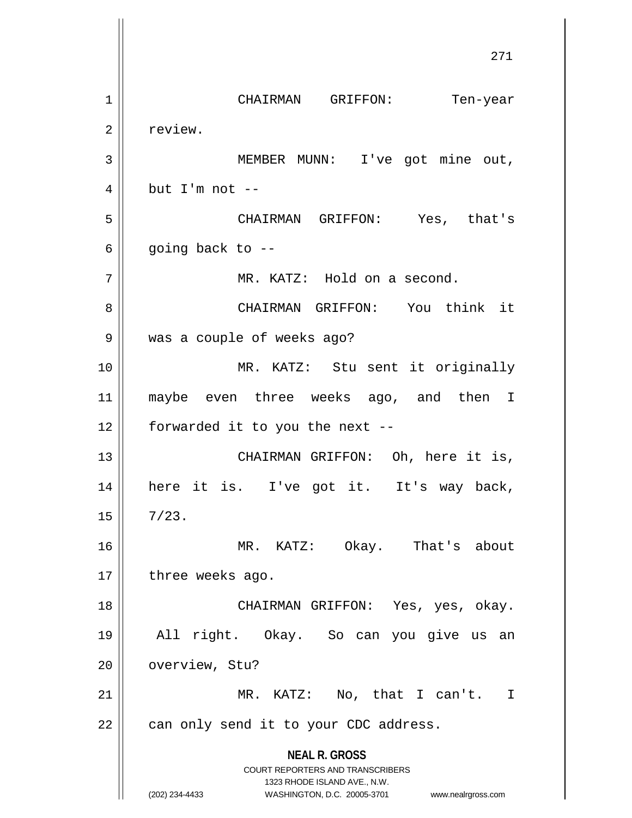**NEAL R. GROSS** COURT REPORTERS AND TRANSCRIBERS 1323 RHODE ISLAND AVE., N.W. (202) 234-4433 WASHINGTON, D.C. 20005-3701 www.nealrgross.com 271 1 CHAIRMAN GRIFFON: Ten-year 2 | review. 3 | MEMBER MUNN: I've got mine out,  $4 \parallel$  but I'm not --5 CHAIRMAN GRIFFON: Yes, that's  $6 \parallel$  going back to  $-$ 7 | MR. KATZ: Hold on a second. 8 CHAIRMAN GRIFFON: You think it 9 was a couple of weeks ago? 10 MR. KATZ: Stu sent it originally 11 maybe even three weeks ago, and then I  $12$  | forwarded it to you the next --13 || CHAIRMAN GRIFFON: Oh, here it is, 14 || here it is. I've got it. It's way back,  $15 \parallel 7/23$ . 16 MR. KATZ: Okay. That's about 17 || three weeks ago. 18 CHAIRMAN GRIFFON: Yes, yes, okay. 19 All right. Okay. So can you give us an 20 | overview, Stu? 21 || MR. KATZ: No, that I can't. I  $22$  | can only send it to your CDC address.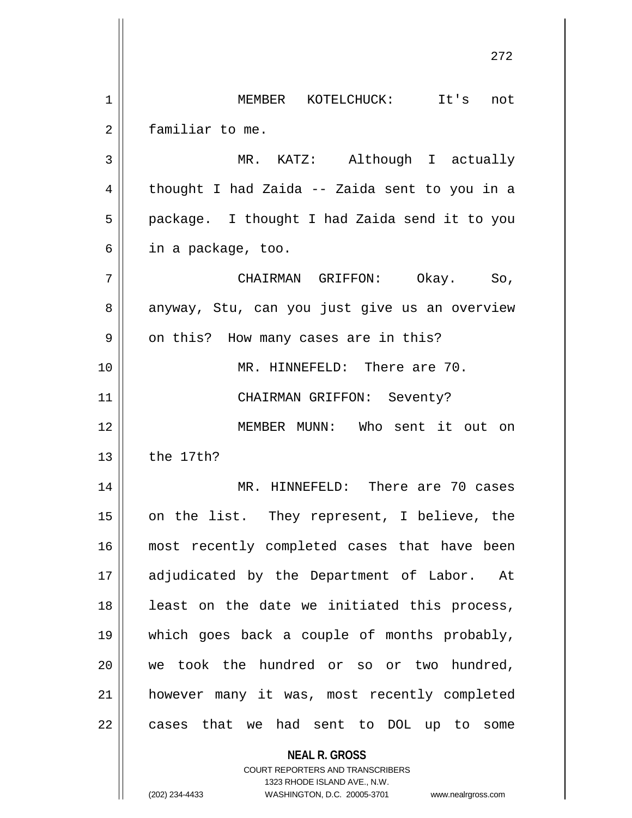**NEAL R. GROSS** COURT REPORTERS AND TRANSCRIBERS 1323 RHODE ISLAND AVE., N.W. 272 1 MEMBER KOTELCHUCK: It's not 2 | familiar to me. 3 MR. KATZ: Although I actually  $4 \parallel$  thought I had Zaida -- Zaida sent to you in a 5 | package. I thought I had Zaida send it to you  $6 \parallel$  in a package, too. 7 CHAIRMAN GRIFFON: Okay. So, 8 anyway, Stu, can you just give us an overview 9 || on this? How many cases are in this? 10 MR. HINNEFELD: There are 70. 11 CHAIRMAN GRIFFON: Seventy? 12 MEMBER MUNN: Who sent it out on  $13$  the 17th? 14 MR. HINNEFELD: There are 70 cases 15 || on the list. They represent, I believe, the 16 || most recently completed cases that have been 17 adjudicated by the Department of Labor. At 18 || least on the date we initiated this process, 19 which goes back a couple of months probably, 20 we took the hundred or so or two hundred, 21 however many it was, most recently completed 22 || cases that we had sent to DOL up to some

(202) 234-4433 WASHINGTON, D.C. 20005-3701 www.nealrgross.com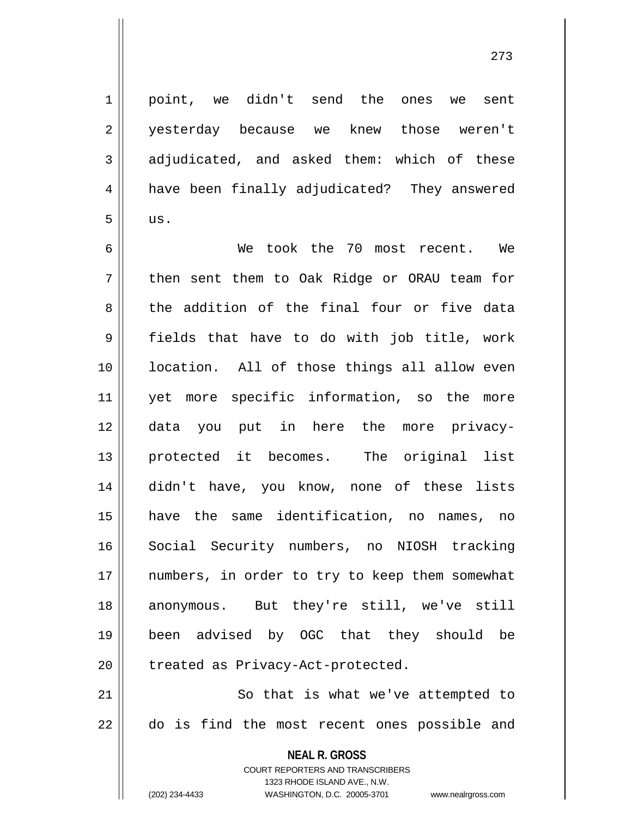1 point, we didn't send the ones we sent 2 yesterday because we knew those weren't  $3 \parallel$  adjudicated, and asked them: which of these 4 | have been finally adjudicated? They answered  $5$  || us.

6 We took the 70 most recent. We 7 || then sent them to Oak Ridge or ORAU team for 8 the addition of the final four or five data 9 fields that have to do with job title, work 10 location. All of those things all allow even 11 yet more specific information, so the more 12 data you put in here the more privacy-13 protected it becomes. The original list 14 didn't have, you know, none of these lists 15 have the same identification, no names, no 16 || Social Security numbers, no NIOSH tracking 17 || numbers, in order to try to keep them somewhat 18 || anonymous. But they're still, we've still 19 been advised by OGC that they should be 20 | treated as Privacy-Act-protected. 21 || So that is what we've attempted to

22 || do is find the most recent ones possible and

**NEAL R. GROSS** COURT REPORTERS AND TRANSCRIBERS

1323 RHODE ISLAND AVE., N.W.

(202) 234-4433 WASHINGTON, D.C. 20005-3701 www.nealrgross.com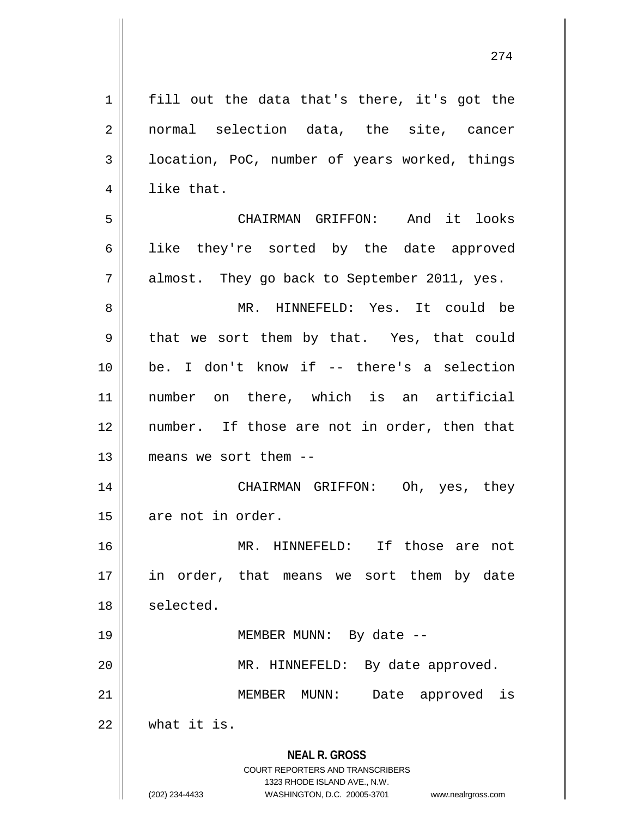| $\mathbf 1$    | fill out the data that's there, it's got the                        |
|----------------|---------------------------------------------------------------------|
| $\overline{2}$ | normal selection data, the site, cancer                             |
| 3              | location, PoC, number of years worked, things                       |
| 4              | like that.                                                          |
| 5              | CHAIRMAN GRIFFON: And it looks                                      |
| 6              | like they're sorted by the date approved                            |
| 7              | almost. They go back to September 2011, yes.                        |
| 8              | MR. HINNEFELD: Yes. It could be                                     |
| 9              | that we sort them by that. Yes, that could                          |
| 10             | be. I don't know if -- there's a selection                          |
|                |                                                                     |
| 11             | number on there, which is an artificial                             |
| 12             | number. If those are not in order, then that                        |
| 13             | means we sort them --                                               |
| 14             | CHAIRMAN GRIFFON: Oh, yes, they                                     |
| 15             | are not in order.                                                   |
| 16             | If those are<br>MR. HINNEFELD:<br>not                               |
| 17             | in order, that means we sort them by date                           |
| 18             | selected.                                                           |
| 19             | MEMBER MUNN: By date --                                             |
| 20             | MR. HINNEFELD: By date approved.                                    |
| 21             | Date approved is<br>MEMBER MUNN:                                    |
| 22             | what it is.                                                         |
|                |                                                                     |
|                | <b>NEAL R. GROSS</b><br>COURT REPORTERS AND TRANSCRIBERS            |
|                | 1323 RHODE ISLAND AVE., N.W.                                        |
|                | (202) 234-4433<br>WASHINGTON, D.C. 20005-3701<br>www.nealrgross.com |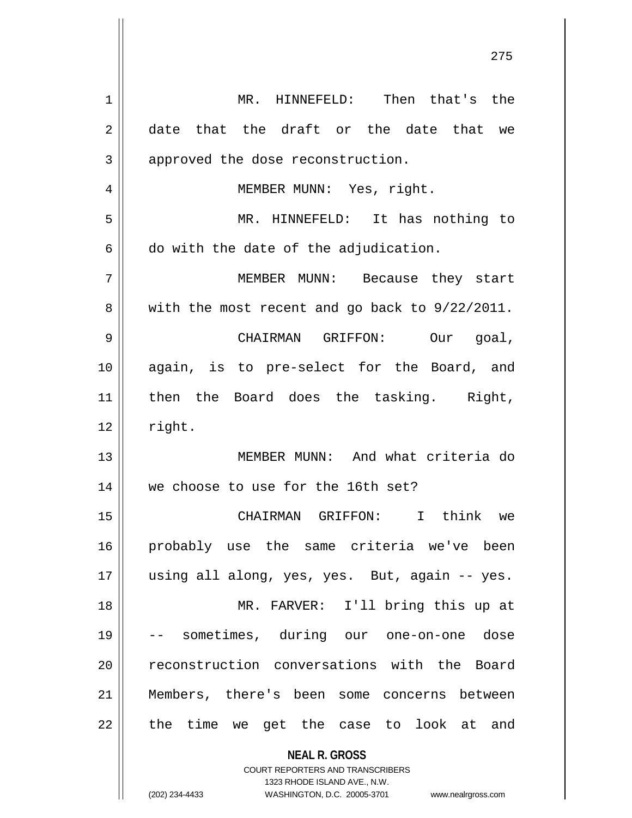| $\mathbf 1$ | Then that's the<br>MR. HINNEFELD:                                   |
|-------------|---------------------------------------------------------------------|
| 2           | date that the draft or the date that we                             |
| 3           | approved the dose reconstruction.                                   |
| 4           | MEMBER MUNN: Yes, right.                                            |
| 5           | MR. HINNEFELD: It has nothing to                                    |
| 6           | do with the date of the adjudication.                               |
| 7           | MEMBER MUNN: Because they start                                     |
| 8           | with the most recent and go back to 9/22/2011.                      |
| 9           | CHAIRMAN GRIFFON:<br>Our goal,                                      |
| 10          | again, is to pre-select for the Board, and                          |
| 11          | then the Board does the tasking. Right,                             |
| 12          | right.                                                              |
| 13          | MEMBER MUNN: And what criteria do                                   |
| 14          | we choose to use for the 16th set?                                  |
| 15          | I think<br>CHAIRMAN GRIFFON:<br>we                                  |
| 16          | probably use the same criteria we've been                           |
| 17          | using all along, yes, yes. But, again -- yes.                       |
| 18          | MR. FARVER: I'll bring this up at                                   |
| 19          | -- sometimes, during our one-on-one dose                            |
| 20          | reconstruction conversations with the Board                         |
| 21          | Members, there's been some concerns between                         |
| 22          | the time we get the case to look at and                             |
|             |                                                                     |
|             | <b>NEAL R. GROSS</b>                                                |
|             | COURT REPORTERS AND TRANSCRIBERS<br>1323 RHODE ISLAND AVE., N.W.    |
|             | (202) 234-4433<br>WASHINGTON, D.C. 20005-3701<br>www.nealrgross.com |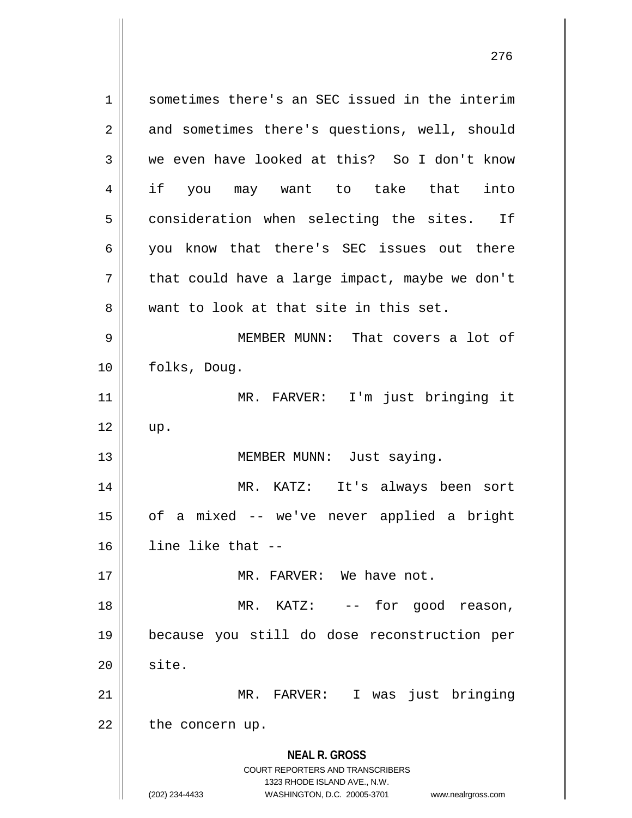**NEAL R. GROSS** COURT REPORTERS AND TRANSCRIBERS 1323 RHODE ISLAND AVE., N.W. (202) 234-4433 WASHINGTON, D.C. 20005-3701 www.nealrgross.com 1 || sometimes there's an SEC issued in the interim 2 and sometimes there's questions, well, should 3 we even have looked at this? So I don't know 4 if you may want to take that into  $5$  consideration when selecting the sites. If 6 you know that there's SEC issues out there  $7 \parallel$  that could have a large impact, maybe we don't 8 We want to look at that site in this set. 9 || MEMBER MUNN: That covers a lot of 10 | folks, Doug. 11 MR. FARVER: I'm just bringing it  $12 \parallel \text{up.}$ 13 || MEMBER MUNN: Just saying. 14 MR. KATZ: It's always been sort 15 of a mixed -- we've never applied a bright 16 line like that -- 17 || MR. FARVER: We have not. 18 MR. KATZ: -- for good reason, 19 because you still do dose reconstruction per  $20$   $\parallel$  site. 21 || MR. FARVER: I was just bringing  $22$  | the concern up.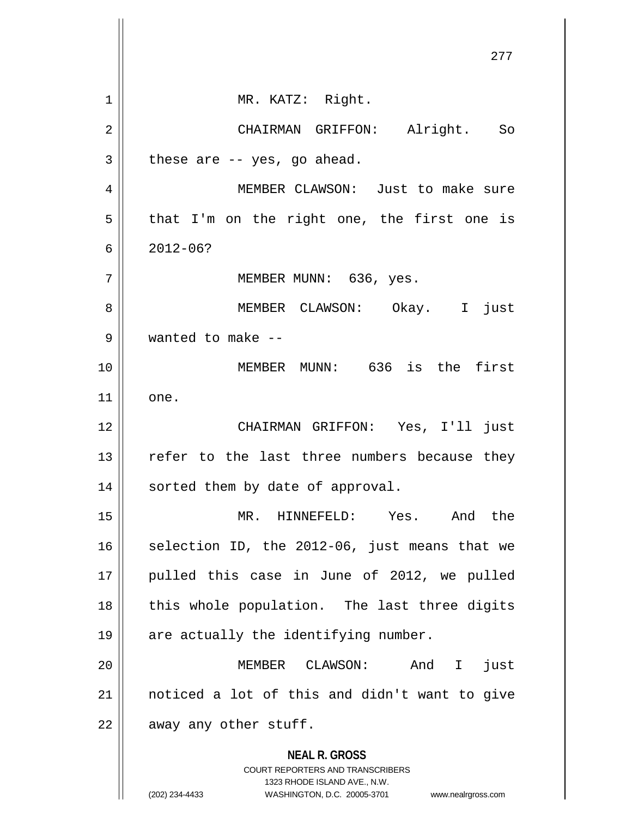**NEAL R. GROSS** COURT REPORTERS AND TRANSCRIBERS 1323 RHODE ISLAND AVE., N.W. (202) 234-4433 WASHINGTON, D.C. 20005-3701 www.nealrgross.com 277 1 || MR. KATZ: Right. 2 CHAIRMAN GRIFFON: Alright. So  $3 \parallel$  these are -- yes, go ahead. 4 || MEMBER CLAWSON: Just to make sure  $5 \parallel$  that I'm on the right one, the first one is 6 2012-06? 7 MEMBER MUNN: 636, yes. 8 MEMBER CLAWSON: Okay. I just 9 wanted to make -- 10 MEMBER MUNN: 636 is the first  $11$  one. 12 CHAIRMAN GRIFFON: Yes, I'll just 13 || refer to the last three numbers because they 14 | sorted them by date of approval. 15 MR. HINNEFELD: Yes. And the 16  $\parallel$  selection ID, the 2012-06, just means that we 17 || pulled this case in June of 2012, we pulled 18 || this whole population. The last three digits 19 || are actually the identifying number. 20 MEMBER CLAWSON: And I just 21 noticed a lot of this and didn't want to give  $22$  | away any other stuff.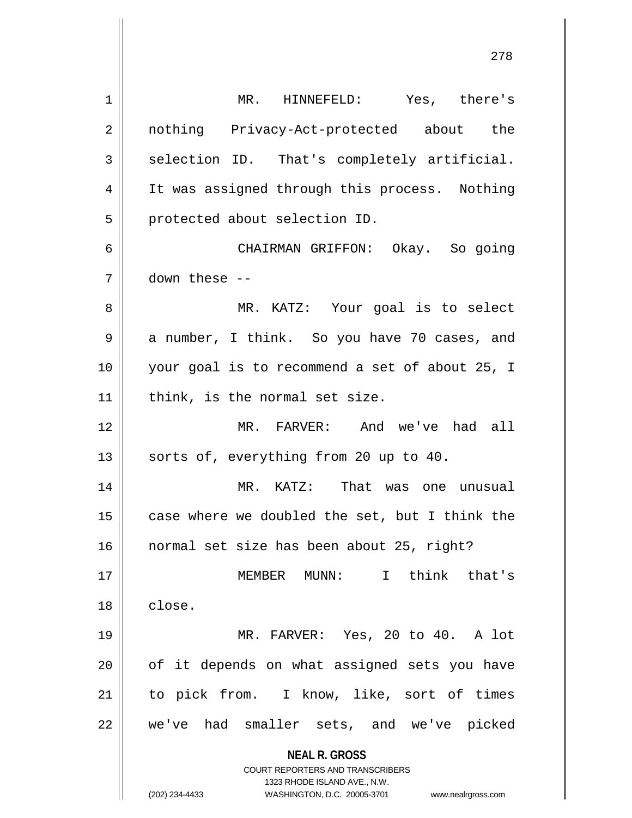**NEAL R. GROSS** COURT REPORTERS AND TRANSCRIBERS 1323 RHODE ISLAND AVE., N.W. (202) 234-4433 WASHINGTON, D.C. 20005-3701 www.nealrgross.com 1 MR. HINNEFELD: Yes, there's 2 || nothing Privacy-Act-protected about the  $3 \parallel$  selection ID. That's completely artificial. 4 || It was assigned through this process. Nothing 5 | protected about selection ID. 6 CHAIRMAN GRIFFON: Okay. So going 7 down these -- 8 MR. KATZ: Your goal is to select 9 a number, I think. So you have 70 cases, and 10 your goal is to recommend a set of about 25, I  $11$  | think, is the normal set size. 12 MR. FARVER: And we've had all 13  $\vert$  sorts of, everything from 20 up to 40. 14 MR. KATZ: That was one unusual 15 || case where we doubled the set, but I think the 16 normal set size has been about 25, right? 17 MEMBER MUNN: I think that's 18 close. 19 MR. FARVER: Yes, 20 to 40. A lot  $20$  | of it depends on what assigned sets you have 21 || to pick from. I know, like, sort of times 22 we've had smaller sets, and we've picked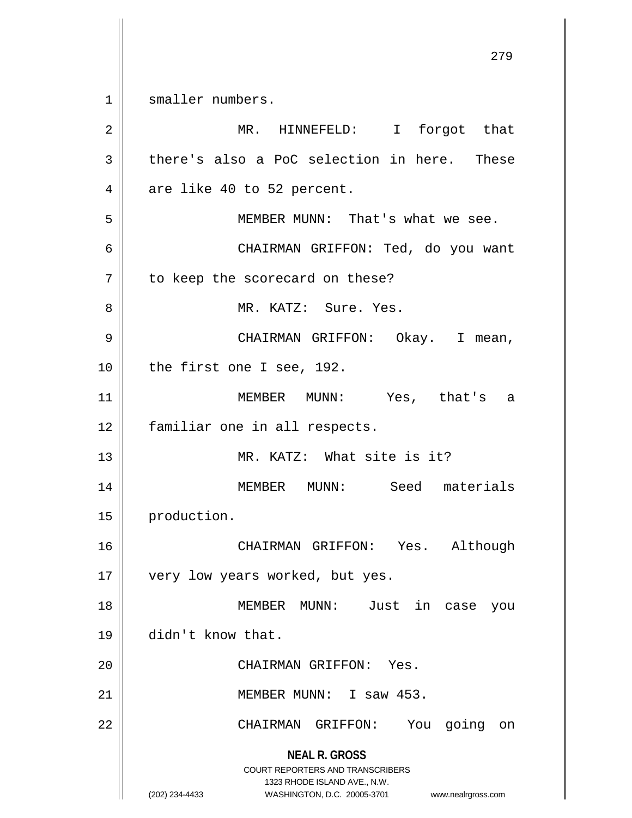1 | smaller numbers.

| 2  | MR. HINNEFELD: I forgot that                                                                                                                                    |
|----|-----------------------------------------------------------------------------------------------------------------------------------------------------------------|
| 3  | there's also a PoC selection in here. These                                                                                                                     |
| 4  | are like 40 to 52 percent.                                                                                                                                      |
| 5  | MEMBER MUNN: That's what we see.                                                                                                                                |
| 6  | CHAIRMAN GRIFFON: Ted, do you want                                                                                                                              |
| 7  | to keep the scorecard on these?                                                                                                                                 |
| 8  | MR. KATZ: Sure. Yes.                                                                                                                                            |
| 9  | CHAIRMAN GRIFFON: Okay. I mean,                                                                                                                                 |
| 10 | the first one I see, 192.                                                                                                                                       |
| 11 | MEMBER MUNN: Yes, that's a                                                                                                                                      |
| 12 | familiar one in all respects.                                                                                                                                   |
| 13 | MR. KATZ: What site is it?                                                                                                                                      |
| 14 | MEMBER MUNN: Seed materials                                                                                                                                     |
| 15 | production.                                                                                                                                                     |
| 16 | CHAIRMAN GRIFFON: Yes. Although                                                                                                                                 |
| 17 | very low years worked, but yes.                                                                                                                                 |
| 18 | MEMBER<br>MUNN: Just<br>in<br>case<br>you                                                                                                                       |
| 19 | didn't know that.                                                                                                                                               |
| 20 | CHAIRMAN GRIFFON: Yes.                                                                                                                                          |
| 21 | MEMBER MUNN: I saw 453.                                                                                                                                         |
| 22 | You going<br>CHAIRMAN GRIFFON:<br>on                                                                                                                            |
|    | <b>NEAL R. GROSS</b><br>COURT REPORTERS AND TRANSCRIBERS<br>1323 RHODE ISLAND AVE., N.W.<br>(202) 234-4433<br>WASHINGTON, D.C. 20005-3701<br>www.nealrgross.com |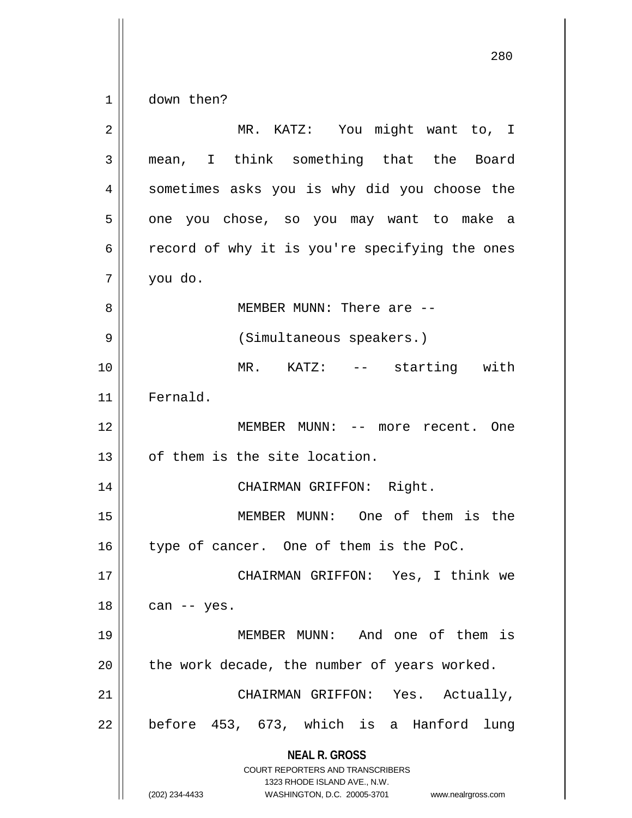$1 \parallel$  down then?

| $\overline{2}$ | MR. KATZ: You might want to, I                                                                                                                                                                                                                                                                                                                                                                                                   |
|----------------|----------------------------------------------------------------------------------------------------------------------------------------------------------------------------------------------------------------------------------------------------------------------------------------------------------------------------------------------------------------------------------------------------------------------------------|
| 3              | mean, I think something that the Board                                                                                                                                                                                                                                                                                                                                                                                           |
| 4              | sometimes asks you is why did you choose the                                                                                                                                                                                                                                                                                                                                                                                     |
| 5              | one you chose, so you may want to make a                                                                                                                                                                                                                                                                                                                                                                                         |
| 6              | record of why it is you're specifying the ones                                                                                                                                                                                                                                                                                                                                                                                   |
| 7              | you do.                                                                                                                                                                                                                                                                                                                                                                                                                          |
| 8              | MEMBER MUNN: There are --                                                                                                                                                                                                                                                                                                                                                                                                        |
| 9              | (Simultaneous speakers.)                                                                                                                                                                                                                                                                                                                                                                                                         |
| 10             | $MR$ . $KATZ$ :<br>starting with<br>$\frac{1}{2} \frac{1}{2} \frac{1}{2} \frac{1}{2} \frac{1}{2} \frac{1}{2} \frac{1}{2} \frac{1}{2} \frac{1}{2} \frac{1}{2} \frac{1}{2} \frac{1}{2} \frac{1}{2} \frac{1}{2} \frac{1}{2} \frac{1}{2} \frac{1}{2} \frac{1}{2} \frac{1}{2} \frac{1}{2} \frac{1}{2} \frac{1}{2} \frac{1}{2} \frac{1}{2} \frac{1}{2} \frac{1}{2} \frac{1}{2} \frac{1}{2} \frac{1}{2} \frac{1}{2} \frac{1}{2} \frac{$ |
| 11             | Fernald.                                                                                                                                                                                                                                                                                                                                                                                                                         |
| 12             | MEMBER MUNN: -- more recent. One                                                                                                                                                                                                                                                                                                                                                                                                 |
| 13             | of them is the site location.                                                                                                                                                                                                                                                                                                                                                                                                    |
| 14             | CHAIRMAN GRIFFON: Right.                                                                                                                                                                                                                                                                                                                                                                                                         |
| 15             | MEMBER MUNN: One of them is the                                                                                                                                                                                                                                                                                                                                                                                                  |
| 16             | type of cancer. One of them is the PoC.                                                                                                                                                                                                                                                                                                                                                                                          |
| 17             | CHAIRMAN GRIFFON: Yes, I think we                                                                                                                                                                                                                                                                                                                                                                                                |
| 18             | can -- yes.                                                                                                                                                                                                                                                                                                                                                                                                                      |
| 19             | MEMBER MUNN: And one of them is                                                                                                                                                                                                                                                                                                                                                                                                  |
| 20             | the work decade, the number of years worked.                                                                                                                                                                                                                                                                                                                                                                                     |
| 21             | CHAIRMAN GRIFFON: Yes. Actually,                                                                                                                                                                                                                                                                                                                                                                                                 |
| 22             | before 453, 673, which is a Hanford<br>lung                                                                                                                                                                                                                                                                                                                                                                                      |
|                | <b>NEAL R. GROSS</b><br><b>COURT REPORTERS AND TRANSCRIBERS</b><br>1323 RHODE ISLAND AVE., N.W.<br>(202) 234-4433<br>WASHINGTON, D.C. 20005-3701<br>www.nealrgross.com                                                                                                                                                                                                                                                           |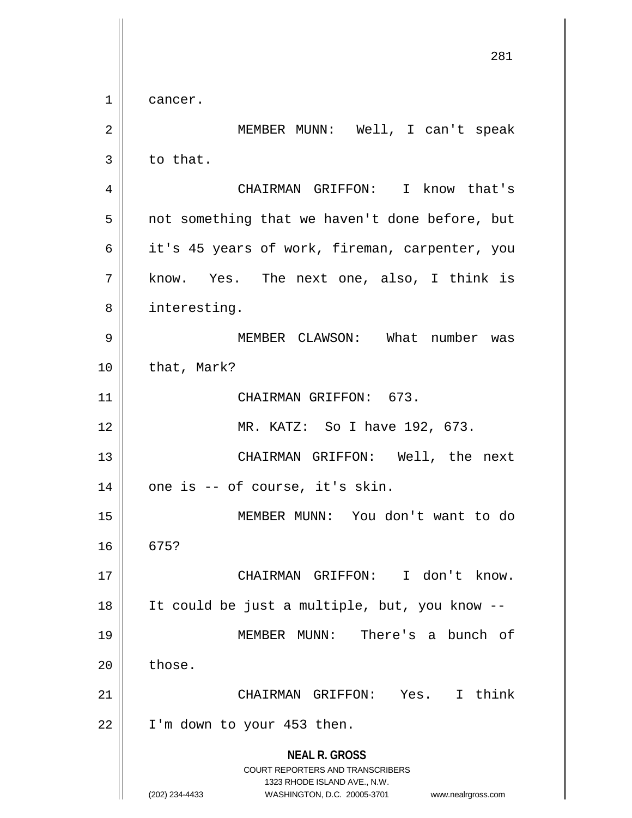**NEAL R. GROSS** COURT REPORTERS AND TRANSCRIBERS 1323 RHODE ISLAND AVE., N.W. (202) 234-4433 WASHINGTON, D.C. 20005-3701 www.nealrgross.com 281 1 cancer. 2 MEMBER MUNN: Well, I can't speak  $3 \parallel$  to that. 4 CHAIRMAN GRIFFON: I know that's  $5 \parallel$  not something that we haven't done before, but 6 it's 45 years of work, fireman, carpenter, you 7 || know. Yes. The next one, also, I think is 8 || interesting. 9 MEMBER CLAWSON: What number was  $10$  | that, Mark? 11 || CHAIRMAN GRIFFON: 673. 12 MR. KATZ: So I have 192, 673. 13 CHAIRMAN GRIFFON: Well, the next  $14 \parallel$  one is -- of course, it's skin. 15 MEMBER MUNN: You don't want to do 16 675? 17 || CHAIRMAN GRIFFON: I don't know. 18 It could be just a multiple, but, you know -- 19 MEMBER MUNN: There's a bunch of  $20$  | those. 21 CHAIRMAN GRIFFON: Yes. I think 22 | I'm down to your 453 then.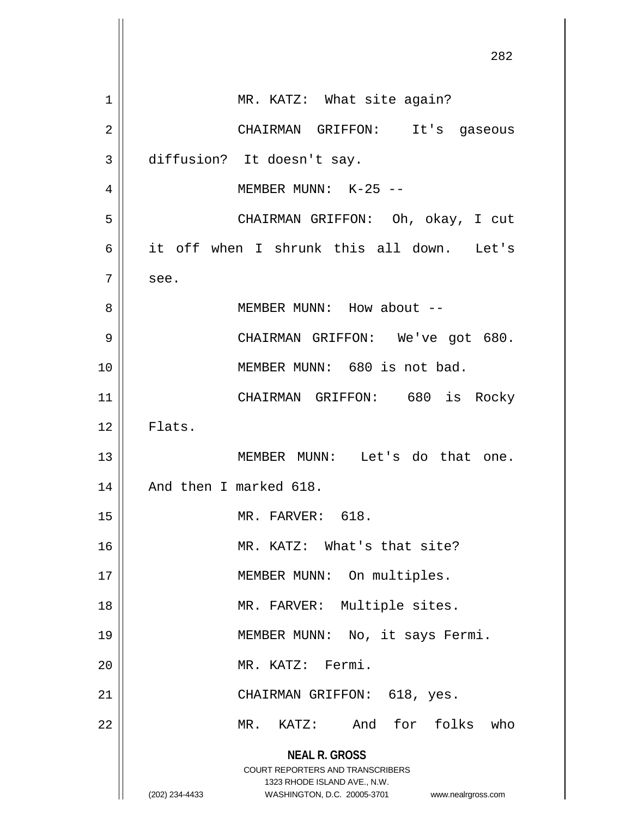**NEAL R. GROSS** COURT REPORTERS AND TRANSCRIBERS 1323 RHODE ISLAND AVE., N.W. (202) 234-4433 WASHINGTON, D.C. 20005-3701 www.nealrgross.com 282 1 || MR. KATZ: What site again? 2 CHAIRMAN GRIFFON: It's gaseous 3 | diffusion? It doesn't say. 4 MEMBER MUNN: K-25 -- 5 CHAIRMAN GRIFFON: Oh, okay, I cut 6 it off when I shrunk this all down. Let's  $7 \parallel$  see. 8 MEMBER MUNN: How about -- 9 CHAIRMAN GRIFFON: We've got 680. 10 MEMBER MUNN: 680 is not bad. 11 CHAIRMAN GRIFFON: 680 is Rocky  $12 \parallel$  Flats. 13 MEMBER MUNN: Let's do that one. 14 || And then I marked 618. 15 || MR. FARVER: 618. 16 MR. KATZ: What's that site? 17 || MEMBER MUNN: On multiples. 18 || MR. FARVER: Multiple sites. 19 MEMBER MUNN: No, it says Fermi. 20 | MR. KATZ: Fermi. 21 || CHAIRMAN GRIFFON: 618, yes. 22 MR. KATZ: And for folks who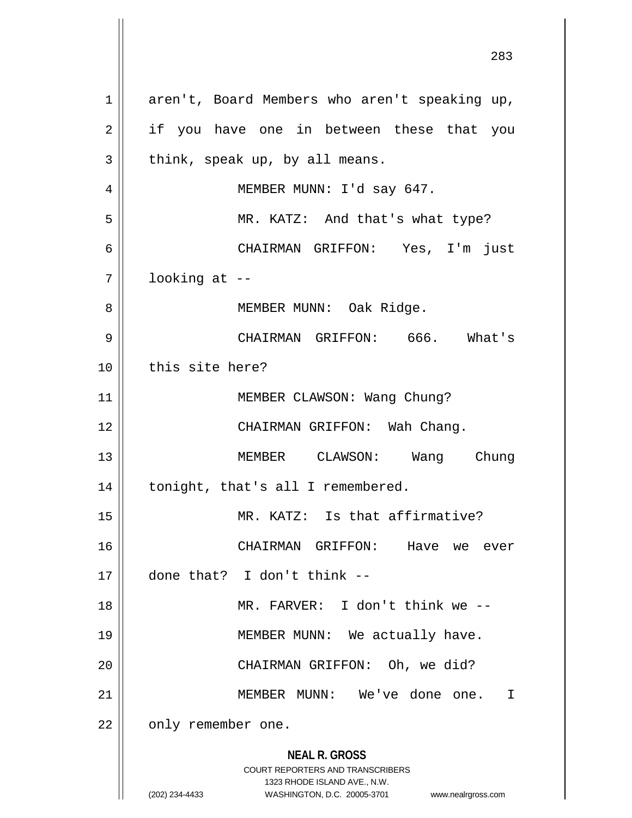**NEAL R. GROSS** COURT REPORTERS AND TRANSCRIBERS 1323 RHODE ISLAND AVE., N.W. (202) 234-4433 WASHINGTON, D.C. 20005-3701 www.nealrgross.com 1 || aren't, Board Members who aren't speaking up, 2 || if you have one in between these that you  $3 \parallel$  think, speak up, by all means. 4 || MEMBER MUNN: I'd say 647. 5 || MR. KATZ: And that's what type? 6 CHAIRMAN GRIFFON: Yes, I'm just  $7 \parallel$  looking at  $-$ 8 || MEMBER MUNN: Oak Ridge. 9 CHAIRMAN GRIFFON: 666. What's 10 || this site here? 11 || MEMBER CLAWSON: Wang Chung? 12 || CHAIRMAN GRIFFON: Wah Chang. 13 MEMBER CLAWSON: Wang Chung 14 | tonight, that's all I remembered. 15 MR. KATZ: Is that affirmative? 16 CHAIRMAN GRIFFON: Have we ever 17 done that? I don't think -- 18 MR. FARVER: I don't think we -- 19 || MEMBER MUNN: We actually have. 20 || CHAIRMAN GRIFFON: Oh, we did? 21 MEMBER MUNN: We've done one. I 22 | only remember one.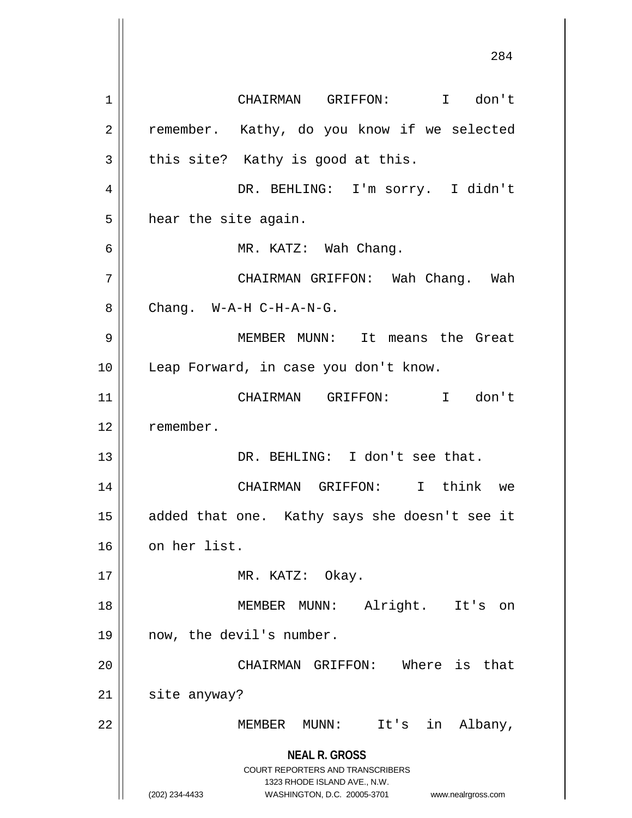**NEAL R. GROSS** COURT REPORTERS AND TRANSCRIBERS 1323 RHODE ISLAND AVE., N.W. (202) 234-4433 WASHINGTON, D.C. 20005-3701 www.nealrgross.com 284 1 CHAIRMAN GRIFFON: I don't 2 | remember. Kathy, do you know if we selected  $3 \parallel$  this site? Kathy is good at this. 4 DR. BEHLING: I'm sorry. I didn't  $5$  | hear the site again. 6 MR. KATZ: Wah Chang. 7 CHAIRMAN GRIFFON: Wah Chang. Wah  $8$  || Chang. W-A-H C-H-A-N-G. 9 MEMBER MUNN: It means the Great 10 Leap Forward, in case you don't know. 11 CHAIRMAN GRIFFON: I don't 12 remember. 13 || DR. BEHLING: I don't see that. 14 CHAIRMAN GRIFFON: I think we 15 || added that one. Kathy says she doesn't see it 16 | on her list. 17 || MR. KATZ: Okay. 18 MEMBER MUNN: Alright. It's on 19 now, the devil's number. 20 CHAIRMAN GRIFFON: Where is that  $21$  site anyway? 22 || MEMBER MUNN: It's in Albany,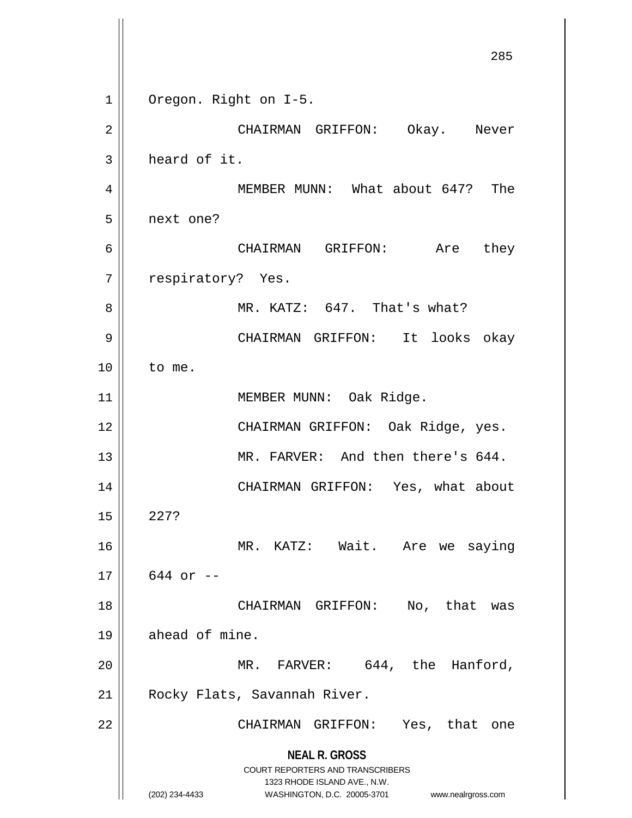**NEAL R. GROSS** COURT REPORTERS AND TRANSCRIBERS 1323 RHODE ISLAND AVE., N.W. (202) 234-4433 WASHINGTON, D.C. 20005-3701 www.nealrgross.com 285 1 | Oregon. Right on I-5. 2 CHAIRMAN GRIFFON: Okay. Never  $3 \parallel$  heard of it. 4 MEMBER MUNN: What about 647? The 5 | next one? 6 CHAIRMAN GRIFFON: Are they 7 || respiratory? Yes. 8 MR. KATZ: 647. That's what? 9 CHAIRMAN GRIFFON: It looks okay 10 to me. 11 || MEMBER MUNN: Oak Ridge. 12 CHAIRMAN GRIFFON: Oak Ridge, yes. 13 MR. FARVER: And then there's 644. 14 CHAIRMAN GRIFFON: Yes, what about  $15$  | 227? 16 || MR. KATZ: Wait. Are we saying  $17 \parallel 644 \text{ or } -$ 18 CHAIRMAN GRIFFON: No, that was  $19 \parallel$  ahead of mine. 20 || MR. FARVER: 644, the Hanford, 21 | Rocky Flats, Savannah River. 22 || CHAIRMAN GRIFFON: Yes, that one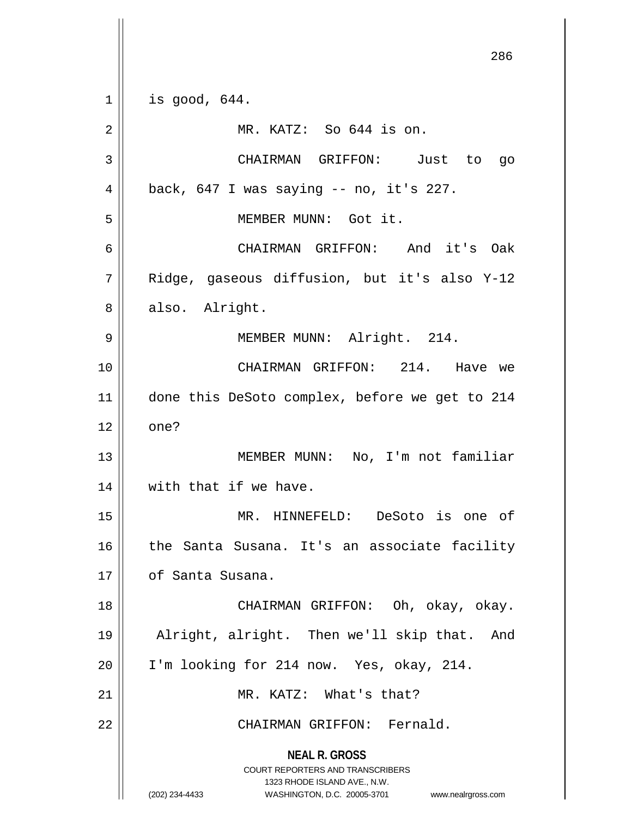|    | 286                                                                                                                                                                    |
|----|------------------------------------------------------------------------------------------------------------------------------------------------------------------------|
| 1  | is good, $644.$                                                                                                                                                        |
| 2  | MR. KATZ: So 644 is on.                                                                                                                                                |
| 3  | CHAIRMAN GRIFFON: Just to<br>go                                                                                                                                        |
| 4  | back, $647$ I was saying $-$ no, it's 227.                                                                                                                             |
| 5  | MEMBER MUNN: Got it.                                                                                                                                                   |
| 6  | CHAIRMAN GRIFFON: And it's Oak                                                                                                                                         |
| 7  | Ridge, gaseous diffusion, but it's also Y-12                                                                                                                           |
| 8  | also. Alright.                                                                                                                                                         |
| 9  | MEMBER MUNN: Alright. 214.                                                                                                                                             |
| 10 | CHAIRMAN GRIFFON: 214. Have we                                                                                                                                         |
| 11 | done this DeSoto complex, before we get to 214                                                                                                                         |
| 12 | one?                                                                                                                                                                   |
| 13 | MEMBER MUNN: No, I'm not familiar                                                                                                                                      |
| 14 | with that if we have.                                                                                                                                                  |
| 15 | MR. HINNEFELD: DeSoto is one of                                                                                                                                        |
| 16 | the Santa Susana. It's an associate facility                                                                                                                           |
| 17 | of Santa Susana.                                                                                                                                                       |
| 18 | CHAIRMAN GRIFFON: Oh, okay, okay.                                                                                                                                      |
| 19 | Alright, alright. Then we'll skip that. And                                                                                                                            |
| 20 | I'm looking for 214 now. Yes, okay, 214.                                                                                                                               |
| 21 | MR. KATZ: What's that?                                                                                                                                                 |
| 22 | CHAIRMAN GRIFFON: Fernald.                                                                                                                                             |
|    | <b>NEAL R. GROSS</b><br><b>COURT REPORTERS AND TRANSCRIBERS</b><br>1323 RHODE ISLAND AVE., N.W.<br>(202) 234-4433<br>WASHINGTON, D.C. 20005-3701<br>www.nealrgross.com |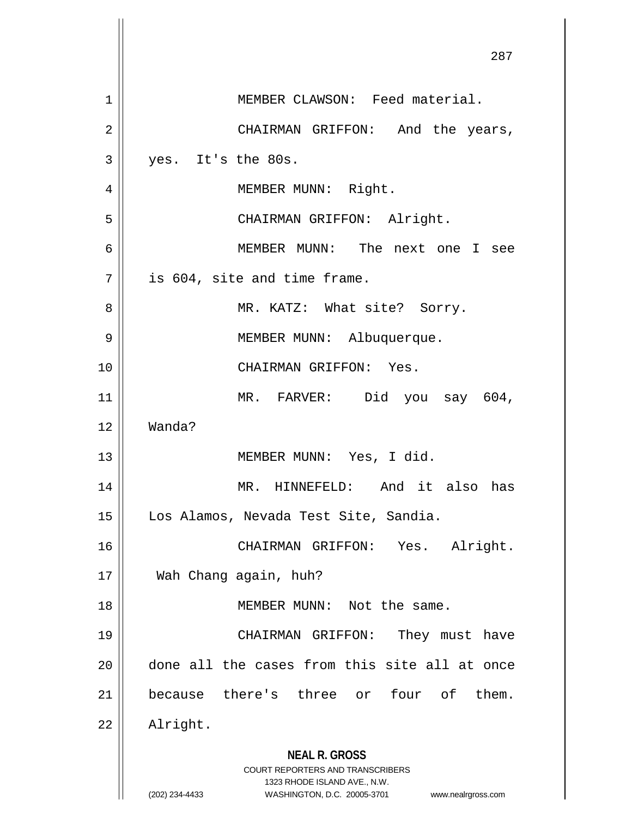|    | 287                                                                                                 |
|----|-----------------------------------------------------------------------------------------------------|
| 1  | MEMBER CLAWSON: Feed material.                                                                      |
| 2  | CHAIRMAN GRIFFON: And the years,                                                                    |
| 3  | yes. It's the 80s.                                                                                  |
| 4  | MEMBER MUNN: Right.                                                                                 |
| 5  | CHAIRMAN GRIFFON: Alright.                                                                          |
| 6  | MEMBER MUNN: The next one I see                                                                     |
| 7  | is 604, site and time frame.                                                                        |
| 8  | MR. KATZ: What site? Sorry.                                                                         |
| 9  | MEMBER MUNN: Albuquerque.                                                                           |
| 10 | CHAIRMAN GRIFFON: Yes.                                                                              |
| 11 | MR. FARVER: Did you say 604,                                                                        |
| 12 | Wanda?                                                                                              |
| 13 | MEMBER MUNN: Yes, I did.                                                                            |
| 14 | MR. HINNEFELD:<br>And<br>it also<br>has                                                             |
| 15 | Los Alamos, Nevada Test Site, Sandia.                                                               |
| 16 | CHAIRMAN GRIFFON: Yes.<br>Alright.                                                                  |
| 17 | Wah Chang again, huh?                                                                               |
| 18 | MEMBER MUNN: Not the same.                                                                          |
| 19 | CHAIRMAN GRIFFON:<br>They must have                                                                 |
| 20 | done all the cases from this site all at once                                                       |
| 21 | because there's three or four of<br>them.                                                           |
| 22 | Alright.                                                                                            |
|    | <b>NEAL R. GROSS</b><br>COURT REPORTERS AND TRANSCRIBERS                                            |
|    | 1323 RHODE ISLAND AVE., N.W.<br>(202) 234-4433<br>WASHINGTON, D.C. 20005-3701<br>www.nealrgross.com |
|    |                                                                                                     |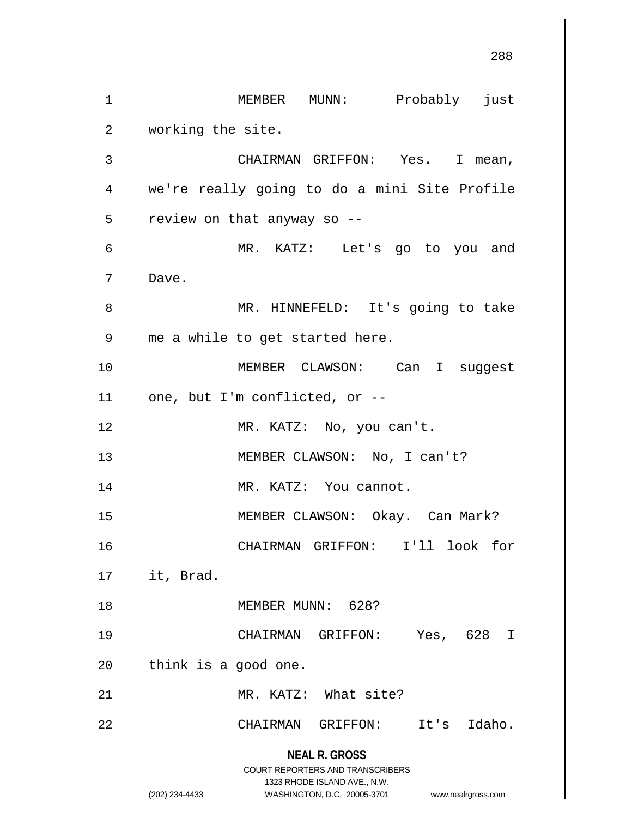**NEAL R. GROSS** COURT REPORTERS AND TRANSCRIBERS 1323 RHODE ISLAND AVE., N.W. (202) 234-4433 WASHINGTON, D.C. 20005-3701 www.nealrgross.com 288 1 || MEMBER MUNN: Probably just 2 | working the site. 3 CHAIRMAN GRIFFON: Yes. I mean, 4 we're really going to do a mini Site Profile  $5$  | review on that anyway so --6 MR. KATZ: Let's go to you and 7 Dave. 8 MR. HINNEFELD: It's going to take 9 || me a while to get started here. 10 MEMBER CLAWSON: Can I suggest 11  $\parallel$  one, but I'm conflicted, or --12 || MR. KATZ: No, you can't. 13 || MEMBER CLAWSON: No, I can't? 14 || MR. KATZ: You cannot. 15 || MEMBER CLAWSON: Okay. Can Mark? 16 CHAIRMAN GRIFFON: I'll look for 17 it, Brad. 18 || MEMBER MUNN: 628? 19 CHAIRMAN GRIFFON: Yes, 628 I  $20$  | think is a good one. 21 | MR. KATZ: What site? 22 CHAIRMAN GRIFFON: It's Idaho.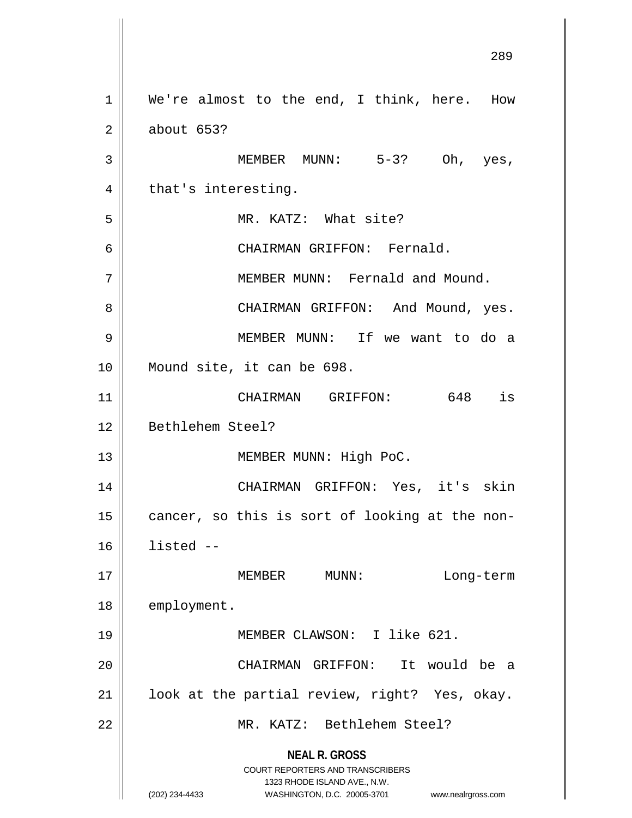**NEAL R. GROSS** COURT REPORTERS AND TRANSCRIBERS 1323 RHODE ISLAND AVE., N.W. (202) 234-4433 WASHINGTON, D.C. 20005-3701 www.nealrgross.com 289 1 || We're almost to the end, I think, here. How 2 about 653? 3 MEMBER MUNN: 5-3? Oh, yes,  $4 \parallel$  that's interesting. 5 MR. KATZ: What site? 6 CHAIRMAN GRIFFON: Fernald. 7 || MEMBER MUNN: Fernald and Mound. 8 CHAIRMAN GRIFFON: And Mound, yes. 9 MEMBER MUNN: If we want to do a 10 Mound site, it can be 698. 11 CHAIRMAN GRIFFON: 648 is 12 || Bethlehem Steel? 13 || MEMBER MUNN: High PoC. 14 CHAIRMAN GRIFFON: Yes, it's skin  $15$  cancer, so this is sort of looking at the non- $16$  listed  $-$ 17 || MEMBER MUNN: Long-term 18 | employment. 19 MEMBER CLAWSON: I like 621. 20 CHAIRMAN GRIFFON: It would be a  $21$  | look at the partial review, right? Yes, okay. 22 MR. KATZ: Bethlehem Steel?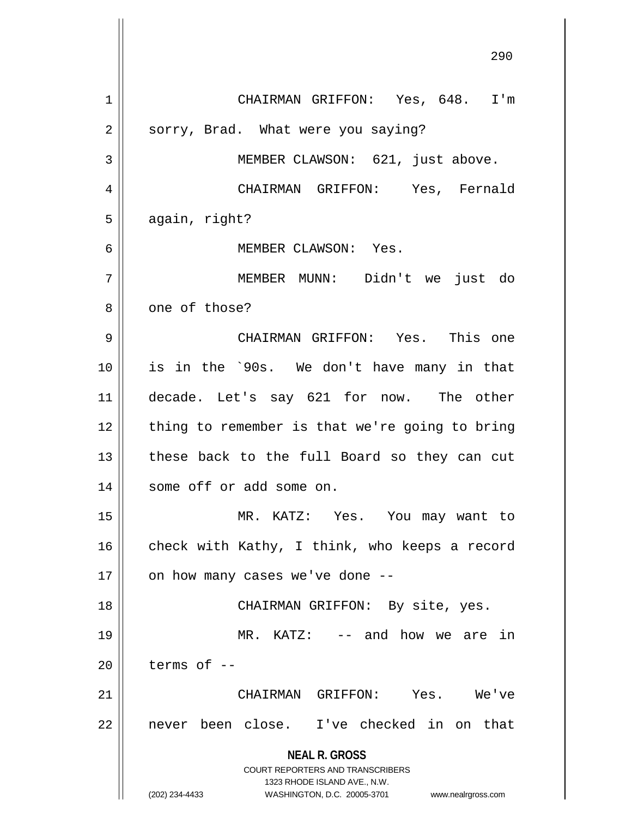**NEAL R. GROSS** COURT REPORTERS AND TRANSCRIBERS 1323 RHODE ISLAND AVE., N.W. (202) 234-4433 WASHINGTON, D.C. 20005-3701 www.nealrgross.com 290 1 CHAIRMAN GRIFFON: Yes, 648. I'm  $2 \parallel$  sorry, Brad. What were you saying? 3 || MEMBER CLAWSON: 621, just above. 4 CHAIRMAN GRIFFON: Yes, Fernald  $5 \parallel$  again, right? 6 MEMBER CLAWSON: Yes. 7 MEMBER MUNN: Didn't we just do 8 || one of those? 9 CHAIRMAN GRIFFON: Yes. This one 10 is in the `90s. We don't have many in that 11 decade. Let's say 621 for now. The other  $12$  | thing to remember is that we're going to bring 13 || these back to the full Board so they can cut 14 | some off or add some on. 15 MR. KATZ: Yes. You may want to 16  $\parallel$  check with Kathy, I think, who keeps a record  $17$  | on how many cases we've done --18 CHAIRMAN GRIFFON: By site, yes. 19 MR. KATZ: -- and how we are in  $20$  || terms of  $-$ 21 CHAIRMAN GRIFFON: Yes. We've 22 || never been close. I've checked in on that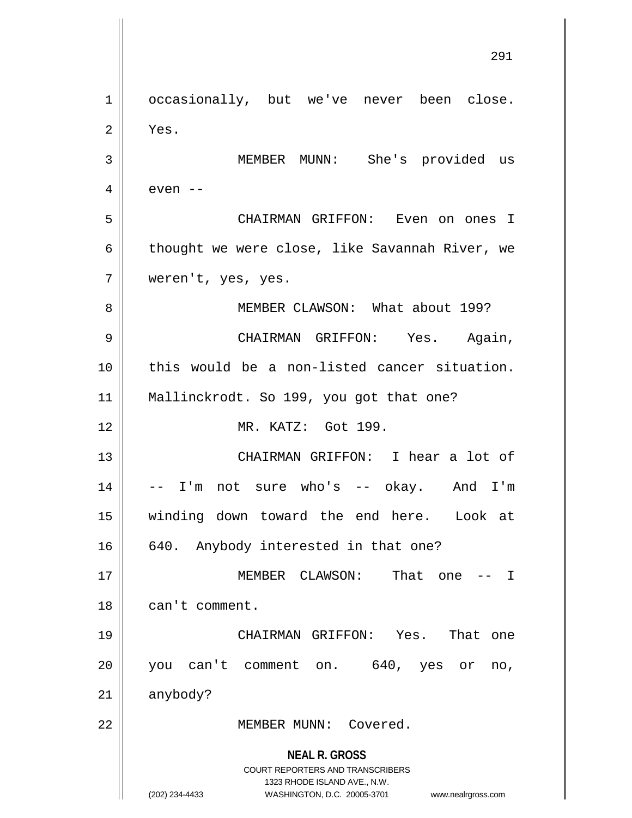**NEAL R. GROSS** COURT REPORTERS AND TRANSCRIBERS 1323 RHODE ISLAND AVE., N.W. (202) 234-4433 WASHINGTON, D.C. 20005-3701 www.nealrgross.com 1 || occasionally, but we've never been close.  $2 \parallel$  Yes. MEMBER MUNN: She's provided us  $4 \parallel$  even  $-$  CHAIRMAN GRIFFON: Even on ones I  $\parallel$  thought we were close, like Savannah River, we weren't, yes, yes. 8 || MEMBER CLAWSON: What about 199? CHAIRMAN GRIFFON: Yes. Again, this would be a non-listed cancer situation. Mallinckrodt. So 199, you got that one? MR. KATZ: Got 199. CHAIRMAN GRIFFON: I hear a lot of -- I'm not sure who's -- okay. And I'm winding down toward the end here. Look at 16 || 640. Anybody interested in that one? MEMBER CLAWSON: That one -- I 18 | can't comment. CHAIRMAN GRIFFON: Yes. That one you can't comment on. 640, yes or no, anybody? MEMBER MUNN: Covered.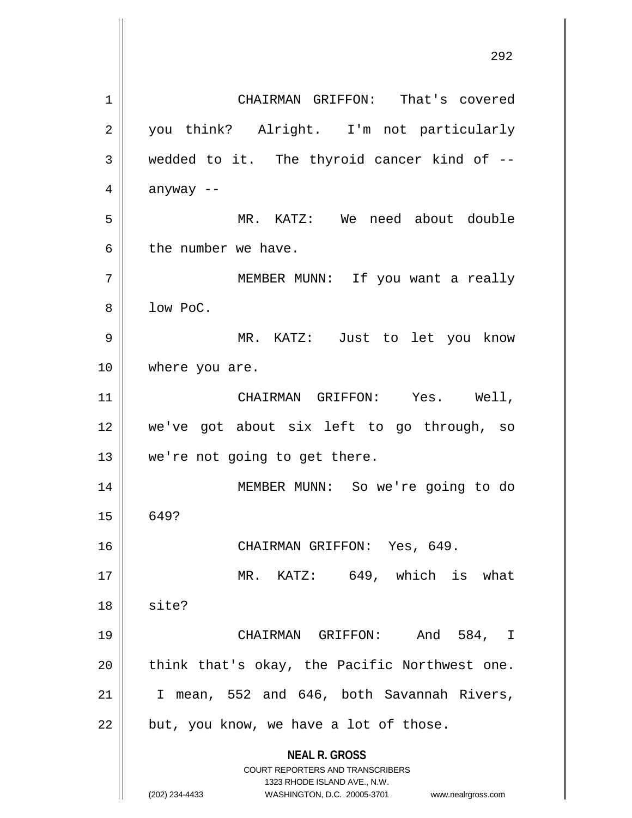**NEAL R. GROSS** COURT REPORTERS AND TRANSCRIBERS 1323 RHODE ISLAND AVE., N.W. (202) 234-4433 WASHINGTON, D.C. 20005-3701 www.nealrgross.com 1 | CHAIRMAN GRIFFON: That's covered 2 || you think? Alright. I'm not particularly  $3 \parallel$  wedded to it. The thyroid cancer kind of  $-$ 4  $\parallel$  anyway --5 MR. KATZ: We need about double  $6$  || the number we have. 7 || MEMBER MUNN: If you want a really 8 l low PoC. 9 MR. KATZ: Just to let you know 10 || where you are. 11 CHAIRMAN GRIFFON: Yes. Well, 12 we've got about six left to go through, so 13 || we're not going to get there. 14 MEMBER MUNN: So we're going to do 15 649? 16 CHAIRMAN GRIFFON: Yes, 649. 17 || MR. KATZ: 649, which is what  $18 \parallel$  site? 19 CHAIRMAN GRIFFON: And 584, I  $20$  || think that's okay, the Pacific Northwest one.  $21$  | I mean, 552 and 646, both Savannah Rivers,  $22$  || but, you know, we have a lot of those.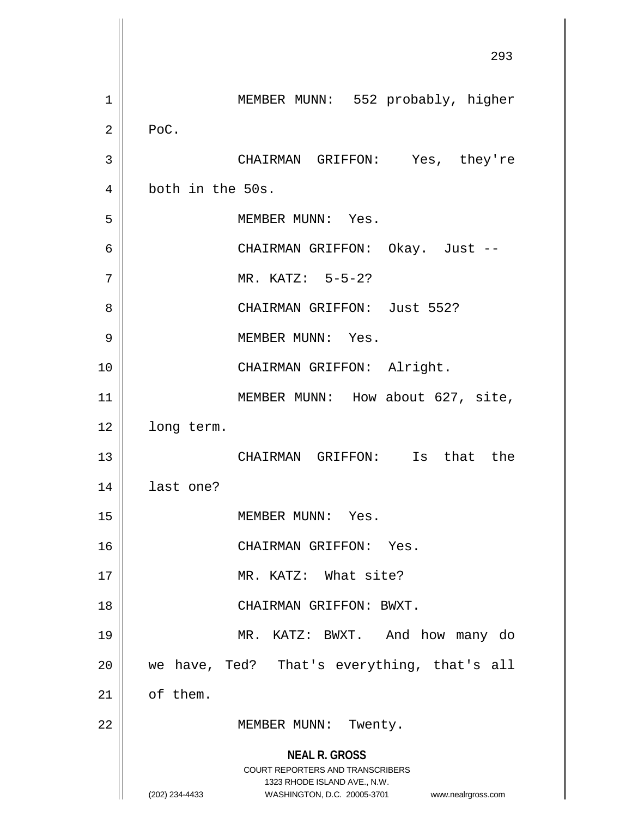**NEAL R. GROSS** COURT REPORTERS AND TRANSCRIBERS 1323 RHODE ISLAND AVE., N.W. (202) 234-4433 WASHINGTON, D.C. 20005-3701 www.nealrgross.com 293 1 | MEMBER MUNN: 552 probably, higher  $2 \parallel$  PoC. 3 CHAIRMAN GRIFFON: Yes, they're 4 || both in the 50s. 5 || MEMBER MUNN: Yes. 6 CHAIRMAN GRIFFON: Okay. Just -- 7 || MR. KATZ: 5-5-2? 8 CHAIRMAN GRIFFON: Just 552? 9 MEMBER MUNN: Yes. 10 || CHAIRMAN GRIFFON: Alright. 11 || MEMBER MUNN: How about 627, site, 12 | long term. 13 CHAIRMAN GRIFFON: Is that the 14 last one? 15 || MEMBER MUNN: Yes. 16 CHAIRMAN GRIFFON: Yes. 17 || MR. KATZ: What site? 18 CHAIRMAN GRIFFON: BWXT. 19 MR. KATZ: BWXT. And how many do  $20$  || we have, Ted? That's everything, that's all 21 | of them. 22 || MEMBER MUNN: Twenty.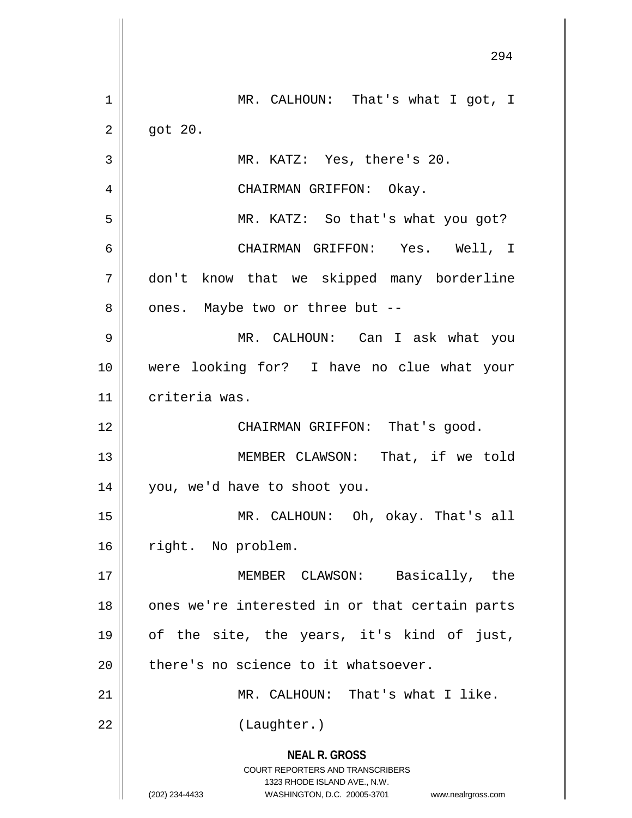**NEAL R. GROSS** COURT REPORTERS AND TRANSCRIBERS 1323 RHODE ISLAND AVE., N.W. (202) 234-4433 WASHINGTON, D.C. 20005-3701 www.nealrgross.com 294 1 || MR. CALHOUN: That's what I got, I  $2 \parallel$  got 20. 3 MR. KATZ: Yes, there's 20. 4 CHAIRMAN GRIFFON: Okay. 5 MR. KATZ: So that's what you got? 6 CHAIRMAN GRIFFON: Yes. Well, I 7 don't know that we skipped many borderline 8 || ones. Maybe two or three but --9 MR. CALHOUN: Can I ask what you 10 were looking for? I have no clue what your 11 criteria was. 12 || CHAIRMAN GRIFFON: That's good. 13 MEMBER CLAWSON: That, if we told 14 you, we'd have to shoot you. 15 MR. CALHOUN: Oh, okay. That's all 16 | right. No problem. 17 MEMBER CLAWSON: Basically, the 18 || ones we're interested in or that certain parts 19 of the site, the years, it's kind of just,  $20$  | there's no science to it whatsoever. 21 || MR. CALHOUN: That's what I like. 22 || (Laughter.)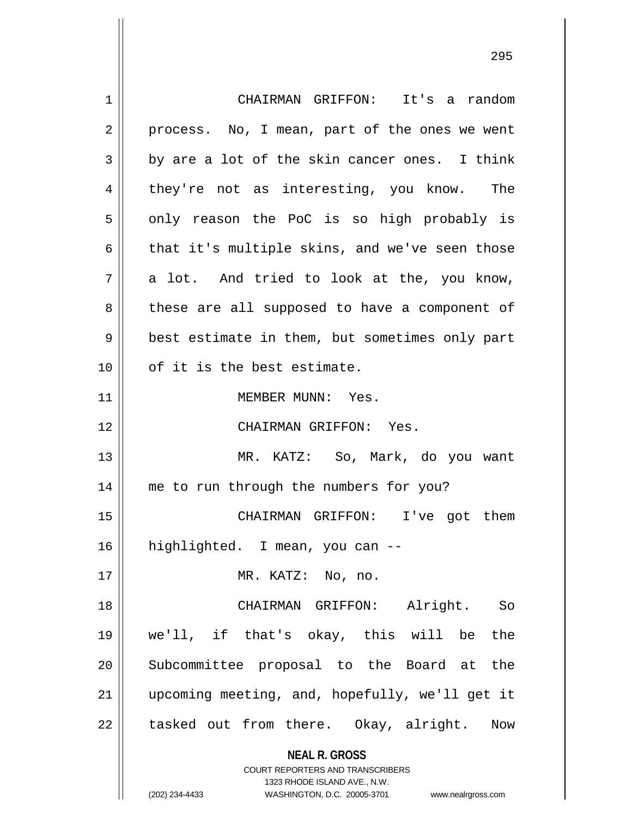**NEAL R. GROSS** COURT REPORTERS AND TRANSCRIBERS 1323 RHODE ISLAND AVE., N.W. (202) 234-4433 WASHINGTON, D.C. 20005-3701 www.nealrgross.com 1 CHAIRMAN GRIFFON: It's a random  $2 \parallel$  process. No, I mean, part of the ones we went  $3 \parallel$  by are a lot of the skin cancer ones. I think 4 they're not as interesting, you know. The  $5 \parallel$  only reason the PoC is so high probably is  $6 \parallel$  that it's multiple skins, and we've seen those  $7 \parallel$  a lot. And tried to look at the, you know, 8 these are all supposed to have a component of 9 || best estimate in them, but sometimes only part 10 || of it is the best estimate. 11 || MEMBER MUNN: Yes. 12 CHAIRMAN GRIFFON: Yes. 13 MR. KATZ: So, Mark, do you want 14 me to run through the numbers for you? 15 CHAIRMAN GRIFFON: I've got them 16 highlighted. I mean, you can -- 17 || MR. KATZ: No, no. 18 CHAIRMAN GRIFFON: Alright. So 19 we'll, if that's okay, this will be the 20 || Subcommittee proposal to the Board at the 21 upcoming meeting, and, hopefully, we'll get it  $22$  || tasked out from there. Okay, alright. Now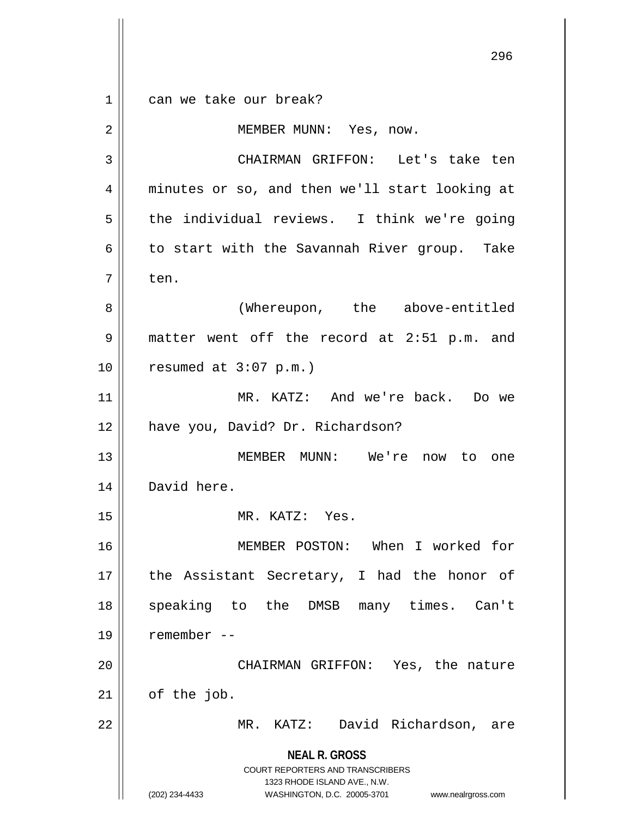**NEAL R. GROSS** COURT REPORTERS AND TRANSCRIBERS 1323 RHODE ISLAND AVE., N.W. (202) 234-4433 WASHINGTON, D.C. 20005-3701 www.nealrgross.com 296 1 can we take our break? 2 MEMBER MUNN: Yes, now. 3 CHAIRMAN GRIFFON: Let's take ten 4 || minutes or so, and then we'll start looking at  $5 \parallel$  the individual reviews. I think we're going  $6 \parallel$  to start with the Savannah River group. Take  $7 \parallel$  ten. 8 | (Whereupon, the above-entitled 9 matter went off the record at 2:51 p.m. and 10 resumed at 3:07 p.m.) 11 MR. KATZ: And we're back. Do we 12 | have you, David? Dr. Richardson? 13 MEMBER MUNN: We're now to one 14 David here. 15 || MR. KATZ: Yes. 16 MEMBER POSTON: When I worked for 17 || the Assistant Secretary, I had the honor of 18 || speaking to the DMSB many times. Can't 19 remember -- 20 CHAIRMAN GRIFFON: Yes, the nature  $21$  | of the job. 22 MR. KATZ: David Richardson, are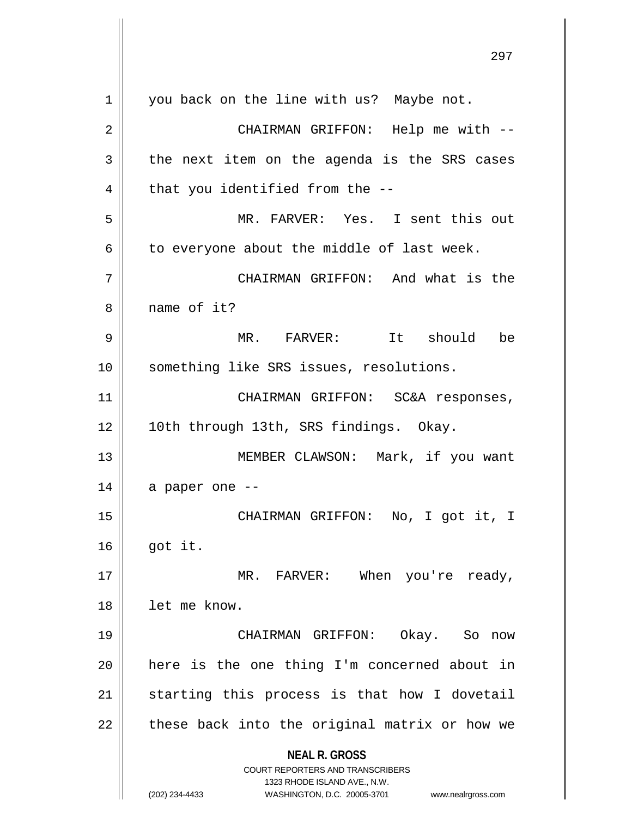| 1  | you back on the line with us? Maybe not.                                                            |
|----|-----------------------------------------------------------------------------------------------------|
| 2  | CHAIRMAN GRIFFON: Help me with --                                                                   |
| 3  | the next item on the agenda is the SRS cases                                                        |
| 4  | that you identified from the --                                                                     |
| 5  | MR. FARVER: Yes. I sent this out                                                                    |
|    |                                                                                                     |
| 6  | to everyone about the middle of last week.                                                          |
| 7  | CHAIRMAN GRIFFON: And what is the                                                                   |
| 8  | name of it?                                                                                         |
| 9  | MR. FARVER: It should be                                                                            |
| 10 | something like SRS issues, resolutions.                                                             |
| 11 | CHAIRMAN GRIFFON: SC&A responses,                                                                   |
| 12 | 10th through 13th, SRS findings. Okay.                                                              |
| 13 | MEMBER CLAWSON: Mark, if you want                                                                   |
| 14 | a paper one --                                                                                      |
| 15 | CHAIRMAN GRIFFON: No, I got it, I                                                                   |
| 16 | got it.                                                                                             |
| 17 | MR. FARVER: When you're ready,                                                                      |
| 18 | let me know.                                                                                        |
| 19 | CHAIRMAN GRIFFON: Okay. So now                                                                      |
| 20 | here is the one thing I'm concerned about in                                                        |
| 21 | starting this process is that how I dovetail                                                        |
| 22 | these back into the original matrix or how we                                                       |
|    | <b>NEAL R. GROSS</b>                                                                                |
|    | <b>COURT REPORTERS AND TRANSCRIBERS</b>                                                             |
|    | 1323 RHODE ISLAND AVE., N.W.<br>(202) 234-4433<br>WASHINGTON, D.C. 20005-3701<br>www.nealrgross.com |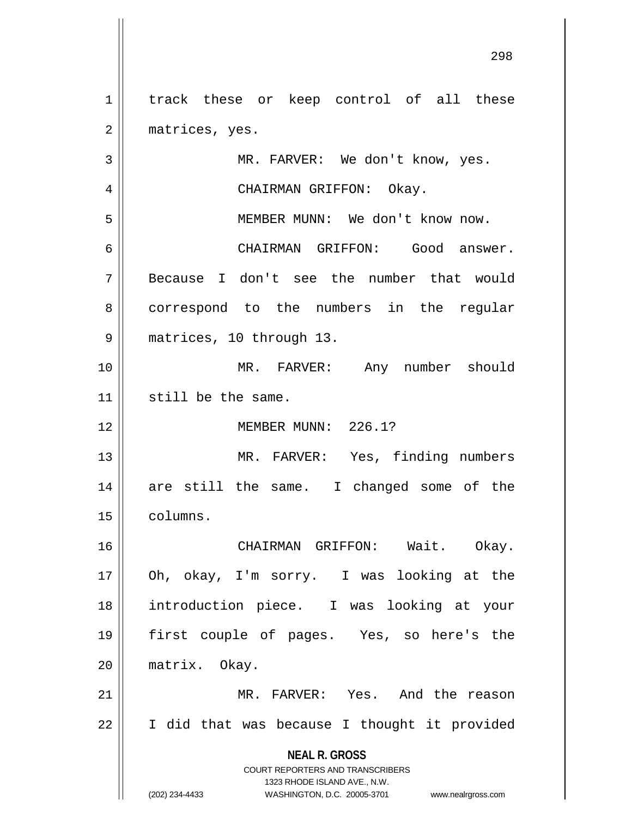1 | track these or keep control of all these 2 | matrices, yes. 3 || MR. FARVER: We don't know, yes. 4 CHAIRMAN GRIFFON: Okay.

5 || MEMBER MUNN: We don't know now.

6 CHAIRMAN GRIFFON: Good answer. 7 Because I don't see the number that would 8 correspond to the numbers in the regular 9 | matrices, 10 through 13.

10 MR. FARVER: Any number should 11 | still be the same.

12 MEMBER MUNN: 226.1?

13 MR. FARVER: Yes, finding numbers 14 are still the same. I changed some of the 15 | columns.

 CHAIRMAN GRIFFON: Wait. Okay. Oh, okay, I'm sorry. I was looking at the introduction piece. I was looking at your first couple of pages. Yes, so here's the matrix. Okay.

21 MR. FARVER: Yes. And the reason  $22$  | I did that was because I thought it provided

**NEAL R. GROSS**

COURT REPORTERS AND TRANSCRIBERS 1323 RHODE ISLAND AVE., N.W. (202) 234-4433 WASHINGTON, D.C. 20005-3701 www.nealrgross.com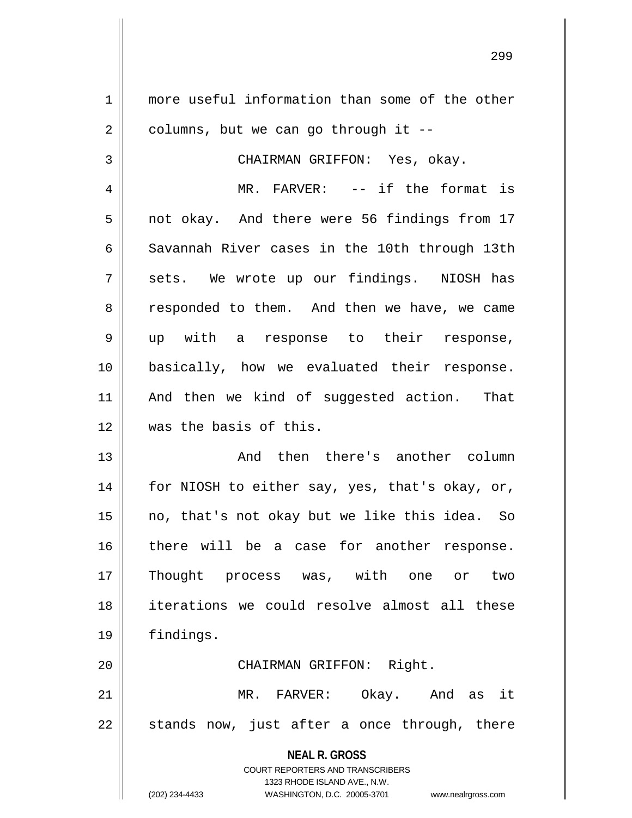**NEAL R. GROSS** COURT REPORTERS AND TRANSCRIBERS 1323 RHODE ISLAND AVE., N.W. (202) 234-4433 WASHINGTON, D.C. 20005-3701 www.nealrgross.com 1 more useful information than some of the other  $2 \parallel$  columns, but we can go through it --3 CHAIRMAN GRIFFON: Yes, okay. 4 MR. FARVER: -- if the format is 5 || not okay. And there were 56 findings from 17 6  $\parallel$  Savannah River cases in the 10th through 13th 7 Sets. We wrote up our findings. NIOSH has 8 || responded to them. And then we have, we came 9 || up with a response to their response, 10 basically, how we evaluated their response. 11 || And then we kind of suggested action. That 12 was the basis of this. 13 And then there's another column 14 for NIOSH to either say, yes, that's okay, or, 15  $\parallel$  no, that's not okay but we like this idea. So 16 there will be a case for another response. 17 Thought process was, with one or two 18 iterations we could resolve almost all these 19 findings. 20 || CHAIRMAN GRIFFON: Right. 21 MR. FARVER: Okay. And as it  $22 \parallel$  stands now, just after a once through, there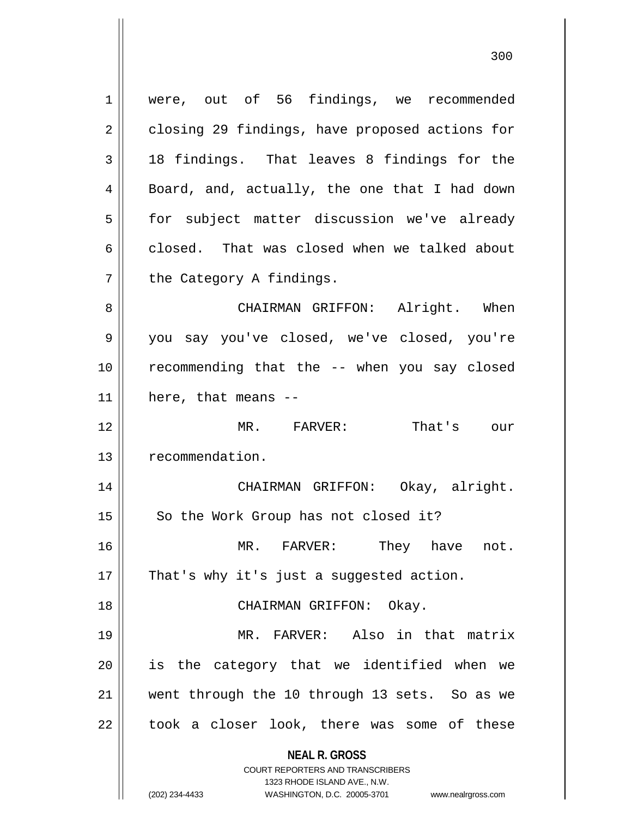**NEAL R. GROSS** COURT REPORTERS AND TRANSCRIBERS 1323 RHODE ISLAND AVE., N.W. (202) 234-4433 WASHINGTON, D.C. 20005-3701 www.nealrgross.com 1 || were, out of 56 findings, we recommended 2 | closing 29 findings, have proposed actions for  $3 \parallel$  18 findings. That leaves 8 findings for the 4 || Board, and, actually, the one that I had down 5 | for subject matter discussion we've already 6 closed. That was closed when we talked about  $7$  | the Category A findings. 8 CHAIRMAN GRIFFON: Alright. When 9 you say you've closed, we've closed, you're 10 || recommending that the -- when you say closed  $11$  | here, that means --12 MR. FARVER: That's our 13 | recommendation. 14 CHAIRMAN GRIFFON: Okay, alright. 15 || So the Work Group has not closed it? 16 MR. FARVER: They have not.  $17$  | That's why it's just a suggested action. 18 CHAIRMAN GRIFFON: Okay. 19 MR. FARVER: Also in that matrix  $20$  || is the category that we identified when we 21 || went through the 10 through 13 sets. So as we  $22$  || took a closer look, there was some of these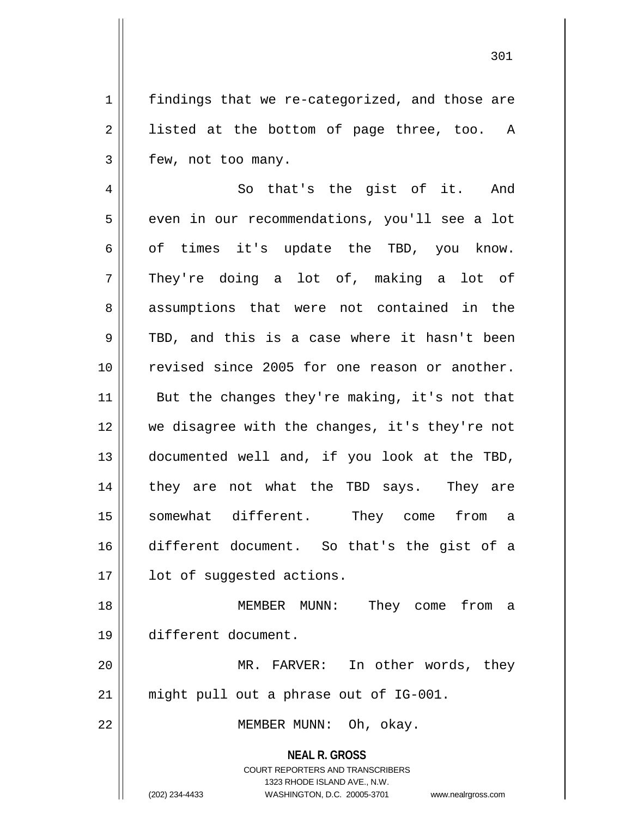1 | findings that we re-categorized, and those are  $2 \parallel$  listed at the bottom of page three, too. A  $3 \parallel$  few, not too many.

4 || So that's the gist of it. And 5 | even in our recommendations, you'll see a lot  $6 \parallel$  of times it's update the TBD, you know.  $7 \parallel$  They're doing a lot of, making a lot of 8 || assumptions that were not contained in the 9 || TBD, and this is a case where it hasn't been 10 revised since 2005 for one reason or another. 11 || But the changes they're making, it's not that 12 we disagree with the changes, it's they're not 13 documented well and, if you look at the TBD, 14 they are not what the TBD says. They are 15 somewhat different. They come from a 16 different document. So that's the gist of a 17 || lot of suggested actions.

18 MEMBER MUNN: They come from a 19 different document.

20 MR. FARVER: In other words, they 21 || might pull out a phrase out of IG-001.

22 || MEMBER MUNN: Oh, okay.

**NEAL R. GROSS** COURT REPORTERS AND TRANSCRIBERS

1323 RHODE ISLAND AVE., N.W.

(202) 234-4433 WASHINGTON, D.C. 20005-3701 www.nealrgross.com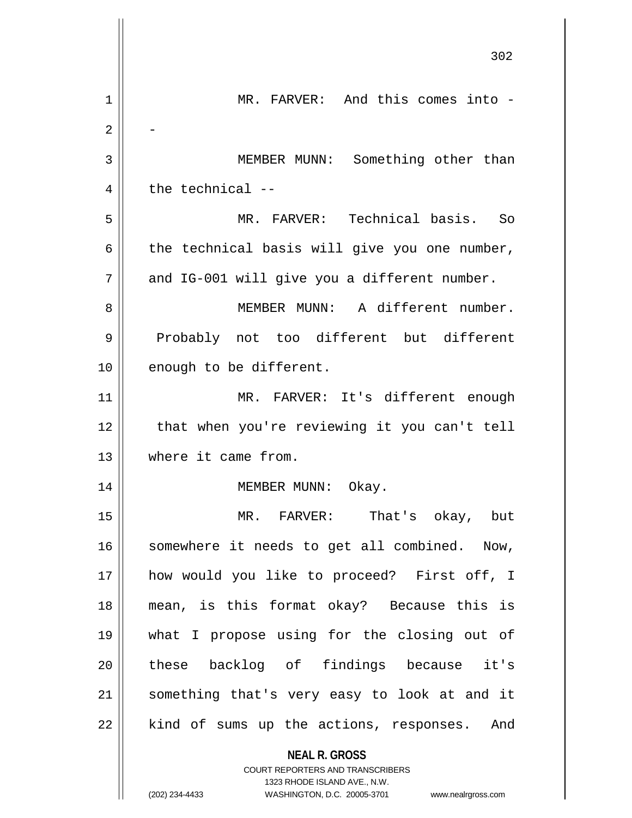|    | 302                                                                 |
|----|---------------------------------------------------------------------|
| 1  | MR. FARVER: And this comes into -                                   |
| 2  |                                                                     |
| 3  | MEMBER MUNN: Something other than                                   |
| 4  | the technical $-$                                                   |
| 5  | MR. FARVER: Technical basis. So                                     |
| 6  | the technical basis will give you one number,                       |
| 7  | and IG-001 will give you a different number.                        |
| 8  | MEMBER MUNN: A different number.                                    |
| 9  | Probably not too different but different                            |
| 10 | enough to be different.                                             |
| 11 | MR. FARVER: It's different enough                                   |
| 12 | that when you're reviewing it you can't tell                        |
| 13 | where it came from.                                                 |
| 14 | MEMBER MUNN:<br>Okay.                                               |
| 15 | MR. FARVER: That's okay, but                                        |
| 16 | somewhere it needs to get all combined.<br>Now,                     |
| 17 | how would you like to proceed? First off, I                         |
| 18 | mean, is this format okay? Because this is                          |
| 19 | what I propose using for the closing out of                         |
| 20 | these backlog of findings because it's                              |
| 21 | something that's very easy to look at and it                        |
| 22 | kind of sums up the actions, responses. And                         |
|    | <b>NEAL R. GROSS</b>                                                |
|    | COURT REPORTERS AND TRANSCRIBERS<br>1323 RHODE ISLAND AVE., N.W.    |
|    | (202) 234-4433<br>WASHINGTON, D.C. 20005-3701<br>www.nealrgross.com |

 $\overline{\phantom{a}}$  $\mathbf{\mathcal{L}}$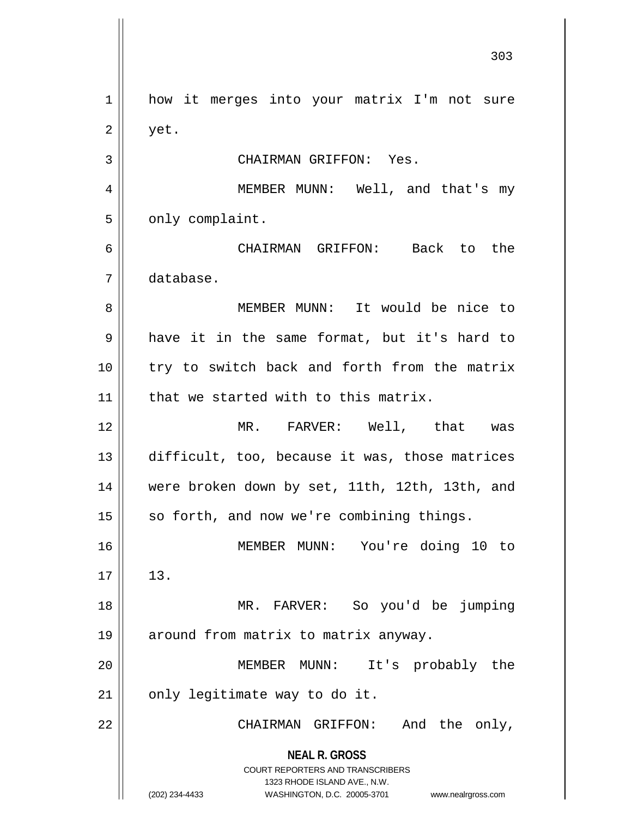**NEAL R. GROSS** COURT REPORTERS AND TRANSCRIBERS 1323 RHODE ISLAND AVE., N.W. (202) 234-4433 WASHINGTON, D.C. 20005-3701 www.nealrgross.com 1 || how it merges into your matrix I'm not sure  $2 \parallel$  yet. 3 CHAIRMAN GRIFFON: Yes. 4 MEMBER MUNN: Well, and that's my  $5 \parallel$  only complaint. 6 CHAIRMAN GRIFFON: Back to the 7 database. 8 MEMBER MUNN: It would be nice to 9 have it in the same format, but it's hard to 10 || try to switch back and forth from the matrix 11 | that we started with to this matrix. 12 MR. FARVER: Well, that was 13 difficult, too, because it was, those matrices 14 were broken down by set, 11th, 12th, 13th, and  $15$  so forth, and now we're combining things. 16 MEMBER MUNN: You're doing 10 to  $17 \parallel 13$ . 18 MR. FARVER: So you'd be jumping 19 || around from matrix to matrix anyway. 20 MEMBER MUNN: It's probably the  $21$  | only legitimate way to do it. 22 || CHAIRMAN GRIFFON: And the only,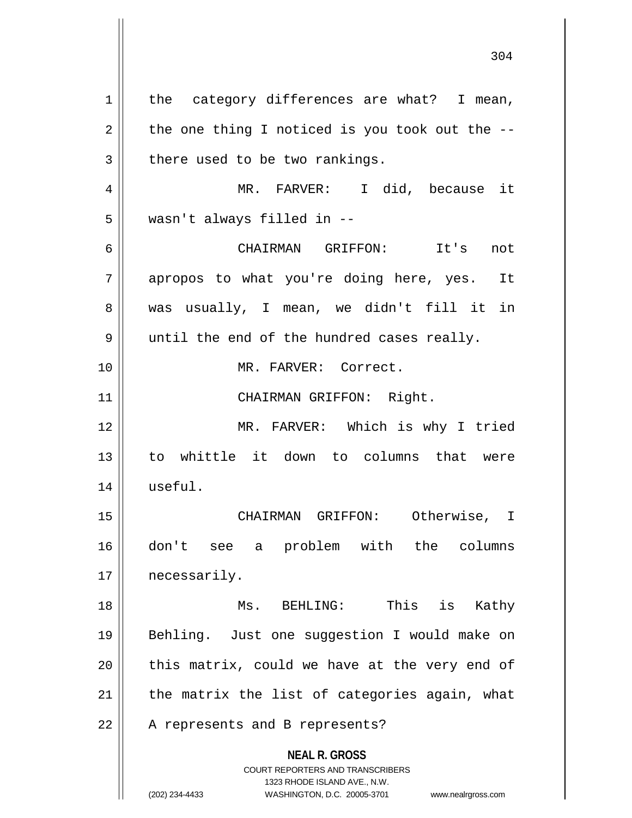**NEAL R. GROSS** COURT REPORTERS AND TRANSCRIBERS 1323 RHODE ISLAND AVE., N.W. (202) 234-4433 WASHINGTON, D.C. 20005-3701 www.nealrgross.com  $1 \parallel$  the category differences are what? I mean,  $2 \parallel$  the one thing I noticed is you took out the -- $3 \parallel$  there used to be two rankings. 4 || MR. FARVER: I did, because it 5 | wasn't always filled in --6 CHAIRMAN GRIFFON: It's not 7 || apropos to what you're doing here, yes. It 8 was usually, I mean, we didn't fill it in  $9 \parallel$  until the end of the hundred cases really. 10 MR. FARVER: Correct. 11 || CHAIRMAN GRIFFON: Right. 12 MR. FARVER: Which is why I tried 13 to whittle it down to columns that were 14 useful. 15 CHAIRMAN GRIFFON: Otherwise, I 16 don't see a problem with the columns 17 | necessarily. 18 Ms. BEHLING: This is Kathy 19 Behling. Just one suggestion I would make on  $20$  | this matrix, could we have at the very end of  $21$  | the matrix the list of categories again, what 22 || A represents and B represents?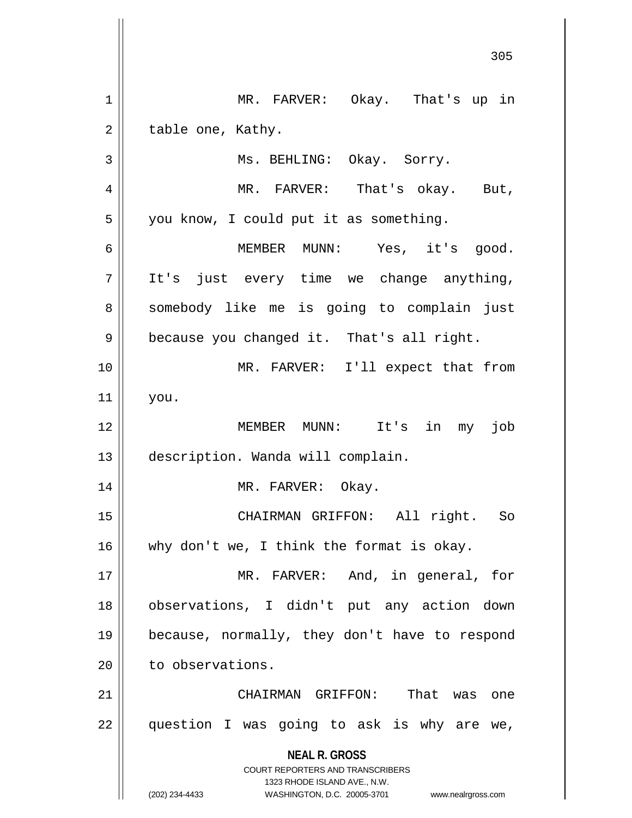**NEAL R. GROSS** COURT REPORTERS AND TRANSCRIBERS 1323 RHODE ISLAND AVE., N.W. (202) 234-4433 WASHINGTON, D.C. 20005-3701 www.nealrgross.com 1 || MR. FARVER: Okay. That's up in  $2 \parallel$  table one, Kathy. 3 || Ms. BEHLING: Okay. Sorry. 4 MR. FARVER: That's okay. But, 5 | you know, I could put it as something. 6 MEMBER MUNN: Yes, it's good. 7 It's just every time we change anything, 8 || somebody like me is going to complain just 9 | because you changed it. That's all right. 10 MR. FARVER: I'll expect that from 11 you. 12 MEMBER MUNN: It's in my job 13 description. Wanda will complain. 14 || MR. FARVER: Okay. 15 CHAIRMAN GRIFFON: All right. So  $16$  | why don't we, I think the format is okay. 17 || MR. FARVER: And, in general, for 18 observations, I didn't put any action down 19 because, normally, they don't have to respond 20 | to observations. 21 CHAIRMAN GRIFFON: That was one 22 question I was going to ask is why are we,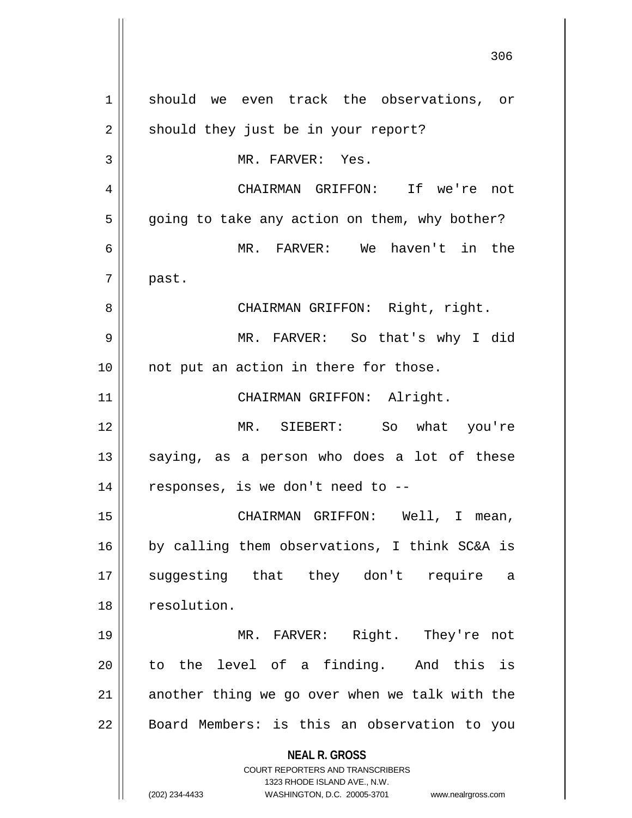**NEAL R. GROSS** COURT REPORTERS AND TRANSCRIBERS 1323 RHODE ISLAND AVE., N.W. (202) 234-4433 WASHINGTON, D.C. 20005-3701 www.nealrgross.com 1 should we even track the observations, or  $2 \parallel$  should they just be in your report? 3 || MR. FARVER: Yes. 4 CHAIRMAN GRIFFON: If we're not  $5 \parallel$  going to take any action on them, why bother? 6 MR. FARVER: We haven't in the  $7$  | past. 8 CHAIRMAN GRIFFON: Right, right. 9 MR. FARVER: So that's why I did 10 || not put an action in there for those. 11 || CHAIRMAN GRIFFON: Alright. 12 MR. SIEBERT: So what you're  $13$  saying, as a person who does a lot of these  $14$  | responses, is we don't need to --15 CHAIRMAN GRIFFON: Well, I mean, 16 || by calling them observations, I think SC&A is 17 suggesting that they don't require a 18 | resolution. 19 MR. FARVER: Right. They're not  $20$  || to the level of a finding. And this is  $21$  another thing we go over when we talk with the 22 || Board Members: is this an observation to you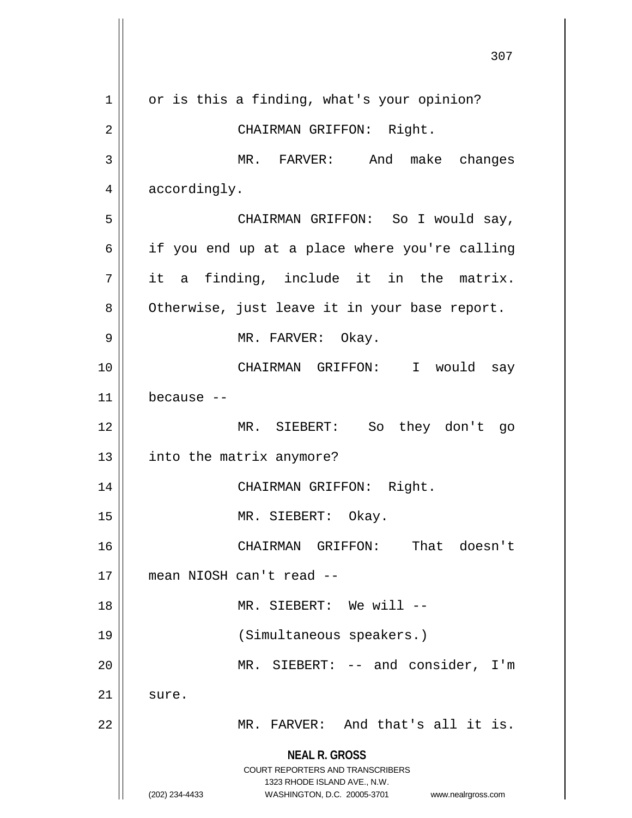| 1  | or is this a finding, what's your opinion?                          |
|----|---------------------------------------------------------------------|
| 2  | CHAIRMAN GRIFFON: Right.                                            |
| 3  | MR. FARVER: And make changes                                        |
| 4  | accordingly.                                                        |
| 5  | CHAIRMAN GRIFFON: So I would say,                                   |
| 6  | if you end up at a place where you're calling                       |
| 7  | it a finding, include it in the matrix.                             |
| 8  | Otherwise, just leave it in your base report.                       |
| 9  | MR. FARVER: Okay.                                                   |
| 10 | CHAIRMAN GRIFFON: I would say                                       |
| 11 | because --                                                          |
| 12 | MR. SIEBERT: So they don't go                                       |
| 13 | into the matrix anymore?                                            |
| 14 | CHAIRMAN GRIFFON: Right.                                            |
| 15 | MR. SIEBERT:<br>Okay.                                               |
| 16 | That doesn't<br>CHAIRMAN GRIFFON:                                   |
| 17 | mean NIOSH can't read --                                            |
| 18 | MR. SIEBERT: We will --                                             |
| 19 | (Simultaneous speakers.)                                            |
| 20 | MR. SIEBERT: -- and consider, I'm                                   |
| 21 | sure.                                                               |
| 22 | MR. FARVER: And that's all it is.                                   |
|    |                                                                     |
|    | <b>NEAL R. GROSS</b><br><b>COURT REPORTERS AND TRANSCRIBERS</b>     |
|    | 1323 RHODE ISLAND AVE., N.W.                                        |
|    | WASHINGTON, D.C. 20005-3701<br>(202) 234-4433<br>www.nealrgross.com |

Ш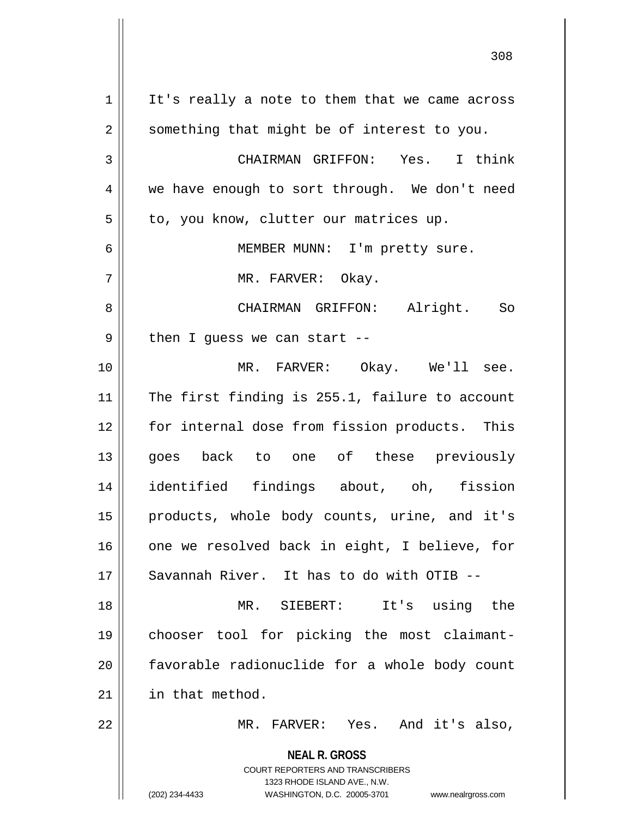**NEAL R. GROSS** COURT REPORTERS AND TRANSCRIBERS 1323 RHODE ISLAND AVE., N.W. (202) 234-4433 WASHINGTON, D.C. 20005-3701 www.nealrgross.com  $1 \parallel$  It's really a note to them that we came across 2 || something that might be of interest to you. 3 CHAIRMAN GRIFFON: Yes. I think  $4 \parallel$  we have enough to sort through. We don't need  $5 \parallel$  to, you know, clutter our matrices up. 6 || MEMBER MUNN: I'm pretty sure. 7 MR. FARVER: Okay. 8 CHAIRMAN GRIFFON: Alright. So  $9 \parallel$  then I guess we can start --10 MR. FARVER: Okay. We'll see. 11 || The first finding is 255.1, failure to account 12 || for internal dose from fission products. This 13 || goes back to one of these previously 14 identified findings about, oh, fission 15 products, whole body counts, urine, and it's 16 || one we resolved back in eight, I believe, for 17 Savannah River. It has to do with OTIB --18 MR. SIEBERT: It's using the 19 chooser tool for picking the most claimant-20 favorable radionuclide for a whole body count 21 | in that method. 22 MR. FARVER: Yes. And it's also,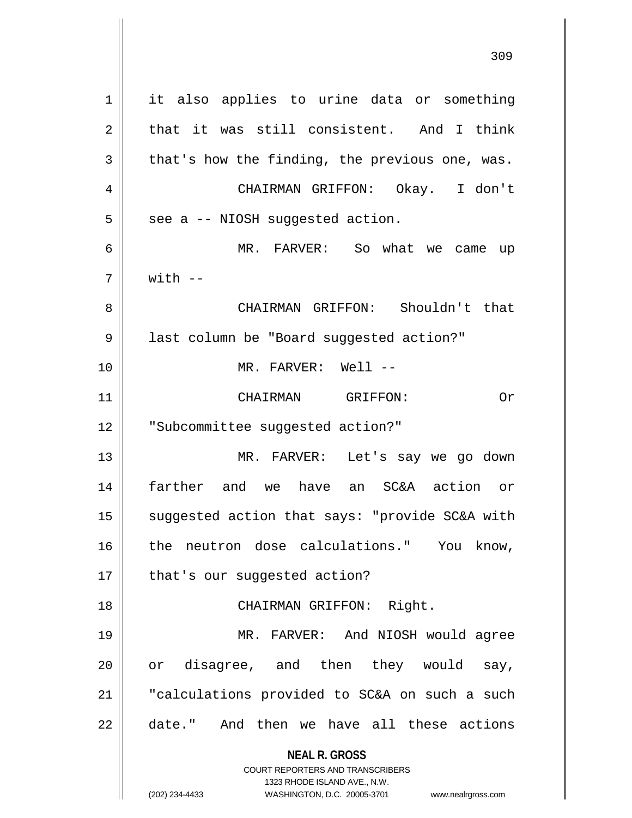**NEAL R. GROSS** COURT REPORTERS AND TRANSCRIBERS 1 || it also applies to urine data or something  $2 \parallel$  that it was still consistent. And I think  $3 \parallel$  that's how the finding, the previous one, was. 4 CHAIRMAN GRIFFON: Okay. I don't  $5 \parallel$  see a -- NIOSH suggested action. 6 MR. FARVER: So what we came up  $7 \parallel$  with  $-$ 8 CHAIRMAN GRIFFON: Shouldn't that 9 | last column be "Board suggested action?" 10 MR. FARVER: Well -- 11 CHAIRMAN GRIFFON: Or 12 || "Subcommittee suggested action?" 13 || MR. FARVER: Let's say we go down 14 farther and we have an SC&A action or 15 || suggested action that says: "provide SC&A with 16 || the neutron dose calculations." You know, 17 | that's our suggested action? 18 || CHAIRMAN GRIFFON: Right. 19 MR. FARVER: And NIOSH would agree 20 or disagree, and then they would say, 21 "calculations provided to SC&A on such a such 22 date." And then we have all these actions

1323 RHODE ISLAND AVE., N.W.

(202) 234-4433 WASHINGTON, D.C. 20005-3701 www.nealrgross.com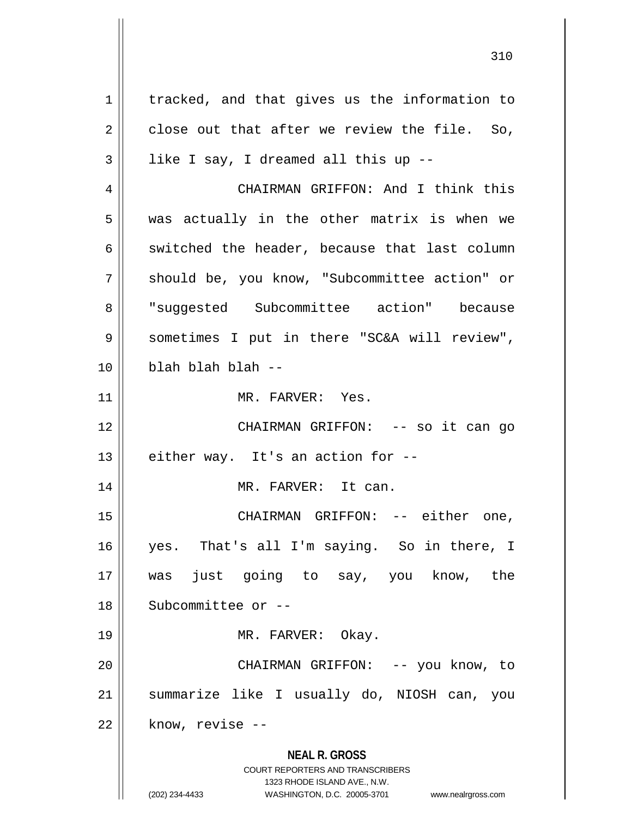**NEAL R. GROSS** COURT REPORTERS AND TRANSCRIBERS 1323 RHODE ISLAND AVE., N.W. 1 | tracked, and that gives us the information to  $2 \parallel$  close out that after we review the file. So,  $3 \parallel$  like I say, I dreamed all this up --4 CHAIRMAN GRIFFON: And I think this  $5 \parallel$  was actually in the other matrix is when we 6 switched the header, because that last column 7 || should be, you know, "Subcommittee action" or 8 || "suggested Subcommittee action" because 9 || sometimes I put in there "SC&A will review", 10 blah blah blah -- 11 || MR. FARVER: Yes. 12 CHAIRMAN GRIFFON: -- so it can go 13  $\parallel$  either way. It's an action for --14 MR. FARVER: It can. 15 CHAIRMAN GRIFFON: -- either one, 16 yes. That's all I'm saying. So in there, I 17 was just going to say, you know, the 18 || Subcommittee or --19 MR. FARVER: Okay. 20 CHAIRMAN GRIFFON: -- you know, to 21 summarize like I usually do, NIOSH can, you  $22$  | know, revise  $-$ 

(202) 234-4433 WASHINGTON, D.C. 20005-3701 www.nealrgross.com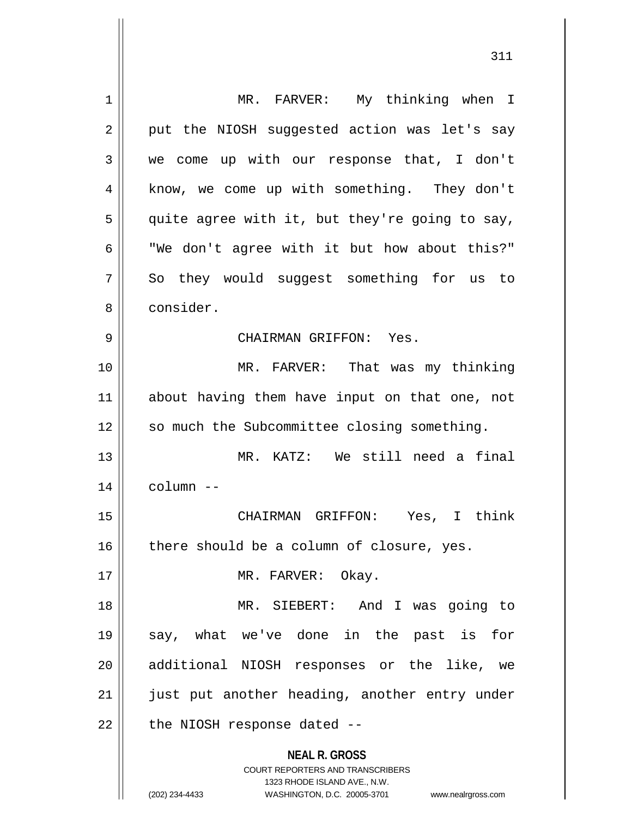| 1  | MR. FARVER: My thinking when I                                                                                                                               |
|----|--------------------------------------------------------------------------------------------------------------------------------------------------------------|
| 2  | put the NIOSH suggested action was let's say                                                                                                                 |
| 3  | we come up with our response that, I don't                                                                                                                   |
| 4  | know, we come up with something. They don't                                                                                                                  |
| 5  | quite agree with it, but they're going to say,                                                                                                               |
| 6  | "We don't agree with it but how about this?"                                                                                                                 |
| 7  | So they would suggest something for us to                                                                                                                    |
| 8  | consider.                                                                                                                                                    |
| 9  | CHAIRMAN GRIFFON: Yes.                                                                                                                                       |
| 10 | MR. FARVER: That was my thinking                                                                                                                             |
| 11 | about having them have input on that one, not                                                                                                                |
| 12 | so much the Subcommittee closing something.                                                                                                                  |
| 13 | MR. KATZ: We still need a final                                                                                                                              |
| 14 | column --                                                                                                                                                    |
| 15 | CHAIRMAN GRIFFON: Yes, I think                                                                                                                               |
| 16 | there should be a column of closure, yes.                                                                                                                    |
| 17 | MR. FARVER: Okay.                                                                                                                                            |
| 18 | MR. SIEBERT: And I was going to                                                                                                                              |
| 19 | say, what we've done in the past is<br>for                                                                                                                   |
| 20 | additional NIOSH responses or the like, we                                                                                                                   |
| 21 | just put another heading, another entry under                                                                                                                |
| 22 | the NIOSH response dated --                                                                                                                                  |
|    | <b>NEAL R. GROSS</b><br>COURT REPORTERS AND TRANSCRIBERS<br>1323 RHODE ISLAND AVE., N.W.<br>(202) 234-4433<br>WASHINGTON, D.C. 20005-3701 www.nealrgross.com |

 $\mathsf{I}$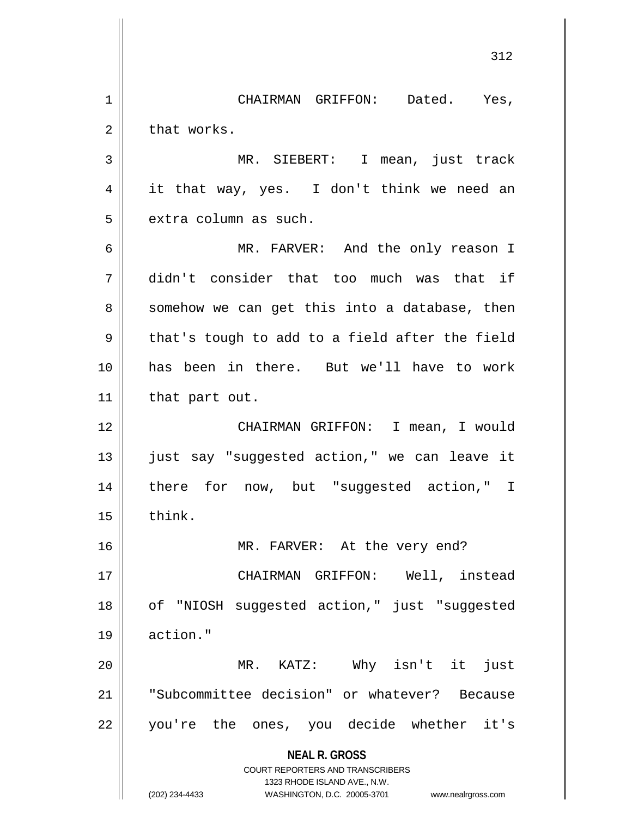**NEAL R. GROSS** COURT REPORTERS AND TRANSCRIBERS 1323 RHODE ISLAND AVE., N.W. (202) 234-4433 WASHINGTON, D.C. 20005-3701 www.nealrgross.com CHAIRMAN GRIFFON: Dated. Yes,  $2 \parallel$  that works. MR. SIEBERT: I mean, just track 4 || it that way, yes. I don't think we need an | extra column as such. MR. FARVER: And the only reason I didn't consider that too much was that if  $8 \parallel$  somehow we can get this into a database, then  $9 \parallel$  that's tough to add to a field after the field has been in there. But we'll have to work | that part out. CHAIRMAN GRIFFON: I mean, I would 13 || just say "suggested action," we can leave it there for now, but "suggested action," I  $\parallel$  think. MR. FARVER: At the very end? CHAIRMAN GRIFFON: Well, instead 18 || of "NIOSH suggested action," just "suggested action." MR. KATZ: Why isn't it just "Subcommittee decision" or whatever? Because you're the ones, you decide whether it's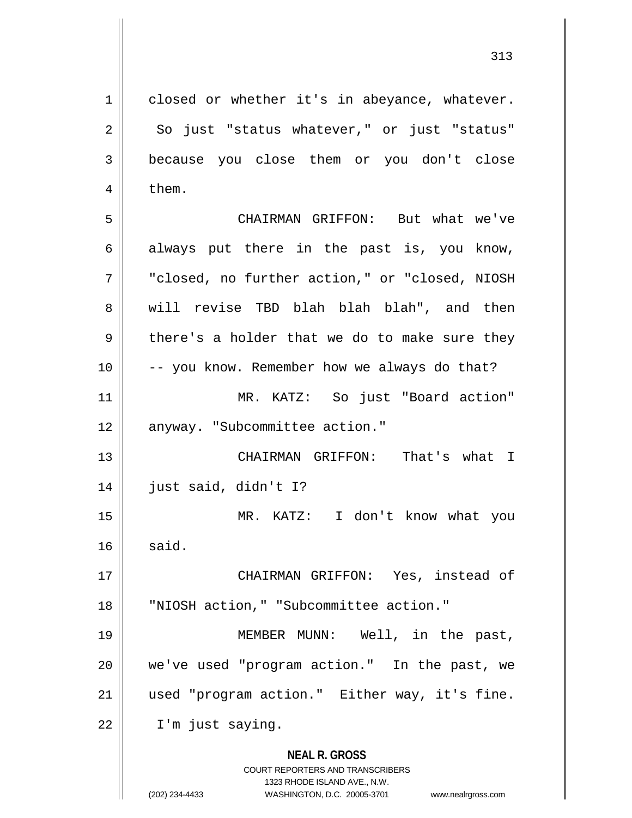**NEAL R. GROSS** COURT REPORTERS AND TRANSCRIBERS 1323 RHODE ISLAND AVE., N.W. 1 || closed or whether it's in abeyance, whatever.  $2 \parallel$  So just "status whatever," or just "status" 3 because you close them or you don't close  $4 \mid$  them. 5 CHAIRMAN GRIFFON: But what we've  $6 \parallel$  always put there in the past is, you know, 7 "closed, no further action," or "closed, NIOSH 8 will revise TBD blah blah blah", and then  $9 \parallel$  there's a holder that we do to make sure they 10 || -- you know. Remember how we always do that? 11 MR. KATZ: So just "Board action" 12 || anyway. "Subcommittee action." 13 CHAIRMAN GRIFFON: That's what I 14 just said, didn't I? 15 MR. KATZ: I don't know what you  $16$  said. 17 CHAIRMAN GRIFFON: Yes, instead of 18 "NIOSH action," "Subcommittee action." 19 || MEMBER MUNN: Well, in the past, 20 || we've used "program action." In the past, we 21 used "program action." Either way, it's fine. 22 I'm just saying.

(202) 234-4433 WASHINGTON, D.C. 20005-3701 www.nealrgross.com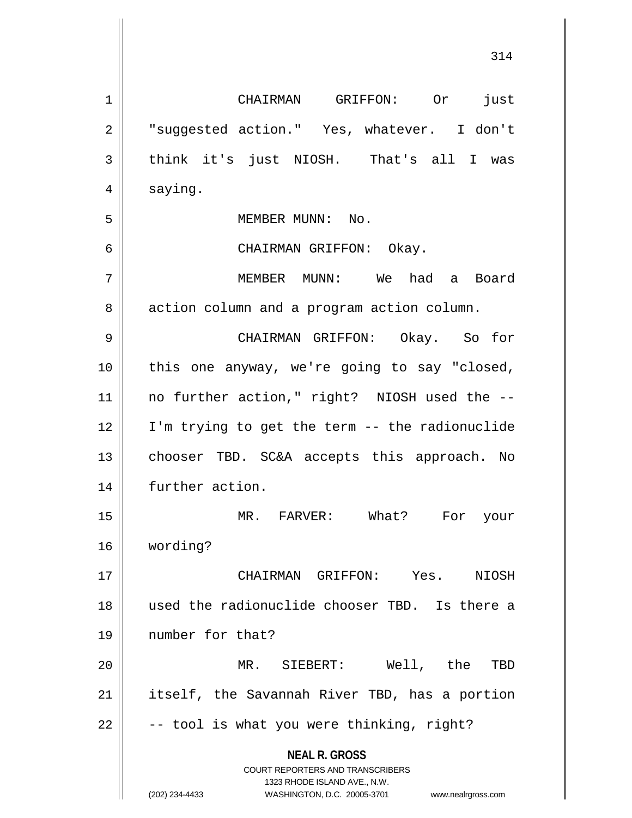**NEAL R. GROSS** COURT REPORTERS AND TRANSCRIBERS 1323 RHODE ISLAND AVE., N.W. (202) 234-4433 WASHINGTON, D.C. 20005-3701 www.nealrgross.com 1 || CHAIRMAN GRIFFON: Or just 2 | "suggested action." Yes, whatever. I don't  $3 \parallel$  think it's just NIOSH. That's all I was 4 | saying. 5 || MEMBER MUNN: No. 6 CHAIRMAN GRIFFON: Okay. 7 MEMBER MUNN: We had a Board 8 | action column and a program action column. 9 CHAIRMAN GRIFFON: Okay. So for 10 this one anyway, we're going to say "closed, 11 || no further action," right? NIOSH used the --12 I'm trying to get the term -- the radionuclide 13 || chooser TBD. SC&A accepts this approach. No 14 | further action. 15 MR. FARVER: What? For your 16 wording? 17 CHAIRMAN GRIFFON: Yes. NIOSH 18 used the radionuclide chooser TBD. Is there a 19 number for that? 20 MR. SIEBERT: Well, the TBD 21 || itself, the Savannah River TBD, has a portion  $22 \parallel$  -- tool is what you were thinking, right?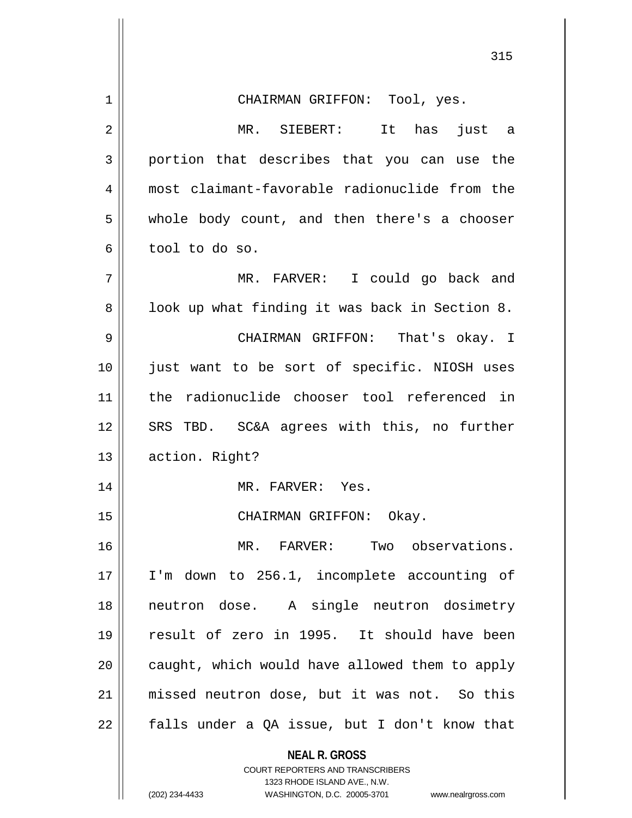| $\mathbf 1$ | CHAIRMAN GRIFFON: Tool, yes.                                            |
|-------------|-------------------------------------------------------------------------|
| 2           | MR. SIEBERT: It has just a                                              |
| 3           | portion that describes that you can use the                             |
| 4           | most claimant-favorable radionuclide from the                           |
| 5           | whole body count, and then there's a chooser                            |
| 6           | tool to do so.                                                          |
| 7           | MR. FARVER: I could go back and                                         |
| 8           | look up what finding it was back in Section 8.                          |
| 9           | CHAIRMAN GRIFFON: That's okay. I                                        |
| 10          | just want to be sort of specific. NIOSH uses                            |
| 11          | the radionuclide chooser tool referenced in                             |
| 12          | SRS TBD. SC&A agrees with this, no further                              |
| 13          | action. Right?                                                          |
| 14          | MR. FARVER: Yes.                                                        |
| 15          | CHAIRMAN GRIFFON: Okay.                                                 |
| 16          | MR. FARVER: Two observations.                                           |
| 17          | I'm down to 256.1, incomplete accounting of                             |
| 18          | neutron dose. A single neutron dosimetry                                |
| 19          | result of zero in 1995. It should have been                             |
| 20          | caught, which would have allowed them to apply                          |
| 21          | missed neutron dose, but it was not. So this                            |
| 22          | falls under a QA issue, but I don't know that                           |
|             | <b>NEAL R. GROSS</b>                                                    |
|             | <b>COURT REPORTERS AND TRANSCRIBERS</b><br>1323 RHODE ISLAND AVE., N.W. |
|             | (202) 234-4433<br>WASHINGTON, D.C. 20005-3701<br>www.nealrgross.com     |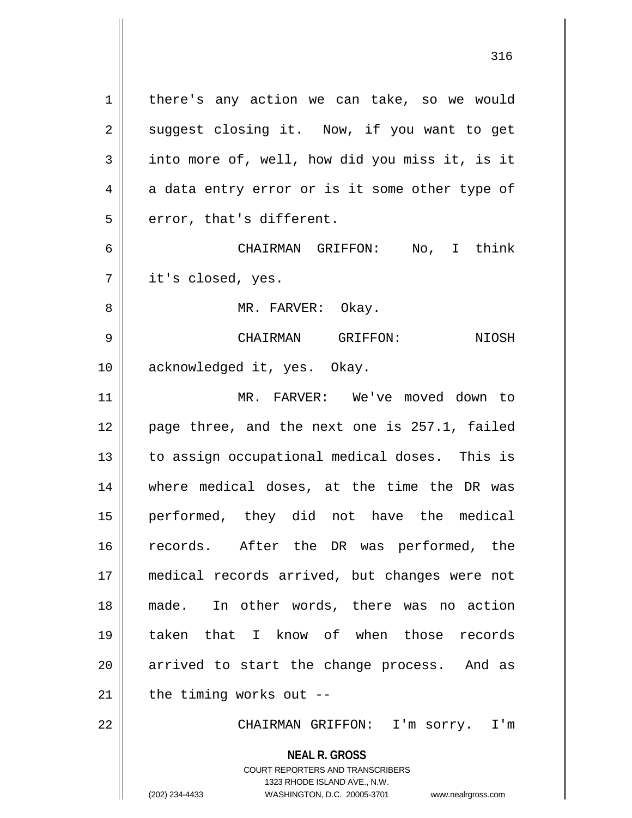1 | there's any action we can take, so we would  $2 \parallel$  suggest closing it. Now, if you want to get  $3 \parallel$  into more of, well, how did you miss it, is it  $4 \parallel$  a data entry error or is it some other type of  $5$  || error, that's different.

6 CHAIRMAN GRIFFON: No, I think  $7 \parallel$  it's closed, yes.

8 MR. FARVER: Okay.

9 CHAIRMAN GRIFFON: NIOSH 10 || acknowledged it, yes. Okay.

 MR. FARVER: We've moved down to 12 page three, and the next one is 257.1, failed 13 || to assign occupational medical doses. This is where medical doses, at the time the DR was performed, they did not have the medical records. After the DR was performed, the medical records arrived, but changes were not made. In other words, there was no action taken that I know of when those records arrived to start the change process. And as | the timing works out --

22 CHAIRMAN GRIFFON: I'm sorry. I'm

**NEAL R. GROSS**

COURT REPORTERS AND TRANSCRIBERS 1323 RHODE ISLAND AVE., N.W. (202) 234-4433 WASHINGTON, D.C. 20005-3701 www.nealrgross.com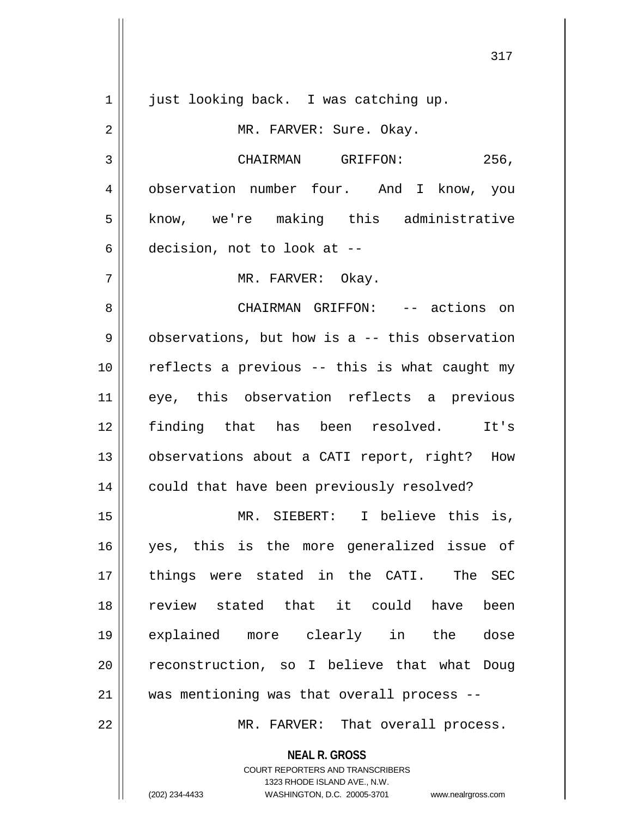**NEAL R. GROSS** COURT REPORTERS AND TRANSCRIBERS 1 || just looking back. I was catching up. 2 || MR. FARVER: Sure. Okay. 3 | CHAIRMAN GRIFFON: 256, 4 | observation number four. And I know, you 5 || know, we're making this administrative  $6 \parallel$  decision, not to look at --7 MR. FARVER: Okay. 8 CHAIRMAN GRIFFON: -- actions on  $9 \parallel$  observations, but how is a -- this observation  $10$  | reflects a previous -- this is what caught my 11 eye, this observation reflects a previous 12 finding that has been resolved. It's 13 || observations about a CATI report, right? How 14 || could that have been previously resolved? 15 MR. SIEBERT: I believe this is, 16 yes, this is the more generalized issue of 17 things were stated in the CATI. The SEC 18 review stated that it could have been 19 explained more clearly in the dose 20 || reconstruction, so I believe that what Doug  $21$  | was mentioning was that overall process --22 MR. FARVER: That overall process.

1323 RHODE ISLAND AVE., N.W.

(202) 234-4433 WASHINGTON, D.C. 20005-3701 www.nealrgross.com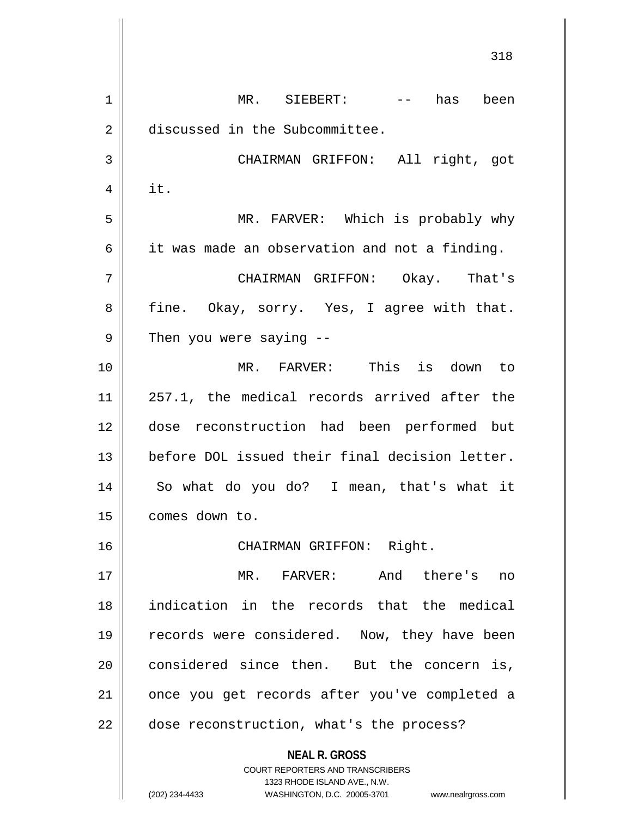**NEAL R. GROSS** COURT REPORTERS AND TRANSCRIBERS 1323 RHODE ISLAND AVE., N.W. (202) 234-4433 WASHINGTON, D.C. 20005-3701 www.nealrgross.com 1 MR. SIEBERT: -- has been 2 | discussed in the Subcommittee. 3 CHAIRMAN GRIFFON: All right, got  $4 \parallel$  it. 5 MR. FARVER: Which is probably why 6 **i** it was made an observation and not a finding. 7 CHAIRMAN GRIFFON: Okay. That's 8 fine. Okay, sorry. Yes, I agree with that.  $9 \parallel$  Then you were saying  $-$ 10 MR. FARVER: This is down to 11 257.1, the medical records arrived after the 12 dose reconstruction had been performed but 13 before DOL issued their final decision letter. 14 So what do you do? I mean, that's what it 15 | comes down to. 16 CHAIRMAN GRIFFON: Right. 17 MR. FARVER: And there's no 18 indication in the records that the medical 19 || records were considered. Now, they have been 20 || considered since then. But the concern is, 21 || once you get records after you've completed a 22 | dose reconstruction, what's the process?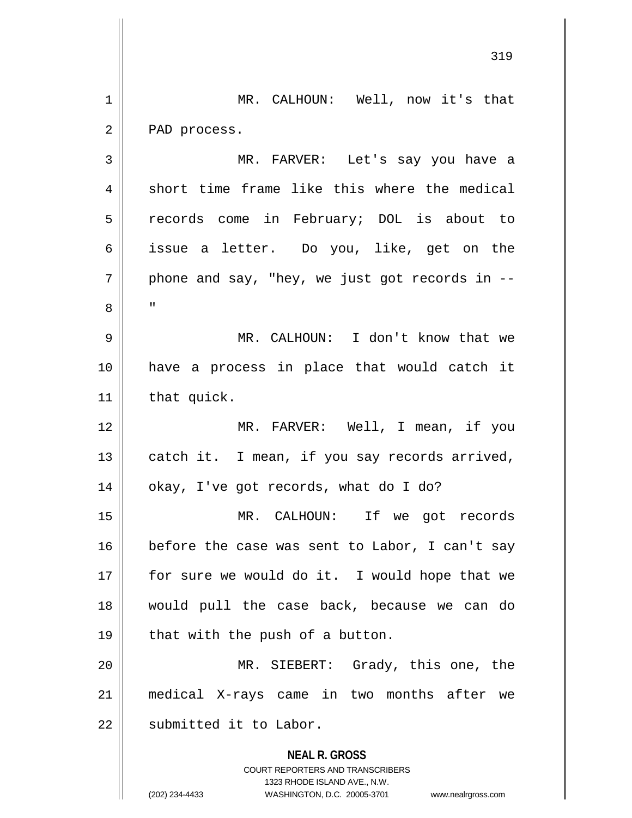**NEAL R. GROSS** COURT REPORTERS AND TRANSCRIBERS 1323 RHODE ISLAND AVE., N.W. (202) 234-4433 WASHINGTON, D.C. 20005-3701 www.nealrgross.com 319 1 || MR. CALHOUN: Well, now it's that 2 | PAD process. 3 MR. FARVER: Let's say you have a  $4 \parallel$  short time frame like this where the medical 5 || records come in February; DOL is about to 6 issue a letter. Do you, like, get on the  $7 \parallel$  phone and say, "hey, we just got records in --8 || " 9 MR. CALHOUN: I don't know that we 10 have a process in place that would catch it 11 | that quick. 12 MR. FARVER: Well, I mean, if you 13 || catch it. I mean, if you say records arrived, 14 | okay, I've got records, what do I do? 15 MR. CALHOUN: If we got records 16 before the case was sent to Labor, I can't say 17 for sure we would do it. I would hope that we 18 would pull the case back, because we can do  $19 \parallel$  that with the push of a button. 20 MR. SIEBERT: Grady, this one, the 21 medical X-rays came in two months after we  $22$  | submitted it to Labor.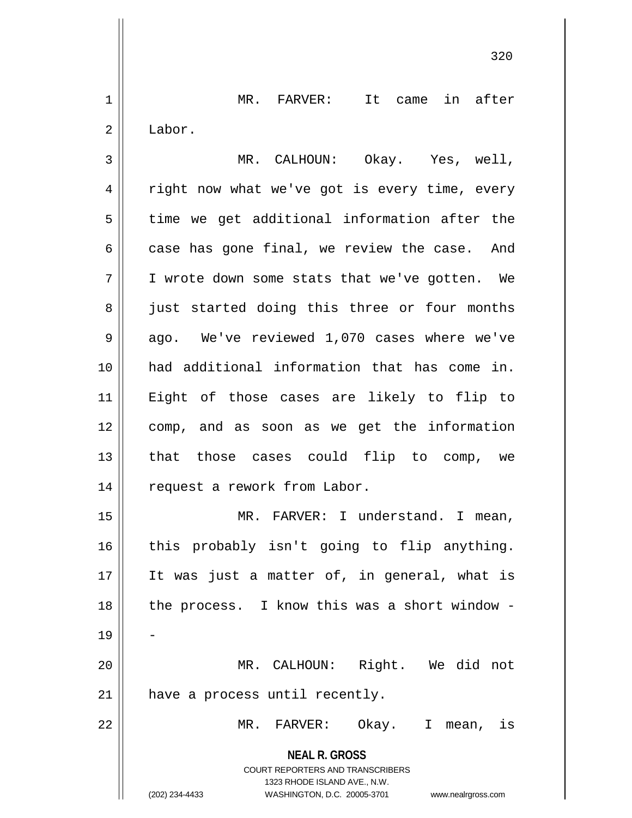**NEAL R. GROSS** COURT REPORTERS AND TRANSCRIBERS 1323 RHODE ISLAND AVE., N.W. (202) 234-4433 WASHINGTON, D.C. 20005-3701 www.nealrgross.com 1 || MR. FARVER: It came in after 2 | Labor. 3 MR. CALHOUN: Okay. Yes, well, 4 || right now what we've got is every time, every  $5 \parallel$  time we get additional information after the 6 case has gone final, we review the case. And 7 I wrote down some stats that we've gotten. We 8 || just started doing this three or four months  $9 \parallel$  ago. We've reviewed 1,070 cases where we've 10 had additional information that has come in. 11 Eight of those cases are likely to flip to 12 || comp, and as soon as we get the information 13 || that those cases could flip to comp, we 14 || request a rework from Labor. 15 || MR. FARVER: I understand. I mean,  $16$  this probably isn't going to flip anything. 17 It was just a matter of, in general, what is 18 || the process. I know this was a short window -19 20 MR. CALHOUN: Right. We did not 21 | have a process until recently. 22 MR. FARVER: Okay. I mean, is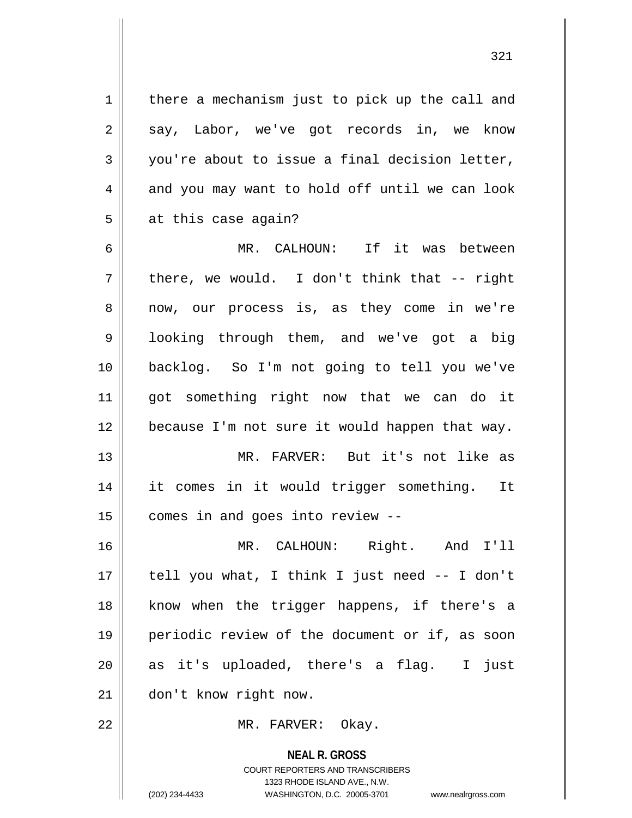$1 \parallel$  there a mechanism just to pick up the call and  $2 \parallel$  say, Labor, we've got records in, we know  $3 \parallel$  you're about to issue a final decision letter,  $4 \parallel$  and you may want to hold off until we can look  $5$  at this case again?

 MR. CALHOUN: If it was between  $7 \parallel$  there, we would. I don't think that -- right 8 || now, our process is, as they come in we're 9 | looking through them, and we've got a big backlog. So I'm not going to tell you we've got something right now that we can do it because I'm not sure it would happen that way. MR. FARVER: But it's not like as it comes in it would trigger something. It

 $15$  | comes in and goes into review --

 MR. CALHOUN: Right. And I'll || tell you what, I think I just need  $-$  I don't 18 || know when the trigger happens, if there's a periodic review of the document or if, as soon || as it's uploaded, there's a flag. I just don't know right now.

22 | MR. FARVER: Okay.

**NEAL R. GROSS** COURT REPORTERS AND TRANSCRIBERS 1323 RHODE ISLAND AVE., N.W. (202) 234-4433 WASHINGTON, D.C. 20005-3701 www.nealrgross.com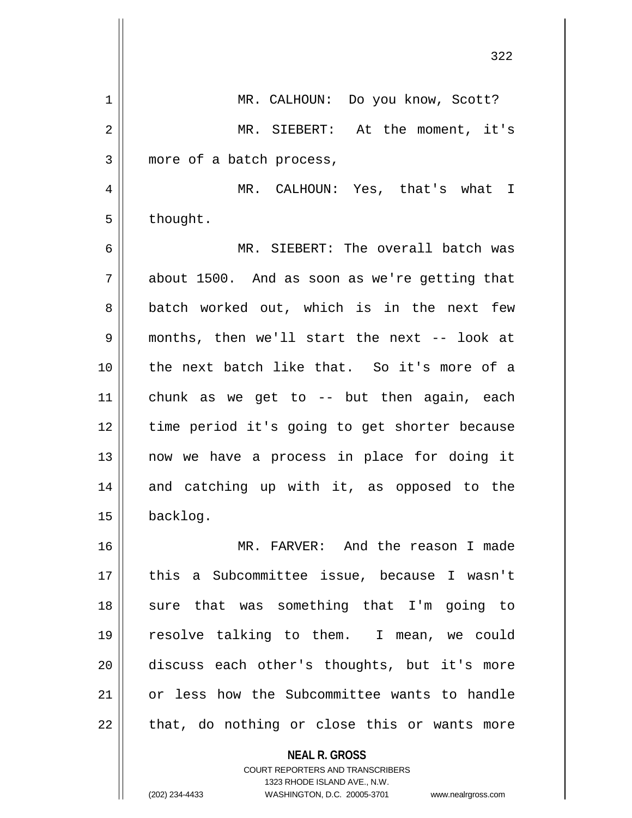|    | 322                                           |
|----|-----------------------------------------------|
| 1  | MR. CALHOUN: Do you know, Scott?              |
| 2  | MR. SIEBERT: At the moment, it's              |
| 3  | more of a batch process,                      |
| 4  | MR. CALHOUN: Yes, that's what I               |
| 5  | thought.                                      |
| 6  | MR. SIEBERT: The overall batch was            |
| 7  | about 1500. And as soon as we're getting that |
| 8  | batch worked out, which is in the next few    |
| 9  | months, then we'll start the next -- look at  |
| 10 | the next batch like that. So it's more of a   |
| 11 | chunk as we get to -- but then again, each    |
| 12 | time period it's going to get shorter because |
| 13 | now we have a process in place for doing it   |
| 14 | and catching up with it, as opposed to the    |
| 15 | backlog.                                      |
| 16 | MR. FARVER: And the reason I made             |
| 17 | this a Subcommittee issue, because I wasn't   |
| 18 | sure that was something that I'm going to     |
| 19 | resolve talking to them. I mean, we could     |
| 20 | discuss each other's thoughts, but it's more  |
| 21 | or less how the Subcommittee wants to handle  |
| 22 | that, do nothing or close this or wants more  |
|    | <b>NEAL R. GROSS</b>                          |

COURT REPORTERS AND TRANSCRIBERS 1323 RHODE ISLAND AVE., N.W.

 $\mathsf{II}$ 

(202) 234-4433 WASHINGTON, D.C. 20005-3701 www.nealrgross.com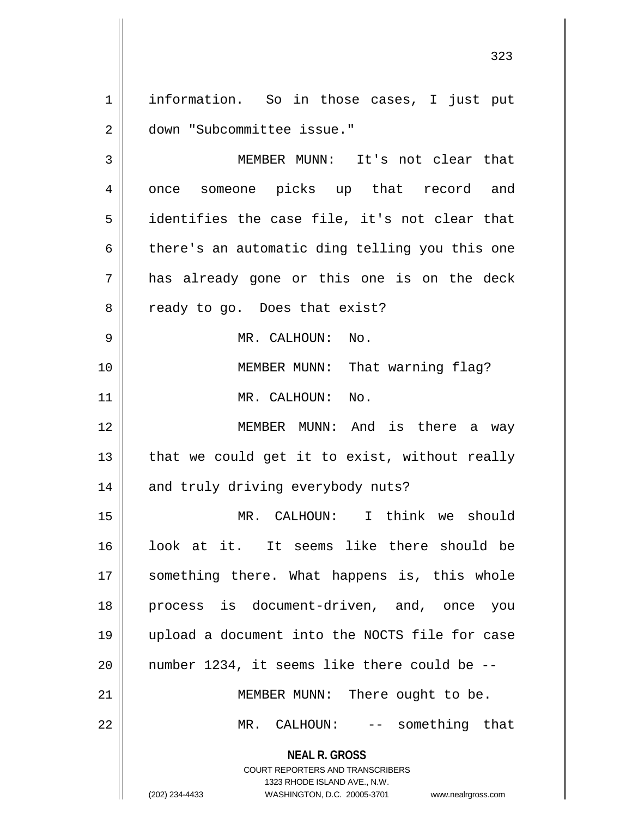1 | information. So in those cases, I just put 2 | down "Subcommittee issue."

**NEAL R. GROSS** MEMBER MUNN: It's not clear that 4 || once someone picks up that record and identifies the case file, it's not clear that  $6 \parallel$  there's an automatic ding telling you this one has already gone or this one is on the deck 8 || ready to go. Does that exist? MR. CALHOUN: No. MEMBER MUNN: That warning flag? 11 || MR. CALHOUN: No. MEMBER MUNN: And is there a way  $\parallel$  that we could get it to exist, without really 14 || and truly driving everybody nuts? MR. CALHOUN: I think we should look at it. It seems like there should be 17 || something there. What happens is, this whole process is document-driven, and, once you upload a document into the NOCTS file for case || number 1234, it seems like there could be  $-$ -21 || MEMBER MUNN: There ought to be. MR. CALHOUN: -- something that

> COURT REPORTERS AND TRANSCRIBERS 1323 RHODE ISLAND AVE., N.W.

(202) 234-4433 WASHINGTON, D.C. 20005-3701 www.nealrgross.com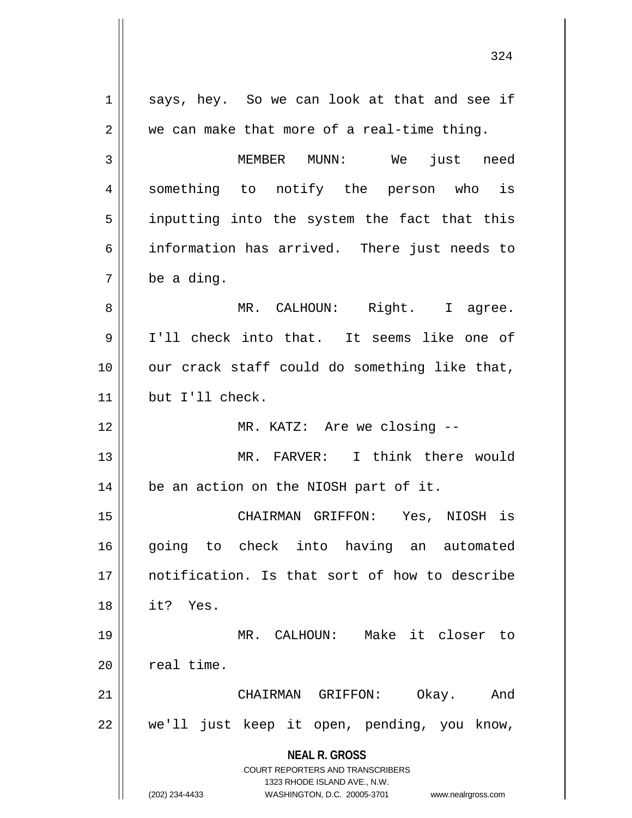**NEAL R. GROSS** COURT REPORTERS AND TRANSCRIBERS 1323 RHODE ISLAND AVE., N.W. (202) 234-4433 WASHINGTON, D.C. 20005-3701 www.nealrgross.com  $1 \parallel$  says, hey. So we can look at that and see if  $2 \parallel$  we can make that more of a real-time thing. 3 MEMBER MUNN: We just need 4 || something to notify the person who is  $5$  inputting into the system the fact that this 6 || information has arrived. There just needs to  $7 \parallel$  be a ding. 8 MR. CALHOUN: Right. I agree. 9 || I'll check into that. It seems like one of  $10$  || our crack staff could do something like that, 11 but I'll check. 12 || MR. KATZ: Are we closing --13 MR. FARVER: I think there would  $14$  | be an action on the NIOSH part of it. 15 CHAIRMAN GRIFFON: Yes, NIOSH is 16 going to check into having an automated 17 notification. Is that sort of how to describe 18 it? Yes. 19 MR. CALHOUN: Make it closer to  $20$  | real time. 21 || CHAIRMAN GRIFFON: Okay. And 22 || we'll just keep it open, pending, you know,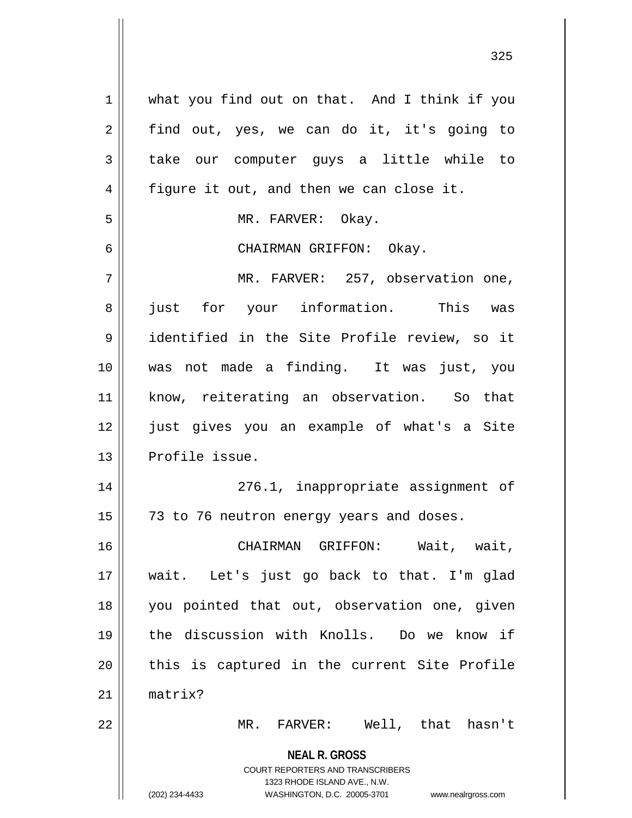**NEAL R. GROSS** COURT REPORTERS AND TRANSCRIBERS 1323 RHODE ISLAND AVE., N.W. (202) 234-4433 WASHINGTON, D.C. 20005-3701 www.nealrgross.com 1 || what you find out on that. And I think if you  $2 \parallel$  find out, yes, we can do it, it's going to 3 take our computer guys a little while to 4 | figure it out, and then we can close it. 5 || MR. FARVER: Okay. 6 CHAIRMAN GRIFFON: Okay. 7 MR. FARVER: 257, observation one, 8 just for your information. This was 9 identified in the Site Profile review, so it 10 was not made a finding. It was just, you 11 know, reiterating an observation. So that 12 just gives you an example of what's a Site 13 | Profile issue. 14 || 276.1, inappropriate assignment of 15 || 73 to 76 neutron energy years and doses. 16 CHAIRMAN GRIFFON: Wait, wait, 17 wait. Let's just go back to that. I'm glad 18 you pointed that out, observation one, given 19 the discussion with Knolls. Do we know if  $20$  || this is captured in the current Site Profile 21 matrix? 22 MR. FARVER: Well, that hasn't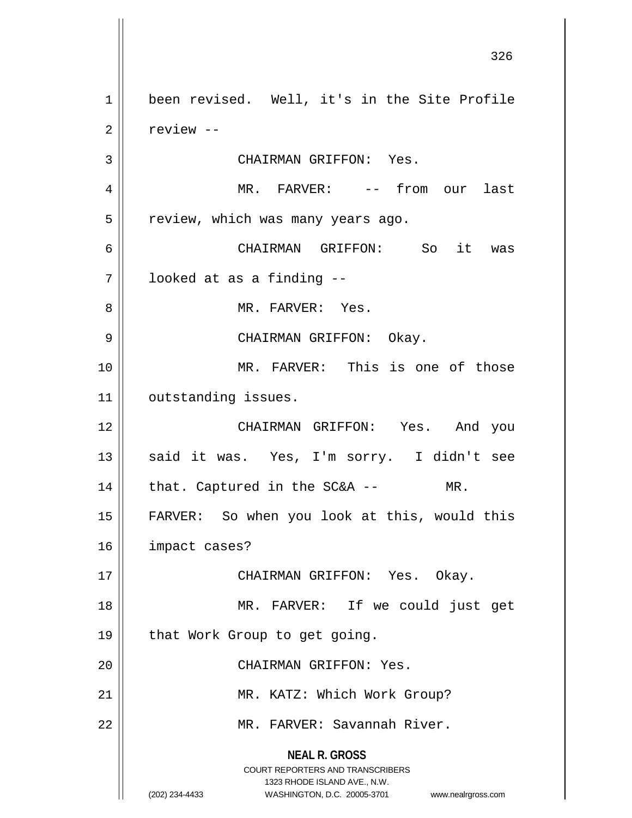**NEAL R. GROSS** COURT REPORTERS AND TRANSCRIBERS 1323 RHODE ISLAND AVE., N.W. (202) 234-4433 WASHINGTON, D.C. 20005-3701 www.nealrgross.com 1 | been revised. Well, it's in the Site Profile  $2 \parallel$  review --3 CHAIRMAN GRIFFON: Yes. 4 MR. FARVER: -- from our last  $5 \parallel$  review, which was many years ago. 6 CHAIRMAN GRIFFON: So it was 7 looked at as a finding -- 8 MR. FARVER: Yes. 9 CHAIRMAN GRIFFON: Okay. 10 MR. FARVER: This is one of those 11 | outstanding issues. 12 CHAIRMAN GRIFFON: Yes. And you 13 || said it was. Yes, I'm sorry. I didn't see  $14$  | that. Captured in the SC&A -- MR. 15 FARVER: So when you look at this, would this 16 impact cases? 17 CHAIRMAN GRIFFON: Yes. Okay. 18 MR. FARVER: If we could just get 19 || that Work Group to get going. 20 || CHAIRMAN GRIFFON: Yes. 21 || MR. KATZ: Which Work Group? 22 MR. FARVER: Savannah River.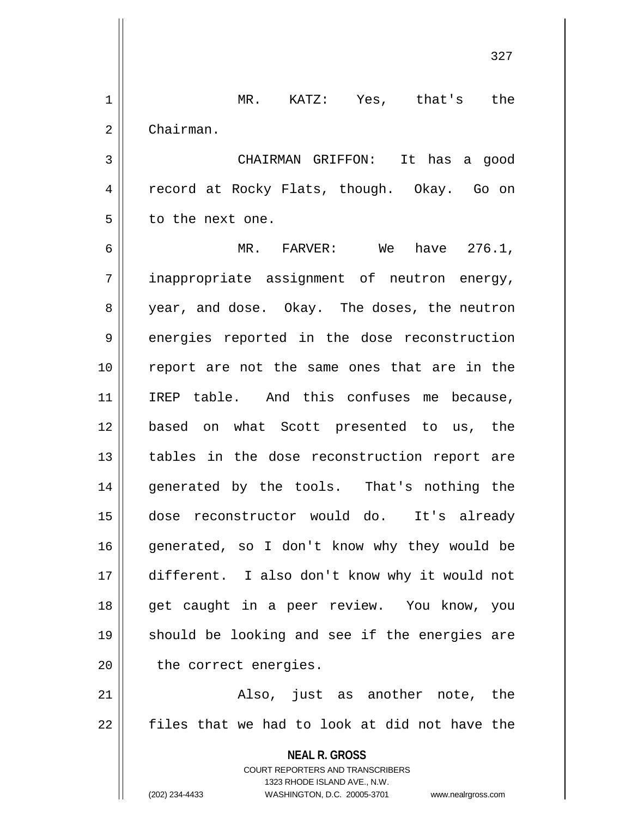**NEAL R. GROSS** COURT REPORTERS AND TRANSCRIBERS 1 MR. KATZ: Yes, that's the 2 | Chairman. 3 CHAIRMAN GRIFFON: It has a good 4 || record at Rocky Flats, though. Okay. Go on  $5$  || to the next one. 6 MR. FARVER: We have 276.1, 7 || inappropriate assignment of neutron energy, 8 year, and dose. Okay. The doses, the neutron 9 energies reported in the dose reconstruction 10 report are not the same ones that are in the 11 || IREP table. And this confuses me because, 12 based on what Scott presented to us, the 13 || tables in the dose reconstruction report are 14 || generated by the tools. That's nothing the 15 dose reconstructor would do. It's already 16 || generated, so I don't know why they would be 17 different. I also don't know why it would not 18 get caught in a peer review. You know, you 19 || should be looking and see if the energies are 20 | the correct energies. 21 Also, just as another note, the  $22$  files that we had to look at did not have the

1323 RHODE ISLAND AVE., N.W.

(202) 234-4433 WASHINGTON, D.C. 20005-3701 www.nealrgross.com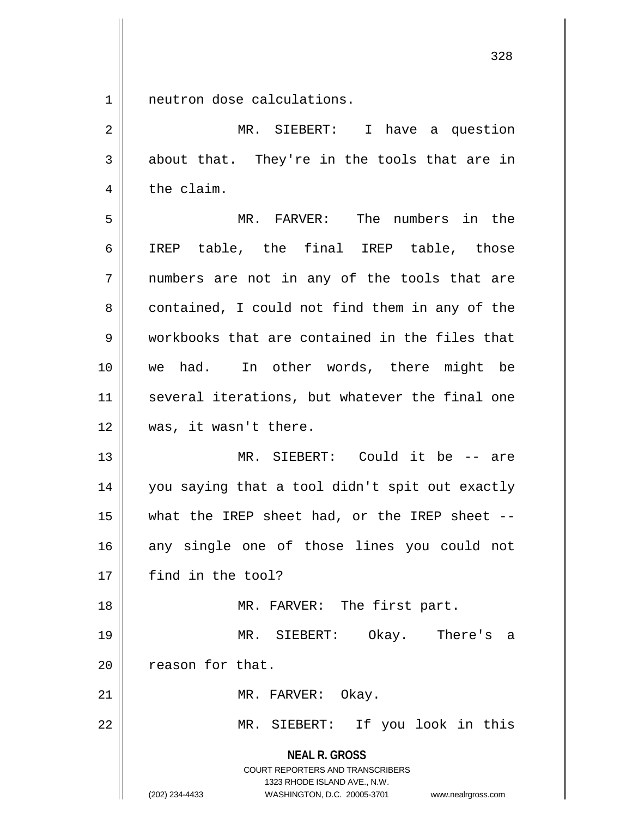1 | neutron dose calculations.

| $\overline{2}$ | MR. SIEBERT: I have a question                                                                                                                                         |
|----------------|------------------------------------------------------------------------------------------------------------------------------------------------------------------------|
| 3              | about that. They're in the tools that are in                                                                                                                           |
| 4              | the claim.                                                                                                                                                             |
| 5              | MR. FARVER: The numbers in the                                                                                                                                         |
| 6              | IREP table, the final IREP table, those                                                                                                                                |
| 7              | numbers are not in any of the tools that are                                                                                                                           |
| 8              | contained, I could not find them in any of the                                                                                                                         |
| 9              | workbooks that are contained in the files that                                                                                                                         |
| 10             | we had. In other words, there might be                                                                                                                                 |
| 11             | several iterations, but whatever the final one                                                                                                                         |
| 12             | was, it wasn't there.                                                                                                                                                  |
| 13             | MR. SIEBERT: Could it be -- are                                                                                                                                        |
| 14             | you saying that a tool didn't spit out exactly                                                                                                                         |
| 15             | what the IREP sheet had, or the IREP sheet $-$ -                                                                                                                       |
| 16             | any single one of those lines you could not                                                                                                                            |
| 17             | find in the tool?                                                                                                                                                      |
| 18             | MR. FARVER: The first part.                                                                                                                                            |
| 19             | MR. SIEBERT: Okay. There's<br>a                                                                                                                                        |
| 20             | reason for that.                                                                                                                                                       |
| 21             | MR. FARVER: Okay.                                                                                                                                                      |
| 22             | MR. SIEBERT: If you look in this                                                                                                                                       |
|                | <b>NEAL R. GROSS</b><br><b>COURT REPORTERS AND TRANSCRIBERS</b><br>1323 RHODE ISLAND AVE., N.W.<br>(202) 234-4433<br>WASHINGTON, D.C. 20005-3701<br>www.nealrgross.com |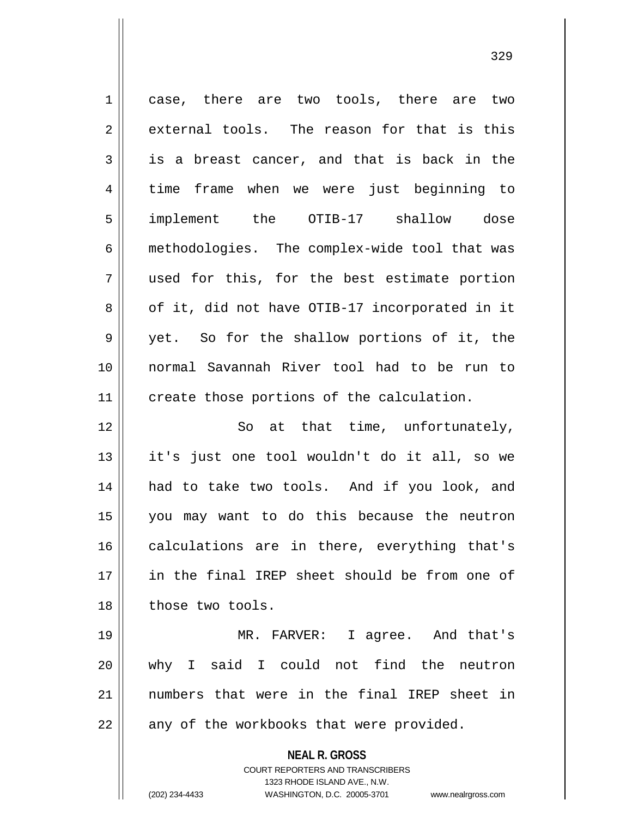| $\mathbf 1$ | case, there are two tools, there are two                                                 |
|-------------|------------------------------------------------------------------------------------------|
| 2           | external tools. The reason for that is this                                              |
| 3           | is a breast cancer, and that is back in the                                              |
| 4           | time frame when we were just beginning to                                                |
| 5           | implement the OTIB-17 shallow dose                                                       |
| 6           | methodologies. The complex-wide tool that was                                            |
| 7           | used for this, for the best estimate portion                                             |
| 8           | of it, did not have OTIB-17 incorporated in it                                           |
| $\mathsf 9$ | yet. So for the shallow portions of it, the                                              |
| 10          | normal Savannah River tool had to be run to                                              |
| 11          | create those portions of the calculation.                                                |
| 12          | So at that time, unfortunately,                                                          |
| 13          | it's just one tool wouldn't do it all, so we                                             |
| 14          | had to take two tools. And if you look, and                                              |
| 15          | you may want to do this because the neutron                                              |
| 16          | calculations are in there, everything that's                                             |
| 17          | in the final IREP sheet should be from one of                                            |
| 18          | those two tools.                                                                         |
| 19          | I agree. And that's<br>MR. FARVER:                                                       |
| 20          | why I said I could not find the neutron                                                  |
| 21          | numbers that were in the final IREP sheet in                                             |
| 22          | any of the workbooks that were provided.                                                 |
|             | <b>NEAL R. GROSS</b><br>COURT REPORTERS AND TRANSCRIBERS<br>1323 RHODE ISLAND AVE., N.W. |

1323 RHODE ISLAND AVE., N.W.

 $\prod_{i=1}^{n}$ 

(202) 234-4433 WASHINGTON, D.C. 20005-3701 www.nealrgross.com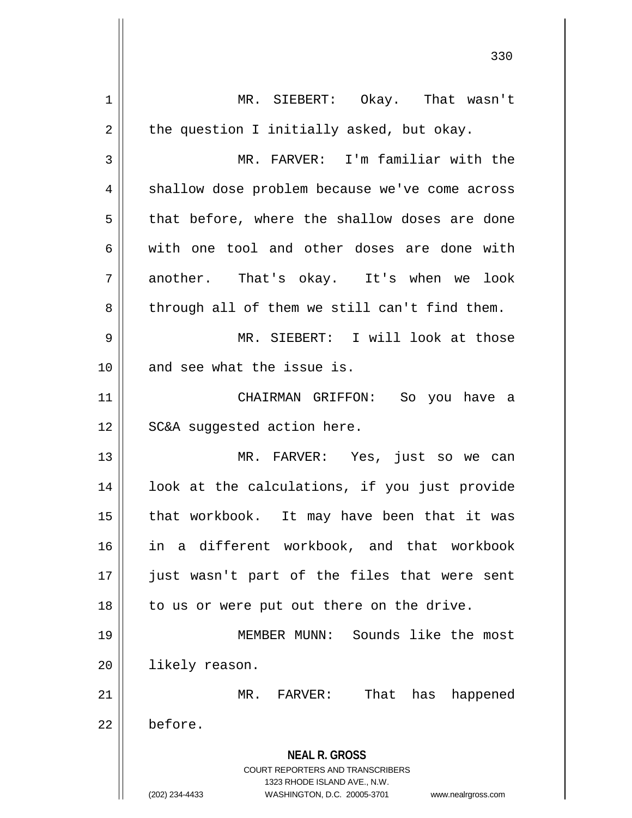| 1  | MR. SIEBERT: Okay. That wasn't                                      |
|----|---------------------------------------------------------------------|
| 2  | the question I initially asked, but okay.                           |
| 3  | MR. FARVER: I'm familiar with the                                   |
| 4  | shallow dose problem because we've come across                      |
| 5  | that before, where the shallow doses are done                       |
| 6  | with one tool and other doses are done with                         |
| 7  | another. That's okay. It's when we look                             |
| 8  | through all of them we still can't find them.                       |
| 9  | MR. SIEBERT: I will look at those                                   |
| 10 | and see what the issue is.                                          |
| 11 | CHAIRMAN GRIFFON: So you have a                                     |
| 12 | SC&A suggested action here.                                         |
| 13 | MR. FARVER: Yes, just so we can                                     |
| 14 | look at the calculations, if you just provide                       |
| 15 | that workbook. It may have been that it was                         |
| 16 | in a different workbook, and that workbook                          |
| 17 | just wasn't part of the files that were sent                        |
| 18 | to us or were put out there on the drive.                           |
| 19 | MEMBER MUNN: Sounds like the most                                   |
| 20 | likely reason.                                                      |
| 21 | MR. FARVER:<br>That has<br>happened                                 |
| 22 | before.                                                             |
|    |                                                                     |
|    | <b>NEAL R. GROSS</b>                                                |
|    | <b>COURT REPORTERS AND TRANSCRIBERS</b>                             |
|    | 1323 RHODE ISLAND AVE., N.W.                                        |
|    | (202) 234-4433<br>WASHINGTON, D.C. 20005-3701<br>www.nealrgross.com |

 $\overline{\phantom{a}}$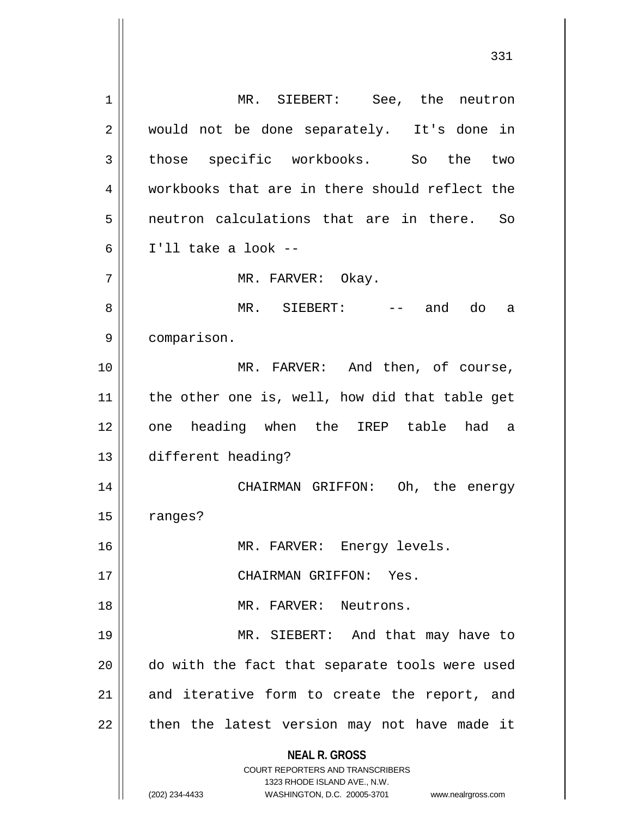**NEAL R. GROSS** COURT REPORTERS AND TRANSCRIBERS 1323 RHODE ISLAND AVE., N.W. (202) 234-4433 WASHINGTON, D.C. 20005-3701 www.nealrgross.com 1 MR. SIEBERT: See, the neutron 2 || would not be done separately. It's done in 3 those specific workbooks. So the two 4 workbooks that are in there should reflect the 5 neutron calculations that are in there. So 6 I'll take a look -- 7 MR. FARVER: Okay. 8 MR. SIEBERT: -- and do a 9 | comparison. 10 || MR. FARVER: And then, of course, 11 || the other one is, well, how did that table get 12 one heading when the IREP table had a 13 different heading? 14 || CHAIRMAN GRIFFON: Oh, the energy 15 | ranges? 16 || MR. FARVER: Energy levels. 17 CHAIRMAN GRIFFON: Yes. 18 MR. FARVER: Neutrons. 19 || MR. SIEBERT: And that may have to 20 do with the fact that separate tools were used  $21$  and iterative form to create the report, and  $22$  || then the latest version may not have made it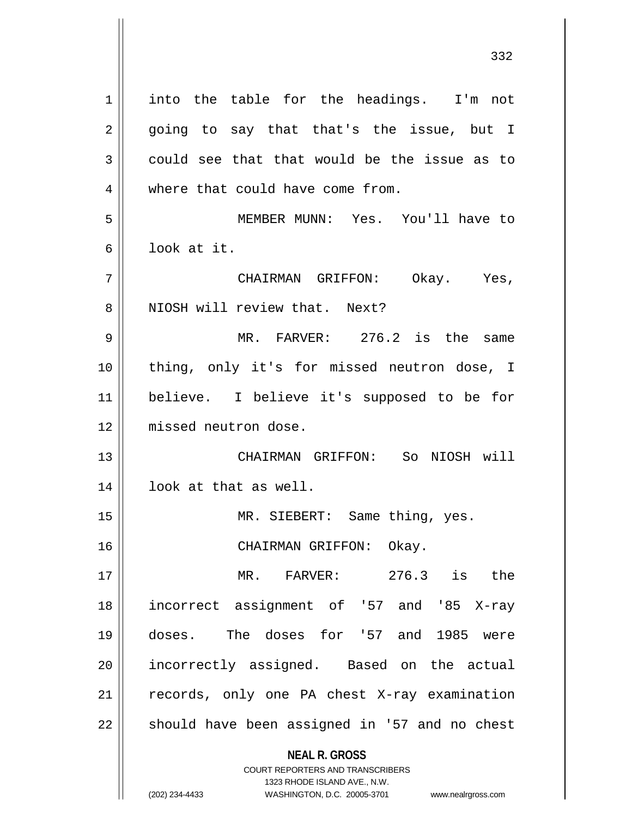**NEAL R. GROSS** COURT REPORTERS AND TRANSCRIBERS 1323 RHODE ISLAND AVE., N.W. 1 || into the table for the headings. I'm not  $2 \parallel$  going to say that that's the issue, but I  $3 \parallel$  could see that that would be the issue as to 4 where that could have come from. 5 MEMBER MUNN: Yes. You'll have to 6 look at it. 7 CHAIRMAN GRIFFON: Okay. Yes, 8 || NIOSH will review that. Next? 9 MR. FARVER: 276.2 is the same 10 thing, only it's for missed neutron dose, I 11 believe. I believe it's supposed to be for 12 missed neutron dose. 13 CHAIRMAN GRIFFON: So NIOSH will 14 || look at that as well. 15 MR. SIEBERT: Same thing, yes. 16 || CHAIRMAN GRIFFON: Okay. 17 MR. FARVER: 276.3 is the 18 incorrect assignment of '57 and '85 X-ray 19 doses. The doses for '57 and 1985 were 20 || incorrectly assigned. Based on the actual 21 || records, only one PA chest X-ray examination 22 || should have been assigned in '57 and no chest

(202) 234-4433 WASHINGTON, D.C. 20005-3701 www.nealrgross.com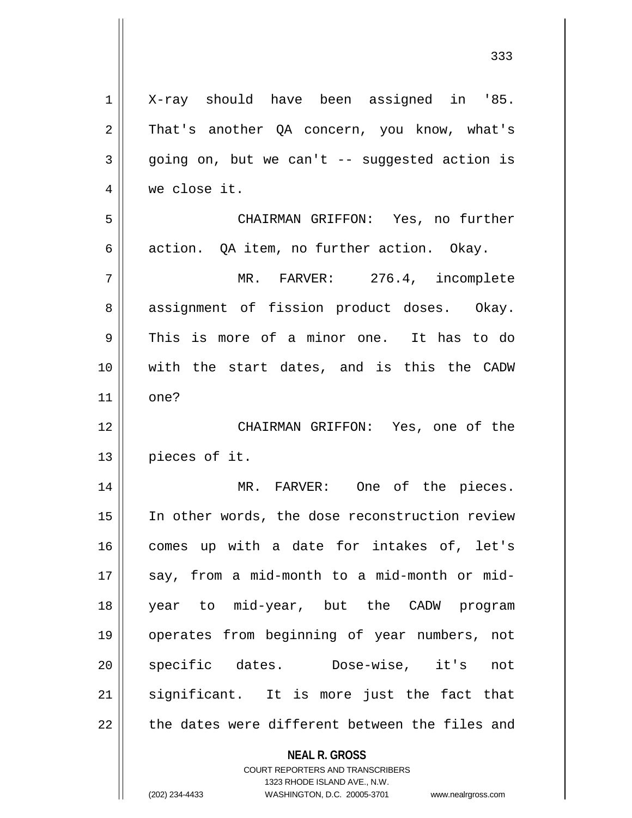**NEAL R. GROSS** 1 X-ray should have been assigned in '85. 2 || That's another QA concern, you know, what's  $3 \parallel$  going on, but we can't -- suggested action is 4 we close it. 5 CHAIRMAN GRIFFON: Yes, no further 6 |  $\alpha$  action. QA item, no further action. Okay. 7 MR. FARVER: 276.4, incomplete 8 assignment of fission product doses. Okay. 9 || This is more of a minor one. It has to do 10 with the start dates, and is this the CADW  $11 \parallel$  one? 12 CHAIRMAN GRIFFON: Yes, one of the 13 | pieces of it. 14 || MR. FARVER: One of the pieces. 15 || In other words, the dose reconstruction review 16 || comes up with a date for intakes of, let's  $17$  || say, from a mid-month to a mid-month or mid-18 year to mid-year, but the CADW program 19 operates from beginning of year numbers, not 20 || specific dates. Dose-wise, it's not 21 || significant. It is more just the fact that  $22$   $\parallel$  the dates were different between the files and

> COURT REPORTERS AND TRANSCRIBERS 1323 RHODE ISLAND AVE., N.W.

(202) 234-4433 WASHINGTON, D.C. 20005-3701 www.nealrgross.com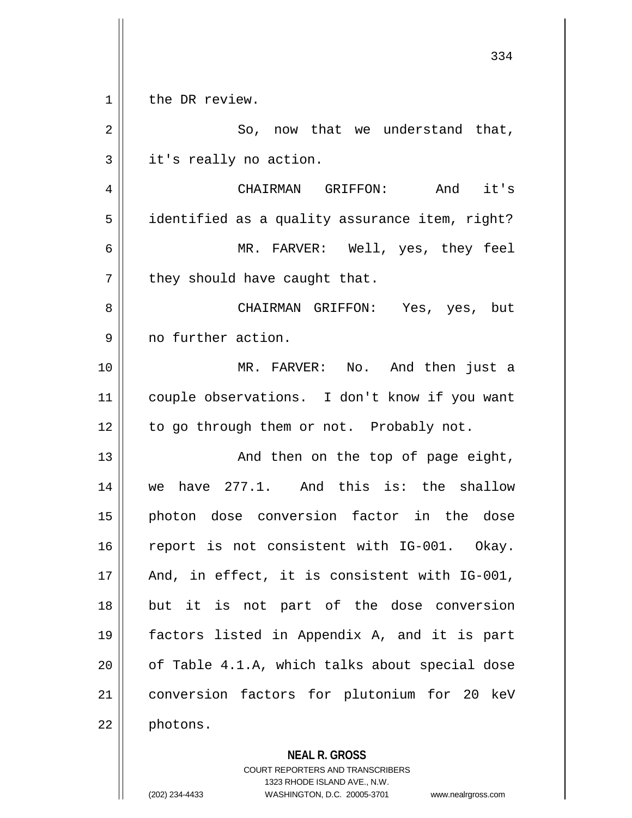1 | the DR review.  $2 \parallel$  So, now that we understand that, 3 | it's really no action. 4 CHAIRMAN GRIFFON: And it's  $5 \parallel$  identified as a quality assurance item, right? 6 MR. FARVER: Well, yes, they feel  $7$  || they should have caught that. 8 CHAIRMAN GRIFFON: Yes, yes, but 9 || no further action. 10 MR. FARVER: No. And then just a 11 couple observations. I don't know if you want 12 | to go through them or not. Probably not. 13 || And then on the top of page eight, 14 we have 277.1. And this is: the shallow 15 photon dose conversion factor in the dose 16 report is not consistent with IG-001. Okay. 17 || And, in effect, it is consistent with IG-001, 18 but it is not part of the dose conversion 19 factors listed in Appendix A, and it is part  $20$  | of Table  $4.1.A$ , which talks about special dose 21 | conversion factors for plutonium for 20 keV 22 | photons.

> **NEAL R. GROSS** COURT REPORTERS AND TRANSCRIBERS 1323 RHODE ISLAND AVE., N.W. (202) 234-4433 WASHINGTON, D.C. 20005-3701 www.nealrgross.com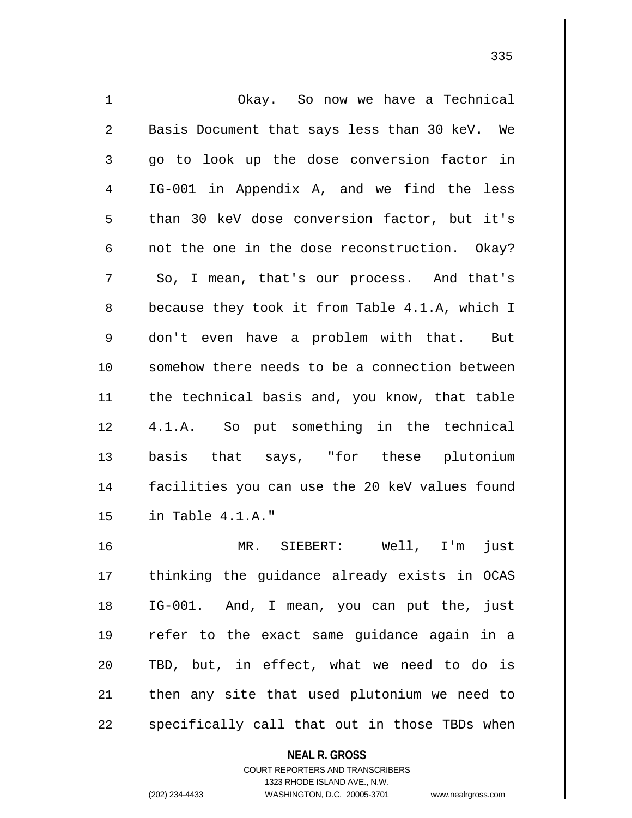| Okay. So now we have a Technical               |
|------------------------------------------------|
| Basis Document that says less than 30 keV. We  |
| go to look up the dose conversion factor in    |
| IG-001 in Appendix A, and we find the less     |
| than 30 keV dose conversion factor, but it's   |
| not the one in the dose reconstruction. Okay?  |
| So, I mean, that's our process. And that's     |
| because they took it from Table 4.1.A, which I |
| don't even have a problem with that. But       |
| somehow there needs to be a connection between |
| the technical basis and, you know, that table  |
| 4.1.A. So put something in the technical       |
| basis that says, "for these plutonium          |
| facilities you can use the 20 keV values found |
| in Table 4.1.A."                               |
| MR. SIEBERT: Well, I'm just                    |
| thinking the guidance already exists in OCAS   |
| IG-001. And, I mean, you can put the, just     |
| refer to the exact same guidance again in a    |
| TBD, but, in effect, what we need to do is     |
| then any site that used plutonium we need to   |
| specifically call that out in those TBDs when  |
|                                                |

**NEAL R. GROSS** COURT REPORTERS AND TRANSCRIBERS

1323 RHODE ISLAND AVE., N.W.

(202) 234-4433 WASHINGTON, D.C. 20005-3701 www.nealrgross.com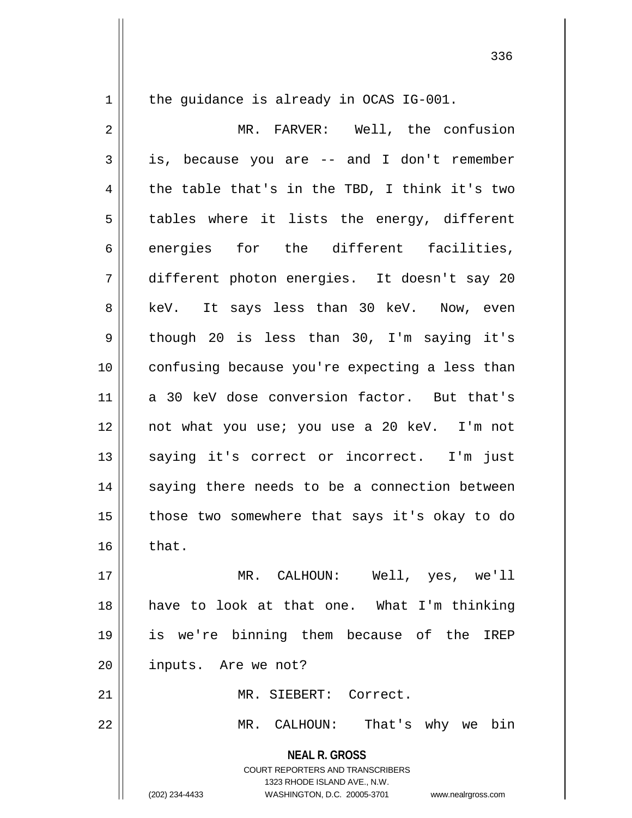1 | the guidance is already in OCAS IG-001.

**NEAL R. GROSS** COURT REPORTERS AND TRANSCRIBERS 1323 RHODE ISLAND AVE., N.W. (202) 234-4433 WASHINGTON, D.C. 20005-3701 www.nealrgross.com 2 | MR. FARVER: Well, the confusion  $3 \parallel$  is, because you are -- and I don't remember  $4 \parallel$  the table that's in the TBD, I think it's two  $5 \parallel$  tables where it lists the energy, different  $6 \parallel$  energies for the different facilities, 7 different photon energies. It doesn't say 20 8 || keV. It says less than 30 keV. Now, even 9 || though 20 is less than 30, I'm saying it's 10 confusing because you're expecting a less than 11 a 30 keV dose conversion factor. But that's 12 not what you use; you use a 20 keV. I'm not 13 || saying it's correct or incorrect. I'm just 14 || saying there needs to be a connection between  $15$  | those two somewhere that says it's okay to do  $16 \parallel$  that. 17 MR. CALHOUN: Well, yes, we'll 18 have to look at that one. What I'm thinking 19 is we're binning them because of the IREP 20 || inputs. Are we not? 21 MR. SIEBERT: Correct. 22 MR. CALHOUN: That's why we bin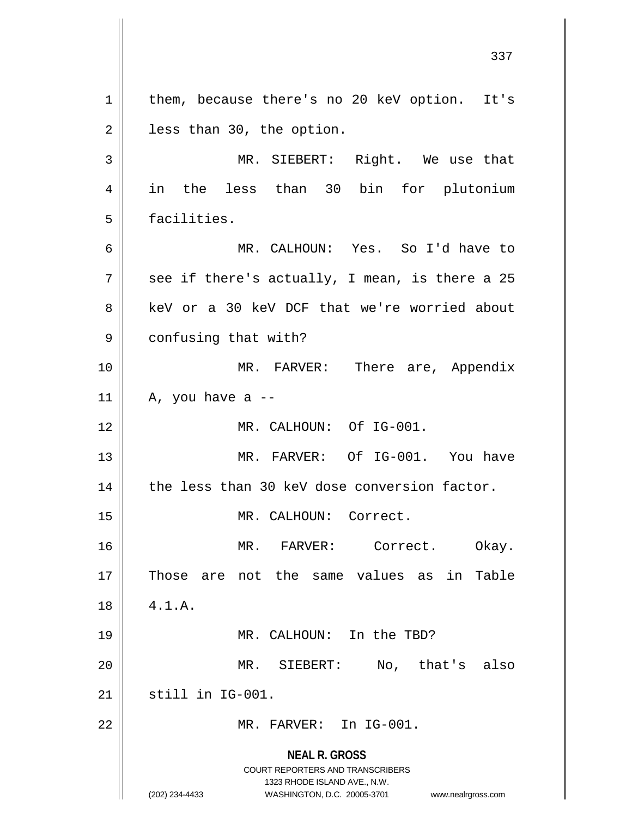**NEAL R. GROSS** COURT REPORTERS AND TRANSCRIBERS 1323 RHODE ISLAND AVE., N.W. (202) 234-4433 WASHINGTON, D.C. 20005-3701 www.nealrgross.com 1 | them, because there's no 20 keV option. It's  $2 \parallel$  less than 30, the option. 3 || MR. SIEBERT: Right. We use that 4 in the less than 30 bin for plutonium 5 | facilities. 6 MR. CALHOUN: Yes. So I'd have to  $7 \parallel$  see if there's actually, I mean, is there a 25 8 || keV or a 30 keV DCF that we're worried about 9 | confusing that with? 10 MR. FARVER: There are, Appendix 11 |  $\,$  A, you have a --12 MR. CALHOUN: Of IG-001. 13 || MR. FARVER: Of IG-001. You have  $14$  | the less than 30 keV dose conversion factor. 15 || MR. CALHOUN: Correct. 16 MR. FARVER: Correct. Okay. 17 Those are not the same values as in Table  $18 \parallel 4.1.A.$ 19 MR. CALHOUN: In the TBD? 20 MR. SIEBERT: No, that's also  $21$   $\parallel$  still in IG-001. 22 MR. FARVER: In IG-001.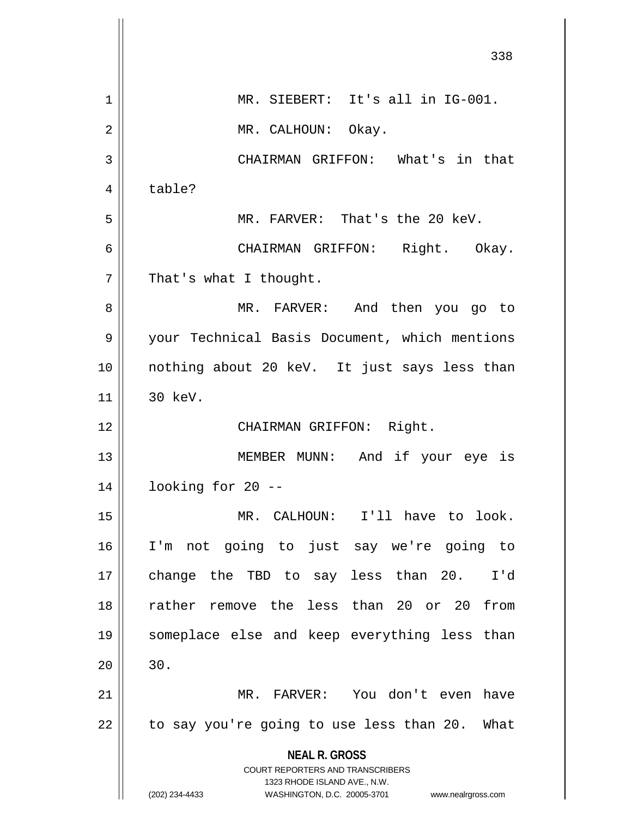|                | 338                                                                     |
|----------------|-------------------------------------------------------------------------|
| 1              | MR. SIEBERT: It's all in IG-001.                                        |
| $\overline{2}$ | MR. CALHOUN: Okay.                                                      |
| 3              | CHAIRMAN GRIFFON: What's in that                                        |
| 4              | table?                                                                  |
| 5              | MR. FARVER: That's the 20 keV.                                          |
| 6              | CHAIRMAN GRIFFON: Right. Okay.                                          |
| 7              | That's what I thought.                                                  |
| 8              | MR. FARVER: And then you go to                                          |
| 9              | your Technical Basis Document, which mentions                           |
| 10             | nothing about 20 keV. It just says less than                            |
| 11             | 30 keV.                                                                 |
| 12             | CHAIRMAN GRIFFON: Right.                                                |
| 13             | MEMBER MUNN: And if your eye is                                         |
| 14             | looking for 20 --                                                       |
| 15             | MR. CALHOUN: I'll have to look.                                         |
| 16             | I'm not going to just say we're going to                                |
| 17             | change the TBD to say less than 20. I'd                                 |
| 18             | rather remove the less than 20 or 20 from                               |
| 19             | someplace else and keep everything less than                            |
| 20             | 30.                                                                     |
| 21             | MR. FARVER: You don't even have                                         |
| 22             | to say you're going to use less than 20. What                           |
|                | <b>NEAL R. GROSS</b>                                                    |
|                | <b>COURT REPORTERS AND TRANSCRIBERS</b><br>1323 RHODE ISLAND AVE., N.W. |
|                | (202) 234-4433<br>WASHINGTON, D.C. 20005-3701<br>www.nealrgross.com     |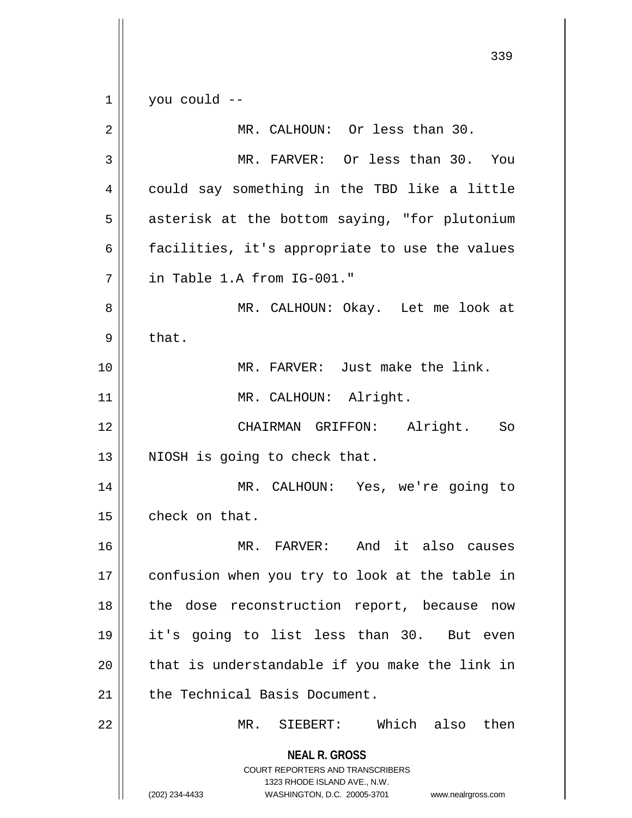**NEAL R. GROSS** COURT REPORTERS AND TRANSCRIBERS 1323 RHODE ISLAND AVE., N.W. (202) 234-4433 WASHINGTON, D.C. 20005-3701 www.nealrgross.com  $1 \parallel$  you could --2 || MR. CALHOUN: Or less than 30. 3 MR. FARVER: Or less than 30. You 4 || could say something in the TBD like a little 5 | asterisk at the bottom saying, "for plutonium 6  $\parallel$  facilities, it's appropriate to use the values 7 in Table 1.A from IG-001." 8 MR. CALHOUN: Okay. Let me look at  $9 \parallel$  that. 10 MR. FARVER: Just make the link. 11 || MR. CALHOUN: Alright. 12 CHAIRMAN GRIFFON: Alright. So  $13$  || NIOSH is going to check that. 14 MR. CALHOUN: Yes, we're going to  $15$  | check on that. 16 MR. FARVER: And it also causes 17 || confusion when you try to look at the table in 18 || the dose reconstruction report, because now 19 it's going to list less than 30. But even  $20$  || that is understandable if you make the link in 21 || the Technical Basis Document. 22 MR. SIEBERT: Which also then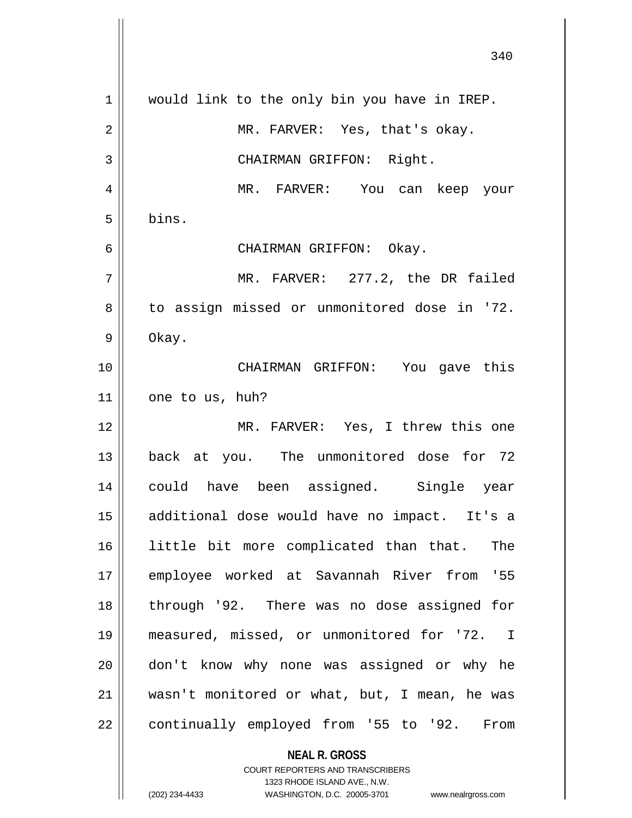|             | 340                                                                 |
|-------------|---------------------------------------------------------------------|
| $\mathbf 1$ | would link to the only bin you have in IREP.                        |
| 2           | MR. FARVER: Yes, that's okay.                                       |
| 3           | CHAIRMAN GRIFFON: Right.                                            |
| 4           | MR. FARVER: You can keep your                                       |
| 5           | bins.                                                               |
| 6           | CHAIRMAN GRIFFON: Okay.                                             |
| 7           | MR. FARVER: 277.2, the DR failed                                    |
| 8           | to assign missed or unmonitored dose in '72.                        |
| 9           | Okay.                                                               |
| 10          | CHAIRMAN GRIFFON: You gave this                                     |
| 11          | one to us, huh?                                                     |
| 12          | MR. FARVER: Yes, I threw this one                                   |
| 13          | back at you. The unmonitored dose for 72                            |
| 14          | could have been assigned. Single year                               |
| $15$        | additional dose would have no impact. It's a                        |
| 16          | little bit more complicated than that.<br>The                       |
| 17          | employee worked at Savannah River from '55                          |
| 18          | through '92. There was no dose assigned for                         |
| 19          | measured, missed, or unmonitored for '72. I                         |
| 20          | don't know why none was assigned or why he                          |
| 21          | wasn't monitored or what, but, I mean, he was                       |
| 22          | continually employed from '55 to '92. From                          |
|             | <b>NEAL R. GROSS</b><br><b>COURT REPORTERS AND TRANSCRIBERS</b>     |
|             | 1323 RHODE ISLAND AVE., N.W.                                        |
|             | (202) 234-4433<br>WASHINGTON, D.C. 20005-3701<br>www.nealrgross.com |

 $\mathsf{I}$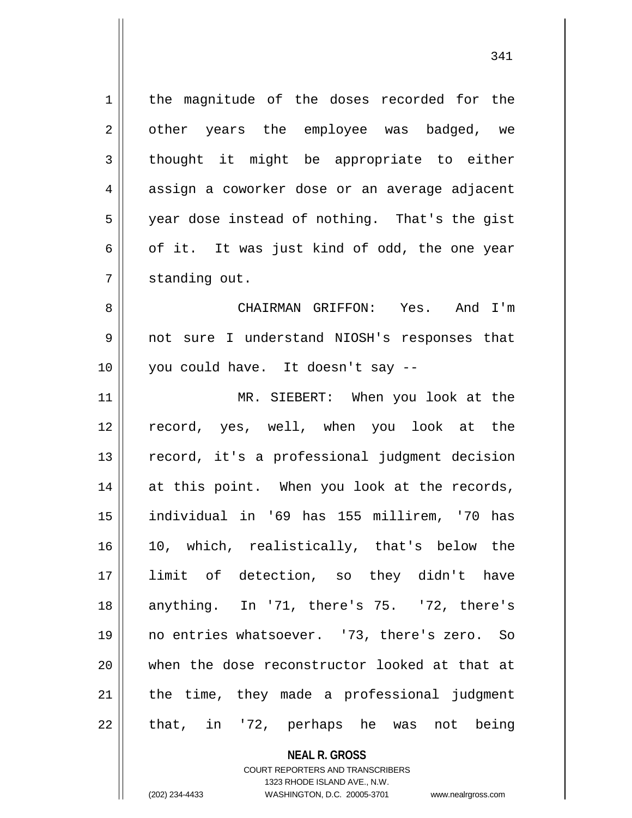1 | the magnitude of the doses recorded for the 2 || other years the employee was badged, we  $3 \parallel$  thought it might be appropriate to either 4 || assign a coworker dose or an average adjacent 5 || year dose instead of nothing. That's the gist 6 | of it. It was just kind of odd, the one year 7 | standing out. 8 CHAIRMAN GRIFFON: Yes. And I'm 9 not sure I understand NIOSH's responses that 10 || you could have. It doesn't say --11 MR. SIEBERT: When you look at the 12 record, yes, well, when you look at the 13 record, it's a professional judgment decision 14 || at this point. When you look at the records, 15 individual in '69 has 155 millirem, '70 has 16 10, which, realistically, that's below the 17 limit of detection, so they didn't have 18 anything. In '71, there's 75. '72, there's 19 no entries whatsoever. '73, there's zero. So 20 when the dose reconstructor looked at that at  $21$  | the time, they made a professional judgment

341

(202) 234-4433 WASHINGTON, D.C. 20005-3701 www.nealrgross.com

COURT REPORTERS AND TRANSCRIBERS 1323 RHODE ISLAND AVE., N.W.

**NEAL R. GROSS**

 $22 \parallel$  that, in '72, perhaps he was not being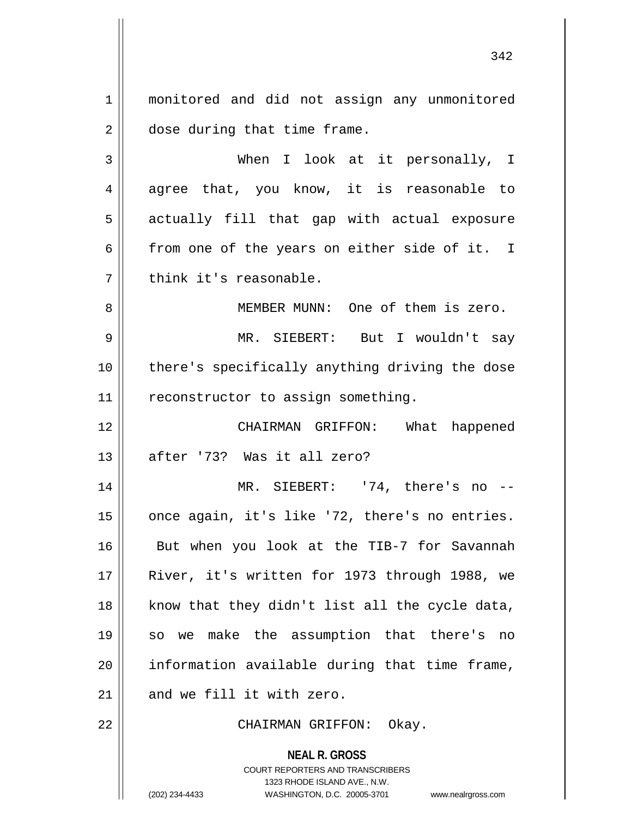1 || monitored and did not assign any unmonitored 2 | dose during that time frame.

3 When I look at it personally, I  $4 \parallel$  agree that, you know, it is reasonable to 5 || actually fill that gap with actual exposure 6  $\parallel$  from one of the years on either side of it. I  $7$   $\parallel$  think it's reasonable.

8 || MEMBER MUNN: One of them is zero.

9 MR. SIEBERT: But I wouldn't say 10 there's specifically anything driving the dose 11 || reconstructor to assign something.

12 CHAIRMAN GRIFFON: What happened 13 after '73? Was it all zero?

 MR. SIEBERT: '74, there's no --  $\parallel$  once again, it's like '72, there's no entries. 16 || But when you look at the TIB-7 for Savannah River, it's written for 1973 through 1988, we know that they didn't list all the cycle data, so we make the assumption that there's no information available during that time frame, and we fill it with zero.

22 CHAIRMAN GRIFFON: Okay.

**NEAL R. GROSS** COURT REPORTERS AND TRANSCRIBERS 1323 RHODE ISLAND AVE., N.W. (202) 234-4433 WASHINGTON, D.C. 20005-3701 www.nealrgross.com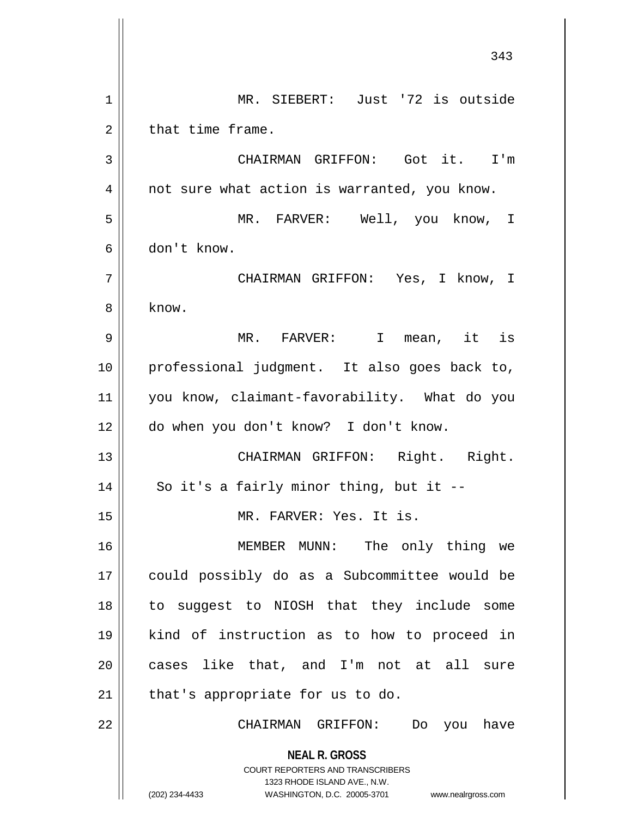**NEAL R. GROSS** COURT REPORTERS AND TRANSCRIBERS 1323 RHODE ISLAND AVE., N.W. (202) 234-4433 WASHINGTON, D.C. 20005-3701 www.nealrgross.com 1 || MR. SIEBERT: Just '72 is outside  $2 \parallel$  that time frame. 3 || CHAIRMAN GRIFFON: Got it. I'm 4 || not sure what action is warranted, you know. 5 MR. FARVER: Well, you know, I 6 don't know. 7 CHAIRMAN GRIFFON: Yes, I know, I 8 know. 9 || MR. FARVER: I mean, it is 10 professional judgment. It also goes back to, 11 you know, claimant-favorability. What do you 12 do when you don't know? I don't know. 13 || CHAIRMAN GRIFFON: Right. Right.  $14$  | So it's a fairly minor thing, but it --15 MR. FARVER: Yes. It is. 16 MEMBER MUNN: The only thing we 17 could possibly do as a Subcommittee would be 18 to suggest to NIOSH that they include some 19 kind of instruction as to how to proceed in 20 cases like that, and I'm not at all sure  $21$  | that's appropriate for us to do. 22 CHAIRMAN GRIFFON: Do you have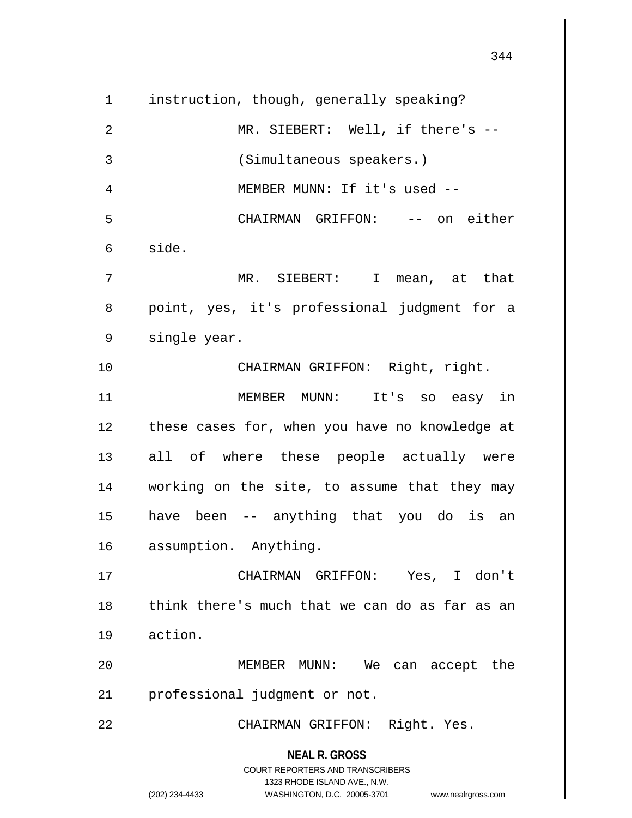**NEAL R. GROSS** COURT REPORTERS AND TRANSCRIBERS 1323 RHODE ISLAND AVE., N.W. (202) 234-4433 WASHINGTON, D.C. 20005-3701 www.nealrgross.com 1 | instruction, though, generally speaking? 2 || MR. SIEBERT: Well, if there's --3 (Simultaneous speakers.) 4 || MEMBER MUNN: If it's used --5 CHAIRMAN GRIFFON: -- on either  $6 \mid$  side. 7 MR. SIEBERT: I mean, at that 8 point, yes, it's professional judgment for a 9 || single year. 10 CHAIRMAN GRIFFON: Right, right. 11 MEMBER MUNN: It's so easy in 12 || these cases for, when you have no knowledge at 13 || all of where these people actually were 14 working on the site, to assume that they may 15 have been -- anything that you do is an 16 | assumption. Anything. 17 CHAIRMAN GRIFFON: Yes, I don't 18 || think there's much that we can do as far as an 19 action. 20 MEMBER MUNN: We can accept the 21 || professional judgment or not. 22 || CHAIRMAN GRIFFON: Right. Yes.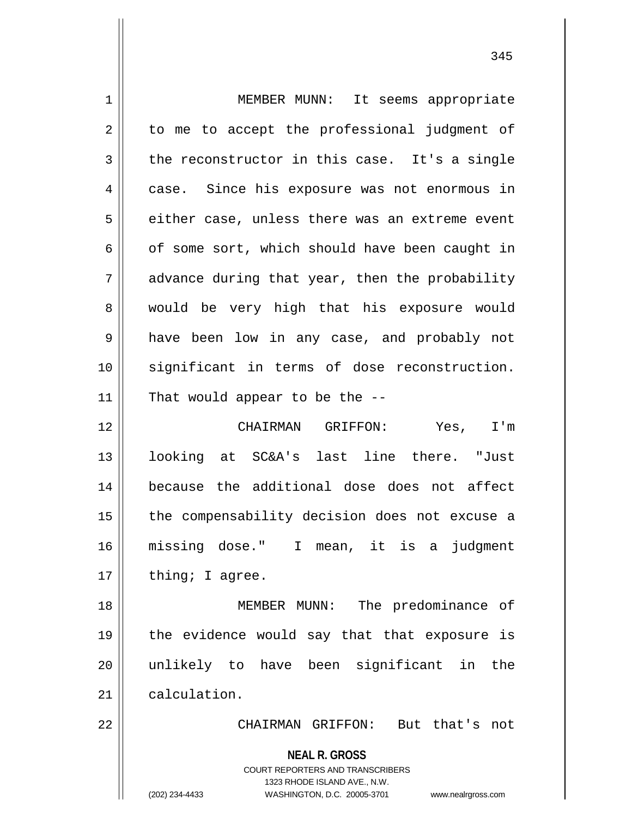| $\mathbf 1$    | MEMBER MUNN: It seems appropriate                                                                                                                                      |
|----------------|------------------------------------------------------------------------------------------------------------------------------------------------------------------------|
| $\overline{2}$ | to me to accept the professional judgment of                                                                                                                           |
| 3              | the reconstructor in this case. It's a single                                                                                                                          |
| 4              | case. Since his exposure was not enormous in                                                                                                                           |
| 5              | either case, unless there was an extreme event                                                                                                                         |
| 6              | of some sort, which should have been caught in                                                                                                                         |
| 7              | advance during that year, then the probability                                                                                                                         |
| 8              | would be very high that his exposure would                                                                                                                             |
| 9              | have been low in any case, and probably not                                                                                                                            |
| 10             | significant in terms of dose reconstruction.                                                                                                                           |
| 11             | That would appear to be the $-$ -                                                                                                                                      |
| 12             | CHAIRMAN GRIFFON: Yes, I'm                                                                                                                                             |
| 13             | looking at SC&A's last line there. "Just                                                                                                                               |
| 14             | because the additional dose does not affect                                                                                                                            |
| 15             | the compensability decision does not excuse a                                                                                                                          |
| 16             | missing dose." I mean, it is a judgment                                                                                                                                |
| 17             | thing; I agree.                                                                                                                                                        |
| 18             | MEMBER MUNN: The predominance of                                                                                                                                       |
| 19             | the evidence would say that that exposure is                                                                                                                           |
| 20             | unlikely to have been significant<br>in<br>the                                                                                                                         |
| 21             | calculation.                                                                                                                                                           |
| 22             | CHAIRMAN GRIFFON: But that's not                                                                                                                                       |
|                | <b>NEAL R. GROSS</b><br><b>COURT REPORTERS AND TRANSCRIBERS</b><br>1323 RHODE ISLAND AVE., N.W.<br>(202) 234-4433<br>WASHINGTON, D.C. 20005-3701<br>www.nealrgross.com |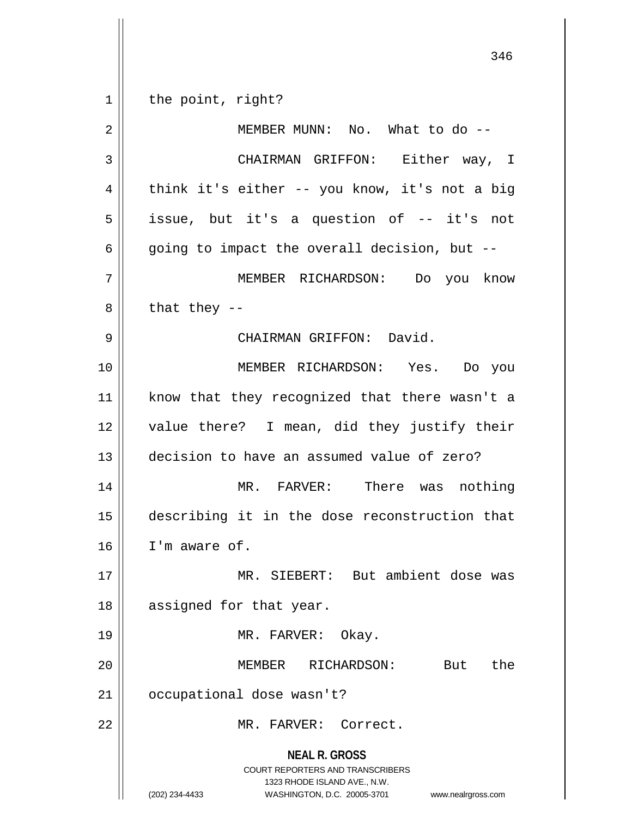**NEAL R. GROSS** COURT REPORTERS AND TRANSCRIBERS 1323 RHODE ISLAND AVE., N.W. (202) 234-4433 WASHINGTON, D.C. 20005-3701 www.nealrgross.com 1 || the point, right? 2 MEMBER MUNN: No. What to do -- 3 CHAIRMAN GRIFFON: Either way, I  $4 \parallel$  think it's either -- you know, it's not a big  $5 \parallel$  issue, but it's a question of -- it's not  $6 \parallel$  going to impact the overall decision, but --7 MEMBER RICHARDSON: Do you know  $8 \parallel$  that they --9 CHAIRMAN GRIFFON: David. 10 MEMBER RICHARDSON: Yes. Do you 11 || know that they recognized that there wasn't a 12 || value there? I mean, did they justify their 13 decision to have an assumed value of zero? 14 MR. FARVER: There was nothing 15 describing it in the dose reconstruction that  $16$  | I'm aware of. 17 MR. SIEBERT: But ambient dose was 18 | assigned for that year. 19 || MR. FARVER: Okay. 20 MEMBER RICHARDSON: But the 21 | occupational dose wasn't? 22 MR. FARVER: Correct.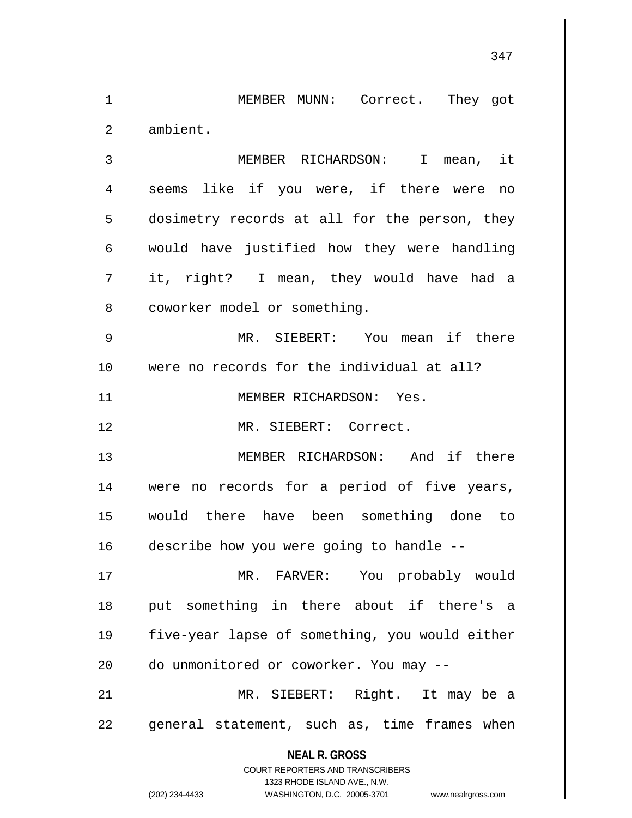**NEAL R. GROSS** COURT REPORTERS AND TRANSCRIBERS 1323 RHODE ISLAND AVE., N.W. (202) 234-4433 WASHINGTON, D.C. 20005-3701 www.nealrgross.com 1 || MEMBER MUNN: Correct. They got 2 | ambient. 3 MEMBER RICHARDSON: I mean, it 4 || seems like if you were, if there were no 5 dosimetry records at all for the person, they  $6$  would have justified how they were handling 7 it, right? I mean, they would have had a 8 | coworker model or something. 9 || MR. SIEBERT: You mean if there 10 were no records for the individual at all? 11 || MEMBER RICHARDSON: Yes. 12 MR. SIEBERT: Correct. 13 MEMBER RICHARDSON: And if there 14 || were no records for a period of five years, 15 would there have been something done to 16 describe how you were going to handle --17 MR. FARVER: You probably would 18 put something in there about if there's a 19 five-year lapse of something, you would either 20  $\parallel$  do unmonitored or coworker. You may --21 MR. SIEBERT: Right. It may be a  $22$  || general statement, such as, time frames when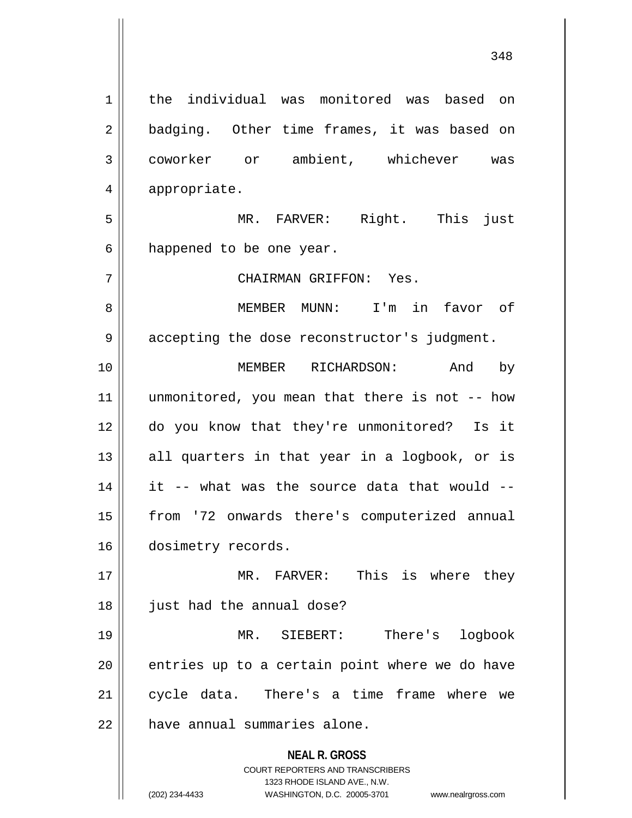**NEAL R. GROSS** COURT REPORTERS AND TRANSCRIBERS 1323 RHODE ISLAND AVE., N.W. (202) 234-4433 WASHINGTON, D.C. 20005-3701 www.nealrgross.com 1 the individual was monitored was based on 2 || badging. Other time frames, it was based on 3 coworker or ambient, whichever was 4 || appropriate. 5 MR. FARVER: Right. This just  $6 \parallel$  happened to be one year. 7 CHAIRMAN GRIFFON: Yes. 8 MEMBER MUNN: I'm in favor of 9 || accepting the dose reconstructor's judgment. 10 MEMBER RICHARDSON: And by 11 unmonitored, you mean that there is not -- how 12 do you know that they're unmonitored? Is it  $13$  all quarters in that year in a logbook, or is  $14$  || it -- what was the source data that would --15 || from '72 onwards there's computerized annual 16 dosimetry records. 17 MR. FARVER: This is where they 18 | just had the annual dose? 19 MR. SIEBERT: There's logbook  $20$  || entries up to a certain point where we do have 21 || cycle data. There's a time frame where we 22 | have annual summaries alone.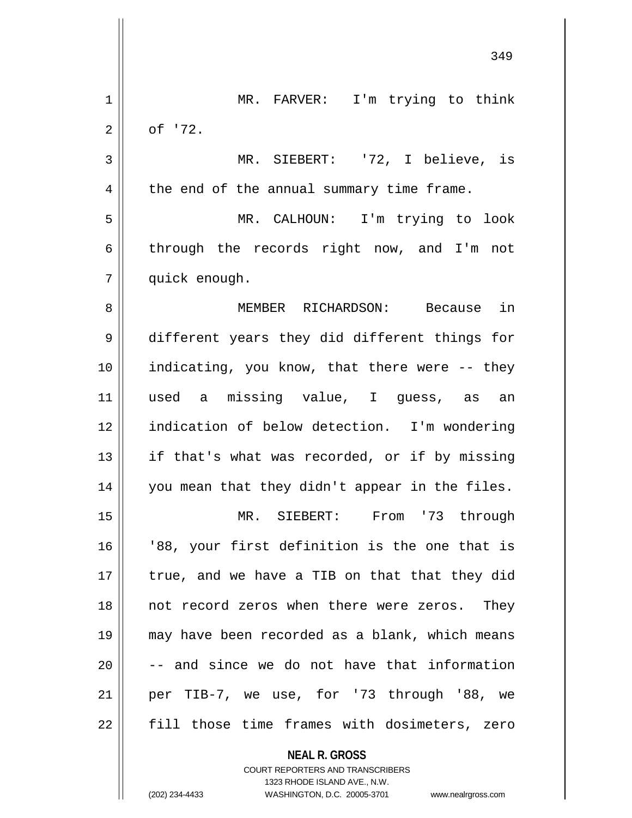|    | 349                                            |
|----|------------------------------------------------|
| 1  | MR. FARVER: I'm trying to think                |
| 2  | of '72.                                        |
| 3  | MR. SIEBERT: '72, I believe, is                |
| 4  | the end of the annual summary time frame.      |
| 5  | MR. CALHOUN: I'm trying to look                |
| 6  | through the records right now, and I'm not     |
| 7  | quick enough.                                  |
| 8  | MEMBER RICHARDSON: Because in                  |
| 9  | different years they did different things for  |
| 10 | indicating, you know, that there were -- they  |
| 11 | used a missing value, I guess, as an           |
| 12 | indication of below detection. I'm wondering   |
| 13 | if that's what was recorded, or if by missing  |
| 14 | you mean that they didn't appear in the files. |
| 15 | MR. SIEBERT: From '73 through                  |
| 16 | '88, your first definition is the one that is  |
| 17 | true, and we have a TIB on that that they did  |
| 18 | not record zeros when there were zeros. They   |
| 19 | may have been recorded as a blank, which means |
| 20 | -- and since we do not have that information   |
| 21 | per TIB-7, we use, for '73 through '88, we     |
| 22 | fill those time frames with dosimeters, zero   |
|    | <b>NEAL R. GROSS</b>                           |

COURT REPORTERS AND TRANSCRIBERS 1323 RHODE ISLAND AVE., N.W.

 $\prod$ 

(202) 234-4433 WASHINGTON, D.C. 20005-3701 www.nealrgross.com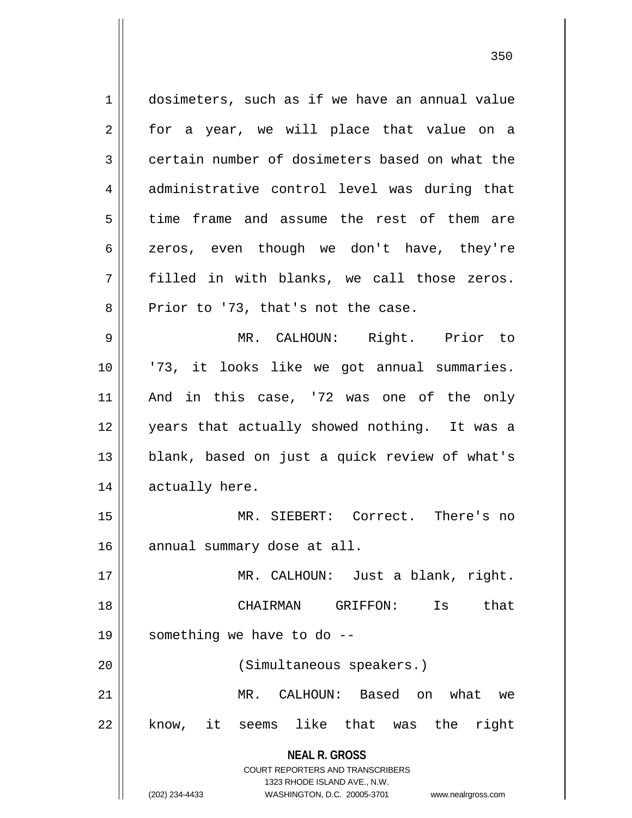**NEAL R. GROSS** COURT REPORTERS AND TRANSCRIBERS 1323 RHODE ISLAND AVE., N.W. (202) 234-4433 WASHINGTON, D.C. 20005-3701 www.nealrgross.com 1 dosimeters, such as if we have an annual value  $2 \parallel$  for a year, we will place that value on a 3 certain number of dosimeters based on what the 4 administrative control level was during that 5 time frame and assume the rest of them are 6 || zeros, even though we don't have, they're  $7 \parallel$  filled in with blanks, we call those zeros.  $8 \parallel$  Prior to '73, that's not the case. 9 MR. CALHOUN: Right. Prior to 10 '73, it looks like we got annual summaries. 11 And in this case, '72 was one of the only 12 || years that actually showed nothing. It was a 13 || blank, based on just a quick review of what's 14 | actually here. 15 MR. SIEBERT: Correct. There's no  $16$  annual summary dose at all. 17 MR. CALHOUN: Just a blank, right. 18 CHAIRMAN GRIFFON: Is that 19  $\parallel$  something we have to do --20 (Simultaneous speakers.) 21 MR. CALHOUN: Based on what we 22 || know, it seems like that was the right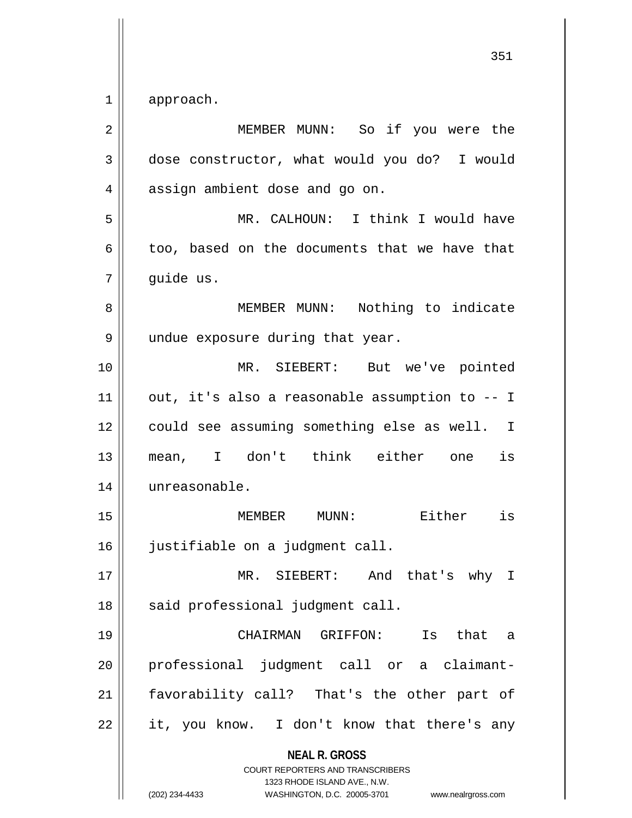$1 \parallel$  approach.

| 2  | MEMBER MUNN: So if you were the                                                                                                                                        |
|----|------------------------------------------------------------------------------------------------------------------------------------------------------------------------|
| 3  | dose constructor, what would you do? I would                                                                                                                           |
| 4  | assign ambient dose and go on.                                                                                                                                         |
| 5  | MR. CALHOUN: I think I would have                                                                                                                                      |
| 6  | too, based on the documents that we have that                                                                                                                          |
| 7  | guide us.                                                                                                                                                              |
| 8  | MEMBER MUNN: Nothing to indicate                                                                                                                                       |
| 9  | undue exposure during that year.                                                                                                                                       |
| 10 | MR. SIEBERT: But we've pointed                                                                                                                                         |
| 11 | out, it's also a reasonable assumption to -- I                                                                                                                         |
| 12 | could see assuming something else as well. I                                                                                                                           |
| 13 | mean, I don't think either one is                                                                                                                                      |
| 14 | unreasonable.                                                                                                                                                          |
| 15 | MEMBER MUNN: Either is                                                                                                                                                 |
| 16 | justifiable on a judgment call.                                                                                                                                        |
| 17 | MR. SIEBERT: And that's why I                                                                                                                                          |
| 18 | said professional judgment call.                                                                                                                                       |
| 19 | that<br>CHAIRMAN GRIFFON: Is<br>a a                                                                                                                                    |
| 20 | professional judgment call or a claimant-                                                                                                                              |
| 21 | favorability call? That's the other part of                                                                                                                            |
| 22 | it, you know. I don't know that there's any                                                                                                                            |
|    | <b>NEAL R. GROSS</b><br><b>COURT REPORTERS AND TRANSCRIBERS</b><br>1323 RHODE ISLAND AVE., N.W.<br>(202) 234-4433<br>WASHINGTON, D.C. 20005-3701<br>www.nealrgross.com |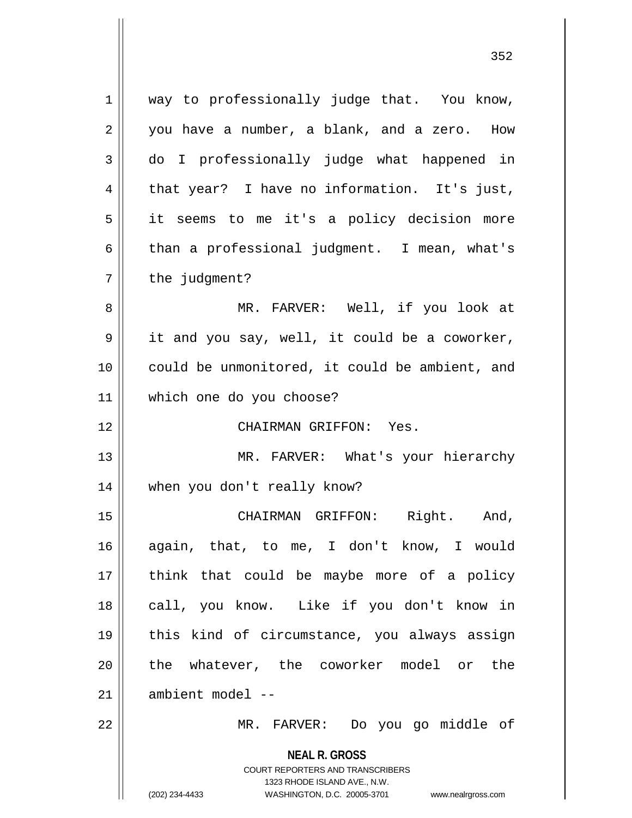| $1\,$          | way to professionally judge that. You know,                                                                                                                         |
|----------------|---------------------------------------------------------------------------------------------------------------------------------------------------------------------|
| $\overline{2}$ | you have a number, a blank, and a zero. How                                                                                                                         |
| 3              | do I professionally judge what happened in                                                                                                                          |
| 4              | that year? I have no information. It's just,                                                                                                                        |
| 5              | it seems to me it's a policy decision more                                                                                                                          |
| 6              | than a professional judgment. I mean, what's                                                                                                                        |
| 7              | the judgment?                                                                                                                                                       |
| 8              | MR. FARVER: Well, if you look at                                                                                                                                    |
| 9              | it and you say, well, it could be a coworker,                                                                                                                       |
| 10             | could be unmonitored, it could be ambient, and                                                                                                                      |
| 11             | which one do you choose?                                                                                                                                            |
| 12             | CHAIRMAN GRIFFON: Yes.                                                                                                                                              |
| 13             | MR. FARVER: What's your hierarchy                                                                                                                                   |
| 14             | when you don't really know?                                                                                                                                         |
| 15             | CHAIRMAN GRIFFON: Right. And,                                                                                                                                       |
| 16             | again, that, to me, I don't know, I would                                                                                                                           |
| 17             | think that could be maybe more of a policy                                                                                                                          |
| 18             | call, you know. Like if you don't know in                                                                                                                           |
| 19             | this kind of circumstance, you always assign                                                                                                                        |
| 20             | the whatever, the coworker model or the                                                                                                                             |
| 21             | ambient model --                                                                                                                                                    |
| 22             | MR. FARVER: Do you go middle of                                                                                                                                     |
|                | <b>NEAL R. GROSS</b><br><b>COURT REPORTERS AND TRANSCRIBERS</b><br>1323 RHODE ISLAND AVE., N.W.<br>(202) 234-4433<br>WASHINGTON, D.C. 20005-3701 www.nealrgross.com |

 $\mathsf{I}$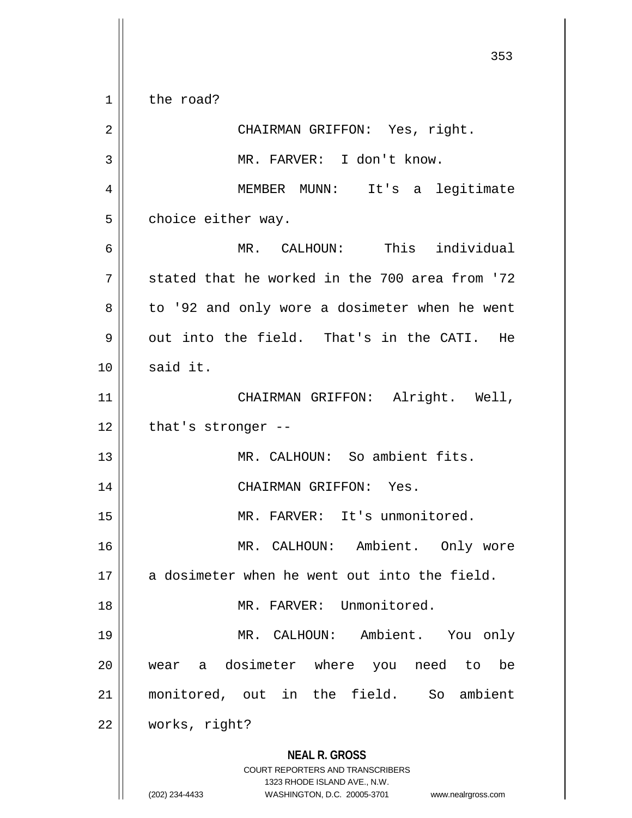**NEAL R. GROSS** COURT REPORTERS AND TRANSCRIBERS 1323 RHODE ISLAND AVE., N.W. (202) 234-4433 WASHINGTON, D.C. 20005-3701 www.nealrgross.com 353  $1 \parallel$  the road? 2 || CHAIRMAN GRIFFON: Yes, right. 3 || MR. FARVER: I don't know. 4 MEMBER MUNN: It's a legitimate  $5 \parallel$  choice either way. 6 MR. CALHOUN: This individual  $7 \parallel$  stated that he worked in the 700 area from '72 8 || to '92 and only wore a dosimeter when he went  $9 \parallel$  out into the field. That's in the CATI. He  $10$   $\parallel$  said it. 11 || CHAIRMAN GRIFFON: Alright. Well,  $12$  | that's stronger --13 MR. CALHOUN: So ambient fits. 14 CHAIRMAN GRIFFON: Yes. 15 || MR. FARVER: It's unmonitored. 16 MR. CALHOUN: Ambient. Only wore  $17 \parallel$  a dosimeter when he went out into the field. 18 MR. FARVER: Unmonitored. 19 MR. CALHOUN: Ambient. You only 20 wear a dosimeter where you need to be 21 monitored, out in the field. So ambient 22 works, right?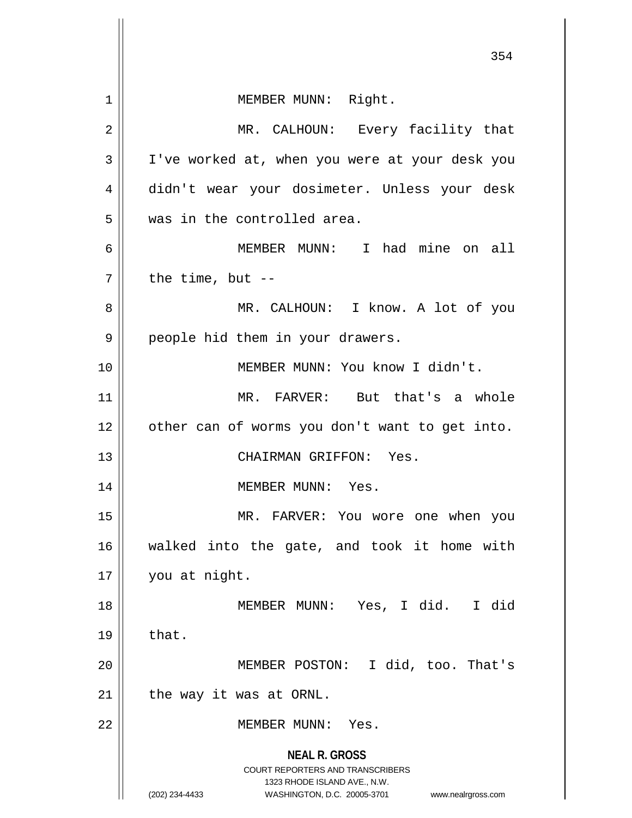|    | 354                                                                                                                                                                    |
|----|------------------------------------------------------------------------------------------------------------------------------------------------------------------------|
| 1  | MEMBER MUNN: Right.                                                                                                                                                    |
| 2  | MR. CALHOUN: Every facility that                                                                                                                                       |
| 3  | I've worked at, when you were at your desk you                                                                                                                         |
| 4  | didn't wear your dosimeter. Unless your desk                                                                                                                           |
| 5  | was in the controlled area.                                                                                                                                            |
| 6  | MEMBER MUNN: I had mine on all                                                                                                                                         |
| 7  | the time, but $--$                                                                                                                                                     |
| 8  | MR. CALHOUN: I know. A lot of you                                                                                                                                      |
| 9  | people hid them in your drawers.                                                                                                                                       |
| 10 | MEMBER MUNN: You know I didn't.                                                                                                                                        |
| 11 | MR. FARVER: But that's a whole                                                                                                                                         |
| 12 | other can of worms you don't want to get into.                                                                                                                         |
| 13 | CHAIRMAN GRIFFON: Yes.                                                                                                                                                 |
| 14 | MEMBER MUNN: Yes.                                                                                                                                                      |
| 15 | MR. FARVER: You wore one when you                                                                                                                                      |
| 16 | walked into the gate, and took it home with                                                                                                                            |
| 17 | you at night.                                                                                                                                                          |
| 18 | MEMBER MUNN: Yes, I did. I did                                                                                                                                         |
| 19 | that.                                                                                                                                                                  |
| 20 | MEMBER POSTON: I did, too. That's                                                                                                                                      |
| 21 | the way it was at ORNL.                                                                                                                                                |
| 22 | MEMBER MUNN:<br>Yes.                                                                                                                                                   |
|    | <b>NEAL R. GROSS</b><br><b>COURT REPORTERS AND TRANSCRIBERS</b><br>1323 RHODE ISLAND AVE., N.W.<br>(202) 234-4433<br>WASHINGTON, D.C. 20005-3701<br>www.nealrgross.com |

 $\overline{\phantom{a}}$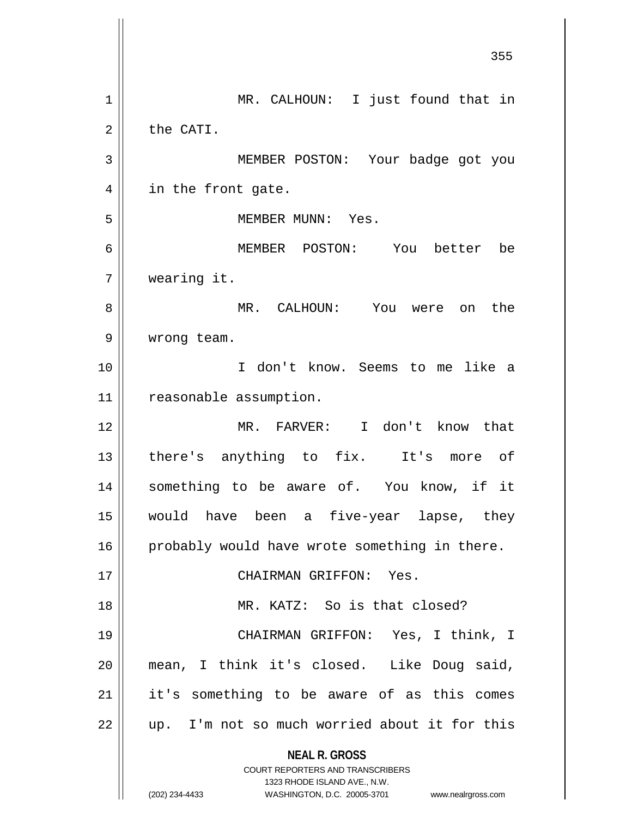**NEAL R. GROSS** COURT REPORTERS AND TRANSCRIBERS 1323 RHODE ISLAND AVE., N.W. (202) 234-4433 WASHINGTON, D.C. 20005-3701 www.nealrgross.com 355 1 || MR. CALHOUN: I just found that in  $2 \parallel$  the CATI. 3 MEMBER POSTON: Your badge got you 4 || in the front gate. 5 || MEMBER MUNN: Yes. 6 MEMBER POSTON: You better be 7 wearing it. 8 MR. CALHOUN: You were on the 9 wrong team. 10 I don't know. Seems to me like a 11 | reasonable assumption. 12 MR. FARVER: I don't know that 13 || there's anything to fix. It's more of 14 || something to be aware of. You know, if it 15 would have been a five-year lapse, they  $16$  probably would have wrote something in there. 17 CHAIRMAN GRIFFON: Yes. 18 MR. KATZ: So is that closed? 19 CHAIRMAN GRIFFON: Yes, I think, I 20 mean, I think it's closed. Like Doug said, 21 it's something to be aware of as this comes  $22$  || up. I'm not so much worried about it for this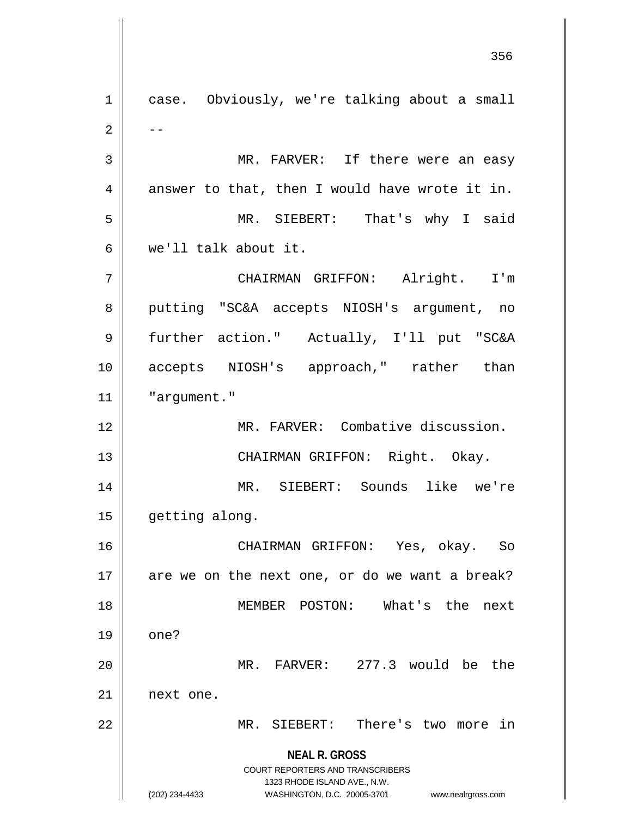**NEAL R. GROSS** COURT REPORTERS AND TRANSCRIBERS 1323 RHODE ISLAND AVE., N.W. (202) 234-4433 WASHINGTON, D.C. 20005-3701 www.nealrgross.com 1 | case. Obviously, we're talking about a small  $2 \parallel - -$ 3 MR. FARVER: If there were an easy  $4 \parallel$  answer to that, then I would have wrote it in. 5 MR. SIEBERT: That's why I said 6 we'll talk about it. 7 CHAIRMAN GRIFFON: Alright. I'm 8 || putting "SC&A accepts NIOSH's argument, no 9 further action." Actually, I'll put "SC&A 10 accepts NIOSH's approach," rather than 11 | "argument." 12 MR. FARVER: Combative discussion. 13 || CHAIRMAN GRIFFON: Right. Okay. 14 MR. SIEBERT: Sounds like we're 15 | getting along. 16 CHAIRMAN GRIFFON: Yes, okay. So  $17$  | are we on the next one, or do we want a break? 18 MEMBER POSTON: What's the next  $19 \parallel$  one? 20 MR. FARVER: 277.3 would be the 21 next one. 22 || MR. SIEBERT: There's two more in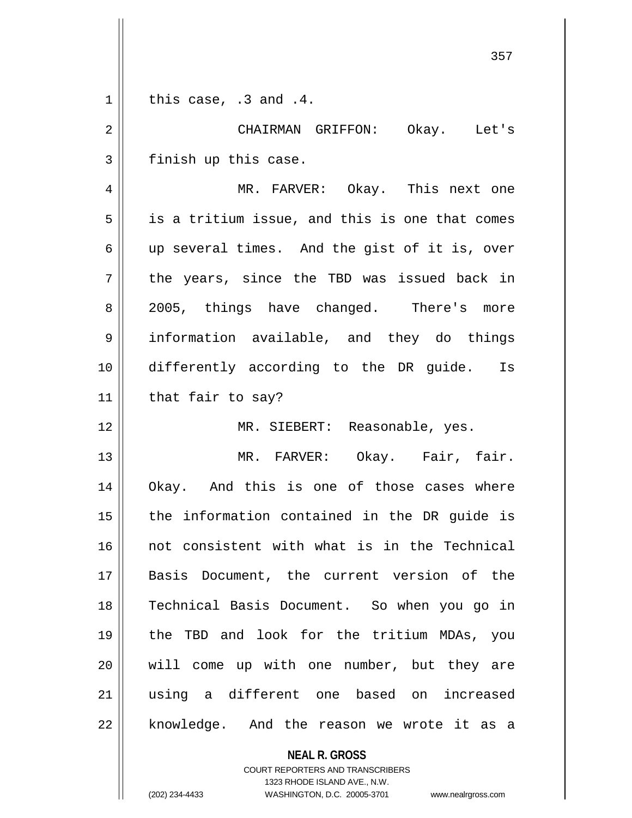$1 \parallel$  this case, .3 and .4.

2 CHAIRMAN GRIFFON: Okay. Let's  $3$  finish up this case.

4 MR. FARVER: Okay. This next one  $5 \parallel$  is a tritium issue, and this is one that comes 6 up several times. And the gist of it is, over  $7 \parallel$  the years, since the TBD was issued back in 8 || 2005, things have changed. There's more 9 information available, and they do things 10 differently according to the DR guide. Is  $11$  | that fair to say?

12 || MR. SIEBERT: Reasonable, yes.

 MR. FARVER: Okay. Fair, fair. 14 || Okay. And this is one of those cases where | the information contained in the DR guide is 16 || not consistent with what is in the Technical Basis Document, the current version of the Technical Basis Document. So when you go in the TBD and look for the tritium MDAs, you will come up with one number, but they are using a different one based on increased 22 || knowledge. And the reason we wrote it as a

**NEAL R. GROSS**

COURT REPORTERS AND TRANSCRIBERS 1323 RHODE ISLAND AVE., N.W. (202) 234-4433 WASHINGTON, D.C. 20005-3701 www.nealrgross.com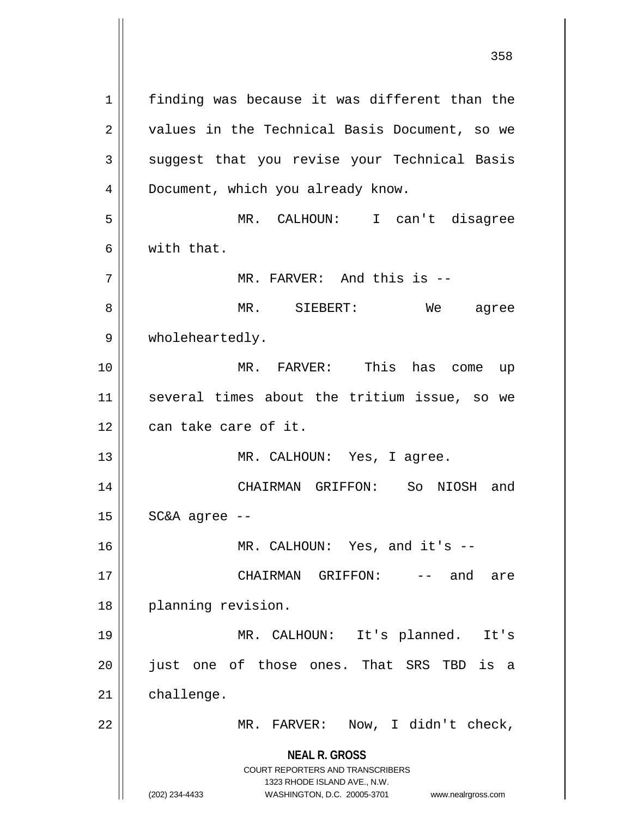**NEAL R. GROSS** COURT REPORTERS AND TRANSCRIBERS 1323 RHODE ISLAND AVE., N.W. (202) 234-4433 WASHINGTON, D.C. 20005-3701 www.nealrgross.com 1 || finding was because it was different than the 2 || values in the Technical Basis Document, so we 3 || suggest that you revise your Technical Basis 4 | Document, which you already know. 5 MR. CALHOUN: I can't disagree 6 with that. 7 MR. FARVER: And this is -- 8 MR. SIEBERT: We agree 9 | wholeheartedly. 10 MR. FARVER: This has come up 11 several times about the tritium issue, so we 12 || can take care of it. 13 || MR. CALHOUN: Yes, I agree. 14 CHAIRMAN GRIFFON: So NIOSH and  $15 \parallel$  SC&A agree --16 || MR. CALHOUN: Yes, and it's --17 CHAIRMAN GRIFFON: -- and are 18 || planning revision. 19 MR. CALHOUN: It's planned. It's 20 || just one of those ones. That SRS TBD is a 21 | challenge. 22 || MR. FARVER: Now, I didn't check,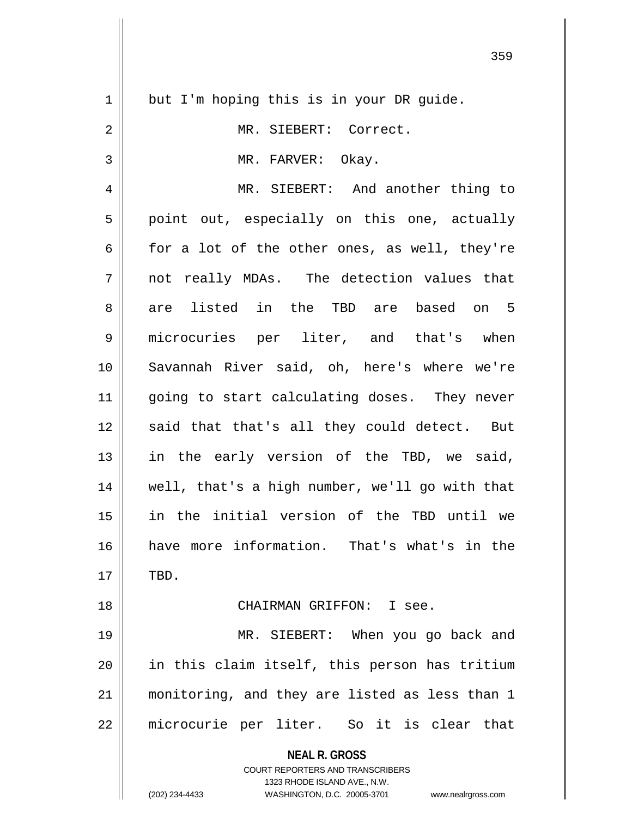| $\mathbf 1$    | but I'm hoping this is in your DR guide.                                |
|----------------|-------------------------------------------------------------------------|
| $\overline{2}$ | MR. SIEBERT: Correct.                                                   |
| 3              | MR. FARVER: Okay.                                                       |
| $\overline{4}$ | MR. SIEBERT: And another thing to                                       |
| 5              | point out, especially on this one, actually                             |
| 6              | for a lot of the other ones, as well, they're                           |
| 7              | not really MDAs. The detection values that                              |
| 8              | are listed in the TBD are based on 5                                    |
| 9              | microcuries per liter, and that's when                                  |
|                |                                                                         |
| 10             | Savannah River said, oh, here's where we're                             |
| 11             | going to start calculating doses. They never                            |
| 12             | said that that's all they could detect. But                             |
| 13             | in the early version of the TBD, we said,                               |
| 14             | well, that's a high number, we'll go with that                          |
| 15             | in the initial version of the TBD until we                              |
| 16             | have more information. That's what's in the                             |
| 17             | TBD.                                                                    |
| 18             | CHAIRMAN GRIFFON: I see.                                                |
| 19             | MR. SIEBERT: When you go back and                                       |
| 20             | in this claim itself, this person has tritium                           |
| 21             | monitoring, and they are listed as less than 1                          |
| 22             | microcurie per liter. So it is clear that                               |
|                |                                                                         |
|                | <b>NEAL R. GROSS</b>                                                    |
|                | <b>COURT REPORTERS AND TRANSCRIBERS</b><br>1323 RHODE ISLAND AVE., N.W. |
|                | (202) 234-4433<br>WASHINGTON, D.C. 20005-3701<br>www.nealrgross.com     |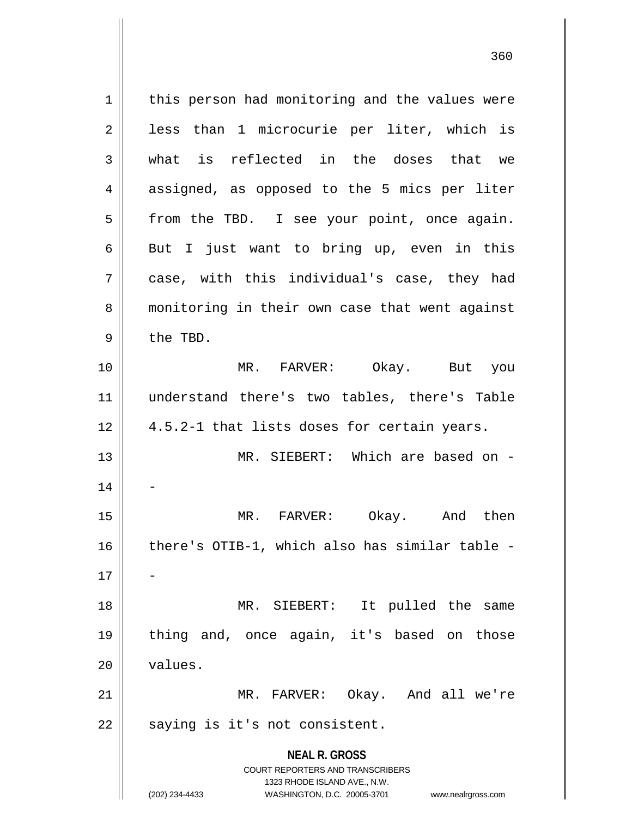**NEAL R. GROSS** COURT REPORTERS AND TRANSCRIBERS 1323 RHODE ISLAND AVE., N.W. (202) 234-4433 WASHINGTON, D.C. 20005-3701 www.nealrgross.com 1 | this person had monitoring and the values were 2 || less than 1 microcurie per liter, which is 3 || what is reflected in the doses that we 4 || assigned, as opposed to the 5 mics per liter 5 || from the TBD. I see your point, once again. 6 But I just want to bring up, even in this 7 case, with this individual's case, they had 8 || monitoring in their own case that went against  $9 \parallel$  the TBD. 10 MR. FARVER: Okay. But you 11 understand there's two tables, there's Table  $12 \parallel 4.5.2 \text{--}1$  that lists doses for certain years. 13 MR. SIEBERT: Which are based on - 14 15 MR. FARVER: Okay. And then 16 there's OTIB-1, which also has similar table -  $17$ 18 MR. SIEBERT: It pulled the same 19 thing and, once again, it's based on those 20 | values. 21 MR. FARVER: Okay. And all we're  $22$  || saying is it's not consistent.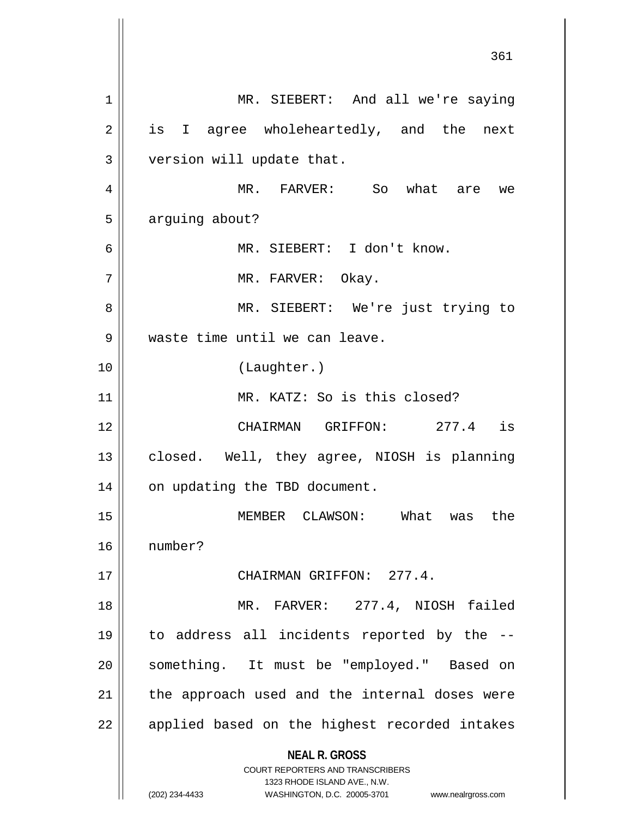**NEAL R. GROSS** COURT REPORTERS AND TRANSCRIBERS 1323 RHODE ISLAND AVE., N.W. (202) 234-4433 WASHINGTON, D.C. 20005-3701 www.nealrgross.com 1 || MR. SIEBERT: And all we're saying 2 || is I agree wholeheartedly, and the next 3 || version will update that. 4 MR. FARVER: So what are we  $5 \parallel$  arguing about? 6 MR. SIEBERT: I don't know. 7 MR. FARVER: Okay. 8 MR. SIEBERT: We're just trying to 9 We waste time until we can leave. 10 (Laughter.) 11 || MR. KATZ: So is this closed? 12 CHAIRMAN GRIFFON: 277.4 is 13 || closed. Well, they agree, NIOSH is planning 14 | on updating the TBD document. 15 MEMBER CLAWSON: What was the 16 number? 17 CHAIRMAN GRIFFON: 277.4. 18 MR. FARVER: 277.4, NIOSH failed 19 to address all incidents reported by the -- 20 || something. It must be "employed." Based on  $21$  | the approach used and the internal doses were 22 || applied based on the highest recorded intakes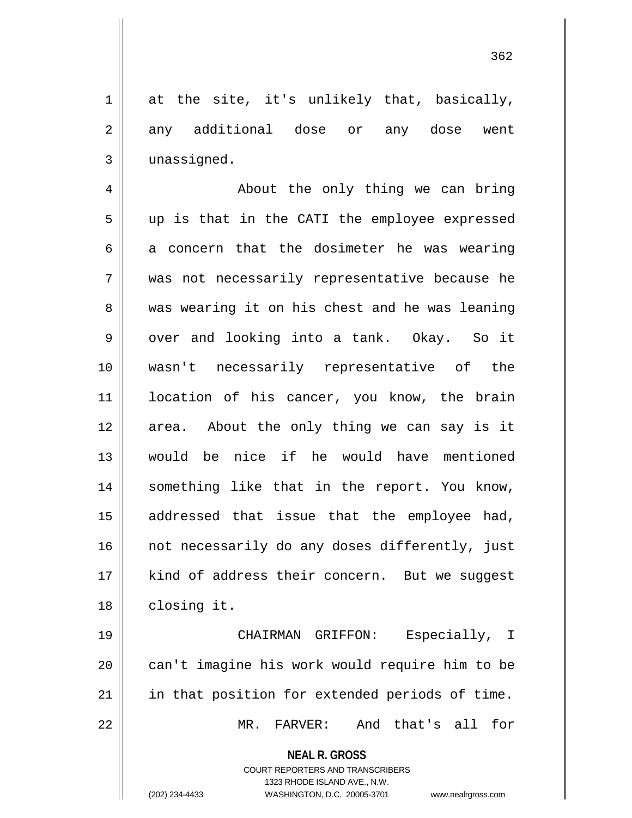$1 \parallel$  at the site, it's unlikely that, basically, 2 any additional dose or any dose went 3 | unassigned.

4 || About the only thing we can bring  $5 \parallel$  up is that in the CATI the employee expressed  $6 \parallel$  a concern that the dosimeter he was wearing 7 was not necessarily representative because he 8 || was wearing it on his chest and he was leaning  $9 \parallel$  over and looking into a tank. Okay. So it 10 wasn't necessarily representative of the 11 location of his cancer, you know, the brain 12 area. About the only thing we can say is it 13 would be nice if he would have mentioned 14 || something like that in the report. You know, 15 addressed that issue that the employee had,  $16$  | not necessarily do any doses differently, just 17 || kind of address their concern. But we suggest 18 | closing it.

19 CHAIRMAN GRIFFON: Especially, I 20 || can't imagine his work would require him to be 21 || in that position for extended periods of time. 22 MR. FARVER: And that's all for

**NEAL R. GROSS**

```
COURT REPORTERS AND TRANSCRIBERS
                     1323 RHODE ISLAND AVE., N.W.
(202) 234-4433 WASHINGTON, D.C. 20005-3701 www.nealrgross.com
```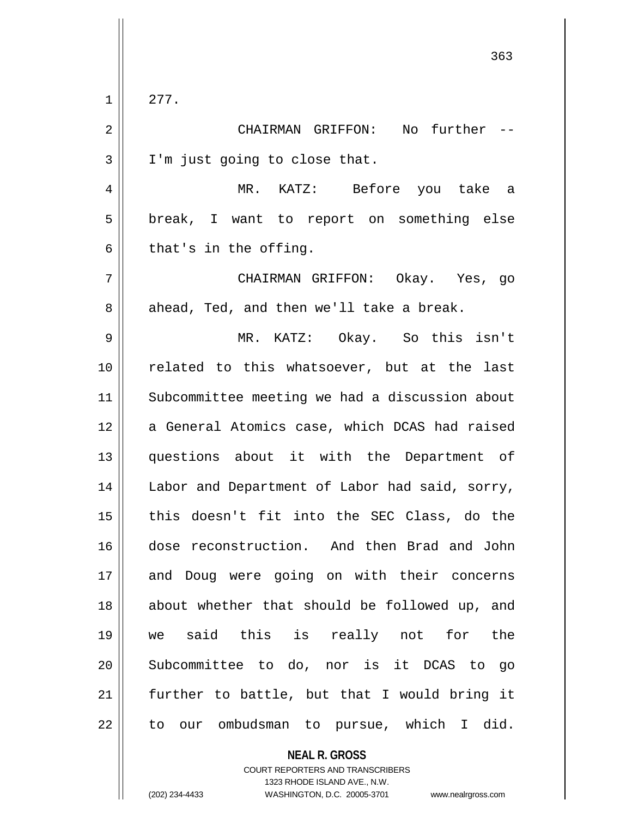$1 \parallel 277$ .

2 CHAIRMAN GRIFFON: No further -- 3 || I'm just going to close that.

4 MR. KATZ: Before you take a 5 || break, I want to report on something else  $6 \parallel$  that's in the offing.

7 CHAIRMAN GRIFFON: Okay. Yes, go  $8 \parallel$  ahead, Ted, and then we'll take a break.

9 MR. KATZ: Okay. So this isn't 10 || related to this whatsoever, but at the last 11 || Subcommittee meeting we had a discussion about 12 || a General Atomics case, which DCAS had raised 13 questions about it with the Department of 14 || Labor and Department of Labor had said, sorry, 15 this doesn't fit into the SEC Class, do the 16 dose reconstruction. And then Brad and John 17 and Doug were going on with their concerns 18 || about whether that should be followed up, and 19 we said this is really not for the 20 Subcommittee to do, nor is it DCAS to go  $21$  | further to battle, but that I would bring it  $22$  || to our ombudsman to pursue, which I did.

**NEAL R. GROSS**

COURT REPORTERS AND TRANSCRIBERS 1323 RHODE ISLAND AVE., N.W. (202) 234-4433 WASHINGTON, D.C. 20005-3701 www.nealrgross.com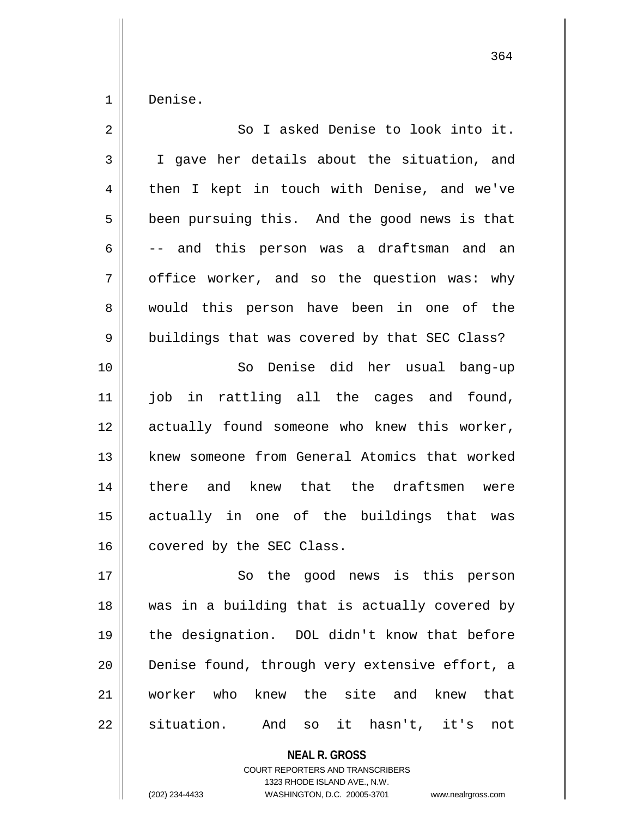1 Denise.

| $\overline{2}$ | So I asked Denise to look into it.                   |
|----------------|------------------------------------------------------|
| 3              | I gave her details about the situation, and          |
| 4              | then I kept in touch with Denise, and we've          |
| 5              | been pursuing this. And the good news is that        |
| 6              | -- and this person was a draftsman and an            |
| 7              | office worker, and so the question was: why          |
| 8              | would this person have been in one of the            |
| 9              | buildings that was covered by that SEC Class?        |
| 10             | So Denise did her usual bang-up                      |
| 11             | job in rattling all the cages and found,             |
| 12             | actually found someone who knew this worker,         |
| 13             | knew someone from General Atomics that worked        |
| 14             | there and knew that the draftsmen were               |
| 15             | actually in one of the buildings that was            |
| 16             | covered by the SEC Class.                            |
| 17             | So the good news is this person                      |
| 18             | was in a building that is actually covered by        |
| 19             | the designation. DOL didn't know that before         |
| 20             | Denise found, through very extensive effort, a       |
| 21             | worker who knew the site and knew<br>that            |
| 22             | situation.<br>And<br>it<br>hasn't, it's<br>not<br>SO |

**NEAL R. GROSS** COURT REPORTERS AND TRANSCRIBERS 1323 RHODE ISLAND AVE., N.W.

(202) 234-4433 WASHINGTON, D.C. 20005-3701 www.nealrgross.com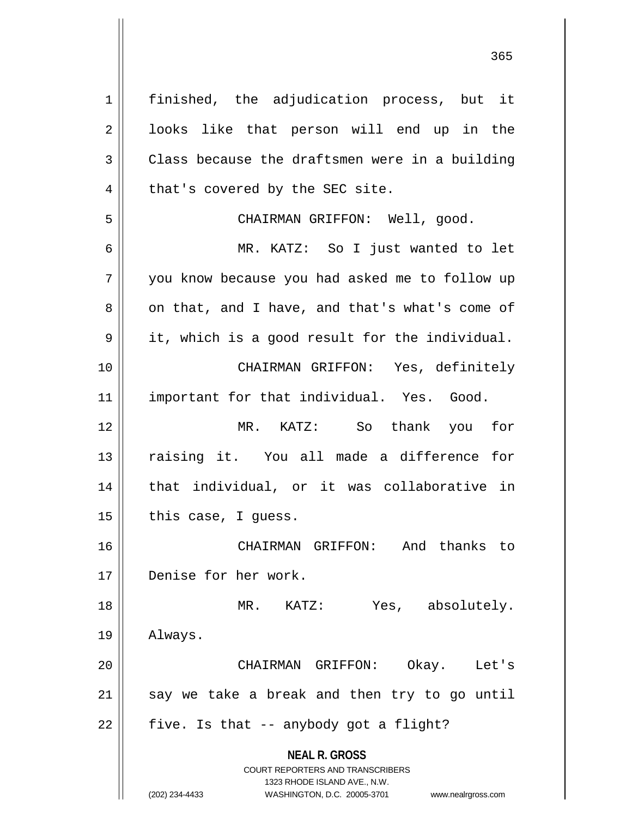**NEAL R. GROSS** COURT REPORTERS AND TRANSCRIBERS 1323 RHODE ISLAND AVE., N.W. (202) 234-4433 WASHINGTON, D.C. 20005-3701 www.nealrgross.com 1 || finished, the adjudication process, but it 2 || looks like that person will end up in the  $3 \parallel$  Class because the draftsmen were in a building  $4 \parallel$  that's covered by the SEC site. 5 CHAIRMAN GRIFFON: Well, good. 6 MR. KATZ: So I just wanted to let 7 you know because you had asked me to follow up  $8 \parallel$  on that, and I have, and that's what's come of  $9 \parallel$  it, which is a good result for the individual. 10 || CHAIRMAN GRIFFON: Yes, definitely 11 || important for that individual. Yes. Good. 12 MR. KATZ: So thank you for 13 || raising it. You all made a difference for 14 || that individual, or it was collaborative in  $15$  | this case, I guess. 16 CHAIRMAN GRIFFON: And thanks to 17 Denise for her work. 18 MR. KATZ: Yes, absolutely. 19 Always. 20 CHAIRMAN GRIFFON: Okay. Let's  $21$  say we take a break and then try to go until  $22$  | five. Is that -- anybody got a flight?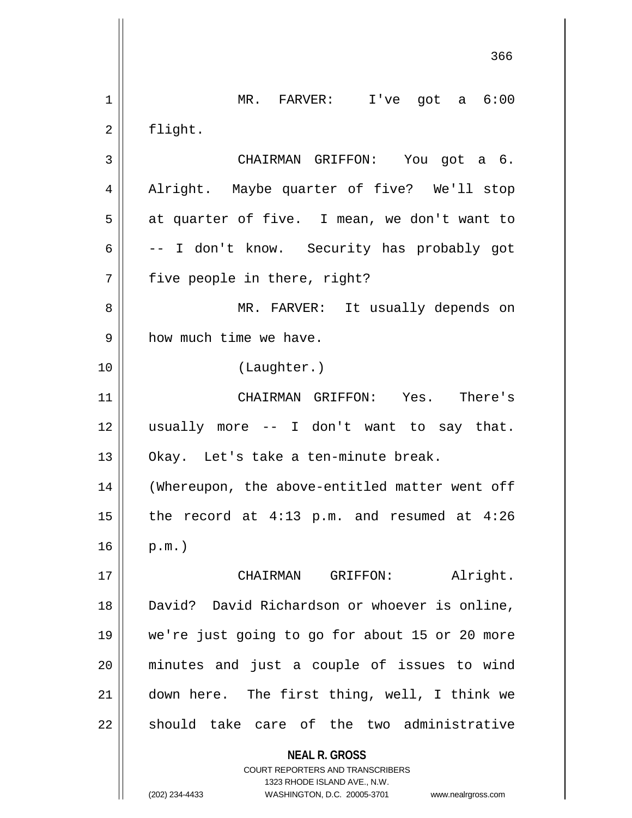**NEAL R. GROSS** COURT REPORTERS AND TRANSCRIBERS 1323 RHODE ISLAND AVE., N.W. 366 1 MR. FARVER: I've got a 6:00  $2 \parallel$  flight. 3 CHAIRMAN GRIFFON: You got a 6. 4 || Alright. Maybe quarter of five? We'll stop  $5 \parallel$  at quarter of five. I mean, we don't want to 6 | -- I don't know. Security has probably got  $7$  | five people in there, right? 8 MR. FARVER: It usually depends on 9 | how much time we have. 10 (Laughter.) 11 CHAIRMAN GRIFFON: Yes. There's 12 usually more -- I don't want to say that. 13 || Okay. Let's take a ten-minute break. 14 || (Whereupon, the above-entitled matter went off 15  $\parallel$  the record at 4:13 p.m. and resumed at 4:26  $16 \parallel p.m.$ 17 CHAIRMAN GRIFFON: Alright. 18 || David? David Richardson or whoever is online, 19 we're just going to go for about 15 or 20 more 20 minutes and just a couple of issues to wind 21 down here. The first thing, well, I think we  $22$  should take care of the two administrative

(202) 234-4433 WASHINGTON, D.C. 20005-3701 www.nealrgross.com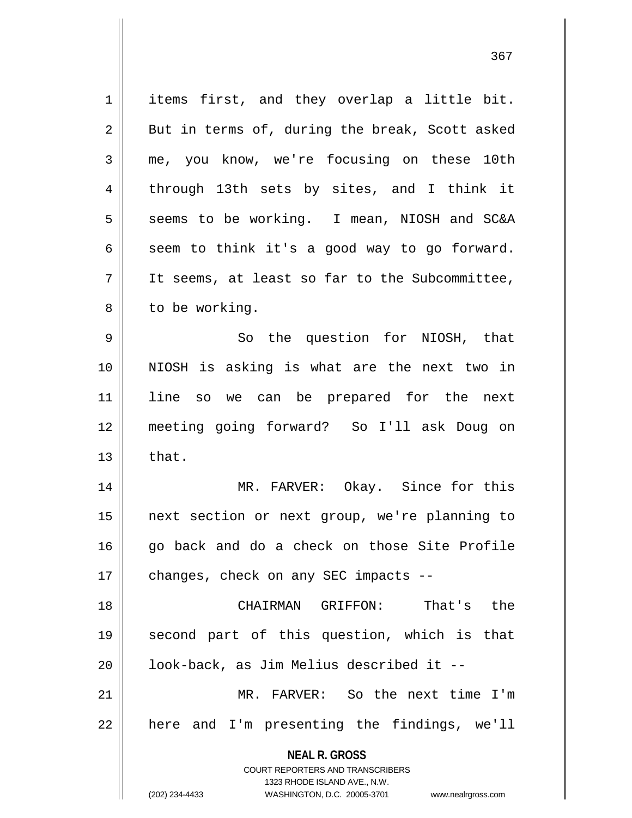1 || items first, and they overlap a little bit.  $2 \parallel$  But in terms of, during the break, Scott asked 3 me, you know, we're focusing on these 10th 4 through 13th sets by sites, and I think it 5 Seems to be working. I mean, NIOSH and SC&A  $6 \parallel$  seem to think it's a good way to go forward.  $7 \parallel$  It seems, at least so far to the Subcommittee,  $8 \parallel$  to be working. 9 So the question for NIOSH, that 10 NIOSH is asking is what are the next two in 11 line so we can be prepared for the next 12 meeting going forward? So I'll ask Doug on  $13 \parallel$  that. 14 MR. FARVER: Okay. Since for this 15 next section or next group, we're planning to 16 go back and do a check on those Site Profile 17 || changes, check on any SEC impacts --18 CHAIRMAN GRIFFON: That's the 19 second part of this question, which is that  $20$  |  $100k$ -back, as Jim Melius described it --21 MR. FARVER: So the next time I'm 22 || here and I'm presenting the findings, we'll

> **NEAL R. GROSS** COURT REPORTERS AND TRANSCRIBERS

> > 1323 RHODE ISLAND AVE., N.W.

(202) 234-4433 WASHINGTON, D.C. 20005-3701 www.nealrgross.com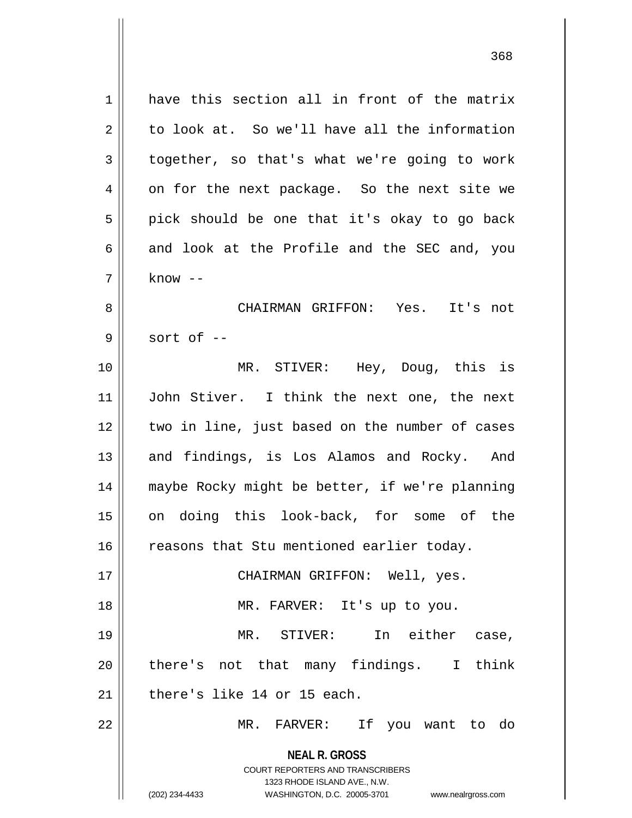**NEAL R. GROSS** COURT REPORTERS AND TRANSCRIBERS 1323 RHODE ISLAND AVE., N.W. 1<sup>1</sup> have this section all in front of the matrix  $2 \parallel$  to look at. So we'll have all the information  $3 \parallel$  together, so that's what we're going to work  $4 \parallel$  on for the next package. So the next site we  $5 \parallel$  pick should be one that it's okay to go back  $6 \parallel$  and look at the Profile and the SEC and, you  $7 \parallel$  know  $-$ 8 CHAIRMAN GRIFFON: Yes. It's not  $9 \parallel$  sort of  $-$ 10 MR. STIVER: Hey, Doug, this is 11 John Stiver. I think the next one, the next 12 || two in line, just based on the number of cases 13 || and findings, is Los Alamos and Rocky. And 14 maybe Rocky might be better, if we're planning 15 || on doing this look-back, for some of the 16 | reasons that Stu mentioned earlier today. 17 CHAIRMAN GRIFFON: Well, yes. 18 MR. FARVER: It's up to you. 19 MR. STIVER: In either case, 20 || there's not that many findings. I think  $21$  there's like 14 or 15 each. 22 MR. FARVER: If you want to do

(202) 234-4433 WASHINGTON, D.C. 20005-3701 www.nealrgross.com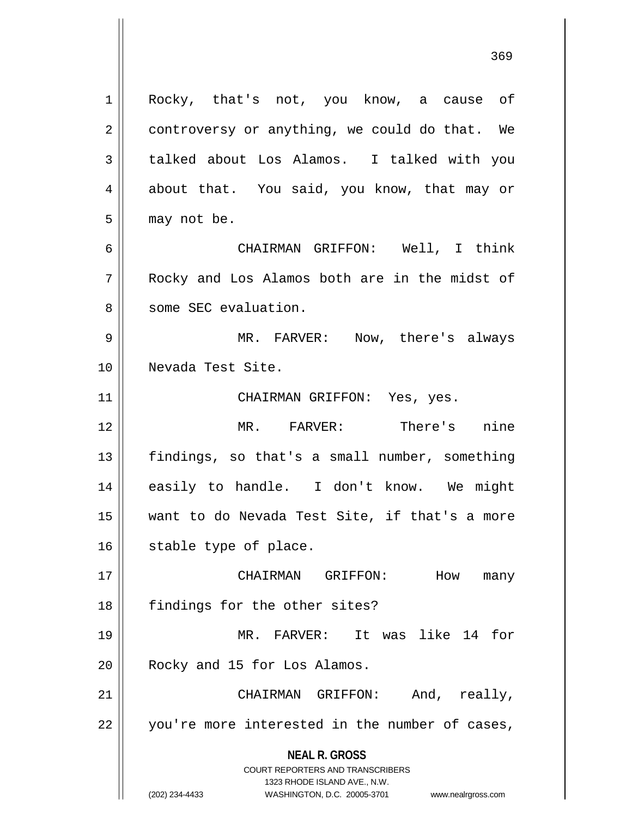**NEAL R. GROSS** COURT REPORTERS AND TRANSCRIBERS 1323 RHODE ISLAND AVE., N.W. (202) 234-4433 WASHINGTON, D.C. 20005-3701 www.nealrgross.com 1 | Rocky, that's not, you know, a cause of  $2 \parallel$  controversy or anything, we could do that. We 3 talked about Los Alamos. I talked with you 4 about that. You said, you know, that may or  $5 \parallel$  may not be. 6 CHAIRMAN GRIFFON: Well, I think 7 Rocky and Los Alamos both are in the midst of 8 Some SEC evaluation. 9 MR. FARVER: Now, there's always 10 Nevada Test Site. 11 | CHAIRMAN GRIFFON: Yes, yes. 12 MR. FARVER: There's nine 13 || findings, so that's a small number, something 14 easily to handle. I don't know. We might 15 want to do Nevada Test Site, if that's a more 16 | stable type of place. 17 CHAIRMAN GRIFFON: How many 18 || findings for the other sites? 19 MR. FARVER: It was like 14 for 20 | Rocky and 15 for Los Alamos. 21 | CHAIRMAN GRIFFON: And, really,  $22$  | you're more interested in the number of cases,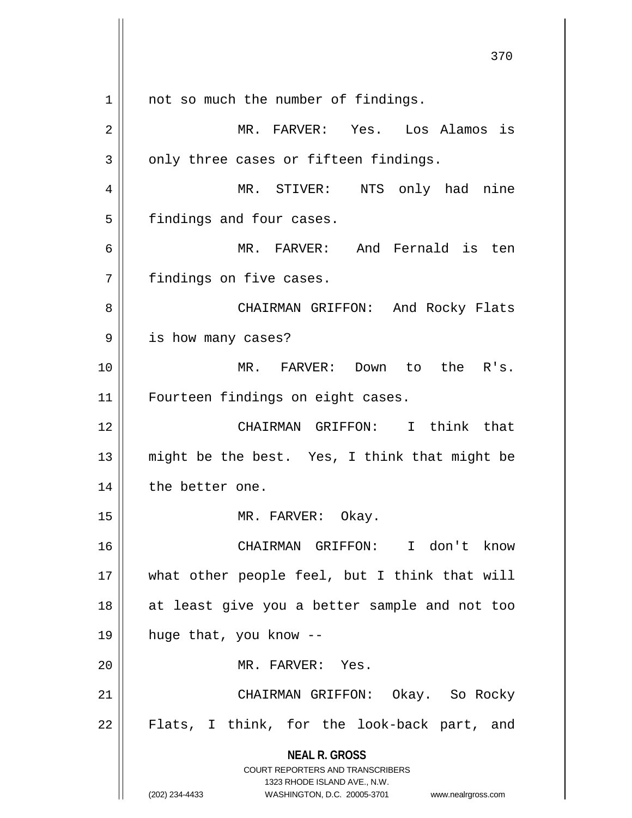**NEAL R. GROSS** COURT REPORTERS AND TRANSCRIBERS 1323 RHODE ISLAND AVE., N.W. (202) 234-4433 WASHINGTON, D.C. 20005-3701 www.nealrgross.com 1 || not so much the number of findings. 2 MR. FARVER: Yes. Los Alamos is  $3 \parallel$  only three cases or fifteen findings. 4 MR. STIVER: NTS only had nine 5 | findings and four cases. 6 MR. FARVER: And Fernald is ten 7 | findings on five cases. 8 CHAIRMAN GRIFFON: And Rocky Flats 9 || is how many cases? 10 MR. FARVER: Down to the R's. 11 || Fourteen findings on eight cases. 12 CHAIRMAN GRIFFON: I think that 13  $\parallel$  might be the best. Yes, I think that might be 14 | the better one. 15 || MR. FARVER: Okay. 16 CHAIRMAN GRIFFON: I don't know 17 what other people feel, but I think that will 18 at least give you a better sample and not too 19  $\parallel$  huge that, you know --20 MR. FARVER: Yes. 21 CHAIRMAN GRIFFON: Okay. So Rocky  $22 \parallel$  Flats, I think, for the look-back part, and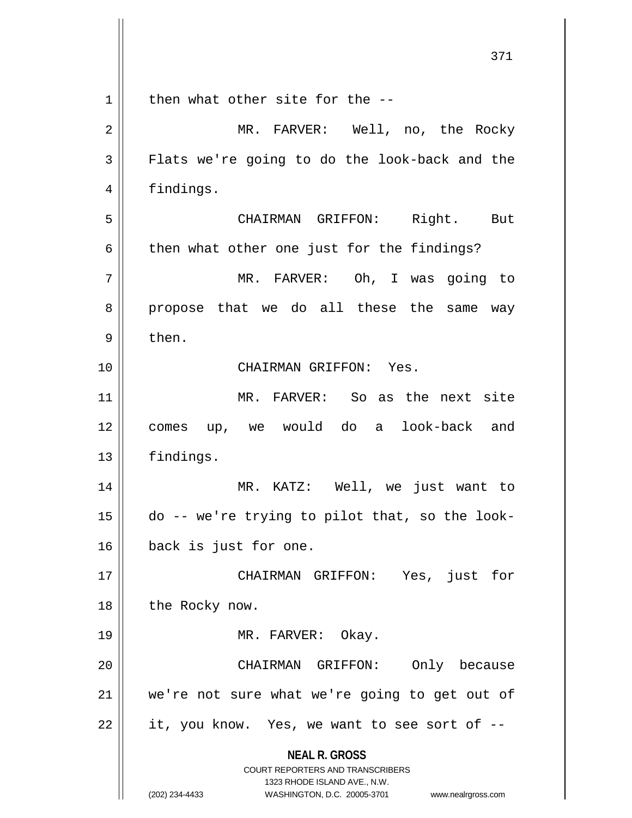| 1              | then what other site for the --                                                                     |
|----------------|-----------------------------------------------------------------------------------------------------|
| $\overline{2}$ | MR. FARVER: Well, no, the Rocky                                                                     |
| 3              | Flats we're going to do the look-back and the                                                       |
| 4              | findings.                                                                                           |
| 5              | Right.<br>CHAIRMAN GRIFFON:<br>But                                                                  |
| 6              | then what other one just for the findings?                                                          |
| 7              | MR. FARVER: Oh, I was going to                                                                      |
| 8              | propose that we do all these the same way                                                           |
| 9              | then.                                                                                               |
| 10             | CHAIRMAN GRIFFON: Yes.                                                                              |
| 11             | MR. FARVER: So as the next site                                                                     |
| 12             | comes up, we would do a look-back and                                                               |
| 13             | findings.                                                                                           |
| 14             | MR. KATZ: Well, we just want to                                                                     |
| 15             | do -- we're trying to pilot that, so the look-                                                      |
| 16             | back is just for one.                                                                               |
| 17             | CHAIRMAN GRIFFON: Yes, just for                                                                     |
| 18             | the Rocky now.                                                                                      |
| 19             | MR. FARVER: Okay.                                                                                   |
| 20             | CHAIRMAN GRIFFON:<br>Only because                                                                   |
| 21             | we're not sure what we're going to get out of                                                       |
| 22             | it, you know. Yes, we want to see sort of --                                                        |
|                | <b>NEAL R. GROSS</b>                                                                                |
|                | <b>COURT REPORTERS AND TRANSCRIBERS</b>                                                             |
|                | 1323 RHODE ISLAND AVE., N.W.<br>(202) 234-4433<br>WASHINGTON, D.C. 20005-3701<br>www.nealrgross.com |

 $\overline{\phantom{a}}$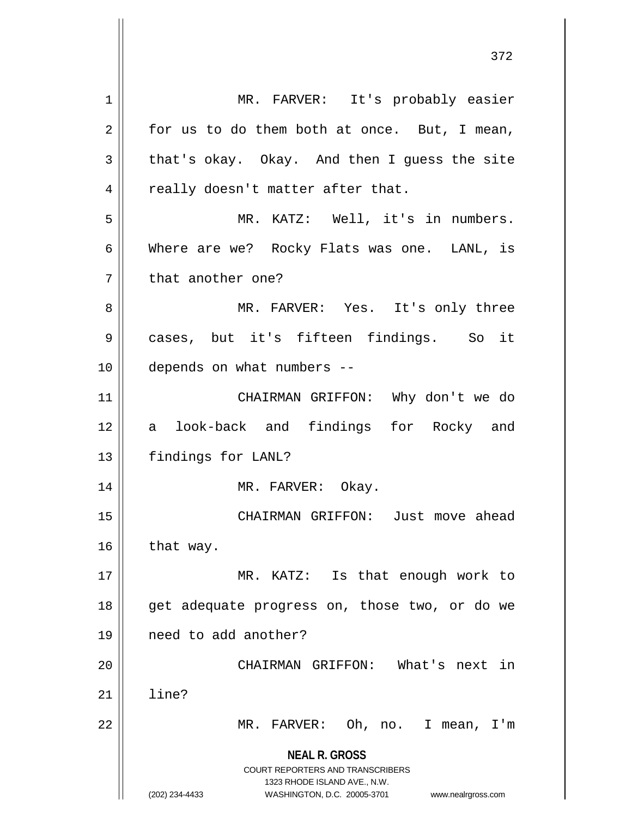**NEAL R. GROSS** COURT REPORTERS AND TRANSCRIBERS 1323 RHODE ISLAND AVE., N.W. (202) 234-4433 WASHINGTON, D.C. 20005-3701 www.nealrgross.com 1 || MR. FARVER: It's probably easier  $2 \parallel$  for us to do them both at once. But, I mean,  $3 \parallel$  that's okay. Okay. And then I guess the site  $4 \parallel$  really doesn't matter after that. 5 MR. KATZ: Well, it's in numbers. 6 Where are we? Rocky Flats was one. LANL, is 7 | that another one? 8 MR. FARVER: Yes. It's only three 9 cases, but it's fifteen findings. So it 10 depends on what numbers -- 11 CHAIRMAN GRIFFON: Why don't we do 12 || a look-back and findings for Rocky and 13 | findings for LANL? 14 || MR. FARVER: Okay. 15 CHAIRMAN GRIFFON: Just move ahead  $16$  that way. 17 || MR. KATZ: Is that enough work to 18 || get adequate progress on, those two, or do we 19 need to add another? 20 CHAIRMAN GRIFFON: What's next in 21 line? 22 MR. FARVER: Oh, no. I mean, I'm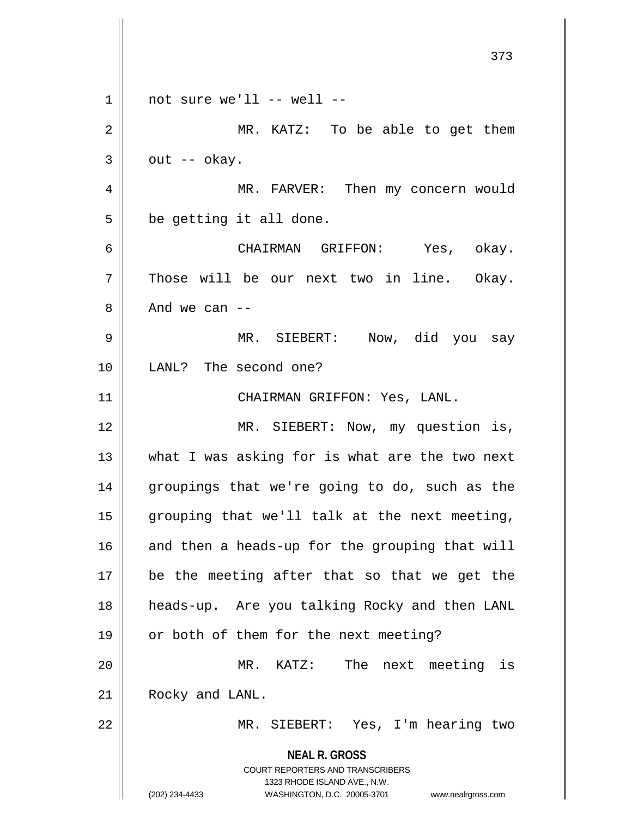**NEAL R. GROSS** COURT REPORTERS AND TRANSCRIBERS 1323 RHODE ISLAND AVE., N.W. (202) 234-4433 WASHINGTON, D.C. 20005-3701 www.nealrgross.com  $1 \parallel$  not sure we'll -- well --2 || MR. KATZ: To be able to get them  $3 \parallel$  out -- okay. 4 MR. FARVER: Then my concern would  $5 \parallel$  be getting it all done. 6 CHAIRMAN GRIFFON: Yes, okay.  $7$  Those will be our next two in line. Okay.  $8 \parallel$  And we can  $-$ 9 MR. SIEBERT: Now, did you say 10 LANL? The second one? 11 | CHAIRMAN GRIFFON: Yes, LANL. 12 || MR. SIEBERT: Now, my question is,  $13$  || what I was asking for is what are the two next 14 || groupings that we're going to do, such as the 15  $\parallel$  grouping that we'll talk at the next meeting,  $16$  and then a heads-up for the grouping that will 17 || be the meeting after that so that we get the 18 heads-up. Are you talking Rocky and then LANL 19 || or both of them for the next meeting? 20 MR. KATZ: The next meeting is 21 | Rocky and LANL. 22 MR. SIEBERT: Yes, I'm hearing two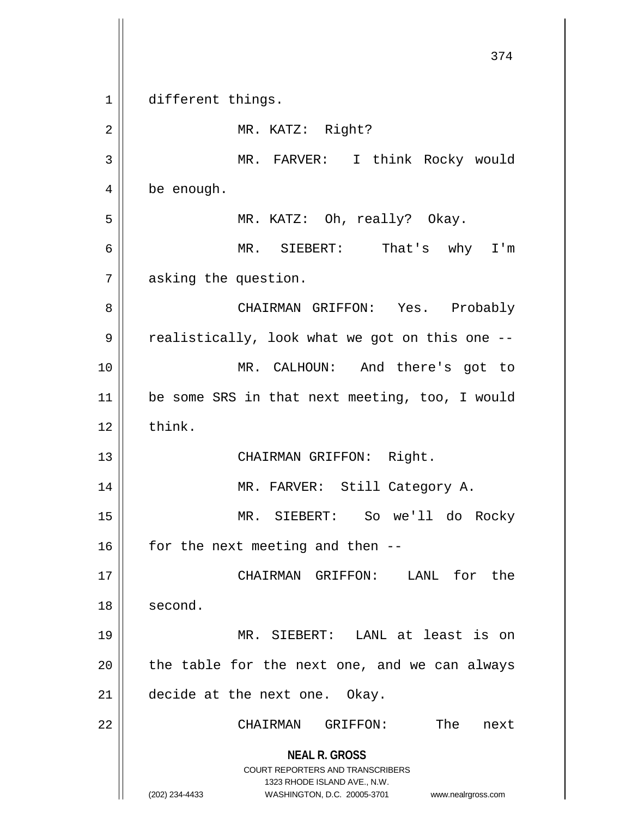**NEAL R. GROSS** COURT REPORTERS AND TRANSCRIBERS 1323 RHODE ISLAND AVE., N.W. (202) 234-4433 WASHINGTON, D.C. 20005-3701 www.nealrgross.com 374 1 different things. 2 || MR. KATZ: Right? 3 || MR. FARVER: I think Rocky would 4 | be enough. 5 MR. KATZ: Oh, really? Okay. 6 MR. SIEBERT: That's why I'm 7 asking the question. 8 CHAIRMAN GRIFFON: Yes. Probably  $9 \parallel$  realistically, look what we got on this one --10 MR. CALHOUN: And there's got to 11 be some SRS in that next meeting, too, I would  $12$   $\parallel$  think. 13 || CHAIRMAN GRIFFON: Right. 14 MR. FARVER: Still Category A. 15 MR. SIEBERT: So we'll do Rocky 16  $\parallel$  for the next meeting and then --17 || CHAIRMAN GRIFFON: LANL for the 18 second. 19 MR. SIEBERT: LANL at least is on  $20$  | the table for the next one, and we can always 21 decide at the next one. Okay. 22 CHAIRMAN GRIFFON: The next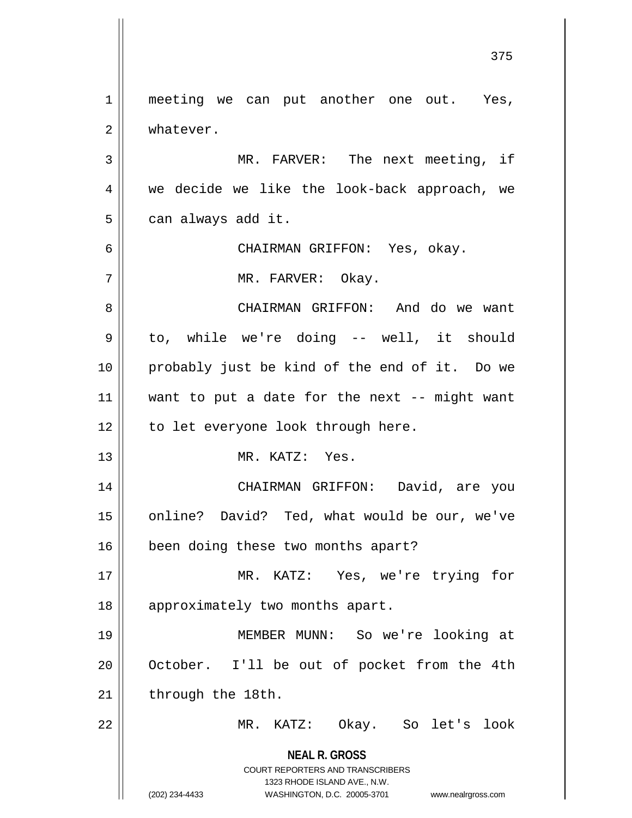**NEAL R. GROSS** COURT REPORTERS AND TRANSCRIBERS 1323 RHODE ISLAND AVE., N.W. (202) 234-4433 WASHINGTON, D.C. 20005-3701 www.nealrgross.com 1 || meeting we can put another one out. Yes, 2 | whatever. 3 MR. FARVER: The next meeting, if 4 || we decide we like the look-back approach, we  $5 \parallel$  can always add it. 6 CHAIRMAN GRIFFON: Yes, okay. 7 MR. FARVER: Okay. 8 CHAIRMAN GRIFFON: And do we want  $9 \parallel$  to, while we're doing -- well, it should 10 probably just be kind of the end of it. Do we 11 || want to put a date for the next  $-$ - might want 12 || to let everyone look through here. 13 MR. KATZ: Yes. 14 CHAIRMAN GRIFFON: David, are you 15  $\parallel$  online? David? Ted, what would be our, we've 16 | been doing these two months apart? 17 MR. KATZ: Yes, we're trying for 18 || approximately two months apart. 19 MEMBER MUNN: So we're looking at 20 || October. I'll be out of pocket from the 4th  $21$  | through the 18th. 22 MR. KATZ: Okay. So let's look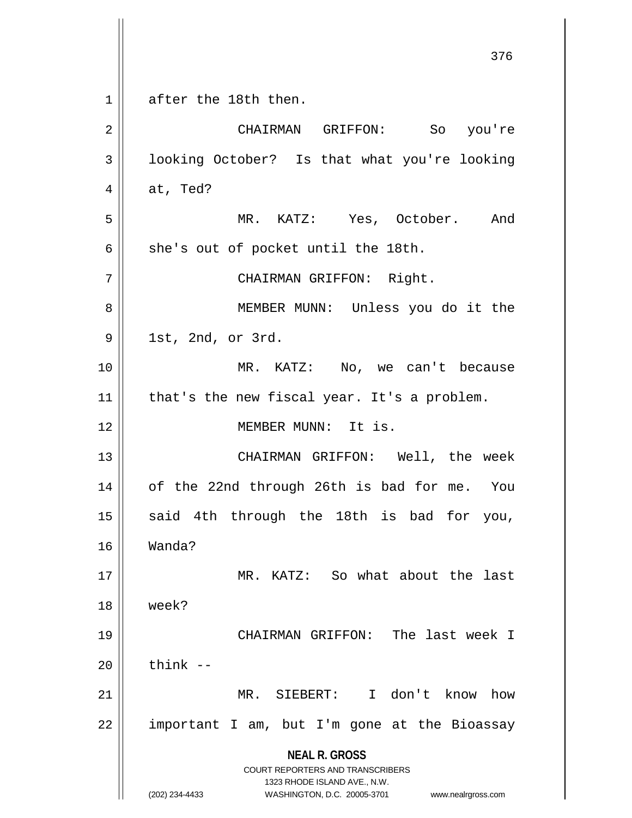**NEAL R. GROSS** COURT REPORTERS AND TRANSCRIBERS 1323 RHODE ISLAND AVE., N.W. (202) 234-4433 WASHINGTON, D.C. 20005-3701 www.nealrgross.com 376 1 after the 18th then. 2 CHAIRMAN GRIFFON: So you're 3 | looking October? Is that what you're looking  $4 \parallel$  at, Ted? 5 MR. KATZ: Yes, October. And  $6 \parallel$  she's out of pocket until the 18th. 7 || CHAIRMAN GRIFFON: Right. 8 || MEMBER MUNN: Unless you do it the  $9 \parallel$  1st, 2nd, or 3rd. 10 MR. KATZ: No, we can't because  $11$  | that's the new fiscal year. It's a problem. 12 MEMBER MUNN: It is. 13 CHAIRMAN GRIFFON: Well, the week 14 || of the 22nd through 26th is bad for me. You 15 || said 4th through the 18th is bad for you, 16 Wanda? 17 MR. KATZ: So what about the last 18 week? 19 || CHAIRMAN GRIFFON: The last week I  $20$   $\parallel$  think  $-$ 21 MR. SIEBERT: I don't know how  $22$  || important I am, but I'm gone at the Bioassay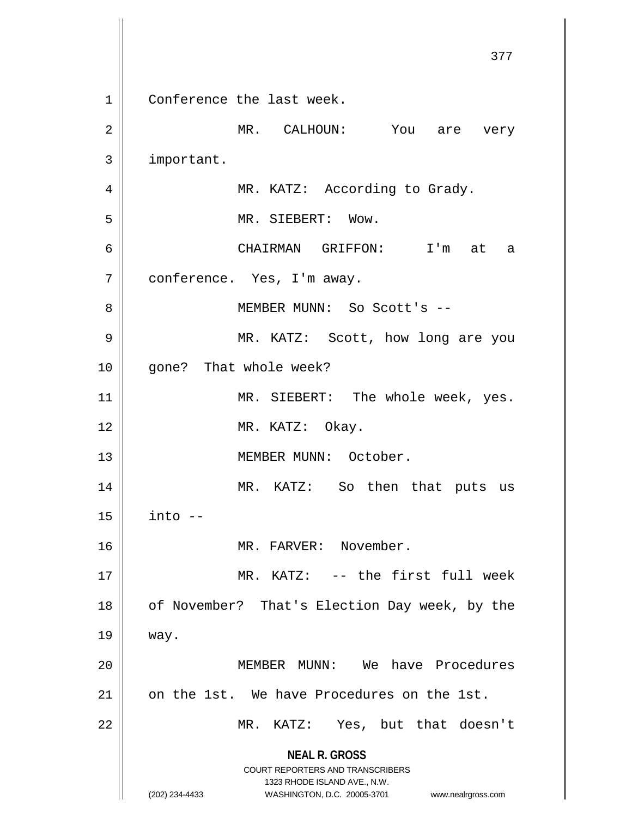**NEAL R. GROSS** COURT REPORTERS AND TRANSCRIBERS 1323 RHODE ISLAND AVE., N.W. (202) 234-4433 WASHINGTON, D.C. 20005-3701 www.nealrgross.com 377 1 || Conference the last week. 2 MR. CALHOUN: You are very 3 | important. 4 | MR. KATZ: According to Grady. 5 || MR. SIEBERT: Wow. 6 CHAIRMAN GRIFFON: I'm at a 7 | conference. Yes, I'm away. 8 || MEMBER MUNN: So Scott's --9 MR. KATZ: Scott, how long are you 10 || gone? That whole week? 11 || MR. SIEBERT: The whole week, yes. 12 || MR. KATZ: Okay. 13 MEMBER MUNN: October. 14 MR. KATZ: So then that puts us  $15$   $\parallel$  into  $-$ 16 MR. FARVER: November. 17 || MR. KATZ: -- the first full week 18 || of November? That's Election Day week, by the 19 way. 20 || MEMBER MUNN: We have Procedures 21 on the 1st. We have Procedures on the 1st. 22 MR. KATZ: Yes, but that doesn't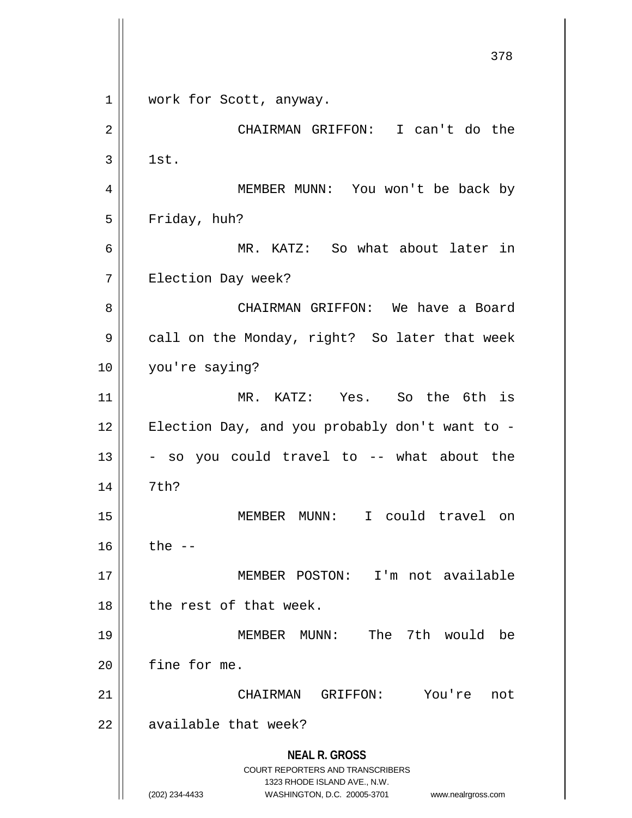**NEAL R. GROSS** COURT REPORTERS AND TRANSCRIBERS 1323 RHODE ISLAND AVE., N.W. (202) 234-4433 WASHINGTON, D.C. 20005-3701 www.nealrgross.com 378 1 || work for Scott, anyway. 2 CHAIRMAN GRIFFON: I can't do the  $3 \parallel$  1st. 4 MEMBER MUNN: You won't be back by  $5 \parallel$  Friday, huh? 6 MR. KATZ: So what about later in 7 | Election Day week? 8 CHAIRMAN GRIFFON: We have a Board 9 | call on the Monday, right? So later that week 10 || you're saying? 11 MR. KATZ: Yes. So the 6th is 12  $\parallel$  Election Day, and you probably don't want to - $13 \parallel$  - so you could travel to -- what about the 14 7th? 15 MEMBER MUNN: I could travel on  $16$  | the  $-$ 17 MEMBER POSTON: I'm not available 18 l the rest of that week. 19 MEMBER MUNN: The 7th would be 20 | fine for me. 21 CHAIRMAN GRIFFON: You're not  $22$   $\parallel$  available that week?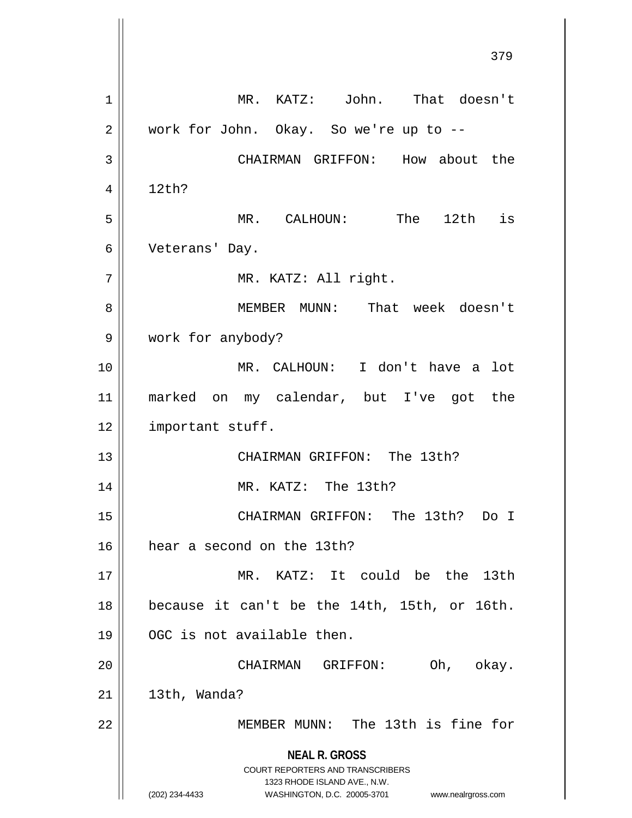**NEAL R. GROSS** COURT REPORTERS AND TRANSCRIBERS 1323 RHODE ISLAND AVE., N.W. (202) 234-4433 WASHINGTON, D.C. 20005-3701 www.nealrgross.com 1 MR. KATZ: John. That doesn't 2 work for John. Okay. So we're up to --3 CHAIRMAN GRIFFON: How about the  $4 \parallel$  12th? 5 MR. CALHOUN: The 12th is 6 Veterans' Day. 7 || MR. KATZ: All right. 8 MEMBER MUNN: That week doesn't 9 work for anybody? 10 MR. CALHOUN: I don't have a lot 11 marked on my calendar, but I've got the 12 | important stuff. 13 || CHAIRMAN GRIFFON: The 13th? 14 || MR. KATZ: The 13th? 15 CHAIRMAN GRIFFON: The 13th? Do I 16 hear a second on the 13th? 17 MR. KATZ: It could be the 13th 18 because it can't be the 14th, 15th, or 16th. 19 || OGC is not available then. 20 CHAIRMAN GRIFFON: Oh, okay.  $21$  | 13th, Wanda? 22 MEMBER MUNN: The 13th is fine for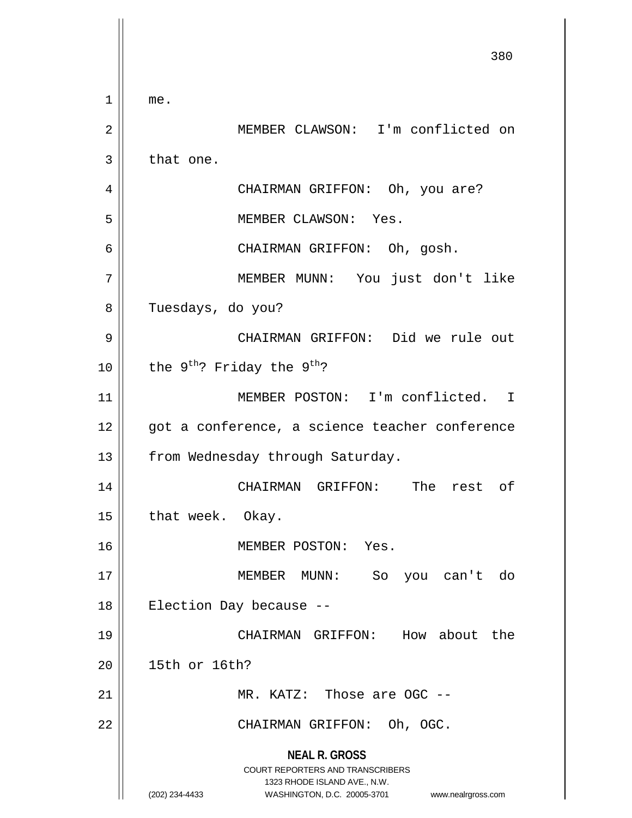**NEAL R. GROSS** COURT REPORTERS AND TRANSCRIBERS 1323 RHODE ISLAND AVE., N.W. (202) 234-4433 WASHINGTON, D.C. 20005-3701 www.nealrgross.com 380 1 me. 2 MEMBER CLAWSON: I'm conflicted on  $3 \parallel$  that one. 4 CHAIRMAN GRIFFON: Oh, you are? 5 MEMBER CLAWSON: Yes. 6 CHAIRMAN GRIFFON: Oh, gosh. 7 MEMBER MUNN: You just don't like 8 || Tuesdays, do you? 9 CHAIRMAN GRIFFON: Did we rule out 10  $\parallel$  the 9<sup>th</sup>? Friday the 9<sup>th</sup>? 11 MEMBER POSTON: I'm conflicted. I 12 || got a conference, a science teacher conference 13 | from Wednesday through Saturday. 14 CHAIRMAN GRIFFON: The rest of 15 | that week. Okay. 16 || MEMBER POSTON: Yes. 17 MEMBER MUNN: So you can't do 18 || Election Day because --19 CHAIRMAN GRIFFON: How about the 20 15th or 16th? 21 MR. KATZ: Those are OGC -- 22 || CHAIRMAN GRIFFON: Oh, OGC.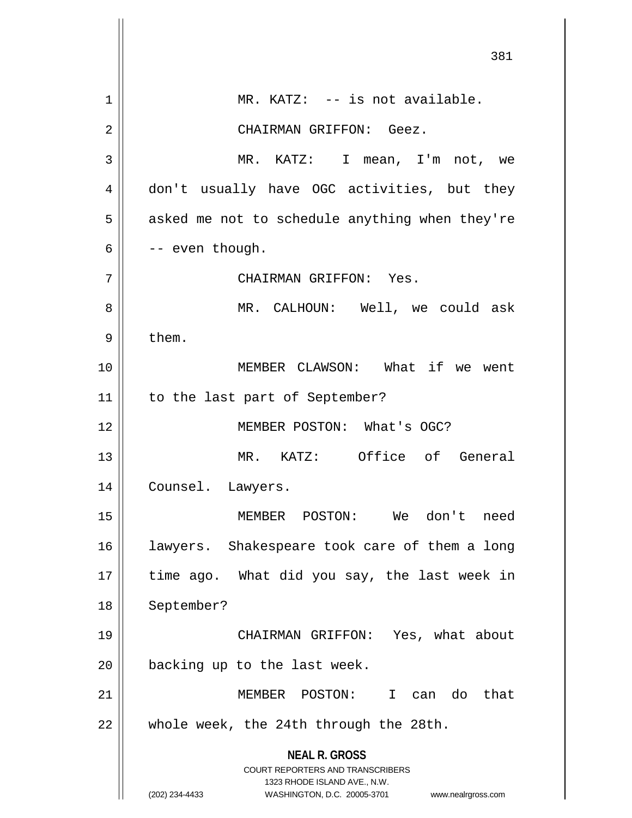**NEAL R. GROSS** COURT REPORTERS AND TRANSCRIBERS 1323 RHODE ISLAND AVE., N.W. (202) 234-4433 WASHINGTON, D.C. 20005-3701 www.nealrgross.com 381  $1 \parallel$  MR. KATZ: -- is not available. 2 CHAIRMAN GRIFFON: Geez. 3 MR. KATZ: I mean, I'm not, we 4 || don't usually have OGC activities, but they  $5 \parallel$  asked me not to schedule anything when they're  $6 \parallel$  -- even though. 7 CHAIRMAN GRIFFON: Yes. 8 MR. CALHOUN: Well, we could ask  $9 \parallel$  them. 10 MEMBER CLAWSON: What if we went 11 | to the last part of September? 12 MEMBER POSTON: What's OGC? 13 MR. KATZ: Office of General 14 Counsel. Lawyers. 15 MEMBER POSTON: We don't need 16 || lawyers. Shakespeare took care of them a long 17 || time ago. What did you say, the last week in 18 | September? 19 CHAIRMAN GRIFFON: Yes, what about 20 | backing up to the last week. 21 MEMBER POSTON: I can do that 22 | whole week, the 24th through the 28th.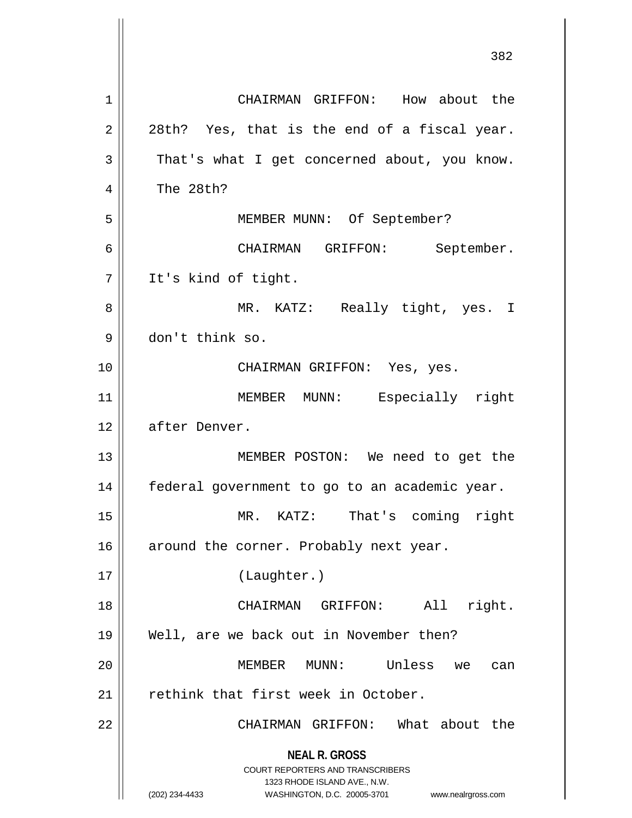**NEAL R. GROSS** COURT REPORTERS AND TRANSCRIBERS 1323 RHODE ISLAND AVE., N.W. (202) 234-4433 WASHINGTON, D.C. 20005-3701 www.nealrgross.com 382 1 | CHAIRMAN GRIFFON: How about the  $2 \parallel$  28th? Yes, that is the end of a fiscal year.  $3 \parallel$  That's what I get concerned about, you know. 4 | The 28th? 5 || MEMBER MUNN: Of September? 6 CHAIRMAN GRIFFON: September. 7 | It's kind of tight. 8 MR. KATZ: Really tight, yes. I 9 don't think so. 10 CHAIRMAN GRIFFON: Yes, yes. 11 || MEMBER MUNN: Especially right 12 | after Denver. 13 || MEMBER POSTON: We need to get the 14 federal government to go to an academic year. 15 MR. KATZ: That's coming right 16 | around the corner. Probably next year. 17 (Laughter.) 18 || CHAIRMAN GRIFFON: All right. 19 Well, are we back out in November then? 20 MEMBER MUNN: Unless we can 21  $\parallel$  rethink that first week in October. 22 || CHAIRMAN GRIFFON: What about the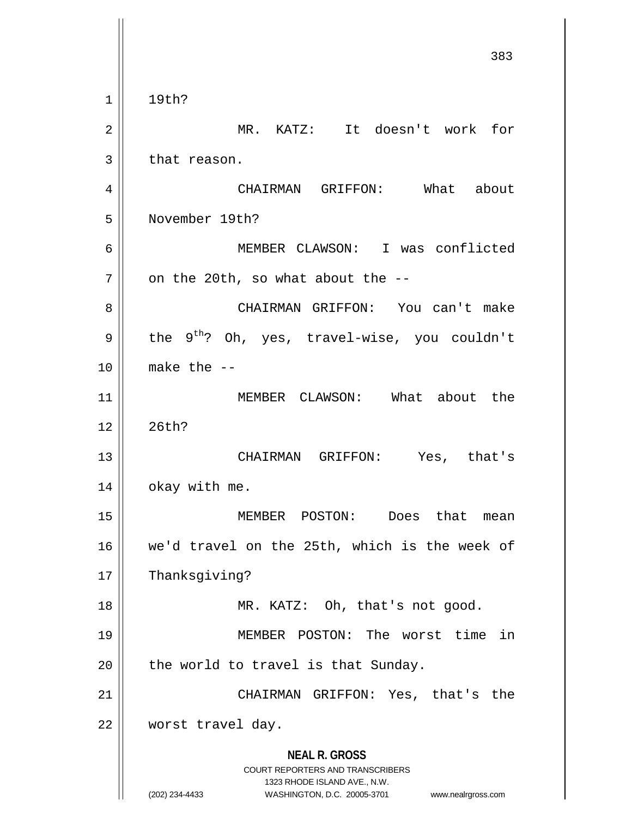**NEAL R. GROSS** COURT REPORTERS AND TRANSCRIBERS 1323 RHODE ISLAND AVE., N.W. (202) 234-4433 WASHINGTON, D.C. 20005-3701 www.nealrgross.com 383  $1 \parallel 19$ th? 2 MR. KATZ: It doesn't work for  $3 \parallel$  that reason. 4 CHAIRMAN GRIFFON: What about 5 November 19th? 6 MEMBER CLAWSON: I was conflicted  $7$  | on the 20th, so what about the  $-$ -8 CHAIRMAN GRIFFON: You can't make  $9 \parallel$  the  $9^{th}$ ? Oh, yes, travel-wise, you couldn't  $10$  || make the  $-$ 11 || MEMBER CLAWSON: What about the  $12 \parallel 26$ th? 13 CHAIRMAN GRIFFON: Yes, that's  $14$  | okay with me. 15 MEMBER POSTON: Does that mean 16 we'd travel on the 25th, which is the week of 17 | Thanksgiving? 18 || MR. KATZ: Oh, that's not good. 19 MEMBER POSTON: The worst time in  $20$  | the world to travel is that Sunday. 21 || CHAIRMAN GRIFFON: Yes, that's the 22 worst travel day.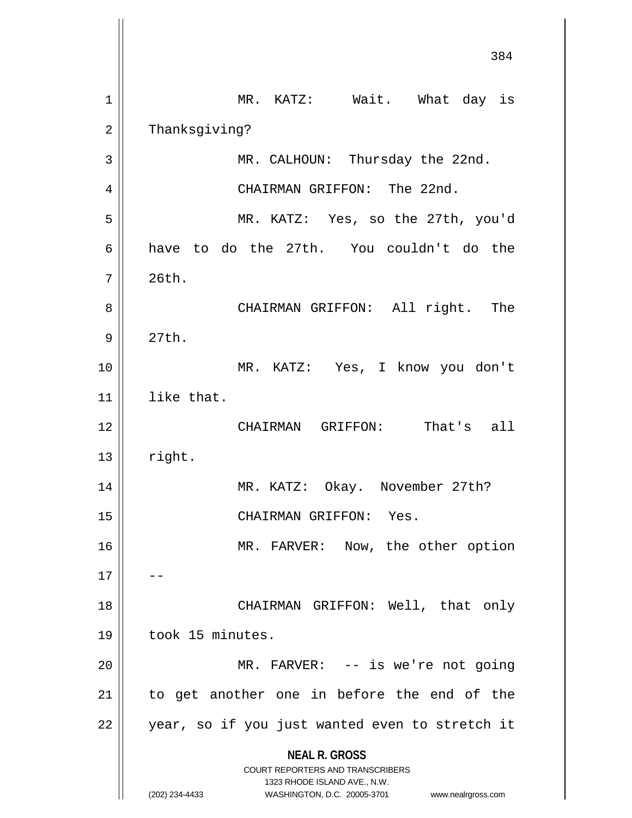**NEAL R. GROSS** COURT REPORTERS AND TRANSCRIBERS 1323 RHODE ISLAND AVE., N.W. (202) 234-4433 WASHINGTON, D.C. 20005-3701 www.nealrgross.com 1 || MR. KATZ: Wait. What day is 2 | Thanksgiving? 3 || MR. CALHOUN: Thursday the 22nd. 4 || CHAIRMAN GRIFFON: The 22nd. 5 MR. KATZ: Yes, so the 27th, you'd 6 have to do the 27th. You couldn't do the 7 26th. 8 CHAIRMAN GRIFFON: All right. The  $9 \parallel 27th.$ 10 MR. KATZ: Yes, I know you don't  $11$  like that. 12 CHAIRMAN GRIFFON: That's all  $13$  || right. 14 MR. KATZ: Okay. November 27th? 15 || CHAIRMAN GRIFFON: Yes. 16 || MR. FARVER: Now, the other option  $17$ 18 || CHAIRMAN GRIFFON: Well, that only 19 | took 15 minutes. 20 MR. FARVER: -- is we're not going 21 || to get another one in before the end of the  $22$  || year, so if you just wanted even to stretch it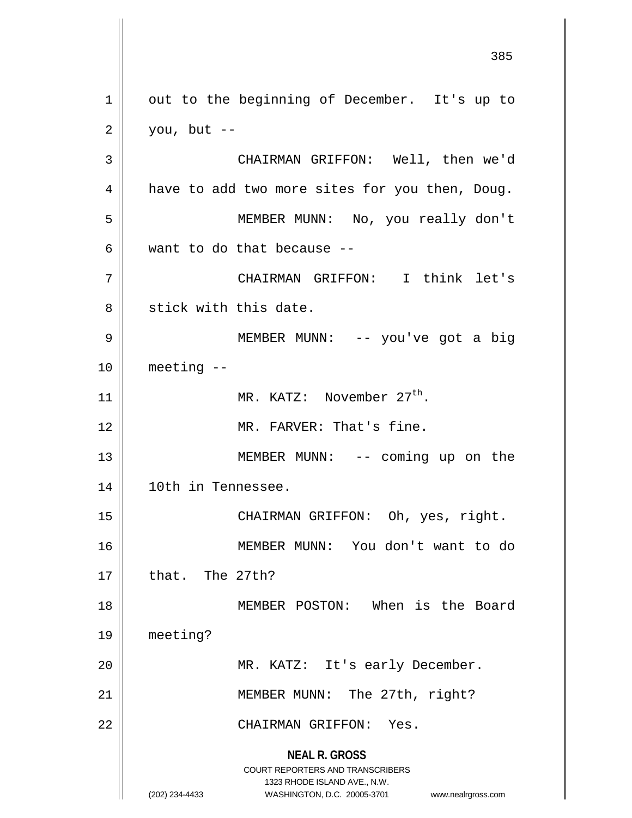**NEAL R. GROSS** COURT REPORTERS AND TRANSCRIBERS 1323 RHODE ISLAND AVE., N.W. (202) 234-4433 WASHINGTON, D.C. 20005-3701 www.nealrgross.com 1 || out to the beginning of December. It's up to  $2 \parallel$  you, but --3 CHAIRMAN GRIFFON: Well, then we'd  $4 \parallel$  have to add two more sites for you then, Doug. 5 MEMBER MUNN: No, you really don't 6 Want to do that because  $-$ 7 CHAIRMAN GRIFFON: I think let's 8 || stick with this date. 9 MEMBER MUNN: -- you've got a big  $10$  || meeting  $-$ 11  $\parallel$  MR. KATZ: November 27<sup>th</sup>. 12 MR. FARVER: That's fine. 13 || MEMBER MUNN: -- coming up on the 14 || 10th in Tennessee. 15 || CHAIRMAN GRIFFON: Oh, yes, right. 16 MEMBER MUNN: You don't want to do  $17$   $\parallel$  that. The 27th? 18 MEMBER POSTON: When is the Board 19 meeting? 20 || MR. KATZ: It's early December. 21 || MEMBER MUNN: The 27th, right? 22 CHAIRMAN GRIFFON: Yes.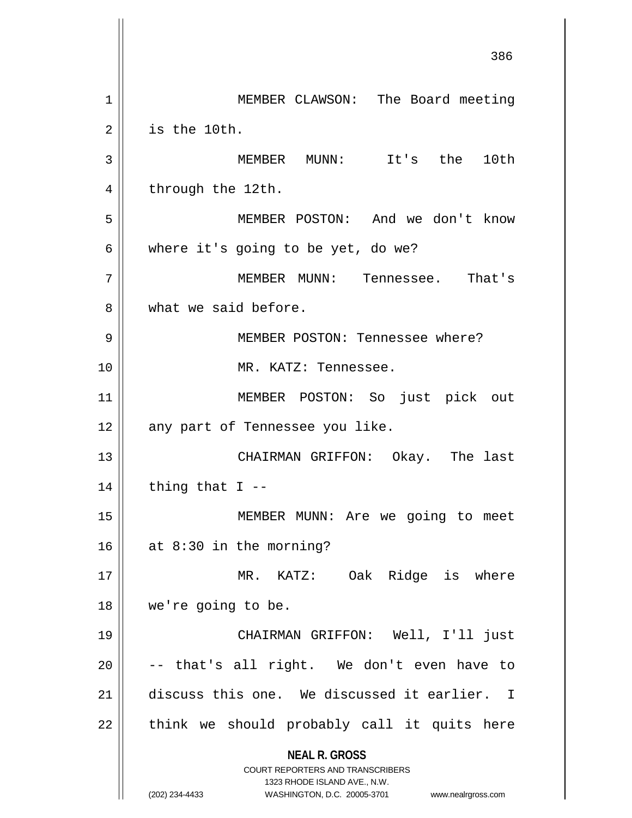**NEAL R. GROSS** COURT REPORTERS AND TRANSCRIBERS 1323 RHODE ISLAND AVE., N.W. (202) 234-4433 WASHINGTON, D.C. 20005-3701 www.nealrgross.com 1 | MEMBER CLAWSON: The Board meeting 2 || is the 10th. MEMBER MUNN: It's the 10th 4 | through the 12th. MEMBER POSTON: And we don't know | where it's going to be yet, do we? MEMBER MUNN: Tennessee. That's 8 What we said before. 9 || MEMBER POSTON: Tennessee where? MR. KATZ: Tennessee. MEMBER POSTON: So just pick out | any part of Tennessee you like. CHAIRMAN GRIFFON: Okay. The last || thing that I -- MEMBER MUNN: Are we going to meet || at 8:30 in the morning? MR. KATZ: Oak Ridge is where we're going to be. CHAIRMAN GRIFFON: Well, I'll just  $\vert$  -- that's all right. We don't even have to discuss this one. We discussed it earlier. I || think we should probably call it quits here